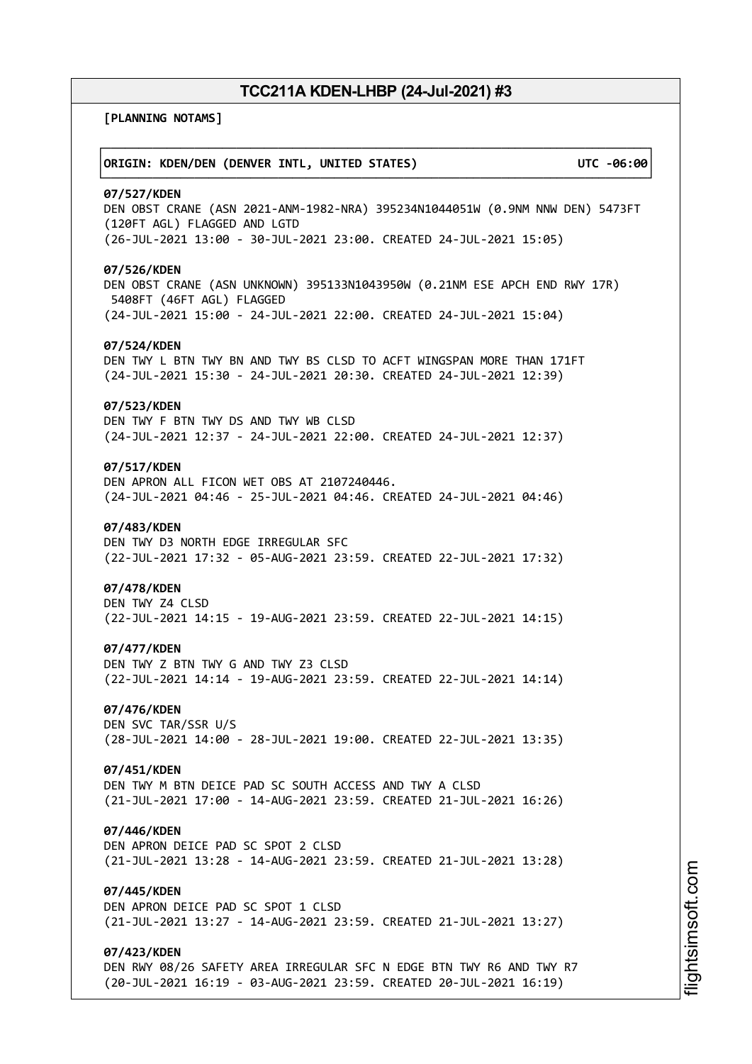┌──────────────────────────────────────────────────────────────────────────────┐

└──────────────────────────────────────────────────────────────────────────────┘

**[PLANNING NOTAMS]**

# │**ORIGIN: KDEN/DEN (DENVER INTL, UNITED STATES) UTC -06:00**│

#### **07/527/KDEN**

DEN OBST CRANE (ASN 2021-ANM-1982-NRA) 395234N1044051W (0.9NM NNW DEN) 5473FT (120FT AGL) FLAGGED AND LGTD (26-JUL-2021 13:00 - 30-JUL-2021 23:00. CREATED 24-JUL-2021 15:05)

# **07/526/KDEN**

DEN OBST CRANE (ASN UNKNOWN) 395133N1043950W (0.21NM ESE APCH END RWY 17R) 5408FT (46FT AGL) FLAGGED (24-JUL-2021 15:00 - 24-JUL-2021 22:00. CREATED 24-JUL-2021 15:04)

#### **07/524/KDEN**

DEN TWY L BTN TWY BN AND TWY BS CLSD TO ACFT WINGSPAN MORE THAN 171FT (24-JUL-2021 15:30 - 24-JUL-2021 20:30. CREATED 24-JUL-2021 12:39)

# **07/523/KDEN**

DEN TWY F BTN TWY DS AND TWY WB CLSD (24-JUL-2021 12:37 - 24-JUL-2021 22:00. CREATED 24-JUL-2021 12:37)

# **07/517/KDEN**

DEN APRON ALL FICON WET OBS AT 2107240446. (24-JUL-2021 04:46 - 25-JUL-2021 04:46. CREATED 24-JUL-2021 04:46)

#### **07/483/KDEN**

DEN TWY D3 NORTH EDGE IRREGULAR SFC (22-JUL-2021 17:32 - 05-AUG-2021 23:59. CREATED 22-JUL-2021 17:32)

#### **07/478/KDEN**

DEN TWY Z4 CLSD (22-JUL-2021 14:15 - 19-AUG-2021 23:59. CREATED 22-JUL-2021 14:15)

#### **07/477/KDEN**

DEN TWY Z BTN TWY G AND TWY Z3 CLSD (22-JUL-2021 14:14 - 19-AUG-2021 23:59. CREATED 22-JUL-2021 14:14)

# **07/476/KDEN**

DEN SVC TAR/SSR U/S (28-JUL-2021 14:00 - 28-JUL-2021 19:00. CREATED 22-JUL-2021 13:35)

# **07/451/KDEN**

DEN TWY M BTN DEICE PAD SC SOUTH ACCESS AND TWY A CLSD (21-JUL-2021 17:00 - 14-AUG-2021 23:59. CREATED 21-JUL-2021 16:26)

#### **07/446/KDEN**

DEN APRON DEICE PAD SC SPOT 2 CLSD (21-JUL-2021 13:28 - 14-AUG-2021 23:59. CREATED 21-JUL-2021 13:28)

# **07/445/KDEN**

DEN APRON DEICE PAD SC SPOT 1 CLSD (21-JUL-2021 13:27 - 14-AUG-2021 23:59. CREATED 21-JUL-2021 13:27)

### **07/423/KDEN**

DEN RWY 08/26 SAFETY AREA IRREGULAR SFC N EDGE BTN TWY R6 AND TWY R7 (20-JUL-2021 16:19 - 03-AUG-2021 23:59. CREATED 20-JUL-2021 16:19)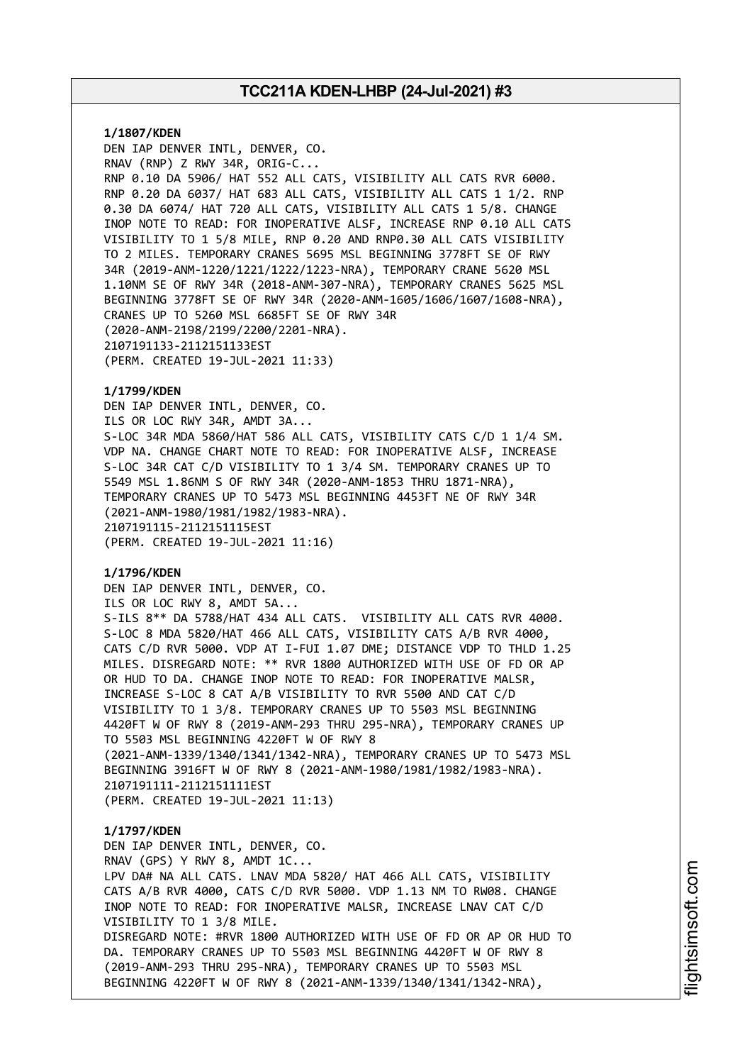**1/1807/KDEN** DEN IAP DENVER INTL, DENVER, CO. RNAV (RNP) Z RWY 34R, ORIG-C... RNP 0.10 DA 5906/ HAT 552 ALL CATS, VISIBILITY ALL CATS RVR 6000. RNP 0.20 DA 6037/ HAT 683 ALL CATS, VISIBILITY ALL CATS 1 1/2. RNP 0.30 DA 6074/ HAT 720 ALL CATS, VISIBILITY ALL CATS 1 5/8. CHANGE INOP NOTE TO READ: FOR INOPERATIVE ALSF, INCREASE RNP 0.10 ALL CATS VISIBILITY TO 1 5/8 MILE, RNP 0.20 AND RNP0.30 ALL CATS VISIBILITY TO 2 MILES. TEMPORARY CRANES 5695 MSL BEGINNING 3778FT SE OF RWY 34R (2019-ANM-1220/1221/1222/1223-NRA), TEMPORARY CRANE 5620 MSL 1.10NM SE OF RWY 34R (2018-ANM-307-NRA), TEMPORARY CRANES 5625 MSL BEGINNING 3778FT SE OF RWY 34R (2020-ANM-1605/1606/1607/1608-NRA), CRANES UP TO 5260 MSL 6685FT SE OF RWY 34R (2020-ANM-2198/2199/2200/2201-NRA). 2107191133-2112151133EST (PERM. CREATED 19-JUL-2021 11:33)

### **1/1799/KDEN**

DEN IAP DENVER INTL, DENVER, CO. ILS OR LOC RWY 34R, AMDT 3A... S-LOC 34R MDA 5860/HAT 586 ALL CATS, VISIBILITY CATS C/D 1 1/4 SM. VDP NA. CHANGE CHART NOTE TO READ: FOR INOPERATIVE ALSF, INCREASE S-LOC 34R CAT C/D VISIBILITY TO 1 3/4 SM. TEMPORARY CRANES UP TO 5549 MSL 1.86NM S OF RWY 34R (2020-ANM-1853 THRU 1871-NRA), TEMPORARY CRANES UP TO 5473 MSL BEGINNING 4453FT NE OF RWY 34R (2021-ANM-1980/1981/1982/1983-NRA). 2107191115-2112151115EST (PERM. CREATED 19-JUL-2021 11:16)

### **1/1796/KDEN**

DEN IAP DENVER INTL, DENVER, CO. ILS OR LOC RWY 8, AMDT 5A... S-ILS 8\*\* DA 5788/HAT 434 ALL CATS. VISIBILITY ALL CATS RVR 4000. S-LOC 8 MDA 5820/HAT 466 ALL CATS, VISIBILITY CATS A/B RVR 4000, CATS C/D RVR 5000. VDP AT I-FUI 1.07 DME; DISTANCE VDP TO THLD 1.25 MILES. DISREGARD NOTE: \*\* RVR 1800 AUTHORIZED WITH USE OF FD OR AP OR HUD TO DA. CHANGE INOP NOTE TO READ: FOR INOPERATIVE MALSR, INCREASE S-LOC 8 CAT A/B VISIBILITY TO RVR 5500 AND CAT C/D VISIBILITY TO 1 3/8. TEMPORARY CRANES UP TO 5503 MSL BEGINNING 4420FT W OF RWY 8 (2019-ANM-293 THRU 295-NRA), TEMPORARY CRANES UP TO 5503 MSL BEGINNING 4220FT W OF RWY 8 (2021-ANM-1339/1340/1341/1342-NRA), TEMPORARY CRANES UP TO 5473 MSL BEGINNING 3916FT W OF RWY 8 (2021-ANM-1980/1981/1982/1983-NRA). 2107191111-2112151111EST (PERM. CREATED 19-JUL-2021 11:13)

#### **1/1797/KDEN**

DEN IAP DENVER INTL, DENVER, CO. RNAV (GPS) Y RWY 8, AMDT 1C... LPV DA# NA ALL CATS. LNAV MDA 5820/ HAT 466 ALL CATS, VISIBILITY CATS A/B RVR 4000, CATS C/D RVR 5000. VDP 1.13 NM TO RW08. CHANGE INOP NOTE TO READ: FOR INOPERATIVE MALSR, INCREASE LNAV CAT C/D VISIBILITY TO 1 3/8 MILE. DISREGARD NOTE: #RVR 1800 AUTHORIZED WITH USE OF FD OR AP OR HUD TO DA. TEMPORARY CRANES UP TO 5503 MSL BEGINNING 4420FT W OF RWY 8 (2019-ANM-293 THRU 295-NRA), TEMPORARY CRANES UP TO 5503 MSL BEGINNING 4220FT W OF RWY 8 (2021-ANM-1339/1340/1341/1342-NRA),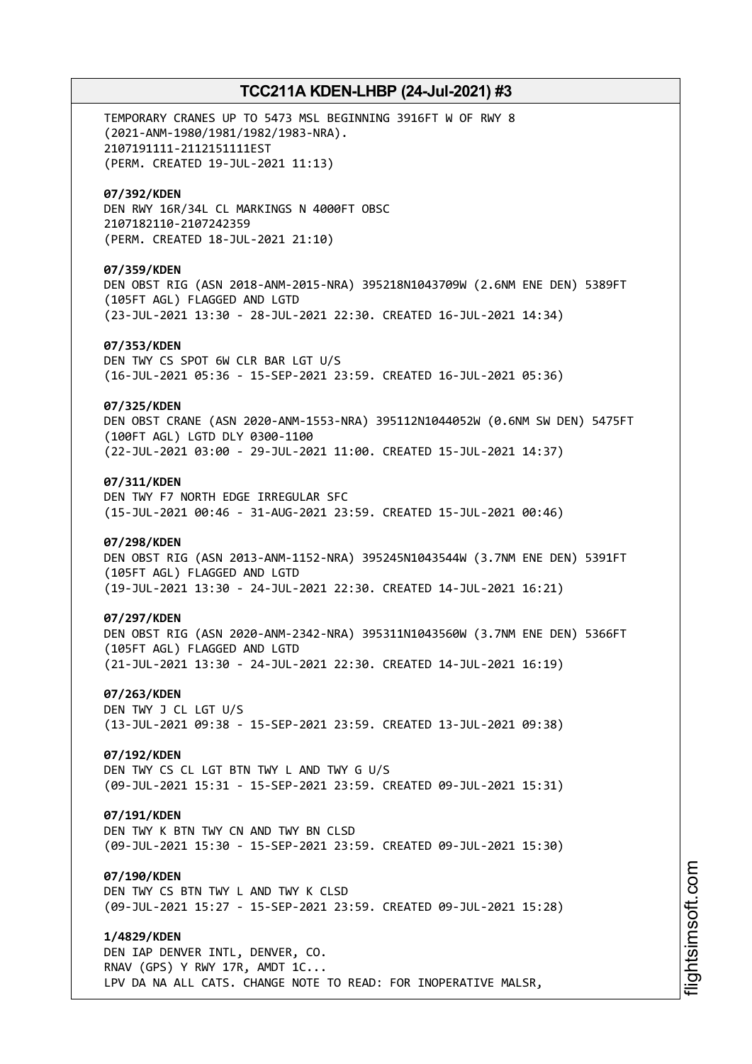TEMPORARY CRANES UP TO 5473 MSL BEGINNING 3916FT W OF RWY 8 (2021-ANM-1980/1981/1982/1983-NRA). 2107191111-2112151111EST (PERM. CREATED 19-JUL-2021 11:13) **07/392/KDEN** DEN RWY 16R/34L CL MARKINGS N 4000FT OBSC 2107182110-2107242359 (PERM. CREATED 18-JUL-2021 21:10) **07/359/KDEN** DEN OBST RIG (ASN 2018-ANM-2015-NRA) 395218N1043709W (2.6NM ENE DEN) 5389FT (105FT AGL) FLAGGED AND LGTD (23-JUL-2021 13:30 - 28-JUL-2021 22:30. CREATED 16-JUL-2021 14:34) **07/353/KDEN** DEN TWY CS SPOT 6W CLR BAR LGT U/S (16-JUL-2021 05:36 - 15-SEP-2021 23:59. CREATED 16-JUL-2021 05:36) **07/325/KDEN** DEN OBST CRANE (ASN 2020-ANM-1553-NRA) 395112N1044052W (0.6NM SW DEN) 5475FT (100FT AGL) LGTD DLY 0300-1100 (22-JUL-2021 03:00 - 29-JUL-2021 11:00. CREATED 15-JUL-2021 14:37) **07/311/KDEN** DEN TWY F7 NORTH EDGE IRREGULAR SFC (15-JUL-2021 00:46 - 31-AUG-2021 23:59. CREATED 15-JUL-2021 00:46) **07/298/KDEN** DEN OBST RIG (ASN 2013-ANM-1152-NRA) 395245N1043544W (3.7NM ENE DEN) 5391FT (105FT AGL) FLAGGED AND LGTD (19-JUL-2021 13:30 - 24-JUL-2021 22:30. CREATED 14-JUL-2021 16:21) **07/297/KDEN** DEN OBST RIG (ASN 2020-ANM-2342-NRA) 395311N1043560W (3.7NM ENE DEN) 5366FT (105FT AGL) FLAGGED AND LGTD (21-JUL-2021 13:30 - 24-JUL-2021 22:30. CREATED 14-JUL-2021 16:19) **07/263/KDEN** DEN TWY J CL LGT U/S (13-JUL-2021 09:38 - 15-SEP-2021 23:59. CREATED 13-JUL-2021 09:38) **07/192/KDEN** DEN TWY CS CL LGT BTN TWY L AND TWY G U/S (09-JUL-2021 15:31 - 15-SEP-2021 23:59. CREATED 09-JUL-2021 15:31) **07/191/KDEN** DEN TWY K BTN TWY CN AND TWY BN CLSD (09-JUL-2021 15:30 - 15-SEP-2021 23:59. CREATED 09-JUL-2021 15:30) **07/190/KDEN** DEN TWY CS BTN TWY L AND TWY K CLSD (09-JUL-2021 15:27 - 15-SEP-2021 23:59. CREATED 09-JUL-2021 15:28) **1/4829/KDEN** DEN IAP DENVER INTL, DENVER, CO. RNAV (GPS) Y RWY 17R, AMDT 1C... LPV DA NA ALL CATS. CHANGE NOTE TO READ: FOR INOPERATIVE MALSR,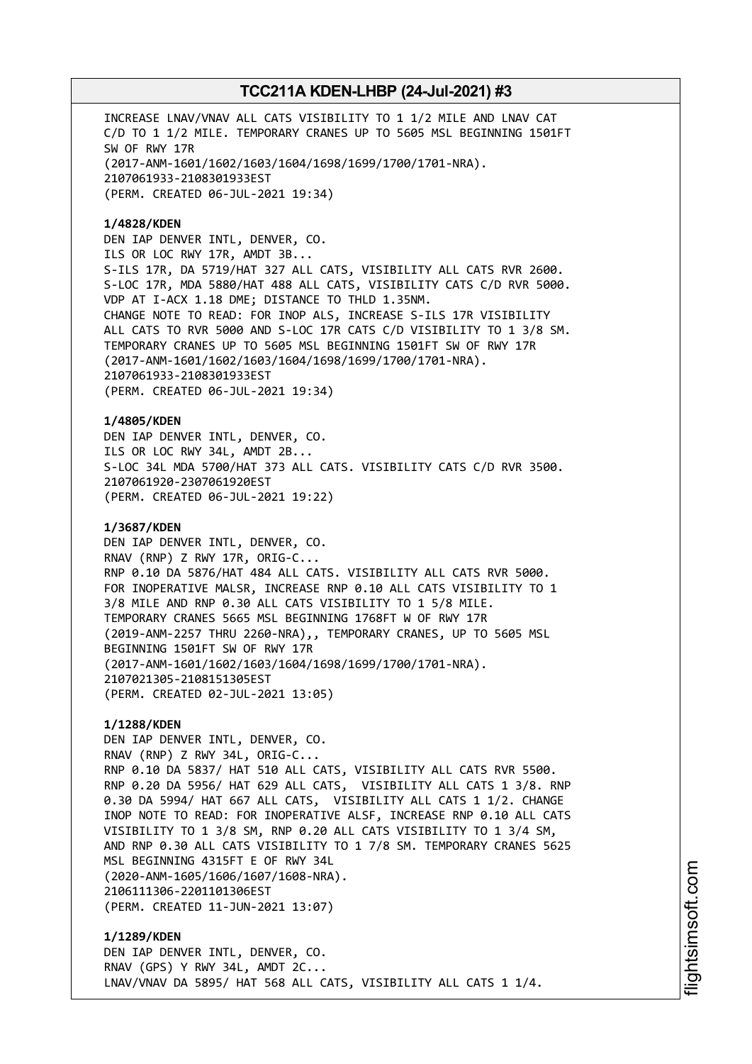INCREASE LNAV/VNAV ALL CATS VISIBILITY TO 1 1/2 MILE AND LNAV CAT C/D TO 1 1/2 MILE. TEMPORARY CRANES UP TO 5605 MSL BEGINNING 1501FT SW OF RWY 17R (2017-ANM-1601/1602/1603/1604/1698/1699/1700/1701-NRA). 2107061933-2108301933EST (PERM. CREATED 06-JUL-2021 19:34)

# **1/4828/KDEN**

DEN IAP DENVER INTL, DENVER, CO. ILS OR LOC RWY 17R, AMDT 3B... S-ILS 17R, DA 5719/HAT 327 ALL CATS, VISIBILITY ALL CATS RVR 2600. S-LOC 17R, MDA 5880/HAT 488 ALL CATS, VISIBILITY CATS C/D RVR 5000. VDP AT I-ACX 1.18 DME; DISTANCE TO THLD 1.35NM. CHANGE NOTE TO READ: FOR INOP ALS, INCREASE S-ILS 17R VISIBILITY ALL CATS TO RVR 5000 AND S-LOC 17R CATS C/D VISIBILITY TO 1 3/8 SM. TEMPORARY CRANES UP TO 5605 MSL BEGINNING 1501FT SW OF RWY 17R (2017-ANM-1601/1602/1603/1604/1698/1699/1700/1701-NRA). 2107061933-2108301933EST (PERM. CREATED 06-JUL-2021 19:34)

**1/4805/KDEN** DEN IAP DENVER INTL, DENVER, CO. ILS OR LOC RWY 34L, AMDT 2B... S-LOC 34L MDA 5700/HAT 373 ALL CATS. VISIBILITY CATS C/D RVR 3500. 2107061920-2307061920EST (PERM. CREATED 06-JUL-2021 19:22)

### **1/3687/KDEN**

DEN IAP DENVER INTL, DENVER, CO. RNAV (RNP) Z RWY 17R, ORIG-C... RNP 0.10 DA 5876/HAT 484 ALL CATS. VISIBILITY ALL CATS RVR 5000. FOR INOPERATIVE MALSR, INCREASE RNP 0.10 ALL CATS VISIBILITY TO 1 3/8 MILE AND RNP 0.30 ALL CATS VISIBILITY TO 1 5/8 MILE. TEMPORARY CRANES 5665 MSL BEGINNING 1768FT W OF RWY 17R (2019-ANM-2257 THRU 2260-NRA),, TEMPORARY CRANES, UP TO 5605 MSL BEGINNING 1501FT SW OF RWY 17R (2017-ANM-1601/1602/1603/1604/1698/1699/1700/1701-NRA). 2107021305-2108151305EST (PERM. CREATED 02-JUL-2021 13:05)

# **1/1288/KDEN**

DEN IAP DENVER INTL, DENVER, CO. RNAV (RNP) Z RWY 34L, ORIG-C... RNP 0.10 DA 5837/ HAT 510 ALL CATS, VISIBILITY ALL CATS RVR 5500. RNP 0.20 DA 5956/ HAT 629 ALL CATS, VISIBILITY ALL CATS 1 3/8. RNP 0.30 DA 5994/ HAT 667 ALL CATS, VISIBILITY ALL CATS 1 1/2. CHANGE INOP NOTE TO READ: FOR INOPERATIVE ALSF, INCREASE RNP 0.10 ALL CATS VISIBILITY TO 1 3/8 SM, RNP 0.20 ALL CATS VISIBILITY TO 1 3/4 SM, AND RNP 0.30 ALL CATS VISIBILITY TO 1 7/8 SM. TEMPORARY CRANES 5625 MSL BEGINNING 4315FT E OF RWY 34L (2020-ANM-1605/1606/1607/1608-NRA). 2106111306-2201101306EST (PERM. CREATED 11-JUN-2021 13:07)

**1/1289/KDEN** DEN IAP DENVER INTL, DENVER, CO. RNAV (GPS) Y RWY 34L, AMDT 2C... LNAV/VNAV DA 5895/ HAT 568 ALL CATS, VISIBILITY ALL CATS 1 1/4. i⊒<br>⊫ htsim soft.c om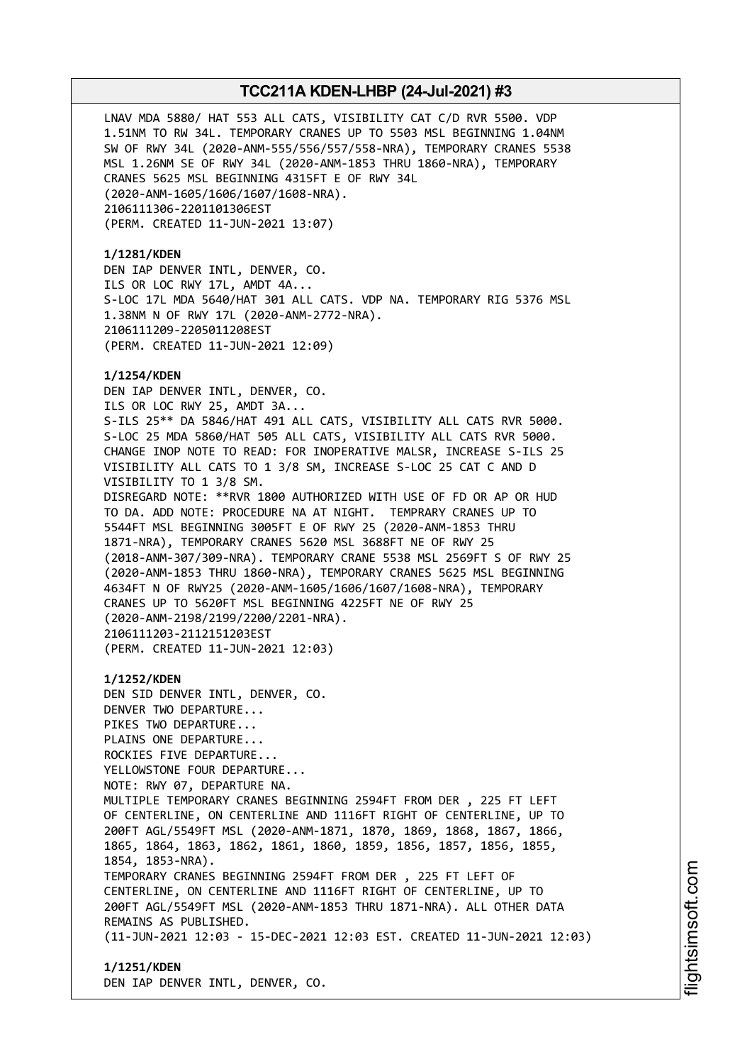LNAV MDA 5880/ HAT 553 ALL CATS, VISIBILITY CAT C/D RVR 5500. VDP 1.51NM TO RW 34L. TEMPORARY CRANES UP TO 5503 MSL BEGINNING 1.04NM SW OF RWY 34L (2020-ANM-555/556/557/558-NRA), TEMPORARY CRANES 5538 MSL 1.26NM SE OF RWY 34L (2020-ANM-1853 THRU 1860-NRA), TEMPORARY CRANES 5625 MSL BEGINNING 4315FT E OF RWY 34L (2020-ANM-1605/1606/1607/1608-NRA). 2106111306-2201101306EST (PERM. CREATED 11-JUN-2021 13:07)

### **1/1281/KDEN**

DEN IAP DENVER INTL, DENVER, CO. ILS OR LOC RWY 17L, AMDT 4A... S-LOC 17L MDA 5640/HAT 301 ALL CATS. VDP NA. TEMPORARY RIG 5376 MSL 1.38NM N OF RWY 17L (2020-ANM-2772-NRA). 2106111209-2205011208EST (PERM. CREATED 11-JUN-2021 12:09)

# **1/1254/KDEN**

DEN IAP DENVER INTL, DENVER, CO. ILS OR LOC RWY 25, AMDT 3A... S-ILS 25\*\* DA 5846/HAT 491 ALL CATS, VISIBILITY ALL CATS RVR 5000. S-LOC 25 MDA 5860/HAT 505 ALL CATS, VISIBILITY ALL CATS RVR 5000. CHANGE INOP NOTE TO READ: FOR INOPERATIVE MALSR, INCREASE S-ILS 25 VISIBILITY ALL CATS TO 1 3/8 SM, INCREASE S-LOC 25 CAT C AND D VISIBILITY TO 1 3/8 SM. DISREGARD NOTE: \*\*RVR 1800 AUTHORIZED WITH USE OF FD OR AP OR HUD TO DA. ADD NOTE: PROCEDURE NA AT NIGHT. TEMPRARY CRANES UP TO 5544FT MSL BEGINNING 3005FT E OF RWY 25 (2020-ANM-1853 THRU 1871-NRA), TEMPORARY CRANES 5620 MSL 3688FT NE OF RWY 25 (2018-ANM-307/309-NRA). TEMPORARY CRANE 5538 MSL 2569FT S OF RWY 25 (2020-ANM-1853 THRU 1860-NRA), TEMPORARY CRANES 5625 MSL BEGINNING 4634FT N OF RWY25 (2020-ANM-1605/1606/1607/1608-NRA), TEMPORARY CRANES UP TO 5620FT MSL BEGINNING 4225FT NE OF RWY 25 (2020-ANM-2198/2199/2200/2201-NRA). 2106111203-2112151203EST (PERM. CREATED 11-JUN-2021 12:03)

**1/1252/KDEN** DEN SID DENVER INTL, DENVER, CO. DENVER TWO DEPARTURE... PIKES TWO DEPARTURE... PLAINS ONE DEPARTURE... ROCKIES FIVE DEPARTURE... YELLOWSTONE FOUR DEPARTURE... NOTE: RWY 07, DEPARTURE NA. MULTIPLE TEMPORARY CRANES BEGINNING 2594FT FROM DER , 225 FT LEFT OF CENTERLINE, ON CENTERLINE AND 1116FT RIGHT OF CENTERLINE, UP TO 200FT AGL/5549FT MSL (2020-ANM-1871, 1870, 1869, 1868, 1867, 1866, 1865, 1864, 1863, 1862, 1861, 1860, 1859, 1856, 1857, 1856, 1855, 1854, 1853-NRA). TEMPORARY CRANES BEGINNING 2594FT FROM DER , 225 FT LEFT OF CENTERLINE, ON CENTERLINE AND 1116FT RIGHT OF CENTERLINE, UP TO 200FT AGL/5549FT MSL (2020-ANM-1853 THRU 1871-NRA). ALL OTHER DATA REMAINS AS PUBLISHED. (11-JUN-2021 12:03 - 15-DEC-2021 12:03 EST. CREATED 11-JUN-2021 12:03)

**1/1251/KDEN** DEN IAP DENVER INTL, DENVER, CO.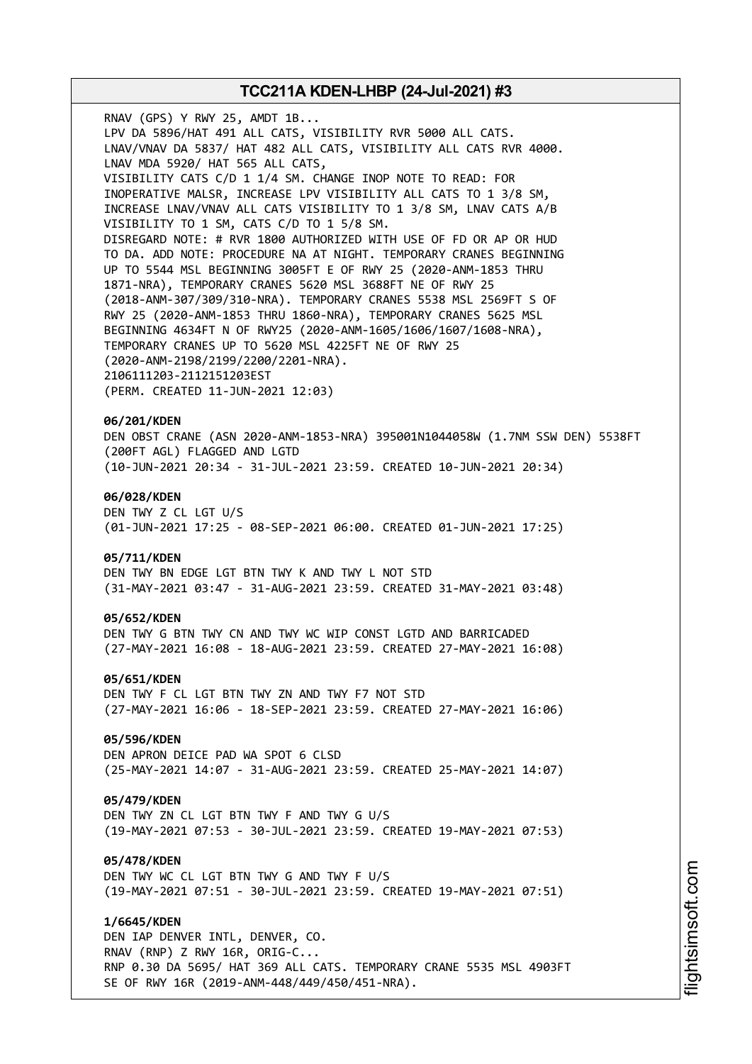RNAV (GPS) Y RWY 25, AMDT 1B... LPV DA 5896/HAT 491 ALL CATS, VISIBILITY RVR 5000 ALL CATS. LNAV/VNAV DA 5837/ HAT 482 ALL CATS, VISIBILITY ALL CATS RVR 4000. LNAV MDA 5920/ HAT 565 ALL CATS, VISIBILITY CATS C/D 1 1/4 SM. CHANGE INOP NOTE TO READ: FOR INOPERATIVE MALSR, INCREASE LPV VISIBILITY ALL CATS TO 1 3/8 SM, INCREASE LNAV/VNAV ALL CATS VISIBILITY TO 1 3/8 SM, LNAV CATS A/B VISIBILITY TO 1 SM, CATS C/D TO 1 5/8 SM. DISREGARD NOTE: # RVR 1800 AUTHORIZED WITH USE OF FD OR AP OR HUD TO DA. ADD NOTE: PROCEDURE NA AT NIGHT. TEMPORARY CRANES BEGINNING UP TO 5544 MSL BEGINNING 3005FT E OF RWY 25 (2020-ANM-1853 THRU 1871-NRA), TEMPORARY CRANES 5620 MSL 3688FT NE OF RWY 25 (2018-ANM-307/309/310-NRA). TEMPORARY CRANES 5538 MSL 2569FT S OF RWY 25 (2020-ANM-1853 THRU 1860-NRA), TEMPORARY CRANES 5625 MSL BEGINNING 4634FT N OF RWY25 (2020-ANM-1605/1606/1607/1608-NRA), TEMPORARY CRANES UP TO 5620 MSL 4225FT NE OF RWY 25 (2020-ANM-2198/2199/2200/2201-NRA). 2106111203-2112151203EST (PERM. CREATED 11-JUN-2021 12:03) **06/201/KDEN** DEN OBST CRANE (ASN 2020-ANM-1853-NRA) 395001N1044058W (1.7NM SSW DEN) 5538FT (200FT AGL) FLAGGED AND LGTD

(10-JUN-2021 20:34 - 31-JUL-2021 23:59. CREATED 10-JUN-2021 20:34)

#### **06/028/KDEN**

DEN TWY Z CL LGT U/S (01-JUN-2021 17:25 - 08-SEP-2021 06:00. CREATED 01-JUN-2021 17:25)

#### **05/711/KDEN**

DEN TWY BN EDGE LGT BTN TWY K AND TWY L NOT STD (31-MAY-2021 03:47 - 31-AUG-2021 23:59. CREATED 31-MAY-2021 03:48)

### **05/652/KDEN**

DEN TWY G BTN TWY CN AND TWY WC WIP CONST LGTD AND BARRICADED (27-MAY-2021 16:08 - 18-AUG-2021 23:59. CREATED 27-MAY-2021 16:08)

#### **05/651/KDEN**

DEN TWY F CL LGT BTN TWY ZN AND TWY F7 NOT STD (27-MAY-2021 16:06 - 18-SEP-2021 23:59. CREATED 27-MAY-2021 16:06)

# **05/596/KDEN**

DEN APRON DEICE PAD WA SPOT 6 CLSD (25-MAY-2021 14:07 - 31-AUG-2021 23:59. CREATED 25-MAY-2021 14:07)

#### **05/479/KDEN**

DEN TWY ZN CL LGT BTN TWY F AND TWY G U/S (19-MAY-2021 07:53 - 30-JUL-2021 23:59. CREATED 19-MAY-2021 07:53)

#### **05/478/KDEN**

DEN TWY WC CL LGT BTN TWY G AND TWY F U/S (19-MAY-2021 07:51 - 30-JUL-2021 23:59. CREATED 19-MAY-2021 07:51)

#### **1/6645/KDEN**

DEN IAP DENVER INTL, DENVER, CO. RNAV (RNP) Z RWY 16R, ORIG-C... RNP 0.30 DA 5695/ HAT 369 ALL CATS. TEMPORARY CRANE 5535 MSL 4903FT SE OF RWY 16R (2019-ANM-448/449/450/451-NRA).

i⊒<br>⊫ htsim soft.c om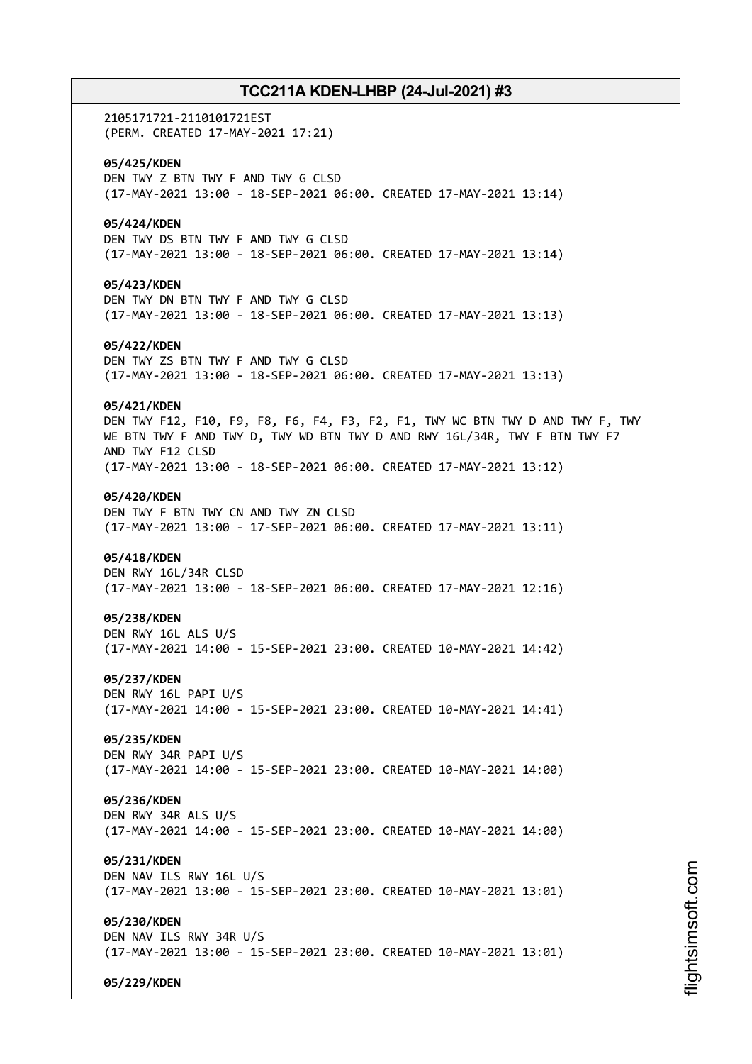2105171721-2110101721EST (PERM. CREATED 17-MAY-2021 17:21) **05/425/KDEN** DEN TWY Z BTN TWY F AND TWY G CLSD (17-MAY-2021 13:00 - 18-SEP-2021 06:00. CREATED 17-MAY-2021 13:14) **05/424/KDEN** DEN TWY DS BTN TWY F AND TWY G CLSD (17-MAY-2021 13:00 - 18-SEP-2021 06:00. CREATED 17-MAY-2021 13:14) **05/423/KDEN** DEN TWY DN BTN TWY F AND TWY G CLSD (17-MAY-2021 13:00 - 18-SEP-2021 06:00. CREATED 17-MAY-2021 13:13) **05/422/KDEN** DEN TWY ZS BTN TWY F AND TWY G CLSD (17-MAY-2021 13:00 - 18-SEP-2021 06:00. CREATED 17-MAY-2021 13:13) **05/421/KDEN** DEN TWY F12, F10, F9, F8, F6, F4, F3, F2, F1, TWY WC BTN TWY D AND TWY F, TWY WE BTN TWY F AND TWY D, TWY WD BTN TWY D AND RWY 16L/34R, TWY F BTN TWY F7 AND TWY F12 CLSD (17-MAY-2021 13:00 - 18-SEP-2021 06:00. CREATED 17-MAY-2021 13:12) **05/420/KDEN** DEN TWY F BTN TWY CN AND TWY ZN CLSD (17-MAY-2021 13:00 - 17-SEP-2021 06:00. CREATED 17-MAY-2021 13:11) **05/418/KDEN** DEN RWY 16L/34R CLSD (17-MAY-2021 13:00 - 18-SEP-2021 06:00. CREATED 17-MAY-2021 12:16) **05/238/KDEN** DEN RWY 16L ALS U/S (17-MAY-2021 14:00 - 15-SEP-2021 23:00. CREATED 10-MAY-2021 14:42) **05/237/KDEN** DEN RWY 16L PAPI U/S (17-MAY-2021 14:00 - 15-SEP-2021 23:00. CREATED 10-MAY-2021 14:41) **05/235/KDEN** DEN RWY 34R PAPI U/S (17-MAY-2021 14:00 - 15-SEP-2021 23:00. CREATED 10-MAY-2021 14:00) **05/236/KDEN** DEN RWY 34R ALS U/S (17-MAY-2021 14:00 - 15-SEP-2021 23:00. CREATED 10-MAY-2021 14:00) **05/231/KDEN** DEN NAV ILS RWY 16L U/S (17-MAY-2021 13:00 - 15-SEP-2021 23:00. CREATED 10-MAY-2021 13:01) **05/230/KDEN** DEN NAV ILS RWY 34R U/S (17-MAY-2021 13:00 - 15-SEP-2021 23:00. CREATED 10-MAY-2021 13:01) **05/229/KDEN**

m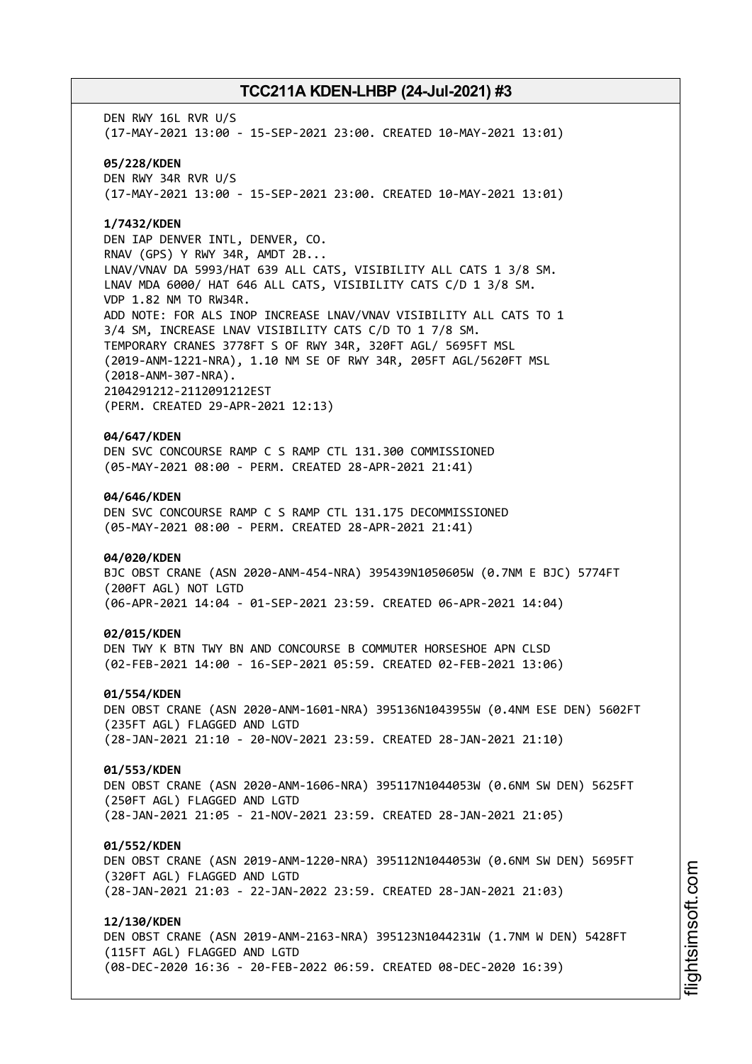DEN RWY 16L RVR U/S (17-MAY-2021 13:00 - 15-SEP-2021 23:00. CREATED 10-MAY-2021 13:01) **05/228/KDEN** DEN RWY 34R RVR U/S (17-MAY-2021 13:00 - 15-SEP-2021 23:00. CREATED 10-MAY-2021 13:01)

# **1/7432/KDEN**

DEN IAP DENVER INTL, DENVER, CO. RNAV (GPS) Y RWY 34R, AMDT 2B... LNAV/VNAV DA 5993/HAT 639 ALL CATS, VISIBILITY ALL CATS 1 3/8 SM. LNAV MDA 6000/ HAT 646 ALL CATS, VISIBILITY CATS C/D 1 3/8 SM. VDP 1.82 NM TO RW34R. ADD NOTE: FOR ALS INOP INCREASE LNAV/VNAV VISIBILITY ALL CATS TO 1 3/4 SM, INCREASE LNAV VISIBILITY CATS C/D TO 1 7/8 SM. TEMPORARY CRANES 3778FT S OF RWY 34R, 320FT AGL/ 5695FT MSL (2019-ANM-1221-NRA), 1.10 NM SE OF RWY 34R, 205FT AGL/5620FT MSL (2018-ANM-307-NRA). 2104291212-2112091212EST (PERM. CREATED 29-APR-2021 12:13)

# **04/647/KDEN**

DEN SVC CONCOURSE RAMP C S RAMP CTL 131.300 COMMISSIONED (05-MAY-2021 08:00 - PERM. CREATED 28-APR-2021 21:41)

#### **04/646/KDEN**

DEN SVC CONCOURSE RAMP C S RAMP CTL 131.175 DECOMMISSIONED (05-MAY-2021 08:00 - PERM. CREATED 28-APR-2021 21:41)

#### **04/020/KDEN**

BJC OBST CRANE (ASN 2020-ANM-454-NRA) 395439N1050605W (0.7NM E BJC) 5774FT (200FT AGL) NOT LGTD (06-APR-2021 14:04 - 01-SEP-2021 23:59. CREATED 06-APR-2021 14:04)

#### **02/015/KDEN**

DEN TWY K BTN TWY BN AND CONCOURSE B COMMUTER HORSESHOE APN CLSD (02-FEB-2021 14:00 - 16-SEP-2021 05:59. CREATED 02-FEB-2021 13:06)

#### **01/554/KDEN**

DEN OBST CRANE (ASN 2020-ANM-1601-NRA) 395136N1043955W (0.4NM ESE DEN) 5602FT (235FT AGL) FLAGGED AND LGTD (28-JAN-2021 21:10 - 20-NOV-2021 23:59. CREATED 28-JAN-2021 21:10)

# **01/553/KDEN**

DEN OBST CRANE (ASN 2020-ANM-1606-NRA) 395117N1044053W (0.6NM SW DEN) 5625FT (250FT AGL) FLAGGED AND LGTD (28-JAN-2021 21:05 - 21-NOV-2021 23:59. CREATED 28-JAN-2021 21:05)

#### **01/552/KDEN**

DEN OBST CRANE (ASN 2019-ANM-1220-NRA) 395112N1044053W (0.6NM SW DEN) 5695FT (320FT AGL) FLAGGED AND LGTD (28-JAN-2021 21:03 - 22-JAN-2022 23:59. CREATED 28-JAN-2021 21:03)

#### **12/130/KDEN**

DEN OBST CRANE (ASN 2019-ANM-2163-NRA) 395123N1044231W (1.7NM W DEN) 5428FT (115FT AGL) FLAGGED AND LGTD (08-DEC-2020 16:36 - 20-FEB-2022 06:59. CREATED 08-DEC-2020 16:39)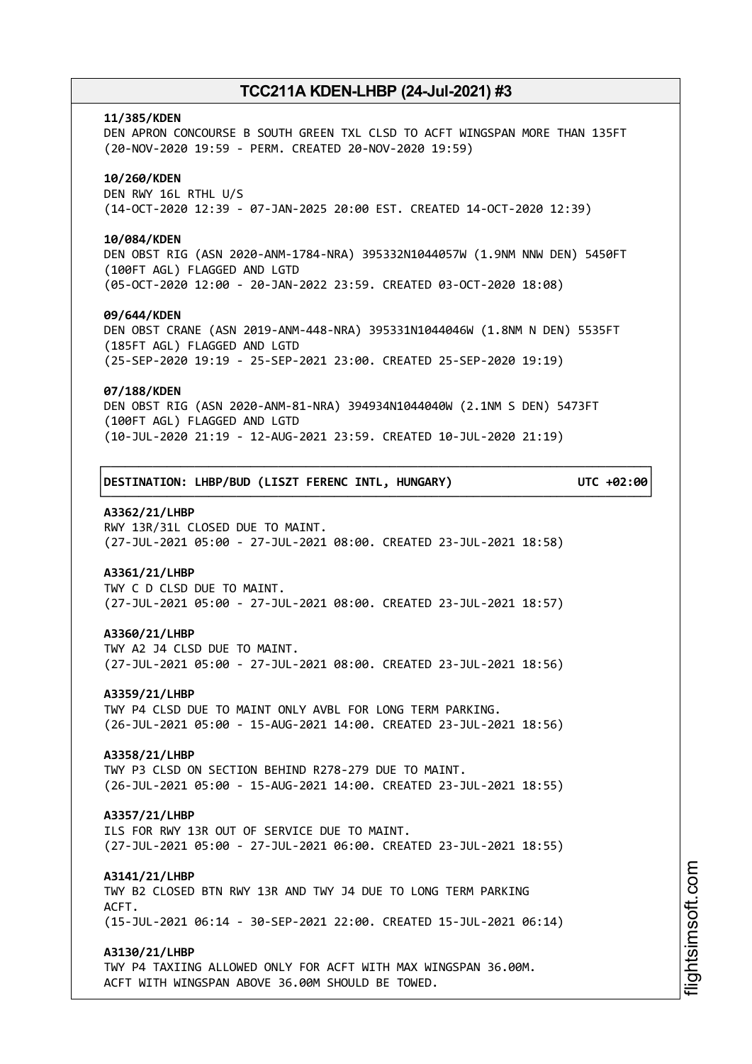#### **11/385/KDEN**

DEN APRON CONCOURSE B SOUTH GREEN TXL CLSD TO ACFT WINGSPAN MORE THAN 135FT (20-NOV-2020 19:59 - PERM. CREATED 20-NOV-2020 19:59)

### **10/260/KDEN**

DEN RWY 16L RTHL U/S (14-OCT-2020 12:39 - 07-JAN-2025 20:00 EST. CREATED 14-OCT-2020 12:39)

#### **10/084/KDEN**

DEN OBST RIG (ASN 2020-ANM-1784-NRA) 395332N1044057W (1.9NM NNW DEN) 5450FT (100FT AGL) FLAGGED AND LGTD (05-OCT-2020 12:00 - 20-JAN-2022 23:59. CREATED 03-OCT-2020 18:08)

#### **09/644/KDEN**

DEN OBST CRANE (ASN 2019-ANM-448-NRA) 395331N1044046W (1.8NM N DEN) 5535FT (185FT AGL) FLAGGED AND LGTD (25-SEP-2020 19:19 - 25-SEP-2021 23:00. CREATED 25-SEP-2020 19:19)

#### **07/188/KDEN**

DEN OBST RIG (ASN 2020-ANM-81-NRA) 394934N1044040W (2.1NM S DEN) 5473FT (100FT AGL) FLAGGED AND LGTD (10-JUL-2020 21:19 - 12-AUG-2021 23:59. CREATED 10-JUL-2020 21:19)

┌──────────────────────────────────────────────────────────────────────────────┐

└──────────────────────────────────────────────────────────────────────────────┘

│**DESTINATION: LHBP/BUD (LISZT FERENC INTL, HUNGARY) UTC +02:00**│

### **A3362/21/LHBP**

RWY 13R/31L CLOSED DUE TO MAINT. (27-JUL-2021 05:00 - 27-JUL-2021 08:00. CREATED 23-JUL-2021 18:58)

# **A3361/21/LHBP**

TWY C D CLSD DUE TO MAINT. (27-JUL-2021 05:00 - 27-JUL-2021 08:00. CREATED 23-JUL-2021 18:57)

#### **A3360/21/LHBP**

TWY A2 J4 CLSD DUE TO MAINT. (27-JUL-2021 05:00 - 27-JUL-2021 08:00. CREATED 23-JUL-2021 18:56)

#### **A3359/21/LHBP**

TWY P4 CLSD DUE TO MAINT ONLY AVBL FOR LONG TERM PARKING. (26-JUL-2021 05:00 - 15-AUG-2021 14:00. CREATED 23-JUL-2021 18:56)

#### **A3358/21/LHBP**

TWY P3 CLSD ON SECTION BEHIND R278-279 DUE TO MAINT. (26-JUL-2021 05:00 - 15-AUG-2021 14:00. CREATED 23-JUL-2021 18:55)

#### **A3357/21/LHBP**

ILS FOR RWY 13R OUT OF SERVICE DUE TO MAINT. (27-JUL-2021 05:00 - 27-JUL-2021 06:00. CREATED 23-JUL-2021 18:55)

#### **A3141/21/LHBP**

TWY B2 CLOSED BTN RWY 13R AND TWY J4 DUE TO LONG TERM PARKING ACFT. (15-JUL-2021 06:14 - 30-SEP-2021 22:00. CREATED 15-JUL-2021 06:14)

#### **A3130/21/LHBP**

TWY P4 TAXIING ALLOWED ONLY FOR ACFT WITH MAX WINGSPAN 36.00M. ACFT WITH WINGSPAN ABOVE 36.00M SHOULD BE TOWED.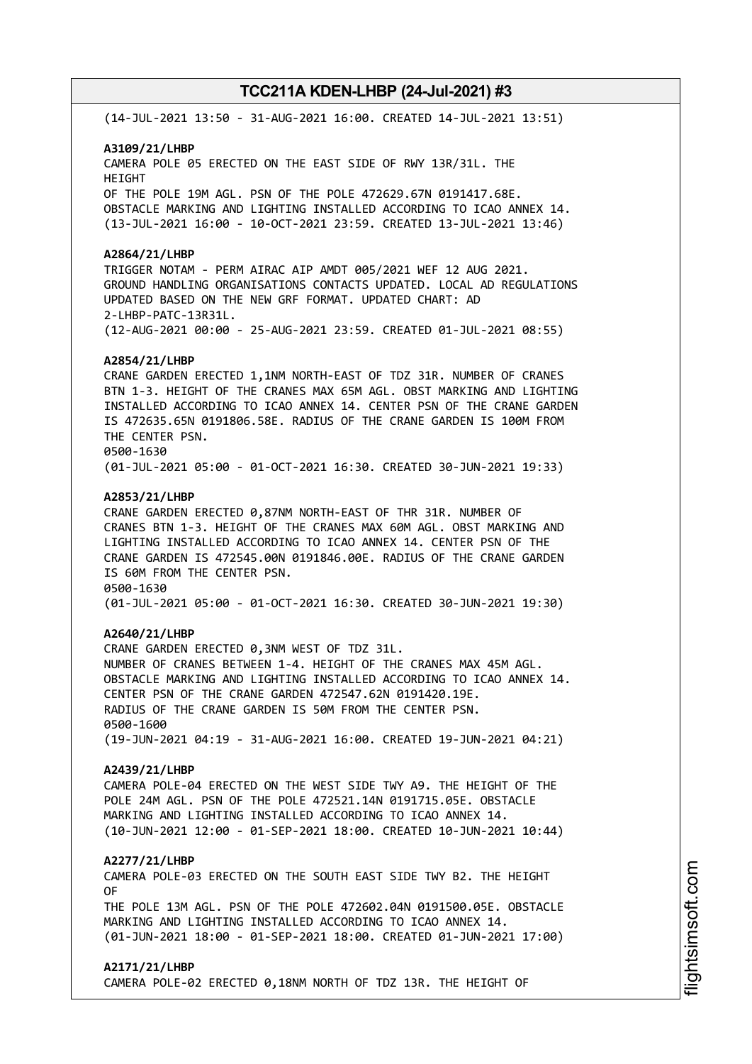(14-JUL-2021 13:50 - 31-AUG-2021 16:00. CREATED 14-JUL-2021 13:51)

### **A3109/21/LHBP**

CAMERA POLE 05 ERECTED ON THE EAST SIDE OF RWY 13R/31L. THE HEIGHT OF THE POLE 19M AGL. PSN OF THE POLE 472629.67N 0191417.68E. OBSTACLE MARKING AND LIGHTING INSTALLED ACCORDING TO ICAO ANNEX 14. (13-JUL-2021 16:00 - 10-OCT-2021 23:59. CREATED 13-JUL-2021 13:46)

### **A2864/21/LHBP**

TRIGGER NOTAM - PERM AIRAC AIP AMDT 005/2021 WEF 12 AUG 2021. GROUND HANDLING ORGANISATIONS CONTACTS UPDATED. LOCAL AD REGULATIONS UPDATED BASED ON THE NEW GRF FORMAT. UPDATED CHART: AD 2-LHBP-PATC-13R31L. (12-AUG-2021 00:00 - 25-AUG-2021 23:59. CREATED 01-JUL-2021 08:55)

### **A2854/21/LHBP**

CRANE GARDEN ERECTED 1,1NM NORTH-EAST OF TDZ 31R. NUMBER OF CRANES BTN 1-3. HEIGHT OF THE CRANES MAX 65M AGL. OBST MARKING AND LIGHTING INSTALLED ACCORDING TO ICAO ANNEX 14. CENTER PSN OF THE CRANE GARDEN IS 472635.65N 0191806.58E. RADIUS OF THE CRANE GARDEN IS 100M FROM THE CENTER PSN. 0500-1630 (01-JUL-2021 05:00 - 01-OCT-2021 16:30. CREATED 30-JUN-2021 19:33)

**A2853/21/LHBP** CRANE GARDEN ERECTED 0,87NM NORTH-EAST OF THR 31R. NUMBER OF CRANES BTN 1-3. HEIGHT OF THE CRANES MAX 60M AGL. OBST MARKING AND LIGHTING INSTALLED ACCORDING TO ICAO ANNEX 14. CENTER PSN OF THE CRANE GARDEN IS 472545.00N 0191846.00E. RADIUS OF THE CRANE GARDEN IS 60M FROM THE CENTER PSN. 0500-1630 (01-JUL-2021 05:00 - 01-OCT-2021 16:30. CREATED 30-JUN-2021 19:30)

#### **A2640/21/LHBP**

CRANE GARDEN ERECTED 0,3NM WEST OF TDZ 31L. NUMBER OF CRANES BETWEEN 1-4. HEIGHT OF THE CRANES MAX 45M AGL. OBSTACLE MARKING AND LIGHTING INSTALLED ACCORDING TO ICAO ANNEX 14. CENTER PSN OF THE CRANE GARDEN 472547.62N 0191420.19E. RADIUS OF THE CRANE GARDEN IS 50M FROM THE CENTER PSN. 0500-1600 (19-JUN-2021 04:19 - 31-AUG-2021 16:00. CREATED 19-JUN-2021 04:21)

# **A2439/21/LHBP**

CAMERA POLE-04 ERECTED ON THE WEST SIDE TWY A9. THE HEIGHT OF THE POLE 24M AGL. PSN OF THE POLE 472521.14N 0191715.05E. OBSTACLE MARKING AND LIGHTING INSTALLED ACCORDING TO ICAO ANNEX 14. (10-JUN-2021 12:00 - 01-SEP-2021 18:00. CREATED 10-JUN-2021 10:44)

#### **A2277/21/LHBP**

CAMERA POLE-03 ERECTED ON THE SOUTH EAST SIDE TWY B2. THE HEIGHT OF

THE POLE 13M AGL. PSN OF THE POLE 472602.04N 0191500.05E. OBSTACLE MARKING AND LIGHTING INSTALLED ACCORDING TO ICAO ANNEX 14. (01-JUN-2021 18:00 - 01-SEP-2021 18:00. CREATED 01-JUN-2021 17:00)

# **A2171/21/LHBP**

CAMERA POLE-02 ERECTED 0,18NM NORTH OF TDZ 13R. THE HEIGHT OF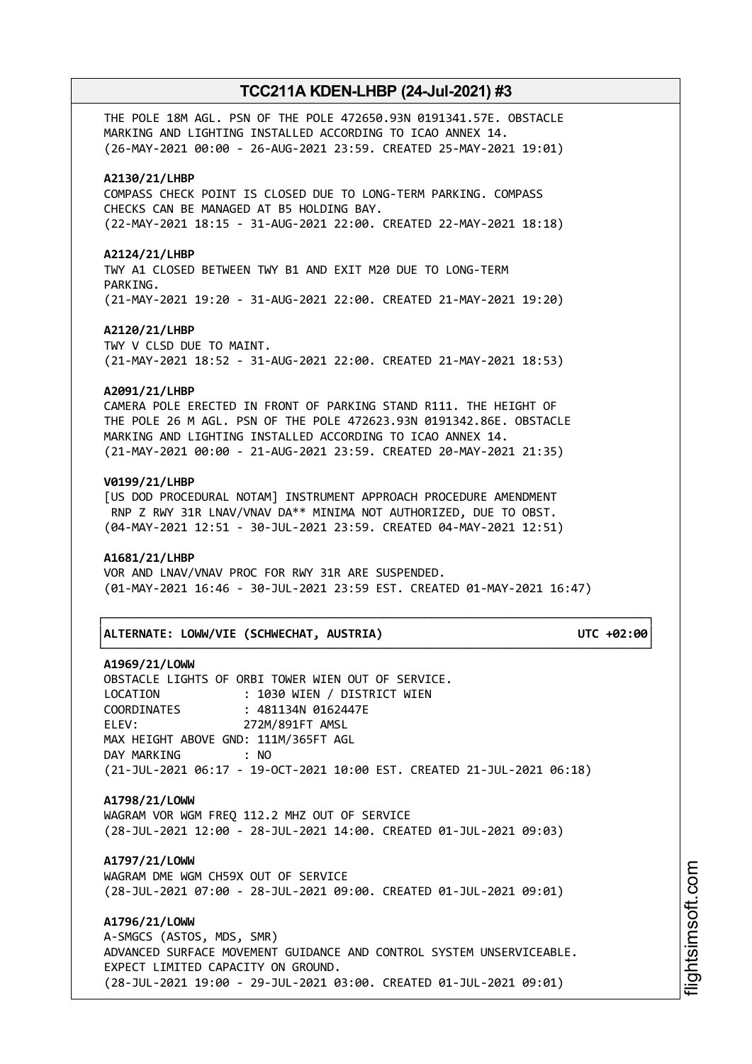THE POLE 18M AGL. PSN OF THE POLE 472650.93N 0191341.57E. OBSTACLE MARKING AND LIGHTING INSTALLED ACCORDING TO ICAO ANNEX 14. (26-MAY-2021 00:00 - 26-AUG-2021 23:59. CREATED 25-MAY-2021 19:01)

#### **A2130/21/LHBP**

COMPASS CHECK POINT IS CLOSED DUE TO LONG-TERM PARKING. COMPASS CHECKS CAN BE MANAGED AT B5 HOLDING BAY. (22-MAY-2021 18:15 - 31-AUG-2021 22:00. CREATED 22-MAY-2021 18:18)

#### **A2124/21/LHBP**

TWY A1 CLOSED BETWEEN TWY B1 AND EXIT M20 DUE TO LONG-TERM PARKING. (21-MAY-2021 19:20 - 31-AUG-2021 22:00. CREATED 21-MAY-2021 19:20)

#### **A2120/21/LHBP**

TWY V CLSD DUE TO MAINT. (21-MAY-2021 18:52 - 31-AUG-2021 22:00. CREATED 21-MAY-2021 18:53)

#### **A2091/21/LHBP**

CAMERA POLE ERECTED IN FRONT OF PARKING STAND R111. THE HEIGHT OF THE POLE 26 M AGL. PSN OF THE POLE 472623.93N 0191342.86E. OBSTACLE MARKING AND LIGHTING INSTALLED ACCORDING TO ICAO ANNEX 14. (21-MAY-2021 00:00 - 21-AUG-2021 23:59. CREATED 20-MAY-2021 21:35)

### **V0199/21/LHBP**

[US DOD PROCEDURAL NOTAM] INSTRUMENT APPROACH PROCEDURE AMENDMENT RNP Z RWY 31R LNAV/VNAV DA\*\* MINIMA NOT AUTHORIZED, DUE TO OBST. (04-MAY-2021 12:51 - 30-JUL-2021 23:59. CREATED 04-MAY-2021 12:51)

#### **A1681/21/LHBP**

VOR AND LNAV/VNAV PROC FOR RWY 31R ARE SUSPENDED. (01-MAY-2021 16:46 - 30-JUL-2021 23:59 EST. CREATED 01-MAY-2021 16:47)

└──────────────────────────────────────────────────────────────────────────────┘

#### │**ALTERNATE: LOWW/VIE (SCHWECHAT, AUSTRIA) UTC +02:00**│

┌──────────────────────────────────────────────────────────────────────────────┐

# **A1969/21/LOWW**

OBSTACLE LIGHTS OF ORBI TOWER WIEN OUT OF SERVICE. LOCATION : 1030 WIEN / DISTRICT WIEN COORDINATES : 481134N 0162447E ELEV: 272M/891FT AMSL MAX HEIGHT ABOVE GND: 111M/365FT AGL DAY MARKING : NO (21-JUL-2021 06:17 - 19-OCT-2021 10:00 EST. CREATED 21-JUL-2021 06:18)

# **A1798/21/LOWW**

WAGRAM VOR WGM FREQ 112.2 MHZ OUT OF SERVICE (28-JUL-2021 12:00 - 28-JUL-2021 14:00. CREATED 01-JUL-2021 09:03)

# **A1797/21/LOWW**

WAGRAM DME WGM CH59X OUT OF SERVICE (28-JUL-2021 07:00 - 28-JUL-2021 09:00. CREATED 01-JUL-2021 09:01)

**A1796/21/LOWW**

A-SMGCS (ASTOS, MDS, SMR) ADVANCED SURFACE MOVEMENT GUIDANCE AND CONTROL SYSTEM UNSERVICEABLE. EXPECT LIMITED CAPACITY ON GROUND. (28-JUL-2021 19:00 - 29-JUL-2021 03:00. CREATED 01-JUL-2021 09:01)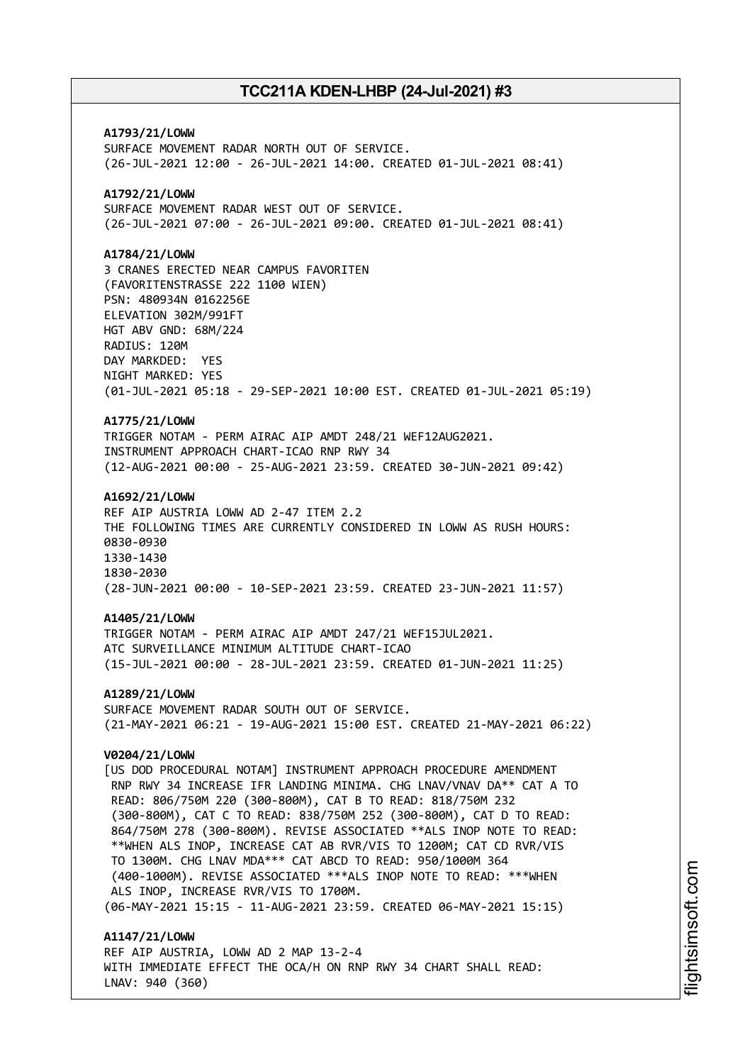**A1793/21/LOWW** SURFACE MOVEMENT RADAR NORTH OUT OF SERVICE. (26-JUL-2021 12:00 - 26-JUL-2021 14:00. CREATED 01-JUL-2021 08:41) **A1792/21/LOWW** SURFACE MOVEMENT RADAR WEST OUT OF SERVICE. (26-JUL-2021 07:00 - 26-JUL-2021 09:00. CREATED 01-JUL-2021 08:41) **A1784/21/LOWW** 3 CRANES ERECTED NEAR CAMPUS FAVORITEN (FAVORITENSTRASSE 222 1100 WIEN) PSN: 480934N 0162256E ELEVATION 302M/991FT HGT ABV GND: 68M/224 RADIUS: 120M DAY MARKDED: YES NIGHT MARKED: YES (01-JUL-2021 05:18 - 29-SEP-2021 10:00 EST. CREATED 01-JUL-2021 05:19) **A1775/21/LOWW** TRIGGER NOTAM - PERM AIRAC AIP AMDT 248/21 WEF12AUG2021. INSTRUMENT APPROACH CHART-ICAO RNP RWY 34 (12-AUG-2021 00:00 - 25-AUG-2021 23:59. CREATED 30-JUN-2021 09:42) **A1692/21/LOWW** REF AIP AUSTRIA LOWW AD 2-47 ITEM 2.2 THE FOLLOWING TIMES ARE CURRENTLY CONSIDERED IN LOWW AS RUSH HOURS: 0830-0930 1330-1430 1830-2030 (28-JUN-2021 00:00 - 10-SEP-2021 23:59. CREATED 23-JUN-2021 11:57) **A1405/21/LOWW** TRIGGER NOTAM - PERM AIRAC AIP AMDT 247/21 WEF15JUL2021. ATC SURVEILLANCE MINIMUM ALTITUDE CHART-ICAO (15-JUL-2021 00:00 - 28-JUL-2021 23:59. CREATED 01-JUN-2021 11:25) **A1289/21/LOWW** SURFACE MOVEMENT RADAR SOUTH OUT OF SERVICE. (21-MAY-2021 06:21 - 19-AUG-2021 15:00 EST. CREATED 21-MAY-2021 06:22) **V0204/21/LOWW** [US DOD PROCEDURAL NOTAM] INSTRUMENT APPROACH PROCEDURE AMENDMENT RNP RWY 34 INCREASE IFR LANDING MINIMA. CHG LNAV/VNAV DA\*\* CAT A TO READ: 806/750M 220 (300-800M), CAT B TO READ: 818/750M 232 (300-800M), CAT C TO READ: 838/750M 252 (300-800M), CAT D TO READ: 864/750M 278 (300-800M). REVISE ASSOCIATED \*\*ALS INOP NOTE TO READ: \*\*WHEN ALS INOP, INCREASE CAT AB RVR/VIS TO 1200M; CAT CD RVR/VIS TO 1300M. CHG LNAV MDA\*\*\* CAT ABCD TO READ: 950/1000M 364 (400-1000M). REVISE ASSOCIATED \*\*\*ALS INOP NOTE TO READ: \*\*\*WHEN ALS INOP, INCREASE RVR/VIS TO 1700M. (06-MAY-2021 15:15 - 11-AUG-2021 23:59. CREATED 06-MAY-2021 15:15) **A1147/21/LOWW** REF AIP AUSTRIA, LOWW AD 2 MAP 13-2-4

WITH IMMEDIATE EFFECT THE OCA/H ON RNP RWY 34 CHART SHALL READ: LNAV: 940 (360)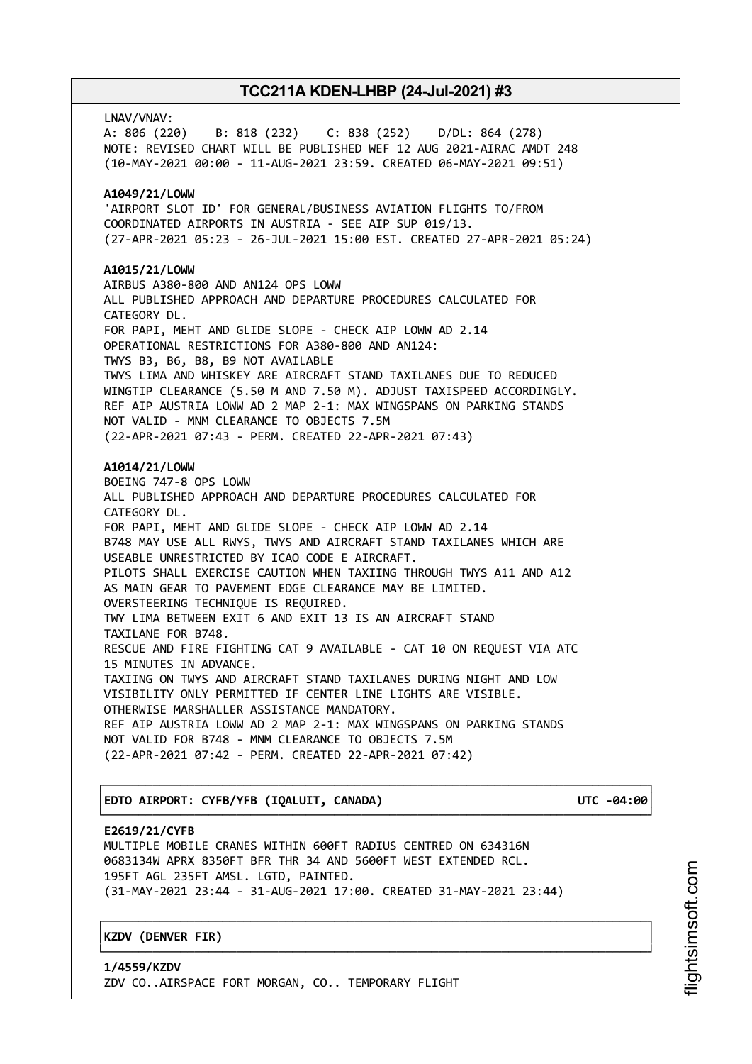LNAV/VNAV: A: 806 (220) B: 818 (232) C: 838 (252) D/DL: 864 (278) NOTE: REVISED CHART WILL BE PUBLISHED WEF 12 AUG 2021-AIRAC AMDT 248 (10-MAY-2021 00:00 - 11-AUG-2021 23:59. CREATED 06-MAY-2021 09:51) **A1049/21/LOWW** 'AIRPORT SLOT ID' FOR GENERAL/BUSINESS AVIATION FLIGHTS TO/FROM COORDINATED AIRPORTS IN AUSTRIA - SEE AIP SUP 019/13. (27-APR-2021 05:23 - 26-JUL-2021 15:00 EST. CREATED 27-APR-2021 05:24) **A1015/21/LOWW** AIRBUS A380-800 AND AN124 OPS LOWW ALL PUBLISHED APPROACH AND DEPARTURE PROCEDURES CALCULATED FOR CATEGORY DL. FOR PAPI, MEHT AND GLIDE SLOPE - CHECK AIP LOWW AD 2.14 OPERATIONAL RESTRICTIONS FOR A380-800 AND AN124: TWYS B3, B6, B8, B9 NOT AVAILABLE TWYS LIMA AND WHISKEY ARE AIRCRAFT STAND TAXILANES DUE TO REDUCED WINGTIP CLEARANCE (5.50 M AND 7.50 M). ADJUST TAXISPEED ACCORDINGLY. REF AIP AUSTRIA LOWW AD 2 MAP 2-1: MAX WINGSPANS ON PARKING STANDS NOT VALID - MNM CLEARANCE TO OBJECTS 7.5M (22-APR-2021 07:43 - PERM. CREATED 22-APR-2021 07:43) **A1014/21/LOWW** BOEING 747-8 OPS LOWW ALL PUBLISHED APPROACH AND DEPARTURE PROCEDURES CALCULATED FOR CATEGORY DL. FOR PAPI, MEHT AND GLIDE SLOPE - CHECK AIP LOWW AD 2.14 B748 MAY USE ALL RWYS, TWYS AND AIRCRAFT STAND TAXILANES WHICH ARE USEABLE UNRESTRICTED BY ICAO CODE E AIRCRAFT. PILOTS SHALL EXERCISE CAUTION WHEN TAXIING THROUGH TWYS A11 AND A12 AS MAIN GEAR TO PAVEMENT EDGE CLEARANCE MAY BE LIMITED. OVERSTEERING TECHNIQUE IS REQUIRED. TWY LIMA BETWEEN EXIT 6 AND EXIT 13 IS AN AIRCRAFT STAND TAXILANE FOR B748. RESCUE AND FIRE FIGHTING CAT 9 AVAILABLE - CAT 10 ON REQUEST VIA ATC 15 MINUTES IN ADVANCE. TAXIING ON TWYS AND AIRCRAFT STAND TAXILANES DURING NIGHT AND LOW VISIBILITY ONLY PERMITTED IF CENTER LINE LIGHTS ARE VISIBLE. OTHERWISE MARSHALLER ASSISTANCE MANDATORY. REF AIP AUSTRIA LOWW AD 2 MAP 2-1: MAX WINGSPANS ON PARKING STANDS NOT VALID FOR B748 - MNM CLEARANCE TO OBJECTS 7.5M (22-APR-2021 07:42 - PERM. CREATED 22-APR-2021 07:42)

│**EDTO AIRPORT: CYFB/YFB (IQALUIT, CANADA) UTC -04:00**│

┌──────────────────────────────────────────────────────────────────────────────┐

# └──────────────────────────────────────────────────────────────────────────────┘ **E2619/21/CYFB**

MULTIPLE MOBILE CRANES WITHIN 600FT RADIUS CENTRED ON 634316N 0683134W APRX 8350FT BFR THR 34 AND 5600FT WEST EXTENDED RCL. 195FT AGL 235FT AMSL. LGTD, PAINTED. (31-MAY-2021 23:44 - 31-AUG-2021 17:00. CREATED 31-MAY-2021 23:44)

┌──────────────────────────────────────────────────────────────────────────────┐

└──────────────────────────────────────────────────────────────────────────────┘

│**KZDV (DENVER FIR)** │

**1/4559/KZDV** ZDV CO..AIRSPACE FORT MORGAN, CO.. TEMPORARY FLIGHT i⊒<br>⊫ htsim soft.c o

m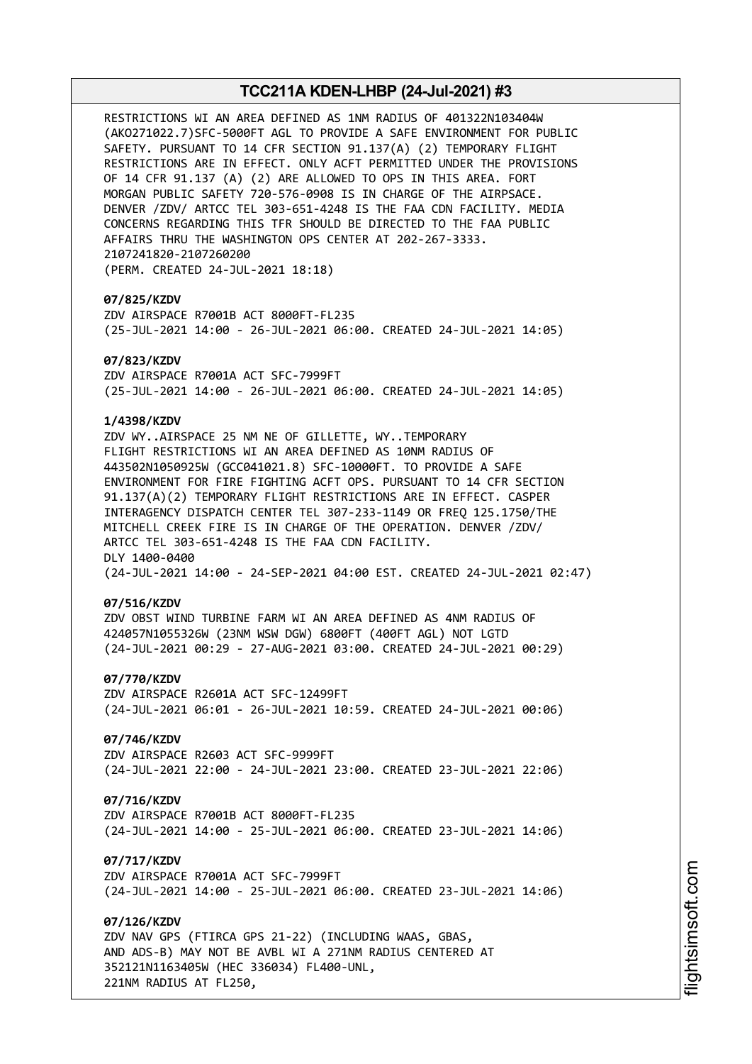RESTRICTIONS WI AN AREA DEFINED AS 1NM RADIUS OF 401322N103404W (AKO271022.7)SFC-5000FT AGL TO PROVIDE A SAFE ENVIRONMENT FOR PUBLIC SAFETY. PURSUANT TO 14 CFR SECTION 91.137(A) (2) TEMPORARY FLIGHT RESTRICTIONS ARE IN EFFECT. ONLY ACFT PERMITTED UNDER THE PROVISIONS OF 14 CFR 91.137 (A) (2) ARE ALLOWED TO OPS IN THIS AREA. FORT MORGAN PUBLIC SAFETY 720-576-0908 IS IN CHARGE OF THE AIRPSACE. DENVER /ZDV/ ARTCC TEL 303-651-4248 IS THE FAA CDN FACILITY. MEDIA CONCERNS REGARDING THIS TFR SHOULD BE DIRECTED TO THE FAA PUBLIC AFFAIRS THRU THE WASHINGTON OPS CENTER AT 202-267-3333. 2107241820-2107260200 (PERM. CREATED 24-JUL-2021 18:18)

### **07/825/KZDV**

ZDV AIRSPACE R7001B ACT 8000FT-FL235 (25-JUL-2021 14:00 - 26-JUL-2021 06:00. CREATED 24-JUL-2021 14:05)

### **07/823/KZDV**

ZDV AIRSPACE R7001A ACT SFC-7999FT (25-JUL-2021 14:00 - 26-JUL-2021 06:00. CREATED 24-JUL-2021 14:05)

### **1/4398/KZDV**

ZDV WY..AIRSPACE 25 NM NE OF GILLETTE, WY..TEMPORARY FLIGHT RESTRICTIONS WI AN AREA DEFINED AS 10NM RADIUS OF 443502N1050925W (GCC041021.8) SFC-10000FT. TO PROVIDE A SAFE ENVIRONMENT FOR FIRE FIGHTING ACFT OPS. PURSUANT TO 14 CFR SECTION 91.137(A)(2) TEMPORARY FLIGHT RESTRICTIONS ARE IN EFFECT. CASPER INTERAGENCY DISPATCH CENTER TEL 307-233-1149 OR FREQ 125.1750/THE MITCHELL CREEK FIRE IS IN CHARGE OF THE OPERATION. DENVER /ZDV/ ARTCC TEL 303-651-4248 IS THE FAA CDN FACILITY. DLY 1400-0400 (24-JUL-2021 14:00 - 24-SEP-2021 04:00 EST. CREATED 24-JUL-2021 02:47)

#### **07/516/KZDV**

ZDV OBST WIND TURBINE FARM WI AN AREA DEFINED AS 4NM RADIUS OF 424057N1055326W (23NM WSW DGW) 6800FT (400FT AGL) NOT LGTD (24-JUL-2021 00:29 - 27-AUG-2021 03:00. CREATED 24-JUL-2021 00:29)

### **07/770/KZDV**

ZDV AIRSPACE R2601A ACT SFC-12499FT (24-JUL-2021 06:01 - 26-JUL-2021 10:59. CREATED 24-JUL-2021 00:06)

# **07/746/KZDV**

ZDV AIRSPACE R2603 ACT SFC-9999FT (24-JUL-2021 22:00 - 24-JUL-2021 23:00. CREATED 23-JUL-2021 22:06)

# **07/716/KZDV**

ZDV AIRSPACE R7001B ACT 8000FT-FL235 (24-JUL-2021 14:00 - 25-JUL-2021 06:00. CREATED 23-JUL-2021 14:06)

### **07/717/KZDV**

ZDV AIRSPACE R7001A ACT SFC-7999FT (24-JUL-2021 14:00 - 25-JUL-2021 06:00. CREATED 23-JUL-2021 14:06)

### **07/126/KZDV**

ZDV NAV GPS (FTIRCA GPS 21-22) (INCLUDING WAAS, GBAS, AND ADS-B) MAY NOT BE AVBL WI A 271NM RADIUS CENTERED AT 352121N1163405W (HEC 336034) FL400-UNL, 221NM RADIUS AT FL250,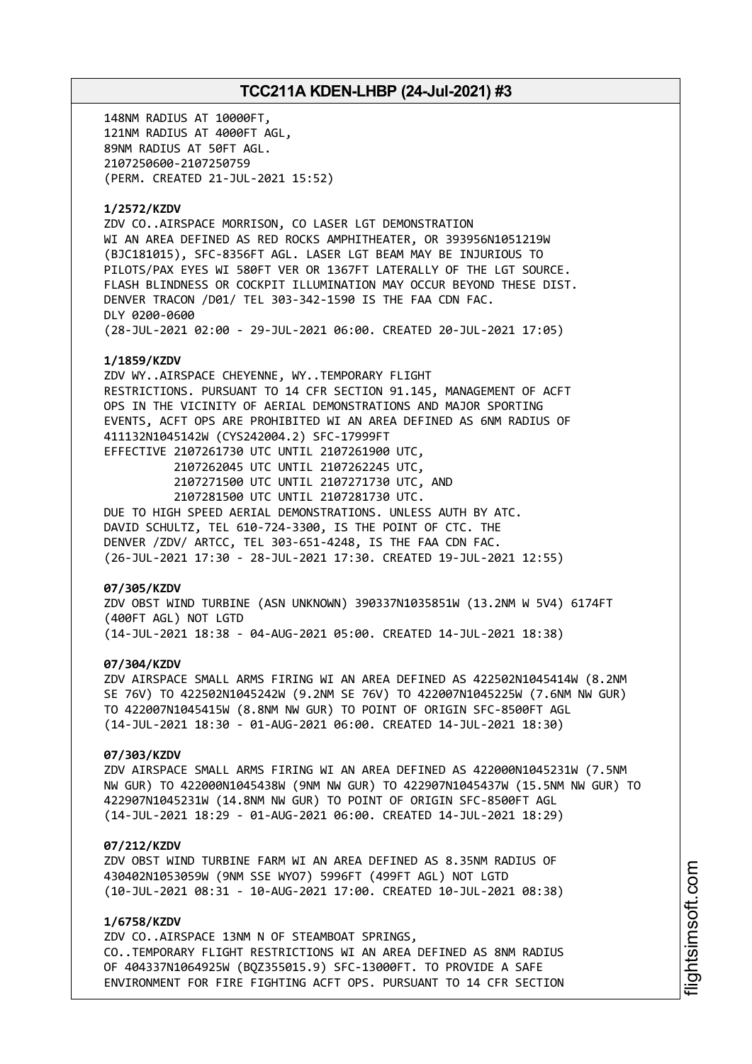148NM RADIUS AT 10000FT, 121NM RADIUS AT 4000FT AGL, 89NM RADIUS AT 50FT AGL. 2107250600-2107250759 (PERM. CREATED 21-JUL-2021 15:52) **1/2572/KZDV** ZDV CO..AIRSPACE MORRISON, CO LASER LGT DEMONSTRATION WI AN AREA DEFINED AS RED ROCKS AMPHITHEATER, OR 393956N1051219W (BJC181015), SFC-8356FT AGL. LASER LGT BEAM MAY BE INJURIOUS TO PILOTS/PAX EYES WI 580FT VER OR 1367FT LATERALLY OF THE LGT SOURCE. FLASH BLINDNESS OR COCKPIT ILLUMINATION MAY OCCUR BEYOND THESE DIST. DENVER TRACON /D01/ TEL 303-342-1590 IS THE FAA CDN FAC. DLY 0200-0600 (28-JUL-2021 02:00 - 29-JUL-2021 06:00. CREATED 20-JUL-2021 17:05) **1/1859/KZDV** ZDV WY..AIRSPACE CHEYENNE, WY..TEMPORARY FLIGHT RESTRICTIONS. PURSUANT TO 14 CFR SECTION 91.145, MANAGEMENT OF ACFT OPS IN THE VICINITY OF AERIAL DEMONSTRATIONS AND MAJOR SPORTING EVENTS, ACFT OPS ARE PROHIBITED WI AN AREA DEFINED AS 6NM RADIUS OF 411132N1045142W (CYS242004.2) SFC-17999FT EFFECTIVE 2107261730 UTC UNTIL 2107261900 UTC, 2107262045 UTC UNTIL 2107262245 UTC, 2107271500 UTC UNTIL 2107271730 UTC, AND 2107281500 UTC UNTIL 2107281730 UTC. DUE TO HIGH SPEED AERIAL DEMONSTRATIONS. UNLESS AUTH BY ATC. DAVID SCHULTZ, TEL 610-724-3300, IS THE POINT OF CTC. THE DENVER /ZDV/ ARTCC, TEL 303-651-4248, IS THE FAA CDN FAC. (26-JUL-2021 17:30 - 28-JUL-2021 17:30. CREATED 19-JUL-2021 12:55) **07/305/KZDV** ZDV OBST WIND TURBINE (ASN UNKNOWN) 390337N1035851W (13.2NM W 5V4) 6174FT (400FT AGL) NOT LGTD (14-JUL-2021 18:38 - 04-AUG-2021 05:00. CREATED 14-JUL-2021 18:38) **07/304/KZDV** ZDV AIRSPACE SMALL ARMS FIRING WI AN AREA DEFINED AS 422502N1045414W (8.2NM SE 76V) TO 422502N1045242W (9.2NM SE 76V) TO 422007N1045225W (7.6NM NW GUR) TO 422007N1045415W (8.8NM NW GUR) TO POINT OF ORIGIN SFC-8500FT AGL (14-JUL-2021 18:30 - 01-AUG-2021 06:00. CREATED 14-JUL-2021 18:30) **07/303/KZDV** ZDV AIRSPACE SMALL ARMS FIRING WI AN AREA DEFINED AS 422000N1045231W (7.5NM NW GUR) TO 422000N1045438W (9NM NW GUR) TO 422907N1045437W (15.5NM NW GUR) TO 422907N1045231W (14.8NM NW GUR) TO POINT OF ORIGIN SFC-8500FT AGL (14-JUL-2021 18:29 - 01-AUG-2021 06:00. CREATED 14-JUL-2021 18:29)

#### **07/212/KZDV**

ZDV OBST WIND TURBINE FARM WI AN AREA DEFINED AS 8.35NM RADIUS OF 430402N1053059W (9NM SSE WYO7) 5996FT (499FT AGL) NOT LGTD (10-JUL-2021 08:31 - 10-AUG-2021 17:00. CREATED 10-JUL-2021 08:38)

### **1/6758/KZDV**

ZDV CO..AIRSPACE 13NM N OF STEAMBOAT SPRINGS, CO..TEMPORARY FLIGHT RESTRICTIONS WI AN AREA DEFINED AS 8NM RADIUS OF 404337N1064925W (BQZ355015.9) SFC-13000FT. TO PROVIDE A SAFE ENVIRONMENT FOR FIRE FIGHTING ACFT OPS. PURSUANT TO 14 CFR SECTION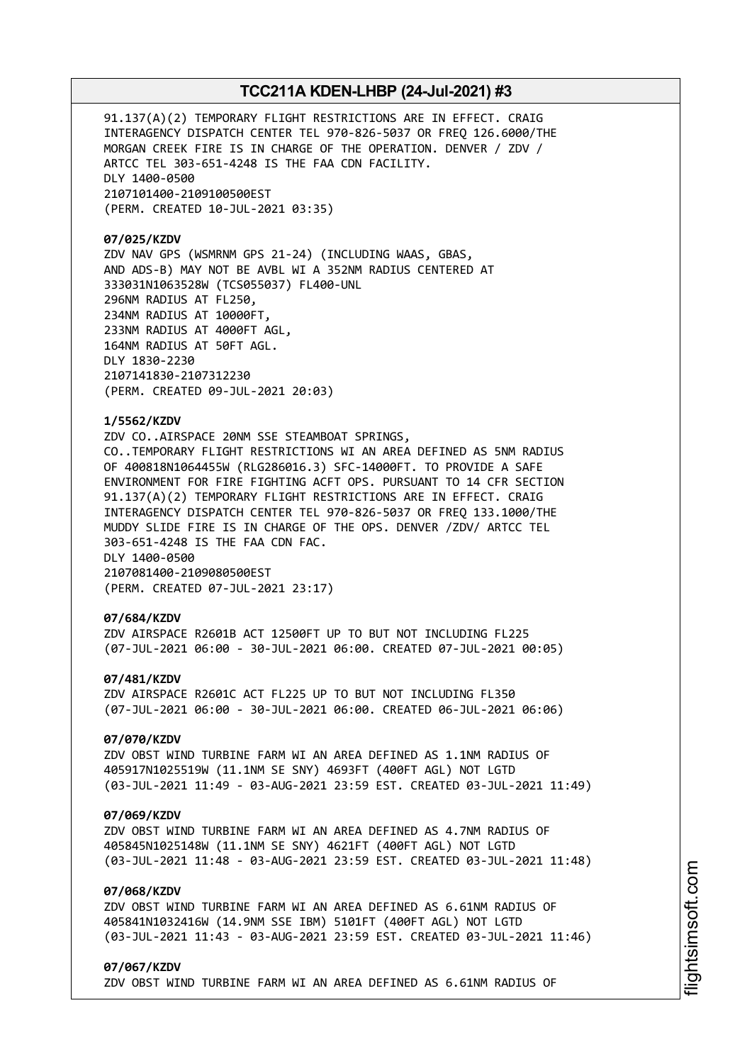91.137(A)(2) TEMPORARY FLIGHT RESTRICTIONS ARE IN EFFECT. CRAIG INTERAGENCY DISPATCH CENTER TEL 970-826-5037 OR FREQ 126.6000/THE MORGAN CREEK FIRE IS IN CHARGE OF THE OPERATION. DENVER / ZDV / ARTCC TEL 303-651-4248 IS THE FAA CDN FACILITY. DLY 1400-0500 2107101400-2109100500EST (PERM. CREATED 10-JUL-2021 03:35)

**07/025/KZDV** ZDV NAV GPS (WSMRNM GPS 21-24) (INCLUDING WAAS, GBAS, AND ADS-B) MAY NOT BE AVBL WI A 352NM RADIUS CENTERED AT 333031N1063528W (TCS055037) FL400-UNL 296NM RADIUS AT FL250, 234NM RADIUS AT 10000FT, 233NM RADIUS AT 4000FT AGL, 164NM RADIUS AT 50FT AGL. DLY 1830-2230 2107141830-2107312230 (PERM. CREATED 09-JUL-2021 20:03)

#### **1/5562/KZDV**

ZDV CO..AIRSPACE 20NM SSE STEAMBOAT SPRINGS, CO..TEMPORARY FLIGHT RESTRICTIONS WI AN AREA DEFINED AS 5NM RADIUS OF 400818N1064455W (RLG286016.3) SFC-14000FT. TO PROVIDE A SAFE ENVIRONMENT FOR FIRE FIGHTING ACFT OPS. PURSUANT TO 14 CFR SECTION 91.137(A)(2) TEMPORARY FLIGHT RESTRICTIONS ARE IN EFFECT. CRAIG INTERAGENCY DISPATCH CENTER TEL 970-826-5037 OR FREQ 133.1000/THE MUDDY SLIDE FIRE IS IN CHARGE OF THE OPS. DENVER /ZDV/ ARTCC TEL 303-651-4248 IS THE FAA CDN FAC. DLY 1400-0500 2107081400-2109080500EST (PERM. CREATED 07-JUL-2021 23:17)

#### **07/684/KZDV**

ZDV AIRSPACE R2601B ACT 12500FT UP TO BUT NOT INCLUDING FL225 (07-JUL-2021 06:00 - 30-JUL-2021 06:00. CREATED 07-JUL-2021 00:05)

### **07/481/KZDV**

ZDV AIRSPACE R2601C ACT FL225 UP TO BUT NOT INCLUDING FL350 (07-JUL-2021 06:00 - 30-JUL-2021 06:00. CREATED 06-JUL-2021 06:06)

# **07/070/KZDV**

ZDV OBST WIND TURBINE FARM WI AN AREA DEFINED AS 1.1NM RADIUS OF 405917N1025519W (11.1NM SE SNY) 4693FT (400FT AGL) NOT LGTD (03-JUL-2021 11:49 - 03-AUG-2021 23:59 EST. CREATED 03-JUL-2021 11:49)

#### **07/069/KZDV**

ZDV OBST WIND TURBINE FARM WI AN AREA DEFINED AS 4.7NM RADIUS OF 405845N1025148W (11.1NM SE SNY) 4621FT (400FT AGL) NOT LGTD (03-JUL-2021 11:48 - 03-AUG-2021 23:59 EST. CREATED 03-JUL-2021 11:48)

# **07/068/KZDV**

ZDV OBST WIND TURBINE FARM WI AN AREA DEFINED AS 6.61NM RADIUS OF 405841N1032416W (14.9NM SSE IBM) 5101FT (400FT AGL) NOT LGTD (03-JUL-2021 11:43 - 03-AUG-2021 23:59 EST. CREATED 03-JUL-2021 11:46)

# **07/067/KZDV**

ZDV OBST WIND TURBINE FARM WI AN AREA DEFINED AS 6.61NM RADIUS OF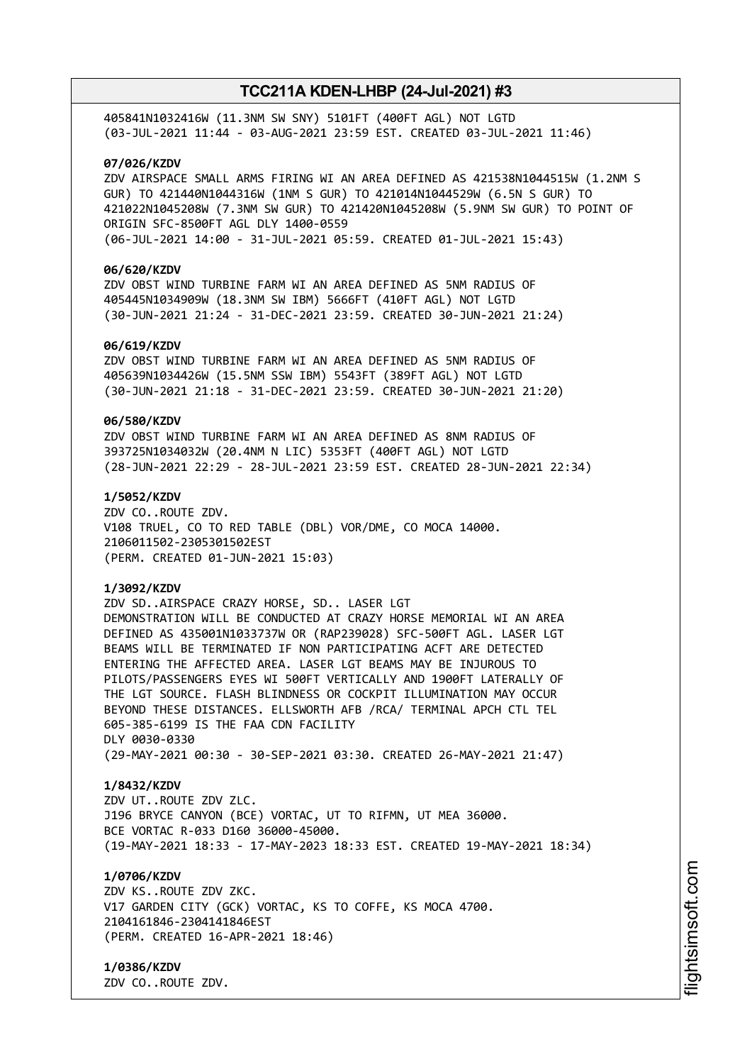405841N1032416W (11.3NM SW SNY) 5101FT (400FT AGL) NOT LGTD (03-JUL-2021 11:44 - 03-AUG-2021 23:59 EST. CREATED 03-JUL-2021 11:46)

# **07/026/KZDV**

ZDV AIRSPACE SMALL ARMS FIRING WI AN AREA DEFINED AS 421538N1044515W (1.2NM S GUR) TO 421440N1044316W (1NM S GUR) TO 421014N1044529W (6.5N S GUR) TO 421022N1045208W (7.3NM SW GUR) TO 421420N1045208W (5.9NM SW GUR) TO POINT OF ORIGIN SFC-8500FT AGL DLY 1400-0559 (06-JUL-2021 14:00 - 31-JUL-2021 05:59. CREATED 01-JUL-2021 15:43)

#### **06/620/KZDV**

ZDV OBST WIND TURBINE FARM WI AN AREA DEFINED AS 5NM RADIUS OF 405445N1034909W (18.3NM SW IBM) 5666FT (410FT AGL) NOT LGTD (30-JUN-2021 21:24 - 31-DEC-2021 23:59. CREATED 30-JUN-2021 21:24)

### **06/619/KZDV**

ZDV OBST WIND TURBINE FARM WI AN AREA DEFINED AS 5NM RADIUS OF 405639N1034426W (15.5NM SSW IBM) 5543FT (389FT AGL) NOT LGTD (30-JUN-2021 21:18 - 31-DEC-2021 23:59. CREATED 30-JUN-2021 21:20)

### **06/580/KZDV**

ZDV OBST WIND TURBINE FARM WI AN AREA DEFINED AS 8NM RADIUS OF 393725N1034032W (20.4NM N LIC) 5353FT (400FT AGL) NOT LGTD (28-JUN-2021 22:29 - 28-JUL-2021 23:59 EST. CREATED 28-JUN-2021 22:34)

# **1/5052/KZDV**

ZDV CO..ROUTE ZDV. V108 TRUEL, CO TO RED TABLE (DBL) VOR/DME, CO MOCA 14000. 2106011502-2305301502EST (PERM. CREATED 01-JUN-2021 15:03)

### **1/3092/KZDV**

ZDV SD..AIRSPACE CRAZY HORSE, SD.. LASER LGT DEMONSTRATION WILL BE CONDUCTED AT CRAZY HORSE MEMORIAL WI AN AREA DEFINED AS 435001N1033737W OR (RAP239028) SFC-500FT AGL. LASER LGT BEAMS WILL BE TERMINATED IF NON PARTICIPATING ACFT ARE DETECTED ENTERING THE AFFECTED AREA. LASER LGT BEAMS MAY BE INJUROUS TO PILOTS/PASSENGERS EYES WI 500FT VERTICALLY AND 1900FT LATERALLY OF THE LGT SOURCE. FLASH BLINDNESS OR COCKPIT ILLUMINATION MAY OCCUR BEYOND THESE DISTANCES. ELLSWORTH AFB /RCA/ TERMINAL APCH CTL TEL 605-385-6199 IS THE FAA CDN FACILITY DLY 0030-0330 (29-MAY-2021 00:30 - 30-SEP-2021 03:30. CREATED 26-MAY-2021 21:47)

#### **1/8432/KZDV**

ZDV UT..ROUTE ZDV ZLC. J196 BRYCE CANYON (BCE) VORTAC, UT TO RIFMN, UT MEA 36000. BCE VORTAC R-033 D160 36000-45000. (19-MAY-2021 18:33 - 17-MAY-2023 18:33 EST. CREATED 19-MAY-2021 18:34)

# **1/0706/KZDV**

ZDV KS..ROUTE ZDV ZKC. V17 GARDEN CITY (GCK) VORTAC, KS TO COFFE, KS MOCA 4700. 2104161846-2304141846EST (PERM. CREATED 16-APR-2021 18:46)

# **1/0386/KZDV**

ZDV CO..ROUTE ZDV.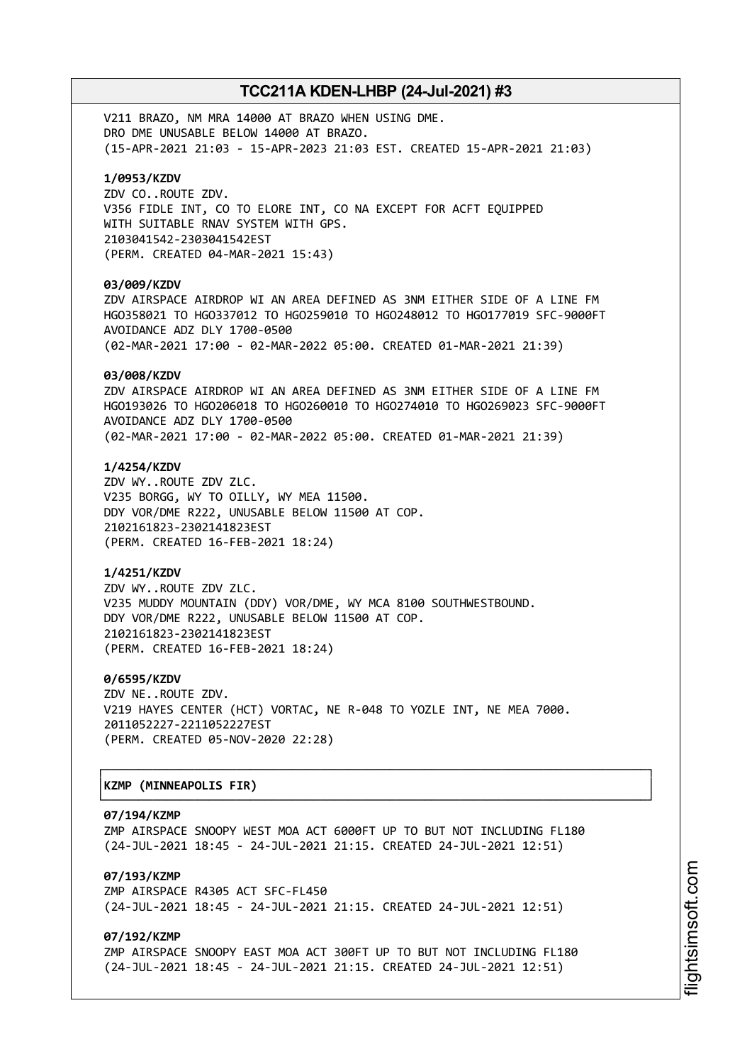V211 BRAZO, NM MRA 14000 AT BRAZO WHEN USING DME. DRO DME UNUSABLE BELOW 14000 AT BRAZO. (15-APR-2021 21:03 - 15-APR-2023 21:03 EST. CREATED 15-APR-2021 21:03)

# **1/0953/KZDV**

ZDV CO..ROUTE ZDV. V356 FIDLE INT, CO TO ELORE INT, CO NA EXCEPT FOR ACFT EQUIPPED WITH SUITABLE RNAV SYSTEM WITH GPS. 2103041542-2303041542EST (PERM. CREATED 04-MAR-2021 15:43)

#### **03/009/KZDV**

ZDV AIRSPACE AIRDROP WI AN AREA DEFINED AS 3NM EITHER SIDE OF A LINE FM HGO358021 TO HGO337012 TO HGO259010 TO HGO248012 TO HGO177019 SFC-9000FT AVOIDANCE ADZ DLY 1700-0500 (02-MAR-2021 17:00 - 02-MAR-2022 05:00. CREATED 01-MAR-2021 21:39)

#### **03/008/KZDV**

ZDV AIRSPACE AIRDROP WI AN AREA DEFINED AS 3NM EITHER SIDE OF A LINE FM HGO193026 TO HGO206018 TO HGO260010 TO HGO274010 TO HGO269023 SFC-9000FT AVOIDANCE ADZ DLY 1700-0500 (02-MAR-2021 17:00 - 02-MAR-2022 05:00. CREATED 01-MAR-2021 21:39)

# **1/4254/KZDV**

ZDV WY..ROUTE ZDV ZLC. V235 BORGG, WY TO OILLY, WY MEA 11500. DDY VOR/DME R222, UNUSABLE BELOW 11500 AT COP. 2102161823-2302141823EST (PERM. CREATED 16-FEB-2021 18:24)

# **1/4251/KZDV**

ZDV WY..ROUTE ZDV ZLC. V235 MUDDY MOUNTAIN (DDY) VOR/DME, WY MCA 8100 SOUTHWESTBOUND. DDY VOR/DME R222, UNUSABLE BELOW 11500 AT COP. 2102161823-2302141823EST (PERM. CREATED 16-FEB-2021 18:24)

#### **0/6595/KZDV**

ZDV NE..ROUTE ZDV. V219 HAYES CENTER (HCT) VORTAC, NE R-048 TO YOZLE INT, NE MEA 7000. 2011052227-2211052227EST (PERM. CREATED 05-NOV-2020 22:28)

# │**KZMP (MINNEAPOLIS FIR)** │

#### **07/194/KZMP**

ZMP AIRSPACE SNOOPY WEST MOA ACT 6000FT UP TO BUT NOT INCLUDING FL180 (24-JUL-2021 18:45 - 24-JUL-2021 21:15. CREATED 24-JUL-2021 12:51)

┌──────────────────────────────────────────────────────────────────────────────┐

└──────────────────────────────────────────────────────────────────────────────┘

# **07/193/KZMP**

ZMP AIRSPACE R4305 ACT SFC-FL450 (24-JUL-2021 18:45 - 24-JUL-2021 21:15. CREATED 24-JUL-2021 12:51)

# **07/192/KZMP**

ZMP AIRSPACE SNOOPY EAST MOA ACT 300FT UP TO BUT NOT INCLUDING FL180 (24-JUL-2021 18:45 - 24-JUL-2021 21:15. CREATED 24-JUL-2021 12:51)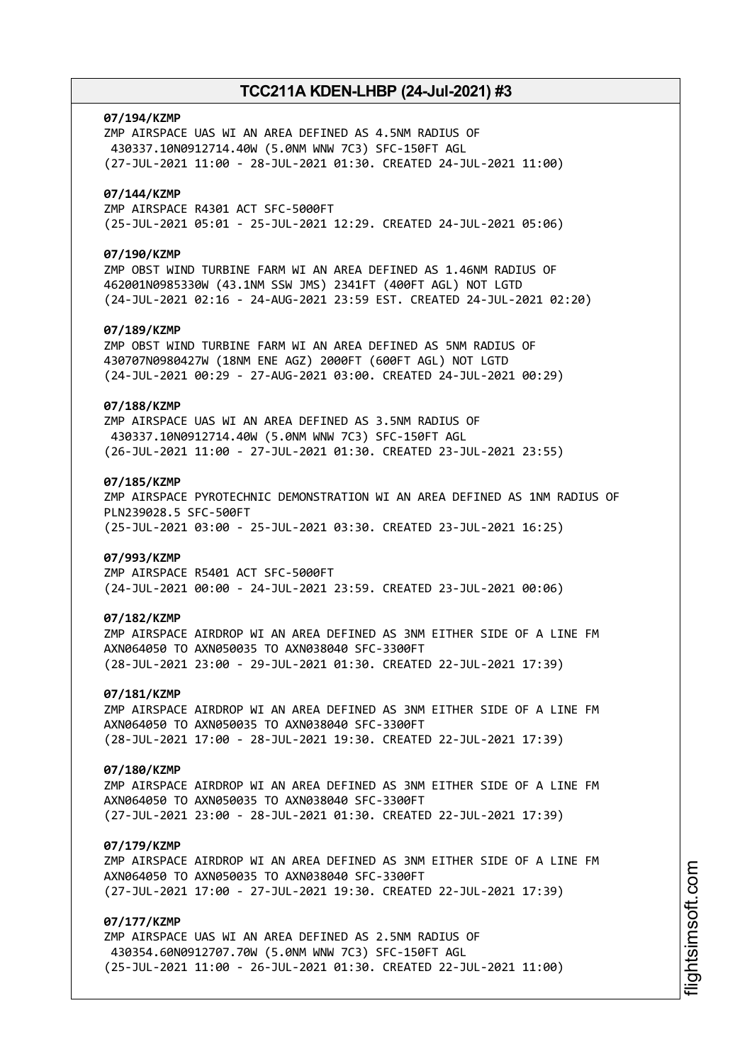# **07/194/KZMP**

ZMP AIRSPACE UAS WI AN AREA DEFINED AS 4.5NM RADIUS OF 430337.10N0912714.40W (5.0NM WNW 7C3) SFC-150FT AGL (27-JUL-2021 11:00 - 28-JUL-2021 01:30. CREATED 24-JUL-2021 11:00)

### **07/144/KZMP**

ZMP AIRSPACE R4301 ACT SFC-5000FT (25-JUL-2021 05:01 - 25-JUL-2021 12:29. CREATED 24-JUL-2021 05:06)

#### **07/190/KZMP**

ZMP OBST WIND TURBINE FARM WI AN AREA DEFINED AS 1.46NM RADIUS OF 462001N0985330W (43.1NM SSW JMS) 2341FT (400FT AGL) NOT LGTD (24-JUL-2021 02:16 - 24-AUG-2021 23:59 EST. CREATED 24-JUL-2021 02:20)

# **07/189/KZMP**

ZMP OBST WIND TURBINE FARM WI AN AREA DEFINED AS 5NM RADIUS OF 430707N0980427W (18NM ENE AGZ) 2000FT (600FT AGL) NOT LGTD (24-JUL-2021 00:29 - 27-AUG-2021 03:00. CREATED 24-JUL-2021 00:29)

# **07/188/KZMP**

ZMP AIRSPACE UAS WI AN AREA DEFINED AS 3.5NM RADIUS OF 430337.10N0912714.40W (5.0NM WNW 7C3) SFC-150FT AGL (26-JUL-2021 11:00 - 27-JUL-2021 01:30. CREATED 23-JUL-2021 23:55)

### **07/185/KZMP**

ZMP AIRSPACE PYROTECHNIC DEMONSTRATION WI AN AREA DEFINED AS 1NM RADIUS OF PLN239028.5 SFC-500FT (25-JUL-2021 03:00 - 25-JUL-2021 03:30. CREATED 23-JUL-2021 16:25)

#### **07/993/KZMP**

ZMP AIRSPACE R5401 ACT SFC-5000FT (24-JUL-2021 00:00 - 24-JUL-2021 23:59. CREATED 23-JUL-2021 00:06)

#### **07/182/KZMP**

ZMP AIRSPACE AIRDROP WI AN AREA DEFINED AS 3NM EITHER SIDE OF A LINE FM AXN064050 TO AXN050035 TO AXN038040 SFC-3300FT (28-JUL-2021 23:00 - 29-JUL-2021 01:30. CREATED 22-JUL-2021 17:39)

#### **07/181/KZMP**

ZMP AIRSPACE AIRDROP WI AN AREA DEFINED AS 3NM EITHER SIDE OF A LINE FM AXN064050 TO AXN050035 TO AXN038040 SFC-3300FT (28-JUL-2021 17:00 - 28-JUL-2021 19:30. CREATED 22-JUL-2021 17:39)

# **07/180/KZMP**

ZMP AIRSPACE AIRDROP WI AN AREA DEFINED AS 3NM EITHER SIDE OF A LINE FM AXN064050 TO AXN050035 TO AXN038040 SFC-3300FT (27-JUL-2021 23:00 - 28-JUL-2021 01:30. CREATED 22-JUL-2021 17:39)

### **07/179/KZMP**

ZMP AIRSPACE AIRDROP WI AN AREA DEFINED AS 3NM EITHER SIDE OF A LINE FM AXN064050 TO AXN050035 TO AXN038040 SFC-3300FT (27-JUL-2021 17:00 - 27-JUL-2021 19:30. CREATED 22-JUL-2021 17:39)

### **07/177/KZMP**

ZMP AIRSPACE UAS WI AN AREA DEFINED AS 2.5NM RADIUS OF 430354.60N0912707.70W (5.0NM WNW 7C3) SFC-150FT AGL (25-JUL-2021 11:00 - 26-JUL-2021 01:30. CREATED 22-JUL-2021 11:00)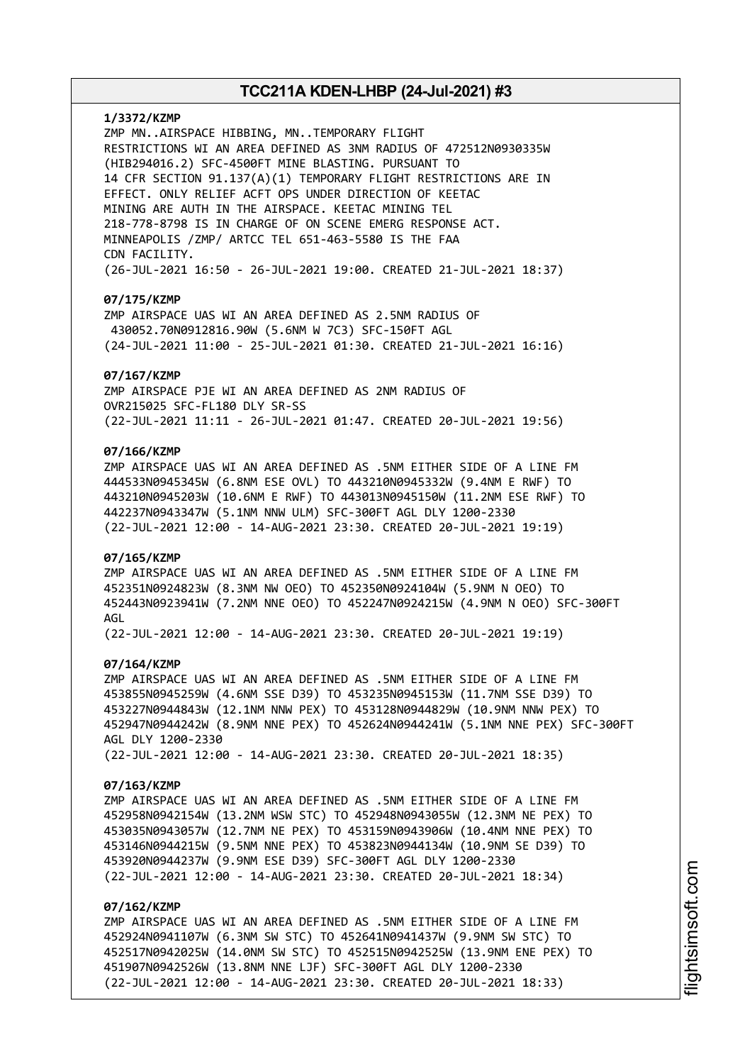### **1/3372/KZMP**

ZMP MN..AIRSPACE HIBBING, MN..TEMPORARY FLIGHT RESTRICTIONS WI AN AREA DEFINED AS 3NM RADIUS OF 472512N0930335W (HIB294016.2) SFC-4500FT MINE BLASTING. PURSUANT TO 14 CFR SECTION 91.137(A)(1) TEMPORARY FLIGHT RESTRICTIONS ARE IN EFFECT. ONLY RELIEF ACFT OPS UNDER DIRECTION OF KEETAC MINING ARE AUTH IN THE AIRSPACE. KEETAC MINING TEL 218-778-8798 IS IN CHARGE OF ON SCENE EMERG RESPONSE ACT. MINNEAPOLIS /ZMP/ ARTCC TEL 651-463-5580 IS THE FAA CDN FACILITY. (26-JUL-2021 16:50 - 26-JUL-2021 19:00. CREATED 21-JUL-2021 18:37)

# **07/175/KZMP**

ZMP AIRSPACE UAS WI AN AREA DEFINED AS 2.5NM RADIUS OF 430052.70N0912816.90W (5.6NM W 7C3) SFC-150FT AGL (24-JUL-2021 11:00 - 25-JUL-2021 01:30. CREATED 21-JUL-2021 16:16)

### **07/167/KZMP**

ZMP AIRSPACE PJE WI AN AREA DEFINED AS 2NM RADIUS OF OVR215025 SFC-FL180 DLY SR-SS (22-JUL-2021 11:11 - 26-JUL-2021 01:47. CREATED 20-JUL-2021 19:56)

# **07/166/KZMP**

ZMP AIRSPACE UAS WI AN AREA DEFINED AS .5NM EITHER SIDE OF A LINE FM 444533N0945345W (6.8NM ESE OVL) TO 443210N0945332W (9.4NM E RWF) TO 443210N0945203W (10.6NM E RWF) TO 443013N0945150W (11.2NM ESE RWF) TO 442237N0943347W (5.1NM NNW ULM) SFC-300FT AGL DLY 1200-2330 (22-JUL-2021 12:00 - 14-AUG-2021 23:30. CREATED 20-JUL-2021 19:19)

#### **07/165/KZMP**

ZMP AIRSPACE UAS WI AN AREA DEFINED AS .5NM EITHER SIDE OF A LINE FM 452351N0924823W (8.3NM NW OEO) TO 452350N0924104W (5.9NM N OEO) TO 452443N0923941W (7.2NM NNE OEO) TO 452247N0924215W (4.9NM N OEO) SFC-300FT AGL

(22-JUL-2021 12:00 - 14-AUG-2021 23:30. CREATED 20-JUL-2021 19:19)

# **07/164/KZMP**

ZMP AIRSPACE UAS WI AN AREA DEFINED AS .5NM EITHER SIDE OF A LINE FM 453855N0945259W (4.6NM SSE D39) TO 453235N0945153W (11.7NM SSE D39) TO 453227N0944843W (12.1NM NNW PEX) TO 453128N0944829W (10.9NM NNW PEX) TO 452947N0944242W (8.9NM NNE PEX) TO 452624N0944241W (5.1NM NNE PEX) SFC-300FT AGL DLY 1200-2330 (22-JUL-2021 12:00 - 14-AUG-2021 23:30. CREATED 20-JUL-2021 18:35)

#### **07/163/KZMP**

ZMP AIRSPACE UAS WI AN AREA DEFINED AS .5NM EITHER SIDE OF A LINE FM 452958N0942154W (13.2NM WSW STC) TO 452948N0943055W (12.3NM NE PEX) TO 453035N0943057W (12.7NM NE PEX) TO 453159N0943906W (10.4NM NNE PEX) TO 453146N0944215W (9.5NM NNE PEX) TO 453823N0944134W (10.9NM SE D39) TO 453920N0944237W (9.9NM ESE D39) SFC-300FT AGL DLY 1200-2330 (22-JUL-2021 12:00 - 14-AUG-2021 23:30. CREATED 20-JUL-2021 18:34)

### **07/162/KZMP**

ZMP AIRSPACE UAS WI AN AREA DEFINED AS .5NM EITHER SIDE OF A LINE FM 452924N0941107W (6.3NM SW STC) TO 452641N0941437W (9.9NM SW STC) TO 452517N0942025W (14.0NM SW STC) TO 452515N0942525W (13.9NM ENE PEX) TO 451907N0942526W (13.8NM NNE LJF) SFC-300FT AGL DLY 1200-2330 (22-JUL-2021 12:00 - 14-AUG-2021 23:30. CREATED 20-JUL-2021 18:33)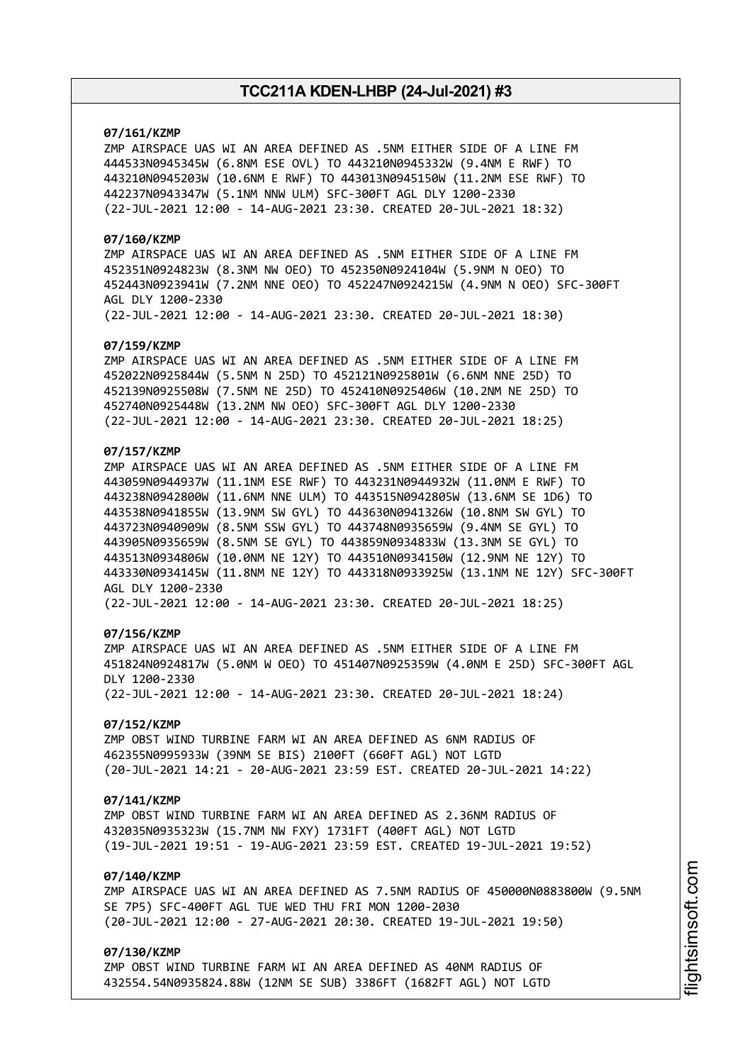# **07/161/KZMP**

ZMP AIRSPACE UAS WI AN AREA DEFINED AS .5NM EITHER SIDE OF A LINE FM 444533N0945345W (6.8NM ESE OVL) TO 443210N0945332W (9.4NM E RWF) TO 443210N0945203W (10.6NM E RWF) TO 443013N0945150W (11.2NM ESE RWF) TO 442237N0943347W (5.1NM NNW ULM) SFC-300FT AGL DLY 1200-2330 (22-JUL-2021 12:00 - 14-AUG-2021 23:30. CREATED 20-JUL-2021 18:32)

### **07/160/KZMP**

ZMP AIRSPACE UAS WI AN AREA DEFINED AS .5NM EITHER SIDE OF A LINE FM 452351N0924823W (8.3NM NW OEO) TO 452350N0924104W (5.9NM N OEO) TO 452443N0923941W (7.2NM NNE OEO) TO 452247N0924215W (4.9NM N OEO) SFC-300FT AGL DLY 1200-2330 (22-JUL-2021 12:00 - 14-AUG-2021 23:30. CREATED 20-JUL-2021 18:30)

#### **07/159/KZMP**

ZMP AIRSPACE UAS WI AN AREA DEFINED AS .5NM EITHER SIDE OF A LINE FM 452022N0925844W (5.5NM N 25D) TO 452121N0925801W (6.6NM NNE 25D) TO 452139N0925508W (7.5NM NE 25D) TO 452410N0925406W (10.2NM NE 25D) TO 452740N0925448W (13.2NM NW OEO) SFC-300FT AGL DLY 1200-2330 (22-JUL-2021 12:00 - 14-AUG-2021 23:30. CREATED 20-JUL-2021 18:25)

# **07/157/KZMP**

ZMP AIRSPACE UAS WI AN AREA DEFINED AS .5NM EITHER SIDE OF A LINE FM 443059N0944937W (11.1NM ESE RWF) TO 443231N0944932W (11.0NM E RWF) TO 443238N0942800W (11.6NM NNE ULM) TO 443515N0942805W (13.6NM SE 1D6) TO 443538N0941855W (13.9NM SW GYL) TO 443630N0941326W (10.8NM SW GYL) TO 443723N0940909W (8.5NM SSW GYL) TO 443748N0935659W (9.4NM SE GYL) TO 443905N0935659W (8.5NM SE GYL) TO 443859N0934833W (13.3NM SE GYL) TO 443513N0934806W (10.0NM NE 12Y) TO 443510N0934150W (12.9NM NE 12Y) TO 443330N0934145W (11.8NM NE 12Y) TO 443318N0933925W (13.1NM NE 12Y) SFC-300FT AGL DLY 1200-2330 (22-JUL-2021 12:00 - 14-AUG-2021 23:30. CREATED 20-JUL-2021 18:25)

# **07/156/KZMP**

ZMP AIRSPACE UAS WI AN AREA DEFINED AS .5NM EITHER SIDE OF A LINE FM 451824N0924817W (5.0NM W OEO) TO 451407N0925359W (4.0NM E 25D) SFC-300FT AGL DLY 1200-2330 (22-JUL-2021 12:00 - 14-AUG-2021 23:30. CREATED 20-JUL-2021 18:24)

# **07/152/KZMP**

ZMP OBST WIND TURBINE FARM WI AN AREA DEFINED AS 6NM RADIUS OF 462355N0995933W (39NM SE BIS) 2100FT (660FT AGL) NOT LGTD (20-JUL-2021 14:21 - 20-AUG-2021 23:59 EST. CREATED 20-JUL-2021 14:22)

#### **07/141/KZMP**

ZMP OBST WIND TURBINE FARM WI AN AREA DEFINED AS 2.36NM RADIUS OF 432035N0935323W (15.7NM NW FXY) 1731FT (400FT AGL) NOT LGTD (19-JUL-2021 19:51 - 19-AUG-2021 23:59 EST. CREATED 19-JUL-2021 19:52)

# **07/140/KZMP**

ZMP AIRSPACE UAS WI AN AREA DEFINED AS 7.5NM RADIUS OF 450000N0883800W (9.5NM SE 7P5) SFC-400FT AGL TUE WED THU FRI MON 1200-2030 (20-JUL-2021 12:00 - 27-AUG-2021 20:30. CREATED 19-JUL-2021 19:50)

### **07/130/KZMP**

ZMP OBST WIND TURBINE FARM WI AN AREA DEFINED AS 40NM RADIUS OF 432554.54N0935824.88W (12NM SE SUB) 3386FT (1682FT AGL) NOT LGTD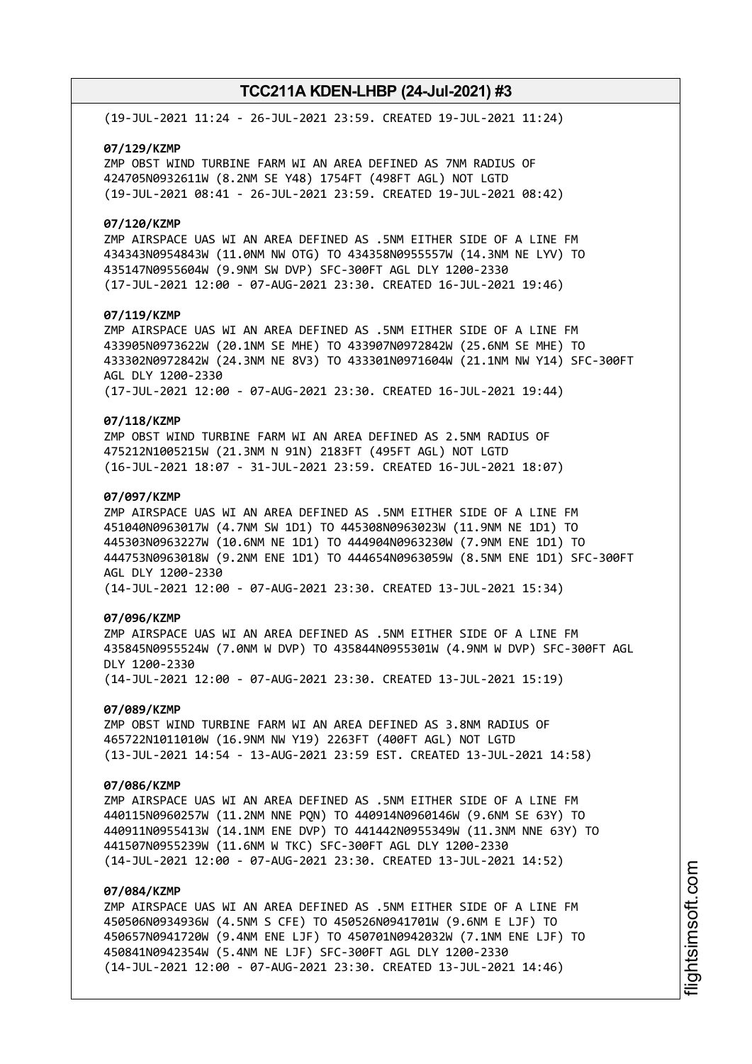(19-JUL-2021 11:24 - 26-JUL-2021 23:59. CREATED 19-JUL-2021 11:24)

#### **07/129/KZMP**

ZMP OBST WIND TURBINE FARM WI AN AREA DEFINED AS 7NM RADIUS OF 424705N0932611W (8.2NM SE Y48) 1754FT (498FT AGL) NOT LGTD (19-JUL-2021 08:41 - 26-JUL-2021 23:59. CREATED 19-JUL-2021 08:42)

#### **07/120/KZMP**

ZMP AIRSPACE UAS WI AN AREA DEFINED AS .5NM EITHER SIDE OF A LINE FM 434343N0954843W (11.0NM NW OTG) TO 434358N0955557W (14.3NM NE LYV) TO 435147N0955604W (9.9NM SW DVP) SFC-300FT AGL DLY 1200-2330 (17-JUL-2021 12:00 - 07-AUG-2021 23:30. CREATED 16-JUL-2021 19:46)

#### **07/119/KZMP**

ZMP AIRSPACE UAS WI AN AREA DEFINED AS .5NM EITHER SIDE OF A LINE FM 433905N0973622W (20.1NM SE MHE) TO 433907N0972842W (25.6NM SE MHE) TO 433302N0972842W (24.3NM NE 8V3) TO 433301N0971604W (21.1NM NW Y14) SFC-300FT AGL DLY 1200-2330

(17-JUL-2021 12:00 - 07-AUG-2021 23:30. CREATED 16-JUL-2021 19:44)

### **07/118/KZMP**

ZMP OBST WIND TURBINE FARM WI AN AREA DEFINED AS 2.5NM RADIUS OF 475212N1005215W (21.3NM N 91N) 2183FT (495FT AGL) NOT LGTD (16-JUL-2021 18:07 - 31-JUL-2021 23:59. CREATED 16-JUL-2021 18:07)

# **07/097/KZMP**

ZMP AIRSPACE UAS WI AN AREA DEFINED AS .5NM EITHER SIDE OF A LINE FM 451040N0963017W (4.7NM SW 1D1) TO 445308N0963023W (11.9NM NE 1D1) TO 445303N0963227W (10.6NM NE 1D1) TO 444904N0963230W (7.9NM ENE 1D1) TO 444753N0963018W (9.2NM ENE 1D1) TO 444654N0963059W (8.5NM ENE 1D1) SFC-300FT AGL DLY 1200-2330

(14-JUL-2021 12:00 - 07-AUG-2021 23:30. CREATED 13-JUL-2021 15:34)

# **07/096/KZMP**

ZMP AIRSPACE UAS WI AN AREA DEFINED AS .5NM EITHER SIDE OF A LINE FM 435845N0955524W (7.0NM W DVP) TO 435844N0955301W (4.9NM W DVP) SFC-300FT AGL DLY 1200-2330 (14-JUL-2021 12:00 - 07-AUG-2021 23:30. CREATED 13-JUL-2021 15:19)

#### **07/089/KZMP**

ZMP OBST WIND TURBINE FARM WI AN AREA DEFINED AS 3.8NM RADIUS OF 465722N1011010W (16.9NM NW Y19) 2263FT (400FT AGL) NOT LGTD (13-JUL-2021 14:54 - 13-AUG-2021 23:59 EST. CREATED 13-JUL-2021 14:58)

### **07/086/KZMP**

ZMP AIRSPACE UAS WI AN AREA DEFINED AS .5NM EITHER SIDE OF A LINE FM 440115N0960257W (11.2NM NNE PQN) TO 440914N0960146W (9.6NM SE 63Y) TO 440911N0955413W (14.1NM ENE DVP) TO 441442N0955349W (11.3NM NNE 63Y) TO 441507N0955239W (11.6NM W TKC) SFC-300FT AGL DLY 1200-2330 (14-JUL-2021 12:00 - 07-AUG-2021 23:30. CREATED 13-JUL-2021 14:52)

# **07/084/KZMP**

ZMP AIRSPACE UAS WI AN AREA DEFINED AS .5NM EITHER SIDE OF A LINE FM 450506N0934936W (4.5NM S CFE) TO 450526N0941701W (9.6NM E LJF) TO 450657N0941720W (9.4NM ENE LJF) TO 450701N0942032W (7.1NM ENE LJF) TO 450841N0942354W (5.4NM NE LJF) SFC-300FT AGL DLY 1200-2330 (14-JUL-2021 12:00 - 07-AUG-2021 23:30. CREATED 13-JUL-2021 14:46)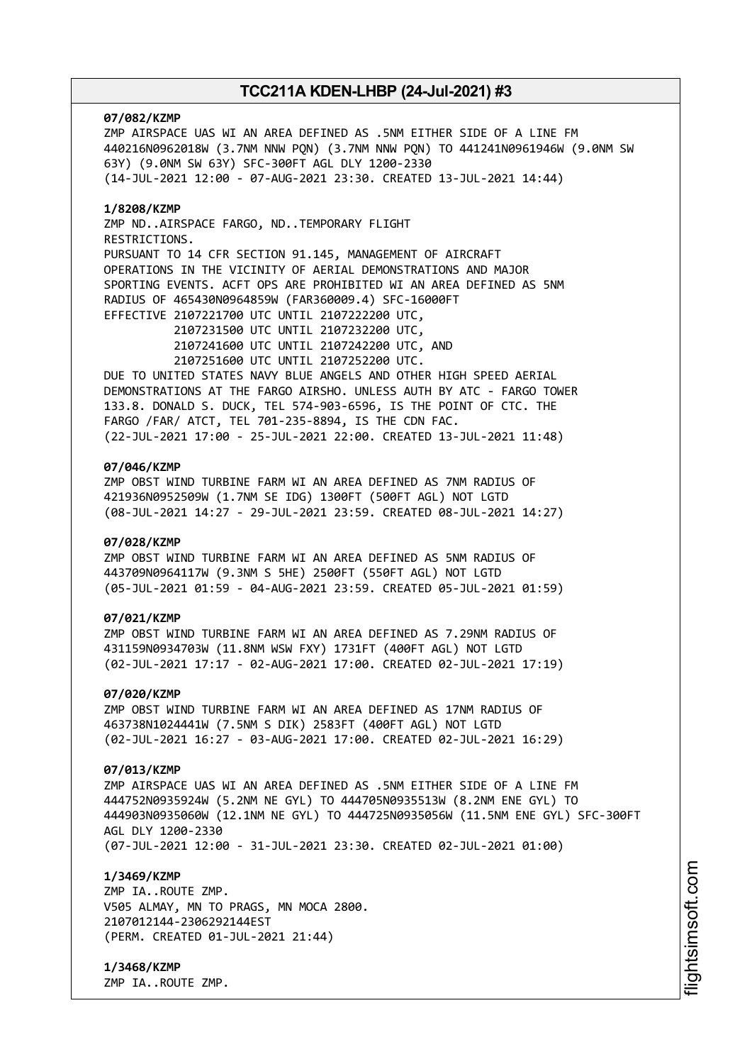#### **07/082/KZMP**

ZMP AIRSPACE UAS WI AN AREA DEFINED AS .5NM EITHER SIDE OF A LINE FM 440216N0962018W (3.7NM NNW PQN) (3.7NM NNW PQN) TO 441241N0961946W (9.0NM SW 63Y) (9.0NM SW 63Y) SFC-300FT AGL DLY 1200-2330 (14-JUL-2021 12:00 - 07-AUG-2021 23:30. CREATED 13-JUL-2021 14:44)

# **1/8208/KZMP**

ZMP ND..AIRSPACE FARGO, ND..TEMPORARY FLIGHT RESTRICTIONS. PURSUANT TO 14 CFR SECTION 91.145, MANAGEMENT OF AIRCRAFT OPERATIONS IN THE VICINITY OF AERIAL DEMONSTRATIONS AND MAJOR SPORTING EVENTS. ACFT OPS ARE PROHIBITED WI AN AREA DEFINED AS 5NM RADIUS OF 465430N0964859W (FAR360009.4) SFC-16000FT EFFECTIVE 2107221700 UTC UNTIL 2107222200 UTC,

2107231500 UTC UNTIL 2107232200 UTC, 2107241600 UTC UNTIL 2107242200 UTC, AND 2107251600 UTC UNTIL 2107252200 UTC.

DUE TO UNITED STATES NAVY BLUE ANGELS AND OTHER HIGH SPEED AERIAL DEMONSTRATIONS AT THE FARGO AIRSHO. UNLESS AUTH BY ATC - FARGO TOWER 133.8. DONALD S. DUCK, TEL 574-903-6596, IS THE POINT OF CTC. THE FARGO /FAR/ ATCT, TEL 701-235-8894, IS THE CDN FAC. (22-JUL-2021 17:00 - 25-JUL-2021 22:00. CREATED 13-JUL-2021 11:48)

# **07/046/KZMP**

ZMP OBST WIND TURBINE FARM WI AN AREA DEFINED AS 7NM RADIUS OF 421936N0952509W (1.7NM SE IDG) 1300FT (500FT AGL) NOT LGTD (08-JUL-2021 14:27 - 29-JUL-2021 23:59. CREATED 08-JUL-2021 14:27)

#### **07/028/KZMP**

ZMP OBST WIND TURBINE FARM WI AN AREA DEFINED AS 5NM RADIUS OF 443709N0964117W (9.3NM S 5HE) 2500FT (550FT AGL) NOT LGTD (05-JUL-2021 01:59 - 04-AUG-2021 23:59. CREATED 05-JUL-2021 01:59)

# **07/021/KZMP**

ZMP OBST WIND TURBINE FARM WI AN AREA DEFINED AS 7.29NM RADIUS OF 431159N0934703W (11.8NM WSW FXY) 1731FT (400FT AGL) NOT LGTD (02-JUL-2021 17:17 - 02-AUG-2021 17:00. CREATED 02-JUL-2021 17:19)

#### **07/020/KZMP**

ZMP OBST WIND TURBINE FARM WI AN AREA DEFINED AS 17NM RADIUS OF 463738N1024441W (7.5NM S DIK) 2583FT (400FT AGL) NOT LGTD (02-JUL-2021 16:27 - 03-AUG-2021 17:00. CREATED 02-JUL-2021 16:29)

# **07/013/KZMP**

ZMP AIRSPACE UAS WI AN AREA DEFINED AS .5NM EITHER SIDE OF A LINE FM 444752N0935924W (5.2NM NE GYL) TO 444705N0935513W (8.2NM ENE GYL) TO 444903N0935060W (12.1NM NE GYL) TO 444725N0935056W (11.5NM ENE GYL) SFC-300FT AGL DLY 1200-2330 (07-JUL-2021 12:00 - 31-JUL-2021 23:30. CREATED 02-JUL-2021 01:00)

# **1/3469/KZMP**

ZMP IA..ROUTE ZMP. V505 ALMAY, MN TO PRAGS, MN MOCA 2800. 2107012144-2306292144EST (PERM. CREATED 01-JUL-2021 21:44)

**1/3468/KZMP** ZMP IA..ROUTE ZMP. i⊒<br>⊫ htsim soft.c om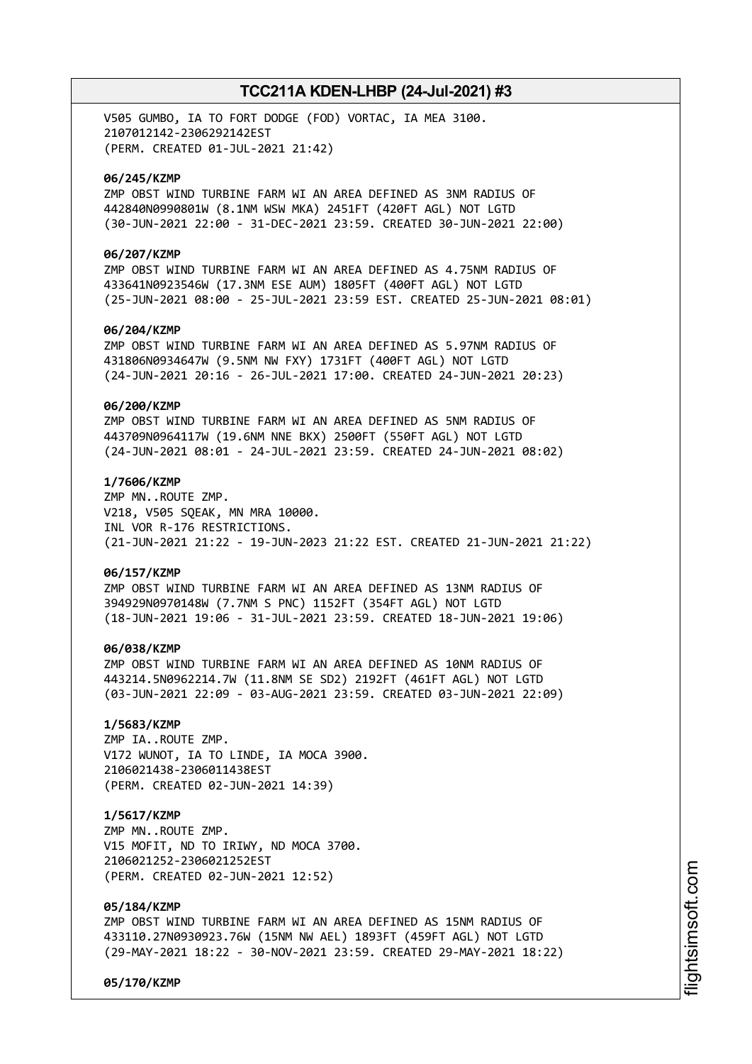V505 GUMBO, IA TO FORT DODGE (FOD) VORTAC, IA MEA 3100. 2107012142-2306292142EST (PERM. CREATED 01-JUL-2021 21:42)

### **06/245/KZMP**

ZMP OBST WIND TURBINE FARM WI AN AREA DEFINED AS 3NM RADIUS OF 442840N0990801W (8.1NM WSW MKA) 2451FT (420FT AGL) NOT LGTD (30-JUN-2021 22:00 - 31-DEC-2021 23:59. CREATED 30-JUN-2021 22:00)

### **06/207/KZMP**

ZMP OBST WIND TURBINE FARM WI AN AREA DEFINED AS 4.75NM RADIUS OF 433641N0923546W (17.3NM ESE AUM) 1805FT (400FT AGL) NOT LGTD (25-JUN-2021 08:00 - 25-JUL-2021 23:59 EST. CREATED 25-JUN-2021 08:01)

### **06/204/KZMP**

ZMP OBST WIND TURBINE FARM WI AN AREA DEFINED AS 5.97NM RADIUS OF 431806N0934647W (9.5NM NW FXY) 1731FT (400FT AGL) NOT LGTD (24-JUN-2021 20:16 - 26-JUL-2021 17:00. CREATED 24-JUN-2021 20:23)

### **06/200/KZMP**

ZMP OBST WIND TURBINE FARM WI AN AREA DEFINED AS 5NM RADIUS OF 443709N0964117W (19.6NM NNE BKX) 2500FT (550FT AGL) NOT LGTD (24-JUN-2021 08:01 - 24-JUL-2021 23:59. CREATED 24-JUN-2021 08:02)

### **1/7606/KZMP**

ZMP MN..ROUTE ZMP. V218, V505 SQEAK, MN MRA 10000. INL VOR R-176 RESTRICTIONS. (21-JUN-2021 21:22 - 19-JUN-2023 21:22 EST. CREATED 21-JUN-2021 21:22)

### **06/157/KZMP**

ZMP OBST WIND TURBINE FARM WI AN AREA DEFINED AS 13NM RADIUS OF 394929N0970148W (7.7NM S PNC) 1152FT (354FT AGL) NOT LGTD (18-JUN-2021 19:06 - 31-JUL-2021 23:59. CREATED 18-JUN-2021 19:06)

#### **06/038/KZMP**

ZMP OBST WIND TURBINE FARM WI AN AREA DEFINED AS 10NM RADIUS OF 443214.5N0962214.7W (11.8NM SE SD2) 2192FT (461FT AGL) NOT LGTD (03-JUN-2021 22:09 - 03-AUG-2021 23:59. CREATED 03-JUN-2021 22:09)

# **1/5683/KZMP**

ZMP IA..ROUTE ZMP. V172 WUNOT, IA TO LINDE, IA MOCA 3900. 2106021438-2306011438EST (PERM. CREATED 02-JUN-2021 14:39)

### **1/5617/KZMP**

ZMP MN..ROUTE ZMP. V15 MOFIT, ND TO IRIWY, ND MOCA 3700. 2106021252-2306021252EST (PERM. CREATED 02-JUN-2021 12:52)

#### **05/184/KZMP**

ZMP OBST WIND TURBINE FARM WI AN AREA DEFINED AS 15NM RADIUS OF 433110.27N0930923.76W (15NM NW AEL) 1893FT (459FT AGL) NOT LGTD (29-MAY-2021 18:22 - 30-NOV-2021 23:59. CREATED 29-MAY-2021 18:22)

**05/170/KZMP**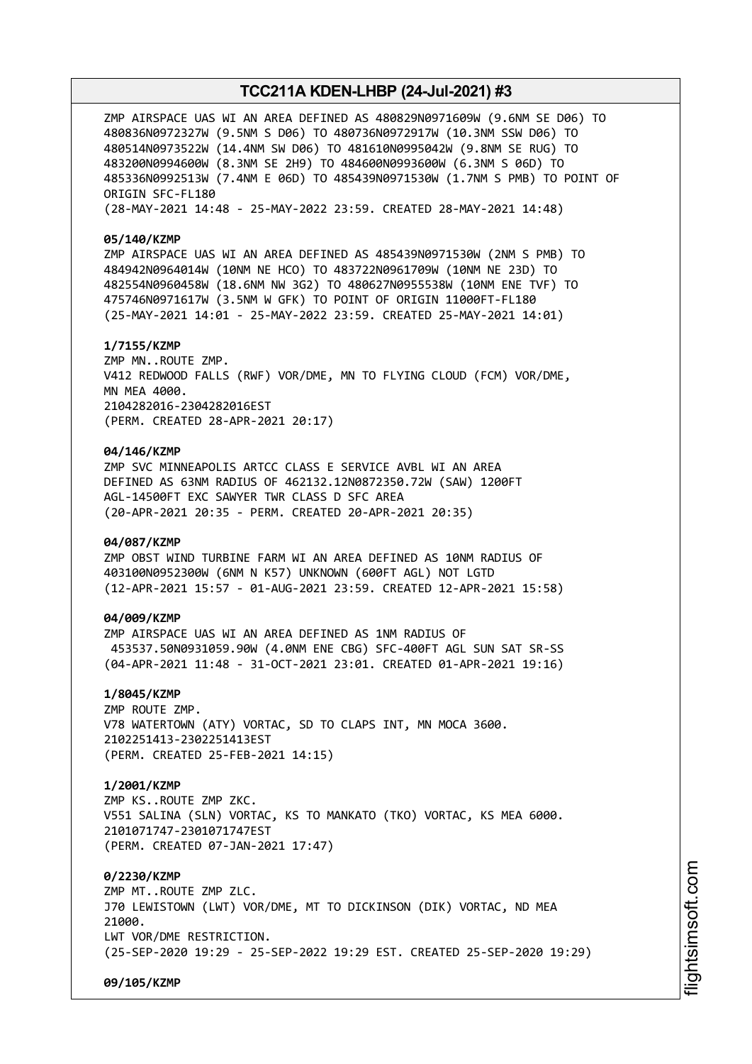ZMP AIRSPACE UAS WI AN AREA DEFINED AS 480829N0971609W (9.6NM SE D06) TO 480836N0972327W (9.5NM S D06) TO 480736N0972917W (10.3NM SSW D06) TO 480514N0973522W (14.4NM SW D06) TO 481610N0995042W (9.8NM SE RUG) TO 483200N0994600W (8.3NM SE 2H9) TO 484600N0993600W (6.3NM S 06D) TO 485336N0992513W (7.4NM E 06D) TO 485439N0971530W (1.7NM S PMB) TO POINT OF ORIGIN SFC-FL180

(28-MAY-2021 14:48 - 25-MAY-2022 23:59. CREATED 28-MAY-2021 14:48)

#### **05/140/KZMP**

ZMP AIRSPACE UAS WI AN AREA DEFINED AS 485439N0971530W (2NM S PMB) TO 484942N0964014W (10NM NE HCO) TO 483722N0961709W (10NM NE 23D) TO 482554N0960458W (18.6NM NW 3G2) TO 480627N0955538W (10NM ENE TVF) TO 475746N0971617W (3.5NM W GFK) TO POINT OF ORIGIN 11000FT-FL180 (25-MAY-2021 14:01 - 25-MAY-2022 23:59. CREATED 25-MAY-2021 14:01)

#### **1/7155/KZMP**

ZMP MN..ROUTE ZMP. V412 REDWOOD FALLS (RWF) VOR/DME, MN TO FLYING CLOUD (FCM) VOR/DME, MN MFA 4000. 2104282016-2304282016EST (PERM. CREATED 28-APR-2021 20:17)

#### **04/146/KZMP**

ZMP SVC MINNEAPOLIS ARTCC CLASS E SERVICE AVBL WI AN AREA DEFINED AS 63NM RADIUS OF 462132.12N0872350.72W (SAW) 1200FT AGL-14500FT EXC SAWYER TWR CLASS D SFC AREA (20-APR-2021 20:35 - PERM. CREATED 20-APR-2021 20:35)

#### **04/087/KZMP**

ZMP OBST WIND TURBINE FARM WI AN AREA DEFINED AS 10NM RADIUS OF 403100N0952300W (6NM N K57) UNKNOWN (600FT AGL) NOT LGTD (12-APR-2021 15:57 - 01-AUG-2021 23:59. CREATED 12-APR-2021 15:58)

# **04/009/KZMP**

ZMP AIRSPACE UAS WI AN AREA DEFINED AS 1NM RADIUS OF 453537.50N0931059.90W (4.0NM ENE CBG) SFC-400FT AGL SUN SAT SR-SS (04-APR-2021 11:48 - 31-OCT-2021 23:01. CREATED 01-APR-2021 19:16)

#### **1/8045/KZMP**

ZMP ROUTE ZMP. V78 WATERTOWN (ATY) VORTAC, SD TO CLAPS INT, MN MOCA 3600. 2102251413-2302251413EST (PERM. CREATED 25-FEB-2021 14:15)

### **1/2001/KZMP**

ZMP KS..ROUTE ZMP ZKC. V551 SALINA (SLN) VORTAC, KS TO MANKATO (TKO) VORTAC, KS MEA 6000. 2101071747-2301071747EST (PERM. CREATED 07-JAN-2021 17:47)

**0/2230/KZMP** ZMP MT..ROUTE ZMP ZLC. J70 LEWISTOWN (LWT) VOR/DME, MT TO DICKINSON (DIK) VORTAC, ND MEA 21000. LWT VOR/DME RESTRICTION. (25-SEP-2020 19:29 - 25-SEP-2022 19:29 EST. CREATED 25-SEP-2020 19:29)

**09/105/KZMP**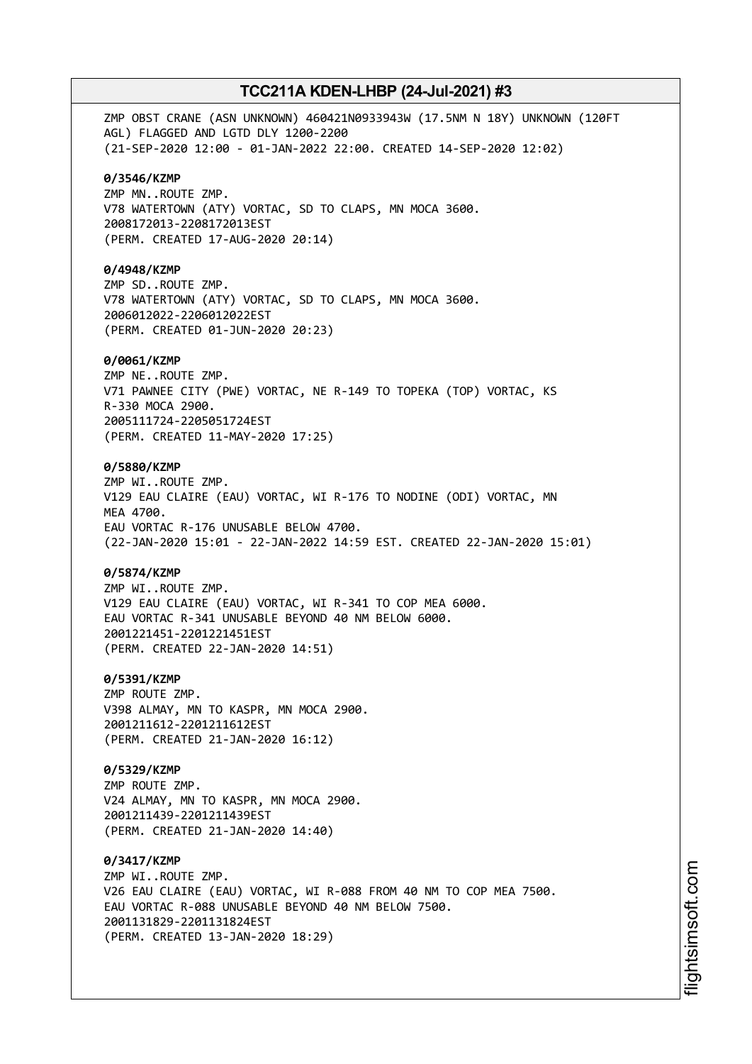ZMP OBST CRANE (ASN UNKNOWN) 460421N0933943W (17.5NM N 18Y) UNKNOWN (120FT AGL) FLAGGED AND LGTD DLY 1200-2200 (21-SEP-2020 12:00 - 01-JAN-2022 22:00. CREATED 14-SEP-2020 12:02) **0/3546/KZMP** ZMP MN..ROUTE ZMP. V78 WATERTOWN (ATY) VORTAC, SD TO CLAPS, MN MOCA 3600. 2008172013-2208172013EST (PERM. CREATED 17-AUG-2020 20:14) **0/4948/KZMP** ZMP SD..ROUTE ZMP. V78 WATERTOWN (ATY) VORTAC, SD TO CLAPS, MN MOCA 3600. 2006012022-2206012022EST (PERM. CREATED 01-JUN-2020 20:23) **0/0061/KZMP** ZMP NE..ROUTE ZMP. V71 PAWNEE CITY (PWE) VORTAC, NE R-149 TO TOPEKA (TOP) VORTAC, KS R-330 MOCA 2900. 2005111724-2205051724EST (PERM. CREATED 11-MAY-2020 17:25) **0/5880/KZMP** ZMP WI..ROUTE ZMP. V129 EAU CLAIRE (EAU) VORTAC, WI R-176 TO NODINE (ODI) VORTAC, MN MEA 4700. EAU VORTAC R-176 UNUSABLE BELOW 4700. (22-JAN-2020 15:01 - 22-JAN-2022 14:59 EST. CREATED 22-JAN-2020 15:01) **0/5874/KZMP** ZMP WI..ROUTE ZMP. V129 EAU CLAIRE (EAU) VORTAC, WI R-341 TO COP MEA 6000. EAU VORTAC R-341 UNUSABLE BEYOND 40 NM BELOW 6000. 2001221451-2201221451EST (PERM. CREATED 22-JAN-2020 14:51) **0/5391/KZMP** ZMP ROUTE ZMP. V398 ALMAY, MN TO KASPR, MN MOCA 2900. 2001211612-2201211612EST (PERM. CREATED 21-JAN-2020 16:12) **0/5329/KZMP** ZMP ROUTE ZMP. V24 ALMAY, MN TO KASPR, MN MOCA 2900. 2001211439-2201211439EST (PERM. CREATED 21-JAN-2020 14:40) **0/3417/KZMP** ZMP WI..ROUTE ZMP. V26 EAU CLAIRE (EAU) VORTAC, WI R-088 FROM 40 NM TO COP MEA 7500. EAU VORTAC R-088 UNUSABLE BEYOND 40 NM BELOW 7500. 2001131829-2201131824EST (PERM. CREATED 13-JAN-2020 18:29)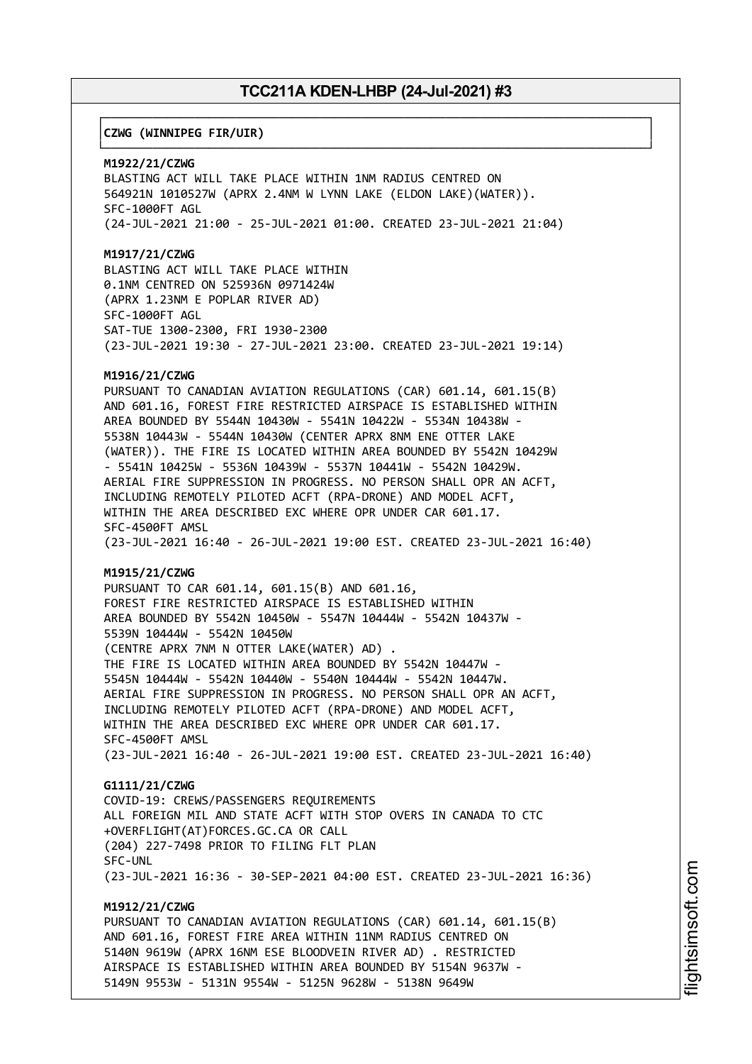┌──────────────────────────────────────────────────────────────────────────────┐

└──────────────────────────────────────────────────────────────────────────────┘

# │**CZWG (WINNIPEG FIR/UIR)** │

#### **M1922/21/CZWG**

BLASTING ACT WILL TAKE PLACE WITHIN 1NM RADIUS CENTRED ON 564921N 1010527W (APRX 2.4NM W LYNN LAKE (ELDON LAKE)(WATER)). SFC-1000FT AGL (24-JUL-2021 21:00 - 25-JUL-2021 01:00. CREATED 23-JUL-2021 21:04)

#### **M1917/21/CZWG**

BLASTING ACT WILL TAKE PLACE WITHIN 0.1NM CENTRED ON 525936N 0971424W (APRX 1.23NM E POPLAR RIVER AD) SFC-1000FT AGL SAT-TUE 1300-2300, FRI 1930-2300 (23-JUL-2021 19:30 - 27-JUL-2021 23:00. CREATED 23-JUL-2021 19:14)

# **M1916/21/CZWG**

PURSUANT TO CANADIAN AVIATION REGULATIONS (CAR) 601.14, 601.15(B) AND 601.16, FOREST FIRE RESTRICTED AIRSPACE IS ESTABLISHED WITHIN AREA BOUNDED BY 5544N 10430W - 5541N 10422W - 5534N 10438W - 5538N 10443W - 5544N 10430W (CENTER APRX 8NM ENE OTTER LAKE (WATER)). THE FIRE IS LOCATED WITHIN AREA BOUNDED BY 5542N 10429W - 5541N 10425W - 5536N 10439W - 5537N 10441W - 5542N 10429W. AERIAL FIRE SUPPRESSION IN PROGRESS. NO PERSON SHALL OPR AN ACFT, INCLUDING REMOTELY PILOTED ACFT (RPA-DRONE) AND MODEL ACFT, WITHIN THE AREA DESCRIBED EXC WHERE OPR UNDER CAR 601.17. SFC-4500FT AMSL (23-JUL-2021 16:40 - 26-JUL-2021 19:00 EST. CREATED 23-JUL-2021 16:40)

#### **M1915/21/CZWG**

PURSUANT TO CAR 601.14, 601.15(B) AND 601.16, FOREST FIRE RESTRICTED AIRSPACE IS ESTABLISHED WITHIN AREA BOUNDED BY 5542N 10450W - 5547N 10444W - 5542N 10437W - 5539N 10444W - 5542N 10450W (CENTRE APRX 7NM N OTTER LAKE(WATER) AD) . THE FIRE IS LOCATED WITHIN AREA BOUNDED BY 5542N 10447W - 5545N 10444W - 5542N 10440W - 5540N 10444W - 5542N 10447W. AERIAL FIRE SUPPRESSION IN PROGRESS. NO PERSON SHALL OPR AN ACFT, INCLUDING REMOTELY PILOTED ACFT (RPA-DRONE) AND MODEL ACFT, WITHIN THE AREA DESCRIBED EXC WHERE OPR UNDER CAR 601.17. SFC-4500FT AMSL (23-JUL-2021 16:40 - 26-JUL-2021 19:00 EST. CREATED 23-JUL-2021 16:40)

### **G1111/21/CZWG**

COVID-19: CREWS/PASSENGERS REQUIREMENTS ALL FOREIGN MIL AND STATE ACFT WITH STOP OVERS IN CANADA TO CTC +OVERFLIGHT(AT)FORCES.GC.CA OR CALL (204) 227-7498 PRIOR TO FILING FLT PLAN SFC-UNL (23-JUL-2021 16:36 - 30-SEP-2021 04:00 EST. CREATED 23-JUL-2021 16:36)

# **M1912/21/CZWG**

PURSUANT TO CANADIAN AVIATION REGULATIONS (CAR) 601.14, 601.15(B) AND 601.16, FOREST FIRE AREA WITHIN 11NM RADIUS CENTRED ON 5140N 9619W (APRX 16NM ESE BLOODVEIN RIVER AD) . RESTRICTED AIRSPACE IS ESTABLISHED WITHIN AREA BOUNDED BY 5154N 9637W - 5149N 9553W - 5131N 9554W - 5125N 9628W - 5138N 9649W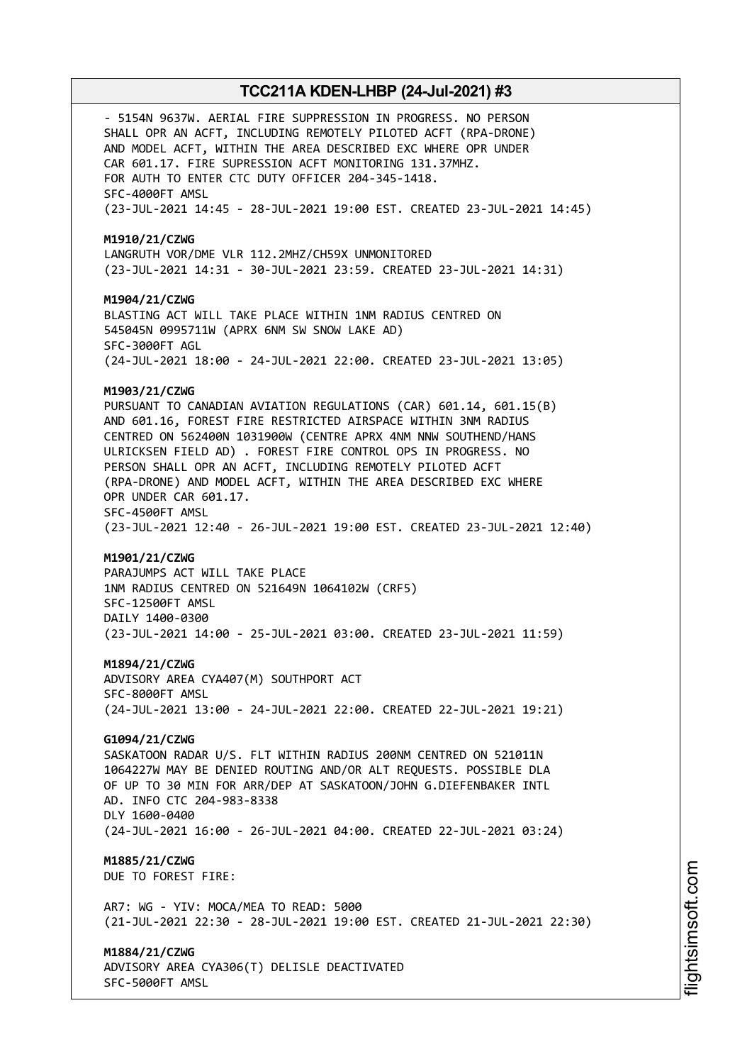- 5154N 9637W. AERIAL FIRE SUPPRESSION IN PROGRESS. NO PERSON SHALL OPR AN ACFT, INCLUDING REMOTELY PILOTED ACFT (RPA-DRONE) AND MODEL ACFT, WITHIN THE AREA DESCRIBED EXC WHERE OPR UNDER CAR 601.17. FIRE SUPRESSION ACFT MONITORING 131.37MHZ. FOR AUTH TO ENTER CTC DUTY OFFICER 204-345-1418. SFC-4000FT AMSL (23-JUL-2021 14:45 - 28-JUL-2021 19:00 EST. CREATED 23-JUL-2021 14:45) **M1910/21/CZWG** LANGRUTH VOR/DME VLR 112.2MHZ/CH59X UNMONITORED (23-JUL-2021 14:31 - 30-JUL-2021 23:59. CREATED 23-JUL-2021 14:31) **M1904/21/CZWG** BLASTING ACT WILL TAKE PLACE WITHIN 1NM RADIUS CENTRED ON 545045N 0995711W (APRX 6NM SW SNOW LAKE AD) SFC-3000FT AGL (24-JUL-2021 18:00 - 24-JUL-2021 22:00. CREATED 23-JUL-2021 13:05) **M1903/21/CZWG** PURSUANT TO CANADIAN AVIATION REGULATIONS (CAR) 601.14, 601.15(B) AND 601.16, FOREST FIRE RESTRICTED AIRSPACE WITHIN 3NM RADIUS CENTRED ON 562400N 1031900W (CENTRE APRX 4NM NNW SOUTHEND/HANS ULRICKSEN FIELD AD) . FOREST FIRE CONTROL OPS IN PROGRESS. NO PERSON SHALL OPR AN ACFT, INCLUDING REMOTELY PILOTED ACFT (RPA-DRONE) AND MODEL ACFT, WITHIN THE AREA DESCRIBED EXC WHERE OPR UNDER CAR 601.17. SFC-4500FT AMSL (23-JUL-2021 12:40 - 26-JUL-2021 19:00 EST. CREATED 23-JUL-2021 12:40) **M1901/21/CZWG** PARAJUMPS ACT WILL TAKE PLACE 1NM RADIUS CENTRED ON 521649N 1064102W (CRF5) SFC-12500FT AMSL DAILY 1400-0300 (23-JUL-2021 14:00 - 25-JUL-2021 03:00. CREATED 23-JUL-2021 11:59) **M1894/21/CZWG** ADVISORY AREA CYA407(M) SOUTHPORT ACT SFC-8000FT AMSL (24-JUL-2021 13:00 - 24-JUL-2021 22:00. CREATED 22-JUL-2021 19:21) **G1094/21/CZWG** SASKATOON RADAR U/S. FLT WITHIN RADIUS 200NM CENTRED ON 521011N 1064227W MAY BE DENIED ROUTING AND/OR ALT REQUESTS. POSSIBLE DLA OF UP TO 30 MIN FOR ARR/DEP AT SASKATOON/JOHN G.DIEFENBAKER INTL AD. INFO CTC 204-983-8338 DLY 1600-0400 (24-JUL-2021 16:00 - 26-JUL-2021 04:00. CREATED 22-JUL-2021 03:24) **M1885/21/CZWG** DUE TO FOREST FIRE: AR7: WG - YIV: MOCA/MEA TO READ: 5000 (21-JUL-2021 22:30 - 28-JUL-2021 19:00 EST. CREATED 21-JUL-2021 22:30) **M1884/21/CZWG** ADVISORY AREA CYA306(T) DELISLE DEACTIVATED

SFC-5000FT AMSL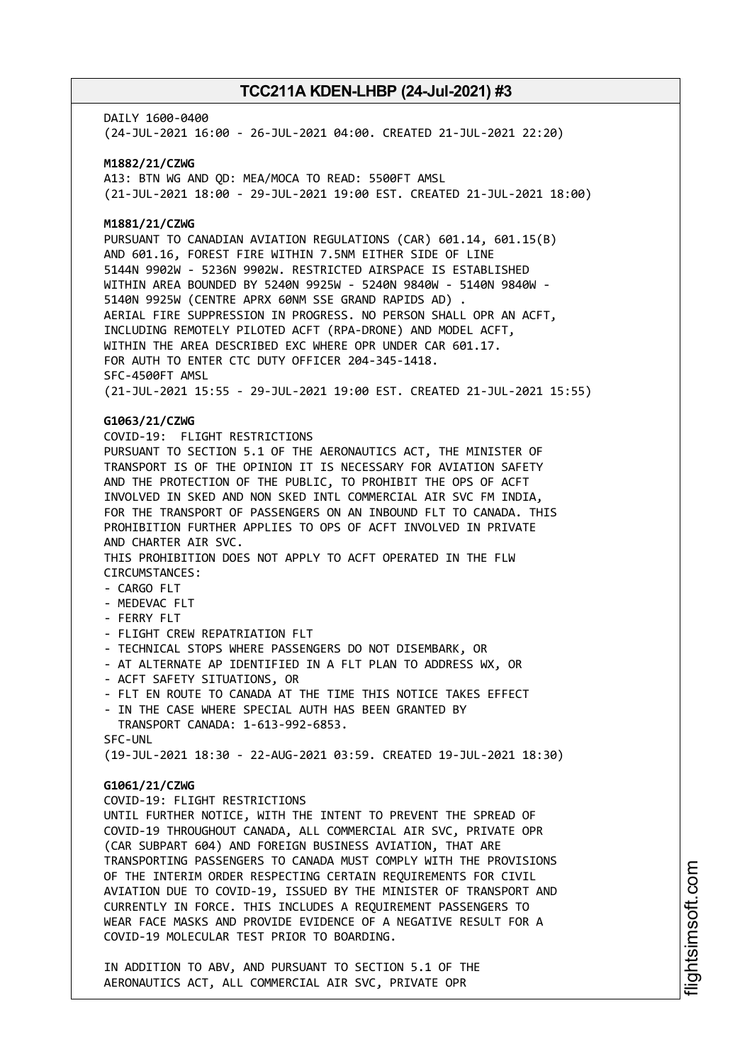DAILY 1600-0400 (24-JUL-2021 16:00 - 26-JUL-2021 04:00. CREATED 21-JUL-2021 22:20)

**M1882/21/CZWG** A13: BTN WG AND QD: MEA/MOCA TO READ: 5500FT AMSL (21-JUL-2021 18:00 - 29-JUL-2021 19:00 EST. CREATED 21-JUL-2021 18:00)

# **M1881/21/CZWG**

PURSUANT TO CANADIAN AVIATION REGULATIONS (CAR) 601.14, 601.15(B) AND 601.16, FOREST FIRE WITHIN 7.5NM EITHER SIDE OF LINE 5144N 9902W - 5236N 9902W. RESTRICTED AIRSPACE IS ESTABLISHED WITHIN AREA BOUNDED BY 5240N 9925W - 5240N 9840W - 5140N 9840W - 5140N 9925W (CENTRE APRX 60NM SSE GRAND RAPIDS AD) . AERIAL FIRE SUPPRESSION IN PROGRESS. NO PERSON SHALL OPR AN ACFT, INCLUDING REMOTELY PILOTED ACFT (RPA-DRONE) AND MODEL ACFT, WITHIN THE AREA DESCRIBED EXC WHERE OPR UNDER CAR 601.17. FOR AUTH TO ENTER CTC DUTY OFFICER 204-345-1418. SFC-4500FT AMSL (21-JUL-2021 15:55 - 29-JUL-2021 19:00 EST. CREATED 21-JUL-2021 15:55)

# **G1063/21/CZWG**

COVID-19: FLIGHT RESTRICTIONS

PURSUANT TO SECTION 5.1 OF THE AERONAUTICS ACT, THE MINISTER OF TRANSPORT IS OF THE OPINION IT IS NECESSARY FOR AVIATION SAFETY AND THE PROTECTION OF THE PUBLIC, TO PROHIBIT THE OPS OF ACFT INVOLVED IN SKED AND NON SKED INTL COMMERCIAL AIR SVC FM INDIA, FOR THE TRANSPORT OF PASSENGERS ON AN INBOUND FLT TO CANADA. THIS PROHIBITION FURTHER APPLIES TO OPS OF ACFT INVOLVED IN PRIVATE AND CHARTER AIR SVC. THIS PROHIBITION DOES NOT APPLY TO ACFT OPERATED IN THE FLW CIRCUMSTANCES:

- CARGO FLT
- MEDEVAC FLT
- FERRY FLT
- FLIGHT CREW REPATRIATION FLT
- 
- TECHNICAL STOPS WHERE PASSENGERS DO NOT DISEMBARK, OR - AT ALTERNATE AP IDENTIFIED IN A FLT PLAN TO ADDRESS WX, OR
- ACFT SAFETY SITUATIONS, OR
- FLT EN ROUTE TO CANADA AT THE TIME THIS NOTICE TAKES EFFECT
- IN THE CASE WHERE SPECIAL AUTH HAS BEEN GRANTED BY TRANSPORT CANADA: 1-613-992-6853. SFC-UNL

(19-JUL-2021 18:30 - 22-AUG-2021 03:59. CREATED 19-JUL-2021 18:30)

# **G1061/21/CZWG**

COVID-19: FLIGHT RESTRICTIONS

UNTIL FURTHER NOTICE, WITH THE INTENT TO PREVENT THE SPREAD OF COVID-19 THROUGHOUT CANADA, ALL COMMERCIAL AIR SVC, PRIVATE OPR (CAR SUBPART 604) AND FOREIGN BUSINESS AVIATION, THAT ARE TRANSPORTING PASSENGERS TO CANADA MUST COMPLY WITH THE PROVISIONS OF THE INTERIM ORDER RESPECTING CERTAIN REQUIREMENTS FOR CIVIL AVIATION DUE TO COVID-19, ISSUED BY THE MINISTER OF TRANSPORT AND CURRENTLY IN FORCE. THIS INCLUDES A REQUIREMENT PASSENGERS TO WEAR FACE MASKS AND PROVIDE EVIDENCE OF A NEGATIVE RESULT FOR A COVID-19 MOLECULAR TEST PRIOR TO BOARDING.

IN ADDITION TO ABV, AND PURSUANT TO SECTION 5.1 OF THE AERONAUTICS ACT, ALL COMMERCIAL AIR SVC, PRIVATE OPR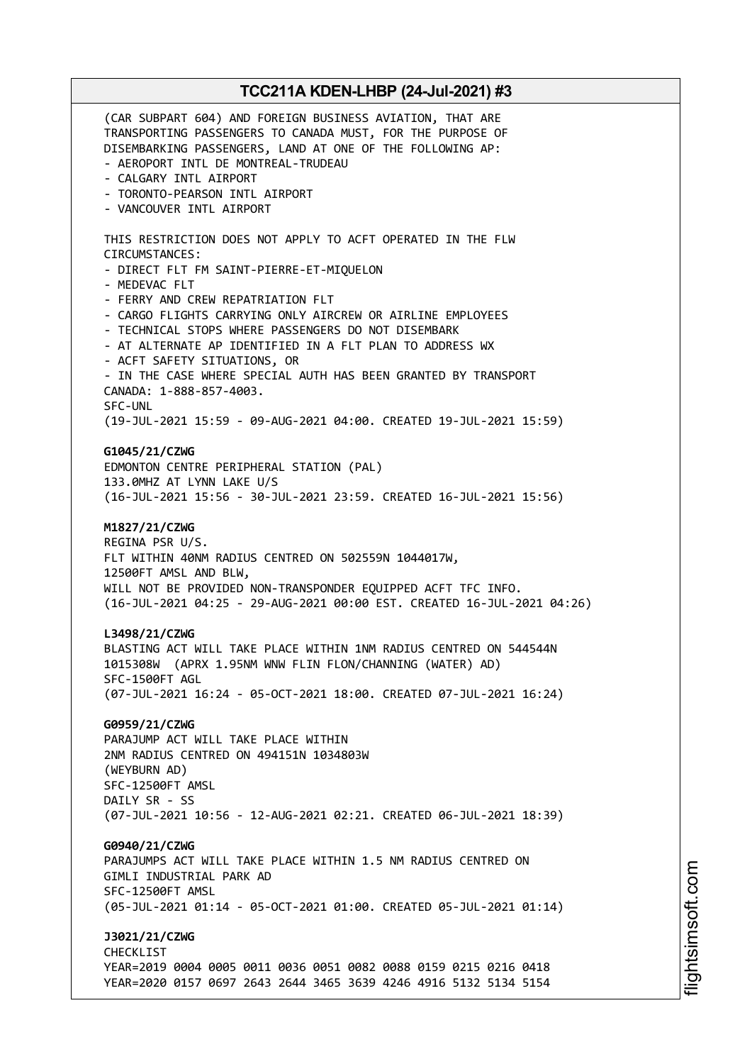(CAR SUBPART 604) AND FOREIGN BUSINESS AVIATION, THAT ARE TRANSPORTING PASSENGERS TO CANADA MUST, FOR THE PURPOSE OF DISEMBARKING PASSENGERS, LAND AT ONE OF THE FOLLOWING AP: - AEROPORT INTL DE MONTREAL-TRUDEAU - CALGARY INTL AIRPORT - TORONTO-PEARSON INTL AIRPORT - VANCOUVER INTL AIRPORT THIS RESTRICTION DOES NOT APPLY TO ACFT OPERATED IN THE FLW CIRCUMSTANCES: - DIRECT FLT FM SAINT-PIERRE-ET-MIQUELON - MEDEVAC FLT - FERRY AND CREW REPATRIATION FLT - CARGO FLIGHTS CARRYING ONLY AIRCREW OR AIRLINE EMPLOYEES - TECHNICAL STOPS WHERE PASSENGERS DO NOT DISEMBARK - AT ALTERNATE AP IDENTIFIED IN A FLT PLAN TO ADDRESS WX - ACFT SAFETY SITUATIONS, OR - IN THE CASE WHERE SPECIAL AUTH HAS BEEN GRANTED BY TRANSPORT CANADA: 1-888-857-4003. SFC-UNL (19-JUL-2021 15:59 - 09-AUG-2021 04:00. CREATED 19-JUL-2021 15:59) **G1045/21/CZWG** EDMONTON CENTRE PERIPHERAL STATION (PAL) 133.0MHZ AT LYNN LAKE U/S (16-JUL-2021 15:56 - 30-JUL-2021 23:59. CREATED 16-JUL-2021 15:56) **M1827/21/CZWG** REGINA PSR U/S. FLT WITHIN 40NM RADIUS CENTRED ON 502559N 1044017W, 12500FT AMSL AND BLW, WILL NOT BE PROVIDED NON-TRANSPONDER EQUIPPED ACFT TFC INFO. (16-JUL-2021 04:25 - 29-AUG-2021 00:00 EST. CREATED 16-JUL-2021 04:26) **L3498/21/CZWG** BLASTING ACT WILL TAKE PLACE WITHIN 1NM RADIUS CENTRED ON 544544N 1015308W (APRX 1.95NM WNW FLIN FLON/CHANNING (WATER) AD) SFC-1500FT AGL (07-JUL-2021 16:24 - 05-OCT-2021 18:00. CREATED 07-JUL-2021 16:24) **G0959/21/CZWG** PARAJUMP ACT WILL TAKE PLACE WITHIN 2NM RADIUS CENTRED ON 494151N 1034803W (WEYBURN AD) SFC-12500FT AMSL DAILY SR - SS (07-JUL-2021 10:56 - 12-AUG-2021 02:21. CREATED 06-JUL-2021 18:39) **G0940/21/CZWG** PARAJUMPS ACT WILL TAKE PLACE WITHIN 1.5 NM RADIUS CENTRED ON GIMLI INDUSTRIAL PARK AD SFC-12500FT AMSL (05-JUL-2021 01:14 - 05-OCT-2021 01:00. CREATED 05-JUL-2021 01:14) **J3021/21/CZWG CHECKLIST** YEAR=2019 0004 0005 0011 0036 0051 0082 0088 0159 0215 0216 0418 YEAR=2020 0157 0697 2643 2644 3465 3639 4246 4916 5132 5134 5154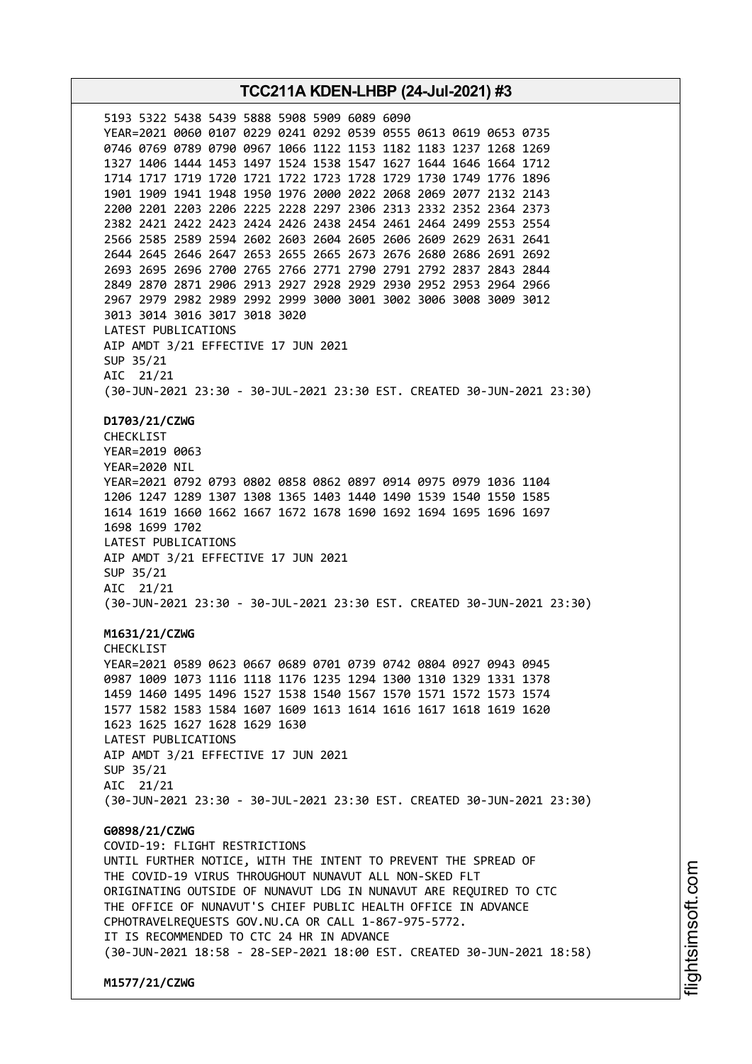i⊒<br>⊫ htsim soft.c om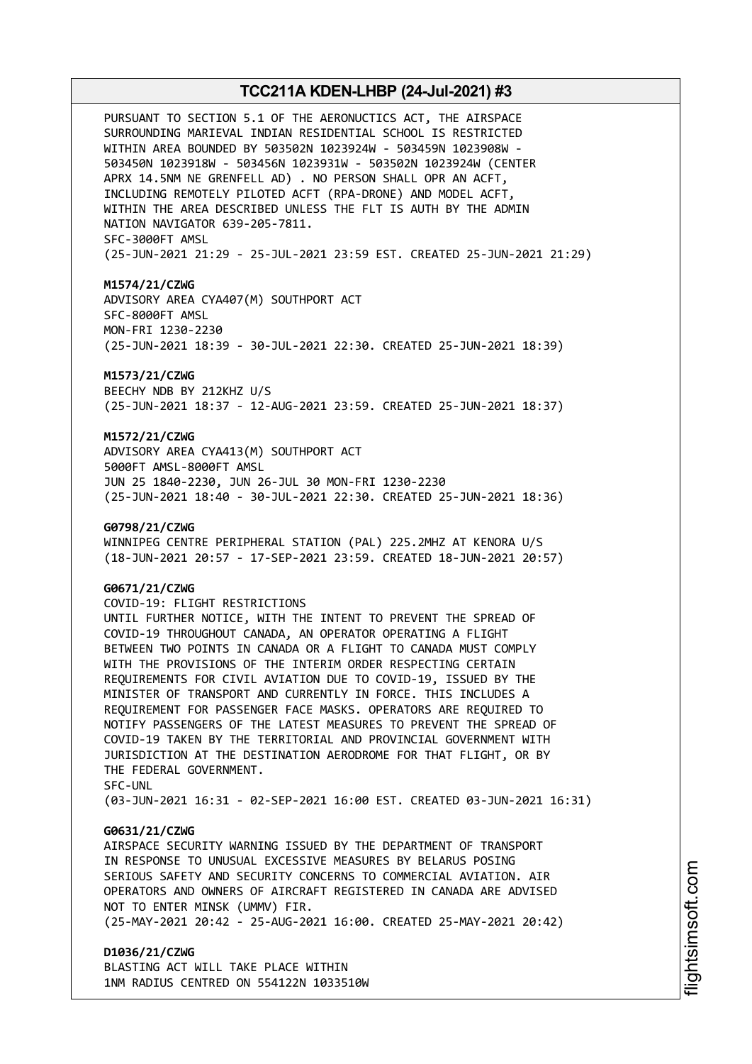PURSUANT TO SECTION 5.1 OF THE AERONUCTICS ACT, THE AIRSPACE SURROUNDING MARIEVAL INDIAN RESIDENTIAL SCHOOL IS RESTRICTED WITHIN AREA BOUNDED BY 503502N 1023924W - 503459N 1023908W - 503450N 1023918W - 503456N 1023931W - 503502N 1023924W (CENTER APRX 14.5NM NE GRENFELL AD) . NO PERSON SHALL OPR AN ACFT, INCLUDING REMOTELY PILOTED ACFT (RPA-DRONE) AND MODEL ACFT, WITHIN THE AREA DESCRIBED UNLESS THE FLT IS AUTH BY THE ADMIN NATION NAVIGATOR 639-205-7811. SFC-3000FT AMSL (25-JUN-2021 21:29 - 25-JUL-2021 23:59 EST. CREATED 25-JUN-2021 21:29)

#### **M1574/21/CZWG**

ADVISORY AREA CYA407(M) SOUTHPORT ACT SFC-8000FT AMSL MON-FRI 1230-2230 (25-JUN-2021 18:39 - 30-JUL-2021 22:30. CREATED 25-JUN-2021 18:39)

**M1573/21/CZWG** BEECHY NDB BY 212KHZ U/S (25-JUN-2021 18:37 - 12-AUG-2021 23:59. CREATED 25-JUN-2021 18:37)

# **M1572/21/CZWG**

ADVISORY AREA CYA413(M) SOUTHPORT ACT 5000FT AMSL-8000FT AMSL JUN 25 1840-2230, JUN 26-JUL 30 MON-FRI 1230-2230 (25-JUN-2021 18:40 - 30-JUL-2021 22:30. CREATED 25-JUN-2021 18:36)

#### **G0798/21/CZWG**

WINNIPEG CENTRE PERIPHERAL STATION (PAL) 225.2MHZ AT KENORA U/S (18-JUN-2021 20:57 - 17-SEP-2021 23:59. CREATED 18-JUN-2021 20:57)

### **G0671/21/CZWG**

COVID-19: FLIGHT RESTRICTIONS UNTIL FURTHER NOTICE, WITH THE INTENT TO PREVENT THE SPREAD OF COVID-19 THROUGHOUT CANADA, AN OPERATOR OPERATING A FLIGHT BETWEEN TWO POINTS IN CANADA OR A FLIGHT TO CANADA MUST COMPLY WITH THE PROVISIONS OF THE INTERIM ORDER RESPECTING CERTAIN REQUIREMENTS FOR CIVIL AVIATION DUE TO COVID-19, ISSUED BY THE MINISTER OF TRANSPORT AND CURRENTLY IN FORCE. THIS INCLUDES A REQUIREMENT FOR PASSENGER FACE MASKS. OPERATORS ARE REQUIRED TO NOTIFY PASSENGERS OF THE LATEST MEASURES TO PREVENT THE SPREAD OF COVID-19 TAKEN BY THE TERRITORIAL AND PROVINCIAL GOVERNMENT WITH JURISDICTION AT THE DESTINATION AERODROME FOR THAT FLIGHT, OR BY THE FEDERAL GOVERNMENT. SFC-UNL

(03-JUN-2021 16:31 - 02-SEP-2021 16:00 EST. CREATED 03-JUN-2021 16:31)

# **G0631/21/CZWG**

AIRSPACE SECURITY WARNING ISSUED BY THE DEPARTMENT OF TRANSPORT IN RESPONSE TO UNUSUAL EXCESSIVE MEASURES BY BELARUS POSING SERIOUS SAFETY AND SECURITY CONCERNS TO COMMERCIAL AVIATION. AIR OPERATORS AND OWNERS OF AIRCRAFT REGISTERED IN CANADA ARE ADVISED NOT TO ENTER MINSK (UMMV) FIR.

(25-MAY-2021 20:42 - 25-AUG-2021 16:00. CREATED 25-MAY-2021 20:42)

# **D1036/21/CZWG** BLASTING ACT WILL TAKE PLACE WITHIN 1NM RADIUS CENTRED ON 554122N 1033510W

i⊒<br>⊫ htsim soft.c om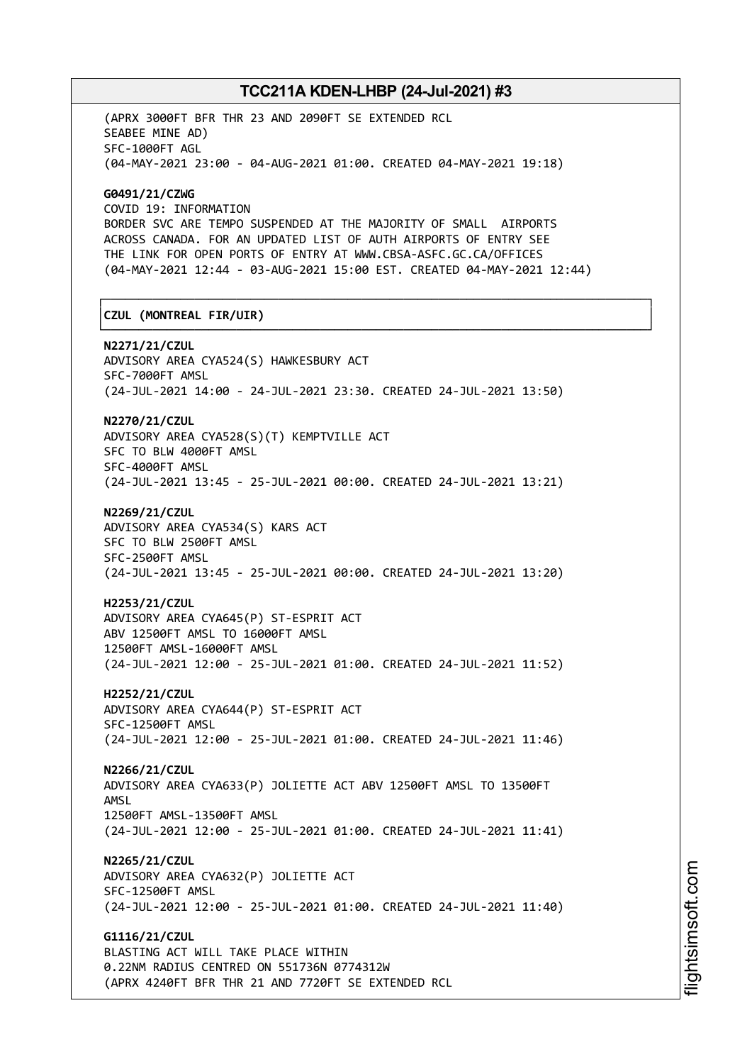(APRX 3000FT BFR THR 23 AND 2090FT SE EXTENDED RCL SEABEE MINE AD) SFC-1000FT AGL (04-MAY-2021 23:00 - 04-AUG-2021 01:00. CREATED 04-MAY-2021 19:18)

**G0491/21/CZWG** COVID 19: INFORMATION BORDER SVC ARE TEMPO SUSPENDED AT THE MAJORITY OF SMALL AIRPORTS ACROSS CANADA. FOR AN UPDATED LIST OF AUTH AIRPORTS OF ENTRY SEE THE LINK FOR OPEN PORTS OF ENTRY AT WWW.CBSA-ASFC.GC.CA/OFFICES (04-MAY-2021 12:44 - 03-AUG-2021 15:00 EST. CREATED 04-MAY-2021 12:44)

┌──────────────────────────────────────────────────────────────────────────────┐

# │**CZUL (MONTREAL FIR/UIR)** │

└──────────────────────────────────────────────────────────────────────────────┘ **N2271/21/CZUL** ADVISORY AREA CYA524(S) HAWKESBURY ACT SFC-7000FT AMSL (24-JUL-2021 14:00 - 24-JUL-2021 23:30. CREATED 24-JUL-2021 13:50)

**N2270/21/CZUL** ADVISORY AREA CYA528(S)(T) KEMPTVILLE ACT SFC TO BLW 4000FT AMSL SFC-4000FT AMSL (24-JUL-2021 13:45 - 25-JUL-2021 00:00. CREATED 24-JUL-2021 13:21)

**N2269/21/CZUL** ADVISORY AREA CYA534(S) KARS ACT SFC TO BLW 2500FT AMSL SFC-2500FT AMSL (24-JUL-2021 13:45 - 25-JUL-2021 00:00. CREATED 24-JUL-2021 13:20)

**H2253/21/CZUL** ADVISORY AREA CYA645(P) ST-ESPRIT ACT ABV 12500FT AMSL TO 16000FT AMSL 12500FT AMSL-16000FT AMSL (24-JUL-2021 12:00 - 25-JUL-2021 01:00. CREATED 24-JUL-2021 11:52)

**H2252/21/CZUL** ADVISORY AREA CYA644(P) ST-ESPRIT ACT SFC-12500FT AMSL (24-JUL-2021 12:00 - 25-JUL-2021 01:00. CREATED 24-JUL-2021 11:46)

**N2266/21/CZUL** ADVISORY AREA CYA633(P) JOLIETTE ACT ABV 12500FT AMSL TO 13500FT AMSL 12500FT AMSL-13500FT AMSL (24-JUL-2021 12:00 - 25-JUL-2021 01:00. CREATED 24-JUL-2021 11:41)

**N2265/21/CZUL** ADVISORY AREA CYA632(P) JOLIETTE ACT SFC-12500FT AMSL (24-JUL-2021 12:00 - 25-JUL-2021 01:00. CREATED 24-JUL-2021 11:40)

**G1116/21/CZUL** BLASTING ACT WILL TAKE PLACE WITHIN 0.22NM RADIUS CENTRED ON 551736N 0774312W (APRX 4240FT BFR THR 21 AND 7720FT SE EXTENDED RCL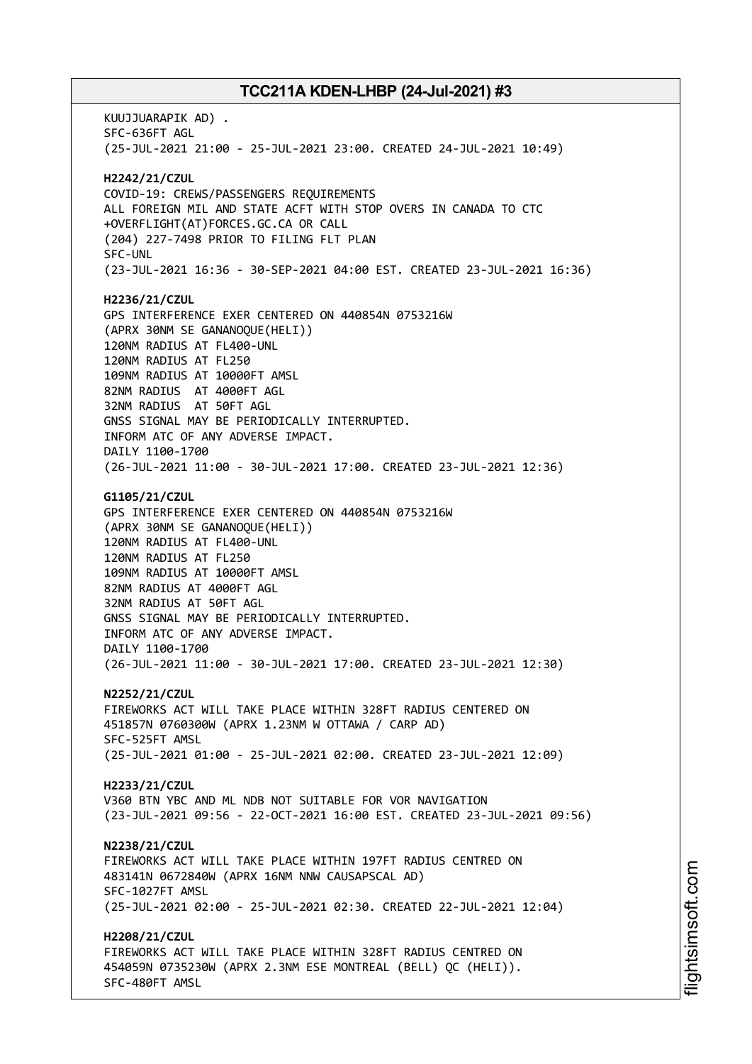KUUJJUARAPIK AD) . SFC-636FT AGL (25-JUL-2021 21:00 - 25-JUL-2021 23:00. CREATED 24-JUL-2021 10:49) **H2242/21/CZUL** COVID-19: CREWS/PASSENGERS REQUIREMENTS ALL FOREIGN MIL AND STATE ACFT WITH STOP OVERS IN CANADA TO CTC +OVERFLIGHT(AT)FORCES.GC.CA OR CALL (204) 227-7498 PRIOR TO FILING FLT PLAN SFC-UNL (23-JUL-2021 16:36 - 30-SEP-2021 04:00 EST. CREATED 23-JUL-2021 16:36) **H2236/21/CZUL** GPS INTERFERENCE EXER CENTERED ON 440854N 0753216W (APRX 30NM SE GANANOQUE(HELI)) 120NM RADIUS AT FL400-UNL 120NM RADIUS AT FL250 109NM RADIUS AT 10000FT AMSL 82NM RADIUS AT 4000FT AGL 32NM RADIUS AT 50FT AGL GNSS SIGNAL MAY BE PERIODICALLY INTERRUPTED. INFORM ATC OF ANY ADVERSE IMPACT. DAILY 1100-1700 (26-JUL-2021 11:00 - 30-JUL-2021 17:00. CREATED 23-JUL-2021 12:36) **G1105/21/CZUL** GPS INTERFERENCE EXER CENTERED ON 440854N 0753216W (APRX 30NM SE GANANOQUE(HELI)) 120NM RADIUS AT FL400-UNL 120NM RADIUS AT FL250 109NM RADIUS AT 10000FT AMSL 82NM RADIUS AT 4000FT AGL 32NM RADIUS AT 50FT AGL GNSS SIGNAL MAY BE PERIODICALLY INTERRUPTED. INFORM ATC OF ANY ADVERSE IMPACT. DAILY 1100-1700 (26-JUL-2021 11:00 - 30-JUL-2021 17:00. CREATED 23-JUL-2021 12:30) **N2252/21/CZUL** FIREWORKS ACT WILL TAKE PLACE WITHIN 328FT RADIUS CENTERED ON 451857N 0760300W (APRX 1.23NM W OTTAWA / CARP AD) SFC-525FT AMSL (25-JUL-2021 01:00 - 25-JUL-2021 02:00. CREATED 23-JUL-2021 12:09) **H2233/21/CZUL** V360 BTN YBC AND ML NDB NOT SUITABLE FOR VOR NAVIGATION (23-JUL-2021 09:56 - 22-OCT-2021 16:00 EST. CREATED 23-JUL-2021 09:56) **N2238/21/CZUL** FIREWORKS ACT WILL TAKE PLACE WITHIN 197FT RADIUS CENTRED ON 483141N 0672840W (APRX 16NM NNW CAUSAPSCAL AD) SFC-1027FT AMSL (25-JUL-2021 02:00 - 25-JUL-2021 02:30. CREATED 22-JUL-2021 12:04) **H2208/21/CZUL** FIREWORKS ACT WILL TAKE PLACE WITHIN 328FT RADIUS CENTRED ON 454059N 0735230W (APRX 2.3NM ESE MONTREAL (BELL) QC (HELI)). SFC-480FT AMSL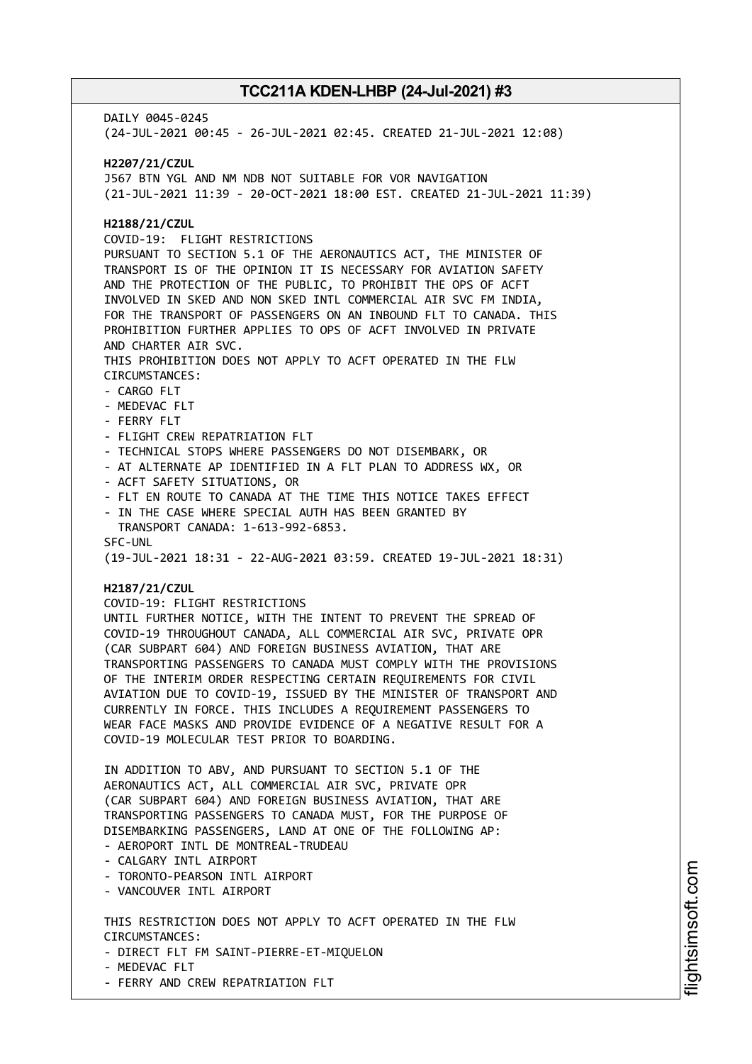DATIY 0045-0245 (24-JUL-2021 00:45 - 26-JUL-2021 02:45. CREATED 21-JUL-2021 12:08) **H2207/21/CZUL** J567 BTN YGL AND NM NDB NOT SUITABLE FOR VOR NAVIGATION (21-JUL-2021 11:39 - 20-OCT-2021 18:00 EST. CREATED 21-JUL-2021 11:39) **H2188/21/CZUL** COVID-19: FLIGHT RESTRICTIONS PURSUANT TO SECTION 5.1 OF THE AERONAUTICS ACT, THE MINISTER OF TRANSPORT IS OF THE OPINION IT IS NECESSARY FOR AVIATION SAFETY AND THE PROTECTION OF THE PUBLIC, TO PROHIBIT THE OPS OF ACFT INVOLVED IN SKED AND NON SKED INTL COMMERCIAL AIR SVC FM INDIA, FOR THE TRANSPORT OF PASSENGERS ON AN INBOUND FLT TO CANADA. THIS PROHIBITION FURTHER APPLIES TO OPS OF ACFT INVOLVED IN PRIVATE AND CHARTER AIR SVC. THIS PROHIBITION DOES NOT APPLY TO ACFT OPERATED IN THE FLW CIRCUMSTANCES: - CARGO FLT - MEDEVAC FLT - FERRY FLT - FLIGHT CREW REPATRIATION FLT - TECHNICAL STOPS WHERE PASSENGERS DO NOT DISEMBARK, OR - AT ALTERNATE AP IDENTIFIED IN A FLT PLAN TO ADDRESS WX, OR - ACFT SAFETY SITUATIONS, OR - FLT EN ROUTE TO CANADA AT THE TIME THIS NOTICE TAKES EFFECT - IN THE CASE WHERE SPECIAL AUTH HAS BEEN GRANTED BY TRANSPORT CANADA: 1-613-992-6853. SFC-UNL (19-JUL-2021 18:31 - 22-AUG-2021 03:59. CREATED 19-JUL-2021 18:31) **H2187/21/CZUL** COVID-19: FLIGHT RESTRICTIONS UNTIL FURTHER NOTICE, WITH THE INTENT TO PREVENT THE SPREAD OF COVID-19 THROUGHOUT CANADA, ALL COMMERCIAL AIR SVC, PRIVATE OPR (CAR SUBPART 604) AND FOREIGN BUSINESS AVIATION, THAT ARE TRANSPORTING PASSENGERS TO CANADA MUST COMPLY WITH THE PROVISIONS OF THE INTERIM ORDER RESPECTING CERTAIN REQUIREMENTS FOR CIVIL AVIATION DUE TO COVID-19, ISSUED BY THE MINISTER OF TRANSPORT AND CURRENTLY IN FORCE. THIS INCLUDES A REQUIREMENT PASSENGERS TO WEAR FACE MASKS AND PROVIDE EVIDENCE OF A NEGATIVE RESULT FOR A COVID-19 MOLECULAR TEST PRIOR TO BOARDING. IN ADDITION TO ABV, AND PURSUANT TO SECTION 5.1 OF THE AERONAUTICS ACT, ALL COMMERCIAL AIR SVC, PRIVATE OPR (CAR SUBPART 604) AND FOREIGN BUSINESS AVIATION, THAT ARE TRANSPORTING PASSENGERS TO CANADA MUST, FOR THE PURPOSE OF DISEMBARKING PASSENGERS, LAND AT ONE OF THE FOLLOWING AP: - AEROPORT INTL DE MONTREAL-TRUDEAU - CALGARY INTL AIRPORT - TORONTO-PEARSON INTL AIRPORT - VANCOUVER INTL AIRPORT THIS RESTRICTION DOES NOT APPLY TO ACFT OPERATED IN THE FLW CIRCUMSTANCES: - DIRECT FLT FM SAINT-PIERRE-ET-MIQUELON - MEDEVAC FLT - FERRY AND CREW REPATRIATION FLT

i⊒<br>⊫ htsim soft.c om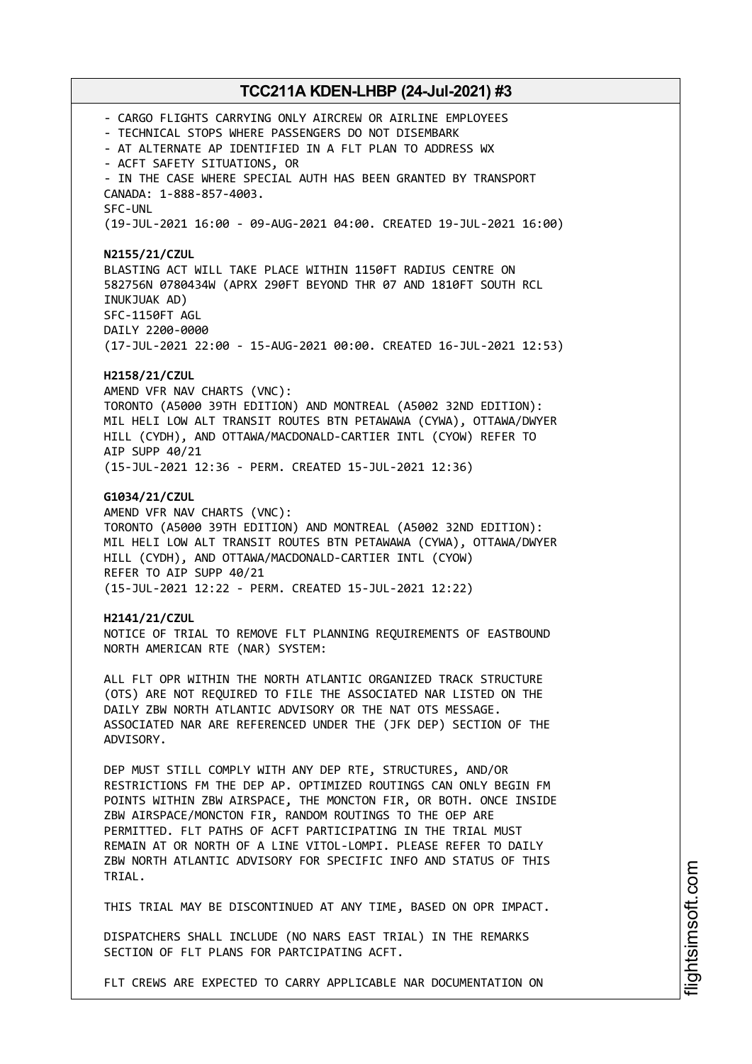- CARGO FLIGHTS CARRYING ONLY AIRCREW OR AIRLINE EMPLOYEES - TECHNICAL STOPS WHERE PASSENGERS DO NOT DISEMBARK - AT ALTERNATE AP IDENTIFIED IN A FLT PLAN TO ADDRESS WX - ACFT SAFETY SITUATIONS, OR - IN THE CASE WHERE SPECIAL AUTH HAS BEEN GRANTED BY TRANSPORT CANADA: 1-888-857-4003. SFC-UNL (19-JUL-2021 16:00 - 09-AUG-2021 04:00. CREATED 19-JUL-2021 16:00) **N2155/21/CZUL** BLASTING ACT WILL TAKE PLACE WITHIN 1150FT RADIUS CENTRE ON 582756N 0780434W (APRX 290FT BEYOND THR 07 AND 1810FT SOUTH RCL INUKJUAK AD) SFC-1150FT AGL DAILY 2200-0000 (17-JUL-2021 22:00 - 15-AUG-2021 00:00. CREATED 16-JUL-2021 12:53) **H2158/21/CZUL** AMEND VFR NAV CHARTS (VNC): TORONTO (A5000 39TH EDITION) AND MONTREAL (A5002 32ND EDITION): MIL HELI LOW ALT TRANSIT ROUTES BTN PETAWAWA (CYWA), OTTAWA/DWYER HILL (CYDH), AND OTTAWA/MACDONALD-CARTIER INTL (CYOW) REFER TO AIP SUPP 40/21 (15-JUL-2021 12:36 - PERM. CREATED 15-JUL-2021 12:36) **G1034/21/CZUL** AMEND VFR NAV CHARTS (VNC): TORONTO (A5000 39TH EDITION) AND MONTREAL (A5002 32ND EDITION): MIL HELI LOW ALT TRANSIT ROUTES BTN PETAWAWA (CYWA), OTTAWA/DWYER HILL (CYDH), AND OTTAWA/MACDONALD-CARTIER INTL (CYOW) REFER TO AIP SUPP 40/21 (15-JUL-2021 12:22 - PERM. CREATED 15-JUL-2021 12:22) **H2141/21/CZUL** NOTICE OF TRIAL TO REMOVE FLT PLANNING REQUIREMENTS OF EASTBOUND NORTH AMERICAN RTE (NAR) SYSTEM: ALL FLT OPR WITHIN THE NORTH ATLANTIC ORGANIZED TRACK STRUCTURE (OTS) ARE NOT REQUIRED TO FILE THE ASSOCIATED NAR LISTED ON THE DAILY ZBW NORTH ATLANTIC ADVISORY OR THE NAT OTS MESSAGE. ASSOCIATED NAR ARE REFERENCED UNDER THE (JFK DEP) SECTION OF THE ADVISORY. DEP MUST STILL COMPLY WITH ANY DEP RTE, STRUCTURES, AND/OR RESTRICTIONS FM THE DEP AP. OPTIMIZED ROUTINGS CAN ONLY BEGIN FM POINTS WITHIN ZBW AIRSPACE, THE MONCTON FIR, OR BOTH. ONCE INSIDE ZBW AIRSPACE/MONCTON FIR, RANDOM ROUTINGS TO THE OEP ARE PERMITTED. FLT PATHS OF ACFT PARTICIPATING IN THE TRIAL MUST REMAIN AT OR NORTH OF A LINE VITOL-LOMPI. PLEASE REFER TO DAILY ZBW NORTH ATLANTIC ADVISORY FOR SPECIFIC INFO AND STATUS OF THIS TRIAL. THIS TRIAL MAY BE DISCONTINUED AT ANY TIME, BASED ON OPR IMPACT. DISPATCHERS SHALL INCLUDE (NO NARS EAST TRIAL) IN THE REMARKS SECTION OF FLT PLANS FOR PARTCIPATING ACFT. FLT CREWS ARE EXPECTED TO CARRY APPLICABLE NAR DOCUMENTATION ON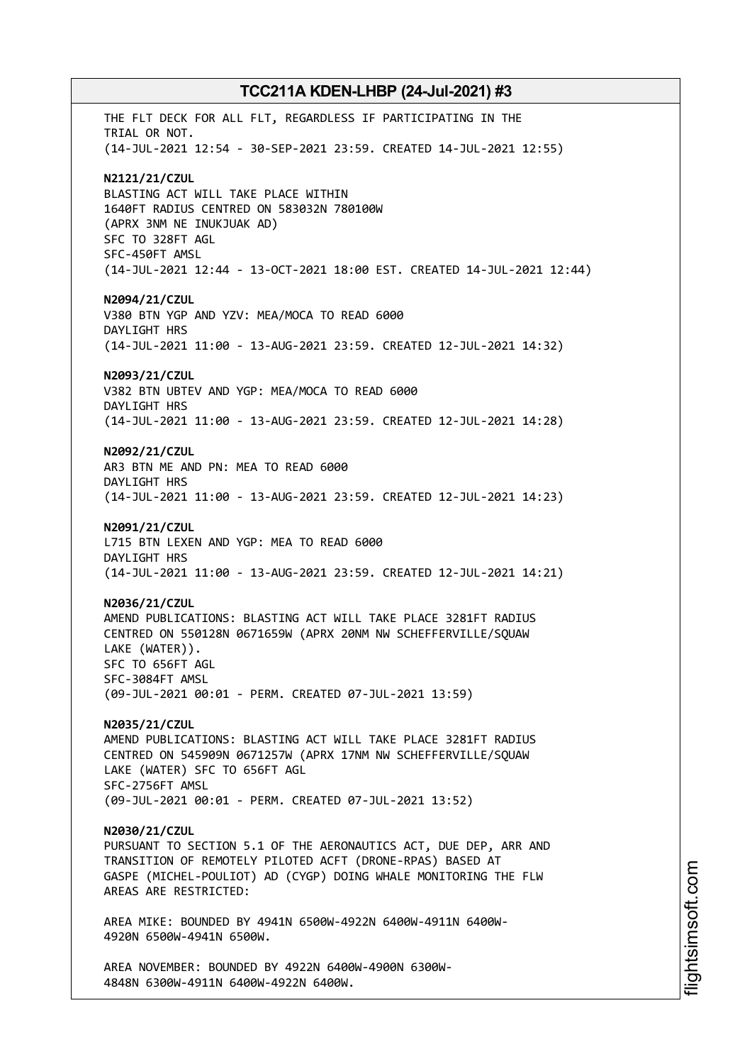THE FLT DECK FOR ALL FLT, REGARDLESS IF PARTICIPATING IN THE TRIAL OR NOT. (14-JUL-2021 12:54 - 30-SEP-2021 23:59. CREATED 14-JUL-2021 12:55) **N2121/21/CZUL** BLASTING ACT WILL TAKE PLACE WITHIN 1640FT RADIUS CENTRED ON 583032N 780100W (APRX 3NM NE INUKJUAK AD) SFC TO 328FT AGL SFC-450FT AMSL (14-JUL-2021 12:44 - 13-OCT-2021 18:00 EST. CREATED 14-JUL-2021 12:44) **N2094/21/CZUL** V380 BTN YGP AND YZV: MEA/MOCA TO READ 6000 DAYLIGHT HRS (14-JUL-2021 11:00 - 13-AUG-2021 23:59. CREATED 12-JUL-2021 14:32) **N2093/21/CZUL** V382 BTN UBTEV AND YGP: MEA/MOCA TO READ 6000 DAYLIGHT HRS (14-JUL-2021 11:00 - 13-AUG-2021 23:59. CREATED 12-JUL-2021 14:28) **N2092/21/CZUL** AR3 BTN ME AND PN: MEA TO READ 6000 DAYLIGHT HRS (14-JUL-2021 11:00 - 13-AUG-2021 23:59. CREATED 12-JUL-2021 14:23) **N2091/21/CZUL** L715 BTN LEXEN AND YGP: MEA TO READ 6000 DAYLIGHT HRS (14-JUL-2021 11:00 - 13-AUG-2021 23:59. CREATED 12-JUL-2021 14:21) **N2036/21/CZUL** AMEND PUBLICATIONS: BLASTING ACT WILL TAKE PLACE 3281FT RADIUS CENTRED ON 550128N 0671659W (APRX 20NM NW SCHEFFERVILLE/SQUAW LAKE (WATER)). SFC TO 656FT AGL SFC-3084FT AMSL (09-JUL-2021 00:01 - PERM. CREATED 07-JUL-2021 13:59) **N2035/21/CZUL** AMEND PUBLICATIONS: BLASTING ACT WILL TAKE PLACE 3281FT RADIUS CENTRED ON 545909N 0671257W (APRX 17NM NW SCHEFFERVILLE/SQUAW LAKE (WATER) SFC TO 656FT AGL SFC-2756FT AMSL (09-JUL-2021 00:01 - PERM. CREATED 07-JUL-2021 13:52) **N2030/21/CZUL** PURSUANT TO SECTION 5.1 OF THE AERONAUTICS ACT, DUE DEP, ARR AND TRANSITION OF REMOTELY PILOTED ACFT (DRONE-RPAS) BASED AT GASPE (MICHEL-POULIOT) AD (CYGP) DOING WHALE MONITORING THE FLW AREAS ARE RESTRICTED: AREA MIKE: BOUNDED BY 4941N 6500W-4922N 6400W-4911N 6400W-4920N 6500W-4941N 6500W. AREA NOVEMBER: BOUNDED BY 4922N 6400W-4900N 6300W-4848N 6300W-4911N 6400W-4922N 6400W.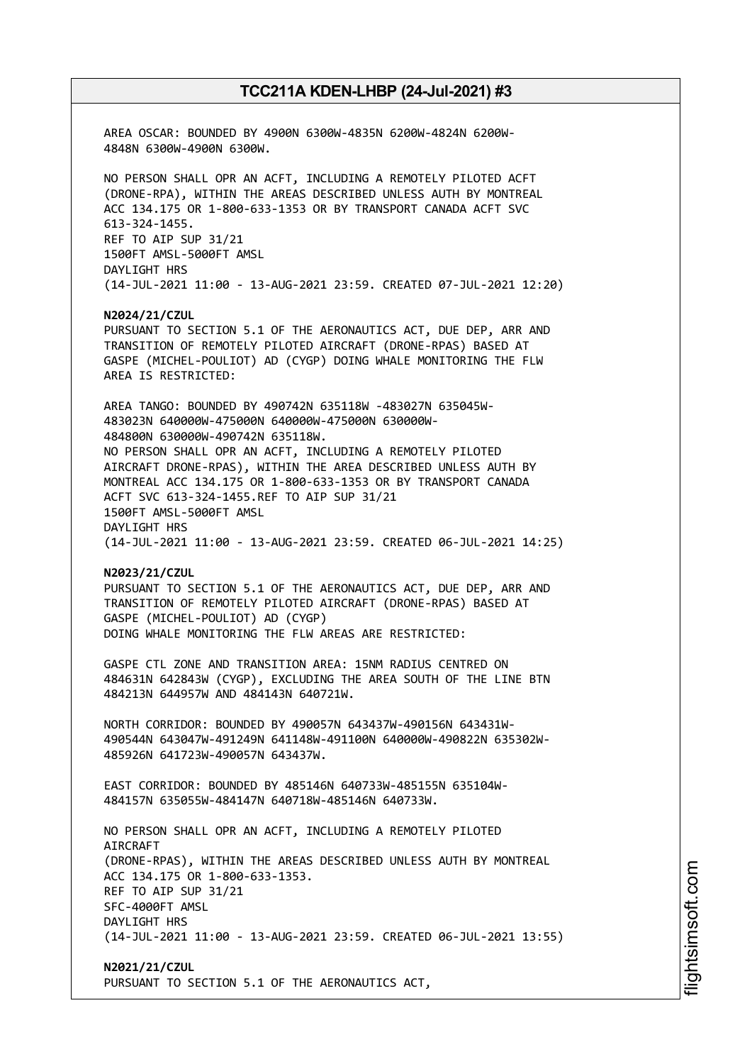AREA OSCAR: BOUNDED BY 4900N 6300W-4835N 6200W-4824N 6200W-4848N 6300W-4900N 6300W. NO PERSON SHALL OPR AN ACFT, INCLUDING A REMOTELY PILOTED ACFT (DRONE-RPA), WITHIN THE AREAS DESCRIBED UNLESS AUTH BY MONTREAL ACC 134.175 OR 1-800-633-1353 OR BY TRANSPORT CANADA ACFT SVC 613-324-1455. REF TO AIP SUP 31/21 1500FT AMSL-5000FT AMSL DAYLIGHT HRS (14-JUL-2021 11:00 - 13-AUG-2021 23:59. CREATED 07-JUL-2021 12:20) **N2024/21/CZUL** PURSUANT TO SECTION 5.1 OF THE AERONAUTICS ACT, DUE DEP, ARR AND TRANSITION OF REMOTELY PILOTED AIRCRAFT (DRONE-RPAS) BASED AT GASPE (MICHEL-POULIOT) AD (CYGP) DOING WHALE MONITORING THE FLW AREA IS RESTRICTED: AREA TANGO: BOUNDED BY 490742N 635118W -483027N 635045W-483023N 640000W-475000N 640000W-475000N 630000W-484800N 630000W-490742N 635118W. NO PERSON SHALL OPR AN ACFT, INCLUDING A REMOTELY PILOTED AIRCRAFT DRONE-RPAS), WITHIN THE AREA DESCRIBED UNLESS AUTH BY MONTREAL ACC 134.175 OR 1-800-633-1353 OR BY TRANSPORT CANADA ACFT SVC 613-324-1455.REF TO AIP SUP 31/21 1500FT AMSL-5000FT AMSL DAYLIGHT HRS (14-JUL-2021 11:00 - 13-AUG-2021 23:59. CREATED 06-JUL-2021 14:25) **N2023/21/CZUL** PURSUANT TO SECTION 5.1 OF THE AERONAUTICS ACT, DUE DEP, ARR AND TRANSITION OF REMOTELY PILOTED AIRCRAFT (DRONE-RPAS) BASED AT GASPE (MICHEL-POULIOT) AD (CYGP) DOING WHALE MONITORING THE FLW AREAS ARE RESTRICTED: GASPE CTL ZONE AND TRANSITION AREA: 15NM RADIUS CENTRED ON 484631N 642843W (CYGP), EXCLUDING THE AREA SOUTH OF THE LINE BTN 484213N 644957W AND 484143N 640721W. NORTH CORRIDOR: BOUNDED BY 490057N 643437W-490156N 643431W-490544N 643047W-491249N 641148W-491100N 640000W-490822N 635302W-485926N 641723W-490057N 643437W. EAST CORRIDOR: BOUNDED BY 485146N 640733W-485155N 635104W-484157N 635055W-484147N 640718W-485146N 640733W. NO PERSON SHALL OPR AN ACFT, INCLUDING A REMOTELY PILOTED AIRCRAFT (DRONE-RPAS), WITHIN THE AREAS DESCRIBED UNLESS AUTH BY MONTREAL ACC 134.175 OR 1-800-633-1353. REF TO AIP SUP 31/21 SFC-4000FT AMSL DAYLIGHT HRS (14-JUL-2021 11:00 - 13-AUG-2021 23:59. CREATED 06-JUL-2021 13:55) **N2021/21/CZUL** PURSUANT TO SECTION 5.1 OF THE AERONAUTICS ACT,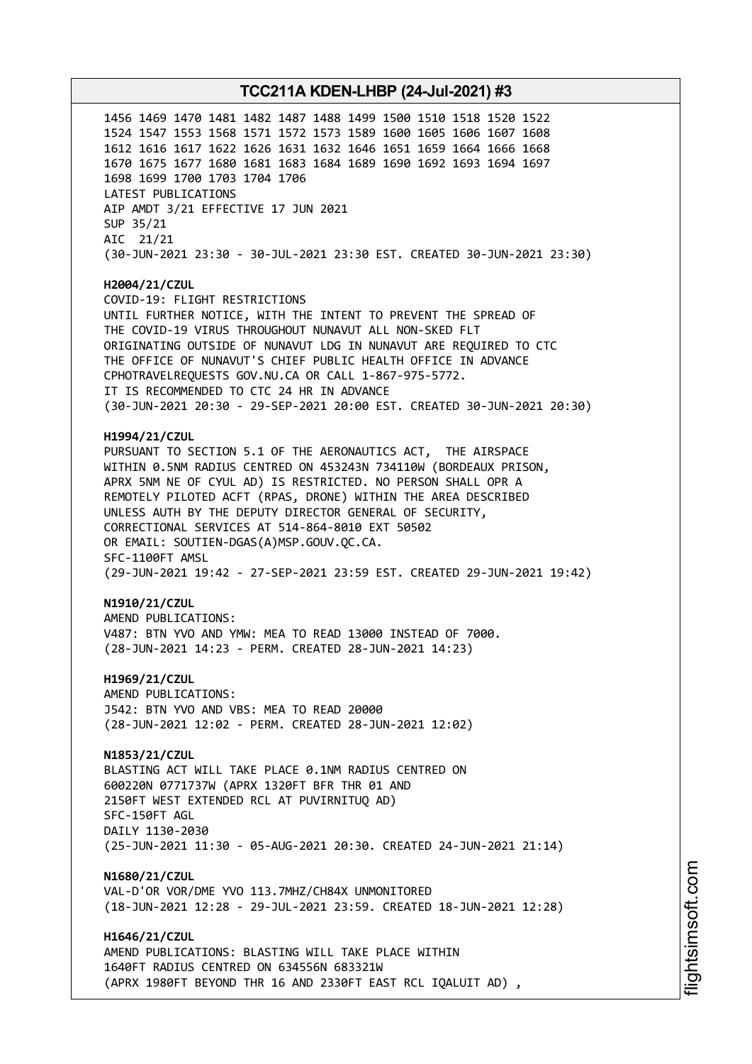**TCC211A KDEN-LHBP (24-Jul-2021) #3** 1456 1469 1470 1481 1482 1487 1488 1499 1500 1510 1518 1520 1522 1524 1547 1553 1568 1571 1572 1573 1589 1600 1605 1606 1607 1608 1612 1616 1617 1622 1626 1631 1632 1646 1651 1659 1664 1666 1668 1670 1675 1677 1680 1681 1683 1684 1689 1690 1692 1693 1694 1697 1698 1699 1700 1703 1704 1706 LATEST PUBLICATIONS AIP AMDT 3/21 EFFECTIVE 17 JUN 2021 SUP 35/21 AIC 21/21 (30-JUN-2021 23:30 - 30-JUL-2021 23:30 EST. CREATED 30-JUN-2021 23:30) **H2004/21/CZUL** COVID-19: FLIGHT RESTRICTIONS UNTIL FURTHER NOTICE, WITH THE INTENT TO PREVENT THE SPREAD OF THE COVID-19 VIRUS THROUGHOUT NUNAVUT ALL NON-SKED FLT ORIGINATING OUTSIDE OF NUNAVUT LDG IN NUNAVUT ARE REQUIRED TO CTC THE OFFICE OF NUNAVUT'S CHIEF PUBLIC HEALTH OFFICE IN ADVANCE CPHOTRAVELREQUESTS GOV.NU.CA OR CALL 1-867-975-5772. IT IS RECOMMENDED TO CTC 24 HR IN ADVANCE (30-JUN-2021 20:30 - 29-SEP-2021 20:00 EST. CREATED 30-JUN-2021 20:30) **H1994/21/CZUL** PURSUANT TO SECTION 5.1 OF THE AERONAUTICS ACT, THE AIRSPACE WITHIN 0.5NM RADIUS CENTRED ON 453243N 734110W (BORDEAUX PRISON, APRX 5NM NE OF CYUL AD) IS RESTRICTED. NO PERSON SHALL OPR A REMOTELY PILOTED ACFT (RPAS, DRONE) WITHIN THE AREA DESCRIBED UNLESS AUTH BY THE DEPUTY DIRECTOR GENERAL OF SECURITY, CORRECTIONAL SERVICES AT 514-864-8010 EXT 50502 OR EMAIL: SOUTIEN-DGAS(A)MSP.GOUV.QC.CA. SFC-1100FT AMSL (29-JUN-2021 19:42 - 27-SEP-2021 23:59 EST. CREATED 29-JUN-2021 19:42) **N1910/21/CZUL** AMEND PUBLICATIONS: V487: BTN YVO AND YMW: MEA TO READ 13000 INSTEAD OF 7000. (28-JUN-2021 14:23 - PERM. CREATED 28-JUN-2021 14:23) **H1969/21/CZUL** AMEND PUBLICATIONS: J542: BTN YVO AND VBS: MEA TO READ 20000 (28-JUN-2021 12:02 - PERM. CREATED 28-JUN-2021 12:02) **N1853/21/CZUL** BLASTING ACT WILL TAKE PLACE 0.1NM RADIUS CENTRED ON 600220N 0771737W (APRX 1320FT BFR THR 01 AND 2150FT WEST EXTENDED RCL AT PUVIRNITUQ AD) SFC-150FT AGL DAILY 1130-2030 (25-JUN-2021 11:30 - 05-AUG-2021 20:30. CREATED 24-JUN-2021 21:14)

**N1680/21/CZUL** VAL-D'OR VOR/DME YVO 113.7MHZ/CH84X UNMONITORED (18-JUN-2021 12:28 - 29-JUL-2021 23:59. CREATED 18-JUN-2021 12:28)

**H1646/21/CZUL** AMEND PUBLICATIONS: BLASTING WILL TAKE PLACE WITHIN 1640FT RADIUS CENTRED ON 634556N 683321W (APRX 1980FT BEYOND THR 16 AND 2330FT EAST RCL IQALUIT AD) ,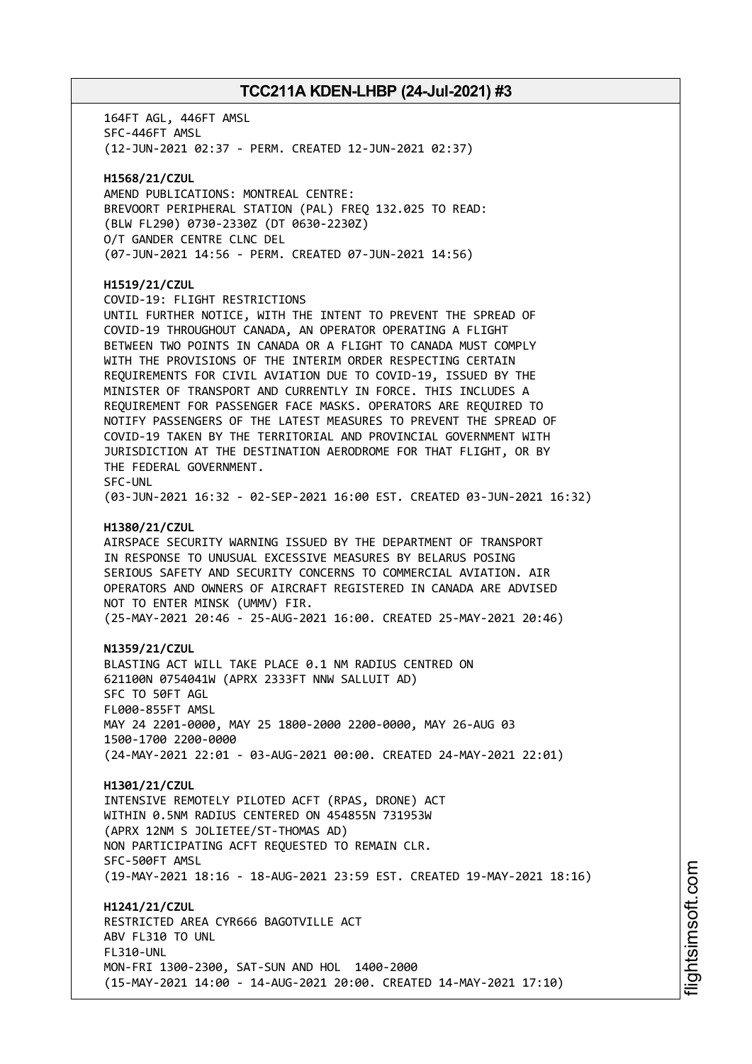164FT AGL, 446FT AMSL SFC-446FT AMSL (12-JUN-2021 02:37 - PERM. CREATED 12-JUN-2021 02:37) **H1568/21/CZUL** AMEND PUBLICATIONS: MONTREAL CENTRE: BREVOORT PERIPHERAL STATION (PAL) FREQ 132.025 TO READ: (BLW FL290) 0730-2330Z (DT 0630-2230Z) O/T GANDER CENTRE CLNC DEL (07-JUN-2021 14:56 - PERM. CREATED 07-JUN-2021 14:56) **H1519/21/CZUL** COVID-19: FLIGHT RESTRICTIONS UNTIL FURTHER NOTICE, WITH THE INTENT TO PREVENT THE SPREAD OF COVID-19 THROUGHOUT CANADA, AN OPERATOR OPERATING A FLIGHT BETWEEN TWO POINTS IN CANADA OR A FLIGHT TO CANADA MUST COMPLY WITH THE PROVISIONS OF THE INTERIM ORDER RESPECTING CERTAIN REQUIREMENTS FOR CIVIL AVIATION DUE TO COVID-19, ISSUED BY THE MINISTER OF TRANSPORT AND CURRENTLY IN FORCE. THIS INCLUDES A REQUIREMENT FOR PASSENGER FACE MASKS. OPERATORS ARE REQUIRED TO NOTIFY PASSENGERS OF THE LATEST MEASURES TO PREVENT THE SPREAD OF COVID-19 TAKEN BY THE TERRITORIAL AND PROVINCIAL GOVERNMENT WITH JURISDICTION AT THE DESTINATION AERODROME FOR THAT FLIGHT, OR BY THE FEDERAL GOVERNMENT. SFC-UNL (03-JUN-2021 16:32 - 02-SEP-2021 16:00 EST. CREATED 03-JUN-2021 16:32) **H1380/21/CZUL** AIRSPACE SECURITY WARNING ISSUED BY THE DEPARTMENT OF TRANSPORT IN RESPONSE TO UNUSUAL EXCESSIVE MEASURES BY BELARUS POSING SERIOUS SAFETY AND SECURITY CONCERNS TO COMMERCIAL AVIATION. AIR OPERATORS AND OWNERS OF AIRCRAFT REGISTERED IN CANADA ARE ADVISED NOT TO ENTER MINSK (UMMV) FIR. (25-MAY-2021 20:46 - 25-AUG-2021 16:00. CREATED 25-MAY-2021 20:46) **N1359/21/CZUL** BLASTING ACT WILL TAKE PLACE 0.1 NM RADIUS CENTRED ON 621100N 0754041W (APRX 2333FT NNW SALLUIT AD) SFC TO 50FT AGL FL000-855FT AMSL MAY 24 2201-0000, MAY 25 1800-2000 2200-0000, MAY 26-AUG 03 1500-1700 2200-0000 (24-MAY-2021 22:01 - 03-AUG-2021 00:00. CREATED 24-MAY-2021 22:01) **H1301/21/CZUL** INTENSIVE REMOTELY PILOTED ACFT (RPAS, DRONE) ACT WITHIN 0.5NM RADIUS CENTERED ON 454855N 731953W (APRX 12NM S JOLIETEE/ST-THOMAS AD) NON PARTICIPATING ACFT REQUESTED TO REMAIN CLR. SFC-500FT AMSL (19-MAY-2021 18:16 - 18-AUG-2021 23:59 EST. CREATED 19-MAY-2021 18:16) **H1241/21/CZUL** RESTRICTED AREA CYR666 BAGOTVILLE ACT ABV FL310 TO UNL FL310-UNL MON-FRI 1300-2300, SAT-SUN AND HOL 1400-2000 (15-MAY-2021 14:00 - 14-AUG-2021 20:00. CREATED 14-MAY-2021 17:10)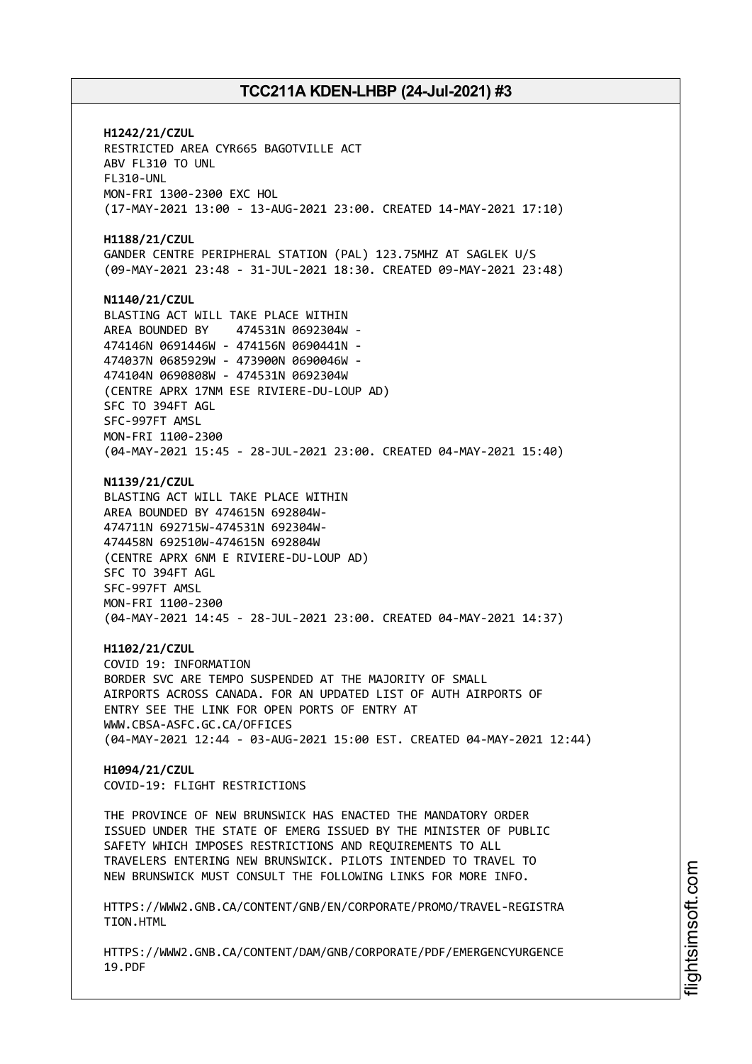**H1242/21/CZUL** RESTRICTED AREA CYR665 BAGOTVILLE ACT ABV FL310 TO UNL FL310-UNL MON-FRI 1300-2300 EXC HOL (17-MAY-2021 13:00 - 13-AUG-2021 23:00. CREATED 14-MAY-2021 17:10) **H1188/21/CZUL** GANDER CENTRE PERIPHERAL STATION (PAL) 123.75MHZ AT SAGLEK U/S (09-MAY-2021 23:48 - 31-JUL-2021 18:30. CREATED 09-MAY-2021 23:48) **N1140/21/CZUL** BLASTING ACT WILL TAKE PLACE WITHIN AREA BOUNDED BY 474531N 0692304W - 474146N 0691446W - 474156N 0690441N - 474037N 0685929W - 473900N 0690046W - 474104N 0690808W - 474531N 0692304W (CENTRE APRX 17NM ESE RIVIERE-DU-LOUP AD) SFC TO 394FT AGL SFC-997FT AMSL MON-FRI 1100-2300 (04-MAY-2021 15:45 - 28-JUL-2021 23:00. CREATED 04-MAY-2021 15:40) **N1139/21/CZUL** BLASTING ACT WILL TAKE PLACE WITHIN AREA BOUNDED BY 474615N 692804W-474711N 692715W-474531N 692304W-474458N 692510W-474615N 692804W (CENTRE APRX 6NM E RIVIERE-DU-LOUP AD) SFC TO 394FT AGL SFC-997FT AMSL MON-FRI 1100-2300 (04-MAY-2021 14:45 - 28-JUL-2021 23:00. CREATED 04-MAY-2021 14:37) **H1102/21/CZUL** COVID 19: INFORMATION BORDER SVC ARE TEMPO SUSPENDED AT THE MAJORITY OF SMALL AIRPORTS ACROSS CANADA. FOR AN UPDATED LIST OF AUTH AIRPORTS OF ENTRY SEE THE LINK FOR OPEN PORTS OF ENTRY AT WWW.CBSA-ASFC.GC.CA/OFFICES (04-MAY-2021 12:44 - 03-AUG-2021 15:00 EST. CREATED 04-MAY-2021 12:44) **H1094/21/CZUL** COVID-19: FLIGHT RESTRICTIONS THE PROVINCE OF NEW BRUNSWICK HAS ENACTED THE MANDATORY ORDER ISSUED UNDER THE STATE OF EMERG ISSUED BY THE MINISTER OF PUBLIC SAFETY WHICH IMPOSES RESTRICTIONS AND REQUIREMENTS TO ALL TRAVELERS ENTERING NEW BRUNSWICK. PILOTS INTENDED TO TRAVEL TO NEW BRUNSWICK MUST CONSULT THE FOLLOWING LINKS FOR MORE INFO. HTTPS://WWW2.GNB.CA/CONTENT/GNB/EN/CORPORATE/PROMO/TRAVEL-REGISTRA TION.HTML HTTPS://WWW2.GNB.CA/CONTENT/DAM/GNB/CORPORATE/PDF/EMERGENCYURGENCE 19.PDF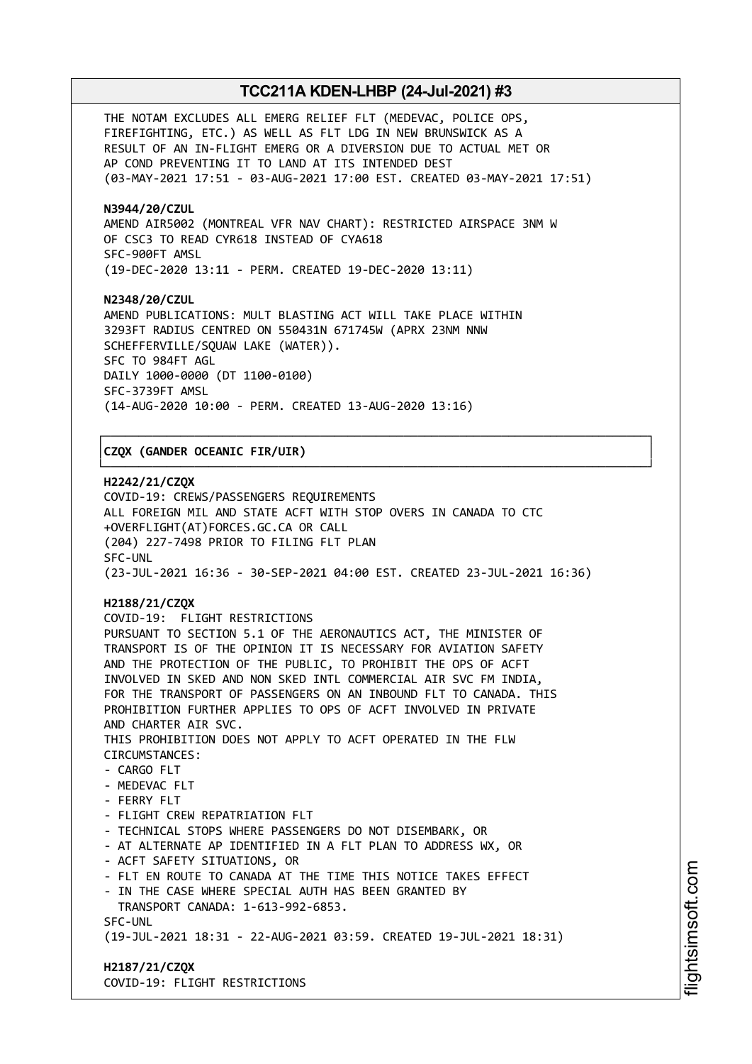THE NOTAM EXCLUDES ALL EMERG RELIEF FLT (MEDEVAC, POLICE OPS, FIREFIGHTING, ETC.) AS WELL AS FLT LDG IN NEW BRUNSWICK AS A RESULT OF AN IN-FLIGHT EMERG OR A DIVERSION DUE TO ACTUAL MET OR AP COND PREVENTING IT TO LAND AT ITS INTENDED DEST (03-MAY-2021 17:51 - 03-AUG-2021 17:00 EST. CREATED 03-MAY-2021 17:51)

### **N3944/20/CZUL**

AMEND AIR5002 (MONTREAL VFR NAV CHART): RESTRICTED AIRSPACE 3NM W OF CSC3 TO READ CYR618 INSTEAD OF CYA618 SFC-900FT AMSL (19-DEC-2020 13:11 - PERM. CREATED 19-DEC-2020 13:11)

### **N2348/20/CZUL**

AMEND PUBLICATIONS: MULT BLASTING ACT WILL TAKE PLACE WITHIN 3293FT RADIUS CENTRED ON 550431N 671745W (APRX 23NM NNW SCHEFFERVILLE/SQUAW LAKE (WATER)). SFC TO 984FT AGL DAILY 1000-0000 (DT 1100-0100) SFC-3739FT AMSL (14-AUG-2020 10:00 - PERM. CREATED 13-AUG-2020 13:16)

### │**CZQX (GANDER OCEANIC FIR/UIR)** │

**H2242/21/CZQX** COVID-19: CREWS/PASSENGERS REQUIREMENTS ALL FOREIGN MIL AND STATE ACFT WITH STOP OVERS IN CANADA TO CTC +OVERFLIGHT(AT)FORCES.GC.CA OR CALL (204) 227-7498 PRIOR TO FILING FLT PLAN SFC-UNL (23-JUL-2021 16:36 - 30-SEP-2021 04:00 EST. CREATED 23-JUL-2021 16:36)

┌──────────────────────────────────────────────────────────────────────────────┐

└──────────────────────────────────────────────────────────────────────────────┘

## **H2188/21/CZQX**

COVID-19: FLIGHT RESTRICTIONS PURSUANT TO SECTION 5.1 OF THE AERONAUTICS ACT, THE MINISTER OF TRANSPORT IS OF THE OPINION IT IS NECESSARY FOR AVIATION SAFETY AND THE PROTECTION OF THE PUBLIC, TO PROHIBIT THE OPS OF ACFT INVOLVED IN SKED AND NON SKED INTL COMMERCIAL AIR SVC FM INDIA, FOR THE TRANSPORT OF PASSENGERS ON AN INBOUND FLT TO CANADA. THIS PROHIBITION FURTHER APPLIES TO OPS OF ACFT INVOLVED IN PRIVATE AND CHARTER AIR SVC. THIS PROHIBITION DOES NOT APPLY TO ACFT OPERATED IN THE FLW CIRCUMSTANCES: - CARGO FLT - MEDEVAC FLT - FERRY FLT - FLIGHT CREW REPATRIATION FLT - TECHNICAL STOPS WHERE PASSENGERS DO NOT DISEMBARK, OR - AT ALTERNATE AP IDENTIFIED IN A FLT PLAN TO ADDRESS WX, OR - ACFT SAFETY SITUATIONS, OR - FLT EN ROUTE TO CANADA AT THE TIME THIS NOTICE TAKES EFFECT - IN THE CASE WHERE SPECIAL AUTH HAS BEEN GRANTED BY TRANSPORT CANADA: 1-613-992-6853. SFC-UNL (19-JUL-2021 18:31 - 22-AUG-2021 03:59. CREATED 19-JUL-2021 18:31) **H2187/21/CZQX**

COVID-19: FLIGHT RESTRICTIONS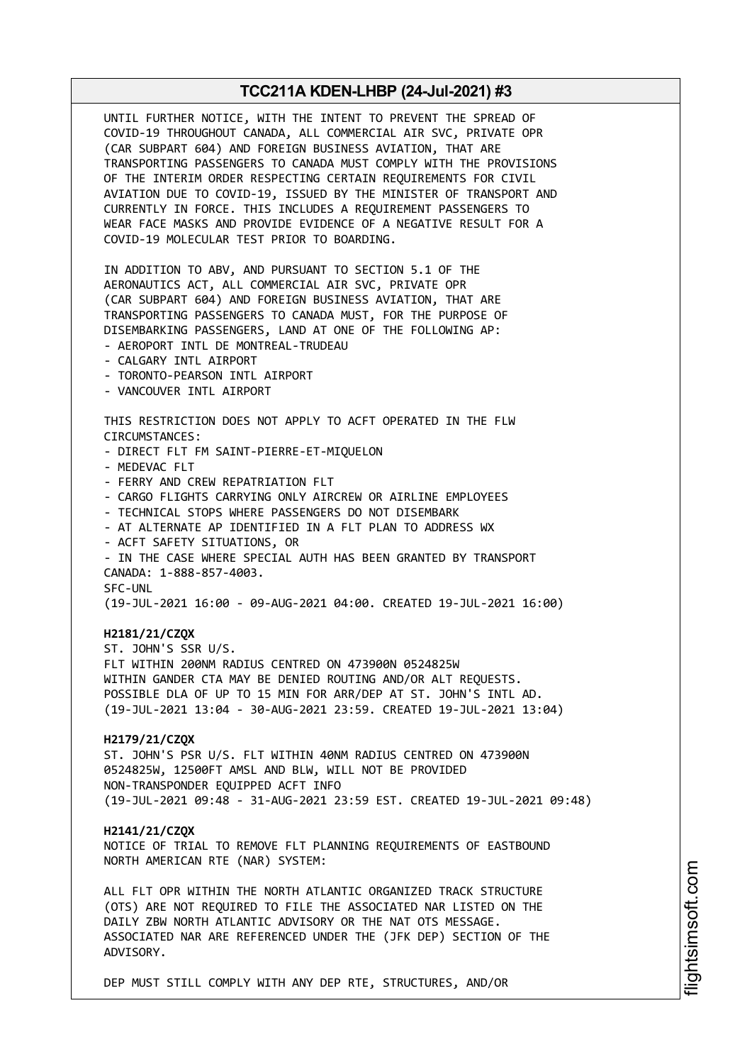UNTIL FURTHER NOTICE, WITH THE INTENT TO PREVENT THE SPREAD OF COVID-19 THROUGHOUT CANADA, ALL COMMERCIAL AIR SVC, PRIVATE OPR (CAR SUBPART 604) AND FOREIGN BUSINESS AVIATION, THAT ARE TRANSPORTING PASSENGERS TO CANADA MUST COMPLY WITH THE PROVISIONS OF THE INTERIM ORDER RESPECTING CERTAIN REQUIREMENTS FOR CIVIL AVIATION DUE TO COVID-19, ISSUED BY THE MINISTER OF TRANSPORT AND CURRENTLY IN FORCE. THIS INCLUDES A REQUIREMENT PASSENGERS TO WEAR FACE MASKS AND PROVIDE EVIDENCE OF A NEGATIVE RESULT FOR A COVID-19 MOLECULAR TEST PRIOR TO BOARDING. IN ADDITION TO ABV, AND PURSUANT TO SECTION 5.1 OF THE AERONAUTICS ACT, ALL COMMERCIAL AIR SVC, PRIVATE OPR (CAR SUBPART 604) AND FOREIGN BUSINESS AVIATION, THAT ARE TRANSPORTING PASSENGERS TO CANADA MUST, FOR THE PURPOSE OF DISEMBARKING PASSENGERS, LAND AT ONE OF THE FOLLOWING AP: - AEROPORT INTL DE MONTREAL-TRUDEAU - CALGARY INTL AIRPORT - TORONTO-PEARSON INTL AIRPORT - VANCOUVER INTL AIRPORT THIS RESTRICTION DOES NOT APPLY TO ACFT OPERATED IN THE FLW CIRCUMSTANCES: - DIRECT FLT FM SAINT-PIERRE-ET-MIQUELON - MEDEVAC FLT - FERRY AND CREW REPATRIATION FLT - CARGO FLIGHTS CARRYING ONLY AIRCREW OR AIRLINE EMPLOYEES - TECHNICAL STOPS WHERE PASSENGERS DO NOT DISEMBARK - AT ALTERNATE AP IDENTIFIED IN A FLT PLAN TO ADDRESS WX - ACFT SAFETY SITUATIONS, OR - IN THE CASE WHERE SPECIAL AUTH HAS BEEN GRANTED BY TRANSPORT CANADA: 1-888-857-4003. SFC-UNL (19-JUL-2021 16:00 - 09-AUG-2021 04:00. CREATED 19-JUL-2021 16:00) **H2181/21/CZQX** ST. JOHN'S SSR U/S. FLT WITHIN 200NM RADIUS CENTRED ON 473900N 0524825W WITHIN GANDER CTA MAY BE DENIED ROUTING AND/OR ALT REQUESTS. POSSIBLE DLA OF UP TO 15 MIN FOR ARR/DEP AT ST. JOHN'S INTL AD. (19-JUL-2021 13:04 - 30-AUG-2021 23:59. CREATED 19-JUL-2021 13:04) **H2179/21/CZQX** ST. JOHN'S PSR U/S. FLT WITHIN 40NM RADIUS CENTRED ON 473900N 0524825W, 12500FT AMSL AND BLW, WILL NOT BE PROVIDED NON-TRANSPONDER EQUIPPED ACFT INFO (19-JUL-2021 09:48 - 31-AUG-2021 23:59 EST. CREATED 19-JUL-2021 09:48) **H2141/21/CZQX** NOTICE OF TRIAL TO REMOVE FLT PLANNING REQUIREMENTS OF EASTBOUND NORTH AMERICAN RTE (NAR) SYSTEM: ALL FLT OPR WITHIN THE NORTH ATLANTIC ORGANIZED TRACK STRUCTURE (OTS) ARE NOT REQUIRED TO FILE THE ASSOCIATED NAR LISTED ON THE DAILY ZBW NORTH ATLANTIC ADVISORY OR THE NAT OTS MESSAGE. ASSOCIATED NAR ARE REFERENCED UNDER THE (JFK DEP) SECTION OF THE ADVISORY.

DEP MUST STILL COMPLY WITH ANY DEP RTE, STRUCTURES, AND/OR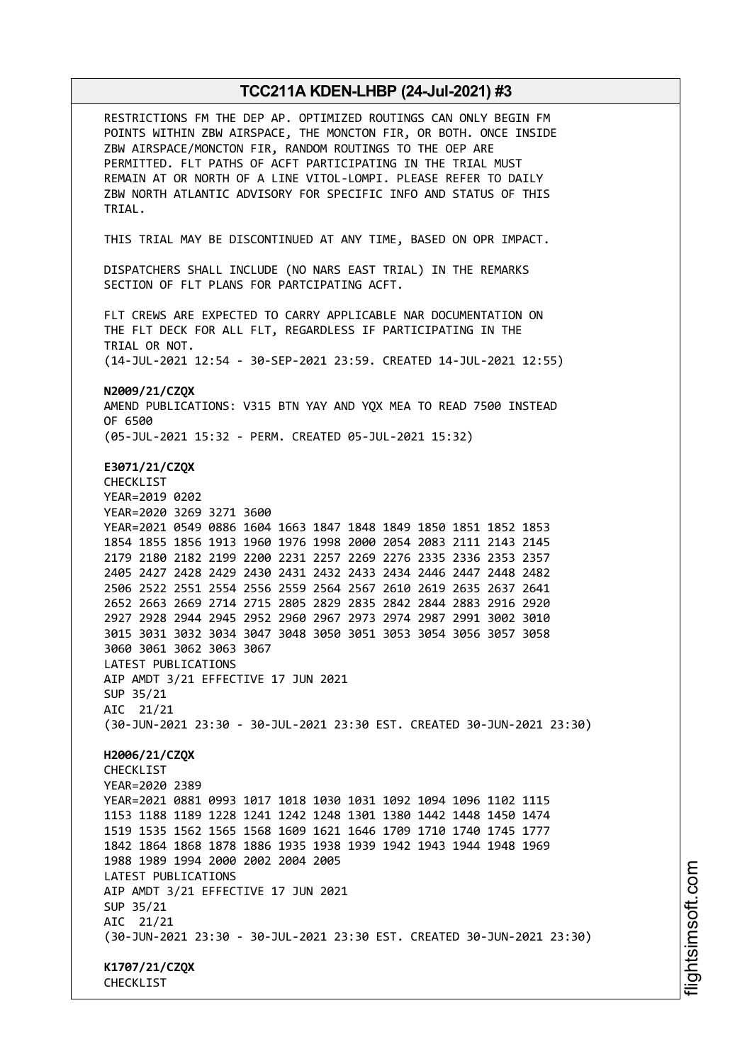RESTRICTIONS FM THE DEP AP. OPTIMIZED ROUTINGS CAN ONLY BEGIN FM POINTS WITHIN ZBW AIRSPACE, THE MONCTON FIR, OR BOTH. ONCE INSIDE ZBW AIRSPACE/MONCTON FIR, RANDOM ROUTINGS TO THE OEP ARE PERMITTED. FLT PATHS OF ACFT PARTICIPATING IN THE TRIAL MUST REMAIN AT OR NORTH OF A LINE VITOL-LOMPI. PLEASE REFER TO DAILY ZBW NORTH ATLANTIC ADVISORY FOR SPECIFIC INFO AND STATUS OF THIS TRIAL. THIS TRIAL MAY BE DISCONTINUED AT ANY TIME, BASED ON OPR IMPACT. DISPATCHERS SHALL INCLUDE (NO NARS EAST TRIAL) IN THE REMARKS SECTION OF FLT PLANS FOR PARTCIPATING ACFT. FLT CREWS ARE EXPECTED TO CARRY APPLICABLE NAR DOCUMENTATION ON THE FLT DECK FOR ALL FLT, REGARDLESS IF PARTICIPATING IN THE TRIAL OR NOT. (14-JUL-2021 12:54 - 30-SEP-2021 23:59. CREATED 14-JUL-2021 12:55) **N2009/21/CZQX** AMEND PUBLICATIONS: V315 BTN YAY AND YQX MEA TO READ 7500 INSTEAD OF 6500 (05-JUL-2021 15:32 - PERM. CREATED 05-JUL-2021 15:32) **E3071/21/CZQX** CHECKLIST YEAR=2019 0202 YEAR=2020 3269 3271 3600 YEAR=2021 0549 0886 1604 1663 1847 1848 1849 1850 1851 1852 1853 1854 1855 1856 1913 1960 1976 1998 2000 2054 2083 2111 2143 2145 2179 2180 2182 2199 2200 2231 2257 2269 2276 2335 2336 2353 2357 2405 2427 2428 2429 2430 2431 2432 2433 2434 2446 2447 2448 2482 2506 2522 2551 2554 2556 2559 2564 2567 2610 2619 2635 2637 2641 2652 2663 2669 2714 2715 2805 2829 2835 2842 2844 2883 2916 2920 2927 2928 2944 2945 2952 2960 2967 2973 2974 2987 2991 3002 3010 3015 3031 3032 3034 3047 3048 3050 3051 3053 3054 3056 3057 3058 3060 3061 3062 3063 3067 LATEST PUBLICATIONS AIP AMDT 3/21 EFFECTIVE 17 JUN 2021 SUP 35/21 AIC 21/21 (30-JUN-2021 23:30 - 30-JUL-2021 23:30 EST. CREATED 30-JUN-2021 23:30) **H2006/21/CZQX CHECKLIST** YEAR=2020 2389 YEAR=2021 0881 0993 1017 1018 1030 1031 1092 1094 1096 1102 1115 1153 1188 1189 1228 1241 1242 1248 1301 1380 1442 1448 1450 1474 1519 1535 1562 1565 1568 1609 1621 1646 1709 1710 1740 1745 1777 1842 1864 1868 1878 1886 1935 1938 1939 1942 1943 1944 1948 1969 1988 1989 1994 2000 2002 2004 2005 LATEST PUBLICATIONS AIP AMDT 3/21 EFFECTIVE 17 JUN 2021 SUP 35/21 AIC 21/21 (30-JUN-2021 23:30 - 30-JUL-2021 23:30 EST. CREATED 30-JUN-2021 23:30) **K1707/21/CZQX CHECKLIST**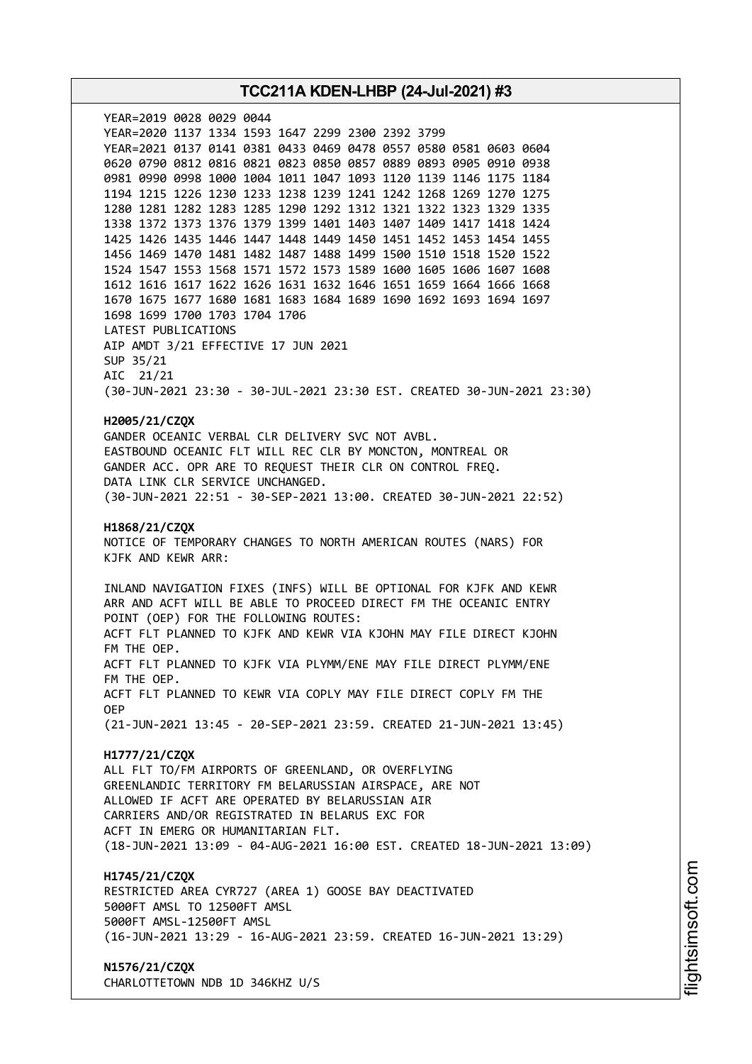**TCC211A KDEN-LHBP (24-Jul-2021) #3** YEAR=2019 0028 0029 0044 YEAR=2020 1137 1334 1593 1647 2299 2300 2392 3799 YEAR=2021 0137 0141 0381 0433 0469 0478 0557 0580 0581 0603 0604 0620 0790 0812 0816 0821 0823 0850 0857 0889 0893 0905 0910 0938 0981 0990 0998 1000 1004 1011 1047 1093 1120 1139 1146 1175 1184 1194 1215 1226 1230 1233 1238 1239 1241 1242 1268 1269 1270 1275 1280 1281 1282 1283 1285 1290 1292 1312 1321 1322 1323 1329 1335 1338 1372 1373 1376 1379 1399 1401 1403 1407 1409 1417 1418 1424 1425 1426 1435 1446 1447 1448 1449 1450 1451 1452 1453 1454 1455 1456 1469 1470 1481 1482 1487 1488 1499 1500 1510 1518 1520 1522 1524 1547 1553 1568 1571 1572 1573 1589 1600 1605 1606 1607 1608 1612 1616 1617 1622 1626 1631 1632 1646 1651 1659 1664 1666 1668 1670 1675 1677 1680 1681 1683 1684 1689 1690 1692 1693 1694 1697 1698 1699 1700 1703 1704 1706 LATEST PUBLICATIONS AIP AMDT 3/21 EFFECTIVE 17 JUN 2021 SUP 35/21 AIC 21/21 (30-JUN-2021 23:30 - 30-JUL-2021 23:30 EST. CREATED 30-JUN-2021 23:30) **H2005/21/CZQX** GANDER OCEANIC VERBAL CLR DELIVERY SVC NOT AVBL. EASTBOUND OCEANIC FLT WILL REC CLR BY MONCTON, MONTREAL OR GANDER ACC. OPR ARE TO REQUEST THEIR CLR ON CONTROL FREQ. DATA LINK CLR SERVICE UNCHANGED. (30-JUN-2021 22:51 - 30-SEP-2021 13:00. CREATED 30-JUN-2021 22:52) **H1868/21/CZQX** NOTICE OF TEMPORARY CHANGES TO NORTH AMERICAN ROUTES (NARS) FOR KJFK AND KEWR ARR: INLAND NAVIGATION FIXES (INFS) WILL BE OPTIONAL FOR KJFK AND KEWR ARR AND ACFT WILL BE ABLE TO PROCEED DIRECT FM THE OCEANIC ENTRY POINT (OEP) FOR THE FOLLOWING ROUTES: ACFT FLT PLANNED TO KJFK AND KEWR VIA KJOHN MAY FILE DIRECT KJOHN FM THE OEP. ACFT FLT PLANNED TO KJFK VIA PLYMM/ENE MAY FILE DIRECT PLYMM/ENE FM THE OEP. ACFT FLT PLANNED TO KEWR VIA COPLY MAY FILE DIRECT COPLY FM THE OEP (21-JUN-2021 13:45 - 20-SEP-2021 23:59. CREATED 21-JUN-2021 13:45) **H1777/21/CZQX** ALL FLT TO/FM AIRPORTS OF GREENLAND, OR OVERFLYING GREENLANDIC TERRITORY FM BELARUSSIAN AIRSPACE, ARE NOT ALLOWED IF ACFT ARE OPERATED BY BELARUSSIAN AIR CARRIERS AND/OR REGISTRATED IN BELARUS EXC FOR ACFT IN EMERG OR HUMANITARIAN FLT. (18-JUN-2021 13:09 - 04-AUG-2021 16:00 EST. CREATED 18-JUN-2021 13:09) **H1745/21/CZQX** RESTRICTED AREA CYR727 (AREA 1) GOOSE BAY DEACTIVATED 5000FT AMSL TO 12500FT AMSL 5000FT AMSL-12500FT AMSL (16-JUN-2021 13:29 - 16-AUG-2021 23:59. CREATED 16-JUN-2021 13:29) **N1576/21/CZQX** CHARLOTTETOWN NDB 1D 346KHZ U/S

i⊒<br>⊫ htsim soft.c o

m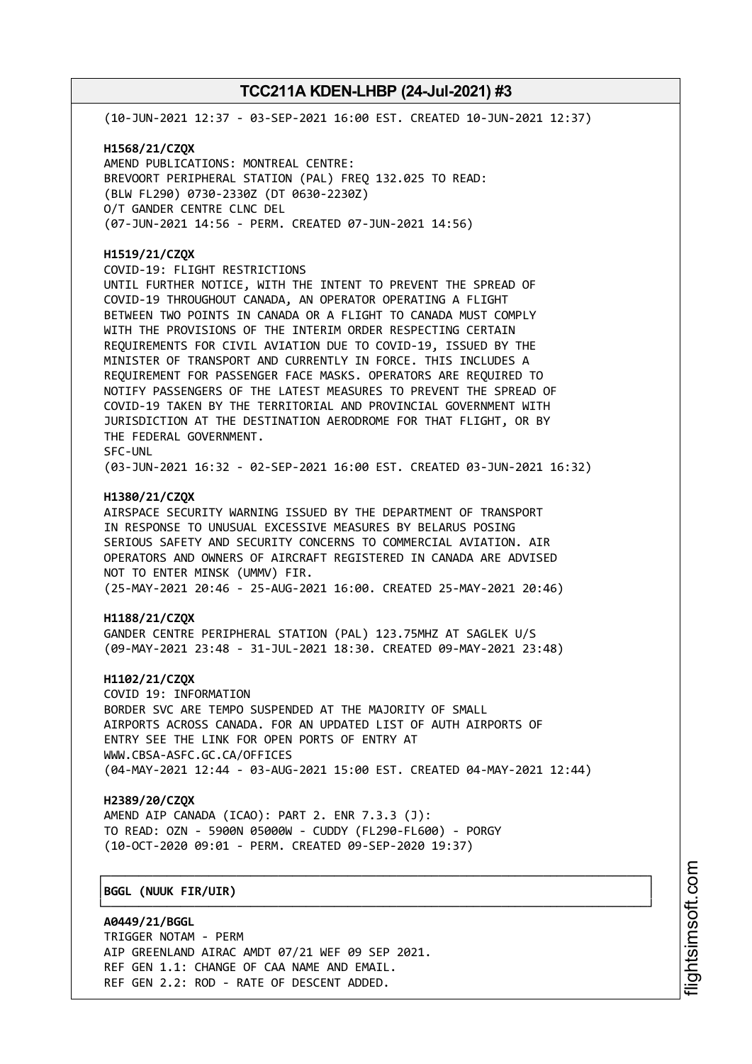(10-JUN-2021 12:37 - 03-SEP-2021 16:00 EST. CREATED 10-JUN-2021 12:37)

**H1568/21/CZQX** AMEND PUBLICATIONS: MONTREAL CENTRE: BREVOORT PERIPHERAL STATION (PAL) FREQ 132.025 TO READ: (BLW FL290) 0730-2330Z (DT 0630-2230Z) O/T GANDER CENTRE CLNC DEL (07-JUN-2021 14:56 - PERM. CREATED 07-JUN-2021 14:56)

### **H1519/21/CZQX**

COVID-19: FLIGHT RESTRICTIONS

UNTIL FURTHER NOTICE, WITH THE INTENT TO PREVENT THE SPREAD OF COVID-19 THROUGHOUT CANADA, AN OPERATOR OPERATING A FLIGHT BETWEEN TWO POINTS IN CANADA OR A FLIGHT TO CANADA MUST COMPLY WITH THE PROVISIONS OF THE INTERIM ORDER RESPECTING CERTAIN REQUIREMENTS FOR CIVIL AVIATION DUE TO COVID-19, ISSUED BY THE MINISTER OF TRANSPORT AND CURRENTLY IN FORCE. THIS INCLUDES A REQUIREMENT FOR PASSENGER FACE MASKS. OPERATORS ARE REQUIRED TO NOTIFY PASSENGERS OF THE LATEST MEASURES TO PREVENT THE SPREAD OF COVID-19 TAKEN BY THE TERRITORIAL AND PROVINCIAL GOVERNMENT WITH JURISDICTION AT THE DESTINATION AERODROME FOR THAT FLIGHT, OR BY THE FEDERAL GOVERNMENT. SFC-UNL

(03-JUN-2021 16:32 - 02-SEP-2021 16:00 EST. CREATED 03-JUN-2021 16:32)

### **H1380/21/CZQX**

AIRSPACE SECURITY WARNING ISSUED BY THE DEPARTMENT OF TRANSPORT IN RESPONSE TO UNUSUAL EXCESSIVE MEASURES BY BELARUS POSING SERIOUS SAFETY AND SECURITY CONCERNS TO COMMERCIAL AVIATION. AIR OPERATORS AND OWNERS OF AIRCRAFT REGISTERED IN CANADA ARE ADVISED NOT TO ENTER MINSK (UMMV) FIR.

(25-MAY-2021 20:46 - 25-AUG-2021 16:00. CREATED 25-MAY-2021 20:46)

### **H1188/21/CZQX**

GANDER CENTRE PERIPHERAL STATION (PAL) 123.75MHZ AT SAGLEK U/S (09-MAY-2021 23:48 - 31-JUL-2021 18:30. CREATED 09-MAY-2021 23:48)

### **H1102/21/CZQX**

COVID 19: INFORMATION BORDER SVC ARE TEMPO SUSPENDED AT THE MAJORITY OF SMALL AIRPORTS ACROSS CANADA. FOR AN UPDATED LIST OF AUTH AIRPORTS OF ENTRY SEE THE LINK FOR OPEN PORTS OF ENTRY AT WWW.CBSA-ASFC.GC.CA/OFFICES (04-MAY-2021 12:44 - 03-AUG-2021 15:00 EST. CREATED 04-MAY-2021 12:44)

┌──────────────────────────────────────────────────────────────────────────────┐

└──────────────────────────────────────────────────────────────────────────────┘

### **H2389/20/CZQX**

AMEND AIP CANADA (ICAO): PART 2. ENR 7.3.3 (J): TO READ: OZN - 5900N 05000W - CUDDY (FL290-FL600) - PORGY (10-OCT-2020 09:01 - PERM. CREATED 09-SEP-2020 19:37)

## │**BGGL (NUUK FIR/UIR)** │

**A0449/21/BGGL** TRIGGER NOTAM - PERM AIP GREENLAND AIRAC AMDT 07/21 WEF 09 SEP 2021. REF GEN 1.1: CHANGE OF CAA NAME AND EMAIL. REF GEN 2.2: ROD - RATE OF DESCENT ADDED.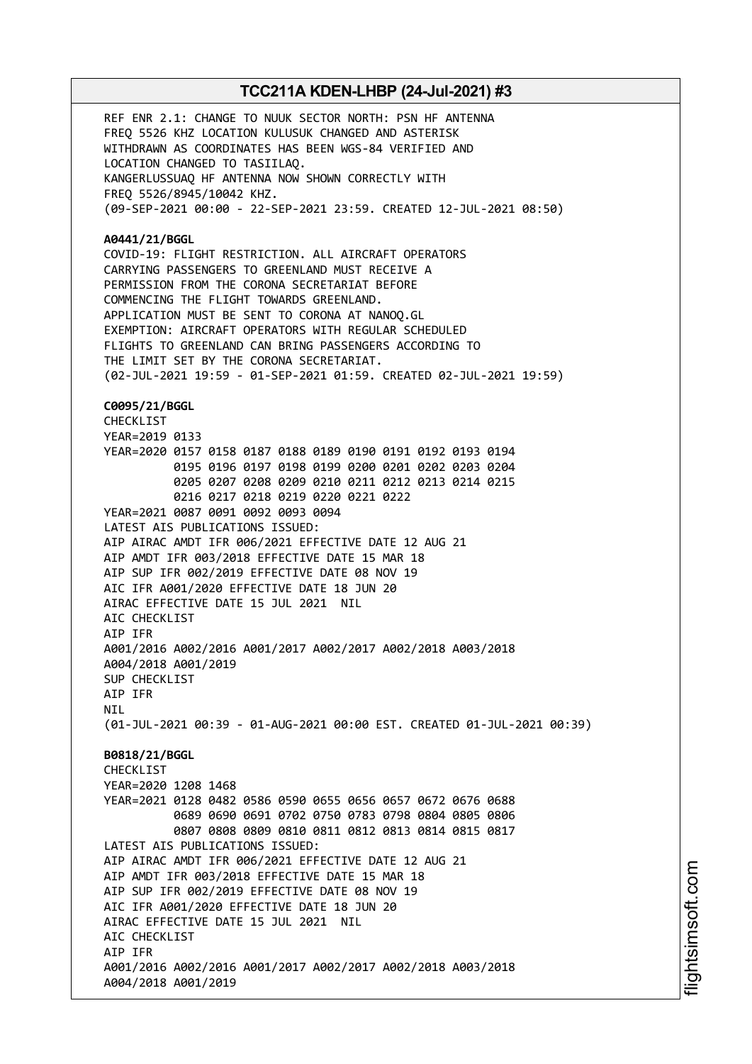REF ENR 2.1: CHANGE TO NUUK SECTOR NORTH: PSN HF ANTENNA FREQ 5526 KHZ LOCATION KULUSUK CHANGED AND ASTERISK WITHDRAWN AS COORDINATES HAS BEEN WGS-84 VERIFIED AND LOCATION CHANGED TO TASIILAQ. KANGERLUSSUAQ HF ANTENNA NOW SHOWN CORRECTLY WITH FREQ 5526/8945/10042 KHZ. (09-SEP-2021 00:00 - 22-SEP-2021 23:59. CREATED 12-JUL-2021 08:50) **A0441/21/BGGL** COVID-19: FLIGHT RESTRICTION. ALL AIRCRAFT OPERATORS CARRYING PASSENGERS TO GREENLAND MUST RECEIVE A PERMISSION FROM THE CORONA SECRETARIAT BEFORE COMMENCING THE FLIGHT TOWARDS GREENLAND. APPLICATION MUST BE SENT TO CORONA AT NANOQ.GL EXEMPTION: AIRCRAFT OPERATORS WITH REGULAR SCHEDULED FLIGHTS TO GREENLAND CAN BRING PASSENGERS ACCORDING TO THE LIMIT SET BY THE CORONA SECRETARIAT. (02-JUL-2021 19:59 - 01-SEP-2021 01:59. CREATED 02-JUL-2021 19:59) **C0095/21/BGGL** CHECKLIST YEAR=2019 0133 YEAR=2020 0157 0158 0187 0188 0189 0190 0191 0192 0193 0194 0195 0196 0197 0198 0199 0200 0201 0202 0203 0204 0205 0207 0208 0209 0210 0211 0212 0213 0214 0215 0216 0217 0218 0219 0220 0221 0222 YEAR=2021 0087 0091 0092 0093 0094 LATEST AIS PUBLICATIONS ISSUED: AIP AIRAC AMDT IFR 006/2021 EFFECTIVE DATE 12 AUG 21 AIP AMDT IFR 003/2018 EFFECTIVE DATE 15 MAR 18 AIP SUP IFR 002/2019 EFFECTIVE DATE 08 NOV 19 AIC IFR A001/2020 EFFECTIVE DATE 18 JUN 20 AIRAC EFFECTIVE DATE 15 JUL 2021 NIL AIC CHECKLIST AIP IFR A001/2016 A002/2016 A001/2017 A002/2017 A002/2018 A003/2018 A004/2018 A001/2019 SUP CHECKLIST AIP IFR **NTI** (01-JUL-2021 00:39 - 01-AUG-2021 00:00 EST. CREATED 01-JUL-2021 00:39) **B0818/21/BGGL CHECKLIST** YEAR=2020 1208 1468 YEAR=2021 0128 0482 0586 0590 0655 0656 0657 0672 0676 0688 0689 0690 0691 0702 0750 0783 0798 0804 0805 0806 0807 0808 0809 0810 0811 0812 0813 0814 0815 0817 LATEST AIS PUBLICATIONS ISSUED: AIP AIRAC AMDT IFR 006/2021 EFFECTIVE DATE 12 AUG 21 AIP AMDT IFR 003/2018 EFFECTIVE DATE 15 MAR 18 AIP SUP IFR 002/2019 EFFECTIVE DATE 08 NOV 19 AIC IFR A001/2020 EFFECTIVE DATE 18 JUN 20 AIRAC EFFECTIVE DATE 15 JUL 2021 NIL ATC CHECKLIST AIP IFR A001/2016 A002/2016 A001/2017 A002/2017 A002/2018 A003/2018 A004/2018 A001/2019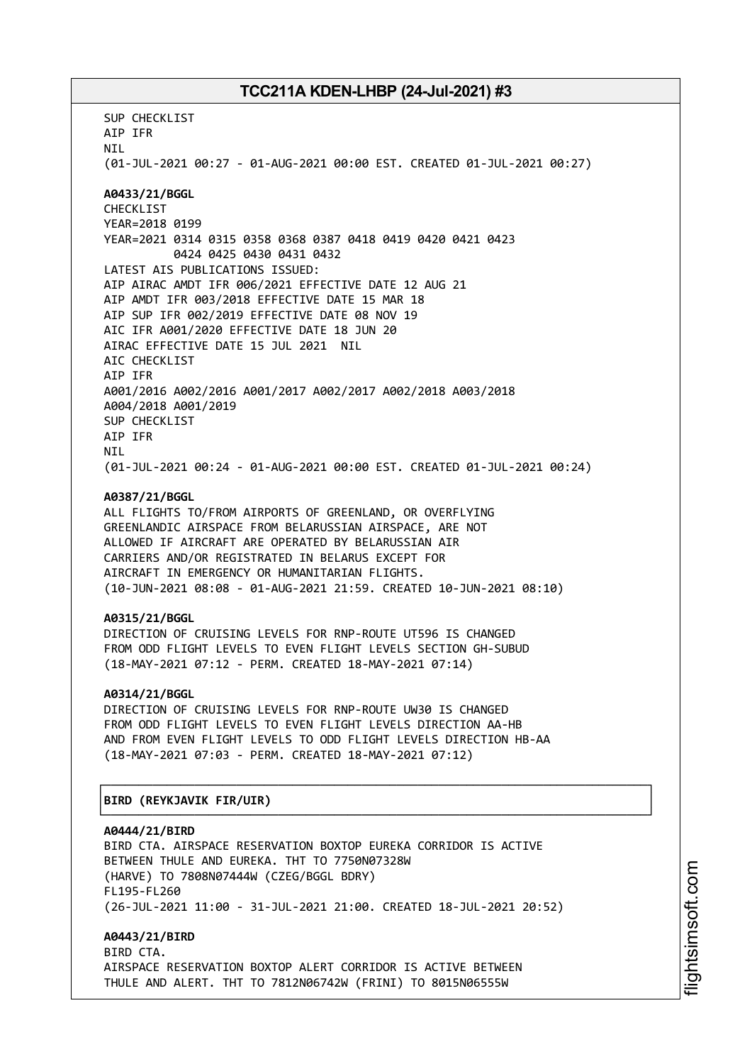SUP CHECKLIST AIP IFR NIL (01-JUL-2021 00:27 - 01-AUG-2021 00:00 EST. CREATED 01-JUL-2021 00:27) **A0433/21/BGGL** CHECKLIST YEAR=2018 0199 YEAR=2021 0314 0315 0358 0368 0387 0418 0419 0420 0421 0423 0424 0425 0430 0431 0432 LATEST AIS PUBLICATIONS ISSUED: AIP AIRAC AMDT IFR 006/2021 EFFECTIVE DATE 12 AUG 21 AIP AMDT IFR 003/2018 EFFECTIVE DATE 15 MAR 18 AIP SUP IFR 002/2019 EFFECTIVE DATE 08 NOV 19 AIC IFR A001/2020 EFFECTIVE DATE 18 JUN 20 AIRAC EFFECTIVE DATE 15 JUL 2021 NIL AIC CHECKLIST AIP IFR A001/2016 A002/2016 A001/2017 A002/2017 A002/2018 A003/2018 A004/2018 A001/2019 SUP CHECKLIST AIP IFR **NTI** (01-JUL-2021 00:24 - 01-AUG-2021 00:00 EST. CREATED 01-JUL-2021 00:24) **A0387/21/BGGL** ALL FLIGHTS TO/FROM AIRPORTS OF GREENLAND, OR OVERFLYING GREENLANDIC AIRSPACE FROM BELARUSSIAN AIRSPACE, ARE NOT ALLOWED IF AIRCRAFT ARE OPERATED BY BELARUSSIAN AIR CARRIERS AND/OR REGISTRATED IN BELARUS EXCEPT FOR AIRCRAFT IN EMERGENCY OR HUMANITARIAN FLIGHTS. (10-JUN-2021 08:08 - 01-AUG-2021 21:59. CREATED 10-JUN-2021 08:10) **A0315/21/BGGL** DIRECTION OF CRUISING LEVELS FOR RNP-ROUTE UT596 IS CHANGED FROM ODD FLIGHT LEVELS TO EVEN FLIGHT LEVELS SECTION GH-SUBUD (18-MAY-2021 07:12 - PERM. CREATED 18-MAY-2021 07:14) **A0314/21/BGGL** DIRECTION OF CRUISING LEVELS FOR RNP-ROUTE UW30 IS CHANGED FROM ODD FLIGHT LEVELS TO EVEN FLIGHT LEVELS DIRECTION AA-HB AND FROM EVEN FLIGHT LEVELS TO ODD FLIGHT LEVELS DIRECTION HB-AA (18-MAY-2021 07:03 - PERM. CREATED 18-MAY-2021 07:12) ┌──────────────────────────────────────────────────────────────────────────────┐ │**BIRD (REYKJAVIK FIR/UIR)** │ └──────────────────────────────────────────────────────────────────────────────┘ **A0444/21/BIRD** BIRD CTA. AIRSPACE RESERVATION BOXTOP EUREKA CORRIDOR IS ACTIVE BETWEEN THULE AND EUREKA. THT TO 7750N07328W (HARVE) TO 7808N07444W (CZEG/BGGL BDRY) FL195-FL260 (26-JUL-2021 11:00 - 31-JUL-2021 21:00. CREATED 18-JUL-2021 20:52) **A0443/21/BIRD** BIRD CTA. AIRSPACE RESERVATION BOXTOP ALERT CORRIDOR IS ACTIVE BETWEEN

THULE AND ALERT. THT TO 7812N06742W (FRINI) TO 8015N06555W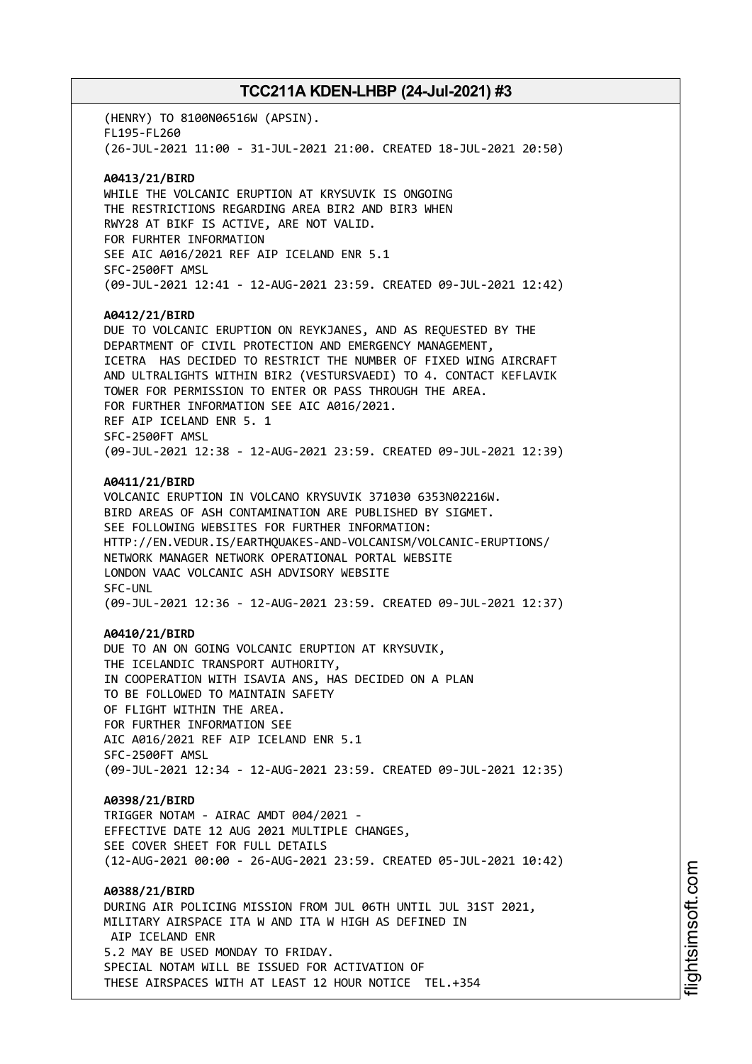(HENRY) TO 8100N06516W (APSIN). FL195-FL260 (26-JUL-2021 11:00 - 31-JUL-2021 21:00. CREATED 18-JUL-2021 20:50)

### **A0413/21/BIRD**

WHILE THE VOLCANIC ERUPTION AT KRYSUVIK IS ONGOING THE RESTRICTIONS REGARDING AREA BIR2 AND BIR3 WHEN RWY28 AT BIKF IS ACTIVE, ARE NOT VALID. FOR FURHTER INFORMATION SEE AIC A016/2021 REF AIP ICELAND ENR 5.1 SFC-2500FT AMSL (09-JUL-2021 12:41 - 12-AUG-2021 23:59. CREATED 09-JUL-2021 12:42)

#### **A0412/21/BIRD**

DUE TO VOLCANIC ERUPTION ON REYKJANES, AND AS REQUESTED BY THE DEPARTMENT OF CIVIL PROTECTION AND EMERGENCY MANAGEMENT, ICETRA HAS DECIDED TO RESTRICT THE NUMBER OF FIXED WING AIRCRAFT AND ULTRALIGHTS WITHIN BIR2 (VESTURSVAEDI) TO 4. CONTACT KEFLAVIK TOWER FOR PERMISSION TO ENTER OR PASS THROUGH THE AREA. FOR FURTHER INFORMATION SEE AIC A016/2021. REF AIP ICELAND ENR 5. 1 SFC-2500FT AMSL (09-JUL-2021 12:38 - 12-AUG-2021 23:59. CREATED 09-JUL-2021 12:39)

### **A0411/21/BIRD**

VOLCANIC ERUPTION IN VOLCANO KRYSUVIK 371030 6353N02216W. BIRD AREAS OF ASH CONTAMINATION ARE PUBLISHED BY SIGMET. SEE FOLLOWING WEBSITES FOR FURTHER INFORMATION: HTTP://EN.VEDUR.IS/EARTHQUAKES-AND-VOLCANISM/VOLCANIC-ERUPTIONS/ NETWORK MANAGER NETWORK OPERATIONAL PORTAL WEBSITE LONDON VAAC VOLCANIC ASH ADVISORY WEBSITE SFC-UNL (09-JUL-2021 12:36 - 12-AUG-2021 23:59. CREATED 09-JUL-2021 12:37)

#### **A0410/21/BIRD**

DUE TO AN ON GOING VOLCANIC ERUPTION AT KRYSUVIK, THE ICELANDIC TRANSPORT AUTHORITY, IN COOPERATION WITH ISAVIA ANS, HAS DECIDED ON A PLAN TO BE FOLLOWED TO MAINTAIN SAFETY OF FLIGHT WITHIN THE AREA. FOR FURTHER INFORMATION SEE AIC A016/2021 REF AIP ICELAND ENR 5.1 SFC-2500FT AMSL (09-JUL-2021 12:34 - 12-AUG-2021 23:59. CREATED 09-JUL-2021 12:35)

#### **A0398/21/BIRD**

TRIGGER NOTAM - AIRAC AMDT 004/2021 - EFFECTIVE DATE 12 AUG 2021 MULTIPLE CHANGES, SEE COVER SHEET FOR FULL DETAILS (12-AUG-2021 00:00 - 26-AUG-2021 23:59. CREATED 05-JUL-2021 10:42)

**A0388/21/BIRD** DURING AIR POLICING MISSION FROM JUL 06TH UNTIL JUL 31ST 2021, MILITARY AIRSPACE ITA W AND ITA W HIGH AS DEFINED IN AIP ICELAND ENR 5.2 MAY BE USED MONDAY TO FRIDAY. SPECIAL NOTAM WILL BE ISSUED FOR ACTIVATION OF THESE AIRSPACES WITH AT LEAST 12 HOUR NOTICE TEL.+354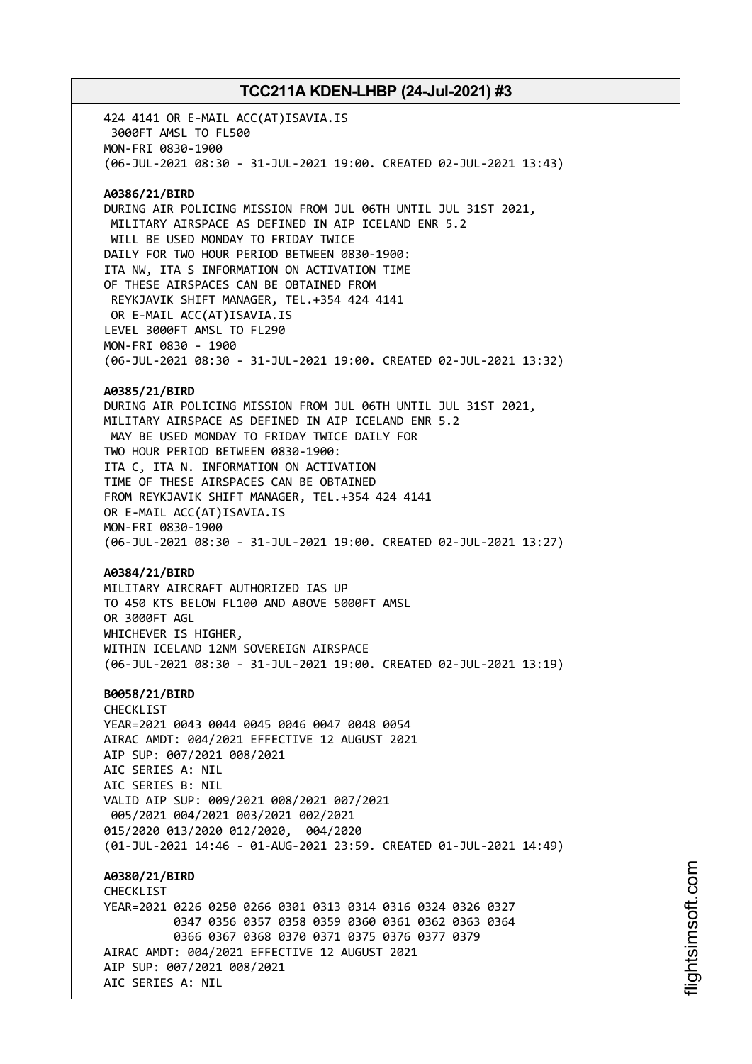424 4141 OR E-MAIL ACC(AT)ISAVIA.IS 3000FT AMSL TO FL500 MON-FRI 0830-1900 (06-JUL-2021 08:30 - 31-JUL-2021 19:00. CREATED 02-JUL-2021 13:43) **A0386/21/BIRD** DURING AIR POLICING MISSION FROM JUL 06TH UNTIL JUL 31ST 2021, MILITARY AIRSPACE AS DEFINED IN AIP ICELAND ENR 5.2 WILL BE USED MONDAY TO FRIDAY TWICE DAILY FOR TWO HOUR PERIOD BETWEEN 0830-1900: ITA NW, ITA S INFORMATION ON ACTIVATION TIME OF THESE AIRSPACES CAN BE OBTAINED FROM REYKJAVIK SHIFT MANAGER, TEL.+354 424 4141 OR E-MAIL ACC(AT)ISAVIA.IS LEVEL 3000FT AMSL TO FL290 MON-FRI 0830 - 1900 (06-JUL-2021 08:30 - 31-JUL-2021 19:00. CREATED 02-JUL-2021 13:32) **A0385/21/BIRD** DURING AIR POLICING MISSION FROM JUL 06TH UNTIL JUL 31ST 2021, MILITARY AIRSPACE AS DEFINED IN AIP ICELAND ENR 5.2 MAY BE USED MONDAY TO FRIDAY TWICE DAILY FOR TWO HOUR PERIOD BETWEEN 0830-1900: ITA C, ITA N. INFORMATION ON ACTIVATION TIME OF THESE AIRSPACES CAN BE OBTAINED FROM REYKJAVIK SHIFT MANAGER, TEL.+354 424 4141 OR E-MAIL ACC(AT)ISAVIA.IS MON-FRI 0830-1900 (06-JUL-2021 08:30 - 31-JUL-2021 19:00. CREATED 02-JUL-2021 13:27) **A0384/21/BIRD** MILITARY AIRCRAFT AUTHORIZED IAS UP TO 450 KTS BELOW FL100 AND ABOVE 5000FT AMSL OR 3000FT AGL WHICHEVER IS HIGHER, WITHIN ICELAND 12NM SOVEREIGN AIRSPACE (06-JUL-2021 08:30 - 31-JUL-2021 19:00. CREATED 02-JUL-2021 13:19) **B0058/21/BIRD** CHECKLIST YEAR=2021 0043 0044 0045 0046 0047 0048 0054 AIRAC AMDT: 004/2021 EFFECTIVE 12 AUGUST 2021 AIP SUP: 007/2021 008/2021 AIC SERIES A: NIL AIC SERIES B: NIL VALID AIP SUP: 009/2021 008/2021 007/2021 005/2021 004/2021 003/2021 002/2021 015/2020 013/2020 012/2020, 004/2020 (01-JUL-2021 14:46 - 01-AUG-2021 23:59. CREATED 01-JUL-2021 14:49) **A0380/21/BIRD CHECKLIST** YEAR=2021 0226 0250 0266 0301 0313 0314 0316 0324 0326 0327 0347 0356 0357 0358 0359 0360 0361 0362 0363 0364 0366 0367 0368 0370 0371 0375 0376 0377 0379 AIRAC AMDT: 004/2021 EFFECTIVE 12 AUGUST 2021 AIP SUP: 007/2021 008/2021 AIC SERIES A: NIL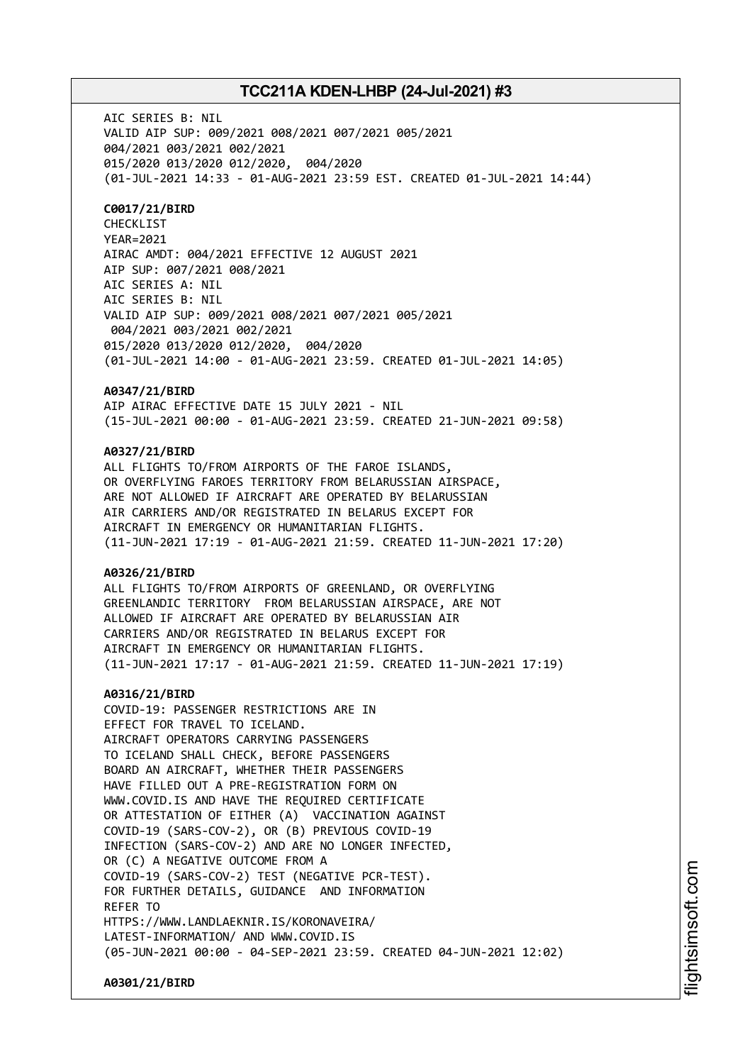AIC SERIES B: NIL VALID AIP SUP: 009/2021 008/2021 007/2021 005/2021 004/2021 003/2021 002/2021 015/2020 013/2020 012/2020, 004/2020 (01-JUL-2021 14:33 - 01-AUG-2021 23:59 EST. CREATED 01-JUL-2021 14:44)

### **C0017/21/BIRD**

CHECKLIST YEAR=2021 AIRAC AMDT: 004/2021 EFFECTIVE 12 AUGUST 2021 AIP SUP: 007/2021 008/2021 AIC SERIES A: NIL AIC SERIES B: NIL VALID AIP SUP: 009/2021 008/2021 007/2021 005/2021 004/2021 003/2021 002/2021 015/2020 013/2020 012/2020, 004/2020 (01-JUL-2021 14:00 - 01-AUG-2021 23:59. CREATED 01-JUL-2021 14:05)

### **A0347/21/BIRD**

AIP AIRAC EFFECTIVE DATE 15 JULY 2021 - NIL (15-JUL-2021 00:00 - 01-AUG-2021 23:59. CREATED 21-JUN-2021 09:58)

### **A0327/21/BIRD**

ALL FLIGHTS TO/FROM AIRPORTS OF THE FAROE ISLANDS, OR OVERFLYING FAROES TERRITORY FROM BELARUSSIAN AIRSPACE, ARE NOT ALLOWED IF AIRCRAFT ARE OPERATED BY BELARUSSIAN AIR CARRIERS AND/OR REGISTRATED IN BELARUS EXCEPT FOR AIRCRAFT IN EMERGENCY OR HUMANITARIAN FLIGHTS. (11-JUN-2021 17:19 - 01-AUG-2021 21:59. CREATED 11-JUN-2021 17:20)

### **A0326/21/BIRD**

ALL FLIGHTS TO/FROM AIRPORTS OF GREENLAND, OR OVERFLYING GREENLANDIC TERRITORY FROM BELARUSSIAN AIRSPACE, ARE NOT ALLOWED IF AIRCRAFT ARE OPERATED BY BELARUSSIAN AIR CARRIERS AND/OR REGISTRATED IN BELARUS EXCEPT FOR AIRCRAFT IN EMERGENCY OR HUMANITARIAN FLIGHTS. (11-JUN-2021 17:17 - 01-AUG-2021 21:59. CREATED 11-JUN-2021 17:19)

#### **A0316/21/BIRD**

COVID-19: PASSENGER RESTRICTIONS ARE IN EFFECT FOR TRAVEL TO ICELAND. AIRCRAFT OPERATORS CARRYING PASSENGERS TO ICELAND SHALL CHECK, BEFORE PASSENGERS BOARD AN AIRCRAFT, WHETHER THEIR PASSENGERS HAVE FILLED OUT A PRE-REGISTRATION FORM ON WWW.COVID.IS AND HAVE THE REQUIRED CERTIFICATE OR ATTESTATION OF EITHER (A) VACCINATION AGAINST COVID-19 (SARS-COV-2), OR (B) PREVIOUS COVID-19 INFECTION (SARS-COV-2) AND ARE NO LONGER INFECTED, OR (C) A NEGATIVE OUTCOME FROM A COVID-19 (SARS-COV-2) TEST (NEGATIVE PCR-TEST). FOR FURTHER DETAILS, GUIDANCE AND INFORMATION REFER TO HTTPS://WWW.LANDLAEKNIR.IS/KORONAVEIRA/ LATEST-INFORMATION/ AND WWW.COVID.IS (05-JUN-2021 00:00 - 04-SEP-2021 23:59. CREATED 04-JUN-2021 12:02)

**A0301/21/BIRD**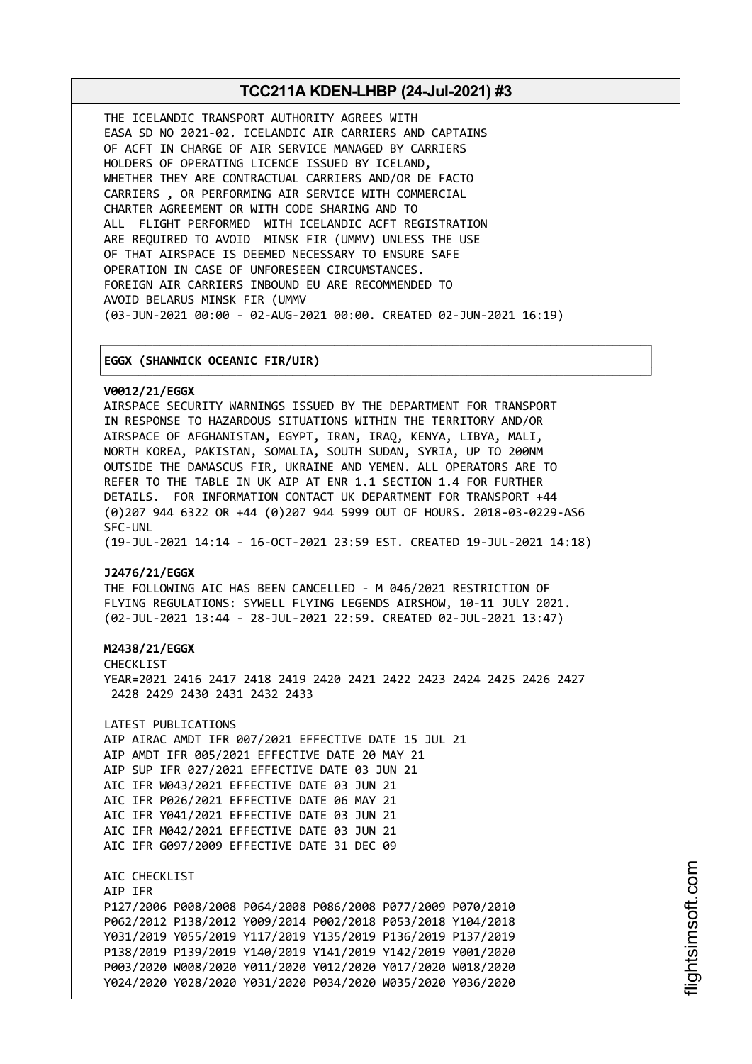┌──────────────────────────────────────────────────────────────────────────────┐

└──────────────────────────────────────────────────────────────────────────────┘

THE ICELANDIC TRANSPORT AUTHORITY AGREES WITH EASA SD NO 2021-02. ICELANDIC AIR CARRIERS AND CAPTAINS OF ACFT IN CHARGE OF AIR SERVICE MANAGED BY CARRIERS HOLDERS OF OPERATING LICENCE ISSUED BY ICELAND, WHETHER THEY ARE CONTRACTUAL CARRIERS AND/OR DE FACTO CARRIERS , OR PERFORMING AIR SERVICE WITH COMMERCIAL CHARTER AGREEMENT OR WITH CODE SHARING AND TO ALL FLIGHT PERFORMED WITH ICELANDIC ACFT REGISTRATION ARE REQUIRED TO AVOID MINSK FIR (UMMV) UNLESS THE USE OF THAT AIRSPACE IS DEEMED NECESSARY TO ENSURE SAFE OPERATION IN CASE OF UNFORESEEN CIRCUMSTANCES. FOREIGN AIR CARRIERS INBOUND EU ARE RECOMMENDED TO AVOID BELARUS MINSK FIR (UMMV (03-JUN-2021 00:00 - 02-AUG-2021 00:00. CREATED 02-JUN-2021 16:19)

#### │**EGGX (SHANWICK OCEANIC FIR/UIR)** │

#### **V0012/21/EGGX**

AIRSPACE SECURITY WARNINGS ISSUED BY THE DEPARTMENT FOR TRANSPORT IN RESPONSE TO HAZARDOUS SITUATIONS WITHIN THE TERRITORY AND/OR AIRSPACE OF AFGHANISTAN, EGYPT, IRAN, IRAQ, KENYA, LIBYA, MALI, NORTH KOREA, PAKISTAN, SOMALIA, SOUTH SUDAN, SYRIA, UP TO 200NM OUTSIDE THE DAMASCUS FIR, UKRAINE AND YEMEN. ALL OPERATORS ARE TO REFER TO THE TABLE IN UK AIP AT ENR 1.1 SECTION 1.4 FOR FURTHER DETAILS. FOR INFORMATION CONTACT UK DEPARTMENT FOR TRANSPORT +44 (0)207 944 6322 OR +44 (0)207 944 5999 OUT OF HOURS. 2018-03-0229-AS6 SFC-UNL

(19-JUL-2021 14:14 - 16-OCT-2021 23:59 EST. CREATED 19-JUL-2021 14:18)

### **J2476/21/EGGX**

THE FOLLOWING AIC HAS BEEN CANCELLED - M 046/2021 RESTRICTION OF FLYING REGULATIONS: SYWELL FLYING LEGENDS AIRSHOW, 10-11 JULY 2021. (02-JUL-2021 13:44 - 28-JUL-2021 22:59. CREATED 02-JUL-2021 13:47)

#### **M2438/21/EGGX**

CHECKLIST YEAR=2021 2416 2417 2418 2419 2420 2421 2422 2423 2424 2425 2426 2427 2428 2429 2430 2431 2432 2433

LATEST PUBLICATIONS AIP AIRAC AMDT IFR 007/2021 EFFECTIVE DATE 15 JUL 21 AIP AMDT IFR 005/2021 EFFECTIVE DATE 20 MAY 21 AIP SUP IFR 027/2021 EFFECTIVE DATE 03 JUN 21 AIC IFR W043/2021 EFFECTIVE DATE 03 JUN 21 AIC IFR P026/2021 EFFECTIVE DATE 06 MAY 21 AIC IFR Y041/2021 EFFECTIVE DATE 03 JUN 21 AIC IFR M042/2021 EFFECTIVE DATE 03 JUN 21 AIC IFR G097/2009 EFFECTIVE DATE 31 DEC 09

AIC CHECKLIST AIP IFR P127/2006 P008/2008 P064/2008 P086/2008 P077/2009 P070/2010 P062/2012 P138/2012 Y009/2014 P002/2018 P053/2018 Y104/2018 Y031/2019 Y055/2019 Y117/2019 Y135/2019 P136/2019 P137/2019 P138/2019 P139/2019 Y140/2019 Y141/2019 Y142/2019 Y001/2020 P003/2020 W008/2020 Y011/2020 Y012/2020 Y017/2020 W018/2020 Y024/2020 Y028/2020 Y031/2020 P034/2020 W035/2020 Y036/2020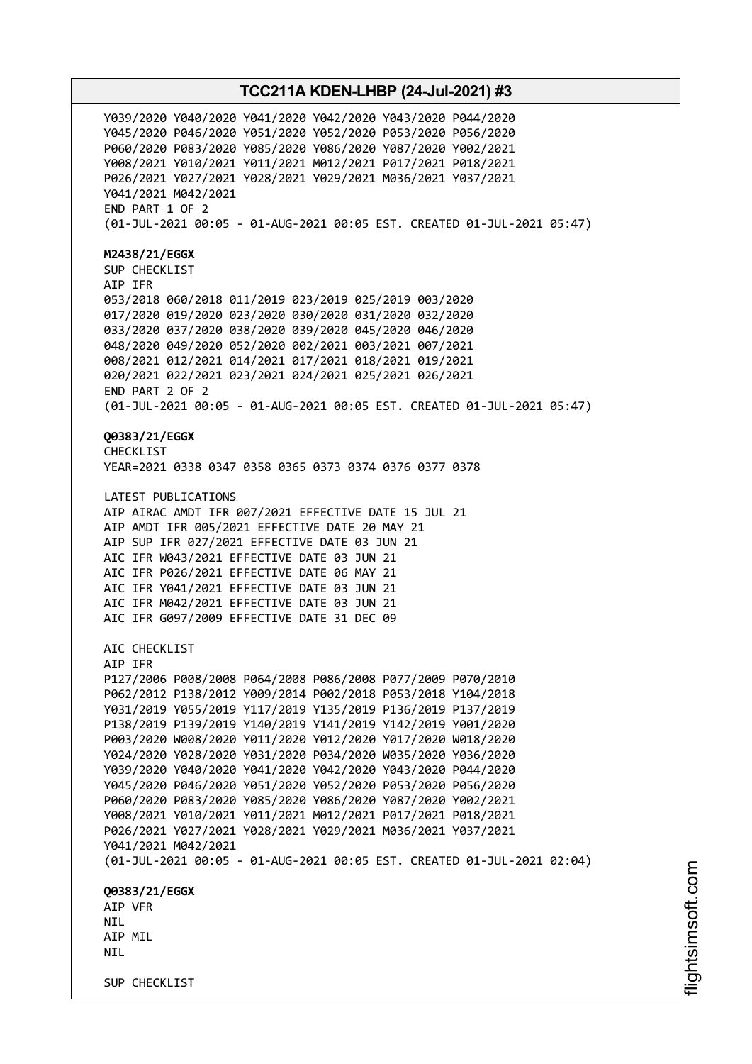Y039/2020 Y040/2020 Y041/2020 Y042/2020 Y043/2020 P044/2020 Y045/2020 P046/2020 Y051/2020 Y052/2020 P053/2020 P056/2020 P060/2020 P083/2020 Y085/2020 Y086/2020 Y087/2020 Y002/2021 Y008/2021 Y010/2021 Y011/2021 M012/2021 P017/2021 P018/2021 P026/2021 Y027/2021 Y028/2021 Y029/2021 M036/2021 Y037/2021 Y041/2021 M042/2021 END PART 1 OF 2 (01-JUL-2021 00:05 - 01-AUG-2021 00:05 EST. CREATED 01-JUL-2021 05:47) **M2438/21/EGGX** SUP CHECKLIST AIP IFR 053/2018 060/2018 011/2019 023/2019 025/2019 003/2020 017/2020 019/2020 023/2020 030/2020 031/2020 032/2020 033/2020 037/2020 038/2020 039/2020 045/2020 046/2020 048/2020 049/2020 052/2020 002/2021 003/2021 007/2021 008/2021 012/2021 014/2021 017/2021 018/2021 019/2021 020/2021 022/2021 023/2021 024/2021 025/2021 026/2021 END PART 2 OF 2 (01-JUL-2021 00:05 - 01-AUG-2021 00:05 EST. CREATED 01-JUL-2021 05:47) **Q0383/21/EGGX** CHECKL<sub>IST</sub> YEAR=2021 0338 0347 0358 0365 0373 0374 0376 0377 0378 LATEST PUBLICATIONS AIP AIRAC AMDT IFR 007/2021 EFFECTIVE DATE 15 JUL 21 AIP AMDT IFR 005/2021 EFFECTIVE DATE 20 MAY 21 AIP SUP IFR 027/2021 EFFECTIVE DATE 03 JUN 21 AIC IFR W043/2021 EFFECTIVE DATE 03 JUN 21 AIC IFR P026/2021 EFFECTIVE DATE 06 MAY 21 AIC IFR Y041/2021 EFFECTIVE DATE 03 JUN 21 AIC IFR M042/2021 EFFECTIVE DATE 03 JUN 21 AIC IFR G097/2009 EFFECTIVE DATE 31 DEC 09 ATC CHECKLIST AIP IFR P127/2006 P008/2008 P064/2008 P086/2008 P077/2009 P070/2010 P062/2012 P138/2012 Y009/2014 P002/2018 P053/2018 Y104/2018 Y031/2019 Y055/2019 Y117/2019 Y135/2019 P136/2019 P137/2019 P138/2019 P139/2019 Y140/2019 Y141/2019 Y142/2019 Y001/2020 P003/2020 W008/2020 Y011/2020 Y012/2020 Y017/2020 W018/2020 Y024/2020 Y028/2020 Y031/2020 P034/2020 W035/2020 Y036/2020 Y039/2020 Y040/2020 Y041/2020 Y042/2020 Y043/2020 P044/2020 Y045/2020 P046/2020 Y051/2020 Y052/2020 P053/2020 P056/2020 P060/2020 P083/2020 Y085/2020 Y086/2020 Y087/2020 Y002/2021 Y008/2021 Y010/2021 Y011/2021 M012/2021 P017/2021 P018/2021 P026/2021 Y027/2021 Y028/2021 Y029/2021 M036/2021 Y037/2021 Y041/2021 M042/2021 (01-JUL-2021 00:05 - 01-AUG-2021 00:05 EST. CREATED 01-JUL-2021 02:04) **Q0383/21/EGGX** AIP VFR **NTL** AIP MIL **NTI** SUP CHECKLIST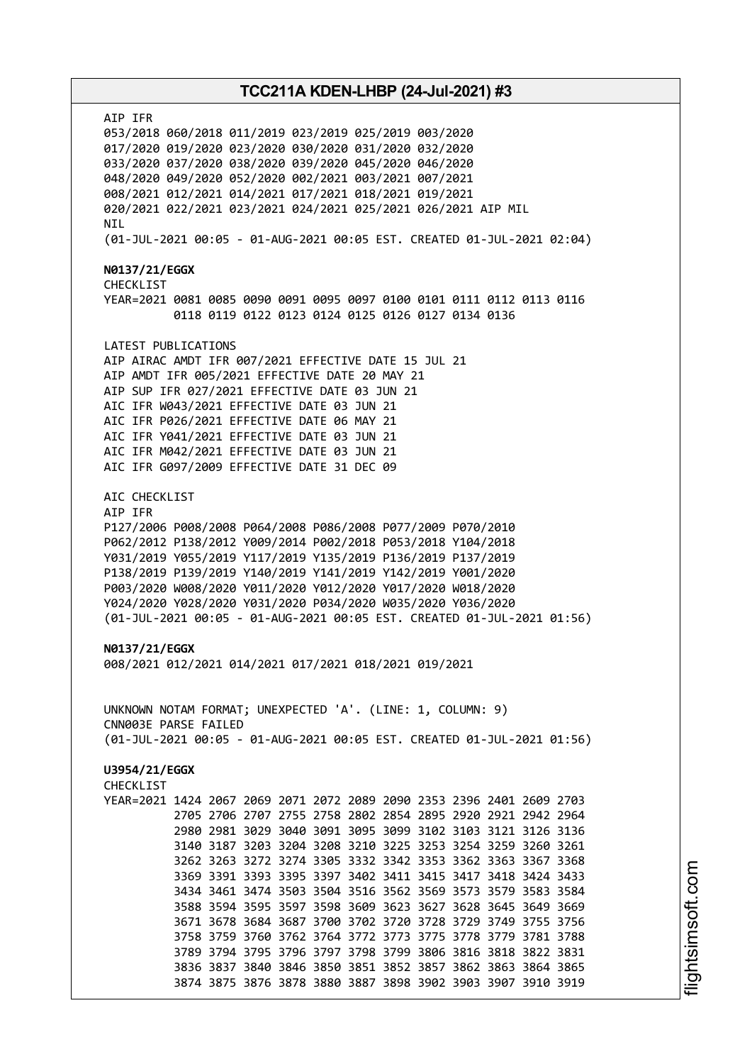AIP IFR 053/2018 060/2018 011/2019 023/2019 025/2019 003/2020 017/2020 019/2020 023/2020 030/2020 031/2020 032/2020 033/2020 037/2020 038/2020 039/2020 045/2020 046/2020 048/2020 049/2020 052/2020 002/2021 003/2021 007/2021 008/2021 012/2021 014/2021 017/2021 018/2021 019/2021 020/2021 022/2021 023/2021 024/2021 025/2021 026/2021 AIP MIL NIL (01-JUL-2021 00:05 - 01-AUG-2021 00:05 EST. CREATED 01-JUL-2021 02:04) **N0137/21/EGGX** CHECKLIST YEAR=2021 0081 0085 0090 0091 0095 0097 0100 0101 0111 0112 0113 0116 0118 0119 0122 0123 0124 0125 0126 0127 0134 0136 LATEST PUBLICATIONS AIP AIRAC AMDT IFR 007/2021 EFFECTIVE DATE 15 JUL 21 AIP AMDT IFR 005/2021 EFFECTIVE DATE 20 MAY 21 AIP SUP IFR 027/2021 EFFECTIVE DATE 03 JUN 21 AIC IFR W043/2021 EFFECTIVE DATE 03 JUN 21 AIC IFR P026/2021 EFFECTIVE DATE 06 MAY 21 AIC IFR Y041/2021 EFFECTIVE DATE 03 JUN 21 AIC IFR M042/2021 EFFECTIVE DATE 03 JUN 21 AIC IFR G097/2009 EFFECTIVE DATE 31 DEC 09 AIC CHECKLIST AIP IFR P127/2006 P008/2008 P064/2008 P086/2008 P077/2009 P070/2010 P062/2012 P138/2012 Y009/2014 P002/2018 P053/2018 Y104/2018 Y031/2019 Y055/2019 Y117/2019 Y135/2019 P136/2019 P137/2019 P138/2019 P139/2019 Y140/2019 Y141/2019 Y142/2019 Y001/2020 P003/2020 W008/2020 Y011/2020 Y012/2020 Y017/2020 W018/2020 Y024/2020 Y028/2020 Y031/2020 P034/2020 W035/2020 Y036/2020 (01-JUL-2021 00:05 - 01-AUG-2021 00:05 EST. CREATED 01-JUL-2021 01:56) **N0137/21/EGGX** 008/2021 012/2021 014/2021 017/2021 018/2021 019/2021 UNKNOWN NOTAM FORMAT; UNEXPECTED 'A'. (LINE: 1, COLUMN: 9) CNN003E PARSE FAILED (01-JUL-2021 00:05 - 01-AUG-2021 00:05 EST. CREATED 01-JUL-2021 01:56) **U3954/21/EGGX** CHECKL<sub>TST</sub> YEAR=2021 1424 2067 2069 2071 2072 2089 2090 2353 2396 2401 2609 2703 2705 2706 2707 2755 2758 2802 2854 2895 2920 2921 2942 2964 2980 2981 3029 3040 3091 3095 3099 3102 3103 3121 3126 3136 3140 3187 3203 3204 3208 3210 3225 3253 3254 3259 3260 3261 3262 3263 3272 3274 3305 3332 3342 3353 3362 3363 3367 3368 3369 3391 3393 3395 3397 3402 3411 3415 3417 3418 3424 3433 3434 3461 3474 3503 3504 3516 3562 3569 3573 3579 3583 3584 3588 3594 3595 3597 3598 3609 3623 3627 3628 3645 3649 3669 3671 3678 3684 3687 3700 3702 3720 3728 3729 3749 3755 3756 3758 3759 3760 3762 3764 3772 3773 3775 3778 3779 3781 3788 3789 3794 3795 3796 3797 3798 3799 3806 3816 3818 3822 3831 3836 3837 3840 3846 3850 3851 3852 3857 3862 3863 3864 3865 3874 3875 3876 3878 3880 3887 3898 3902 3903 3907 3910 3919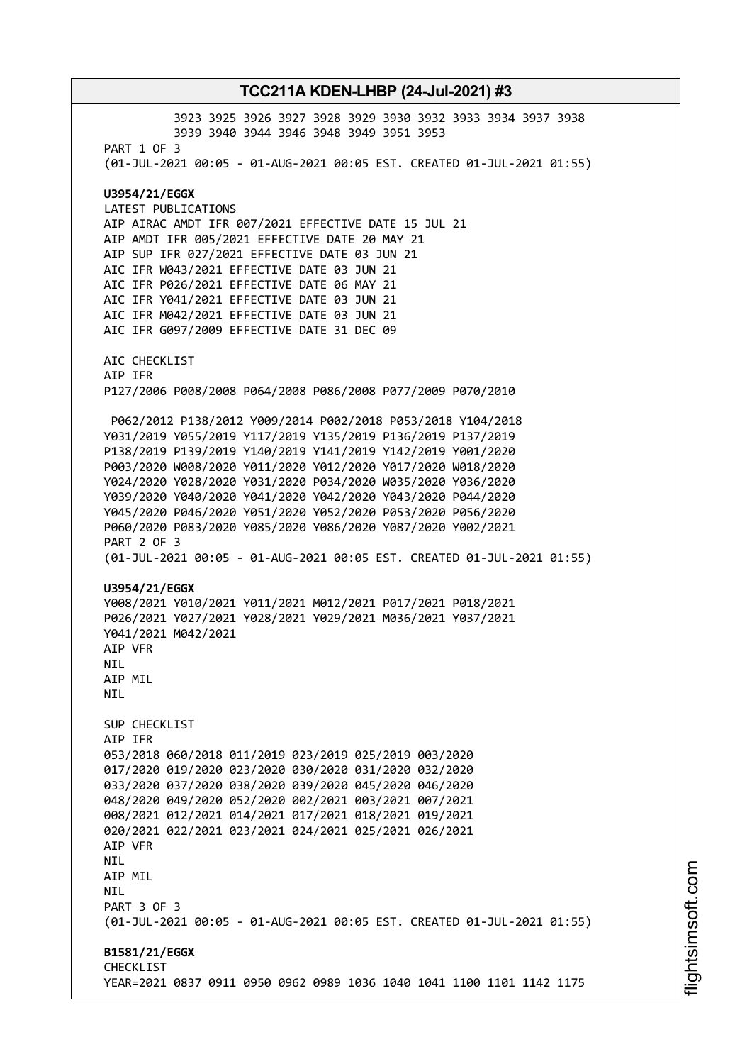3923 3925 3926 3927 3928 3929 3930 3932 3933 3934 3937 3938 3939 3940 3944 3946 3948 3949 3951 3953 PART 1 OF 3 (01-JUL-2021 00:05 - 01-AUG-2021 00:05 EST. CREATED 01-JUL-2021 01:55) **U3954/21/EGGX** LATEST PUBLICATIONS AIP AIRAC AMDT IFR 007/2021 EFFECTIVE DATE 15 JUL 21 AIP AMDT IFR 005/2021 EFFECTIVE DATE 20 MAY 21 AIP SUP IFR 027/2021 EFFECTIVE DATE 03 JUN 21 AIC IFR W043/2021 EFFECTIVE DATE 03 JUN 21 AIC IFR P026/2021 EFFECTIVE DATE 06 MAY 21 AIC IFR Y041/2021 EFFECTIVE DATE 03 JUN 21 AIC IFR M042/2021 EFFECTIVE DATE 03 JUN 21 AIC IFR G097/2009 EFFECTIVE DATE 31 DEC 09 AIC CHECKLIST AIP IFR P127/2006 P008/2008 P064/2008 P086/2008 P077/2009 P070/2010 P062/2012 P138/2012 Y009/2014 P002/2018 P053/2018 Y104/2018 Y031/2019 Y055/2019 Y117/2019 Y135/2019 P136/2019 P137/2019 P138/2019 P139/2019 Y140/2019 Y141/2019 Y142/2019 Y001/2020 P003/2020 W008/2020 Y011/2020 Y012/2020 Y017/2020 W018/2020 Y024/2020 Y028/2020 Y031/2020 P034/2020 W035/2020 Y036/2020 Y039/2020 Y040/2020 Y041/2020 Y042/2020 Y043/2020 P044/2020 Y045/2020 P046/2020 Y051/2020 Y052/2020 P053/2020 P056/2020 P060/2020 P083/2020 Y085/2020 Y086/2020 Y087/2020 Y002/2021 PART 2 OF 3 (01-JUL-2021 00:05 - 01-AUG-2021 00:05 EST. CREATED 01-JUL-2021 01:55) **U3954/21/EGGX** Y008/2021 Y010/2021 Y011/2021 M012/2021 P017/2021 P018/2021 P026/2021 Y027/2021 Y028/2021 Y029/2021 M036/2021 Y037/2021 Y041/2021 M042/2021 AIP VFR NIL AIP MIL NIL SUP CHECKLIST AIP IFR 053/2018 060/2018 011/2019 023/2019 025/2019 003/2020 017/2020 019/2020 023/2020 030/2020 031/2020 032/2020 033/2020 037/2020 038/2020 039/2020 045/2020 046/2020 048/2020 049/2020 052/2020 002/2021 003/2021 007/2021 008/2021 012/2021 014/2021 017/2021 018/2021 019/2021 020/2021 022/2021 023/2021 024/2021 025/2021 026/2021 AIP VFR NIL AIP MIL **NTL** PART 3 OF 3 (01-JUL-2021 00:05 - 01-AUG-2021 00:05 EST. CREATED 01-JUL-2021 01:55) **B1581/21/EGGX** CHECKLIST YEAR=2021 0837 0911 0950 0962 0989 1036 1040 1041 1100 1101 1142 1175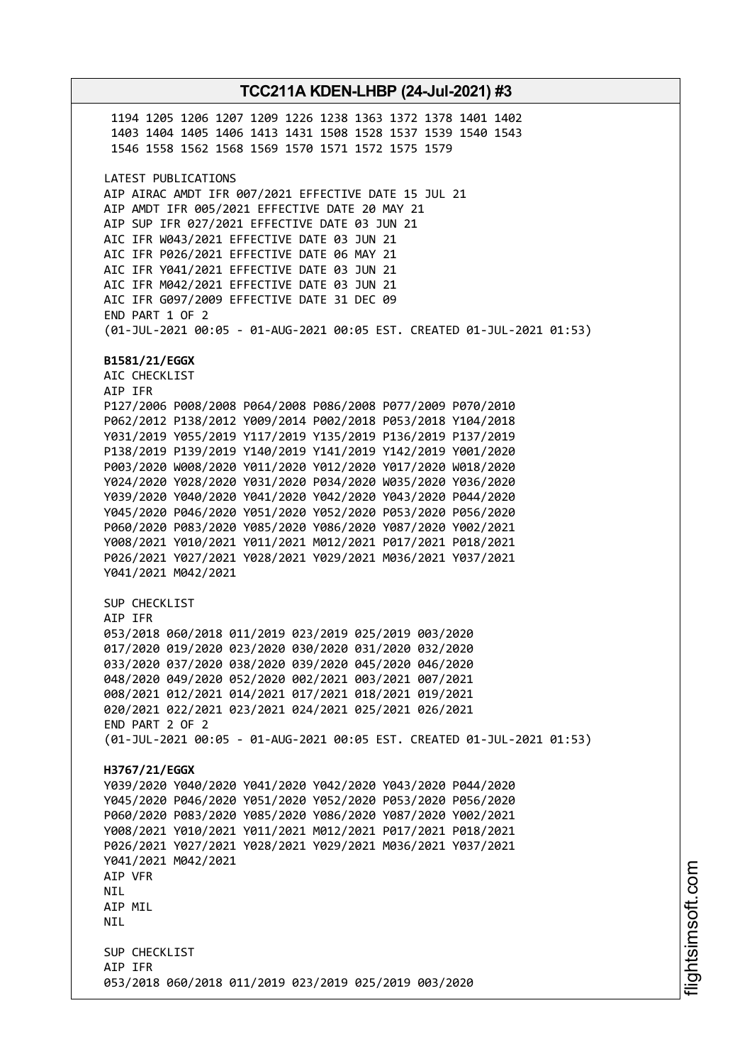1194 1205 1206 1207 1209 1226 1238 1363 1372 1378 1401 1402 1403 1404 1405 1406 1413 1431 1508 1528 1537 1539 1540 1543 1546 1558 1562 1568 1569 1570 1571 1572 1575 1579 LATEST PUBLICATIONS AIP AIRAC AMDT IFR 007/2021 EFFECTIVE DATE 15 JUL 21 AIP AMDT IFR 005/2021 EFFECTIVE DATE 20 MAY 21 AIP SUP IFR 027/2021 EFFECTIVE DATE 03 JUN 21 AIC IFR W043/2021 EFFECTIVE DATE 03 JUN 21 AIC IFR P026/2021 EFFECTIVE DATE 06 MAY 21 AIC IFR Y041/2021 EFFECTIVE DATE 03 JUN 21 AIC IFR M042/2021 EFFECTIVE DATE 03 JUN 21 AIC IFR G097/2009 EFFECTIVE DATE 31 DEC 09 END PART 1 OF 2 (01-JUL-2021 00:05 - 01-AUG-2021 00:05 EST. CREATED 01-JUL-2021 01:53) **B1581/21/EGGX** AIC CHECKLIST AIP IFR P127/2006 P008/2008 P064/2008 P086/2008 P077/2009 P070/2010 P062/2012 P138/2012 Y009/2014 P002/2018 P053/2018 Y104/2018 Y031/2019 Y055/2019 Y117/2019 Y135/2019 P136/2019 P137/2019 P138/2019 P139/2019 Y140/2019 Y141/2019 Y142/2019 Y001/2020 P003/2020 W008/2020 Y011/2020 Y012/2020 Y017/2020 W018/2020 Y024/2020 Y028/2020 Y031/2020 P034/2020 W035/2020 Y036/2020 Y039/2020 Y040/2020 Y041/2020 Y042/2020 Y043/2020 P044/2020 Y045/2020 P046/2020 Y051/2020 Y052/2020 P053/2020 P056/2020 P060/2020 P083/2020 Y085/2020 Y086/2020 Y087/2020 Y002/2021 Y008/2021 Y010/2021 Y011/2021 M012/2021 P017/2021 P018/2021 P026/2021 Y027/2021 Y028/2021 Y029/2021 M036/2021 Y037/2021 Y041/2021 M042/2021 SUP CHECKLIST AIP IFR 053/2018 060/2018 011/2019 023/2019 025/2019 003/2020 017/2020 019/2020 023/2020 030/2020 031/2020 032/2020 033/2020 037/2020 038/2020 039/2020 045/2020 046/2020 048/2020 049/2020 052/2020 002/2021 003/2021 007/2021 008/2021 012/2021 014/2021 017/2021 018/2021 019/2021 020/2021 022/2021 023/2021 024/2021 025/2021 026/2021 END PART 2 OF 2 (01-JUL-2021 00:05 - 01-AUG-2021 00:05 EST. CREATED 01-JUL-2021 01:53) **H3767/21/EGGX** Y039/2020 Y040/2020 Y041/2020 Y042/2020 Y043/2020 P044/2020 Y045/2020 P046/2020 Y051/2020 Y052/2020 P053/2020 P056/2020 P060/2020 P083/2020 Y085/2020 Y086/2020 Y087/2020 Y002/2021 Y008/2021 Y010/2021 Y011/2021 M012/2021 P017/2021 P018/2021 P026/2021 Y027/2021 Y028/2021 Y029/2021 M036/2021 Y037/2021 Y041/2021 M042/2021 AIP VFR NIL AIP MIL **NTI** SUP CHECKLIST AIP IFR 053/2018 060/2018 011/2019 023/2019 025/2019 003/2020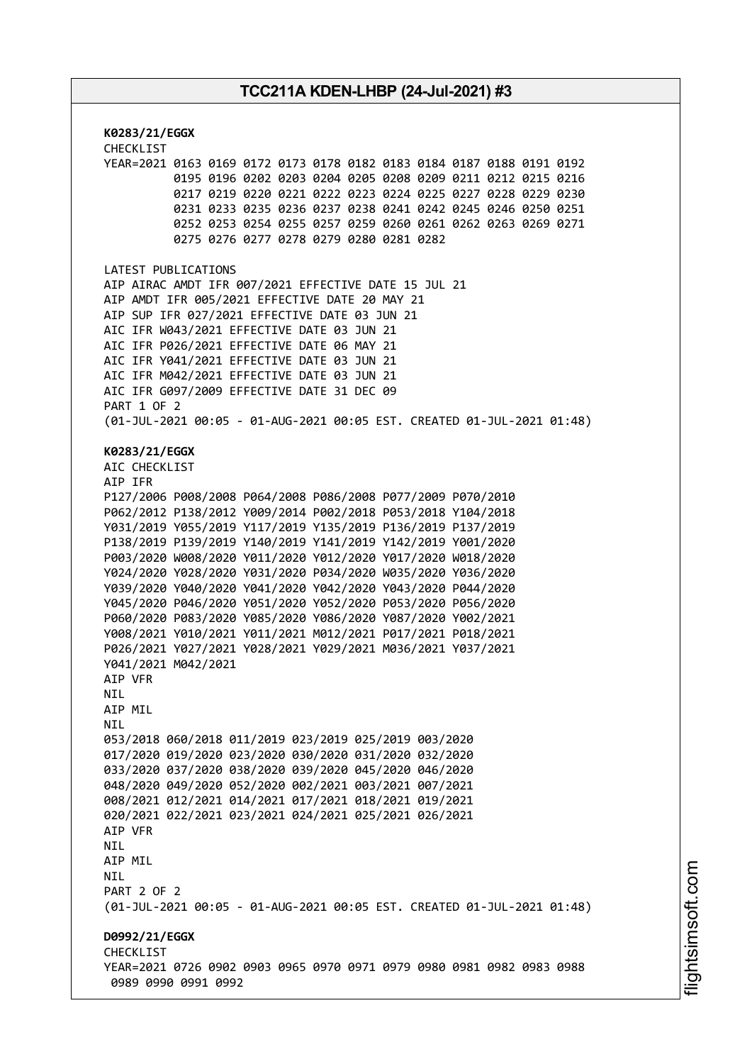**K0283/21/EGGX** CHECKLIST YEAR=2021 0163 0169 0172 0173 0178 0182 0183 0184 0187 0188 0191 0192 0195 0196 0202 0203 0204 0205 0208 0209 0211 0212 0215 0216 0217 0219 0220 0221 0222 0223 0224 0225 0227 0228 0229 0230 0231 0233 0235 0236 0237 0238 0241 0242 0245 0246 0250 0251 0252 0253 0254 0255 0257 0259 0260 0261 0262 0263 0269 0271 0275 0276 0277 0278 0279 0280 0281 0282 LATEST PUBLICATIONS AIP AIRAC AMDT IFR 007/2021 EFFECTIVE DATE 15 JUL 21 AIP AMDT IFR 005/2021 EFFECTIVE DATE 20 MAY 21 AIP SUP IFR 027/2021 EFFECTIVE DATE 03 JUN 21 AIC IFR W043/2021 EFFECTIVE DATE 03 JUN 21 AIC IFR P026/2021 EFFECTIVE DATE 06 MAY 21 AIC IFR Y041/2021 EFFECTIVE DATE 03 JUN 21 AIC IFR M042/2021 EFFECTIVE DATE 03 JUN 21 AIC IFR G097/2009 EFFECTIVE DATE 31 DEC 09 PART 1 OF 2 (01-JUL-2021 00:05 - 01-AUG-2021 00:05 EST. CREATED 01-JUL-2021 01:48) **K0283/21/EGGX** AIC CHECKLIST AIP IFR P127/2006 P008/2008 P064/2008 P086/2008 P077/2009 P070/2010 P062/2012 P138/2012 Y009/2014 P002/2018 P053/2018 Y104/2018 Y031/2019 Y055/2019 Y117/2019 Y135/2019 P136/2019 P137/2019 P138/2019 P139/2019 Y140/2019 Y141/2019 Y142/2019 Y001/2020 P003/2020 W008/2020 Y011/2020 Y012/2020 Y017/2020 W018/2020 Y024/2020 Y028/2020 Y031/2020 P034/2020 W035/2020 Y036/2020 Y039/2020 Y040/2020 Y041/2020 Y042/2020 Y043/2020 P044/2020 Y045/2020 P046/2020 Y051/2020 Y052/2020 P053/2020 P056/2020 P060/2020 P083/2020 Y085/2020 Y086/2020 Y087/2020 Y002/2021 Y008/2021 Y010/2021 Y011/2021 M012/2021 P017/2021 P018/2021 P026/2021 Y027/2021 Y028/2021 Y029/2021 M036/2021 Y037/2021 Y041/2021 M042/2021 AIP VFR NIL AIP MIL **NTI** 053/2018 060/2018 011/2019 023/2019 025/2019 003/2020 017/2020 019/2020 023/2020 030/2020 031/2020 032/2020 033/2020 037/2020 038/2020 039/2020 045/2020 046/2020 048/2020 049/2020 052/2020 002/2021 003/2021 007/2021 008/2021 012/2021 014/2021 017/2021 018/2021 019/2021 020/2021 022/2021 023/2021 024/2021 025/2021 026/2021 AIP VFR NIL AIP MIL NIL PART 2 OF 2 (01-JUL-2021 00:05 - 01-AUG-2021 00:05 EST. CREATED 01-JUL-2021 01:48) **D0992/21/EGGX CHECKLIST** YEAR=2021 0726 0902 0903 0965 0970 0971 0979 0980 0981 0982 0983 0988 0989 0990 0991 0992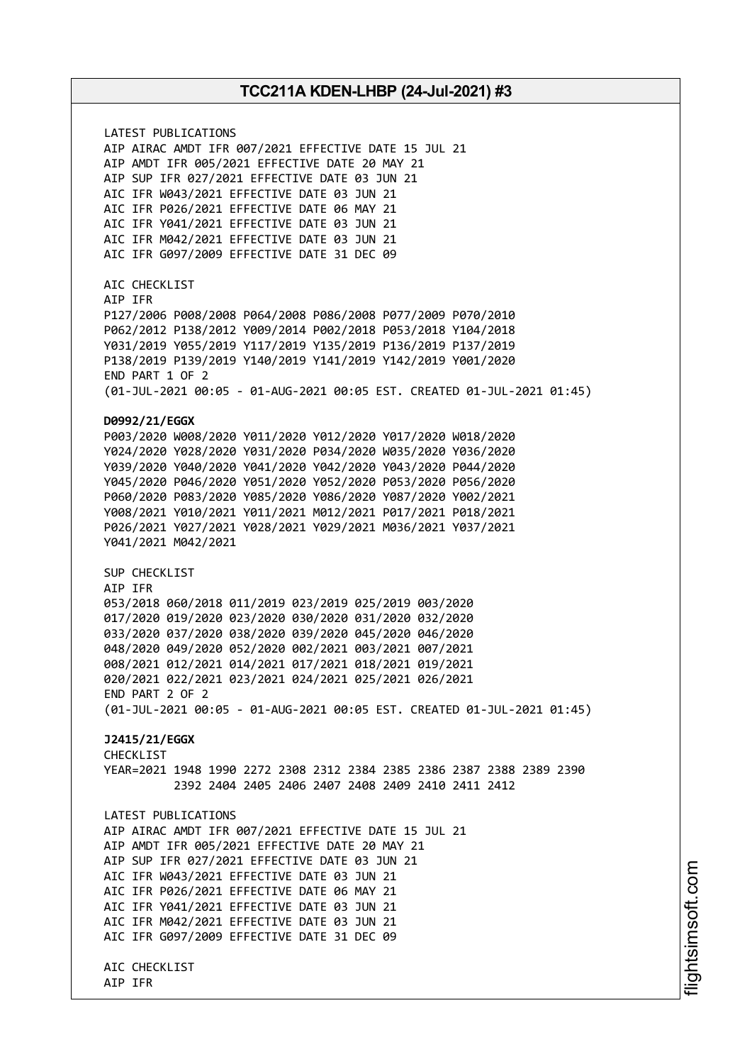LATEST PUBLICATIONS AIP AIRAC AMDT IFR 007/2021 EFFECTIVE DATE 15 JUL 21 AIP AMDT IFR 005/2021 EFFECTIVE DATE 20 MAY 21 AIP SUP IFR 027/2021 EFFECTIVE DATE 03 JUN 21 AIC IFR W043/2021 EFFECTIVE DATE 03 JUN 21 AIC IFR P026/2021 EFFECTIVE DATE 06 MAY 21 AIC IFR Y041/2021 EFFECTIVE DATE 03 JUN 21 AIC IFR M042/2021 EFFECTIVE DATE 03 JUN 21 AIC IFR G097/2009 EFFECTIVE DATE 31 DEC 09 AIC CHECKLIST AIP IFR P127/2006 P008/2008 P064/2008 P086/2008 P077/2009 P070/2010 P062/2012 P138/2012 Y009/2014 P002/2018 P053/2018 Y104/2018 Y031/2019 Y055/2019 Y117/2019 Y135/2019 P136/2019 P137/2019 P138/2019 P139/2019 Y140/2019 Y141/2019 Y142/2019 Y001/2020 END PART 1 OF 2 (01-JUL-2021 00:05 - 01-AUG-2021 00:05 EST. CREATED 01-JUL-2021 01:45) **D0992/21/EGGX** P003/2020 W008/2020 Y011/2020 Y012/2020 Y017/2020 W018/2020 Y024/2020 Y028/2020 Y031/2020 P034/2020 W035/2020 Y036/2020 Y039/2020 Y040/2020 Y041/2020 Y042/2020 Y043/2020 P044/2020 Y045/2020 P046/2020 Y051/2020 Y052/2020 P053/2020 P056/2020 P060/2020 P083/2020 Y085/2020 Y086/2020 Y087/2020 Y002/2021 Y008/2021 Y010/2021 Y011/2021 M012/2021 P017/2021 P018/2021 P026/2021 Y027/2021 Y028/2021 Y029/2021 M036/2021 Y037/2021 Y041/2021 M042/2021 SUP CHECKLIST AIP IFR 053/2018 060/2018 011/2019 023/2019 025/2019 003/2020 017/2020 019/2020 023/2020 030/2020 031/2020 032/2020 033/2020 037/2020 038/2020 039/2020 045/2020 046/2020 048/2020 049/2020 052/2020 002/2021 003/2021 007/2021 008/2021 012/2021 014/2021 017/2021 018/2021 019/2021 020/2021 022/2021 023/2021 024/2021 025/2021 026/2021 END PART 2 OF 2 (01-JUL-2021 00:05 - 01-AUG-2021 00:05 EST. CREATED 01-JUL-2021 01:45) **J2415/21/EGGX** CHECKLIST YEAR=2021 1948 1990 2272 2308 2312 2384 2385 2386 2387 2388 2389 2390 2392 2404 2405 2406 2407 2408 2409 2410 2411 2412 LATEST PUBLICATIONS AIP AIRAC AMDT IFR 007/2021 EFFECTIVE DATE 15 JUL 21 AIP AMDT IFR 005/2021 EFFECTIVE DATE 20 MAY 21 AIP SUP IFR 027/2021 EFFECTIVE DATE 03 JUN 21 AIC IFR W043/2021 EFFECTIVE DATE 03 JUN 21 AIC IFR P026/2021 EFFECTIVE DATE 06 MAY 21 AIC IFR Y041/2021 EFFECTIVE DATE 03 JUN 21 AIC IFR M042/2021 EFFECTIVE DATE 03 JUN 21 AIC IFR G097/2009 EFFECTIVE DATE 31 DEC 09 AIC CHECKLIST AIP IFR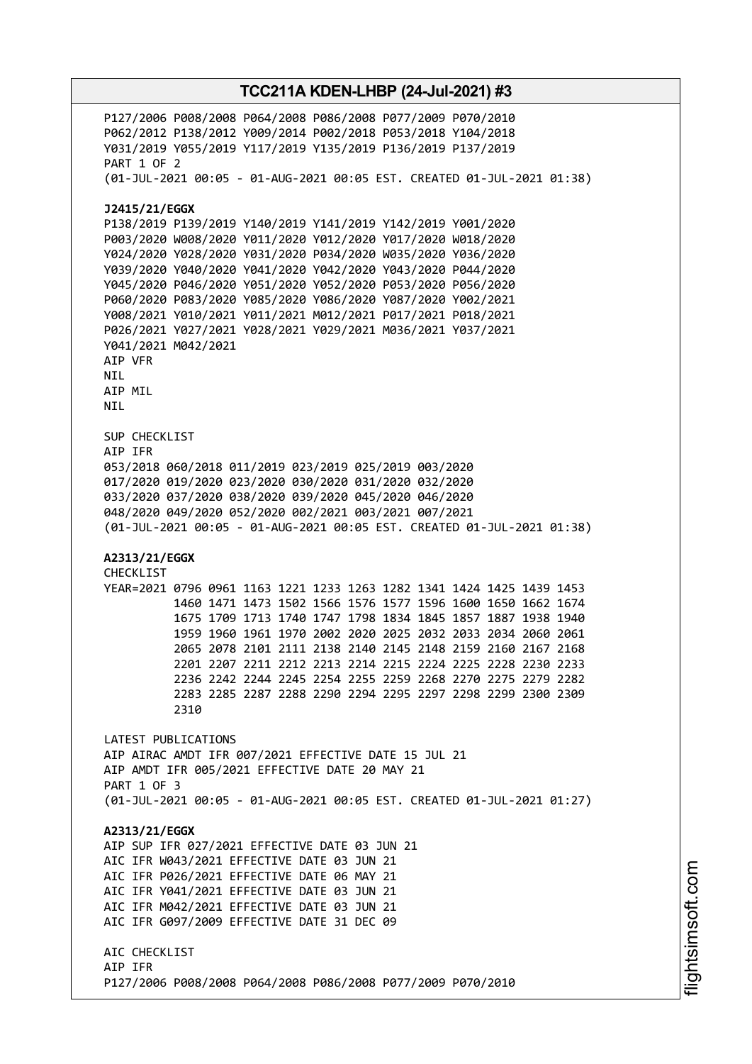P127/2006 P008/2008 P064/2008 P086/2008 P077/2009 P070/2010 P062/2012 P138/2012 Y009/2014 P002/2018 P053/2018 Y104/2018 Y031/2019 Y055/2019 Y117/2019 Y135/2019 P136/2019 P137/2019 PART 1 OF 2 (01-JUL-2021 00:05 - 01-AUG-2021 00:05 EST. CREATED 01-JUL-2021 01:38) **J2415/21/EGGX** P138/2019 P139/2019 Y140/2019 Y141/2019 Y142/2019 Y001/2020 P003/2020 W008/2020 Y011/2020 Y012/2020 Y017/2020 W018/2020 Y024/2020 Y028/2020 Y031/2020 P034/2020 W035/2020 Y036/2020 Y039/2020 Y040/2020 Y041/2020 Y042/2020 Y043/2020 P044/2020 Y045/2020 P046/2020 Y051/2020 Y052/2020 P053/2020 P056/2020 P060/2020 P083/2020 Y085/2020 Y086/2020 Y087/2020 Y002/2021 Y008/2021 Y010/2021 Y011/2021 M012/2021 P017/2021 P018/2021 P026/2021 Y027/2021 Y028/2021 Y029/2021 M036/2021 Y037/2021 Y041/2021 M042/2021 AIP VFR NIL AIP MIL NIL SUP CHECKLIST AIP IFR 053/2018 060/2018 011/2019 023/2019 025/2019 003/2020 017/2020 019/2020 023/2020 030/2020 031/2020 032/2020 033/2020 037/2020 038/2020 039/2020 045/2020 046/2020 048/2020 049/2020 052/2020 002/2021 003/2021 007/2021 (01-JUL-2021 00:05 - 01-AUG-2021 00:05 EST. CREATED 01-JUL-2021 01:38) **A2313/21/EGGX** CHECKLIST YEAR=2021 0796 0961 1163 1221 1233 1263 1282 1341 1424 1425 1439 1453 1460 1471 1473 1502 1566 1576 1577 1596 1600 1650 1662 1674 1675 1709 1713 1740 1747 1798 1834 1845 1857 1887 1938 1940 1959 1960 1961 1970 2002 2020 2025 2032 2033 2034 2060 2061 2065 2078 2101 2111 2138 2140 2145 2148 2159 2160 2167 2168 2201 2207 2211 2212 2213 2214 2215 2224 2225 2228 2230 2233 2236 2242 2244 2245 2254 2255 2259 2268 2270 2275 2279 2282 2283 2285 2287 2288 2290 2294 2295 2297 2298 2299 2300 2309 2310 LATEST PUBLICATIONS AIP AIRAC AMDT IFR 007/2021 EFFECTIVE DATE 15 JUL 21 AIP AMDT IFR 005/2021 EFFECTIVE DATE 20 MAY 21 PART 1 OF 3 (01-JUL-2021 00:05 - 01-AUG-2021 00:05 EST. CREATED 01-JUL-2021 01:27) **A2313/21/EGGX** AIP SUP IFR 027/2021 EFFECTIVE DATE 03 JUN 21 AIC IFR W043/2021 EFFECTIVE DATE 03 JUN 21 AIC IFR P026/2021 EFFECTIVE DATE 06 MAY 21 AIC IFR Y041/2021 EFFECTIVE DATE 03 JUN 21 AIC IFR M042/2021 EFFECTIVE DATE 03 JUN 21 AIC IFR G097/2009 EFFECTIVE DATE 31 DEC 09 AIC CHECKLIST AIP IFR P127/2006 P008/2008 P064/2008 P086/2008 P077/2009 P070/2010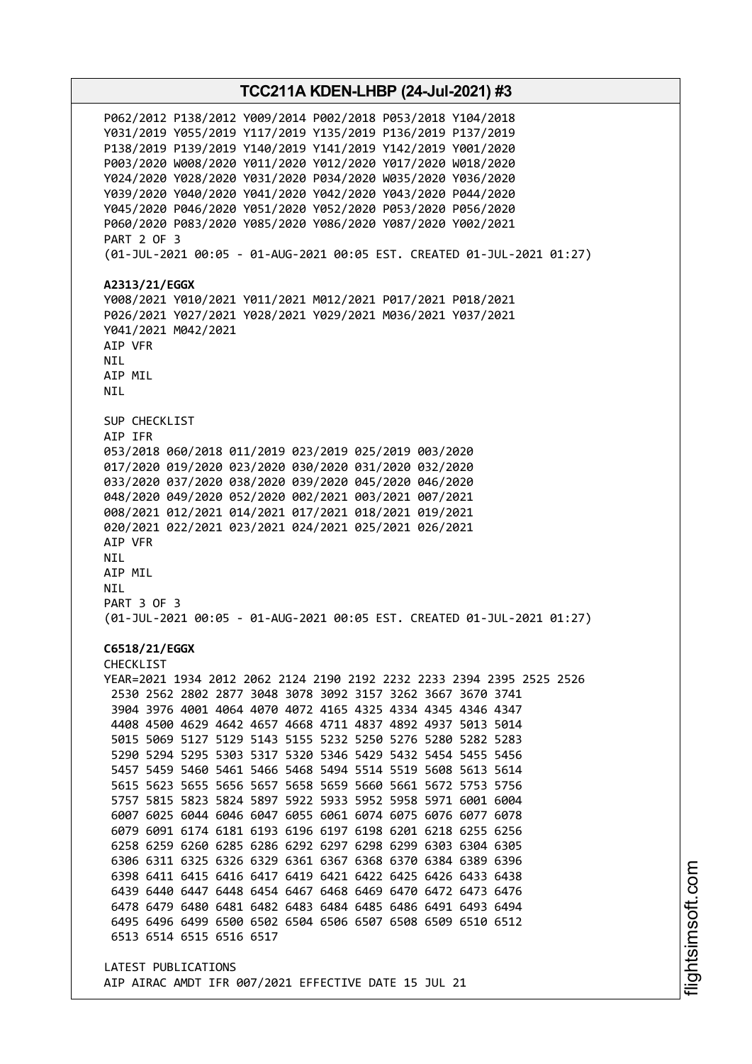# **TCC211A KDEN-LHBP (24-Jul-2021) #3** P062/2012 P138/2012 Y009/2014 P002/2018 P053/2018 Y104/2018 Y031/2019 Y055/2019 Y117/2019 Y135/2019 P136/2019 P137/2019 P138/2019 P139/2019 Y140/2019 Y141/2019 Y142/2019 Y001/2020 P003/2020 W008/2020 Y011/2020 Y012/2020 Y017/2020 W018/2020 Y024/2020 Y028/2020 Y031/2020 P034/2020 W035/2020 Y036/2020 Y039/2020 Y040/2020 Y041/2020 Y042/2020 Y043/2020 P044/2020 Y045/2020 P046/2020 Y051/2020 Y052/2020 P053/2020 P056/2020 P060/2020 P083/2020 Y085/2020 Y086/2020 Y087/2020 Y002/2021 PART 2 OF 3 (01-JUL-2021 00:05 - 01-AUG-2021 00:05 EST. CREATED 01-JUL-2021 01:27) **A2313/21/EGGX** Y008/2021 Y010/2021 Y011/2021 M012/2021 P017/2021 P018/2021 P026/2021 Y027/2021 Y028/2021 Y029/2021 M036/2021 Y037/2021 Y041/2021 M042/2021 AIP VFR NIL AIP MIL NIL SUP CHECKLIST AIP IFR 053/2018 060/2018 011/2019 023/2019 025/2019 003/2020 017/2020 019/2020 023/2020 030/2020 031/2020 032/2020 033/2020 037/2020 038/2020 039/2020 045/2020 046/2020 048/2020 049/2020 052/2020 002/2021 003/2021 007/2021 008/2021 012/2021 014/2021 017/2021 018/2021 019/2021 020/2021 022/2021 023/2021 024/2021 025/2021 026/2021 AIP VFR NIL AIP MIL NIL PART 3 OF 3 (01-JUL-2021 00:05 - 01-AUG-2021 00:05 EST. CREATED 01-JUL-2021 01:27) **C6518/21/EGGX** CHECKLIST YEAR=2021 1934 2012 2062 2124 2190 2192 2232 2233 2394 2395 2525 2526 2530 2562 2802 2877 3048 3078 3092 3157 3262 3667 3670 3741 3904 3976 4001 4064 4070 4072 4165 4325 4334 4345 4346 4347 4408 4500 4629 4642 4657 4668 4711 4837 4892 4937 5013 5014 5015 5069 5127 5129 5143 5155 5232 5250 5276 5280 5282 5283 5290 5294 5295 5303 5317 5320 5346 5429 5432 5454 5455 5456 5457 5459 5460 5461 5466 5468 5494 5514 5519 5608 5613 5614 5615 5623 5655 5656 5657 5658 5659 5660 5661 5672 5753 5756 5757 5815 5823 5824 5897 5922 5933 5952 5958 5971 6001 6004 6007 6025 6044 6046 6047 6055 6061 6074 6075 6076 6077 6078 6079 6091 6174 6181 6193 6196 6197 6198 6201 6218 6255 6256 6258 6259 6260 6285 6286 6292 6297 6298 6299 6303 6304 6305 6306 6311 6325 6326 6329 6361 6367 6368 6370 6384 6389 6396 6398 6411 6415 6416 6417 6419 6421 6422 6425 6426 6433 6438 6439 6440 6447 6448 6454 6467 6468 6469 6470 6472 6473 6476 6478 6479 6480 6481 6482 6483 6484 6485 6486 6491 6493 6494 6495 6496 6499 6500 6502 6504 6506 6507 6508 6509 6510 6512 6513 6514 6515 6516 6517 LATEST PUBLICATIONS AIP AIRAC AMDT IFR 007/2021 EFFECTIVE DATE 15 JUL 21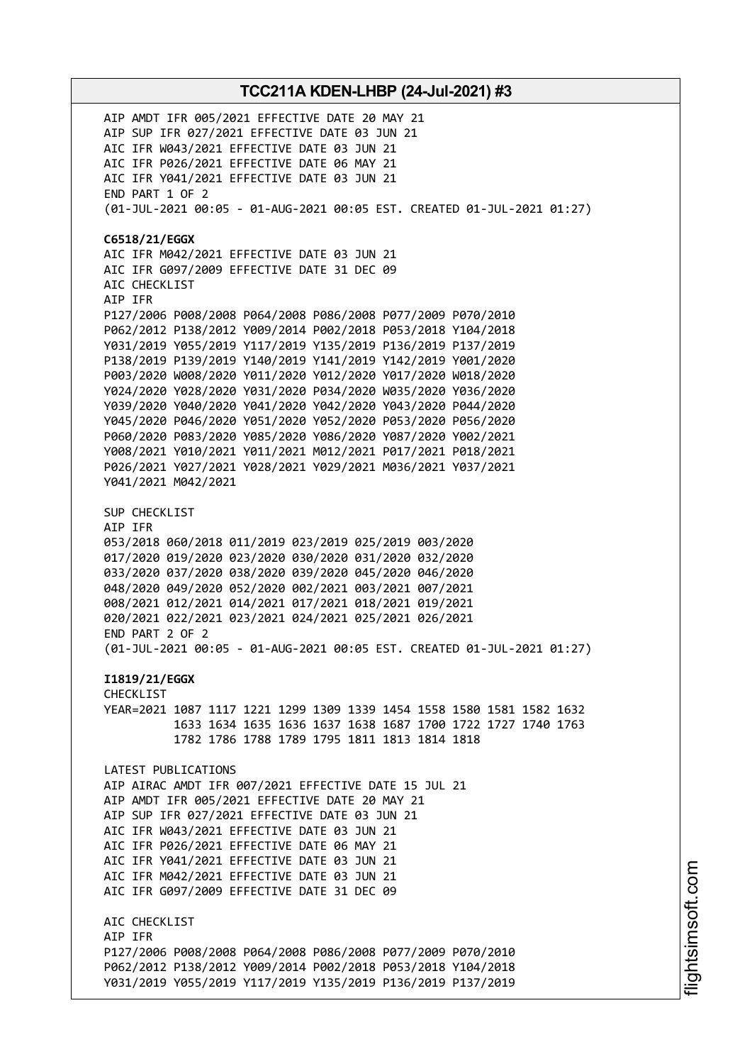AIP AMDT IFR 005/2021 EFFECTIVE DATE 20 MAY 21 AIP SUP IFR 027/2021 EFFECTIVE DATE 03 JUN 21 AIC IFR W043/2021 EFFECTIVE DATE 03 JUN 21 AIC IFR P026/2021 EFFECTIVE DATE 06 MAY 21 AIC IFR Y041/2021 EFFECTIVE DATE 03 JUN 21 END PART 1 OF 2 (01-JUL-2021 00:05 - 01-AUG-2021 00:05 EST. CREATED 01-JUL-2021 01:27) **C6518/21/EGGX** AIC IFR M042/2021 EFFECTIVE DATE 03 JUN 21 AIC IFR G097/2009 EFFECTIVE DATE 31 DEC 09 AIC CHECKLIST AIP IFR P127/2006 P008/2008 P064/2008 P086/2008 P077/2009 P070/2010 P062/2012 P138/2012 Y009/2014 P002/2018 P053/2018 Y104/2018 Y031/2019 Y055/2019 Y117/2019 Y135/2019 P136/2019 P137/2019 P138/2019 P139/2019 Y140/2019 Y141/2019 Y142/2019 Y001/2020 P003/2020 W008/2020 Y011/2020 Y012/2020 Y017/2020 W018/2020 Y024/2020 Y028/2020 Y031/2020 P034/2020 W035/2020 Y036/2020 Y039/2020 Y040/2020 Y041/2020 Y042/2020 Y043/2020 P044/2020 Y045/2020 P046/2020 Y051/2020 Y052/2020 P053/2020 P056/2020 P060/2020 P083/2020 Y085/2020 Y086/2020 Y087/2020 Y002/2021 Y008/2021 Y010/2021 Y011/2021 M012/2021 P017/2021 P018/2021 P026/2021 Y027/2021 Y028/2021 Y029/2021 M036/2021 Y037/2021 Y041/2021 M042/2021 SUP CHECKLIST AIP IFR 053/2018 060/2018 011/2019 023/2019 025/2019 003/2020 017/2020 019/2020 023/2020 030/2020 031/2020 032/2020 033/2020 037/2020 038/2020 039/2020 045/2020 046/2020 048/2020 049/2020 052/2020 002/2021 003/2021 007/2021 008/2021 012/2021 014/2021 017/2021 018/2021 019/2021 020/2021 022/2021 023/2021 024/2021 025/2021 026/2021 END PART 2 OF 2 (01-JUL-2021 00:05 - 01-AUG-2021 00:05 EST. CREATED 01-JUL-2021 01:27) **I1819/21/EGGX** CHECKLIST YEAR=2021 1087 1117 1221 1299 1309 1339 1454 1558 1580 1581 1582 1632 1633 1634 1635 1636 1637 1638 1687 1700 1722 1727 1740 1763 1782 1786 1788 1789 1795 1811 1813 1814 1818 LATEST PUBLICATIONS AIP AIRAC AMDT IFR 007/2021 EFFECTIVE DATE 15 JUL 21 AIP AMDT IFR 005/2021 EFFECTIVE DATE 20 MAY 21 AIP SUP IFR 027/2021 EFFECTIVE DATE 03 JUN 21 AIC IFR W043/2021 EFFECTIVE DATE 03 JUN 21 AIC IFR P026/2021 EFFECTIVE DATE 06 MAY 21 AIC IFR Y041/2021 EFFECTIVE DATE 03 JUN 21 AIC IFR M042/2021 EFFECTIVE DATE 03 JUN 21 AIC IFR G097/2009 EFFECTIVE DATE 31 DEC 09 ATC CHECKLIST AIP IFR P127/2006 P008/2008 P064/2008 P086/2008 P077/2009 P070/2010 P062/2012 P138/2012 Y009/2014 P002/2018 P053/2018 Y104/2018 Y031/2019 Y055/2019 Y117/2019 Y135/2019 P136/2019 P137/2019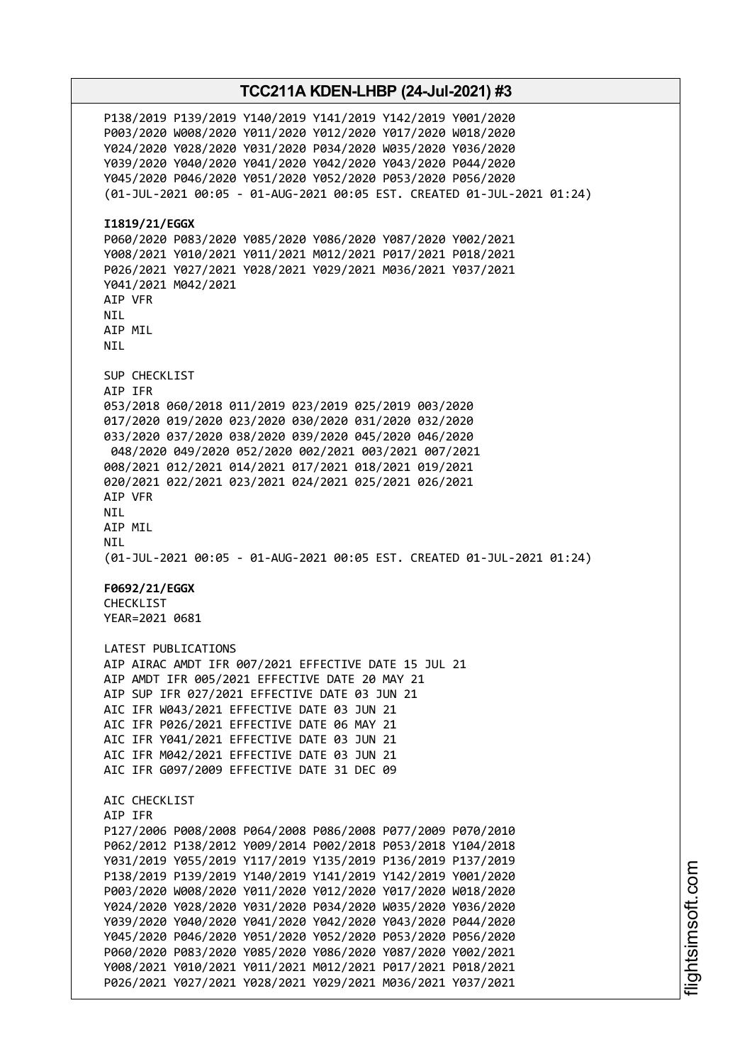P138/2019 P139/2019 Y140/2019 Y141/2019 Y142/2019 Y001/2020 P003/2020 W008/2020 Y011/2020 Y012/2020 Y017/2020 W018/2020 Y024/2020 Y028/2020 Y031/2020 P034/2020 W035/2020 Y036/2020 Y039/2020 Y040/2020 Y041/2020 Y042/2020 Y043/2020 P044/2020 Y045/2020 P046/2020 Y051/2020 Y052/2020 P053/2020 P056/2020 (01-JUL-2021 00:05 - 01-AUG-2021 00:05 EST. CREATED 01-JUL-2021 01:24) **I1819/21/EGGX** P060/2020 P083/2020 Y085/2020 Y086/2020 Y087/2020 Y002/2021 Y008/2021 Y010/2021 Y011/2021 M012/2021 P017/2021 P018/2021 P026/2021 Y027/2021 Y028/2021 Y029/2021 M036/2021 Y037/2021 Y041/2021 M042/2021 AIP VFR NIL AIP MIL NIL SUP CHECKLIST AIP IFR 053/2018 060/2018 011/2019 023/2019 025/2019 003/2020 017/2020 019/2020 023/2020 030/2020 031/2020 032/2020 033/2020 037/2020 038/2020 039/2020 045/2020 046/2020 048/2020 049/2020 052/2020 002/2021 003/2021 007/2021 008/2021 012/2021 014/2021 017/2021 018/2021 019/2021 020/2021 022/2021 023/2021 024/2021 025/2021 026/2021 AIP VFR NIL AIP MIL NIL (01-JUL-2021 00:05 - 01-AUG-2021 00:05 EST. CREATED 01-JUL-2021 01:24) **F0692/21/EGGX** CHECKLIST YEAR=2021 0681 LATEST PUBLICATIONS AIP AIRAC AMDT IFR 007/2021 EFFECTIVE DATE 15 JUL 21 AIP AMDT IFR 005/2021 EFFECTIVE DATE 20 MAY 21 AIP SUP IFR 027/2021 EFFECTIVE DATE 03 JUN 21 AIC IFR W043/2021 EFFECTIVE DATE 03 JUN 21 AIC IFR P026/2021 EFFECTIVE DATE 06 MAY 21 AIC IFR Y041/2021 EFFECTIVE DATE 03 JUN 21 AIC IFR M042/2021 EFFECTIVE DATE 03 JUN 21 AIC IFR G097/2009 EFFECTIVE DATE 31 DEC 09 AIC CHECKLIST AIP IFR P127/2006 P008/2008 P064/2008 P086/2008 P077/2009 P070/2010 P062/2012 P138/2012 Y009/2014 P002/2018 P053/2018 Y104/2018 Y031/2019 Y055/2019 Y117/2019 Y135/2019 P136/2019 P137/2019 P138/2019 P139/2019 Y140/2019 Y141/2019 Y142/2019 Y001/2020 P003/2020 W008/2020 Y011/2020 Y012/2020 Y017/2020 W018/2020 Y024/2020 Y028/2020 Y031/2020 P034/2020 W035/2020 Y036/2020 Y039/2020 Y040/2020 Y041/2020 Y042/2020 Y043/2020 P044/2020 Y045/2020 P046/2020 Y051/2020 Y052/2020 P053/2020 P056/2020 P060/2020 P083/2020 Y085/2020 Y086/2020 Y087/2020 Y002/2021 Y008/2021 Y010/2021 Y011/2021 M012/2021 P017/2021 P018/2021 P026/2021 Y027/2021 Y028/2021 Y029/2021 M036/2021 Y037/2021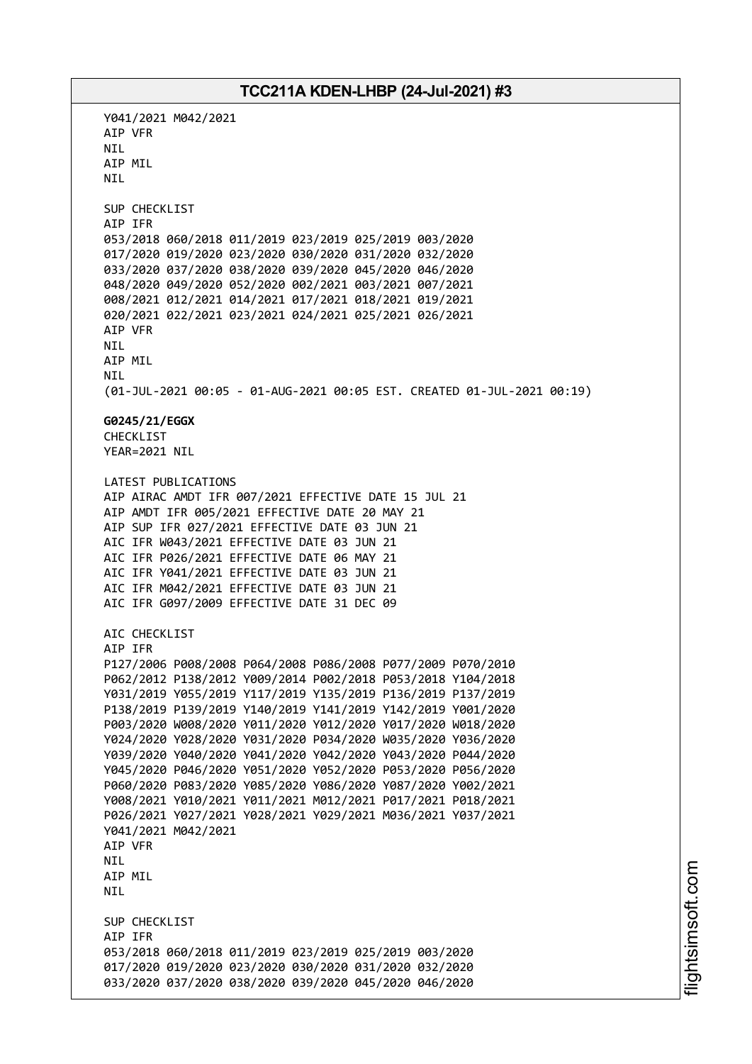Y041/2021 M042/2021 AIP VFR NIL AIP MIL **NTI** SUP CHECKLIST AIP IFR 053/2018 060/2018 011/2019 023/2019 025/2019 003/2020 017/2020 019/2020 023/2020 030/2020 031/2020 032/2020 033/2020 037/2020 038/2020 039/2020 045/2020 046/2020 048/2020 049/2020 052/2020 002/2021 003/2021 007/2021 008/2021 012/2021 014/2021 017/2021 018/2021 019/2021 020/2021 022/2021 023/2021 024/2021 025/2021 026/2021 AIP VFR **NTI** AIP MIL NIL (01-JUL-2021 00:05 - 01-AUG-2021 00:05 EST. CREATED 01-JUL-2021 00:19) **G0245/21/EGGX** CHECKLIST YEAR=2021 NIL LATEST PUBLICATIONS AIP AIRAC AMDT IFR 007/2021 EFFECTIVE DATE 15 JUL 21 AIP AMDT IFR 005/2021 EFFECTIVE DATE 20 MAY 21 AIP SUP IFR 027/2021 EFFECTIVE DATE 03 JUN 21 AIC IFR W043/2021 EFFECTIVE DATE 03 JUN 21 AIC IFR P026/2021 EFFECTIVE DATE 06 MAY 21 AIC IFR Y041/2021 EFFECTIVE DATE 03 JUN 21 AIC IFR M042/2021 EFFECTIVE DATE 03 JUN 21 AIC IFR G097/2009 EFFECTIVE DATE 31 DEC 09 AIC CHECKLIST AIP IFR P127/2006 P008/2008 P064/2008 P086/2008 P077/2009 P070/2010 P062/2012 P138/2012 Y009/2014 P002/2018 P053/2018 Y104/2018 Y031/2019 Y055/2019 Y117/2019 Y135/2019 P136/2019 P137/2019 P138/2019 P139/2019 Y140/2019 Y141/2019 Y142/2019 Y001/2020 P003/2020 W008/2020 Y011/2020 Y012/2020 Y017/2020 W018/2020 Y024/2020 Y028/2020 Y031/2020 P034/2020 W035/2020 Y036/2020 Y039/2020 Y040/2020 Y041/2020 Y042/2020 Y043/2020 P044/2020 Y045/2020 P046/2020 Y051/2020 Y052/2020 P053/2020 P056/2020 P060/2020 P083/2020 Y085/2020 Y086/2020 Y087/2020 Y002/2021 Y008/2021 Y010/2021 Y011/2021 M012/2021 P017/2021 P018/2021 P026/2021 Y027/2021 Y028/2021 Y029/2021 M036/2021 Y037/2021 Y041/2021 M042/2021 AIP VFR NIL AIP MIL NIL SUP CHECKLIST AIP IFR 053/2018 060/2018 011/2019 023/2019 025/2019 003/2020 017/2020 019/2020 023/2020 030/2020 031/2020 032/2020 033/2020 037/2020 038/2020 039/2020 045/2020 046/2020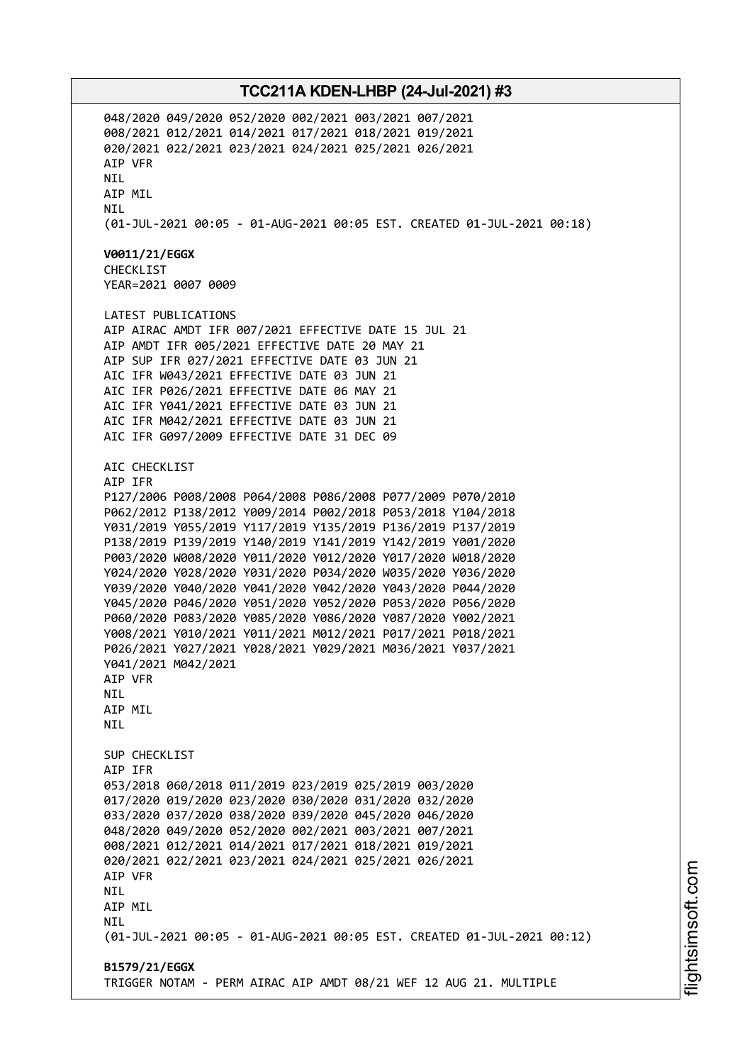048/2020 049/2020 052/2020 002/2021 003/2021 007/2021 008/2021 012/2021 014/2021 017/2021 018/2021 019/2021 020/2021 022/2021 023/2021 024/2021 025/2021 026/2021 AIP VFR **NTI** AIP MIL NIL (01-JUL-2021 00:05 - 01-AUG-2021 00:05 EST. CREATED 01-JUL-2021 00:18) **V0011/21/EGGX** CHECKLIST YEAR=2021 0007 0009 LATEST PUBLICATIONS AIP AIRAC AMDT IFR 007/2021 EFFECTIVE DATE 15 JUL 21 AIP AMDT IFR 005/2021 EFFECTIVE DATE 20 MAY 21 AIP SUP IFR 027/2021 EFFECTIVE DATE 03 JUN 21 AIC IFR W043/2021 EFFECTIVE DATE 03 JUN 21 AIC IFR P026/2021 EFFECTIVE DATE 06 MAY 21 AIC IFR Y041/2021 EFFECTIVE DATE 03 JUN 21 AIC IFR M042/2021 EFFECTIVE DATE 03 JUN 21 AIC IFR G097/2009 EFFECTIVE DATE 31 DEC 09 AIC CHECKLIST AIP IFR P127/2006 P008/2008 P064/2008 P086/2008 P077/2009 P070/2010 P062/2012 P138/2012 Y009/2014 P002/2018 P053/2018 Y104/2018 Y031/2019 Y055/2019 Y117/2019 Y135/2019 P136/2019 P137/2019 P138/2019 P139/2019 Y140/2019 Y141/2019 Y142/2019 Y001/2020 P003/2020 W008/2020 Y011/2020 Y012/2020 Y017/2020 W018/2020 Y024/2020 Y028/2020 Y031/2020 P034/2020 W035/2020 Y036/2020 Y039/2020 Y040/2020 Y041/2020 Y042/2020 Y043/2020 P044/2020 Y045/2020 P046/2020 Y051/2020 Y052/2020 P053/2020 P056/2020 P060/2020 P083/2020 Y085/2020 Y086/2020 Y087/2020 Y002/2021 Y008/2021 Y010/2021 Y011/2021 M012/2021 P017/2021 P018/2021 P026/2021 Y027/2021 Y028/2021 Y029/2021 M036/2021 Y037/2021 Y041/2021 M042/2021 AIP VFR NIL AIP MIL **NTI** SUP CHECKLIST AIP IFR 053/2018 060/2018 011/2019 023/2019 025/2019 003/2020 017/2020 019/2020 023/2020 030/2020 031/2020 032/2020 033/2020 037/2020 038/2020 039/2020 045/2020 046/2020 048/2020 049/2020 052/2020 002/2021 003/2021 007/2021 008/2021 012/2021 014/2021 017/2021 018/2021 019/2021 020/2021 022/2021 023/2021 024/2021 025/2021 026/2021 AIP VFR NIL AIP MIL **NTL** (01-JUL-2021 00:05 - 01-AUG-2021 00:05 EST. CREATED 01-JUL-2021 00:12) **B1579/21/EGGX** TRIGGER NOTAM - PERM AIRAC AIP AMDT 08/21 WEF 12 AUG 21. MULTIPLE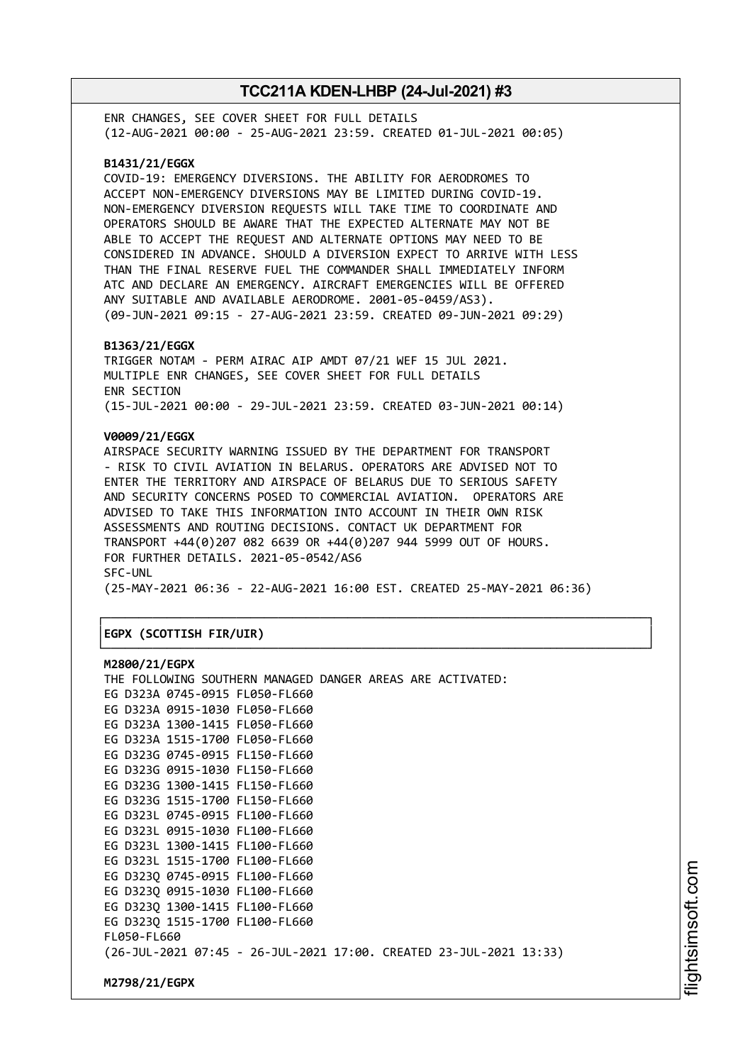ENR CHANGES, SEE COVER SHEET FOR FULL DETAILS (12-AUG-2021 00:00 - 25-AUG-2021 23:59. CREATED 01-JUL-2021 00:05)

### **B1431/21/EGGX**

COVID-19: EMERGENCY DIVERSIONS. THE ABILITY FOR AERODROMES TO ACCEPT NON-EMERGENCY DIVERSIONS MAY BE LIMITED DURING COVID-19. NON-EMERGENCY DIVERSION REQUESTS WILL TAKE TIME TO COORDINATE AND OPERATORS SHOULD BE AWARE THAT THE EXPECTED ALTERNATE MAY NOT BE ABLE TO ACCEPT THE REQUEST AND ALTERNATE OPTIONS MAY NEED TO BE CONSIDERED IN ADVANCE. SHOULD A DIVERSION EXPECT TO ARRIVE WITH LESS THAN THE FINAL RESERVE FUEL THE COMMANDER SHALL IMMEDIATELY INFORM ATC AND DECLARE AN EMERGENCY. AIRCRAFT EMERGENCIES WILL BE OFFERED ANY SUITABLE AND AVAILABLE AERODROME. 2001-05-0459/AS3). (09-JUN-2021 09:15 - 27-AUG-2021 23:59. CREATED 09-JUN-2021 09:29)

#### **B1363/21/EGGX**

TRIGGER NOTAM - PERM AIRAC AIP AMDT 07/21 WEF 15 JUL 2021. MULTIPLE ENR CHANGES, SEE COVER SHEET FOR FULL DETAILS ENR SECTION (15-JUL-2021 00:00 - 29-JUL-2021 23:59. CREATED 03-JUN-2021 00:14)

### **V0009/21/EGGX**

AIRSPACE SECURITY WARNING ISSUED BY THE DEPARTMENT FOR TRANSPORT - RISK TO CIVIL AVIATION IN BELARUS. OPERATORS ARE ADVISED NOT TO ENTER THE TERRITORY AND AIRSPACE OF BELARUS DUE TO SERIOUS SAFETY AND SECURITY CONCERNS POSED TO COMMERCIAL AVIATION. OPERATORS ARE ADVISED TO TAKE THIS INFORMATION INTO ACCOUNT IN THEIR OWN RISK ASSESSMENTS AND ROUTING DECISIONS. CONTACT UK DEPARTMENT FOR TRANSPORT +44(0)207 082 6639 OR +44(0)207 944 5999 OUT OF HOURS. FOR FURTHER DETAILS. 2021-05-0542/AS6 SFC-UNL (25-MAY-2021 06:36 - 22-AUG-2021 16:00 EST. CREATED 25-MAY-2021 06:36)

┌──────────────────────────────────────────────────────────────────────────────┐

└──────────────────────────────────────────────────────────────────────────────┘

### │**EGPX (SCOTTISH FIR/UIR)** │

#### **M2800/21/EGPX**

| THE FOLLOWING SOUTHERN MANAGED DANGER AREAS ARE ACTIVATED:         |  |  |
|--------------------------------------------------------------------|--|--|
| EG D323A 0745-0915 FL050-FL660                                     |  |  |
| EG D323A 0915-1030 FL050-FL660                                     |  |  |
| EG D323A 1300-1415 FL050-FL660                                     |  |  |
| EG D323A 1515-1700 FL050-FL660                                     |  |  |
| EG D323G 0745-0915 FL150-FL660                                     |  |  |
| EG D323G 0915-1030 FL150-FL660                                     |  |  |
| EG D323G 1300-1415 FL150-FL660                                     |  |  |
| EG D323G 1515-1700 FL150-FL660                                     |  |  |
| EG D323L 0745-0915 FL100-FL660                                     |  |  |
| EG D323L 0915-1030 FL100-FL660                                     |  |  |
| EG D323L 1300-1415 FL100-FL660                                     |  |  |
| EG D323L 1515-1700 FL100-FL660                                     |  |  |
| EG D3230 0745-0915 FL100-FL660                                     |  |  |
| EG D323Q 0915-1030 FL100-FL660                                     |  |  |
| EG D323Q 1300-1415 FL100-FL660                                     |  |  |
| EG D3230 1515-1700 FL100-FL660                                     |  |  |
| FL050-FL660                                                        |  |  |
| (26-JUL-2021 07:45 - 26-JUL-2021 17:00. CREATED 23-JUL-2021 13:33) |  |  |
|                                                                    |  |  |
|                                                                    |  |  |

**M2798/21/EGPX**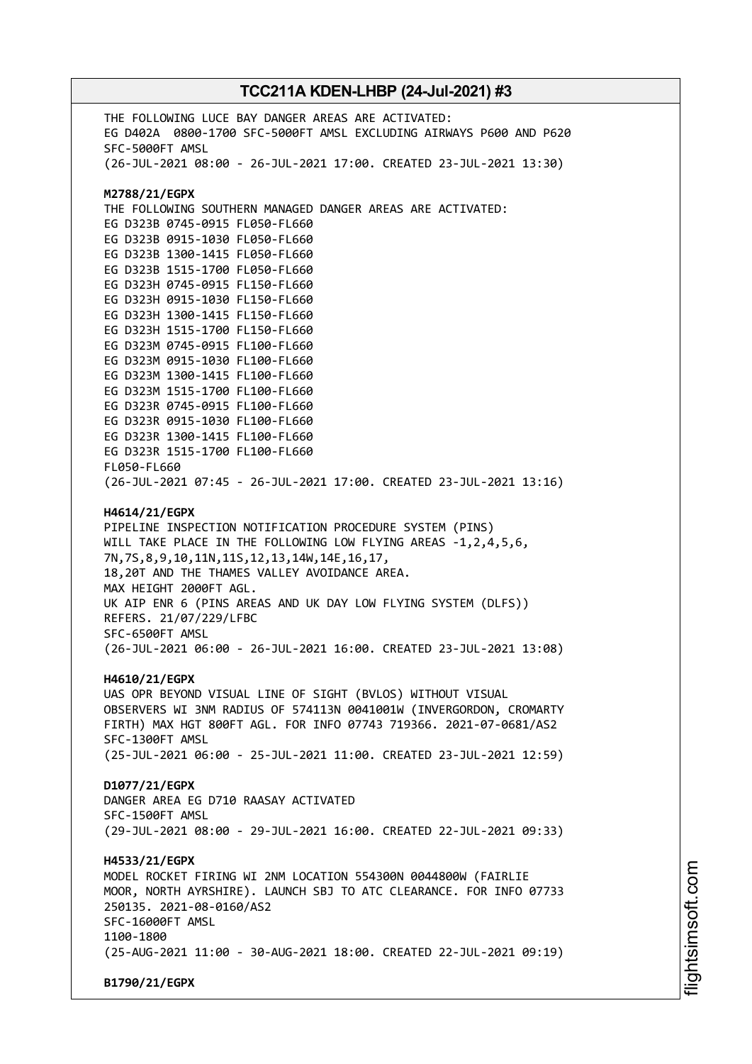THE FOLLOWING LUCE BAY DANGER AREAS ARE ACTIVATED: EG D402A 0800-1700 SFC-5000FT AMSL EXCLUDING AIRWAYS P600 AND P620 SFC-5000FT AMSL (26-JUL-2021 08:00 - 26-JUL-2021 17:00. CREATED 23-JUL-2021 13:30) **M2788/21/EGPX** THE FOLLOWING SOUTHERN MANAGED DANGER AREAS ARE ACTIVATED: EG D323B 0745-0915 FL050-FL660 EG D323B 0915-1030 FL050-FL660 EG D323B 1300-1415 FL050-FL660 EG D323B 1515-1700 FL050-FL660 EG D323H 0745-0915 FL150-FL660 EG D323H 0915-1030 FL150-FL660 EG D323H 1300-1415 FL150-FL660 EG D323H 1515-1700 FL150-FL660 EG D323M 0745-0915 FL100-FL660 EG D323M 0915-1030 FL100-FL660 EG D323M 1300-1415 FL100-FL660 EG D323M 1515-1700 FL100-FL660 EG D323R 0745-0915 FL100-FL660 EG D323R 0915-1030 FL100-FL660 EG D323R 1300-1415 FL100-FL660 EG D323R 1515-1700 FL100-FL660 FL050-FL660 (26-JUL-2021 07:45 - 26-JUL-2021 17:00. CREATED 23-JUL-2021 13:16) **H4614/21/EGPX** PIPELINE INSPECTION NOTIFICATION PROCEDURE SYSTEM (PINS) WILL TAKE PLACE IN THE FOLLOWING LOW FLYING AREAS -1,2,4,5,6, 7N,7S,8,9,10,11N,11S,12,13,14W,14E,16,17, 18,20T AND THE THAMES VALLEY AVOIDANCE AREA. MAX HEIGHT 2000FT AGL. UK AIP ENR 6 (PINS AREAS AND UK DAY LOW FLYING SYSTEM (DLFS)) REFERS. 21/07/229/LFBC SFC-6500FT AMSL (26-JUL-2021 06:00 - 26-JUL-2021 16:00. CREATED 23-JUL-2021 13:08) **H4610/21/EGPX** UAS OPR BEYOND VISUAL LINE OF SIGHT (BVLOS) WITHOUT VISUAL OBSERVERS WI 3NM RADIUS OF 574113N 0041001W (INVERGORDON, CROMARTY FIRTH) MAX HGT 800FT AGL. FOR INFO 07743 719366. 2021-07-0681/AS2 SFC-1300FT AMSL (25-JUL-2021 06:00 - 25-JUL-2021 11:00. CREATED 23-JUL-2021 12:59) **D1077/21/EGPX** DANGER AREA EG D710 RAASAY ACTIVATED SFC-1500FT AMSL (29-JUL-2021 08:00 - 29-JUL-2021 16:00. CREATED 22-JUL-2021 09:33) **H4533/21/EGPX** MODEL ROCKET FIRING WI 2NM LOCATION 554300N 0044800W (FAIRLIE MOOR, NORTH AYRSHIRE). LAUNCH SBJ TO ATC CLEARANCE. FOR INFO 07733 250135. 2021-08-0160/AS2 SFC-16000FT AMSL 1100-1800 (25-AUG-2021 11:00 - 30-AUG-2021 18:00. CREATED 22-JUL-2021 09:19) **B1790/21/EGPX**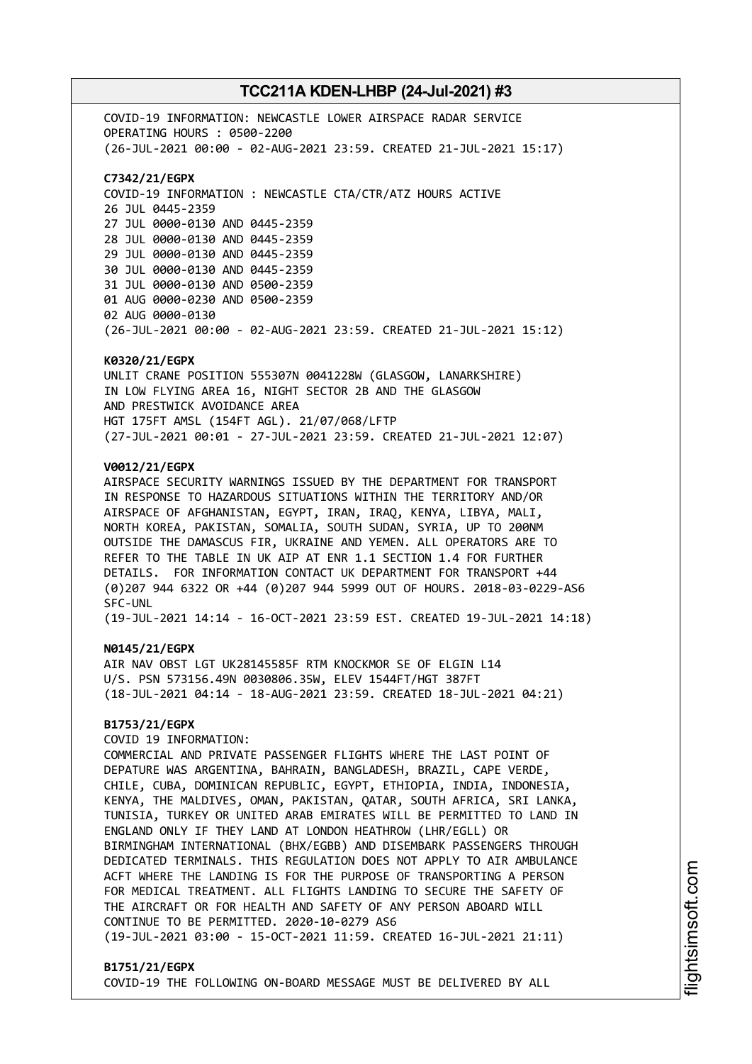COVID-19 INFORMATION: NEWCASTLE LOWER AIRSPACE RADAR SERVICE OPERATING HOURS : 0500-2200 (26-JUL-2021 00:00 - 02-AUG-2021 23:59. CREATED 21-JUL-2021 15:17) **C7342/21/EGPX** COVID-19 INFORMATION : NEWCASTLE CTA/CTR/ATZ HOURS ACTIVE 26 JUL 0445-2359 27 JUL 0000-0130 AND 0445-2359 28 JUL 0000-0130 AND 0445-2359 29 JUL 0000-0130 AND 0445-2359 30 JUL 0000-0130 AND 0445-2359 31 JUL 0000-0130 AND 0500-2359 01 AUG 0000-0230 AND 0500-2359 02 AUG 0000-0130 (26-JUL-2021 00:00 - 02-AUG-2021 23:59. CREATED 21-JUL-2021 15:12)

#### **K0320/21/EGPX**

UNLIT CRANE POSITION 555307N 0041228W (GLASGOW, LANARKSHIRE) IN LOW FLYING AREA 16, NIGHT SECTOR 2B AND THE GLASGOW AND PRESTWICK AVOIDANCE AREA HGT 175FT AMSL (154FT AGL). 21/07/068/LFTP (27-JUL-2021 00:01 - 27-JUL-2021 23:59. CREATED 21-JUL-2021 12:07)

### **V0012/21/EGPX**

AIRSPACE SECURITY WARNINGS ISSUED BY THE DEPARTMENT FOR TRANSPORT IN RESPONSE TO HAZARDOUS SITUATIONS WITHIN THE TERRITORY AND/OR AIRSPACE OF AFGHANISTAN, EGYPT, IRAN, IRAQ, KENYA, LIBYA, MALI, NORTH KOREA, PAKISTAN, SOMALIA, SOUTH SUDAN, SYRIA, UP TO 200NM OUTSIDE THE DAMASCUS FIR, UKRAINE AND YEMEN. ALL OPERATORS ARE TO REFER TO THE TABLE IN UK AIP AT ENR 1.1 SECTION 1.4 FOR FURTHER DETAILS. FOR INFORMATION CONTACT UK DEPARTMENT FOR TRANSPORT +44 (0)207 944 6322 OR +44 (0)207 944 5999 OUT OF HOURS. 2018-03-0229-AS6 SFC-UNL

(19-JUL-2021 14:14 - 16-OCT-2021 23:59 EST. CREATED 19-JUL-2021 14:18)

#### **N0145/21/EGPX**

AIR NAV OBST LGT UK28145585F RTM KNOCKMOR SE OF ELGIN L14 U/S. PSN 573156.49N 0030806.35W, ELEV 1544FT/HGT 387FT (18-JUL-2021 04:14 - 18-AUG-2021 23:59. CREATED 18-JUL-2021 04:21)

### **B1753/21/EGPX**

COVID 19 INFORMATION:

COMMERCIAL AND PRIVATE PASSENGER FLIGHTS WHERE THE LAST POINT OF DEPATURE WAS ARGENTINA, BAHRAIN, BANGLADESH, BRAZIL, CAPE VERDE, CHILE, CUBA, DOMINICAN REPUBLIC, EGYPT, ETHIOPIA, INDIA, INDONESIA, KENYA, THE MALDIVES, OMAN, PAKISTAN, QATAR, SOUTH AFRICA, SRI LANKA, TUNISIA, TURKEY OR UNITED ARAB EMIRATES WILL BE PERMITTED TO LAND IN ENGLAND ONLY IF THEY LAND AT LONDON HEATHROW (LHR/EGLL) OR BIRMINGHAM INTERNATIONAL (BHX/EGBB) AND DISEMBARK PASSENGERS THROUGH DEDICATED TERMINALS. THIS REGULATION DOES NOT APPLY TO AIR AMBULANCE ACFT WHERE THE LANDING IS FOR THE PURPOSE OF TRANSPORTING A PERSON FOR MEDICAL TREATMENT. ALL FLIGHTS LANDING TO SECURE THE SAFETY OF THE AIRCRAFT OR FOR HEALTH AND SAFETY OF ANY PERSON ABOARD WILL CONTINUE TO BE PERMITTED. 2020-10-0279 AS6 (19-JUL-2021 03:00 - 15-OCT-2021 11:59. CREATED 16-JUL-2021 21:11)

#### **B1751/21/EGPX**

COVID-19 THE FOLLOWING ON-BOARD MESSAGE MUST BE DELIVERED BY ALL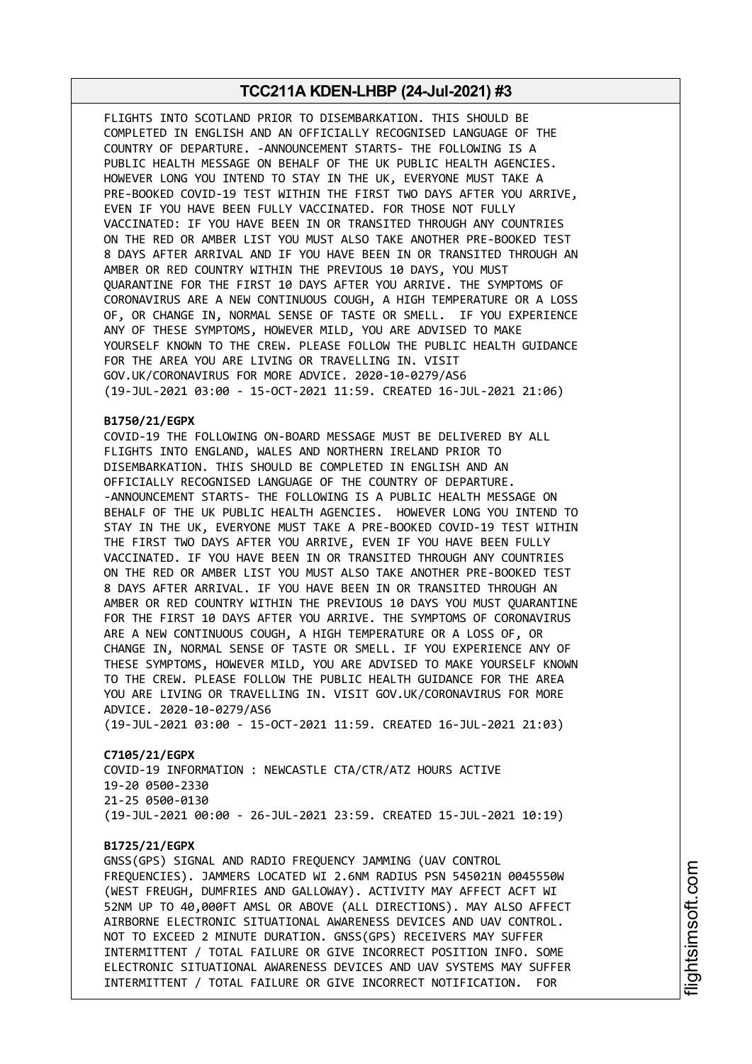FLIGHTS INTO SCOTLAND PRIOR TO DISEMBARKATION. THIS SHOULD BE COMPLETED IN ENGLISH AND AN OFFICIALLY RECOGNISED LANGUAGE OF THE COUNTRY OF DEPARTURE. -ANNOUNCEMENT STARTS- THE FOLLOWING IS A PUBLIC HEALTH MESSAGE ON BEHALF OF THE UK PUBLIC HEALTH AGENCIES. HOWEVER LONG YOU INTEND TO STAY IN THE UK, EVERYONE MUST TAKE A PRE-BOOKED COVID-19 TEST WITHIN THE FIRST TWO DAYS AFTER YOU ARRIVE, EVEN IF YOU HAVE BEEN FULLY VACCINATED. FOR THOSE NOT FULLY VACCINATED: IF YOU HAVE BEEN IN OR TRANSITED THROUGH ANY COUNTRIES ON THE RED OR AMBER LIST YOU MUST ALSO TAKE ANOTHER PRE-BOOKED TEST 8 DAYS AFTER ARRIVAL AND IF YOU HAVE BEEN IN OR TRANSITED THROUGH AN AMBER OR RED COUNTRY WITHIN THE PREVIOUS 10 DAYS, YOU MUST QUARANTINE FOR THE FIRST 10 DAYS AFTER YOU ARRIVE. THE SYMPTOMS OF CORONAVIRUS ARE A NEW CONTINUOUS COUGH, A HIGH TEMPERATURE OR A LOSS OF, OR CHANGE IN, NORMAL SENSE OF TASTE OR SMELL. IF YOU EXPERIENCE ANY OF THESE SYMPTOMS, HOWEVER MILD, YOU ARE ADVISED TO MAKE YOURSELF KNOWN TO THE CREW. PLEASE FOLLOW THE PUBLIC HEALTH GUIDANCE FOR THE AREA YOU ARE LIVING OR TRAVELLING IN. VISIT GOV.UK/CORONAVIRUS FOR MORE ADVICE. 2020-10-0279/AS6 (19-JUL-2021 03:00 - 15-OCT-2021 11:59. CREATED 16-JUL-2021 21:06)

## **B1750/21/EGPX**

COVID-19 THE FOLLOWING ON-BOARD MESSAGE MUST BE DELIVERED BY ALL FLIGHTS INTO ENGLAND, WALES AND NORTHERN IRELAND PRIOR TO DISEMBARKATION. THIS SHOULD BE COMPLETED IN ENGLISH AND AN OFFICIALLY RECOGNISED LANGUAGE OF THE COUNTRY OF DEPARTURE. -ANNOUNCEMENT STARTS- THE FOLLOWING IS A PUBLIC HEALTH MESSAGE ON BEHALF OF THE UK PUBLIC HEALTH AGENCIES. HOWEVER LONG YOU INTEND TO STAY IN THE UK, EVERYONE MUST TAKE A PRE-BOOKED COVID-19 TEST WITHIN THE FIRST TWO DAYS AFTER YOU ARRIVE, EVEN IF YOU HAVE BEEN FULLY VACCINATED. IF YOU HAVE BEEN IN OR TRANSITED THROUGH ANY COUNTRIES ON THE RED OR AMBER LIST YOU MUST ALSO TAKE ANOTHER PRE-BOOKED TEST 8 DAYS AFTER ARRIVAL. IF YOU HAVE BEEN IN OR TRANSITED THROUGH AN AMBER OR RED COUNTRY WITHIN THE PREVIOUS 10 DAYS YOU MUST QUARANTINE FOR THE FIRST 10 DAYS AFTER YOU ARRIVE. THE SYMPTOMS OF CORONAVIRUS ARE A NEW CONTINUOUS COUGH, A HIGH TEMPERATURE OR A LOSS OF, OR CHANGE IN, NORMAL SENSE OF TASTE OR SMELL. IF YOU EXPERIENCE ANY OF THESE SYMPTOMS, HOWEVER MILD, YOU ARE ADVISED TO MAKE YOURSELF KNOWN TO THE CREW. PLEASE FOLLOW THE PUBLIC HEALTH GUIDANCE FOR THE AREA YOU ARE LIVING OR TRAVELLING IN. VISIT GOV.UK/CORONAVIRUS FOR MORE ADVICE. 2020-10-0279/AS6

(19-JUL-2021 03:00 - 15-OCT-2021 11:59. CREATED 16-JUL-2021 21:03)

#### **C7105/21/EGPX**

COVID-19 INFORMATION : NEWCASTLE CTA/CTR/ATZ HOURS ACTIVE 19-20 0500-2330 21-25 0500-0130 (19-JUL-2021 00:00 - 26-JUL-2021 23:59. CREATED 15-JUL-2021 10:19)

#### **B1725/21/EGPX**

GNSS(GPS) SIGNAL AND RADIO FREQUENCY JAMMING (UAV CONTROL FREQUENCIES). JAMMERS LOCATED WI 2.6NM RADIUS PSN 545021N 0045550W (WEST FREUGH, DUMFRIES AND GALLOWAY). ACTIVITY MAY AFFECT ACFT WI 52NM UP TO 40,000FT AMSL OR ABOVE (ALL DIRECTIONS). MAY ALSO AFFECT AIRBORNE ELECTRONIC SITUATIONAL AWARENESS DEVICES AND UAV CONTROL. NOT TO EXCEED 2 MINUTE DURATION. GNSS(GPS) RECEIVERS MAY SUFFER INTERMITTENT / TOTAL FAILURE OR GIVE INCORRECT POSITION INFO. SOME ELECTRONIC SITUATIONAL AWARENESS DEVICES AND UAV SYSTEMS MAY SUFFER INTERMITTENT / TOTAL FAILURE OR GIVE INCORRECT NOTIFICATION. FOR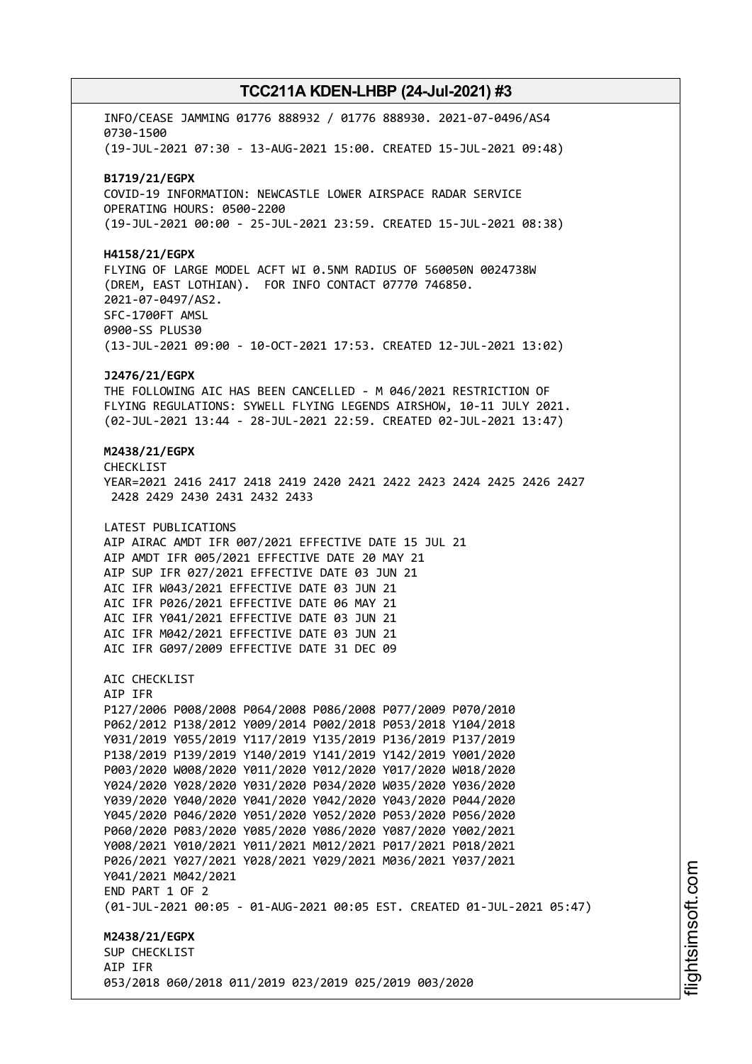INFO/CEASE JAMMING 01776 888932 / 01776 888930. 2021-07-0496/AS4 0730-1500 (19-JUL-2021 07:30 - 13-AUG-2021 15:00. CREATED 15-JUL-2021 09:48) **B1719/21/EGPX** COVID-19 INFORMATION: NEWCASTLE LOWER AIRSPACE RADAR SERVICE OPERATING HOURS: 0500-2200 (19-JUL-2021 00:00 - 25-JUL-2021 23:59. CREATED 15-JUL-2021 08:38) **H4158/21/EGPX** FLYING OF LARGE MODEL ACFT WI 0.5NM RADIUS OF 560050N 0024738W (DREM, EAST LOTHIAN). FOR INFO CONTACT 07770 746850. 2021-07-0497/AS2. SFC-1700FT AMSL 0900-SS PLUS30 (13-JUL-2021 09:00 - 10-OCT-2021 17:53. CREATED 12-JUL-2021 13:02) **J2476/21/EGPX** THE FOLLOWING AIC HAS BEEN CANCELLED - M 046/2021 RESTRICTION OF FLYING REGULATIONS: SYWELL FLYING LEGENDS AIRSHOW, 10-11 JULY 2021. (02-JUL-2021 13:44 - 28-JUL-2021 22:59. CREATED 02-JUL-2021 13:47) **M2438/21/EGPX** CHECKLIST YEAR=2021 2416 2417 2418 2419 2420 2421 2422 2423 2424 2425 2426 2427 2428 2429 2430 2431 2432 2433 LATEST PUBLICATIONS AIP AIRAC AMDT IFR 007/2021 EFFECTIVE DATE 15 JUL 21 AIP AMDT IFR 005/2021 EFFECTIVE DATE 20 MAY 21 AIP SUP IFR 027/2021 EFFECTIVE DATE 03 JUN 21 AIC IFR W043/2021 EFFECTIVE DATE 03 JUN 21 AIC IFR P026/2021 EFFECTIVE DATE 06 MAY 21 AIC IFR Y041/2021 EFFECTIVE DATE 03 JUN 21 AIC IFR M042/2021 EFFECTIVE DATE 03 JUN 21 AIC IFR G097/2009 EFFECTIVE DATE 31 DEC 09 AIC CHECKLIST AIP IFR P127/2006 P008/2008 P064/2008 P086/2008 P077/2009 P070/2010 P062/2012 P138/2012 Y009/2014 P002/2018 P053/2018 Y104/2018 Y031/2019 Y055/2019 Y117/2019 Y135/2019 P136/2019 P137/2019 P138/2019 P139/2019 Y140/2019 Y141/2019 Y142/2019 Y001/2020 P003/2020 W008/2020 Y011/2020 Y012/2020 Y017/2020 W018/2020 Y024/2020 Y028/2020 Y031/2020 P034/2020 W035/2020 Y036/2020 Y039/2020 Y040/2020 Y041/2020 Y042/2020 Y043/2020 P044/2020 Y045/2020 P046/2020 Y051/2020 Y052/2020 P053/2020 P056/2020 P060/2020 P083/2020 Y085/2020 Y086/2020 Y087/2020 Y002/2021 Y008/2021 Y010/2021 Y011/2021 M012/2021 P017/2021 P018/2021 P026/2021 Y027/2021 Y028/2021 Y029/2021 M036/2021 Y037/2021 Y041/2021 M042/2021 END PART 1 OF 2 (01-JUL-2021 00:05 - 01-AUG-2021 00:05 EST. CREATED 01-JUL-2021 05:47) **M2438/21/EGPX** SUP CHECKLIST AIP IFR 053/2018 060/2018 011/2019 023/2019 025/2019 003/2020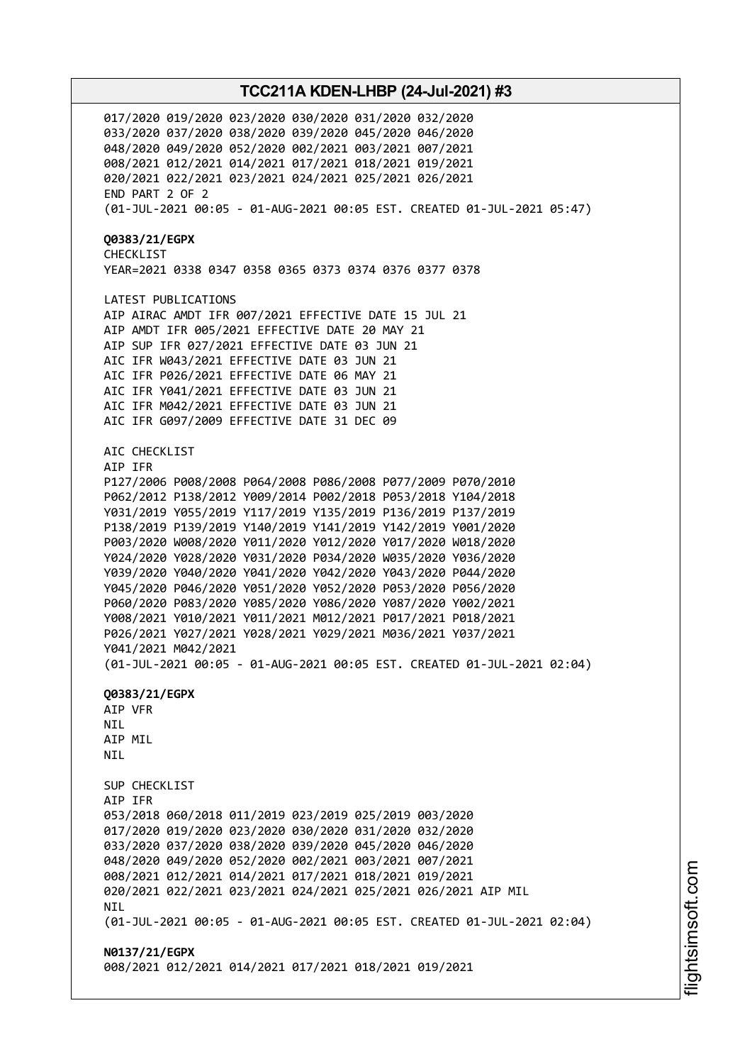017/2020 019/2020 023/2020 030/2020 031/2020 032/2020 033/2020 037/2020 038/2020 039/2020 045/2020 046/2020 048/2020 049/2020 052/2020 002/2021 003/2021 007/2021 008/2021 012/2021 014/2021 017/2021 018/2021 019/2021 020/2021 022/2021 023/2021 024/2021 025/2021 026/2021 END PART 2 OF 2 (01-JUL-2021 00:05 - 01-AUG-2021 00:05 EST. CREATED 01-JUL-2021 05:47) **Q0383/21/EGPX** CHECKLIST YEAR=2021 0338 0347 0358 0365 0373 0374 0376 0377 0378 LATEST PUBLICATIONS AIP AIRAC AMDT IFR 007/2021 EFFECTIVE DATE 15 JUL 21 AIP AMDT IFR 005/2021 EFFECTIVE DATE 20 MAY 21 AIP SUP IFR 027/2021 EFFECTIVE DATE 03 JUN 21 AIC IFR W043/2021 EFFECTIVE DATE 03 JUN 21 AIC IFR P026/2021 EFFECTIVE DATE 06 MAY 21 AIC IFR Y041/2021 EFFECTIVE DATE 03 JUN 21 AIC IFR M042/2021 EFFECTIVE DATE 03 JUN 21 AIC IFR G097/2009 EFFECTIVE DATE 31 DEC 09 AIC CHECKLIST AIP IFR P127/2006 P008/2008 P064/2008 P086/2008 P077/2009 P070/2010 P062/2012 P138/2012 Y009/2014 P002/2018 P053/2018 Y104/2018 Y031/2019 Y055/2019 Y117/2019 Y135/2019 P136/2019 P137/2019 P138/2019 P139/2019 Y140/2019 Y141/2019 Y142/2019 Y001/2020 P003/2020 W008/2020 Y011/2020 Y012/2020 Y017/2020 W018/2020 Y024/2020 Y028/2020 Y031/2020 P034/2020 W035/2020 Y036/2020 Y039/2020 Y040/2020 Y041/2020 Y042/2020 Y043/2020 P044/2020 Y045/2020 P046/2020 Y051/2020 Y052/2020 P053/2020 P056/2020 P060/2020 P083/2020 Y085/2020 Y086/2020 Y087/2020 Y002/2021 Y008/2021 Y010/2021 Y011/2021 M012/2021 P017/2021 P018/2021 P026/2021 Y027/2021 Y028/2021 Y029/2021 M036/2021 Y037/2021 Y041/2021 M042/2021 (01-JUL-2021 00:05 - 01-AUG-2021 00:05 EST. CREATED 01-JUL-2021 02:04) **Q0383/21/EGPX** AIP VFR **NTI** AIP MIL NIL SUP CHECKLIST AIP IFR 053/2018 060/2018 011/2019 023/2019 025/2019 003/2020 017/2020 019/2020 023/2020 030/2020 031/2020 032/2020 033/2020 037/2020 038/2020 039/2020 045/2020 046/2020 048/2020 049/2020 052/2020 002/2021 003/2021 007/2021 008/2021 012/2021 014/2021 017/2021 018/2021 019/2021 020/2021 022/2021 023/2021 024/2021 025/2021 026/2021 AIP MIL **NTI** (01-JUL-2021 00:05 - 01-AUG-2021 00:05 EST. CREATED 01-JUL-2021 02:04) **N0137/21/EGPX** 008/2021 012/2021 014/2021 017/2021 018/2021 019/2021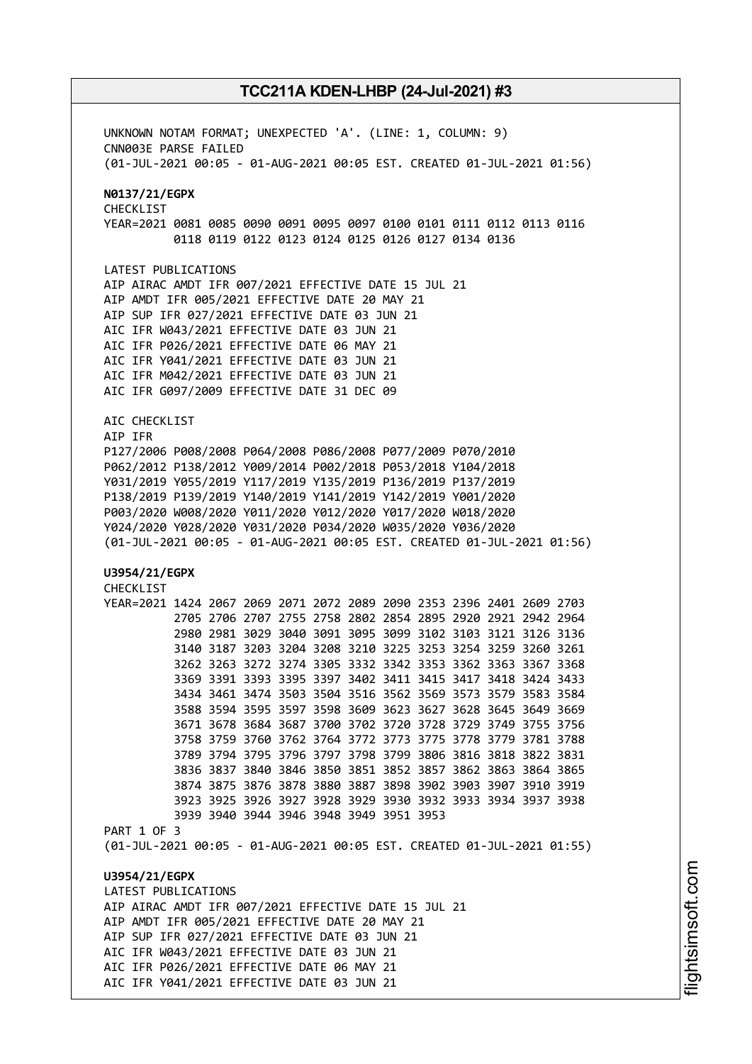UNKNOWN NOTAM FORMAT; UNEXPECTED 'A'. (LINE: 1, COLUMN: 9) CNN003E PARSE FAILED (01-JUL-2021 00:05 - 01-AUG-2021 00:05 EST. CREATED 01-JUL-2021 01:56) **N0137/21/EGPX** CHECKLIST YEAR=2021 0081 0085 0090 0091 0095 0097 0100 0101 0111 0112 0113 0116 0118 0119 0122 0123 0124 0125 0126 0127 0134 0136 LATEST PUBLICATIONS AIP AIRAC AMDT IFR 007/2021 EFFECTIVE DATE 15 JUL 21 AIP AMDT IFR 005/2021 EFFECTIVE DATE 20 MAY 21 AIP SUP IFR 027/2021 EFFECTIVE DATE 03 JUN 21 AIC IFR W043/2021 EFFECTIVE DATE 03 JUN 21 AIC IFR P026/2021 EFFECTIVE DATE 06 MAY 21 AIC IFR Y041/2021 EFFECTIVE DATE 03 JUN 21 AIC IFR M042/2021 EFFECTIVE DATE 03 JUN 21 AIC IFR G097/2009 EFFECTIVE DATE 31 DEC 09 AIC CHECKLIST AIP IFR P127/2006 P008/2008 P064/2008 P086/2008 P077/2009 P070/2010 P062/2012 P138/2012 Y009/2014 P002/2018 P053/2018 Y104/2018 Y031/2019 Y055/2019 Y117/2019 Y135/2019 P136/2019 P137/2019 P138/2019 P139/2019 Y140/2019 Y141/2019 Y142/2019 Y001/2020 P003/2020 W008/2020 Y011/2020 Y012/2020 Y017/2020 W018/2020 Y024/2020 Y028/2020 Y031/2020 P034/2020 W035/2020 Y036/2020 (01-JUL-2021 00:05 - 01-AUG-2021 00:05 EST. CREATED 01-JUL-2021 01:56) **U3954/21/EGPX** CHECKLIST YEAR=2021 1424 2067 2069 2071 2072 2089 2090 2353 2396 2401 2609 2703 2705 2706 2707 2755 2758 2802 2854 2895 2920 2921 2942 2964 2980 2981 3029 3040 3091 3095 3099 3102 3103 3121 3126 3136 3140 3187 3203 3204 3208 3210 3225 3253 3254 3259 3260 3261 3262 3263 3272 3274 3305 3332 3342 3353 3362 3363 3367 3368 3369 3391 3393 3395 3397 3402 3411 3415 3417 3418 3424 3433 3434 3461 3474 3503 3504 3516 3562 3569 3573 3579 3583 3584 3588 3594 3595 3597 3598 3609 3623 3627 3628 3645 3649 3669 3671 3678 3684 3687 3700 3702 3720 3728 3729 3749 3755 3756 3758 3759 3760 3762 3764 3772 3773 3775 3778 3779 3781 3788 3789 3794 3795 3796 3797 3798 3799 3806 3816 3818 3822 3831 3836 3837 3840 3846 3850 3851 3852 3857 3862 3863 3864 3865 3874 3875 3876 3878 3880 3887 3898 3902 3903 3907 3910 3919 3923 3925 3926 3927 3928 3929 3930 3932 3933 3934 3937 3938 3939 3940 3944 3946 3948 3949 3951 3953 PART 1 OF 3 (01-JUL-2021 00:05 - 01-AUG-2021 00:05 EST. CREATED 01-JUL-2021 01:55) **U3954/21/EGPX** LATEST PUBLICATIONS AIP AIRAC AMDT IFR 007/2021 EFFECTIVE DATE 15 JUL 21 AIP AMDT IFR 005/2021 EFFECTIVE DATE 20 MAY 21 AIP SUP IFR 027/2021 EFFECTIVE DATE 03 JUN 21 AIC IFR W043/2021 EFFECTIVE DATE 03 JUN 21 AIC IFR P026/2021 EFFECTIVE DATE 06 MAY 21 AIC IFR Y041/2021 EFFECTIVE DATE 03 JUN 21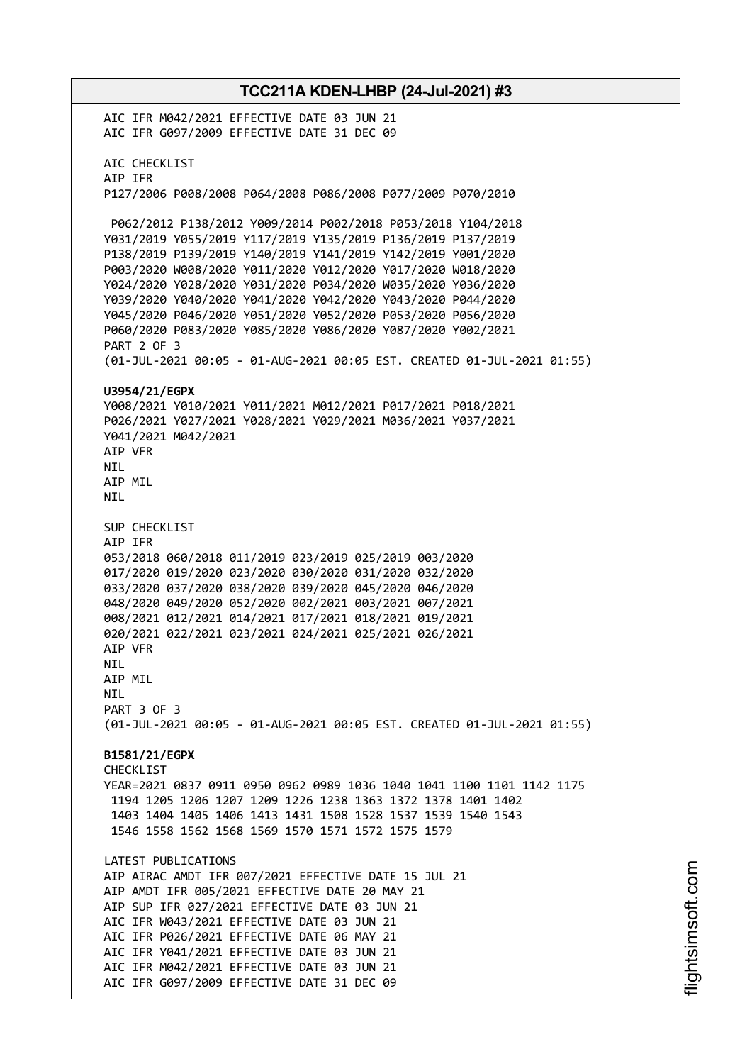**TCC211A KDEN-LHBP (24-Jul-2021) #3** AIC IFR M042/2021 EFFECTIVE DATE 03 JUN 21 AIC IFR G097/2009 EFFECTIVE DATE 31 DEC 09 AIC CHECKLIST AIP IFR P127/2006 P008/2008 P064/2008 P086/2008 P077/2009 P070/2010 P062/2012 P138/2012 Y009/2014 P002/2018 P053/2018 Y104/2018 Y031/2019 Y055/2019 Y117/2019 Y135/2019 P136/2019 P137/2019 P138/2019 P139/2019 Y140/2019 Y141/2019 Y142/2019 Y001/2020 P003/2020 W008/2020 Y011/2020 Y012/2020 Y017/2020 W018/2020 Y024/2020 Y028/2020 Y031/2020 P034/2020 W035/2020 Y036/2020 Y039/2020 Y040/2020 Y041/2020 Y042/2020 Y043/2020 P044/2020 Y045/2020 P046/2020 Y051/2020 Y052/2020 P053/2020 P056/2020 P060/2020 P083/2020 Y085/2020 Y086/2020 Y087/2020 Y002/2021 PART 2 OF 3 (01-JUL-2021 00:05 - 01-AUG-2021 00:05 EST. CREATED 01-JUL-2021 01:55) **U3954/21/EGPX** Y008/2021 Y010/2021 Y011/2021 M012/2021 P017/2021 P018/2021 P026/2021 Y027/2021 Y028/2021 Y029/2021 M036/2021 Y037/2021 Y041/2021 M042/2021 AIP VFR NIL AIP MIL NIL SUP CHECKLIST AIP IFR 053/2018 060/2018 011/2019 023/2019 025/2019 003/2020 017/2020 019/2020 023/2020 030/2020 031/2020 032/2020 033/2020 037/2020 038/2020 039/2020 045/2020 046/2020 048/2020 049/2020 052/2020 002/2021 003/2021 007/2021 008/2021 012/2021 014/2021 017/2021 018/2021 019/2021 020/2021 022/2021 023/2021 024/2021 025/2021 026/2021 AIP VFR NIL AIP MIL NIL PART 3 OF 3 (01-JUL-2021 00:05 - 01-AUG-2021 00:05 EST. CREATED 01-JUL-2021 01:55) **B1581/21/EGPX CHECKLIST** YEAR=2021 0837 0911 0950 0962 0989 1036 1040 1041 1100 1101 1142 1175 1194 1205 1206 1207 1209 1226 1238 1363 1372 1378 1401 1402 1403 1404 1405 1406 1413 1431 1508 1528 1537 1539 1540 1543 1546 1558 1562 1568 1569 1570 1571 1572 1575 1579 LATEST PUBLICATIONS AIP AIRAC AMDT IFR 007/2021 EFFECTIVE DATE 15 JUL 21 AIP AMDT IFR 005/2021 EFFECTIVE DATE 20 MAY 21 AIP SUP IFR 027/2021 EFFECTIVE DATE 03 JUN 21 AIC IFR W043/2021 EFFECTIVE DATE 03 JUN 21 AIC IFR P026/2021 EFFECTIVE DATE 06 MAY 21 AIC IFR Y041/2021 EFFECTIVE DATE 03 JUN 21 AIC IFR M042/2021 EFFECTIVE DATE 03 JUN 21

AIC IFR G097/2009 EFFECTIVE DATE 31 DEC 09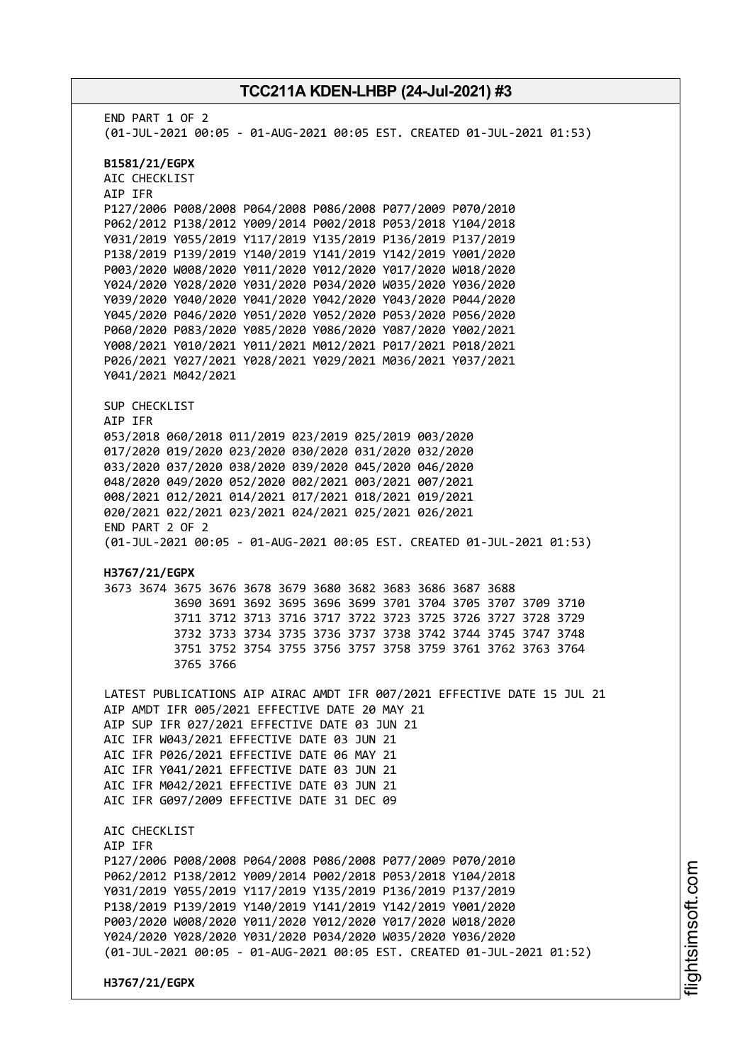END PART 1 OF 2 (01-JUL-2021 00:05 - 01-AUG-2021 00:05 EST. CREATED 01-JUL-2021 01:53) **B1581/21/EGPX** AIC CHECKLIST AIP IFR P127/2006 P008/2008 P064/2008 P086/2008 P077/2009 P070/2010 P062/2012 P138/2012 Y009/2014 P002/2018 P053/2018 Y104/2018 Y031/2019 Y055/2019 Y117/2019 Y135/2019 P136/2019 P137/2019 P138/2019 P139/2019 Y140/2019 Y141/2019 Y142/2019 Y001/2020 P003/2020 W008/2020 Y011/2020 Y012/2020 Y017/2020 W018/2020 Y024/2020 Y028/2020 Y031/2020 P034/2020 W035/2020 Y036/2020 Y039/2020 Y040/2020 Y041/2020 Y042/2020 Y043/2020 P044/2020 Y045/2020 P046/2020 Y051/2020 Y052/2020 P053/2020 P056/2020 P060/2020 P083/2020 Y085/2020 Y086/2020 Y087/2020 Y002/2021 Y008/2021 Y010/2021 Y011/2021 M012/2021 P017/2021 P018/2021 P026/2021 Y027/2021 Y028/2021 Y029/2021 M036/2021 Y037/2021 Y041/2021 M042/2021 SUP CHECKLIST AIP IFR 053/2018 060/2018 011/2019 023/2019 025/2019 003/2020 017/2020 019/2020 023/2020 030/2020 031/2020 032/2020 033/2020 037/2020 038/2020 039/2020 045/2020 046/2020 048/2020 049/2020 052/2020 002/2021 003/2021 007/2021 008/2021 012/2021 014/2021 017/2021 018/2021 019/2021 020/2021 022/2021 023/2021 024/2021 025/2021 026/2021 END PART 2 OF 2 (01-JUL-2021 00:05 - 01-AUG-2021 00:05 EST. CREATED 01-JUL-2021 01:53) **H3767/21/EGPX** 3673 3674 3675 3676 3678 3679 3680 3682 3683 3686 3687 3688 3690 3691 3692 3695 3696 3699 3701 3704 3705 3707 3709 3710 3711 3712 3713 3716 3717 3722 3723 3725 3726 3727 3728 3729 3732 3733 3734 3735 3736 3737 3738 3742 3744 3745 3747 3748 3751 3752 3754 3755 3756 3757 3758 3759 3761 3762 3763 3764 3765 3766 LATEST PUBLICATIONS AIP AIRAC AMDT IFR 007/2021 EFFECTIVE DATE 15 JUL 21 AIP AMDT IFR 005/2021 EFFECTIVE DATE 20 MAY 21 AIP SUP IFR 027/2021 EFFECTIVE DATE 03 JUN 21 AIC IFR W043/2021 EFFECTIVE DATE 03 JUN 21 AIC IFR P026/2021 EFFECTIVE DATE 06 MAY 21 AIC IFR Y041/2021 EFFECTIVE DATE 03 JUN 21 AIC IFR M042/2021 EFFECTIVE DATE 03 JUN 21 AIC IFR G097/2009 EFFECTIVE DATE 31 DEC 09 AIC CHECKLIST AIP IFR P127/2006 P008/2008 P064/2008 P086/2008 P077/2009 P070/2010 P062/2012 P138/2012 Y009/2014 P002/2018 P053/2018 Y104/2018 Y031/2019 Y055/2019 Y117/2019 Y135/2019 P136/2019 P137/2019 P138/2019 P139/2019 Y140/2019 Y141/2019 Y142/2019 Y001/2020 P003/2020 W008/2020 Y011/2020 Y012/2020 Y017/2020 W018/2020 Y024/2020 Y028/2020 Y031/2020 P034/2020 W035/2020 Y036/2020 (01-JUL-2021 00:05 - 01-AUG-2021 00:05 EST. CREATED 01-JUL-2021 01:52) **H3767/21/EGPX**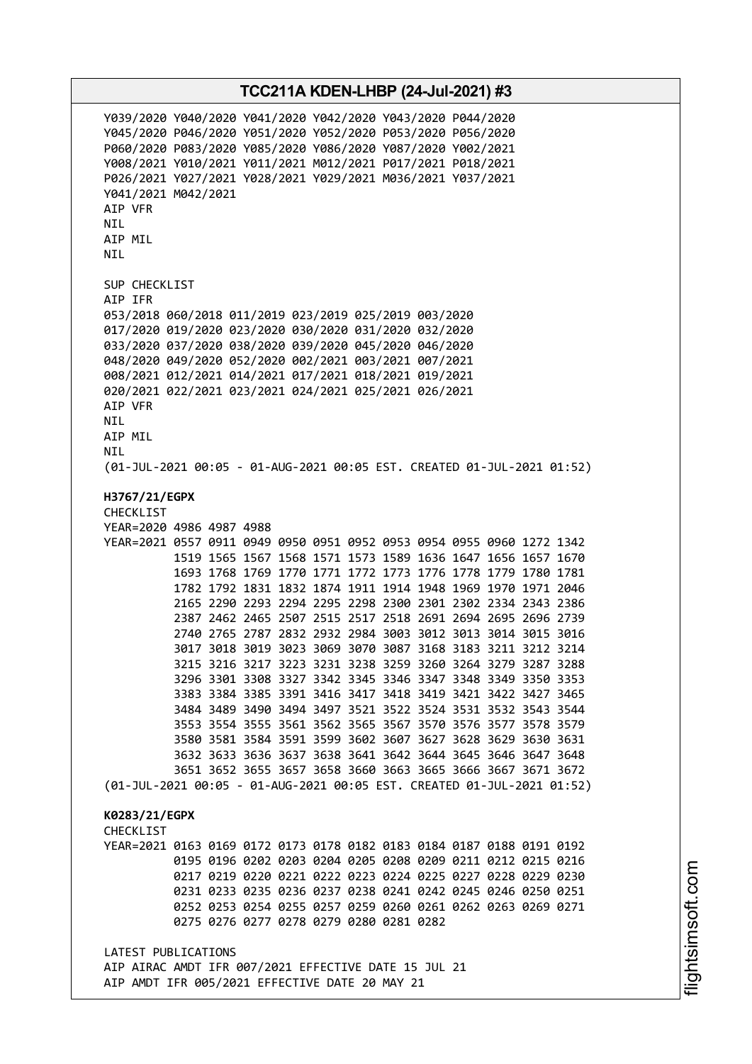AIP AMDT IFR 005/2021 EFFECTIVE DATE 20 MAY 21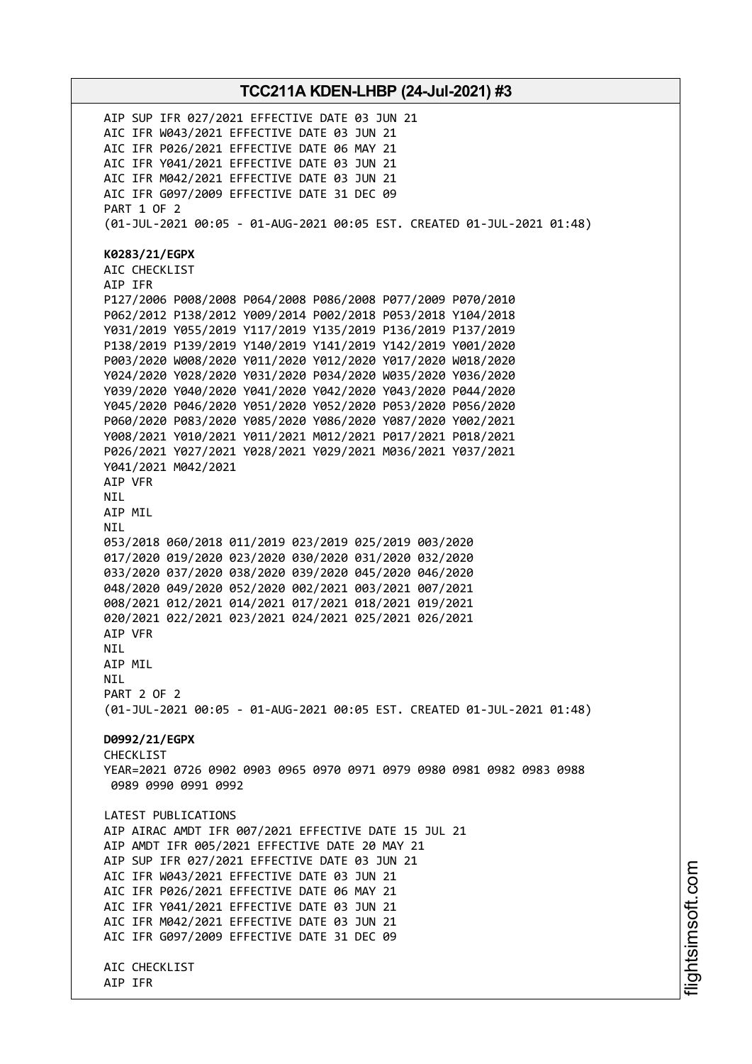**TCC211A KDEN-LHBP (24-Jul-2021) #3** AIP SUP IFR 027/2021 EFFECTIVE DATE 03 JUN 21 AIC IFR W043/2021 EFFECTIVE DATE 03 JUN 21 AIC IFR P026/2021 EFFECTIVE DATE 06 MAY 21 AIC IFR Y041/2021 EFFECTIVE DATE 03 JUN 21 AIC IFR M042/2021 EFFECTIVE DATE 03 JUN 21 AIC IFR G097/2009 EFFECTIVE DATE 31 DEC 09 PART 1 OF 2 (01-JUL-2021 00:05 - 01-AUG-2021 00:05 EST. CREATED 01-JUL-2021 01:48) **K0283/21/EGPX** AIC CHECKLIST AIP IFR P127/2006 P008/2008 P064/2008 P086/2008 P077/2009 P070/2010 P062/2012 P138/2012 Y009/2014 P002/2018 P053/2018 Y104/2018 Y031/2019 Y055/2019 Y117/2019 Y135/2019 P136/2019 P137/2019 P138/2019 P139/2019 Y140/2019 Y141/2019 Y142/2019 Y001/2020 P003/2020 W008/2020 Y011/2020 Y012/2020 Y017/2020 W018/2020 Y024/2020 Y028/2020 Y031/2020 P034/2020 W035/2020 Y036/2020 Y039/2020 Y040/2020 Y041/2020 Y042/2020 Y043/2020 P044/2020 Y045/2020 P046/2020 Y051/2020 Y052/2020 P053/2020 P056/2020 P060/2020 P083/2020 Y085/2020 Y086/2020 Y087/2020 Y002/2021 Y008/2021 Y010/2021 Y011/2021 M012/2021 P017/2021 P018/2021 P026/2021 Y027/2021 Y028/2021 Y029/2021 M036/2021 Y037/2021 Y041/2021 M042/2021 AIP VFR NIL AIP MIL NIL 053/2018 060/2018 011/2019 023/2019 025/2019 003/2020 017/2020 019/2020 023/2020 030/2020 031/2020 032/2020 033/2020 037/2020 038/2020 039/2020 045/2020 046/2020 048/2020 049/2020 052/2020 002/2021 003/2021 007/2021 008/2021 012/2021 014/2021 017/2021 018/2021 019/2021 020/2021 022/2021 023/2021 024/2021 025/2021 026/2021 AIP VFR **NTL** AIP MIL **NTI** PART 2 OF 2 (01-JUL-2021 00:05 - 01-AUG-2021 00:05 EST. CREATED 01-JUL-2021 01:48) **D0992/21/EGPX** CHECKLIST YEAR=2021 0726 0902 0903 0965 0970 0971 0979 0980 0981 0982 0983 0988 0989 0990 0991 0992 LATEST PUBLICATIONS AIP AIRAC AMDT IFR 007/2021 EFFECTIVE DATE 15 JUL 21 AIP AMDT IFR 005/2021 EFFECTIVE DATE 20 MAY 21 AIP SUP IFR 027/2021 EFFECTIVE DATE 03 JUN 21 AIC IFR W043/2021 EFFECTIVE DATE 03 JUN 21 AIC IFR P026/2021 EFFECTIVE DATE 06 MAY 21 AIC IFR Y041/2021 EFFECTIVE DATE 03 JUN 21 AIC IFR M042/2021 EFFECTIVE DATE 03 JUN 21 AIC IFR G097/2009 EFFECTIVE DATE 31 DEC 09 AIC CHECKLIST AIP IFR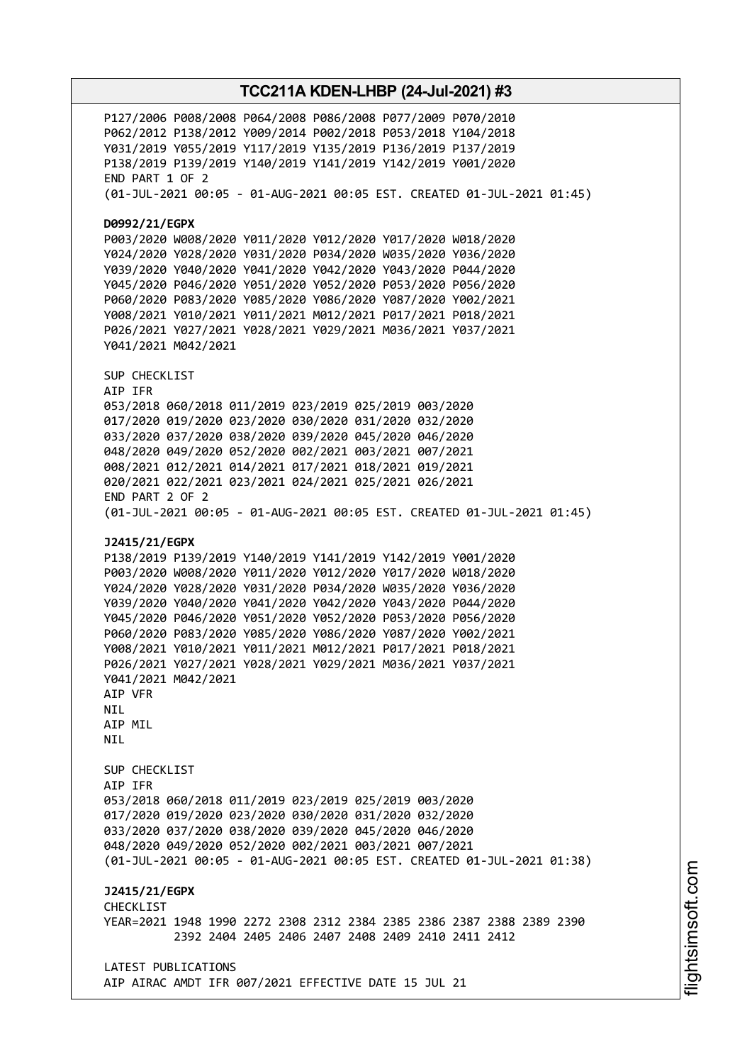P127/2006 P008/2008 P064/2008 P086/2008 P077/2009 P070/2010 P062/2012 P138/2012 Y009/2014 P002/2018 P053/2018 Y104/2018 Y031/2019 Y055/2019 Y117/2019 Y135/2019 P136/2019 P137/2019 P138/2019 P139/2019 Y140/2019 Y141/2019 Y142/2019 Y001/2020 END PART 1 OF 2 (01-JUL-2021 00:05 - 01-AUG-2021 00:05 EST. CREATED 01-JUL-2021 01:45) **D0992/21/EGPX** P003/2020 W008/2020 Y011/2020 Y012/2020 Y017/2020 W018/2020 Y024/2020 Y028/2020 Y031/2020 P034/2020 W035/2020 Y036/2020 Y039/2020 Y040/2020 Y041/2020 Y042/2020 Y043/2020 P044/2020 Y045/2020 P046/2020 Y051/2020 Y052/2020 P053/2020 P056/2020 P060/2020 P083/2020 Y085/2020 Y086/2020 Y087/2020 Y002/2021 Y008/2021 Y010/2021 Y011/2021 M012/2021 P017/2021 P018/2021 P026/2021 Y027/2021 Y028/2021 Y029/2021 M036/2021 Y037/2021 Y041/2021 M042/2021 SUP CHECKLIST AIP IFR 053/2018 060/2018 011/2019 023/2019 025/2019 003/2020 017/2020 019/2020 023/2020 030/2020 031/2020 032/2020 033/2020 037/2020 038/2020 039/2020 045/2020 046/2020 048/2020 049/2020 052/2020 002/2021 003/2021 007/2021 008/2021 012/2021 014/2021 017/2021 018/2021 019/2021 020/2021 022/2021 023/2021 024/2021 025/2021 026/2021 END PART 2 OF 2 (01-JUL-2021 00:05 - 01-AUG-2021 00:05 EST. CREATED 01-JUL-2021 01:45) **J2415/21/EGPX** P138/2019 P139/2019 Y140/2019 Y141/2019 Y142/2019 Y001/2020 P003/2020 W008/2020 Y011/2020 Y012/2020 Y017/2020 W018/2020 Y024/2020 Y028/2020 Y031/2020 P034/2020 W035/2020 Y036/2020 Y039/2020 Y040/2020 Y041/2020 Y042/2020 Y043/2020 P044/2020 Y045/2020 P046/2020 Y051/2020 Y052/2020 P053/2020 P056/2020 P060/2020 P083/2020 Y085/2020 Y086/2020 Y087/2020 Y002/2021 Y008/2021 Y010/2021 Y011/2021 M012/2021 P017/2021 P018/2021 P026/2021 Y027/2021 Y028/2021 Y029/2021 M036/2021 Y037/2021 Y041/2021 M042/2021 AIP VFR NIL AIP MIL NIL SUP CHECKLIST AIP IFR 053/2018 060/2018 011/2019 023/2019 025/2019 003/2020 017/2020 019/2020 023/2020 030/2020 031/2020 032/2020 033/2020 037/2020 038/2020 039/2020 045/2020 046/2020 048/2020 049/2020 052/2020 002/2021 003/2021 007/2021 (01-JUL-2021 00:05 - 01-AUG-2021 00:05 EST. CREATED 01-JUL-2021 01:38) **J2415/21/EGPX** CHECKLIST YEAR=2021 1948 1990 2272 2308 2312 2384 2385 2386 2387 2388 2389 2390 2392 2404 2405 2406 2407 2408 2409 2410 2411 2412 LATEST PUBLICATIONS AIP AIRAC AMDT IFR 007/2021 EFFECTIVE DATE 15 JUL 21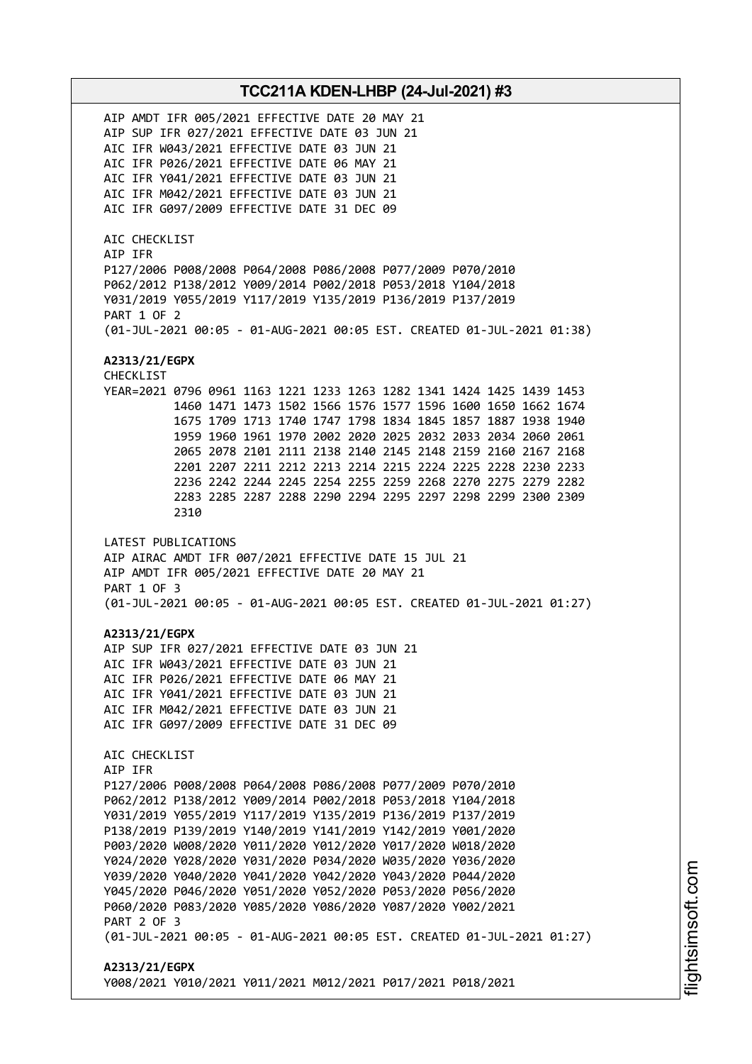AIP AMDT IFR 005/2021 EFFECTIVE DATE 20 MAY 21 AIP SUP IFR 027/2021 EFFECTIVE DATE 03 JUN 21 AIC IFR W043/2021 EFFECTIVE DATE 03 JUN 21 AIC IFR P026/2021 EFFECTIVE DATE 06 MAY 21 AIC IFR Y041/2021 EFFECTIVE DATE 03 JUN 21 AIC IFR M042/2021 EFFECTIVE DATE 03 JUN 21 AIC IFR G097/2009 EFFECTIVE DATE 31 DEC 09 AIC CHECKLIST AIP IFR P127/2006 P008/2008 P064/2008 P086/2008 P077/2009 P070/2010 P062/2012 P138/2012 Y009/2014 P002/2018 P053/2018 Y104/2018 Y031/2019 Y055/2019 Y117/2019 Y135/2019 P136/2019 P137/2019 PART 1 OF 2 (01-JUL-2021 00:05 - 01-AUG-2021 00:05 EST. CREATED 01-JUL-2021 01:38) **A2313/21/EGPX** CHECKLIST YEAR=2021 0796 0961 1163 1221 1233 1263 1282 1341 1424 1425 1439 1453 1460 1471 1473 1502 1566 1576 1577 1596 1600 1650 1662 1674 1675 1709 1713 1740 1747 1798 1834 1845 1857 1887 1938 1940 1959 1960 1961 1970 2002 2020 2025 2032 2033 2034 2060 2061 2065 2078 2101 2111 2138 2140 2145 2148 2159 2160 2167 2168 2201 2207 2211 2212 2213 2214 2215 2224 2225 2228 2230 2233 2236 2242 2244 2245 2254 2255 2259 2268 2270 2275 2279 2282 2283 2285 2287 2288 2290 2294 2295 2297 2298 2299 2300 2309 2310 LATEST PUBLICATIONS AIP AIRAC AMDT IFR 007/2021 EFFECTIVE DATE 15 JUL 21 AIP AMDT IFR 005/2021 EFFECTIVE DATE 20 MAY 21 PART 1 OF 3 (01-JUL-2021 00:05 - 01-AUG-2021 00:05 EST. CREATED 01-JUL-2021 01:27) **A2313/21/EGPX** AIP SUP IFR 027/2021 EFFECTIVE DATE 03 JUN 21 AIC IFR W043/2021 EFFECTIVE DATE 03 JUN 21 AIC IFR P026/2021 EFFECTIVE DATE 06 MAY 21 AIC IFR Y041/2021 EFFECTIVE DATE 03 JUN 21 AIC IFR M042/2021 EFFECTIVE DATE 03 JUN 21 AIC IFR G097/2009 EFFECTIVE DATE 31 DEC 09 AIC CHECKLIST AIP IFR P127/2006 P008/2008 P064/2008 P086/2008 P077/2009 P070/2010 P062/2012 P138/2012 Y009/2014 P002/2018 P053/2018 Y104/2018 Y031/2019 Y055/2019 Y117/2019 Y135/2019 P136/2019 P137/2019 P138/2019 P139/2019 Y140/2019 Y141/2019 Y142/2019 Y001/2020 P003/2020 W008/2020 Y011/2020 Y012/2020 Y017/2020 W018/2020 Y024/2020 Y028/2020 Y031/2020 P034/2020 W035/2020 Y036/2020 Y039/2020 Y040/2020 Y041/2020 Y042/2020 Y043/2020 P044/2020 Y045/2020 P046/2020 Y051/2020 Y052/2020 P053/2020 P056/2020 P060/2020 P083/2020 Y085/2020 Y086/2020 Y087/2020 Y002/2021 PART 2 OF 3 (01-JUL-2021 00:05 - 01-AUG-2021 00:05 EST. CREATED 01-JUL-2021 01:27) **A2313/21/EGPX** Y008/2021 Y010/2021 Y011/2021 M012/2021 P017/2021 P018/2021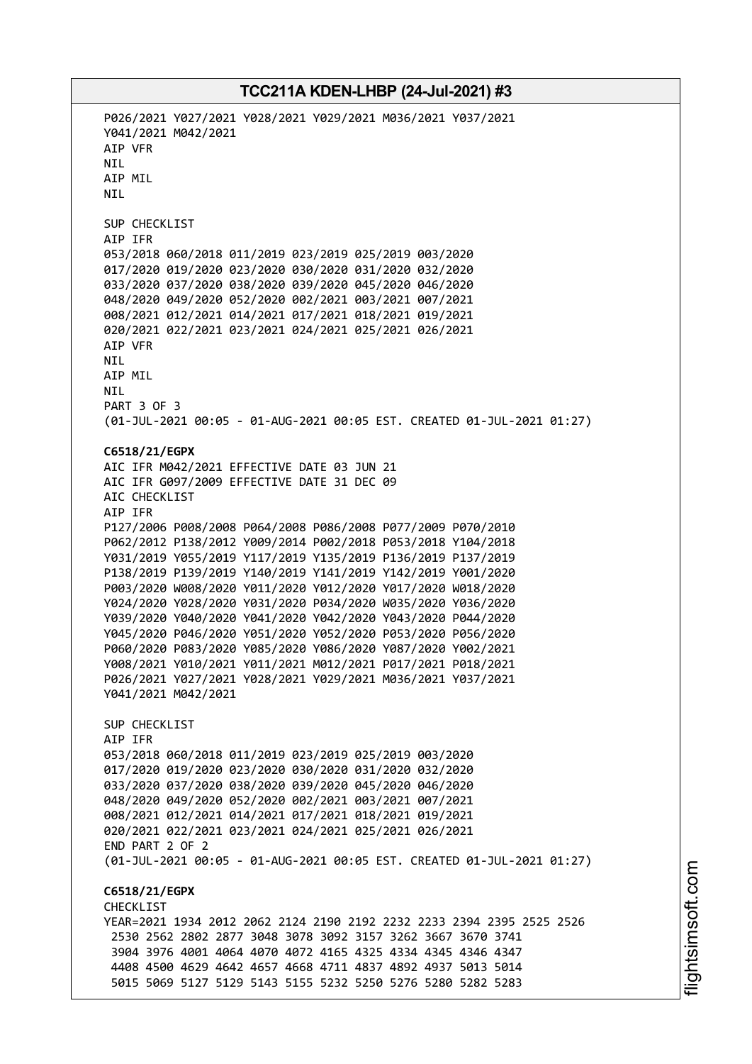P026/2021 Y027/2021 Y028/2021 Y029/2021 M036/2021 Y037/2021 Y041/2021 M042/2021 AIP VFR NIL AIP MIL NIL SUP CHECKLIST AIP IFR 053/2018 060/2018 011/2019 023/2019 025/2019 003/2020 017/2020 019/2020 023/2020 030/2020 031/2020 032/2020 033/2020 037/2020 038/2020 039/2020 045/2020 046/2020 048/2020 049/2020 052/2020 002/2021 003/2021 007/2021 008/2021 012/2021 014/2021 017/2021 018/2021 019/2021 020/2021 022/2021 023/2021 024/2021 025/2021 026/2021 AIP VFR NIL AIP MIL NIL PART 3 OF 3 (01-JUL-2021 00:05 - 01-AUG-2021 00:05 EST. CREATED 01-JUL-2021 01:27) **C6518/21/EGPX** AIC IFR M042/2021 EFFECTIVE DATE 03 JUN 21 AIC IFR G097/2009 EFFECTIVE DATE 31 DEC 09 AIC CHECKLIST AIP IFR P127/2006 P008/2008 P064/2008 P086/2008 P077/2009 P070/2010 P062/2012 P138/2012 Y009/2014 P002/2018 P053/2018 Y104/2018 Y031/2019 Y055/2019 Y117/2019 Y135/2019 P136/2019 P137/2019 P138/2019 P139/2019 Y140/2019 Y141/2019 Y142/2019 Y001/2020 P003/2020 W008/2020 Y011/2020 Y012/2020 Y017/2020 W018/2020 Y024/2020 Y028/2020 Y031/2020 P034/2020 W035/2020 Y036/2020 Y039/2020 Y040/2020 Y041/2020 Y042/2020 Y043/2020 P044/2020 Y045/2020 P046/2020 Y051/2020 Y052/2020 P053/2020 P056/2020 P060/2020 P083/2020 Y085/2020 Y086/2020 Y087/2020 Y002/2021 Y008/2021 Y010/2021 Y011/2021 M012/2021 P017/2021 P018/2021 P026/2021 Y027/2021 Y028/2021 Y029/2021 M036/2021 Y037/2021 Y041/2021 M042/2021 SUP CHECKLIST AIP IFR 053/2018 060/2018 011/2019 023/2019 025/2019 003/2020 017/2020 019/2020 023/2020 030/2020 031/2020 032/2020 033/2020 037/2020 038/2020 039/2020 045/2020 046/2020 048/2020 049/2020 052/2020 002/2021 003/2021 007/2021 008/2021 012/2021 014/2021 017/2021 018/2021 019/2021 020/2021 022/2021 023/2021 024/2021 025/2021 026/2021 END PART 2 OF 2 (01-JUL-2021 00:05 - 01-AUG-2021 00:05 EST. CREATED 01-JUL-2021 01:27) **C6518/21/EGPX** CHECKLIST YEAR=2021 1934 2012 2062 2124 2190 2192 2232 2233 2394 2395 2525 2526 2530 2562 2802 2877 3048 3078 3092 3157 3262 3667 3670 3741 3904 3976 4001 4064 4070 4072 4165 4325 4334 4345 4346 4347 4408 4500 4629 4642 4657 4668 4711 4837 4892 4937 5013 5014 5015 5069 5127 5129 5143 5155 5232 5250 5276 5280 5282 5283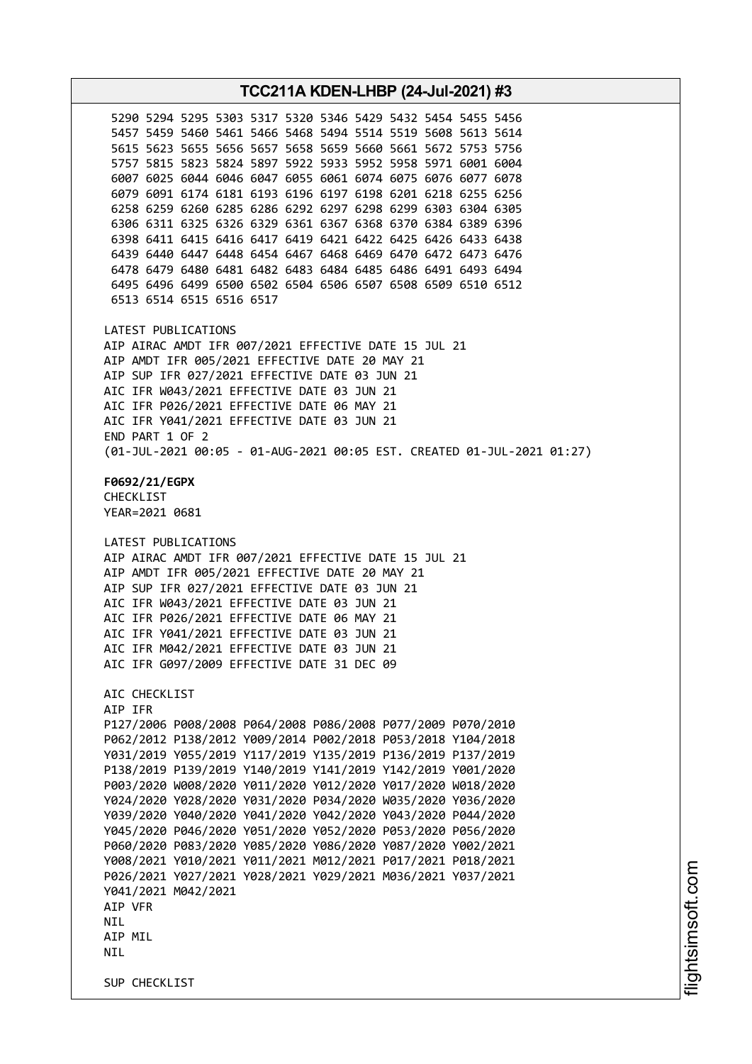**TCC211A KDEN-LHBP (24-Jul-2021) #3** 5290 5294 5295 5303 5317 5320 5346 5429 5432 5454 5455 5456 5457 5459 5460 5461 5466 5468 5494 5514 5519 5608 5613 5614 5615 5623 5655 5656 5657 5658 5659 5660 5661 5672 5753 5756 5757 5815 5823 5824 5897 5922 5933 5952 5958 5971 6001 6004 6007 6025 6044 6046 6047 6055 6061 6074 6075 6076 6077 6078 6079 6091 6174 6181 6193 6196 6197 6198 6201 6218 6255 6256 6258 6259 6260 6285 6286 6292 6297 6298 6299 6303 6304 6305 6306 6311 6325 6326 6329 6361 6367 6368 6370 6384 6389 6396 6398 6411 6415 6416 6417 6419 6421 6422 6425 6426 6433 6438 6439 6440 6447 6448 6454 6467 6468 6469 6470 6472 6473 6476 6478 6479 6480 6481 6482 6483 6484 6485 6486 6491 6493 6494 6495 6496 6499 6500 6502 6504 6506 6507 6508 6509 6510 6512 6513 6514 6515 6516 6517 LATEST PUBLICATIONS AIP AIRAC AMDT IFR 007/2021 EFFECTIVE DATE 15 JUL 21 AIP AMDT IFR 005/2021 EFFECTIVE DATE 20 MAY 21 AIP SUP IFR 027/2021 EFFECTIVE DATE 03 JUN 21 AIC IFR W043/2021 EFFECTIVE DATE 03 JUN 21 AIC IFR P026/2021 EFFECTIVE DATE 06 MAY 21 AIC IFR Y041/2021 EFFECTIVE DATE 03 JUN 21 END PART 1 OF 2 (01-JUL-2021 00:05 - 01-AUG-2021 00:05 EST. CREATED 01-JUL-2021 01:27) **F0692/21/EGPX** CHECKLIST YEAR=2021 0681 LATEST PUBLICATIONS AIP AIRAC AMDT IFR 007/2021 EFFECTIVE DATE 15 JUL 21 AIP AMDT IFR 005/2021 EFFECTIVE DATE 20 MAY 21 AIP SUP IFR 027/2021 EFFECTIVE DATE 03 JUN 21 AIC IFR W043/2021 EFFECTIVE DATE 03 JUN 21 AIC IFR P026/2021 EFFECTIVE DATE 06 MAY 21 AIC IFR Y041/2021 EFFECTIVE DATE 03 JUN 21 AIC IFR M042/2021 EFFECTIVE DATE 03 JUN 21 AIC IFR G097/2009 EFFECTIVE DATE 31 DEC 09 AIC CHECKLIST AIP IFR P127/2006 P008/2008 P064/2008 P086/2008 P077/2009 P070/2010 P062/2012 P138/2012 Y009/2014 P002/2018 P053/2018 Y104/2018 Y031/2019 Y055/2019 Y117/2019 Y135/2019 P136/2019 P137/2019 P138/2019 P139/2019 Y140/2019 Y141/2019 Y142/2019 Y001/2020 P003/2020 W008/2020 Y011/2020 Y012/2020 Y017/2020 W018/2020 Y024/2020 Y028/2020 Y031/2020 P034/2020 W035/2020 Y036/2020 Y039/2020 Y040/2020 Y041/2020 Y042/2020 Y043/2020 P044/2020 Y045/2020 P046/2020 Y051/2020 Y052/2020 P053/2020 P056/2020 P060/2020 P083/2020 Y085/2020 Y086/2020 Y087/2020 Y002/2021 Y008/2021 Y010/2021 Y011/2021 M012/2021 P017/2021 P018/2021 P026/2021 Y027/2021 Y028/2021 Y029/2021 M036/2021 Y037/2021 Y041/2021 M042/2021 AIP VFR **NTL** AIP MIL **NTI** SUP CHECKLIST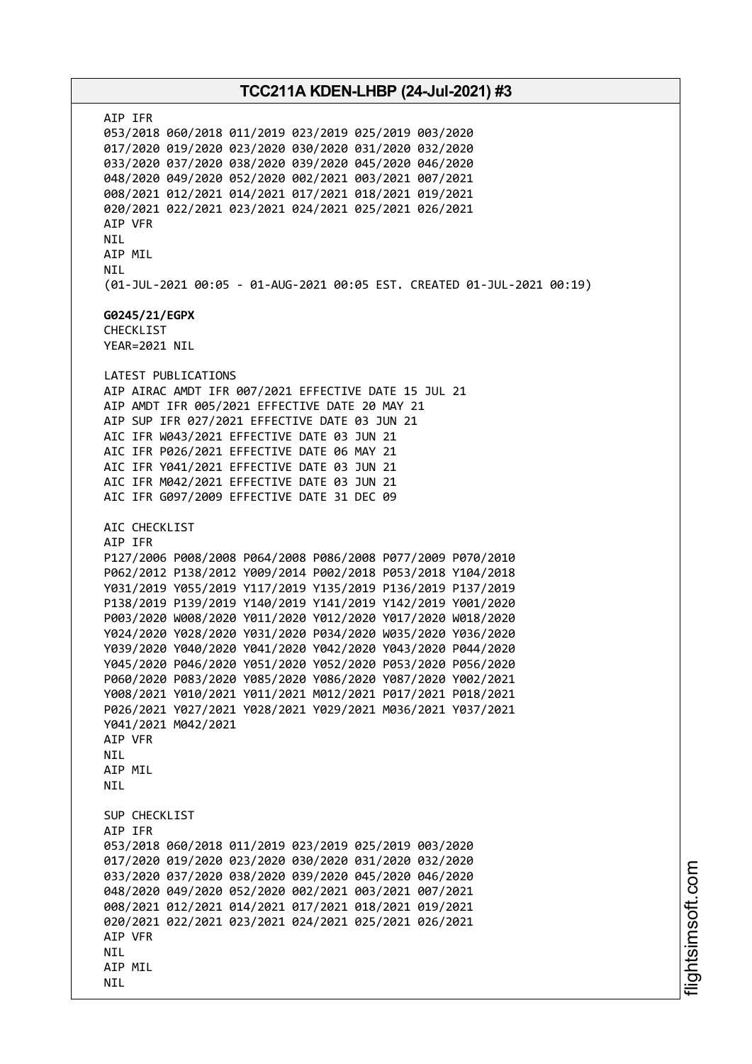AIP IFR 053/2018 060/2018 011/2019 023/2019 025/2019 003/2020 017/2020 019/2020 023/2020 030/2020 031/2020 032/2020 033/2020 037/2020 038/2020 039/2020 045/2020 046/2020 048/2020 049/2020 052/2020 002/2021 003/2021 007/2021 008/2021 012/2021 014/2021 017/2021 018/2021 019/2021 020/2021 022/2021 023/2021 024/2021 025/2021 026/2021 AIP VFR NIL AIP MIL NIL (01-JUL-2021 00:05 - 01-AUG-2021 00:05 EST. CREATED 01-JUL-2021 00:19) **G0245/21/EGPX** CHECKLIST YEAR=2021 NIL LATEST PUBLICATIONS AIP AIRAC AMDT IFR 007/2021 EFFECTIVE DATE 15 JUL 21 AIP AMDT IFR 005/2021 EFFECTIVE DATE 20 MAY 21 AIP SUP IFR 027/2021 EFFECTIVE DATE 03 JUN 21 AIC IFR W043/2021 EFFECTIVE DATE 03 JUN 21 AIC IFR P026/2021 EFFECTIVE DATE 06 MAY 21 AIC IFR Y041/2021 EFFECTIVE DATE 03 JUN 21 AIC IFR M042/2021 EFFECTIVE DATE 03 JUN 21 AIC IFR G097/2009 EFFECTIVE DATE 31 DEC 09 AIC CHECKLIST AIP IFR P127/2006 P008/2008 P064/2008 P086/2008 P077/2009 P070/2010 P062/2012 P138/2012 Y009/2014 P002/2018 P053/2018 Y104/2018 Y031/2019 Y055/2019 Y117/2019 Y135/2019 P136/2019 P137/2019 P138/2019 P139/2019 Y140/2019 Y141/2019 Y142/2019 Y001/2020 P003/2020 W008/2020 Y011/2020 Y012/2020 Y017/2020 W018/2020 Y024/2020 Y028/2020 Y031/2020 P034/2020 W035/2020 Y036/2020 Y039/2020 Y040/2020 Y041/2020 Y042/2020 Y043/2020 P044/2020 Y045/2020 P046/2020 Y051/2020 Y052/2020 P053/2020 P056/2020 P060/2020 P083/2020 Y085/2020 Y086/2020 Y087/2020 Y002/2021 Y008/2021 Y010/2021 Y011/2021 M012/2021 P017/2021 P018/2021 P026/2021 Y027/2021 Y028/2021 Y029/2021 M036/2021 Y037/2021 Y041/2021 M042/2021 AIP VFR NIL AIP MIL **NTI** SUP CHECKLIST AIP IFR 053/2018 060/2018 011/2019 023/2019 025/2019 003/2020 017/2020 019/2020 023/2020 030/2020 031/2020 032/2020 033/2020 037/2020 038/2020 039/2020 045/2020 046/2020 048/2020 049/2020 052/2020 002/2021 003/2021 007/2021 008/2021 012/2021 014/2021 017/2021 018/2021 019/2021 020/2021 022/2021 023/2021 024/2021 025/2021 026/2021 AIP VFR **NTI** AIP MIL NIL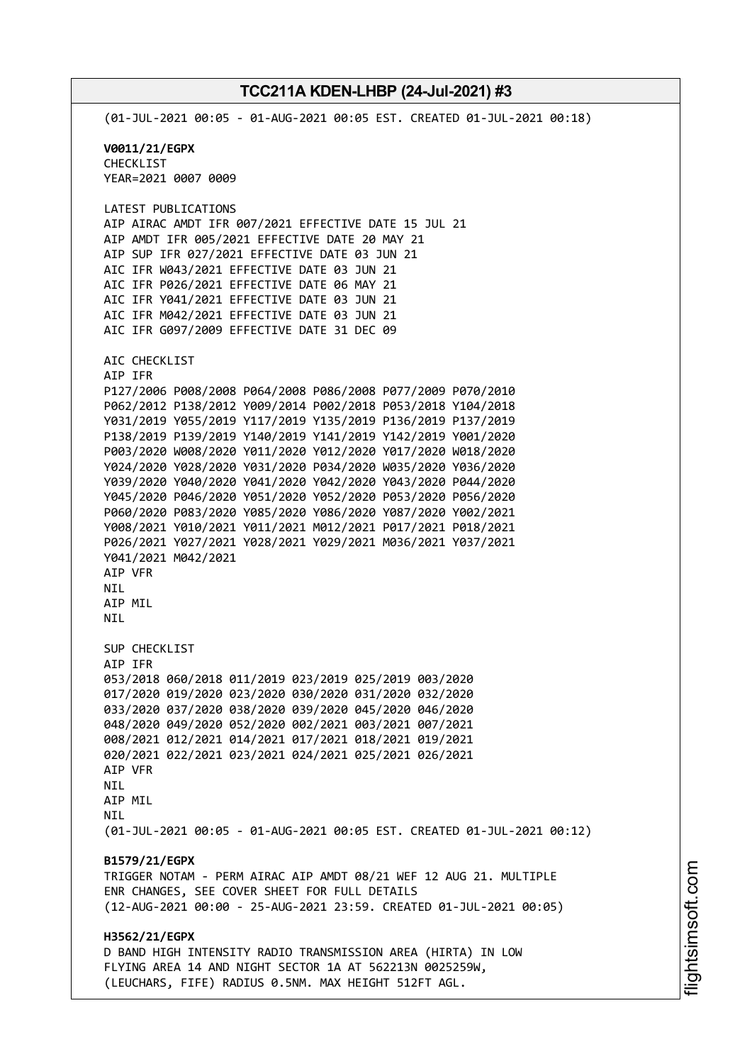(01-JUL-2021 00:05 - 01-AUG-2021 00:05 EST. CREATED 01-JUL-2021 00:18) **V0011/21/EGPX** CHECKLIST YEAR=2021 0007 0009 LATEST PUBLICATIONS AIP AIRAC AMDT IFR 007/2021 EFFECTIVE DATE 15 JUL 21 AIP AMDT IFR 005/2021 EFFECTIVE DATE 20 MAY 21 AIP SUP IFR 027/2021 EFFECTIVE DATE 03 JUN 21 AIC IFR W043/2021 EFFECTIVE DATE 03 JUN 21 AIC IFR P026/2021 EFFECTIVE DATE 06 MAY 21 AIC IFR Y041/2021 EFFECTIVE DATE 03 JUN 21 AIC IFR M042/2021 EFFECTIVE DATE 03 JUN 21 AIC IFR G097/2009 EFFECTIVE DATE 31 DEC 09 AIC CHECKLIST AIP IFR P127/2006 P008/2008 P064/2008 P086/2008 P077/2009 P070/2010 P062/2012 P138/2012 Y009/2014 P002/2018 P053/2018 Y104/2018 Y031/2019 Y055/2019 Y117/2019 Y135/2019 P136/2019 P137/2019 P138/2019 P139/2019 Y140/2019 Y141/2019 Y142/2019 Y001/2020 P003/2020 W008/2020 Y011/2020 Y012/2020 Y017/2020 W018/2020 Y024/2020 Y028/2020 Y031/2020 P034/2020 W035/2020 Y036/2020 Y039/2020 Y040/2020 Y041/2020 Y042/2020 Y043/2020 P044/2020 Y045/2020 P046/2020 Y051/2020 Y052/2020 P053/2020 P056/2020 P060/2020 P083/2020 Y085/2020 Y086/2020 Y087/2020 Y002/2021 Y008/2021 Y010/2021 Y011/2021 M012/2021 P017/2021 P018/2021 P026/2021 Y027/2021 Y028/2021 Y029/2021 M036/2021 Y037/2021 Y041/2021 M042/2021 AIP VFR NIL AIP MIL **NTI** SUP CHECKLIST AIP IFR 053/2018 060/2018 011/2019 023/2019 025/2019 003/2020 017/2020 019/2020 023/2020 030/2020 031/2020 032/2020 033/2020 037/2020 038/2020 039/2020 045/2020 046/2020 048/2020 049/2020 052/2020 002/2021 003/2021 007/2021 008/2021 012/2021 014/2021 017/2021 018/2021 019/2021 020/2021 022/2021 023/2021 024/2021 025/2021 026/2021 AIP VFR NIL AIP MIL **NTI** (01-JUL-2021 00:05 - 01-AUG-2021 00:05 EST. CREATED 01-JUL-2021 00:12) **B1579/21/EGPX** TRIGGER NOTAM - PERM AIRAC AIP AMDT 08/21 WEF 12 AUG 21. MULTIPLE ENR CHANGES, SEE COVER SHEET FOR FULL DETAILS (12-AUG-2021 00:00 - 25-AUG-2021 23:59. CREATED 01-JUL-2021 00:05) **H3562/21/EGPX** D BAND HIGH INTENSITY RADIO TRANSMISSION AREA (HIRTA) IN LOW FLYING AREA 14 AND NIGHT SECTOR 1A AT 562213N 0025259W, (LEUCHARS, FIFE) RADIUS 0.5NM. MAX HEIGHT 512FT AGL.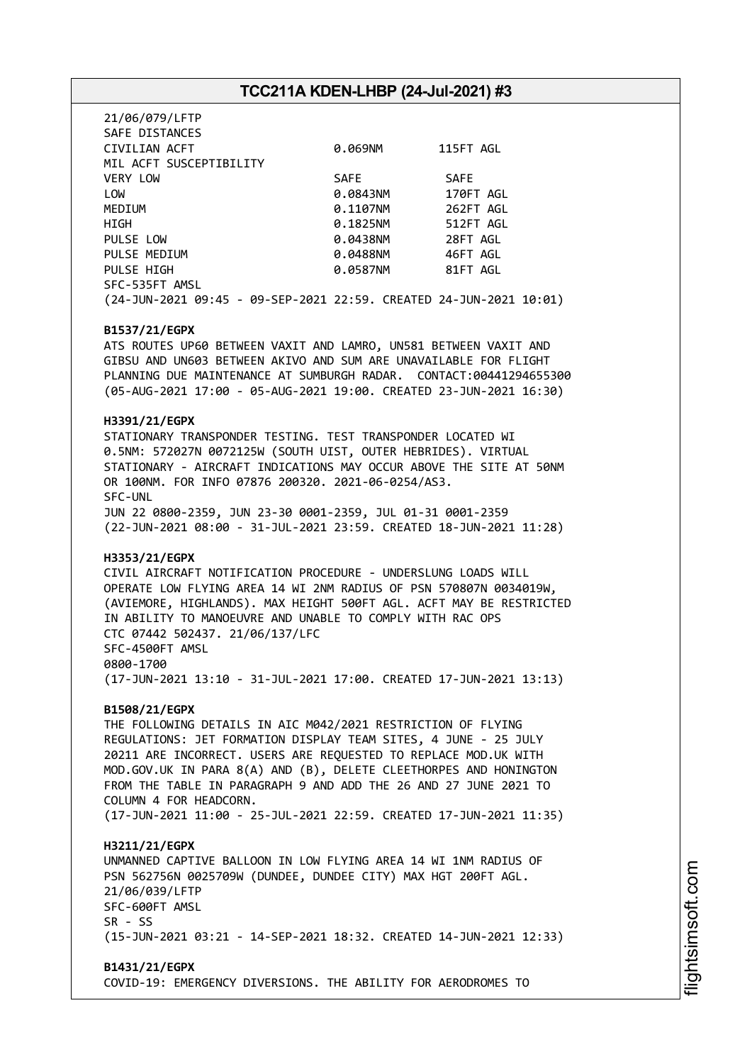| 21/06/079/LFTP<br>SAFE DISTANCES                                   |          |             |
|--------------------------------------------------------------------|----------|-------------|
| CIVILIAN ACFT                                                      | 0.069NM  | 115FT AGL   |
| MIL ACFT SUSCEPTIBILITY                                            |          |             |
| <b>VERY LOW</b>                                                    | SAFE     | <b>SAFE</b> |
| LOW                                                                | 0.0843NM | 170FT AGL   |
| MEDIUM                                                             | 0.1107NM | 262FT AGL   |
| HIGH                                                               | 0.1825NM | 512FT AGL   |
| PULSE LOW                                                          | 0.0438NM | 28FT AGL    |
| PULSE MEDIUM                                                       | 0.0488NM | 46FT AGL    |
| PULSE HIGH                                                         | 0.0587NM | 81FT AGL    |
| SFC-535FT AMSL                                                     |          |             |
| (24-JUN-2021 09:45 - 09-SEP-2021 22:59. CREATED 24-JUN-2021 10:01) |          |             |

#### **B1537/21/EGPX**

ATS ROUTES UP60 BETWEEN VAXIT AND LAMRO, UN581 BETWEEN VAXIT AND GIBSU AND UN603 BETWEEN AKIVO AND SUM ARE UNAVAILABLE FOR FLIGHT PLANNING DUE MAINTENANCE AT SUMBURGH RADAR. CONTACT:00441294655300 (05-AUG-2021 17:00 - 05-AUG-2021 19:00. CREATED 23-JUN-2021 16:30)

#### **H3391/21/EGPX**

STATIONARY TRANSPONDER TESTING. TEST TRANSPONDER LOCATED WI 0.5NM: 572027N 0072125W (SOUTH UIST, OUTER HEBRIDES). VIRTUAL STATIONARY - AIRCRAFT INDICATIONS MAY OCCUR ABOVE THE SITE AT 50NM OR 100NM. FOR INFO 07876 200320. 2021-06-0254/AS3. SFC-UNL JUN 22 0800-2359, JUN 23-30 0001-2359, JUL 01-31 0001-2359 (22-JUN-2021 08:00 - 31-JUL-2021 23:59. CREATED 18-JUN-2021 11:28)

#### **H3353/21/EGPX**

CIVIL AIRCRAFT NOTIFICATION PROCEDURE - UNDERSLUNG LOADS WILL OPERATE LOW FLYING AREA 14 WI 2NM RADIUS OF PSN 570807N 0034019W, (AVIEMORE, HIGHLANDS). MAX HEIGHT 500FT AGL. ACFT MAY BE RESTRICTED IN ABILITY TO MANOEUVRE AND UNABLE TO COMPLY WITH RAC OPS CTC 07442 502437. 21/06/137/LFC SFC-4500FT AMSL 0800-1700 (17-JUN-2021 13:10 - 31-JUL-2021 17:00. CREATED 17-JUN-2021 13:13)

#### **B1508/21/EGPX**

THE FOLLOWING DETAILS IN AIC M042/2021 RESTRICTION OF FLYING REGULATIONS: JET FORMATION DISPLAY TEAM SITES, 4 JUNE - 25 JULY 20211 ARE INCORRECT. USERS ARE REQUESTED TO REPLACE MOD.UK WITH MOD.GOV.UK IN PARA 8(A) AND (B), DELETE CLEETHORPES AND HONINGTON FROM THE TABLE IN PARAGRAPH 9 AND ADD THE 26 AND 27 JUNE 2021 TO COLUMN 4 FOR HEADCORN. (17-JUN-2021 11:00 - 25-JUL-2021 22:59. CREATED 17-JUN-2021 11:35)

#### **H3211/21/EGPX**

UNMANNED CAPTIVE BALLOON IN LOW FLYING AREA 14 WI 1NM RADIUS OF PSN 562756N 0025709W (DUNDEE, DUNDEE CITY) MAX HGT 200FT AGL. 21/06/039/LFTP SFC-600FT AMSL  $SR - SS$ (15-JUN-2021 03:21 - 14-SEP-2021 18:32. CREATED 14-JUN-2021 12:33)

#### **B1431/21/EGPX**

COVID-19: EMERGENCY DIVERSIONS. THE ABILITY FOR AERODROMES TO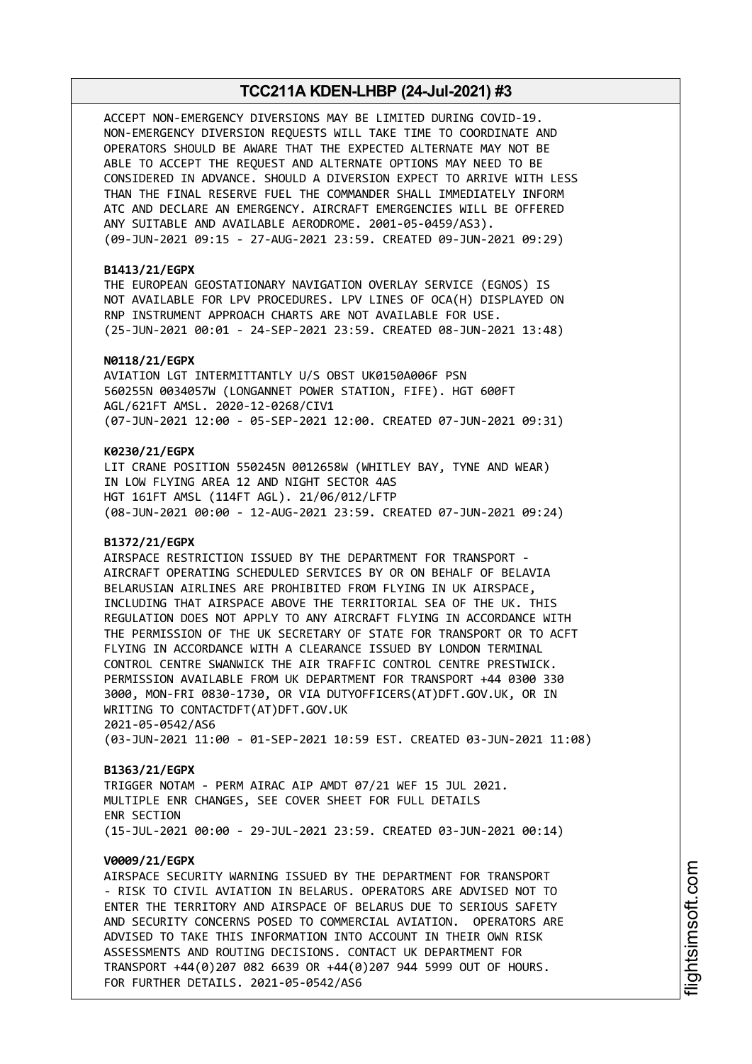ACCEPT NON-EMERGENCY DIVERSIONS MAY BE LIMITED DURING COVID-19. NON-EMERGENCY DIVERSION REQUESTS WILL TAKE TIME TO COORDINATE AND OPERATORS SHOULD BE AWARE THAT THE EXPECTED ALTERNATE MAY NOT BE ABLE TO ACCEPT THE REQUEST AND ALTERNATE OPTIONS MAY NEED TO BE CONSIDERED IN ADVANCE. SHOULD A DIVERSION EXPECT TO ARRIVE WITH LESS THAN THE FINAL RESERVE FUEL THE COMMANDER SHALL IMMEDIATELY INFORM ATC AND DECLARE AN EMERGENCY. AIRCRAFT EMERGENCIES WILL BE OFFERED ANY SUITABLE AND AVAILABLE AERODROME. 2001-05-0459/AS3). (09-JUN-2021 09:15 - 27-AUG-2021 23:59. CREATED 09-JUN-2021 09:29)

### **B1413/21/EGPX**

THE EUROPEAN GEOSTATIONARY NAVIGATION OVERLAY SERVICE (EGNOS) IS NOT AVAILABLE FOR LPV PROCEDURES. LPV LINES OF OCA(H) DISPLAYED ON RNP INSTRUMENT APPROACH CHARTS ARE NOT AVAILABLE FOR USE. (25-JUN-2021 00:01 - 24-SEP-2021 23:59. CREATED 08-JUN-2021 13:48)

#### **N0118/21/EGPX**

AVIATION LGT INTERMITTANTLY U/S OBST UK0150A006F PSN 560255N 0034057W (LONGANNET POWER STATION, FIFE). HGT 600FT AGL/621FT AMSL. 2020-12-0268/CIV1 (07-JUN-2021 12:00 - 05-SEP-2021 12:00. CREATED 07-JUN-2021 09:31)

#### **K0230/21/EGPX**

LIT CRANE POSITION 550245N 0012658W (WHITLEY BAY, TYNE AND WEAR) IN LOW FLYING AREA 12 AND NIGHT SECTOR 4AS HGT 161FT AMSL (114FT AGL). 21/06/012/LFTP (08-JUN-2021 00:00 - 12-AUG-2021 23:59. CREATED 07-JUN-2021 09:24)

#### **B1372/21/EGPX**

AIRSPACE RESTRICTION ISSUED BY THE DEPARTMENT FOR TRANSPORT - AIRCRAFT OPERATING SCHEDULED SERVICES BY OR ON BEHALF OF BELAVIA BELARUSIAN AIRLINES ARE PROHIBITED FROM FLYING IN UK AIRSPACE, INCLUDING THAT AIRSPACE ABOVE THE TERRITORIAL SEA OF THE UK. THIS REGULATION DOES NOT APPLY TO ANY AIRCRAFT FLYING IN ACCORDANCE WITH THE PERMISSION OF THE UK SECRETARY OF STATE FOR TRANSPORT OR TO ACFT FLYING IN ACCORDANCE WITH A CLEARANCE ISSUED BY LONDON TERMINAL CONTROL CENTRE SWANWICK THE AIR TRAFFIC CONTROL CENTRE PRESTWICK. PERMISSION AVAILABLE FROM UK DEPARTMENT FOR TRANSPORT +44 0300 330 3000, MON-FRI 0830-1730, OR VIA DUTYOFFICERS(AT)DFT.GOV.UK, OR IN WRITING TO CONTACTDFT(AT)DFT.GOV.UK 2021-05-0542/AS6 (03-JUN-2021 11:00 - 01-SEP-2021 10:59 EST. CREATED 03-JUN-2021 11:08)

#### **B1363/21/EGPX**

TRIGGER NOTAM - PERM AIRAC AIP AMDT 07/21 WEF 15 JUL 2021. MULTIPLE ENR CHANGES, SEE COVER SHEET FOR FULL DETAILS ENR SECTION (15-JUL-2021 00:00 - 29-JUL-2021 23:59. CREATED 03-JUN-2021 00:14)

#### **V0009/21/EGPX**

AIRSPACE SECURITY WARNING ISSUED BY THE DEPARTMENT FOR TRANSPORT - RISK TO CIVIL AVIATION IN BELARUS. OPERATORS ARE ADVISED NOT TO ENTER THE TERRITORY AND AIRSPACE OF BELARUS DUE TO SERIOUS SAFETY AND SECURITY CONCERNS POSED TO COMMERCIAL AVIATION. OPERATORS ARE ADVISED TO TAKE THIS INFORMATION INTO ACCOUNT IN THEIR OWN RISK ASSESSMENTS AND ROUTING DECISIONS. CONTACT UK DEPARTMENT FOR TRANSPORT +44(0)207 082 6639 OR +44(0)207 944 5999 OUT OF HOURS. FOR FURTHER DETAILS. 2021-05-0542/AS6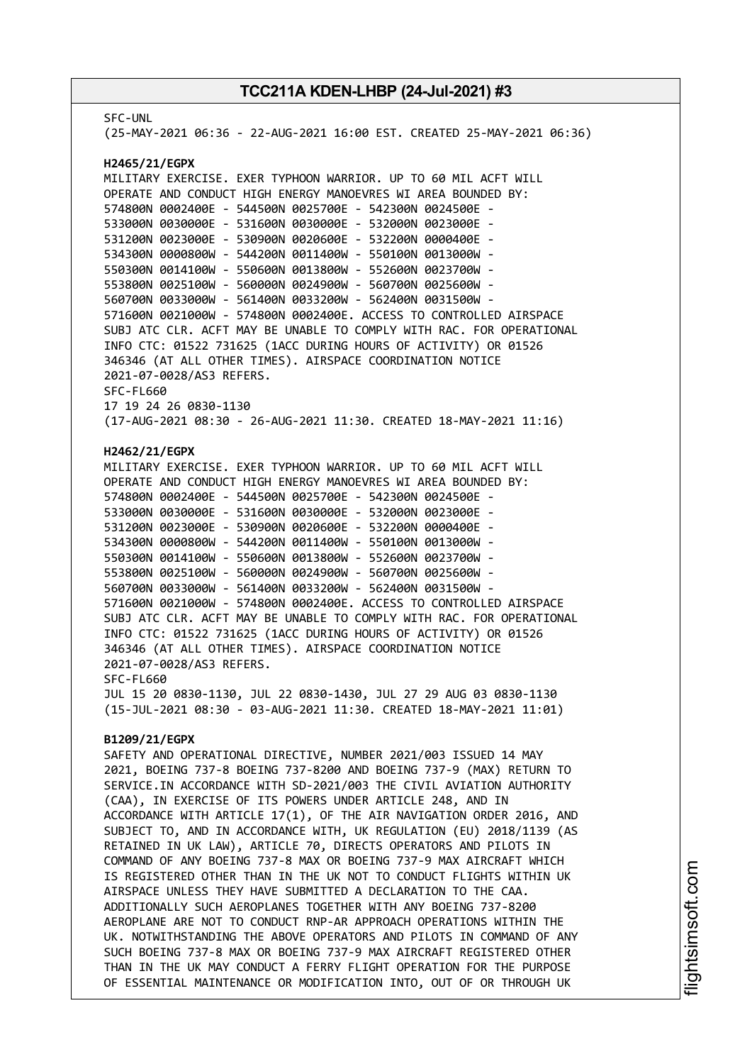SFC-UNL (25-MAY-2021 06:36 - 22-AUG-2021 16:00 EST. CREATED 25-MAY-2021 06:36) **H2465/21/EGPX** MILITARY EXERCISE. EXER TYPHOON WARRIOR. UP TO 60 MIL ACFT WILL OPERATE AND CONDUCT HIGH ENERGY MANOEVRES WI AREA BOUNDED BY: 574800N 0002400E - 544500N 0025700E - 542300N 0024500E - 533000N 0030000E - 531600N 0030000E - 532000N 0023000E - 531200N 0023000E - 530900N 0020600E - 532200N 0000400E - 534300N 0000800W - 544200N 0011400W - 550100N 0013000W - 550300N 0014100W - 550600N 0013800W - 552600N 0023700W - 553800N 0025100W - 560000N 0024900W - 560700N 0025600W - 560700N 0033000W - 561400N 0033200W - 562400N 0031500W - 571600N 0021000W - 574800N 0002400E. ACCESS TO CONTROLLED AIRSPACE SUBJ ATC CLR. ACFT MAY BE UNABLE TO COMPLY WITH RAC. FOR OPERATIONAL INFO CTC: 01522 731625 (1ACC DURING HOURS OF ACTIVITY) OR 01526 346346 (AT ALL OTHER TIMES). AIRSPACE COORDINATION NOTICE 2021-07-0028/AS3 REFERS. SFC-FL660 17 19 24 26 0830-1130 (17-AUG-2021 08:30 - 26-AUG-2021 11:30. CREATED 18-MAY-2021 11:16) **H2462/21/EGPX** MILITARY EXERCISE. EXER TYPHOON WARRIOR. UP TO 60 MIL ACFT WILL OPERATE AND CONDUCT HIGH ENERGY MANOEVRES WI AREA BOUNDED BY: 574800N 0002400E - 544500N 0025700E - 542300N 0024500E - 533000N 0030000E - 531600N 0030000E - 532000N 0023000E - 531200N 0023000E - 530900N 0020600E - 532200N 0000400E - 534300N 0000800W - 544200N 0011400W - 550100N 0013000W - 550300N 0014100W - 550600N 0013800W - 552600N 0023700W - 553800N 0025100W - 560000N 0024900W - 560700N 0025600W - 560700N 0033000W - 561400N 0033200W - 562400N 0031500W - 571600N 0021000W - 574800N 0002400E. ACCESS TO CONTROLLED AIRSPACE SUBJ ATC CLR. ACFT MAY BE UNABLE TO COMPLY WITH RAC. FOR OPERATIONAL INFO CTC: 01522 731625 (1ACC DURING HOURS OF ACTIVITY) OR 01526 346346 (AT ALL OTHER TIMES). AIRSPACE COORDINATION NOTICE 2021-07-0028/AS3 REFERS. SFC-FL660 JUL 15 20 0830-1130, JUL 22 0830-1430, JUL 27 29 AUG 03 0830-1130 (15-JUL-2021 08:30 - 03-AUG-2021 11:30. CREATED 18-MAY-2021 11:01) **B1209/21/EGPX** SAFETY AND OPERATIONAL DIRECTIVE, NUMBER 2021/003 ISSUED 14 MAY 2021, BOEING 737-8 BOEING 737-8200 AND BOEING 737-9 (MAX) RETURN TO SERVICE.IN ACCORDANCE WITH SD-2021/003 THE CIVIL AVIATION AUTHORITY (CAA), IN EXERCISE OF ITS POWERS UNDER ARTICLE 248, AND IN ACCORDANCE WITH ARTICLE 17(1), OF THE AIR NAVIGATION ORDER 2016, AND SUBJECT TO, AND IN ACCORDANCE WITH, UK REGULATION (EU) 2018/1139 (AS RETAINED IN UK LAW), ARTICLE 70, DIRECTS OPERATORS AND PILOTS IN COMMAND OF ANY BOEING 737-8 MAX OR BOEING 737-9 MAX AIRCRAFT WHICH IS REGISTERED OTHER THAN IN THE UK NOT TO CONDUCT FLIGHTS WITHIN UK AIRSPACE UNLESS THEY HAVE SUBMITTED A DECLARATION TO THE CAA. ADDITIONALLY SUCH AEROPLANES TOGETHER WITH ANY BOEING 737-8200 AEROPLANE ARE NOT TO CONDUCT RNP-AR APPROACH OPERATIONS WITHIN THE UK. NOTWITHSTANDING THE ABOVE OPERATORS AND PILOTS IN COMMAND OF ANY SUCH BOEING 737-8 MAX OR BOEING 737-9 MAX AIRCRAFT REGISTERED OTHER THAN IN THE UK MAY CONDUCT A FERRY FLIGHT OPERATION FOR THE PURPOSE OF ESSENTIAL MAINTENANCE OR MODIFICATION INTO, OUT OF OR THROUGH UK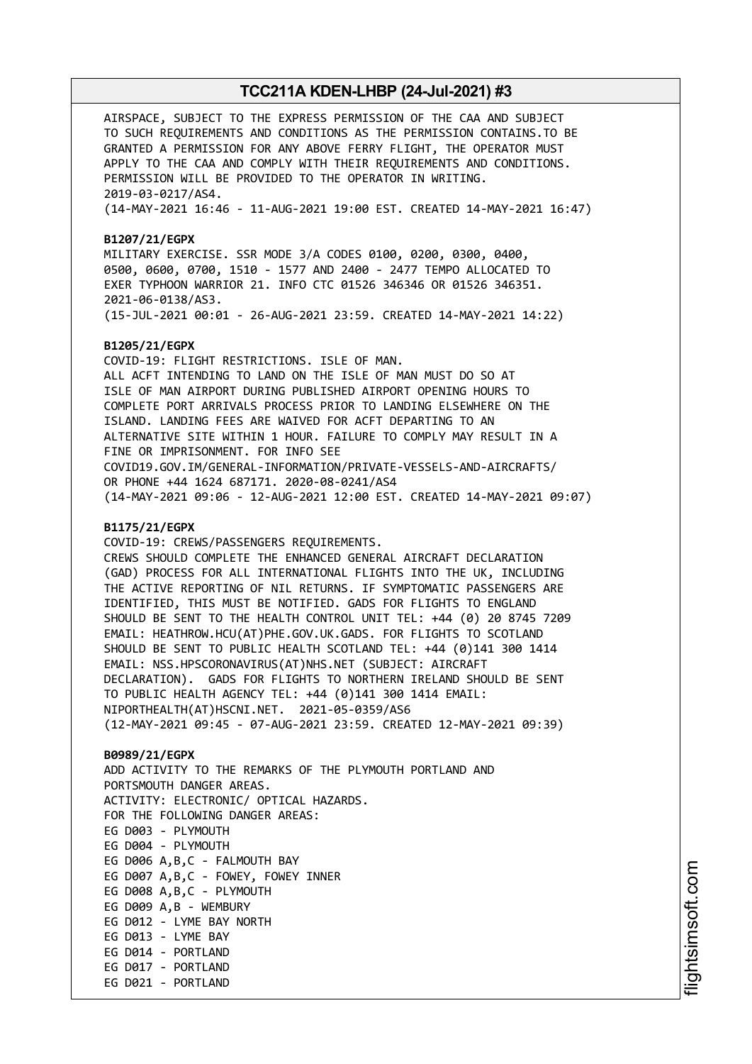AIRSPACE, SUBJECT TO THE EXPRESS PERMISSION OF THE CAA AND SUBJECT TO SUCH REQUIREMENTS AND CONDITIONS AS THE PERMISSION CONTAINS.TO BE GRANTED A PERMISSION FOR ANY ABOVE FERRY FLIGHT, THE OPERATOR MUST APPLY TO THE CAA AND COMPLY WITH THEIR REQUIREMENTS AND CONDITIONS. PERMISSION WILL BE PROVIDED TO THE OPERATOR IN WRITING. 2019-03-0217/AS4. (14-MAY-2021 16:46 - 11-AUG-2021 19:00 EST. CREATED 14-MAY-2021 16:47)

#### **B1207/21/EGPX**

MILITARY EXERCISE. SSR MODE 3/A CODES 0100, 0200, 0300, 0400, 0500, 0600, 0700, 1510 - 1577 AND 2400 - 2477 TEMPO ALLOCATED TO EXER TYPHOON WARRIOR 21. INFO CTC 01526 346346 OR 01526 346351. 2021-06-0138/AS3. (15-JUL-2021 00:01 - 26-AUG-2021 23:59. CREATED 14-MAY-2021 14:22)

#### **B1205/21/EGPX**

COVID-19: FLIGHT RESTRICTIONS. ISLE OF MAN. ALL ACFT INTENDING TO LAND ON THE ISLE OF MAN MUST DO SO AT ISLE OF MAN AIRPORT DURING PUBLISHED AIRPORT OPENING HOURS TO COMPLETE PORT ARRIVALS PROCESS PRIOR TO LANDING ELSEWHERE ON THE ISLAND. LANDING FEES ARE WAIVED FOR ACFT DEPARTING TO AN ALTERNATIVE SITE WITHIN 1 HOUR. FAILURE TO COMPLY MAY RESULT IN A FINE OR IMPRISONMENT. FOR INFO SEE COVID19.GOV.IM/GENERAL-INFORMATION/PRIVATE-VESSELS-AND-AIRCRAFTS/ OR PHONE +44 1624 687171. 2020-08-0241/AS4 (14-MAY-2021 09:06 - 12-AUG-2021 12:00 EST. CREATED 14-MAY-2021 09:07)

#### **B1175/21/EGPX**

COVID-19: CREWS/PASSENGERS REQUIREMENTS. CREWS SHOULD COMPLETE THE ENHANCED GENERAL AIRCRAFT DECLARATION (GAD) PROCESS FOR ALL INTERNATIONAL FLIGHTS INTO THE UK, INCLUDING THE ACTIVE REPORTING OF NIL RETURNS. IF SYMPTOMATIC PASSENGERS ARE IDENTIFIED, THIS MUST BE NOTIFIED. GADS FOR FLIGHTS TO ENGLAND SHOULD BE SENT TO THE HEALTH CONTROL UNIT TEL: +44 (0) 20 8745 7209 EMAIL: HEATHROW.HCU(AT)PHE.GOV.UK.GADS. FOR FLIGHTS TO SCOTLAND SHOULD BE SENT TO PUBLIC HEALTH SCOTLAND TEL: +44 (0)141 300 1414 EMAIL: NSS.HPSCORONAVIRUS(AT)NHS.NET (SUBJECT: AIRCRAFT DECLARATION). GADS FOR FLIGHTS TO NORTHERN IRELAND SHOULD BE SENT TO PUBLIC HEALTH AGENCY TEL: +44 (0)141 300 1414 EMAIL: NIPORTHEALTH(AT)HSCNI.NET. 2021-05-0359/AS6 (12-MAY-2021 09:45 - 07-AUG-2021 23:59. CREATED 12-MAY-2021 09:39)

#### **B0989/21/EGPX**

ADD ACTIVITY TO THE REMARKS OF THE PLYMOUTH PORTLAND AND PORTSMOUTH DANGER AREAS. ACTIVITY: ELECTRONIC/ OPTICAL HAZARDS. FOR THE FOLLOWING DANGER AREAS: EG D003 - PLYMOUTH EG D004 - PLYMOUTH EG D006 A,B,C - FALMOUTH BAY EG D007 A,B,C - FOWEY, FOWEY INNER EG D008 A,B,C - PLYMOUTH EG D009 A,B - WEMBURY EG D012 - LYME BAY NORTH EG D013 - LYME BAY EG D014 - PORTLAND EG D017 - PORTLAND EG D021 - PORTLAND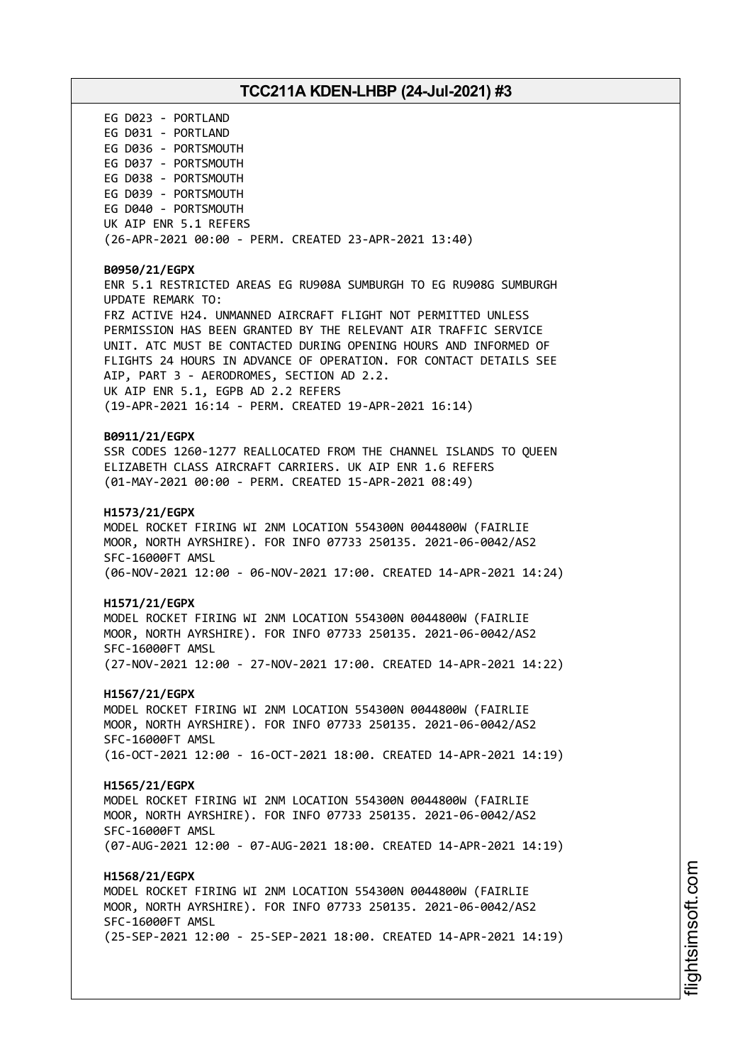EG D023 - PORTLAND EG D031 - PORTLAND EG D036 - PORTSMOUTH EG D037 - PORTSMOUTH EG D038 - PORTSMOUTH EG D039 - PORTSMOUTH EG D040 - PORTSMOUTH UK AIP ENR 5.1 REFERS (26-APR-2021 00:00 - PERM. CREATED 23-APR-2021 13:40) **B0950/21/EGPX** ENR 5.1 RESTRICTED AREAS EG RU908A SUMBURGH TO EG RU908G SUMBURGH UPDATE REMARK TO: FRZ ACTIVE H24. UNMANNED AIRCRAFT FLIGHT NOT PERMITTED UNLESS PERMISSION HAS BEEN GRANTED BY THE RELEVANT AIR TRAFFIC SERVICE UNIT. ATC MUST BE CONTACTED DURING OPENING HOURS AND INFORMED OF FLIGHTS 24 HOURS IN ADVANCE OF OPERATION. FOR CONTACT DETAILS SEE AIP, PART 3 - AERODROMES, SECTION AD 2.2. UK AIP ENR 5.1, EGPB AD 2.2 REFERS (19-APR-2021 16:14 - PERM. CREATED 19-APR-2021 16:14) **B0911/21/EGPX** SSR CODES 1260-1277 REALLOCATED FROM THE CHANNEL ISLANDS TO QUEEN ELIZABETH CLASS AIRCRAFT CARRIERS. UK AIP ENR 1.6 REFERS (01-MAY-2021 00:00 - PERM. CREATED 15-APR-2021 08:49) **H1573/21/EGPX** MODEL ROCKET FIRING WI 2NM LOCATION 554300N 0044800W (FAIRLIE MOOR, NORTH AYRSHIRE). FOR INFO 07733 250135. 2021-06-0042/AS2 SFC-16000FT AMSL (06-NOV-2021 12:00 - 06-NOV-2021 17:00. CREATED 14-APR-2021 14:24) **H1571/21/EGPX** MODEL ROCKET FIRING WI 2NM LOCATION 554300N 0044800W (FAIRLIE MOOR, NORTH AYRSHIRE). FOR INFO 07733 250135. 2021-06-0042/AS2 SFC-16000FT AMSL (27-NOV-2021 12:00 - 27-NOV-2021 17:00. CREATED 14-APR-2021 14:22) **H1567/21/EGPX** MODEL ROCKET FIRING WI 2NM LOCATION 554300N 0044800W (FAIRLIE MOOR, NORTH AYRSHIRE). FOR INFO 07733 250135. 2021-06-0042/AS2 SFC-16000FT AMSL (16-OCT-2021 12:00 - 16-OCT-2021 18:00. CREATED 14-APR-2021 14:19) **H1565/21/EGPX** MODEL ROCKET FIRING WI 2NM LOCATION 554300N 0044800W (FAIRLIE MOOR, NORTH AYRSHIRE). FOR INFO 07733 250135. 2021-06-0042/AS2 SFC-16000FT AMSL (07-AUG-2021 12:00 - 07-AUG-2021 18:00. CREATED 14-APR-2021 14:19) **H1568/21/EGPX** MODEL ROCKET FIRING WI 2NM LOCATION 554300N 0044800W (FAIRLIE MOOR, NORTH AYRSHIRE). FOR INFO 07733 250135. 2021-06-0042/AS2 SFC-16000FT AMSL (25-SEP-2021 12:00 - 25-SEP-2021 18:00. CREATED 14-APR-2021 14:19)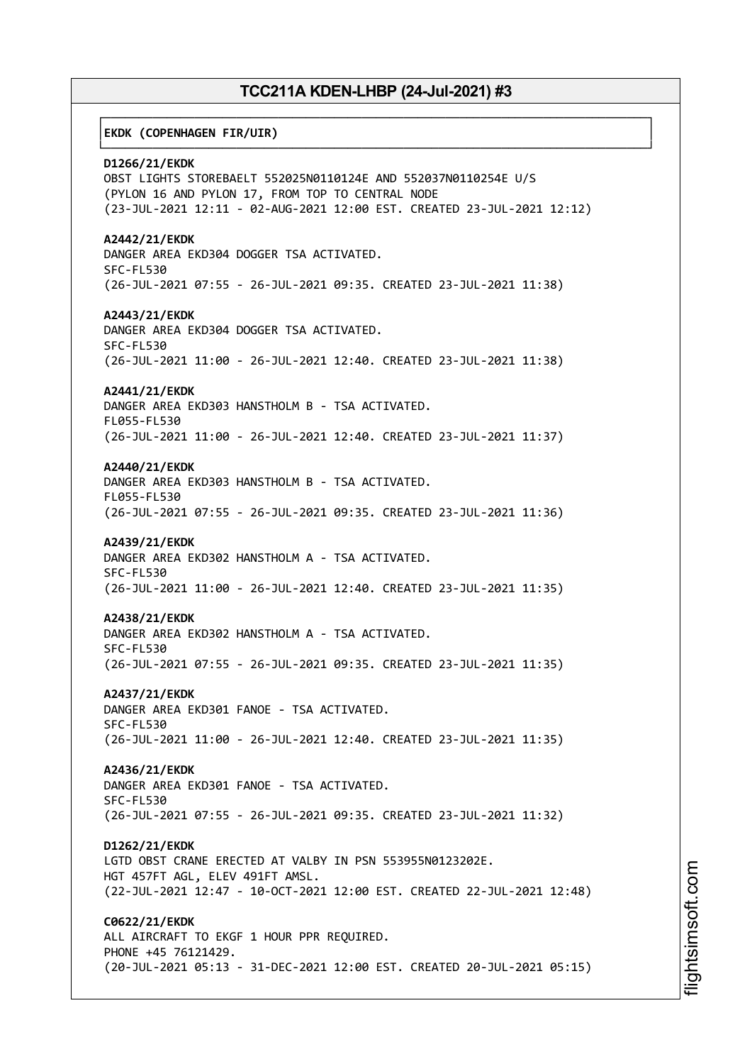┌──────────────────────────────────────────────────────────────────────────────┐

└──────────────────────────────────────────────────────────────────────────────┘

#### │**EKDK (COPENHAGEN FIR/UIR)** │

**D1266/21/EKDK**

OBST LIGHTS STOREBAELT 552025N0110124E AND 552037N0110254E U/S (PYLON 16 AND PYLON 17, FROM TOP TO CENTRAL NODE (23-JUL-2021 12:11 - 02-AUG-2021 12:00 EST. CREATED 23-JUL-2021 12:12)

**A2442/21/EKDK** DANGER AREA EKD304 DOGGER TSA ACTIVATED. SFC-FL530 (26-JUL-2021 07:55 - 26-JUL-2021 09:35. CREATED 23-JUL-2021 11:38)

**A2443/21/EKDK** DANGER AREA EKD304 DOGGER TSA ACTIVATED. SFC-FL530 (26-JUL-2021 11:00 - 26-JUL-2021 12:40. CREATED 23-JUL-2021 11:38)

#### **A2441/21/EKDK**

DANGER AREA EKD303 HANSTHOLM B - TSA ACTIVATED. FL055-FL530 (26-JUL-2021 11:00 - 26-JUL-2021 12:40. CREATED 23-JUL-2021 11:37)

**A2440/21/EKDK**

DANGER AREA EKD303 HANSTHOLM B - TSA ACTIVATED. FL055-FL530 (26-JUL-2021 07:55 - 26-JUL-2021 09:35. CREATED 23-JUL-2021 11:36)

#### **A2439/21/EKDK**

DANGER AREA EKD302 HANSTHOLM A - TSA ACTIVATED. SFC-FL530 (26-JUL-2021 11:00 - 26-JUL-2021 12:40. CREATED 23-JUL-2021 11:35)

#### **A2438/21/EKDK**

DANGER AREA EKD302 HANSTHOLM A - TSA ACTIVATED. SFC-FL530 (26-JUL-2021 07:55 - 26-JUL-2021 09:35. CREATED 23-JUL-2021 11:35)

**A2437/21/EKDK**

DANGER AREA EKD301 FANOE - TSA ACTIVATED. SFC-FL530 (26-JUL-2021 11:00 - 26-JUL-2021 12:40. CREATED 23-JUL-2021 11:35)

**A2436/21/EKDK** DANGER AREA EKD301 FANOE - TSA ACTIVATED. SFC-FL530 (26-JUL-2021 07:55 - 26-JUL-2021 09:35. CREATED 23-JUL-2021 11:32)

**D1262/21/EKDK** LGTD OBST CRANE ERECTED AT VALBY IN PSN 553955N0123202E. HGT 457FT AGL, ELEV 491FT AMSL. (22-JUL-2021 12:47 - 10-OCT-2021 12:00 EST. CREATED 22-JUL-2021 12:48)

**C0622/21/EKDK** ALL AIRCRAFT TO EKGF 1 HOUR PPR REQUIRED. PHONE +45 76121429. (20-JUL-2021 05:13 - 31-DEC-2021 12:00 EST. CREATED 20-JUL-2021 05:15)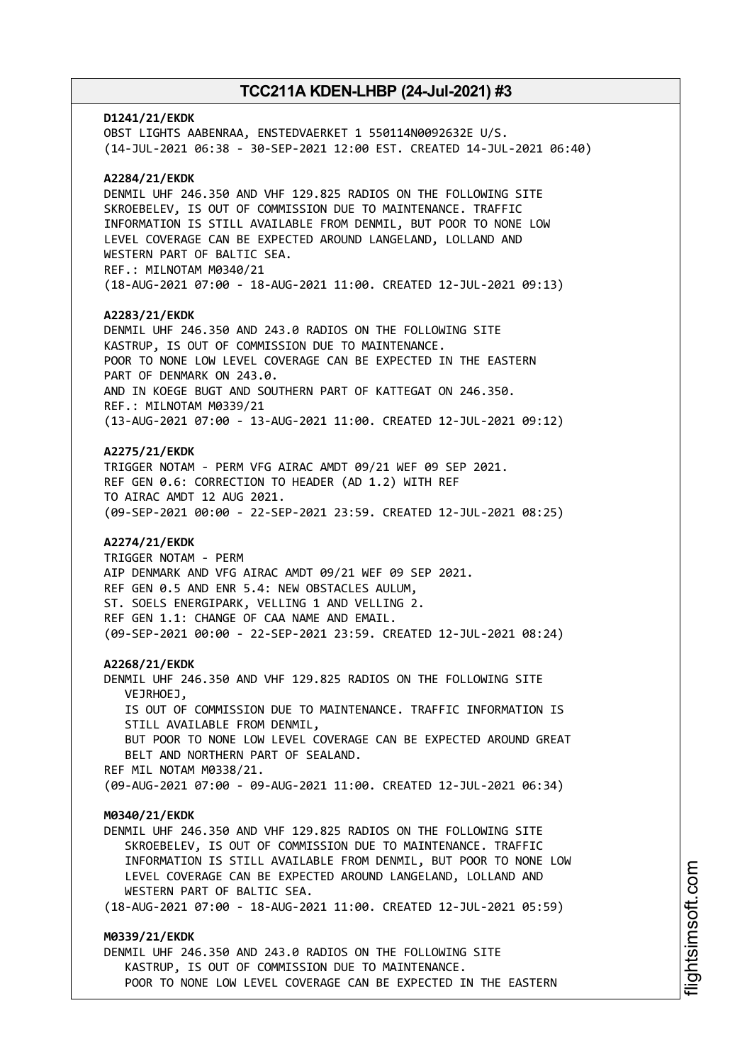#### **D1241/21/EKDK**

OBST LIGHTS AABENRAA, ENSTEDVAERKET 1 550114N0092632E U/S. (14-JUL-2021 06:38 - 30-SEP-2021 12:00 EST. CREATED 14-JUL-2021 06:40)

#### **A2284/21/EKDK**

DENMIL UHF 246.350 AND VHF 129.825 RADIOS ON THE FOLLOWING SITE SKROEBELEV, IS OUT OF COMMISSION DUE TO MAINTENANCE. TRAFFIC INFORMATION IS STILL AVAILABLE FROM DENMIL, BUT POOR TO NONE LOW LEVEL COVERAGE CAN BE EXPECTED AROUND LANGELAND, LOLLAND AND WESTERN PART OF BALTIC SEA. REF.: MILNOTAM M0340/21 (18-AUG-2021 07:00 - 18-AUG-2021 11:00. CREATED 12-JUL-2021 09:13)

#### **A2283/21/EKDK**

DENMIL UHF 246.350 AND 243.0 RADIOS ON THE FOLLOWING SITE KASTRUP, IS OUT OF COMMISSION DUE TO MAINTENANCE. POOR TO NONE LOW LEVEL COVERAGE CAN BE EXPECTED IN THE EASTERN PART OF DENMARK ON 243.0. AND IN KOEGE BUGT AND SOUTHERN PART OF KATTEGAT ON 246.350. REF.: MILNOTAM M0339/21 (13-AUG-2021 07:00 - 13-AUG-2021 11:00. CREATED 12-JUL-2021 09:12)

#### **A2275/21/EKDK**

TRIGGER NOTAM - PERM VFG AIRAC AMDT 09/21 WEF 09 SEP 2021. REF GEN 0.6: CORRECTION TO HEADER (AD 1.2) WITH REF TO AIRAC AMDT 12 AUG 2021. (09-SEP-2021 00:00 - 22-SEP-2021 23:59. CREATED 12-JUL-2021 08:25)

#### **A2274/21/EKDK**

TRIGGER NOTAM - PERM AIP DENMARK AND VFG AIRAC AMDT 09/21 WEF 09 SEP 2021. REF GEN 0.5 AND ENR 5.4: NEW OBSTACLES AULUM, ST. SOELS ENERGIPARK, VELLING 1 AND VELLING 2. REF GEN 1.1: CHANGE OF CAA NAME AND EMAIL. (09-SEP-2021 00:00 - 22-SEP-2021 23:59. CREATED 12-JUL-2021 08:24)

#### **A2268/21/EKDK**

DENMIL UHF 246.350 AND VHF 129.825 RADIOS ON THE FOLLOWING SITE VEJRHOEJ, IS OUT OF COMMISSION DUE TO MAINTENANCE. TRAFFIC INFORMATION IS STILL AVAILABLE FROM DENMIL, BUT POOR TO NONE LOW LEVEL COVERAGE CAN BE EXPECTED AROUND GREAT BELT AND NORTHERN PART OF SEALAND. REF MIL NOTAM M0338/21. (09-AUG-2021 07:00 - 09-AUG-2021 11:00. CREATED 12-JUL-2021 06:34)

#### **M0340/21/EKDK**

DENMIL UHF 246.350 AND VHF 129.825 RADIOS ON THE FOLLOWING SITE SKROEBELEV, IS OUT OF COMMISSION DUE TO MAINTENANCE. TRAFFIC INFORMATION IS STILL AVAILABLE FROM DENMIL, BUT POOR TO NONE LOW LEVEL COVERAGE CAN BE EXPECTED AROUND LANGELAND, LOLLAND AND WESTERN PART OF BALTIC SEA.

(18-AUG-2021 07:00 - 18-AUG-2021 11:00. CREATED 12-JUL-2021 05:59)

### **M0339/21/EKDK**

DENMIL UHF 246.350 AND 243.0 RADIOS ON THE FOLLOWING SITE KASTRUP, IS OUT OF COMMISSION DUE TO MAINTENANCE. POOR TO NONE LOW LEVEL COVERAGE CAN BE EXPECTED IN THE EASTERN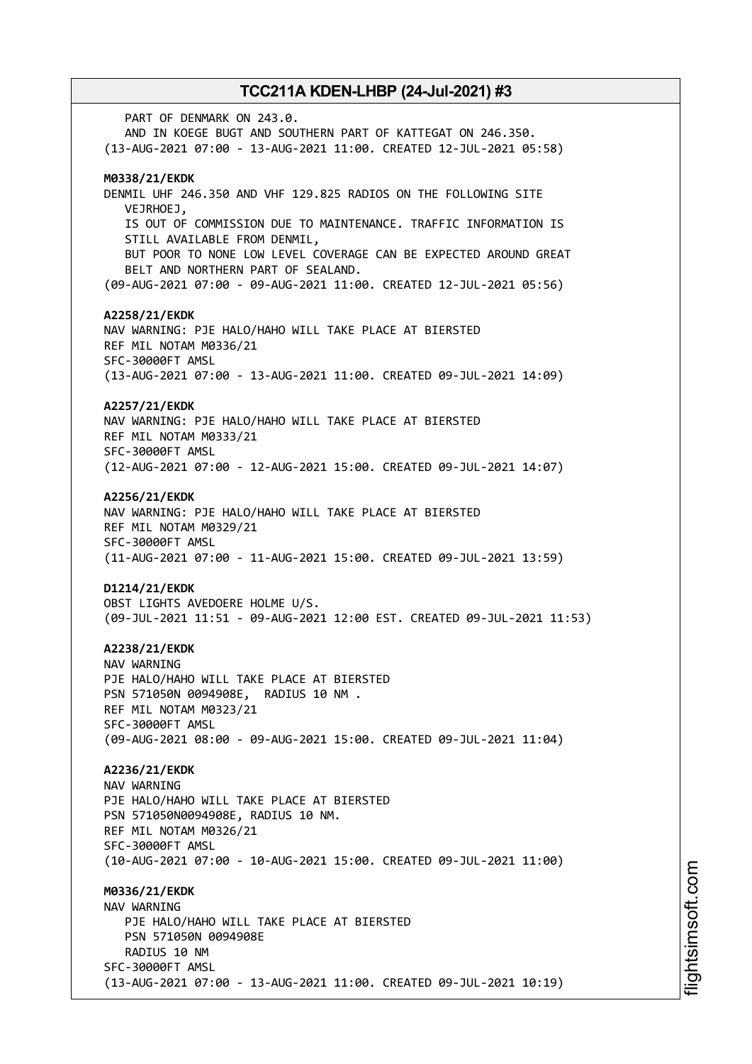PART OF DENMARK ON 243.0. AND IN KOEGE BUGT AND SOUTHERN PART OF KATTEGAT ON 246.350. (13-AUG-2021 07:00 - 13-AUG-2021 11:00. CREATED 12-JUL-2021 05:58) **M0338/21/EKDK** DENMIL UHF 246.350 AND VHF 129.825 RADIOS ON THE FOLLOWING SITE VEJRHOEJ, IS OUT OF COMMISSION DUE TO MAINTENANCE. TRAFFIC INFORMATION IS STILL AVAILABLE FROM DENMIL, BUT POOR TO NONE LOW LEVEL COVERAGE CAN BE EXPECTED AROUND GREAT BELT AND NORTHERN PART OF SEALAND. (09-AUG-2021 07:00 - 09-AUG-2021 11:00. CREATED 12-JUL-2021 05:56) **A2258/21/EKDK** NAV WARNING: PJE HALO/HAHO WILL TAKE PLACE AT BIERSTED REF MIL NOTAM M0336/21 SFC-30000FT AMSL (13-AUG-2021 07:00 - 13-AUG-2021 11:00. CREATED 09-JUL-2021 14:09) **A2257/21/EKDK** NAV WARNING: PJE HALO/HAHO WILL TAKE PLACE AT BIERSTED REF MIL NOTAM M0333/21 SFC-30000FT AMSL (12-AUG-2021 07:00 - 12-AUG-2021 15:00. CREATED 09-JUL-2021 14:07) **A2256/21/EKDK** NAV WARNING: PJE HALO/HAHO WILL TAKE PLACE AT BIERSTED REF MIL NOTAM M0329/21 SFC-30000FT AMSL (11-AUG-2021 07:00 - 11-AUG-2021 15:00. CREATED 09-JUL-2021 13:59) **D1214/21/EKDK** OBST LIGHTS AVEDOERE HOLME U/S. (09-JUL-2021 11:51 - 09-AUG-2021 12:00 EST. CREATED 09-JUL-2021 11:53) **A2238/21/EKDK** NAV WARNING PJE HALO/HAHO WILL TAKE PLACE AT BIERSTED PSN 571050N 0094908E, RADIUS 10 NM . REF MIL NOTAM M0323/21 SFC-30000FT AMSL (09-AUG-2021 08:00 - 09-AUG-2021 15:00. CREATED 09-JUL-2021 11:04) **A2236/21/EKDK** NAV WARNING PJE HALO/HAHO WILL TAKE PLACE AT BIERSTED PSN 571050N0094908E, RADIUS 10 NM. REF MIL NOTAM M0326/21 SFC-30000FT AMSL (10-AUG-2021 07:00 - 10-AUG-2021 15:00. CREATED 09-JUL-2021 11:00) **M0336/21/EKDK** NAV WARNING PJE HALO/HAHO WILL TAKE PLACE AT BIERSTED PSN 571050N 0094908E RADIUS 10 NM SFC-30000FT AMSL (13-AUG-2021 07:00 - 13-AUG-2021 11:00. CREATED 09-JUL-2021 10:19)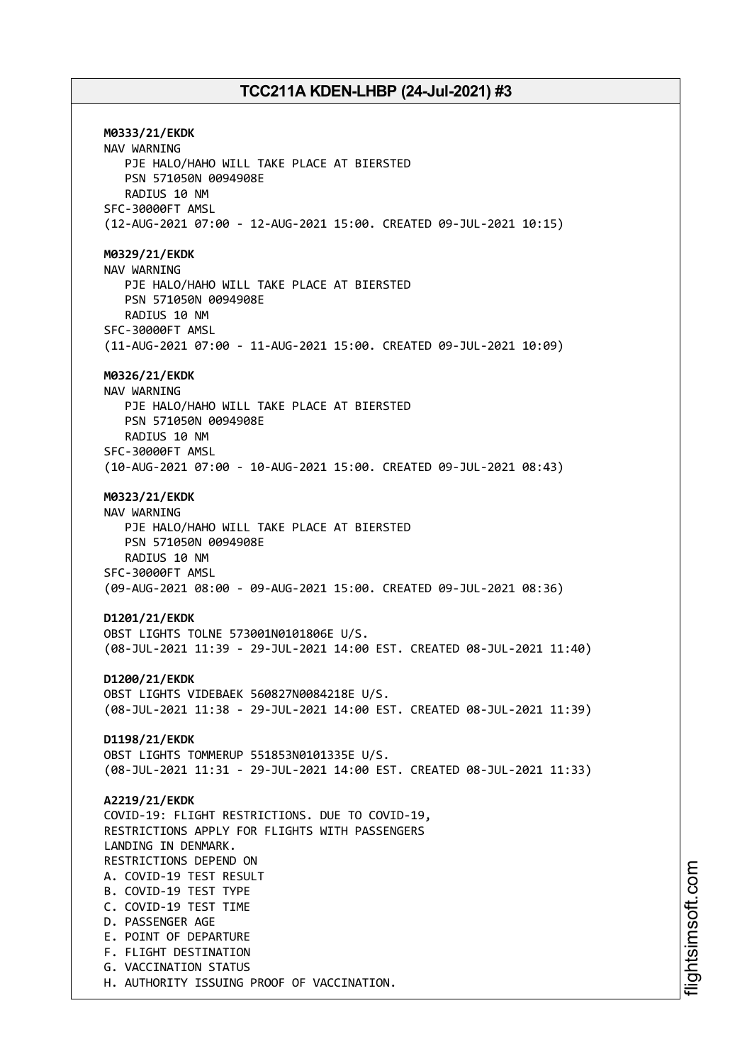**M0333/21/EKDK** NAV WARNING PJE HALO/HAHO WILL TAKE PLACE AT BIERSTED PSN 571050N 0094908E RADIUS 10 NM SFC-30000FT AMSL (12-AUG-2021 07:00 - 12-AUG-2021 15:00. CREATED 09-JUL-2021 10:15) **M0329/21/EKDK** NAV WARNING PJE HALO/HAHO WILL TAKE PLACE AT BIERSTED PSN 571050N 0094908E RADIUS 10 NM SFC-30000FT AMSL (11-AUG-2021 07:00 - 11-AUG-2021 15:00. CREATED 09-JUL-2021 10:09) **M0326/21/EKDK** NAV WARNING PJE HALO/HAHO WILL TAKE PLACE AT BIERSTED PSN 571050N 0094908E RADIUS 10 NM SFC-30000FT AMSL (10-AUG-2021 07:00 - 10-AUG-2021 15:00. CREATED 09-JUL-2021 08:43) **M0323/21/EKDK** NAV WARNING PJE HALO/HAHO WILL TAKE PLACE AT BIERSTED PSN 571050N 0094908E RADIUS 10 NM SFC-30000FT AMSL (09-AUG-2021 08:00 - 09-AUG-2021 15:00. CREATED 09-JUL-2021 08:36) **D1201/21/EKDK** OBST LIGHTS TOLNE 573001N0101806E U/S. (08-JUL-2021 11:39 - 29-JUL-2021 14:00 EST. CREATED 08-JUL-2021 11:40) **D1200/21/EKDK** OBST LIGHTS VIDEBAEK 560827N0084218E U/S. (08-JUL-2021 11:38 - 29-JUL-2021 14:00 EST. CREATED 08-JUL-2021 11:39) **D1198/21/EKDK** OBST LIGHTS TOMMERUP 551853N0101335E U/S. (08-JUL-2021 11:31 - 29-JUL-2021 14:00 EST. CREATED 08-JUL-2021 11:33) **A2219/21/EKDK** COVID-19: FLIGHT RESTRICTIONS. DUE TO COVID-19, RESTRICTIONS APPLY FOR FLIGHTS WITH PASSENGERS LANDING IN DENMARK. RESTRICTIONS DEPEND ON A. COVID-19 TEST RESULT B. COVID-19 TEST TYPE C. COVID-19 TEST TIME D. PASSENGER AGE E. POINT OF DEPARTURE F. FLIGHT DESTINATION G. VACCINATION STATUS H. AUTHORITY ISSUING PROOF OF VACCINATION.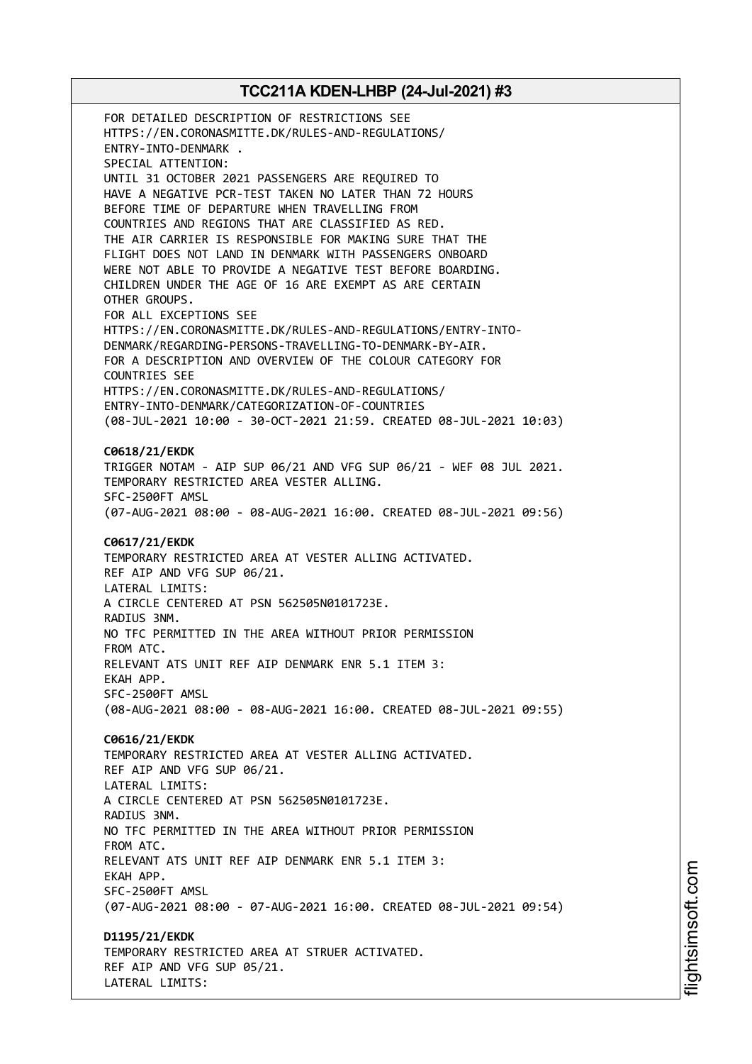FOR DETAILED DESCRIPTION OF RESTRICTIONS SEE HTTPS://EN.CORONASMITTE.DK/RULES-AND-REGULATIONS/ ENTRY-INTO-DENMARK . SPECIAL ATTENTION: UNTIL 31 OCTOBER 2021 PASSENGERS ARE REQUIRED TO HAVE A NEGATIVE PCR-TEST TAKEN NO LATER THAN 72 HOURS BEFORE TIME OF DEPARTURE WHEN TRAVELLING FROM COUNTRIES AND REGIONS THAT ARE CLASSIFIED AS RED. THE AIR CARRIER IS RESPONSIBLE FOR MAKING SURE THAT THE FLIGHT DOES NOT LAND IN DENMARK WITH PASSENGERS ONBOARD WERE NOT ABLE TO PROVIDE A NEGATIVE TEST BEFORE BOARDING. CHILDREN UNDER THE AGE OF 16 ARE EXEMPT AS ARE CERTAIN OTHER GROUPS. FOR ALL EXCEPTIONS SEE HTTPS://EN.CORONASMITTE.DK/RULES-AND-REGULATIONS/ENTRY-INTO-DENMARK/REGARDING-PERSONS-TRAVELLING-TO-DENMARK-BY-AIR. FOR A DESCRIPTION AND OVERVIEW OF THE COLOUR CATEGORY FOR COUNTRIES SEE HTTPS://EN.CORONASMITTE.DK/RULES-AND-REGULATIONS/ ENTRY-INTO-DENMARK/CATEGORIZATION-OF-COUNTRIES (08-JUL-2021 10:00 - 30-OCT-2021 21:59. CREATED 08-JUL-2021 10:03) **C0618/21/EKDK** TRIGGER NOTAM - AIP SUP 06/21 AND VFG SUP 06/21 - WEF 08 JUL 2021. TEMPORARY RESTRICTED AREA VESTER ALLING. SFC-2500FT AMSL (07-AUG-2021 08:00 - 08-AUG-2021 16:00. CREATED 08-JUL-2021 09:56) **C0617/21/EKDK** TEMPORARY RESTRICTED AREA AT VESTER ALLING ACTIVATED. REF AIP AND VFG SUP 06/21. LATERAL LIMITS: A CIRCLE CENTERED AT PSN 562505N0101723E. RADIUS 3NM. NO TFC PERMITTED IN THE AREA WITHOUT PRIOR PERMISSION FROM ATC. RELEVANT ATS UNIT REF AIP DENMARK ENR 5.1 ITEM 3: EKAH APP. SFC-2500FT AMSL (08-AUG-2021 08:00 - 08-AUG-2021 16:00. CREATED 08-JUL-2021 09:55) **C0616/21/EKDK** TEMPORARY RESTRICTED AREA AT VESTER ALLING ACTIVATED. REF AIP AND VFG SUP 06/21. LATERAL LIMITS: A CIRCLE CENTERED AT PSN 562505N0101723E. RADIUS 3NM. NO TFC PERMITTED IN THE AREA WITHOUT PRIOR PERMISSION FROM ATC. RELEVANT ATS UNIT REF AIP DENMARK ENR 5.1 ITEM 3: EKAH APP. SFC-2500FT AMSL (07-AUG-2021 08:00 - 07-AUG-2021 16:00. CREATED 08-JUL-2021 09:54) **D1195/21/EKDK** TEMPORARY RESTRICTED AREA AT STRUER ACTIVATED. REF AIP AND VFG SUP 05/21.

LATERAL LIMITS: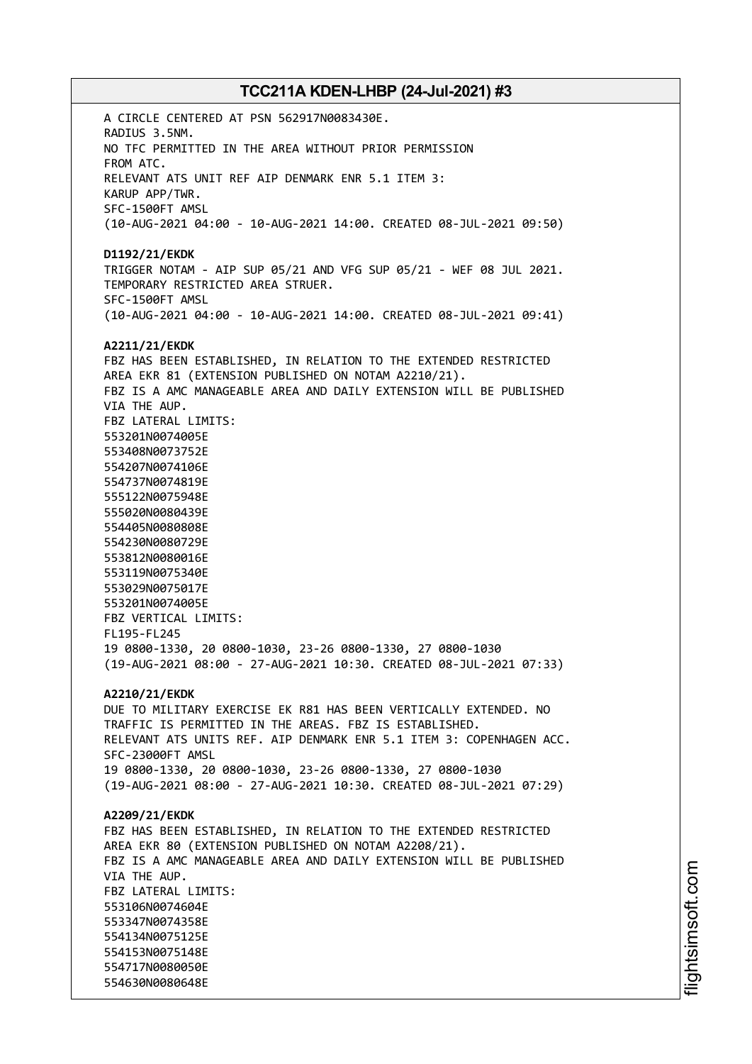A CIRCLE CENTERED AT PSN 562917N0083430E. RADIUS 3.5NM. NO TFC PERMITTED IN THE AREA WITHOUT PRIOR PERMISSION FROM ATC. RELEVANT ATS UNIT REF AIP DENMARK ENR 5.1 ITEM 3: KARUP APP/TWR. SFC-1500FT AMSL (10-AUG-2021 04:00 - 10-AUG-2021 14:00. CREATED 08-JUL-2021 09:50) **D1192/21/EKDK** TRIGGER NOTAM - AIP SUP 05/21 AND VFG SUP 05/21 - WEF 08 JUL 2021. TEMPORARY RESTRICTED AREA STRUER. SFC-1500FT AMSL (10-AUG-2021 04:00 - 10-AUG-2021 14:00. CREATED 08-JUL-2021 09:41) **A2211/21/EKDK** FBZ HAS BEEN ESTABLISHED, IN RELATION TO THE EXTENDED RESTRICTED AREA EKR 81 (EXTENSION PUBLISHED ON NOTAM A2210/21). FBZ IS A AMC MANAGEABLE AREA AND DAILY EXTENSION WILL BE PUBLISHED VIA THE AUP. FBZ LATERAL LIMITS: 553201N0074005E 553408N0073752E 554207N0074106E 554737N0074819E 555122N0075948E 555020N0080439E 554405N0080808E 554230N0080729E 553812N0080016E 553119N0075340E 553029N0075017E 553201N0074005E FBZ VERTICAL LIMITS: FL195-FL245 19 0800-1330, 20 0800-1030, 23-26 0800-1330, 27 0800-1030 (19-AUG-2021 08:00 - 27-AUG-2021 10:30. CREATED 08-JUL-2021 07:33) **A2210/21/EKDK** DUE TO MILITARY EXERCISE EK R81 HAS BEEN VERTICALLY EXTENDED. NO TRAFFIC IS PERMITTED IN THE AREAS. FBZ IS ESTABLISHED. RELEVANT ATS UNITS REF. AIP DENMARK ENR 5.1 ITEM 3: COPENHAGEN ACC. SFC-23000FT AMSL 19 0800-1330, 20 0800-1030, 23-26 0800-1330, 27 0800-1030 (19-AUG-2021 08:00 - 27-AUG-2021 10:30. CREATED 08-JUL-2021 07:29) **A2209/21/EKDK** FBZ HAS BEEN ESTABLISHED, IN RELATION TO THE EXTENDED RESTRICTED AREA EKR 80 (EXTENSION PUBLISHED ON NOTAM A2208/21). FBZ IS A AMC MANAGEABLE AREA AND DAILY EXTENSION WILL BE PUBLISHED VIA THE AUP. FBZ LATERAL LIMITS: 553106N0074604E 553347N0074358E 554134N0075125E 554153N0075148E 554717N0080050E 554630N0080648E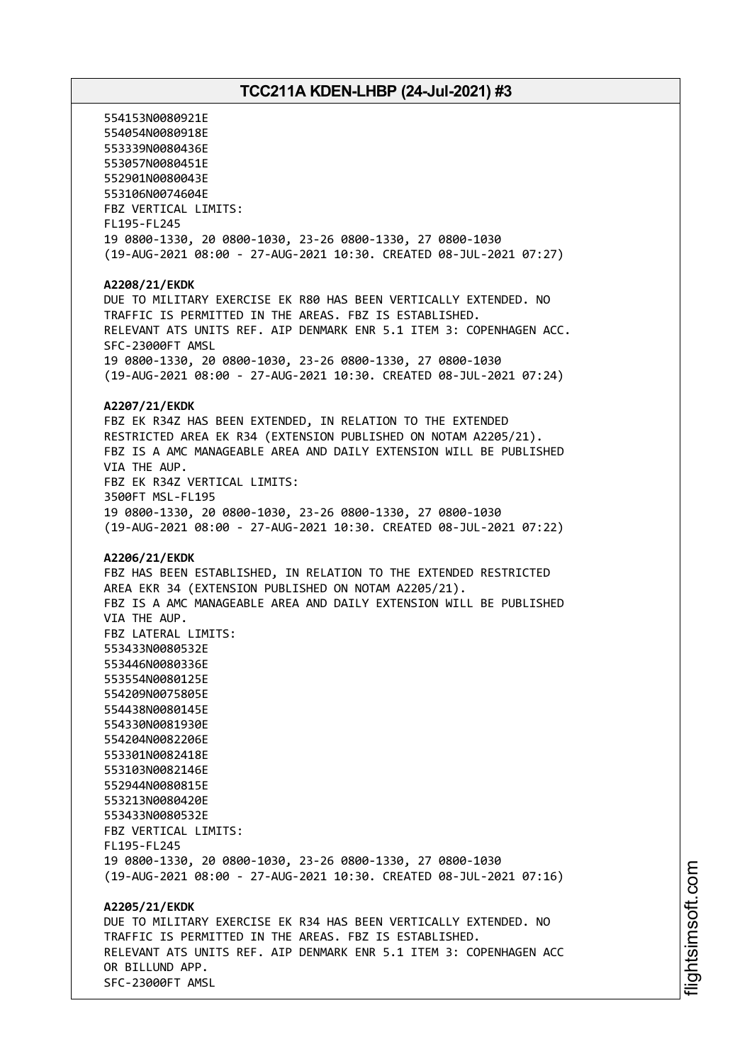554153N0080921E 554054N0080918E 553339N0080436E 553057N0080451E 552901N0080043E 553106N0074604E FBZ VERTICAL LIMITS: FL195-FL245 19 0800-1330, 20 0800-1030, 23-26 0800-1330, 27 0800-1030 (19-AUG-2021 08:00 - 27-AUG-2021 10:30. CREATED 08-JUL-2021 07:27) **A2208/21/EKDK** DUE TO MILITARY EXERCISE EK R80 HAS BEEN VERTICALLY EXTENDED. NO TRAFFIC IS PERMITTED IN THE AREAS. FBZ IS ESTABLISHED. RELEVANT ATS UNITS REF. AIP DENMARK ENR 5.1 ITEM 3: COPENHAGEN ACC. SFC-23000FT AMSL 19 0800-1330, 20 0800-1030, 23-26 0800-1330, 27 0800-1030 (19-AUG-2021 08:00 - 27-AUG-2021 10:30. CREATED 08-JUL-2021 07:24) **A2207/21/EKDK** FBZ EK R34Z HAS BEEN EXTENDED, IN RELATION TO THE EXTENDED RESTRICTED AREA EK R34 (EXTENSION PUBLISHED ON NOTAM A2205/21). FBZ IS A AMC MANAGEABLE AREA AND DAILY EXTENSION WILL BE PUBLISHED VIA THE AUP. FBZ EK R34Z VERTICAL LIMITS: 3500FT MSL-FL195 19 0800-1330, 20 0800-1030, 23-26 0800-1330, 27 0800-1030 (19-AUG-2021 08:00 - 27-AUG-2021 10:30. CREATED 08-JUL-2021 07:22) **A2206/21/EKDK** FBZ HAS BEEN ESTABLISHED, IN RELATION TO THE EXTENDED RESTRICTED AREA EKR 34 (EXTENSION PUBLISHED ON NOTAM A2205/21). FBZ IS A AMC MANAGEABLE AREA AND DAILY EXTENSION WILL BE PUBLISHED VIA THE AUP. FBZ LATERAL LIMITS: 553433N0080532E 553446N0080336E 553554N0080125E 554209N0075805E 554438N0080145E 554330N0081930E 554204N0082206E 553301N0082418E 553103N0082146E 552944N0080815E 553213N0080420E 553433N0080532E FBZ VERTICAL LIMITS: FL195-FL245 19 0800-1330, 20 0800-1030, 23-26 0800-1330, 27 0800-1030 (19-AUG-2021 08:00 - 27-AUG-2021 10:30. CREATED 08-JUL-2021 07:16) **A2205/21/EKDK** DUE TO MILITARY EXERCISE EK R34 HAS BEEN VERTICALLY EXTENDED. NO TRAFFIC IS PERMITTED IN THE AREAS. FBZ IS ESTABLISHED. RELEVANT ATS UNITS REF. AIP DENMARK ENR 5.1 ITEM 3: COPENHAGEN ACC OR BILLUND APP. SFC-23000FT AMSL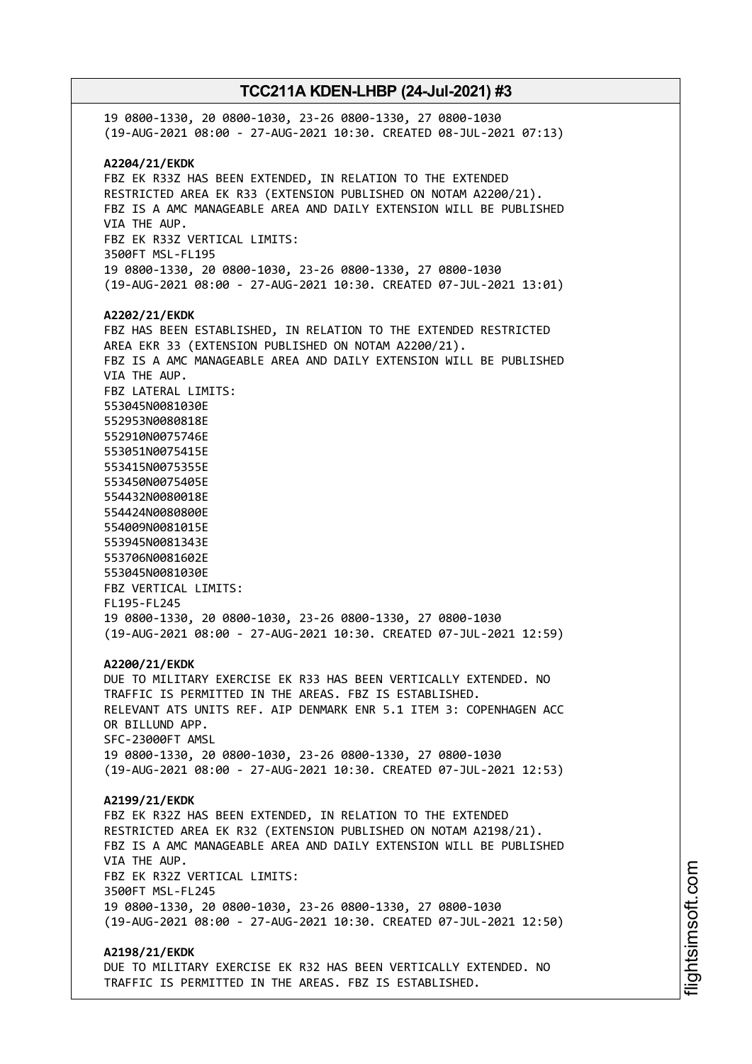19 0800-1330, 20 0800-1030, 23-26 0800-1330, 27 0800-1030 (19-AUG-2021 08:00 - 27-AUG-2021 10:30. CREATED 08-JUL-2021 07:13) **A2204/21/EKDK** FBZ EK R33Z HAS BEEN EXTENDED, IN RELATION TO THE EXTENDED RESTRICTED AREA EK R33 (EXTENSION PUBLISHED ON NOTAM A2200/21). FBZ IS A AMC MANAGEABLE AREA AND DAILY EXTENSION WILL BE PUBLISHED VIA THE AUP. FBZ EK R33Z VERTICAL LIMITS: 3500FT MSL-FL195 19 0800-1330, 20 0800-1030, 23-26 0800-1330, 27 0800-1030 (19-AUG-2021 08:00 - 27-AUG-2021 10:30. CREATED 07-JUL-2021 13:01) **A2202/21/EKDK** FBZ HAS BEEN ESTABLISHED, IN RELATION TO THE EXTENDED RESTRICTED AREA EKR 33 (EXTENSION PUBLISHED ON NOTAM A2200/21). FBZ IS A AMC MANAGEABLE AREA AND DAILY EXTENSION WILL BE PUBLISHED VIA THE AUP. FBZ LATERAL LIMITS: 553045N0081030E 552953N0080818E 552910N0075746E 553051N0075415E 553415N0075355E 553450N0075405E 554432N0080018E 554424N0080800E 554009N0081015E 553945N0081343E 553706N0081602E 553045N0081030E FBZ VERTICAL LIMITS: FL195-FL245 19 0800-1330, 20 0800-1030, 23-26 0800-1330, 27 0800-1030 (19-AUG-2021 08:00 - 27-AUG-2021 10:30. CREATED 07-JUL-2021 12:59) **A2200/21/EKDK** DUE TO MILITARY EXERCISE EK R33 HAS BEEN VERTICALLY EXTENDED. NO TRAFFIC IS PERMITTED IN THE AREAS. FBZ IS ESTABLISHED. RELEVANT ATS UNITS REF. AIP DENMARK ENR 5.1 ITEM 3: COPENHAGEN ACC OR BILLUND APP. SFC-23000FT AMSL 19 0800-1330, 20 0800-1030, 23-26 0800-1330, 27 0800-1030 (19-AUG-2021 08:00 - 27-AUG-2021 10:30. CREATED 07-JUL-2021 12:53) **A2199/21/EKDK** FBZ EK R32Z HAS BEEN EXTENDED, IN RELATION TO THE EXTENDED RESTRICTED AREA EK R32 (EXTENSION PUBLISHED ON NOTAM A2198/21). FBZ IS A AMC MANAGEABLE AREA AND DAILY EXTENSION WILL BE PUBLISHED VIA THE AUP. FBZ EK R32Z VERTICAL LIMITS: 3500FT MSL-FL245 19 0800-1330, 20 0800-1030, 23-26 0800-1330, 27 0800-1030 (19-AUG-2021 08:00 - 27-AUG-2021 10:30. CREATED 07-JUL-2021 12:50) **A2198/21/EKDK** DUE TO MILITARY EXERCISE EK R32 HAS BEEN VERTICALLY EXTENDED. NO TRAFFIC IS PERMITTED IN THE AREAS. FBZ IS ESTABLISHED.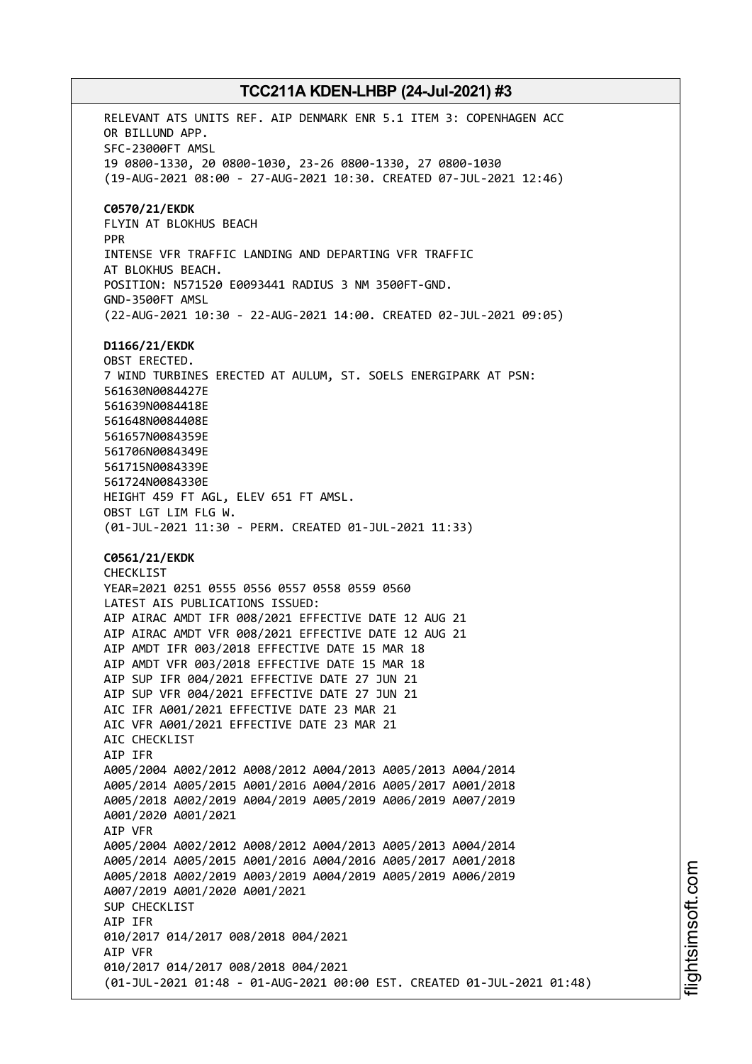RELEVANT ATS UNITS REF. AIP DENMARK ENR 5.1 ITEM 3: COPENHAGEN ACC OR BILLUND APP. SFC-23000FT AMSL 19 0800-1330, 20 0800-1030, 23-26 0800-1330, 27 0800-1030 (19-AUG-2021 08:00 - 27-AUG-2021 10:30. CREATED 07-JUL-2021 12:46) **C0570/21/EKDK** FLYIN AT BLOKHUS BEACH PPR INTENSE VFR TRAFFIC LANDING AND DEPARTING VFR TRAFFIC AT BLOKHUS BEACH. POSITION: N571520 E0093441 RADIUS 3 NM 3500FT-GND. GND-3500FT AMSL (22-AUG-2021 10:30 - 22-AUG-2021 14:00. CREATED 02-JUL-2021 09:05) **D1166/21/EKDK** OBST ERECTED. 7 WIND TURBINES ERECTED AT AULUM, ST. SOELS ENERGIPARK AT PSN: 561630N0084427E 561639N0084418E 561648N0084408E 561657N0084359E 561706N0084349E 561715N0084339E 561724N0084330E HEIGHT 459 FT AGL, ELEV 651 FT AMSL. OBST LGT LIM FLG W. (01-JUL-2021 11:30 - PERM. CREATED 01-JUL-2021 11:33) **C0561/21/EKDK** CHECKLIST YEAR=2021 0251 0555 0556 0557 0558 0559 0560 LATEST AIS PUBLICATIONS ISSUED: AIP AIRAC AMDT IFR 008/2021 EFFECTIVE DATE 12 AUG 21 AIP AIRAC AMDT VFR 008/2021 EFFECTIVE DATE 12 AUG 21 AIP AMDT IFR 003/2018 EFFECTIVE DATE 15 MAR 18 AIP AMDT VFR 003/2018 EFFECTIVE DATE 15 MAR 18 AIP SUP IFR 004/2021 EFFECTIVE DATE 27 JUN 21 AIP SUP VFR 004/2021 EFFECTIVE DATE 27 JUN 21 AIC IFR A001/2021 EFFECTIVE DATE 23 MAR 21 AIC VFR A001/2021 EFFECTIVE DATE 23 MAR 21 AIC CHECKLIST AIP IFR A005/2004 A002/2012 A008/2012 A004/2013 A005/2013 A004/2014 A005/2014 A005/2015 A001/2016 A004/2016 A005/2017 A001/2018 A005/2018 A002/2019 A004/2019 A005/2019 A006/2019 A007/2019 A001/2020 A001/2021 AIP VFR A005/2004 A002/2012 A008/2012 A004/2013 A005/2013 A004/2014 A005/2014 A005/2015 A001/2016 A004/2016 A005/2017 A001/2018 A005/2018 A002/2019 A003/2019 A004/2019 A005/2019 A006/2019 A007/2019 A001/2020 A001/2021 SUP CHECKLIST AIP IFR 010/2017 014/2017 008/2018 004/2021 AIP VFR 010/2017 014/2017 008/2018 004/2021 (01-JUL-2021 01:48 - 01-AUG-2021 00:00 EST. CREATED 01-JUL-2021 01:48)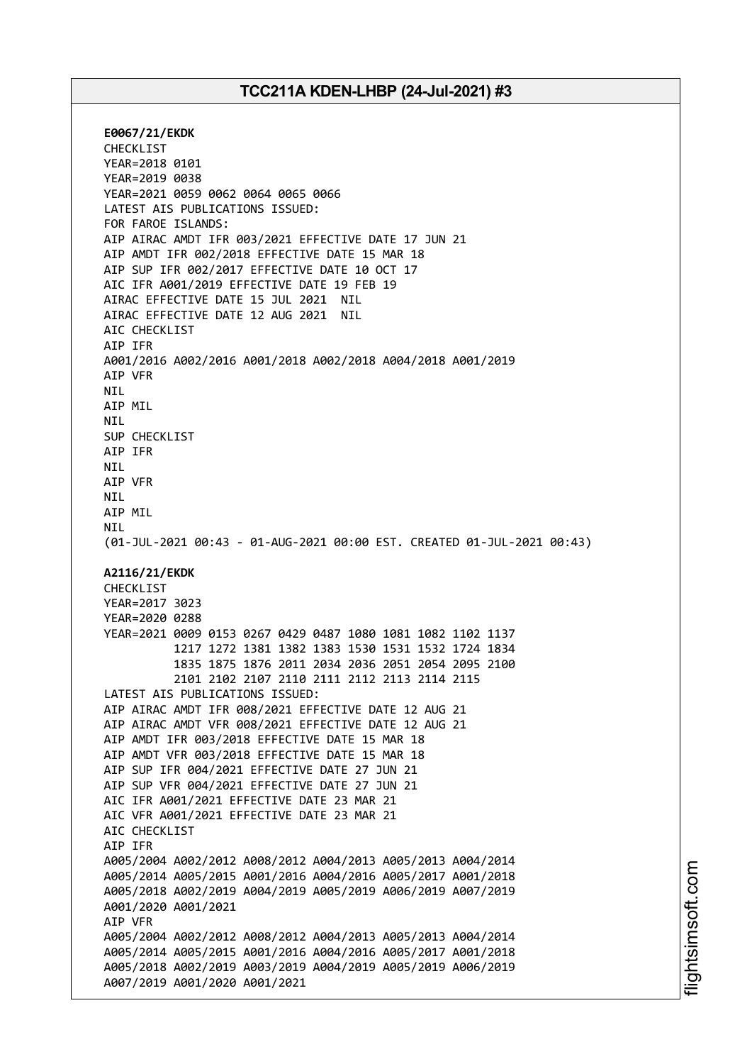**E0067/21/EKDK** CHECKLIST YEAR=2018 0101 YEAR=2019 0038 YEAR=2021 0059 0062 0064 0065 0066 LATEST AIS PUBLICATIONS ISSUED: FOR FAROE ISLANDS: AIP AIRAC AMDT IFR 003/2021 EFFECTIVE DATE 17 JUN 21 AIP AMDT IFR 002/2018 EFFECTIVE DATE 15 MAR 18 AIP SUP IFR 002/2017 EFFECTIVE DATE 10 OCT 17 AIC IFR A001/2019 EFFECTIVE DATE 19 FEB 19 AIRAC EFFECTIVE DATE 15 JUL 2021 NIL AIRAC EFFECTIVE DATE 12 AUG 2021 NIL AIC CHECKLIST AIP IFR A001/2016 A002/2016 A001/2018 A002/2018 A004/2018 A001/2019 AIP VFR NIL AIP MIL NIL SUP CHECKLIST AIP IFR NIL AIP VFR NIL AIP MIL NIL (01-JUL-2021 00:43 - 01-AUG-2021 00:00 EST. CREATED 01-JUL-2021 00:43) **A2116/21/EKDK** CHECKLIST YEAR=2017 3023 YEAR=2020 0288 YEAR=2021 0009 0153 0267 0429 0487 1080 1081 1082 1102 1137 1217 1272 1381 1382 1383 1530 1531 1532 1724 1834 1835 1875 1876 2011 2034 2036 2051 2054 2095 2100 2101 2102 2107 2110 2111 2112 2113 2114 2115 LATEST AIS PUBLICATIONS ISSUED: AIP AIRAC AMDT IFR 008/2021 EFFECTIVE DATE 12 AUG 21 AIP AIRAC AMDT VFR 008/2021 EFFECTIVE DATE 12 AUG 21 AIP AMDT IFR 003/2018 EFFECTIVE DATE 15 MAR 18 AIP AMDT VFR 003/2018 EFFECTIVE DATE 15 MAR 18 AIP SUP IFR 004/2021 EFFECTIVE DATE 27 JUN 21 AIP SUP VFR 004/2021 EFFECTIVE DATE 27 JUN 21 AIC IFR A001/2021 EFFECTIVE DATE 23 MAR 21 AIC VFR A001/2021 EFFECTIVE DATE 23 MAR 21 AIC CHECKLIST AIP IFR A005/2004 A002/2012 A008/2012 A004/2013 A005/2013 A004/2014 A005/2014 A005/2015 A001/2016 A004/2016 A005/2017 A001/2018 A005/2018 A002/2019 A004/2019 A005/2019 A006/2019 A007/2019 A001/2020 A001/2021 AIP VFR A005/2004 A002/2012 A008/2012 A004/2013 A005/2013 A004/2014 A005/2014 A005/2015 A001/2016 A004/2016 A005/2017 A001/2018 A005/2018 A002/2019 A003/2019 A004/2019 A005/2019 A006/2019 A007/2019 A001/2020 A001/2021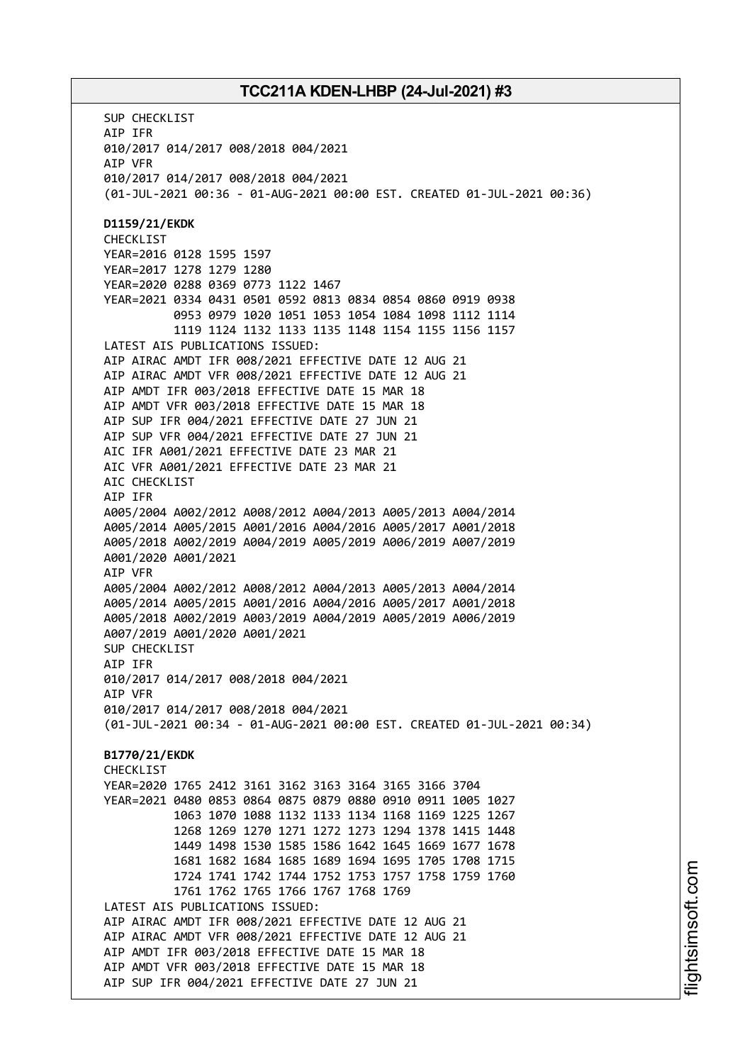SUP CHECKLIST AIP IFR 010/2017 014/2017 008/2018 004/2021 AIP VFR 010/2017 014/2017 008/2018 004/2021 (01-JUL-2021 00:36 - 01-AUG-2021 00:00 EST. CREATED 01-JUL-2021 00:36) **D1159/21/EKDK** CHECKLIST YEAR=2016 0128 1595 1597 YEAR=2017 1278 1279 1280 YEAR=2020 0288 0369 0773 1122 1467 YEAR=2021 0334 0431 0501 0592 0813 0834 0854 0860 0919 0938 0953 0979 1020 1051 1053 1054 1084 1098 1112 1114 1119 1124 1132 1133 1135 1148 1154 1155 1156 1157 LATEST AIS PUBLICATIONS ISSUED: AIP AIRAC AMDT IFR 008/2021 EFFECTIVE DATE 12 AUG 21 AIP AIRAC AMDT VFR 008/2021 EFFECTIVE DATE 12 AUG 21 AIP AMDT IFR 003/2018 EFFECTIVE DATE 15 MAR 18 AIP AMDT VFR 003/2018 EFFECTIVE DATE 15 MAR 18 AIP SUP IFR 004/2021 EFFECTIVE DATE 27 JUN 21 AIP SUP VFR 004/2021 EFFECTIVE DATE 27 JUN 21 AIC IFR A001/2021 EFFECTIVE DATE 23 MAR 21 AIC VFR A001/2021 EFFECTIVE DATE 23 MAR 21 AIC CHECKLIST AIP IFR A005/2004 A002/2012 A008/2012 A004/2013 A005/2013 A004/2014 A005/2014 A005/2015 A001/2016 A004/2016 A005/2017 A001/2018 A005/2018 A002/2019 A004/2019 A005/2019 A006/2019 A007/2019 A001/2020 A001/2021 AIP VFR A005/2004 A002/2012 A008/2012 A004/2013 A005/2013 A004/2014 A005/2014 A005/2015 A001/2016 A004/2016 A005/2017 A001/2018 A005/2018 A002/2019 A003/2019 A004/2019 A005/2019 A006/2019 A007/2019 A001/2020 A001/2021 SUP CHECKLIST AIP IFR 010/2017 014/2017 008/2018 004/2021 AIP VFR 010/2017 014/2017 008/2018 004/2021 (01-JUL-2021 00:34 - 01-AUG-2021 00:00 EST. CREATED 01-JUL-2021 00:34) **B1770/21/EKDK CHECKLIST** YEAR=2020 1765 2412 3161 3162 3163 3164 3165 3166 3704 YEAR=2021 0480 0853 0864 0875 0879 0880 0910 0911 1005 1027 1063 1070 1088 1132 1133 1134 1168 1169 1225 1267 1268 1269 1270 1271 1272 1273 1294 1378 1415 1448 1449 1498 1530 1585 1586 1642 1645 1669 1677 1678 1681 1682 1684 1685 1689 1694 1695 1705 1708 1715 1724 1741 1742 1744 1752 1753 1757 1758 1759 1760 1761 1762 1765 1766 1767 1768 1769 LATEST AIS PUBLICATIONS ISSUED: AIP AIRAC AMDT IFR 008/2021 EFFECTIVE DATE 12 AUG 21 AIP AIRAC AMDT VFR 008/2021 EFFECTIVE DATE 12 AUG 21 AIP AMDT IFR 003/2018 EFFECTIVE DATE 15 MAR 18 AIP AMDT VFR 003/2018 EFFECTIVE DATE 15 MAR 18 AIP SUP IFR 004/2021 EFFECTIVE DATE 27 JUN 21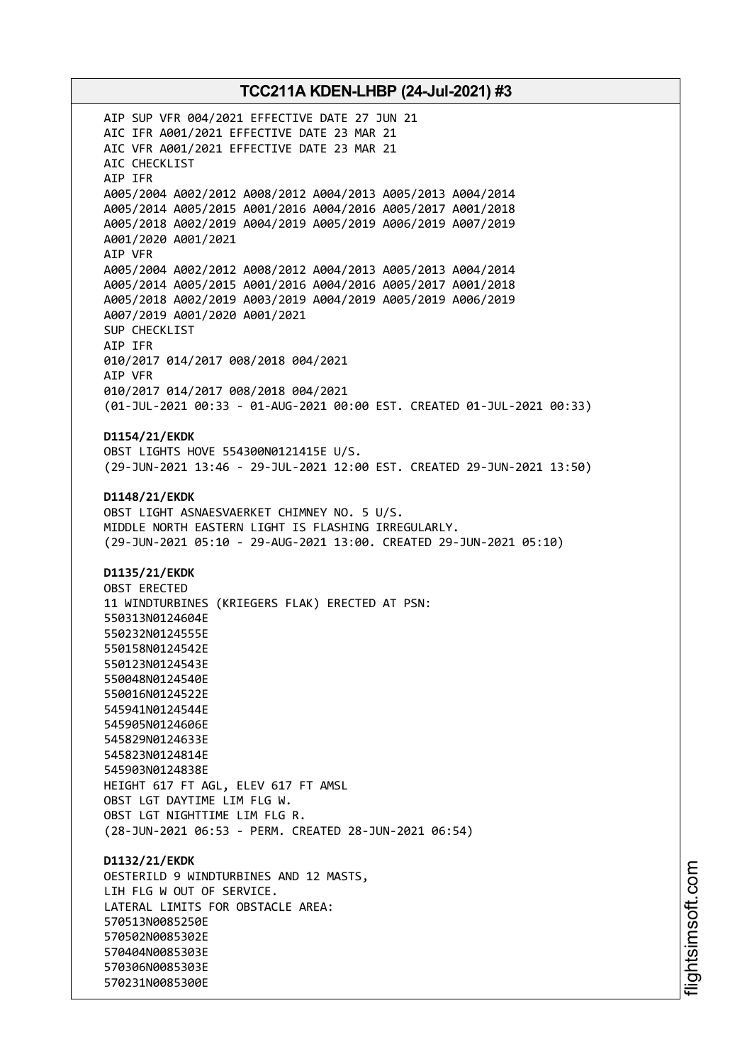AIP SUP VFR 004/2021 EFFECTIVE DATE 27 JUN 21 AIC IFR A001/2021 EFFECTIVE DATE 23 MAR 21 AIC VFR A001/2021 EFFECTIVE DATE 23 MAR 21 AIC CHECKLIST AIP IFR A005/2004 A002/2012 A008/2012 A004/2013 A005/2013 A004/2014 A005/2014 A005/2015 A001/2016 A004/2016 A005/2017 A001/2018 A005/2018 A002/2019 A004/2019 A005/2019 A006/2019 A007/2019 A001/2020 A001/2021 AIP VFR A005/2004 A002/2012 A008/2012 A004/2013 A005/2013 A004/2014 A005/2014 A005/2015 A001/2016 A004/2016 A005/2017 A001/2018 A005/2018 A002/2019 A003/2019 A004/2019 A005/2019 A006/2019 A007/2019 A001/2020 A001/2021 SUP CHECKLIST AIP IFR 010/2017 014/2017 008/2018 004/2021 AIP VFR 010/2017 014/2017 008/2018 004/2021 (01-JUL-2021 00:33 - 01-AUG-2021 00:00 EST. CREATED 01-JUL-2021 00:33) **D1154/21/EKDK** OBST LIGHTS HOVE 554300N0121415E U/S. (29-JUN-2021 13:46 - 29-JUL-2021 12:00 EST. CREATED 29-JUN-2021 13:50) **D1148/21/EKDK** OBST LIGHT ASNAESVAERKET CHIMNEY NO. 5 U/S. MIDDLE NORTH EASTERN LIGHT IS FLASHING IRREGULARLY. (29-JUN-2021 05:10 - 29-AUG-2021 13:00. CREATED 29-JUN-2021 05:10) **D1135/21/EKDK** OBST ERECTED 11 WINDTURBINES (KRIEGERS FLAK) ERECTED AT PSN: 550313N0124604E 550232N0124555E 550158N0124542E 550123N0124543E 550048N0124540E 550016N0124522E 545941N0124544E 545905N0124606E 545829N0124633E 545823N0124814E 545903N0124838E HEIGHT 617 FT AGL, ELEV 617 FT AMSL OBST LGT DAYTIME LIM FLG W. OBST LGT NIGHTTIME LIM FLG R. (28-JUN-2021 06:53 - PERM. CREATED 28-JUN-2021 06:54) **D1132/21/EKDK** OESTERILD 9 WINDTURBINES AND 12 MASTS, LIH FLG W OUT OF SERVICE. LATERAL LIMITS FOR OBSTACLE AREA: 570513N0085250E 570502N0085302E 570404N0085303E 570306N0085303E 570231N0085300E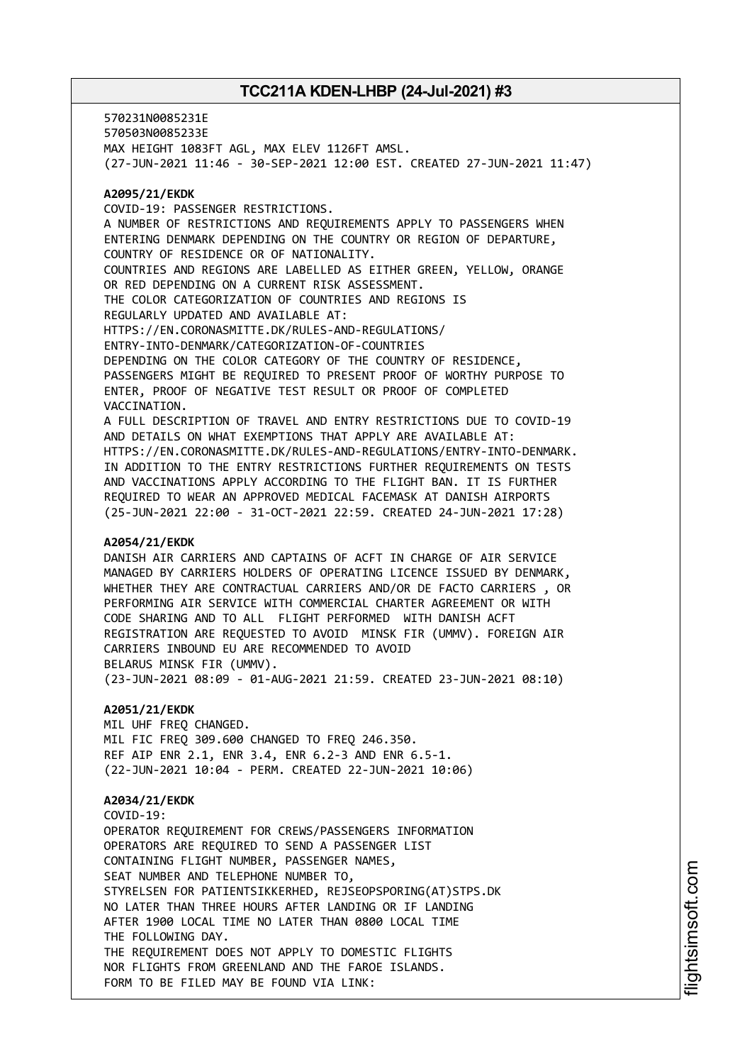570231N0085231E 570503N0085233E MAX HEIGHT 1083FT AGL, MAX ELEV 1126FT AMSL. (27-JUN-2021 11:46 - 30-SEP-2021 12:00 EST. CREATED 27-JUN-2021 11:47)

#### **A2095/21/EKDK**

COVID-19: PASSENGER RESTRICTIONS. A NUMBER OF RESTRICTIONS AND REQUIREMENTS APPLY TO PASSENGERS WHEN ENTERING DENMARK DEPENDING ON THE COUNTRY OR REGION OF DEPARTURE, COUNTRY OF RESIDENCE OR OF NATIONALITY. COUNTRIES AND REGIONS ARE LABELLED AS EITHER GREEN, YELLOW, ORANGE OR RED DEPENDING ON A CURRENT RISK ASSESSMENT. THE COLOR CATEGORIZATION OF COUNTRIES AND REGIONS IS REGULARLY UPDATED AND AVAILABLE AT: HTTPS://EN.CORONASMITTE.DK/RULES-AND-REGULATIONS/ ENTRY-INTO-DENMARK/CATEGORIZATION-OF-COUNTRIES DEPENDING ON THE COLOR CATEGORY OF THE COUNTRY OF RESIDENCE, PASSENGERS MIGHT BE REQUIRED TO PRESENT PROOF OF WORTHY PURPOSE TO ENTER, PROOF OF NEGATIVE TEST RESULT OR PROOF OF COMPLETED VACCINATION. A FULL DESCRIPTION OF TRAVEL AND ENTRY RESTRICTIONS DUE TO COVID-19 AND DETAILS ON WHAT EXEMPTIONS THAT APPLY ARE AVAILABLE AT: HTTPS://EN.CORONASMITTE.DK/RULES-AND-REGULATIONS/ENTRY-INTO-DENMARK.

IN ADDITION TO THE ENTRY RESTRICTIONS FURTHER REQUIREMENTS ON TESTS AND VACCINATIONS APPLY ACCORDING TO THE FLIGHT BAN. IT IS FURTHER REQUIRED TO WEAR AN APPROVED MEDICAL FACEMASK AT DANISH AIRPORTS (25-JUN-2021 22:00 - 31-OCT-2021 22:59. CREATED 24-JUN-2021 17:28)

#### **A2054/21/EKDK**

DANISH AIR CARRIERS AND CAPTAINS OF ACFT IN CHARGE OF AIR SERVICE MANAGED BY CARRIERS HOLDERS OF OPERATING LICENCE ISSUED BY DENMARK, WHETHER THEY ARE CONTRACTUAL CARRIERS AND/OR DE FACTO CARRIERS , OR PERFORMING AIR SERVICE WITH COMMERCIAL CHARTER AGREEMENT OR WITH CODE SHARING AND TO ALL FLIGHT PERFORMED WITH DANISH ACFT REGISTRATION ARE REQUESTED TO AVOID MINSK FIR (UMMV). FOREIGN AIR CARRIERS INBOUND EU ARE RECOMMENDED TO AVOID BELARUS MINSK FIR (UMMV). (23-JUN-2021 08:09 - 01-AUG-2021 21:59. CREATED 23-JUN-2021 08:10)

#### **A2051/21/EKDK**

MIL UHF FREQ CHANGED. MIL FIC FREQ 309.600 CHANGED TO FREQ 246.350. REF AIP ENR 2.1, ENR 3.4, ENR 6.2-3 AND ENR 6.5-1. (22-JUN-2021 10:04 - PERM. CREATED 22-JUN-2021 10:06)

### **A2034/21/EKDK**

COVID-19: OPERATOR REQUIREMENT FOR CREWS/PASSENGERS INFORMATION OPERATORS ARE REQUIRED TO SEND A PASSENGER LIST CONTAINING FLIGHT NUMBER, PASSENGER NAMES, SEAT NUMBER AND TELEPHONE NUMBER TO, STYRELSEN FOR PATIENTSIKKERHED, REJSEOPSPORING(AT)STPS.DK NO LATER THAN THREE HOURS AFTER LANDING OR IF LANDING AFTER 1900 LOCAL TIME NO LATER THAN 0800 LOCAL TIME THE FOLLOWING DAY. THE REQUIREMENT DOES NOT APPLY TO DOMESTIC FLIGHTS NOR FLIGHTS FROM GREENLAND AND THE FAROE ISLANDS. FORM TO BE FILED MAY BE FOUND VIA LINK: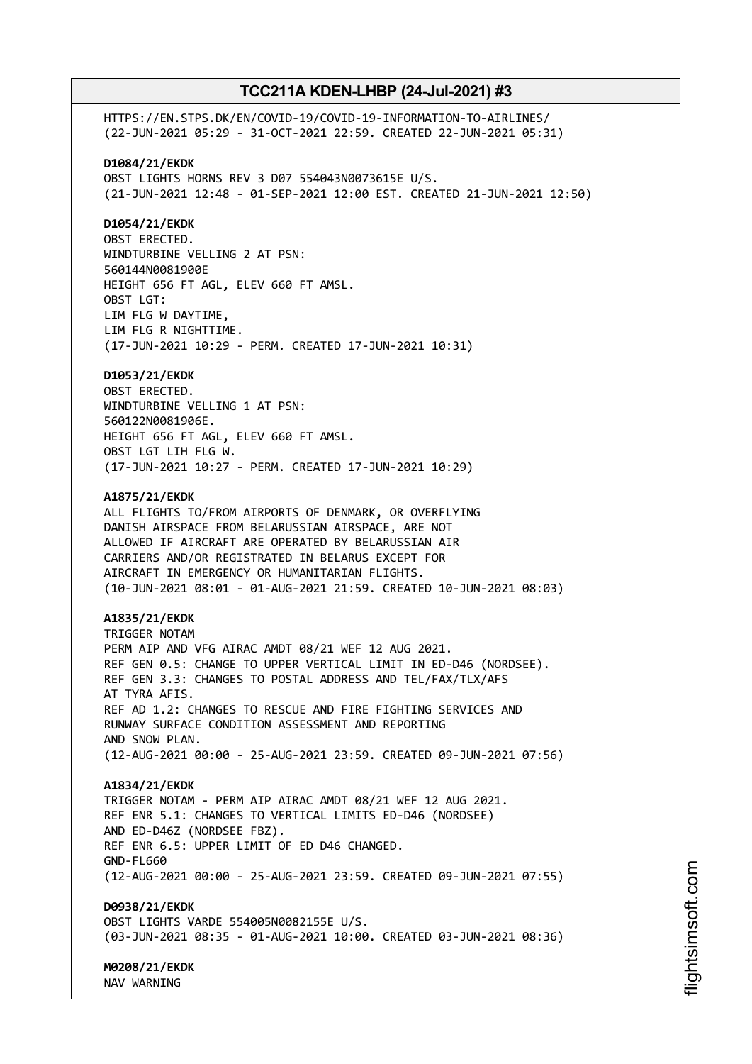HTTPS://EN.STPS.DK/EN/COVID-19/COVID-19-INFORMATION-TO-AIRLINES/ (22-JUN-2021 05:29 - 31-OCT-2021 22:59. CREATED 22-JUN-2021 05:31) **D1084/21/EKDK** OBST LIGHTS HORNS REV 3 D07 554043N0073615E U/S. (21-JUN-2021 12:48 - 01-SEP-2021 12:00 EST. CREATED 21-JUN-2021 12:50) **D1054/21/EKDK** OBST ERECTED. WINDTURBINE VELLING 2 AT PSN: 560144N0081900E HEIGHT 656 FT AGL, ELEV 660 FT AMSL. OBST LGT: LIM FLG W DAYTIME, LIM FLG R NIGHTTIME. (17-JUN-2021 10:29 - PERM. CREATED 17-JUN-2021 10:31) **D1053/21/EKDK** OBST ERECTED. WINDTURBINE VELLING 1 AT PSN: 560122N0081906E. HEIGHT 656 FT AGL, ELEV 660 FT AMSL. OBST LGT LIH FLG W. (17-JUN-2021 10:27 - PERM. CREATED 17-JUN-2021 10:29) **A1875/21/EKDK** ALL FLIGHTS TO/FROM AIRPORTS OF DENMARK, OR OVERFLYING DANISH AIRSPACE FROM BELARUSSIAN AIRSPACE, ARE NOT ALLOWED IF AIRCRAFT ARE OPERATED BY BELARUSSIAN AIR CARRIERS AND/OR REGISTRATED IN BELARUS EXCEPT FOR AIRCRAFT IN EMERGENCY OR HUMANITARIAN FLIGHTS. (10-JUN-2021 08:01 - 01-AUG-2021 21:59. CREATED 10-JUN-2021 08:03) **A1835/21/EKDK** TRIGGER NOTAM PERM AIP AND VFG AIRAC AMDT 08/21 WEF 12 AUG 2021. REF GEN 0.5: CHANGE TO UPPER VERTICAL LIMIT IN ED-D46 (NORDSEE). REF GEN 3.3: CHANGES TO POSTAL ADDRESS AND TEL/FAX/TLX/AFS AT TYRA AFIS. REF AD 1.2: CHANGES TO RESCUE AND FIRE FIGHTING SERVICES AND RUNWAY SURFACE CONDITION ASSESSMENT AND REPORTING AND SNOW PLAN. (12-AUG-2021 00:00 - 25-AUG-2021 23:59. CREATED 09-JUN-2021 07:56) **A1834/21/EKDK** TRIGGER NOTAM - PERM AIP AIRAC AMDT 08/21 WEF 12 AUG 2021. REF ENR 5.1: CHANGES TO VERTICAL LIMITS ED-D46 (NORDSEE) AND ED-D46Z (NORDSEE FBZ). REF ENR 6.5: UPPER LIMIT OF ED D46 CHANGED. GND-FL660 (12-AUG-2021 00:00 - 25-AUG-2021 23:59. CREATED 09-JUN-2021 07:55) **D0938/21/EKDK** OBST LIGHTS VARDE 554005N0082155E U/S. (03-JUN-2021 08:35 - 01-AUG-2021 10:00. CREATED 03-JUN-2021 08:36) **M0208/21/EKDK** NAV WARNING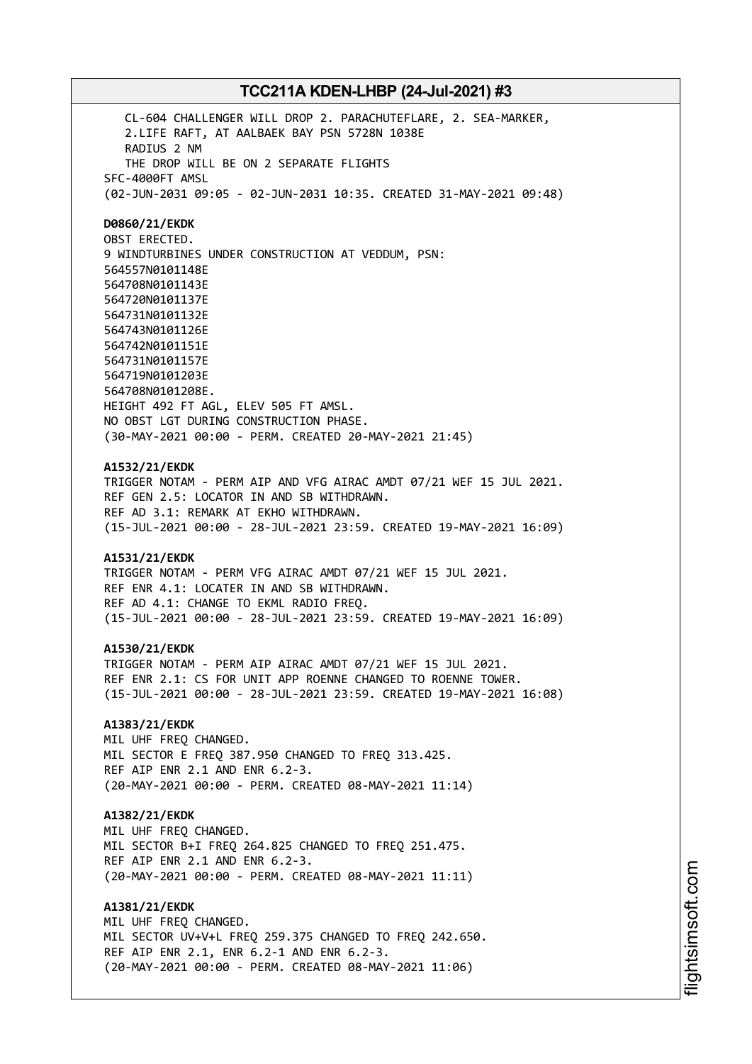CL-604 CHALLENGER WILL DROP 2. PARACHUTEFLARE, 2. SEA-MARKER, 2.LIFE RAFT, AT AALBAEK BAY PSN 5728N 1038E RADIUS 2 NM THE DROP WILL BE ON 2 SEPARATE FLIGHTS SFC-4000FT AMSL (02-JUN-2031 09:05 - 02-JUN-2031 10:35. CREATED 31-MAY-2021 09:48) **D0860/21/EKDK** OBST ERECTED. 9 WINDTURBINES UNDER CONSTRUCTION AT VEDDUM, PSN: 564557N0101148E 564708N0101143E 564720N0101137E 564731N0101132E 564743N0101126E 564742N0101151E 564731N0101157E 564719N0101203E 564708N0101208E. HEIGHT 492 FT AGL, ELEV 505 FT AMSL. NO OBST LGT DURING CONSTRUCTION PHASE. (30-MAY-2021 00:00 - PERM. CREATED 20-MAY-2021 21:45)

# **A1532/21/EKDK**

TRIGGER NOTAM - PERM AIP AND VFG AIRAC AMDT 07/21 WEF 15 JUL 2021. REF GEN 2.5: LOCATOR IN AND SB WITHDRAWN. REF AD 3.1: REMARK AT EKHO WITHDRAWN. (15-JUL-2021 00:00 - 28-JUL-2021 23:59. CREATED 19-MAY-2021 16:09)

### **A1531/21/EKDK**

TRIGGER NOTAM - PERM VFG AIRAC AMDT 07/21 WEF 15 JUL 2021. REF ENR 4.1: LOCATER IN AND SB WITHDRAWN. REF AD 4.1: CHANGE TO EKML RADIO FREQ. (15-JUL-2021 00:00 - 28-JUL-2021 23:59. CREATED 19-MAY-2021 16:09)

#### **A1530/21/EKDK**

TRIGGER NOTAM - PERM AIP AIRAC AMDT 07/21 WEF 15 JUL 2021. REF ENR 2.1: CS FOR UNIT APP ROENNE CHANGED TO ROENNE TOWER. (15-JUL-2021 00:00 - 28-JUL-2021 23:59. CREATED 19-MAY-2021 16:08)

## **A1383/21/EKDK**

MIL UHF FREQ CHANGED. MIL SECTOR E FREO 387.950 CHANGED TO FREO 313.425. REF AIP ENR 2.1 AND ENR 6.2-3. (20-MAY-2021 00:00 - PERM. CREATED 08-MAY-2021 11:14)

### **A1382/21/EKDK**

MIL UHF FREQ CHANGED. MIL SECTOR B+I FREQ 264.825 CHANGED TO FREQ 251.475. REF AIP ENR 2.1 AND ENR 6.2-3. (20-MAY-2021 00:00 - PERM. CREATED 08-MAY-2021 11:11)

**A1381/21/EKDK** MIL UHF FREQ CHANGED. MIL SECTOR UV+V+L FREQ 259.375 CHANGED TO FREQ 242.650. REF AIP ENR 2.1, ENR 6.2-1 AND ENR 6.2-3. (20-MAY-2021 00:00 - PERM. CREATED 08-MAY-2021 11:06)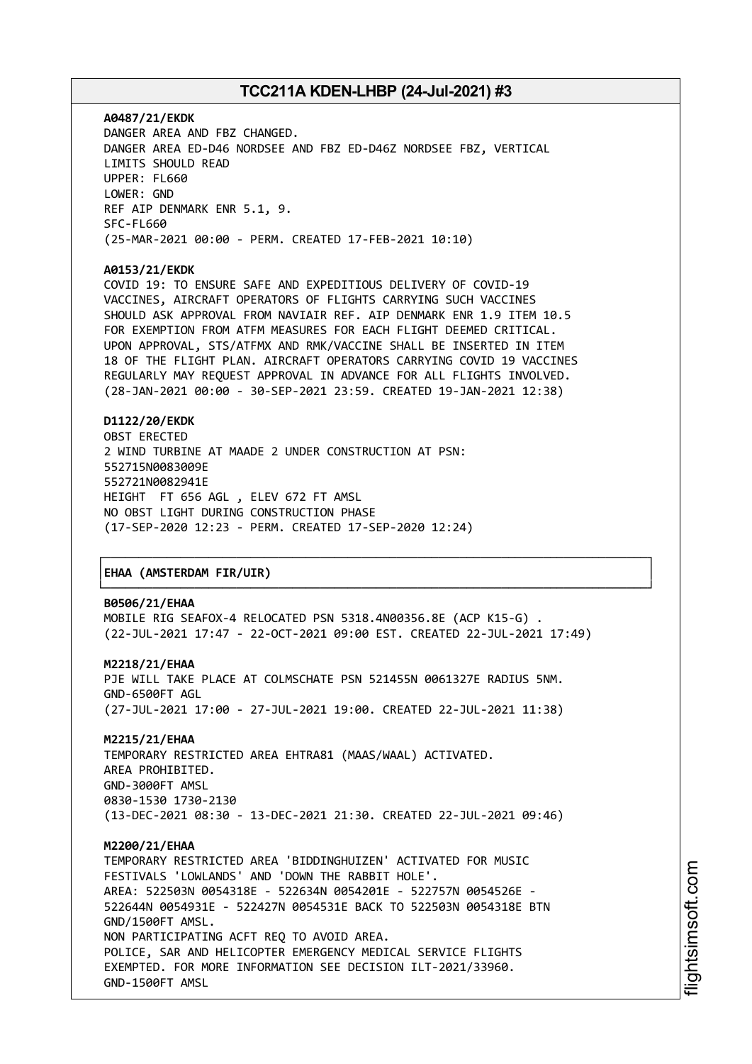**A0487/21/EKDK** DANGER AREA AND FBZ CHANGED. DANGER AREA ED-D46 NORDSEE AND FBZ ED-D46Z NORDSEE FBZ, VERTICAL LIMITS SHOULD READ UPPER: FL660 LOWER: GND REF AIP DENMARK ENR 5.1, 9. SFC-FL660 (25-MAR-2021 00:00 - PERM. CREATED 17-FEB-2021 10:10)

**A0153/21/EKDK**

COVID 19: TO ENSURE SAFE AND EXPEDITIOUS DELIVERY OF COVID-19 VACCINES, AIRCRAFT OPERATORS OF FLIGHTS CARRYING SUCH VACCINES SHOULD ASK APPROVAL FROM NAVIAIR REF. AIP DENMARK ENR 1.9 ITEM 10.5 FOR EXEMPTION FROM ATFM MEASURES FOR EACH FLIGHT DEEMED CRITICAL. UPON APPROVAL, STS/ATFMX AND RMK/VACCINE SHALL BE INSERTED IN ITEM 18 OF THE FLIGHT PLAN. AIRCRAFT OPERATORS CARRYING COVID 19 VACCINES REGULARLY MAY REQUEST APPROVAL IN ADVANCE FOR ALL FLIGHTS INVOLVED. (28-JAN-2021 00:00 - 30-SEP-2021 23:59. CREATED 19-JAN-2021 12:38)

**D1122/20/EKDK**

OBST ERECTED 2 WIND TURBINE AT MAADE 2 UNDER CONSTRUCTION AT PSN: 552715N0083009E 552721N0082941E HEIGHT FT 656 AGL , ELEV 672 FT AMSL NO OBST LIGHT DURING CONSTRUCTION PHASE (17-SEP-2020 12:23 - PERM. CREATED 17-SEP-2020 12:24)

### │**EHAA (AMSTERDAM FIR/UIR)** │

#### **B0506/21/EHAA**

MOBILE RIG SEAFOX-4 RELOCATED PSN 5318.4N00356.8E (ACP K15-G) . (22-JUL-2021 17:47 - 22-OCT-2021 09:00 EST. CREATED 22-JUL-2021 17:49)

┌──────────────────────────────────────────────────────────────────────────────┐

└──────────────────────────────────────────────────────────────────────────────┘

**M2218/21/EHAA**

PJE WILL TAKE PLACE AT COLMSCHATE PSN 521455N 0061327E RADIUS 5NM. GND-6500FT AGL (27-JUL-2021 17:00 - 27-JUL-2021 19:00. CREATED 22-JUL-2021 11:38)

**M2215/21/EHAA** TEMPORARY RESTRICTED AREA EHTRA81 (MAAS/WAAL) ACTIVATED. AREA PROHIBITED. GND-3000FT AMSL 0830-1530 1730-2130 (13-DEC-2021 08:30 - 13-DEC-2021 21:30. CREATED 22-JUL-2021 09:46)

**M2200/21/EHAA** TEMPORARY RESTRICTED AREA 'BIDDINGHUIZEN' ACTIVATED FOR MUSIC FESTIVALS 'LOWLANDS' AND 'DOWN THE RABBIT HOLE'. AREA: 522503N 0054318E - 522634N 0054201E - 522757N 0054526E - 522644N 0054931E - 522427N 0054531E BACK TO 522503N 0054318E BTN GND/1500FT AMSL. NON PARTICIPATING ACFT REQ TO AVOID AREA. POLICE, SAR AND HELICOPTER EMERGENCY MEDICAL SERVICE FLIGHTS EXEMPTED. FOR MORE INFORMATION SEE DECISION ILT-2021/33960. GND-1500FT AMSL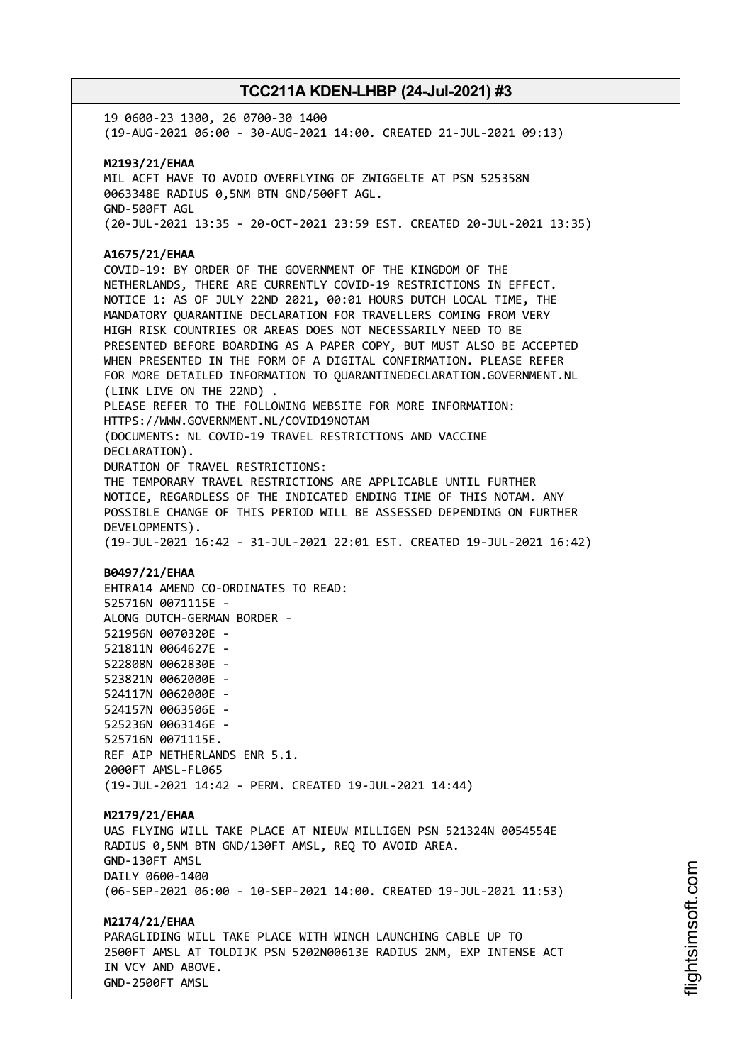19 0600-23 1300, 26 0700-30 1400 (19-AUG-2021 06:00 - 30-AUG-2021 14:00. CREATED 21-JUL-2021 09:13) **M2193/21/EHAA** MIL ACFT HAVE TO AVOID OVERFLYING OF ZWIGGELTE AT PSN 525358N 0063348E RADIUS 0,5NM BTN GND/500FT AGL. GND-500FT AGL (20-JUL-2021 13:35 - 20-OCT-2021 23:59 EST. CREATED 20-JUL-2021 13:35) **A1675/21/EHAA** COVID-19: BY ORDER OF THE GOVERNMENT OF THE KINGDOM OF THE NETHERLANDS, THERE ARE CURRENTLY COVID-19 RESTRICTIONS IN EFFECT. NOTICE 1: AS OF JULY 22ND 2021, 00:01 HOURS DUTCH LOCAL TIME, THE MANDATORY QUARANTINE DECLARATION FOR TRAVELLERS COMING FROM VERY HIGH RISK COUNTRIES OR AREAS DOES NOT NECESSARILY NEED TO BE PRESENTED BEFORE BOARDING AS A PAPER COPY, BUT MUST ALSO BE ACCEPTED WHEN PRESENTED IN THE FORM OF A DIGITAL CONFIRMATION. PLEASE REFER FOR MORE DETAILED INFORMATION TO QUARANTINEDECLARATION.GOVERNMENT.NL (LINK LIVE ON THE 22ND) . PLEASE REFER TO THE FOLLOWING WEBSITE FOR MORE INFORMATION: HTTPS://WWW.GOVERNMENT.NL/COVID19NOTAM (DOCUMENTS: NL COVID-19 TRAVEL RESTRICTIONS AND VACCINE DECLARATION). DURATION OF TRAVEL RESTRICTIONS: THE TEMPORARY TRAVEL RESTRICTIONS ARE APPLICABLE UNTIL FURTHER NOTICE, REGARDLESS OF THE INDICATED ENDING TIME OF THIS NOTAM. ANY POSSIBLE CHANGE OF THIS PERIOD WILL BE ASSESSED DEPENDING ON FURTHER DEVELOPMENTS). (19-JUL-2021 16:42 - 31-JUL-2021 22:01 EST. CREATED 19-JUL-2021 16:42) **B0497/21/EHAA** EHTRA14 AMEND CO-ORDINATES TO READ: 525716N 0071115E - ALONG DUTCH-GERMAN BORDER - 521956N 0070320E - 521811N 0064627E - 522808N 0062830E - 523821N 0062000E - 524117N 0062000E - 524157N 0063506E - 525236N 0063146E - 525716N 0071115E. REF AIP NETHERLANDS ENR 5.1. 2000FT AMSL-FL065 (19-JUL-2021 14:42 - PERM. CREATED 19-JUL-2021 14:44) **M2179/21/EHAA** UAS FLYING WILL TAKE PLACE AT NIEUW MILLIGEN PSN 521324N 0054554E RADIUS 0,5NM BTN GND/130FT AMSL, REQ TO AVOID AREA. GND-130FT AMSL DAILY 0600-1400 (06-SEP-2021 06:00 - 10-SEP-2021 14:00. CREATED 19-JUL-2021 11:53) **M2174/21/EHAA** PARAGLIDING WILL TAKE PLACE WITH WINCH LAUNCHING CABLE UP TO 2500FT AMSL AT TOLDIJK PSN 5202N00613E RADIUS 2NM, EXP INTENSE ACT IN VCY AND ABOVE. GND-2500FT AMSL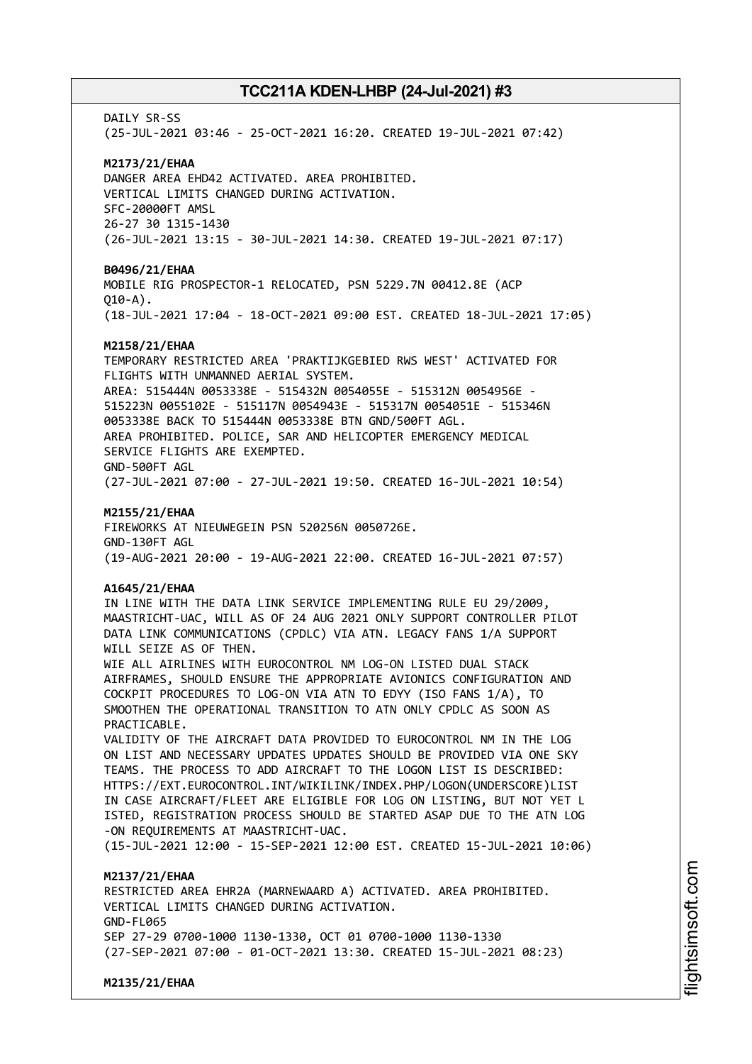DATI Y SR-SS (25-JUL-2021 03:46 - 25-OCT-2021 16:20. CREATED 19-JUL-2021 07:42) **M2173/21/EHAA** DANGER AREA EHD42 ACTIVATED. AREA PROHIBITED. VERTICAL LIMITS CHANGED DURING ACTIVATION. SFC-20000FT AMSL 26-27 30 1315-1430 (26-JUL-2021 13:15 - 30-JUL-2021 14:30. CREATED 19-JUL-2021 07:17) **B0496/21/EHAA** MOBILE RIG PROSPECTOR-1 RELOCATED, PSN 5229.7N 00412.8E (ACP  $010 - A$ ). (18-JUL-2021 17:04 - 18-OCT-2021 09:00 EST. CREATED 18-JUL-2021 17:05) **M2158/21/EHAA** TEMPORARY RESTRICTED AREA 'PRAKTIJKGEBIED RWS WEST' ACTIVATED FOR FLIGHTS WITH UNMANNED AERIAL SYSTEM. AREA: 515444N 0053338E - 515432N 0054055E - 515312N 0054956E - 515223N 0055102E - 515117N 0054943E - 515317N 0054051E - 515346N 0053338E BACK TO 515444N 0053338E BTN GND/500FT AGL. AREA PROHIBITED. POLICE, SAR AND HELICOPTER EMERGENCY MEDICAL SERVICE FLIGHTS ARE EXEMPTED. GND-500FT AGL (27-JUL-2021 07:00 - 27-JUL-2021 19:50. CREATED 16-JUL-2021 10:54) **M2155/21/EHAA** FIREWORKS AT NIEUWEGEIN PSN 520256N 0050726E. GND-130FT AGL (19-AUG-2021 20:00 - 19-AUG-2021 22:00. CREATED 16-JUL-2021 07:57) **A1645/21/EHAA** IN LINE WITH THE DATA LINK SERVICE IMPLEMENTING RULE EU 29/2009, MAASTRICHT-UAC, WILL AS OF 24 AUG 2021 ONLY SUPPORT CONTROLLER PILOT DATA LINK COMMUNICATIONS (CPDLC) VIA ATN. LEGACY FANS 1/A SUPPORT WILL SEIZE AS OF THEN. WIE ALL AIRLINES WITH EUROCONTROL NM LOG-ON LISTED DUAL STACK AIRFRAMES, SHOULD ENSURE THE APPROPRIATE AVIONICS CONFIGURATION AND COCKPIT PROCEDURES TO LOG-ON VIA ATN TO EDYY (ISO FANS 1/A), TO SMOOTHEN THE OPERATIONAL TRANSITION TO ATN ONLY CPDLC AS SOON AS PRACTICABLE. VALIDITY OF THE AIRCRAFT DATA PROVIDED TO EUROCONTROL NM IN THE LOG ON LIST AND NECESSARY UPDATES UPDATES SHOULD BE PROVIDED VIA ONE SKY TEAMS. THE PROCESS TO ADD AIRCRAFT TO THE LOGON LIST IS DESCRIBED: HTTPS://EXT.EUROCONTROL.INT/WIKILINK/INDEX.PHP/LOGON(UNDERSCORE)LIST IN CASE AIRCRAFT/FLEET ARE ELIGIBLE FOR LOG ON LISTING, BUT NOT YET L ISTED, REGISTRATION PROCESS SHOULD BE STARTED ASAP DUE TO THE ATN LOG -ON REQUIREMENTS AT MAASTRICHT-UAC. (15-JUL-2021 12:00 - 15-SEP-2021 12:00 EST. CREATED 15-JUL-2021 10:06) **M2137/21/EHAA** RESTRICTED AREA EHR2A (MARNEWAARD A) ACTIVATED. AREA PROHIBITED. VERTICAL LIMITS CHANGED DURING ACTIVATION. GND-FL065 SEP 27-29 0700-1000 1130-1330, OCT 01 0700-1000 1130-1330 (27-SEP-2021 07:00 - 01-OCT-2021 13:30. CREATED 15-JUL-2021 08:23)

**M2135/21/EHAA**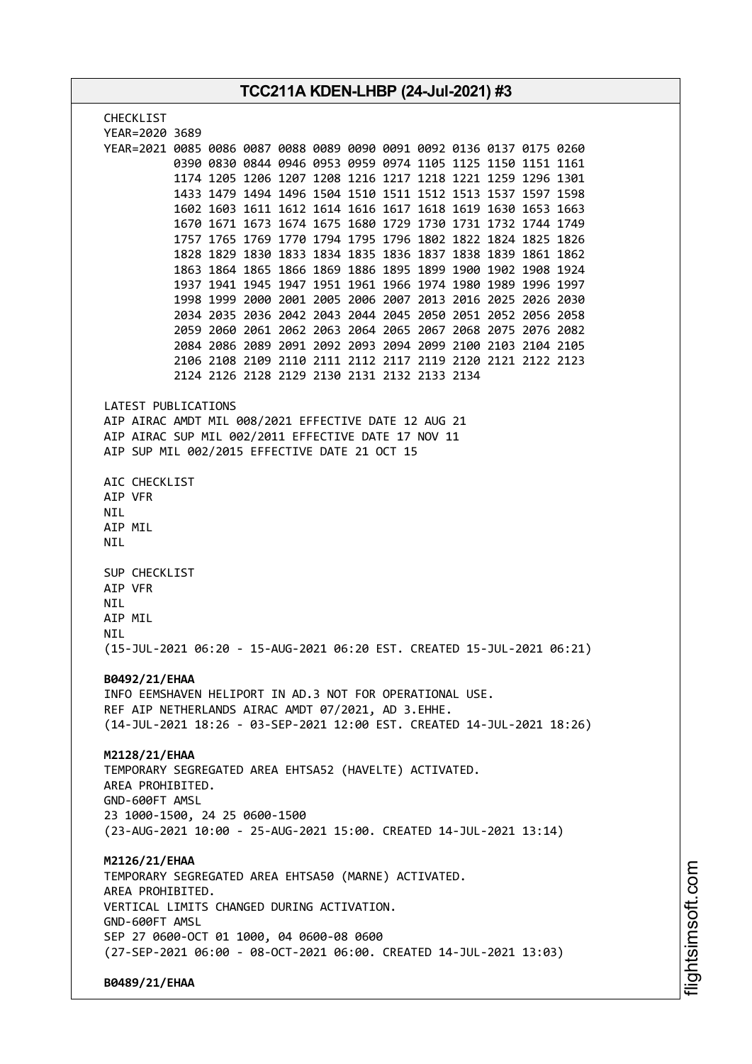| TCC211A KDEN-LHBP (24-Jul-2021) #3                                                                                           |  |  |
|------------------------------------------------------------------------------------------------------------------------------|--|--|
| <b>CHECKLIST</b>                                                                                                             |  |  |
| YEAR=2020 3689                                                                                                               |  |  |
| YEAR=2021 0085 0086 0087 0088 0089 0090 0091 0092 0136 0137 0175 0260                                                        |  |  |
| 0390 0830 0844 0946 0953 0959 0974 1105 1125 1150 1151 1161                                                                  |  |  |
| 1174 1205 1206 1207 1208 1216 1217 1218 1221 1259 1296 1301                                                                  |  |  |
| 1433 1479 1494 1496 1504 1510 1511 1512 1513 1537 1597 1598                                                                  |  |  |
| 1602 1603 1611 1612 1614 1616 1617 1618 1619 1630 1653 1663                                                                  |  |  |
| 1670 1671 1673 1674 1675 1680 1729 1730 1731 1732 1744 1749                                                                  |  |  |
| 1757 1765 1769 1770 1794 1795 1796 1802 1822 1824 1825 1826                                                                  |  |  |
| 1828 1829 1830 1833 1834 1835 1836 1837 1838 1839 1861 1862                                                                  |  |  |
| 1863 1864 1865 1866 1869 1886 1895 1899 1900 1902 1908 1924<br>1937 1941 1945 1947 1951 1961 1966 1974 1980 1989 1996 1997   |  |  |
| 1998 1999 2000 2001 2005 2006 2007 2013 2016 2025 2026 2030                                                                  |  |  |
| 2034 2035 2036 2042 2043 2044 2045 2050 2051 2052 2056 2058                                                                  |  |  |
| 2059 2060 2061 2062 2063 2064 2065 2067 2068 2075 2076 2082                                                                  |  |  |
| 2084 2086 2089 2091 2092 2093 2094 2099 2100 2103 2104 2105                                                                  |  |  |
| 2106 2108 2109 2110 2111 2112 2117 2119 2120 2121 2122 2123                                                                  |  |  |
| 2124 2126 2128 2129 2130 2131 2132 2133 2134                                                                                 |  |  |
|                                                                                                                              |  |  |
| LATEST PUBLICATIONS                                                                                                          |  |  |
| AIP AIRAC AMDT MIL 008/2021 EFFECTIVE DATE 12 AUG 21<br>AIP AIRAC SUP MIL 002/2011 EFFECTIVE DATE 17 NOV 11                  |  |  |
| AIP SUP MIL 002/2015 EFFECTIVE DATE 21 OCT 15                                                                                |  |  |
|                                                                                                                              |  |  |
| AIC CHECKLIST                                                                                                                |  |  |
| AIP VFR                                                                                                                      |  |  |
| <b>NIL</b>                                                                                                                   |  |  |
| AIP MIL                                                                                                                      |  |  |
| NIL                                                                                                                          |  |  |
| SUP CHECKLIST                                                                                                                |  |  |
| AIP VFR                                                                                                                      |  |  |
| NIL                                                                                                                          |  |  |
| AIP MIL                                                                                                                      |  |  |
| NIL                                                                                                                          |  |  |
| (15-JUL-2021 06:20 - 15-AUG-2021 06:20 EST. CREATED 15-JUL-2021 06:21)                                                       |  |  |
|                                                                                                                              |  |  |
| B0492/21/EHAA                                                                                                                |  |  |
| INFO EEMSHAVEN HELIPORT IN AD.3 NOT FOR OPERATIONAL USE.                                                                     |  |  |
| REF AIP NETHERLANDS AIRAC AMDT 07/2021, AD 3.EHHE.<br>(14-JUL-2021 18:26 - 03-SEP-2021 12:00 EST. CREATED 14-JUL-2021 18:26) |  |  |
|                                                                                                                              |  |  |
| M2128/21/EHAA                                                                                                                |  |  |
| TEMPORARY SEGREGATED AREA EHTSA52 (HAVELTE) ACTIVATED.                                                                       |  |  |
| AREA PROHIBITED.                                                                                                             |  |  |
| GND-600FT AMSL                                                                                                               |  |  |
| 23 1000-1500, 24 25 0600-1500                                                                                                |  |  |
| (23-AUG-2021 10:00 - 25-AUG-2021 15:00. CREATED 14-JUL-2021 13:14)                                                           |  |  |
|                                                                                                                              |  |  |
| M2126/21/EHAA                                                                                                                |  |  |
| TEMPORARY SEGREGATED AREA EHTSA50 (MARNE) ACTIVATED.<br>AREA PROHIBITED.                                                     |  |  |
| VERTICAL LIMITS CHANGED DURING ACTIVATION.                                                                                   |  |  |
| GND-600FT AMSL                                                                                                               |  |  |
| SEP 27 0600-OCT 01 1000, 04 0600-08 0600                                                                                     |  |  |
| (27-SEP-2021 06:00 - 08-OCT-2021 06:00. CREATED 14-JUL-2021 13:03)                                                           |  |  |
|                                                                                                                              |  |  |
| B0489/21/EHAA                                                                                                                |  |  |

m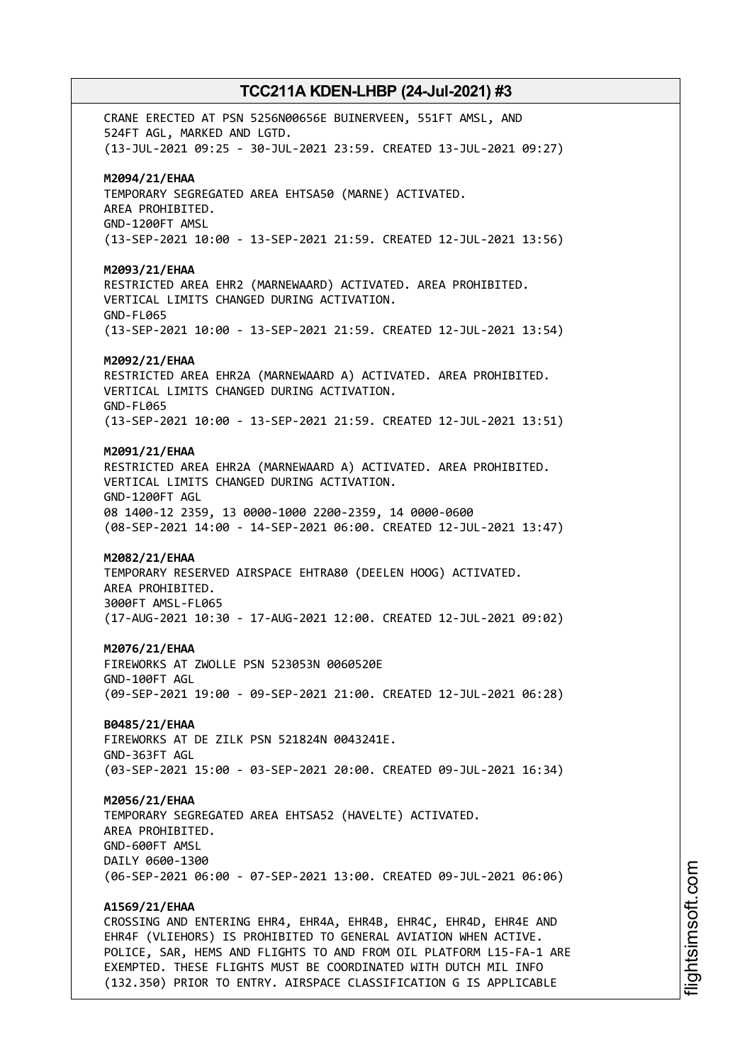CRANE ERECTED AT PSN 5256N00656E BUINERVEEN, 551FT AMSL, AND 524FT AGL, MARKED AND LGTD. (13-JUL-2021 09:25 - 30-JUL-2021 23:59. CREATED 13-JUL-2021 09:27) **M2094/21/EHAA** TEMPORARY SEGREGATED AREA EHTSA50 (MARNE) ACTIVATED. AREA PROHIBITED. GND-1200FT AMSL (13-SEP-2021 10:00 - 13-SEP-2021 21:59. CREATED 12-JUL-2021 13:56) **M2093/21/EHAA** RESTRICTED AREA EHR2 (MARNEWAARD) ACTIVATED. AREA PROHIBITED. VERTICAL LIMITS CHANGED DURING ACTIVATION. GND-FL065 (13-SEP-2021 10:00 - 13-SEP-2021 21:59. CREATED 12-JUL-2021 13:54) **M2092/21/EHAA** RESTRICTED AREA EHR2A (MARNEWAARD A) ACTIVATED. AREA PROHIBITED. VERTICAL LIMITS CHANGED DURING ACTIVATION. GND-FL065 (13-SEP-2021 10:00 - 13-SEP-2021 21:59. CREATED 12-JUL-2021 13:51) **M2091/21/EHAA** RESTRICTED AREA EHR2A (MARNEWAARD A) ACTIVATED. AREA PROHIBITED. VERTICAL LIMITS CHANGED DURING ACTIVATION. GND-1200FT AGL 08 1400-12 2359, 13 0000-1000 2200-2359, 14 0000-0600 (08-SEP-2021 14:00 - 14-SEP-2021 06:00. CREATED 12-JUL-2021 13:47) **M2082/21/EHAA** TEMPORARY RESERVED AIRSPACE EHTRA80 (DEELEN HOOG) ACTIVATED. AREA PROHIBITED. 3000FT AMSL-FL065 (17-AUG-2021 10:30 - 17-AUG-2021 12:00. CREATED 12-JUL-2021 09:02) **M2076/21/EHAA** FIREWORKS AT ZWOLLE PSN 523053N 0060520E GND-100FT AGL (09-SEP-2021 19:00 - 09-SEP-2021 21:00. CREATED 12-JUL-2021 06:28) **B0485/21/EHAA** FIREWORKS AT DE ZILK PSN 521824N 0043241E. GND-363FT AGL (03-SEP-2021 15:00 - 03-SEP-2021 20:00. CREATED 09-JUL-2021 16:34) **M2056/21/EHAA** TEMPORARY SEGREGATED AREA EHTSA52 (HAVELTE) ACTIVATED. AREA PROHIBITED. GND-600FT AMSL DAILY 0600-1300 (06-SEP-2021 06:00 - 07-SEP-2021 13:00. CREATED 09-JUL-2021 06:06) **A1569/21/EHAA** CROSSING AND ENTERING EHR4, EHR4A, EHR4B, EHR4C, EHR4D, EHR4E AND EHR4F (VLIEHORS) IS PROHIBITED TO GENERAL AVIATION WHEN ACTIVE. POLICE, SAR, HEMS AND FLIGHTS TO AND FROM OIL PLATFORM L15-FA-1 ARE EXEMPTED. THESE FLIGHTS MUST BE COORDINATED WITH DUTCH MIL INFO

(132.350) PRIOR TO ENTRY. AIRSPACE CLASSIFICATION G IS APPLICABLE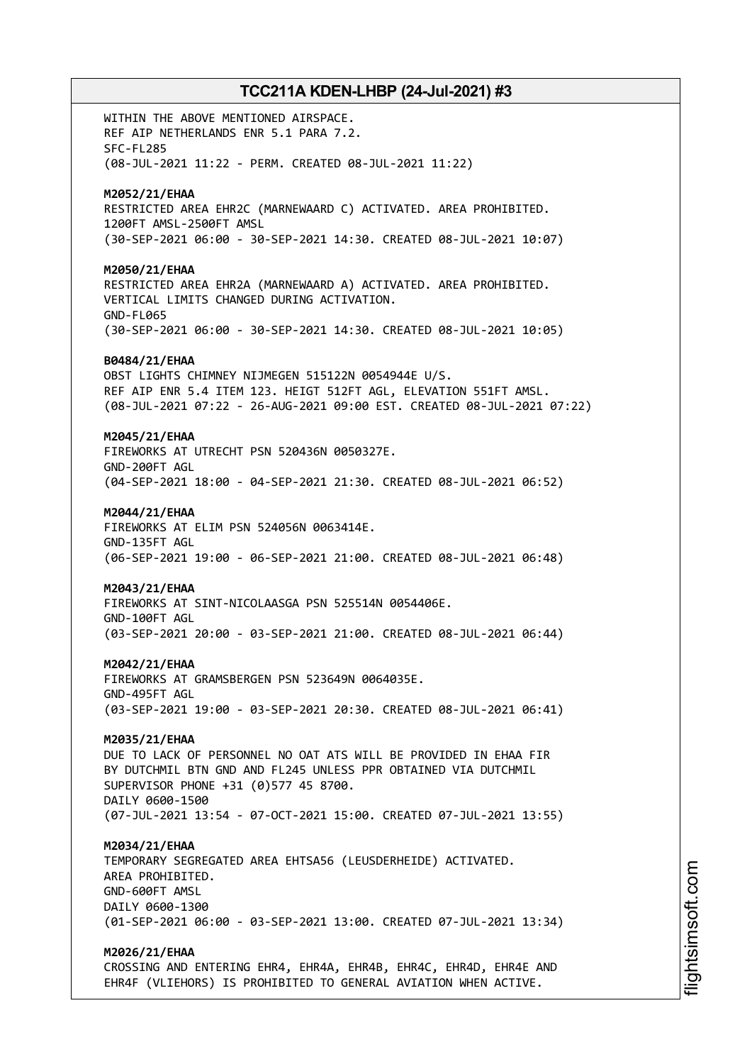WITHIN THE ABOVE MENTIONED AIRSPACE. REF AIP NETHERLANDS ENR 5.1 PARA 7.2. SFC-FL285 (08-JUL-2021 11:22 - PERM. CREATED 08-JUL-2021 11:22) **M2052/21/EHAA** RESTRICTED AREA EHR2C (MARNEWAARD C) ACTIVATED. AREA PROHIBITED. 1200FT AMSL-2500FT AMSL (30-SEP-2021 06:00 - 30-SEP-2021 14:30. CREATED 08-JUL-2021 10:07) **M2050/21/EHAA** RESTRICTED AREA EHR2A (MARNEWAARD A) ACTIVATED. AREA PROHIBITED. VERTICAL LIMITS CHANGED DURING ACTIVATION. GND-FL065 (30-SEP-2021 06:00 - 30-SEP-2021 14:30. CREATED 08-JUL-2021 10:05) **B0484/21/EHAA** OBST LIGHTS CHIMNEY NIJMEGEN 515122N 0054944E U/S. REF AIP ENR 5.4 ITEM 123. HEIGT 512FT AGL, ELEVATION 551FT AMSL. (08-JUL-2021 07:22 - 26-AUG-2021 09:00 EST. CREATED 08-JUL-2021 07:22) **M2045/21/EHAA** FIREWORKS AT UTRECHT PSN 520436N 0050327E. GND-200FT AGL (04-SEP-2021 18:00 - 04-SEP-2021 21:30. CREATED 08-JUL-2021 06:52) **M2044/21/EHAA** FIREWORKS AT ELIM PSN 524056N 0063414E. GND-135FT AGL (06-SEP-2021 19:00 - 06-SEP-2021 21:00. CREATED 08-JUL-2021 06:48) **M2043/21/EHAA** FIREWORKS AT SINT-NICOLAASGA PSN 525514N 0054406E. GND-100FT AGL (03-SEP-2021 20:00 - 03-SEP-2021 21:00. CREATED 08-JUL-2021 06:44) **M2042/21/EHAA** FIREWORKS AT GRAMSBERGEN PSN 523649N 0064035E. GND-495FT AGL (03-SEP-2021 19:00 - 03-SEP-2021 20:30. CREATED 08-JUL-2021 06:41) **M2035/21/EHAA** DUE TO LACK OF PERSONNEL NO OAT ATS WILL BE PROVIDED IN EHAA FIR BY DUTCHMIL BTN GND AND FL245 UNLESS PPR OBTAINED VIA DUTCHMIL SUPERVISOR PHONE +31 (0)577 45 8700. DAILY 0600-1500 (07-JUL-2021 13:54 - 07-OCT-2021 15:00. CREATED 07-JUL-2021 13:55) **M2034/21/EHAA** TEMPORARY SEGREGATED AREA EHTSA56 (LEUSDERHEIDE) ACTIVATED. AREA PROHIBITED. GND-600FT AMSL DAILY 0600-1300 (01-SEP-2021 06:00 - 03-SEP-2021 13:00. CREATED 07-JUL-2021 13:34) **M2026/21/EHAA**

CROSSING AND ENTERING EHR4, EHR4A, EHR4B, EHR4C, EHR4D, EHR4E AND EHR4F (VLIEHORS) IS PROHIBITED TO GENERAL AVIATION WHEN ACTIVE.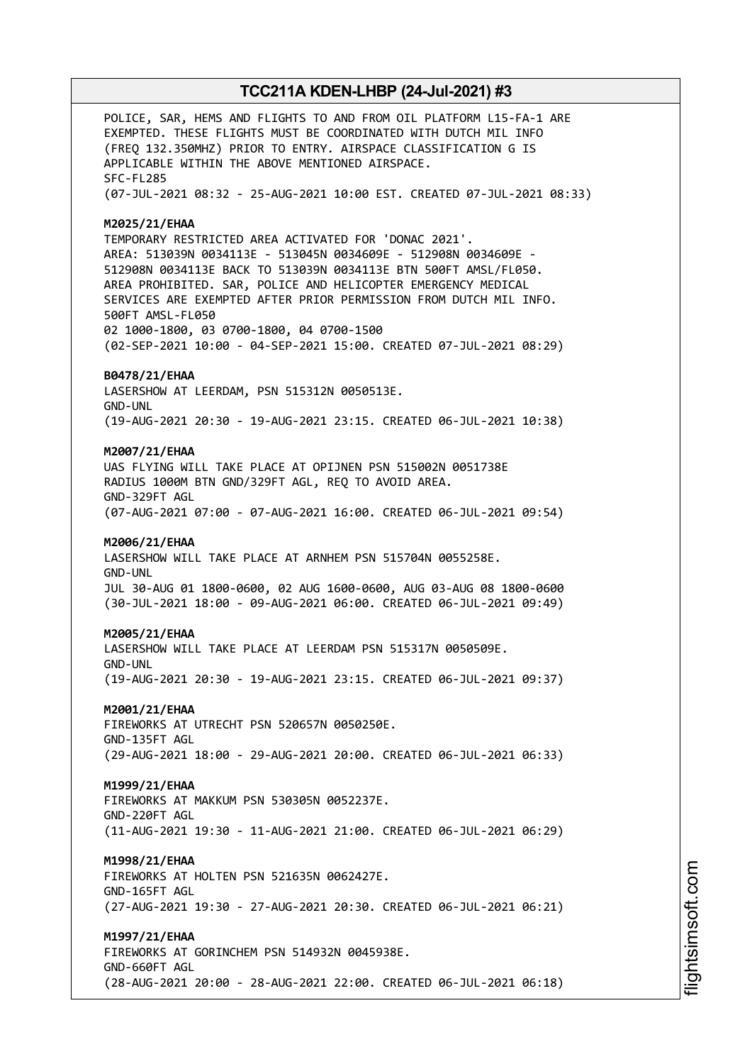POLICE, SAR, HEMS AND FLIGHTS TO AND FROM OIL PLATFORM L15-FA-1 ARE EXEMPTED. THESE FLIGHTS MUST BE COORDINATED WITH DUTCH MIL INFO (FREQ 132.350MHZ) PRIOR TO ENTRY. AIRSPACE CLASSIFICATION G IS APPLICABLE WITHIN THE ABOVE MENTIONED AIRSPACE. SFC-FL285 (07-JUL-2021 08:32 - 25-AUG-2021 10:00 EST. CREATED 07-JUL-2021 08:33) **M2025/21/EHAA** TEMPORARY RESTRICTED AREA ACTIVATED FOR 'DONAC 2021'. AREA: 513039N 0034113E - 513045N 0034609E - 512908N 0034609E - 512908N 0034113E BACK TO 513039N 0034113E BTN 500FT AMSL/FL050. AREA PROHIBITED. SAR, POLICE AND HELICOPTER EMERGENCY MEDICAL SERVICES ARE EXEMPTED AFTER PRIOR PERMISSION FROM DUTCH MIL INFO. 500FT AMSL-FL050 02 1000-1800, 03 0700-1800, 04 0700-1500 (02-SEP-2021 10:00 - 04-SEP-2021 15:00. CREATED 07-JUL-2021 08:29) **B0478/21/EHAA** LASERSHOW AT LEERDAM, PSN 515312N 0050513E. GND-UNL (19-AUG-2021 20:30 - 19-AUG-2021 23:15. CREATED 06-JUL-2021 10:38) **M2007/21/EHAA** UAS FLYING WILL TAKE PLACE AT OPIJNEN PSN 515002N 0051738E RADIUS 1000M BTN GND/329FT AGL, REQ TO AVOID AREA. GND-329FT AGL (07-AUG-2021 07:00 - 07-AUG-2021 16:00. CREATED 06-JUL-2021 09:54) **M2006/21/EHAA** LASERSHOW WILL TAKE PLACE AT ARNHEM PSN 515704N 0055258E. GND-UNL JUL 30-AUG 01 1800-0600, 02 AUG 1600-0600, AUG 03-AUG 08 1800-0600 (30-JUL-2021 18:00 - 09-AUG-2021 06:00. CREATED 06-JUL-2021 09:49) **M2005/21/EHAA** LASERSHOW WILL TAKE PLACE AT LEERDAM PSN 515317N 0050509E. GND-UNL (19-AUG-2021 20:30 - 19-AUG-2021 23:15. CREATED 06-JUL-2021 09:37) **M2001/21/EHAA** FIREWORKS AT UTRECHT PSN 520657N 0050250E. GND-135FT AGL (29-AUG-2021 18:00 - 29-AUG-2021 20:00. CREATED 06-JUL-2021 06:33) **M1999/21/EHAA** FIREWORKS AT MAKKUM PSN 530305N 0052237E. GND-220FT AGL (11-AUG-2021 19:30 - 11-AUG-2021 21:00. CREATED 06-JUL-2021 06:29) **M1998/21/EHAA** FIREWORKS AT HOLTEN PSN 521635N 0062427E. GND-165FT AGL (27-AUG-2021 19:30 - 27-AUG-2021 20:30. CREATED 06-JUL-2021 06:21) **M1997/21/EHAA** FIREWORKS AT GORINCHEM PSN 514932N 0045938E. GND-660FT AGL (28-AUG-2021 20:00 - 28-AUG-2021 22:00. CREATED 06-JUL-2021 06:18)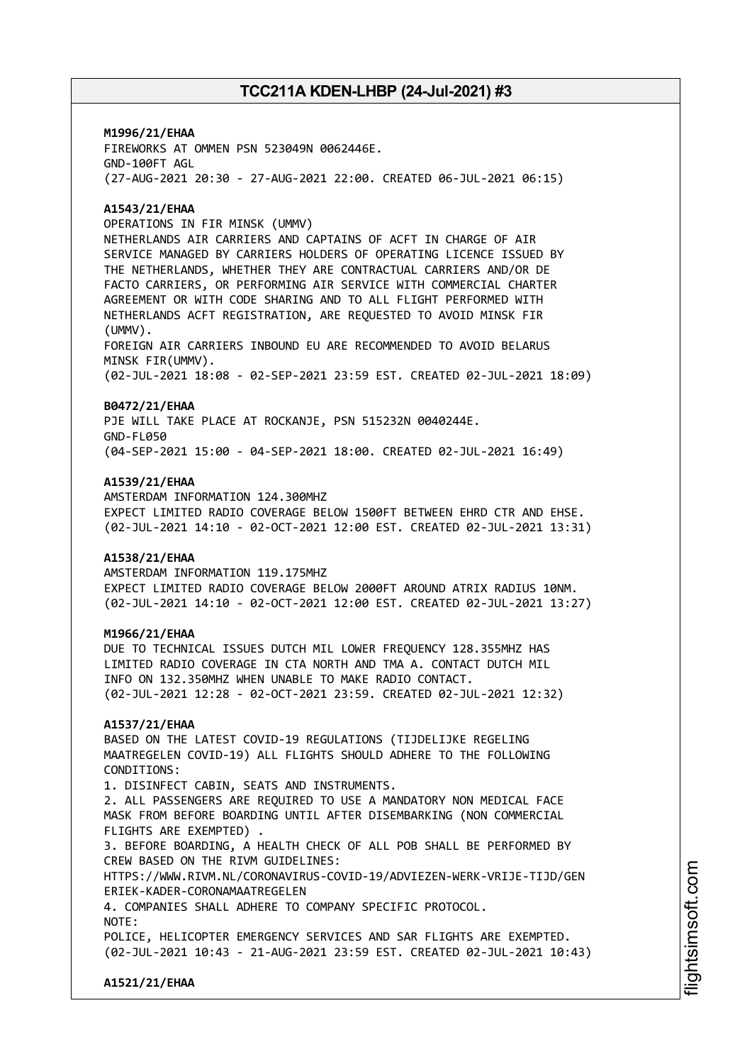**M1996/21/EHAA** FIREWORKS AT OMMEN PSN 523049N 0062446E. GND-100FT AGL (27-AUG-2021 20:30 - 27-AUG-2021 22:00. CREATED 06-JUL-2021 06:15)

#### **A1543/21/EHAA**

OPERATIONS IN FIR MINSK (UMMV)

NETHERLANDS AIR CARRIERS AND CAPTAINS OF ACFT IN CHARGE OF AIR SERVICE MANAGED BY CARRIERS HOLDERS OF OPERATING LICENCE ISSUED BY THE NETHERLANDS, WHETHER THEY ARE CONTRACTUAL CARRIERS AND/OR DE FACTO CARRIERS, OR PERFORMING AIR SERVICE WITH COMMERCIAL CHARTER AGREEMENT OR WITH CODE SHARING AND TO ALL FLIGHT PERFORMED WITH NETHERLANDS ACFT REGISTRATION, ARE REQUESTED TO AVOID MINSK FIR (UMMV).

FOREIGN AIR CARRIERS INBOUND EU ARE RECOMMENDED TO AVOID BELARUS MINSK FIR(UMMV).

(02-JUL-2021 18:08 - 02-SEP-2021 23:59 EST. CREATED 02-JUL-2021 18:09)

#### **B0472/21/EHAA**

PJE WILL TAKE PLACE AT ROCKANJE, PSN 515232N 0040244E. GND-FL050 (04-SEP-2021 15:00 - 04-SEP-2021 18:00. CREATED 02-JUL-2021 16:49)

#### **A1539/21/EHAA**

AMSTERDAM INFORMATION 124.300MHZ EXPECT LIMITED RADIO COVERAGE BELOW 1500FT BETWEEN EHRD CTR AND EHSE. (02-JUL-2021 14:10 - 02-OCT-2021 12:00 EST. CREATED 02-JUL-2021 13:31)

#### **A1538/21/EHAA**

AMSTERDAM INFORMATION 119.175MHZ EXPECT LIMITED RADIO COVERAGE BELOW 2000FT AROUND ATRIX RADIUS 10NM. (02-JUL-2021 14:10 - 02-OCT-2021 12:00 EST. CREATED 02-JUL-2021 13:27)

#### **M1966/21/EHAA**

DUE TO TECHNICAL ISSUES DUTCH MIL LOWER FREQUENCY 128.355MHZ HAS LIMITED RADIO COVERAGE IN CTA NORTH AND TMA A. CONTACT DUTCH MIL INFO ON 132.350MHZ WHEN UNABLE TO MAKE RADIO CONTACT. (02-JUL-2021 12:28 - 02-OCT-2021 23:59. CREATED 02-JUL-2021 12:32)

#### **A1537/21/EHAA**

BASED ON THE LATEST COVID-19 REGULATIONS (TIJDELIJKE REGELING MAATREGELEN COVID-19) ALL FLIGHTS SHOULD ADHERE TO THE FOLLOWING CONDITIONS:

1. DISINFECT CABIN, SEATS AND INSTRUMENTS. 2. ALL PASSENGERS ARE REQUIRED TO USE A MANDATORY NON MEDICAL FACE MASK FROM BEFORE BOARDING UNTIL AFTER DISEMBARKING (NON COMMERCIAL FLIGHTS ARE EXEMPTED) .

3. BEFORE BOARDING, A HEALTH CHECK OF ALL POB SHALL BE PERFORMED BY CREW BASED ON THE RIVM GUIDELINES:

HTTPS://WWW.RIVM.NL/CORONAVIRUS-COVID-19/ADVIEZEN-WERK-VRIJE-TIJD/GEN ERIEK-KADER-CORONAMAATREGELEN

4. COMPANIES SHALL ADHERE TO COMPANY SPECIFIC PROTOCOL.

NOTE:

POLICE, HELICOPTER EMERGENCY SERVICES AND SAR FLIGHTS ARE EXEMPTED. (02-JUL-2021 10:43 - 21-AUG-2021 23:59 EST. CREATED 02-JUL-2021 10:43)

**A1521/21/EHAA**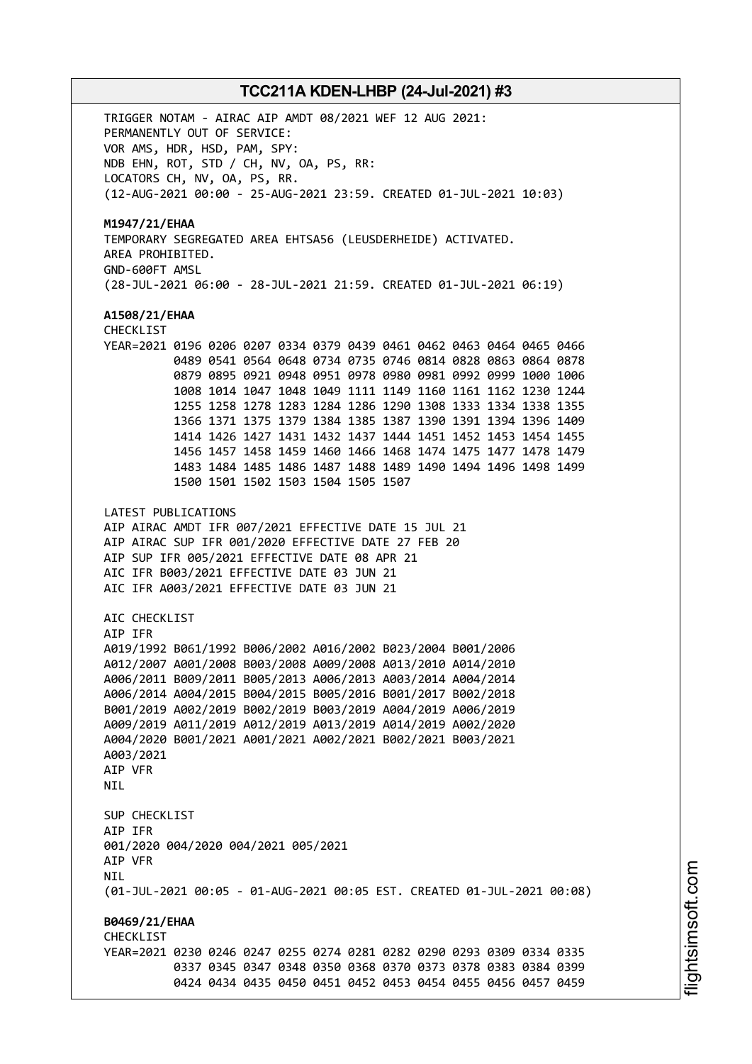TRIGGER NOTAM - AIRAC AIP AMDT 08/2021 WEF 12 AUG 2021: PERMANENTLY OUT OF SERVICE: VOR AMS, HDR, HSD, PAM, SPY: NDB EHN, ROT, STD / CH, NV, OA, PS, RR: LOCATORS CH, NV, OA, PS, RR. (12-AUG-2021 00:00 - 25-AUG-2021 23:59. CREATED 01-JUL-2021 10:03) **M1947/21/EHAA** TEMPORARY SEGREGATED AREA EHTSA56 (LEUSDERHEIDE) ACTIVATED. AREA PROHIBITED. GND-600FT AMSL (28-JUL-2021 06:00 - 28-JUL-2021 21:59. CREATED 01-JUL-2021 06:19) **A1508/21/EHAA** CHECKLIST YEAR=2021 0196 0206 0207 0334 0379 0439 0461 0462 0463 0464 0465 0466 0489 0541 0564 0648 0734 0735 0746 0814 0828 0863 0864 0878 0879 0895 0921 0948 0951 0978 0980 0981 0992 0999 1000 1006 1008 1014 1047 1048 1049 1111 1149 1160 1161 1162 1230 1244 1255 1258 1278 1283 1284 1286 1290 1308 1333 1334 1338 1355 1366 1371 1375 1379 1384 1385 1387 1390 1391 1394 1396 1409 1414 1426 1427 1431 1432 1437 1444 1451 1452 1453 1454 1455 1456 1457 1458 1459 1460 1466 1468 1474 1475 1477 1478 1479 1483 1484 1485 1486 1487 1488 1489 1490 1494 1496 1498 1499 1500 1501 1502 1503 1504 1505 1507 LATEST PUBLICATIONS AIP AIRAC AMDT IFR 007/2021 EFFECTIVE DATE 15 JUL 21 AIP AIRAC SUP IFR 001/2020 EFFECTIVE DATE 27 FEB 20 AIP SUP IFR 005/2021 EFFECTIVE DATE 08 APR 21 AIC IFR B003/2021 EFFECTIVE DATE 03 JUN 21 AIC IFR A003/2021 EFFECTIVE DATE 03 JUN 21 AIC CHECKLIST AIP IFR A019/1992 B061/1992 B006/2002 A016/2002 B023/2004 B001/2006 A012/2007 A001/2008 B003/2008 A009/2008 A013/2010 A014/2010 A006/2011 B009/2011 B005/2013 A006/2013 A003/2014 A004/2014 A006/2014 A004/2015 B004/2015 B005/2016 B001/2017 B002/2018 B001/2019 A002/2019 B002/2019 B003/2019 A004/2019 A006/2019 A009/2019 A011/2019 A012/2019 A013/2019 A014/2019 A002/2020 A004/2020 B001/2021 A001/2021 A002/2021 B002/2021 B003/2021 A003/2021 AIP VFR **NTI** SUP CHECKLIST AIP IFR 001/2020 004/2020 004/2021 005/2021 AIP VFR **NTI** (01-JUL-2021 00:05 - 01-AUG-2021 00:05 EST. CREATED 01-JUL-2021 00:08) **B0469/21/EHAA CHECKLIST** YEAR=2021 0230 0246 0247 0255 0274 0281 0282 0290 0293 0309 0334 0335 0337 0345 0347 0348 0350 0368 0370 0373 0378 0383 0384 0399 0424 0434 0435 0450 0451 0452 0453 0454 0455 0456 0457 0459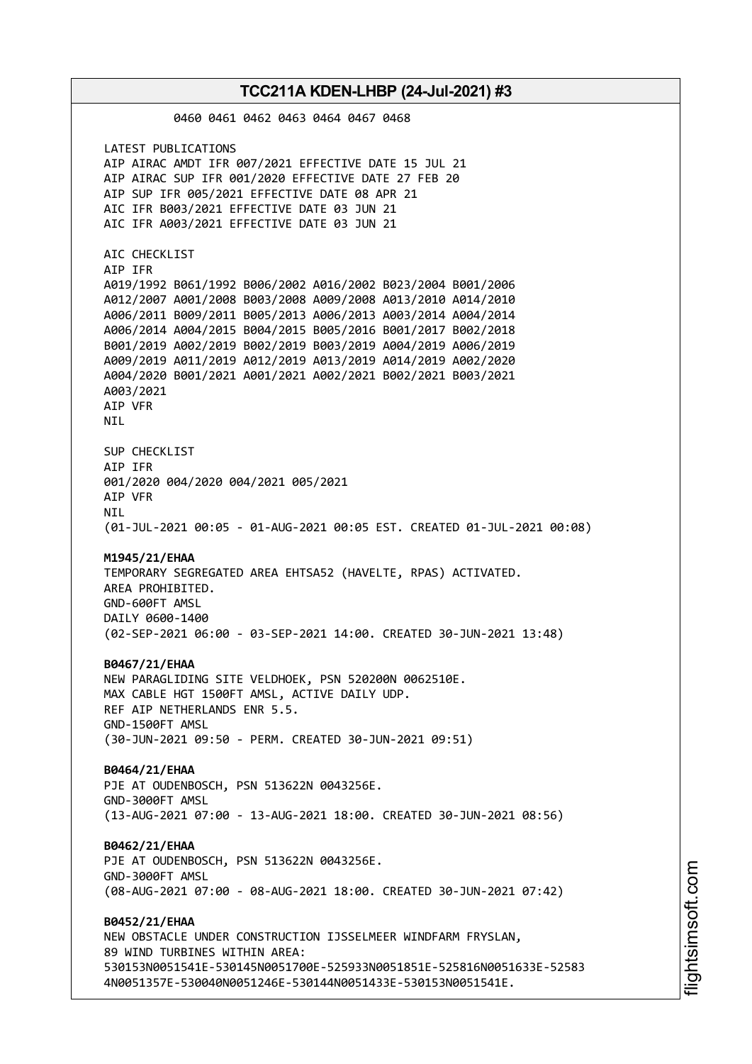0460 0461 0462 0463 0464 0467 0468 LATEST PUBLICATIONS AIP AIRAC AMDT IFR 007/2021 EFFECTIVE DATE 15 JUL 21 AIP AIRAC SUP IFR 001/2020 EFFECTIVE DATE 27 FEB 20 AIP SUP IFR 005/2021 EFFECTIVE DATE 08 APR 21 AIC IFR B003/2021 EFFECTIVE DATE 03 JUN 21 AIC IFR A003/2021 EFFECTIVE DATE 03 JUN 21 AIC CHECKLIST AIP IFR A019/1992 B061/1992 B006/2002 A016/2002 B023/2004 B001/2006 A012/2007 A001/2008 B003/2008 A009/2008 A013/2010 A014/2010 A006/2011 B009/2011 B005/2013 A006/2013 A003/2014 A004/2014 A006/2014 A004/2015 B004/2015 B005/2016 B001/2017 B002/2018 B001/2019 A002/2019 B002/2019 B003/2019 A004/2019 A006/2019 A009/2019 A011/2019 A012/2019 A013/2019 A014/2019 A002/2020 A004/2020 B001/2021 A001/2021 A002/2021 B002/2021 B003/2021 A003/2021 AIP VFR NIL SUP CHECKLIST AIP IFR 001/2020 004/2020 004/2021 005/2021 AIP VFR **NTI** (01-JUL-2021 00:05 - 01-AUG-2021 00:05 EST. CREATED 01-JUL-2021 00:08) **M1945/21/EHAA** TEMPORARY SEGREGATED AREA EHTSA52 (HAVELTE, RPAS) ACTIVATED. AREA PROHIBITED. GND-600FT AMSL DAILY 0600-1400 (02-SEP-2021 06:00 - 03-SEP-2021 14:00. CREATED 30-JUN-2021 13:48) **B0467/21/EHAA** NEW PARAGLIDING SITE VELDHOEK, PSN 520200N 0062510E. MAX CABLE HGT 1500FT AMSL, ACTIVE DAILY UDP. REF AIP NETHERLANDS ENR 5.5. GND-1500FT AMSL (30-JUN-2021 09:50 - PERM. CREATED 30-JUN-2021 09:51) **B0464/21/EHAA** PJE AT OUDENBOSCH, PSN 513622N 0043256E. GND-3000FT AMSL (13-AUG-2021 07:00 - 13-AUG-2021 18:00. CREATED 30-JUN-2021 08:56) **B0462/21/EHAA** PJE AT OUDENBOSCH, PSN 513622N 0043256E. GND-3000FT AMSL (08-AUG-2021 07:00 - 08-AUG-2021 18:00. CREATED 30-JUN-2021 07:42) **B0452/21/EHAA** NEW OBSTACLE UNDER CONSTRUCTION IJSSELMEER WINDFARM FRYSLAN, 89 WIND TURBINES WITHIN AREA: 530153N0051541E-530145N0051700E-525933N0051851E-525816N0051633E-52583 4N0051357E-530040N0051246E-530144N0051433E-530153N0051541E.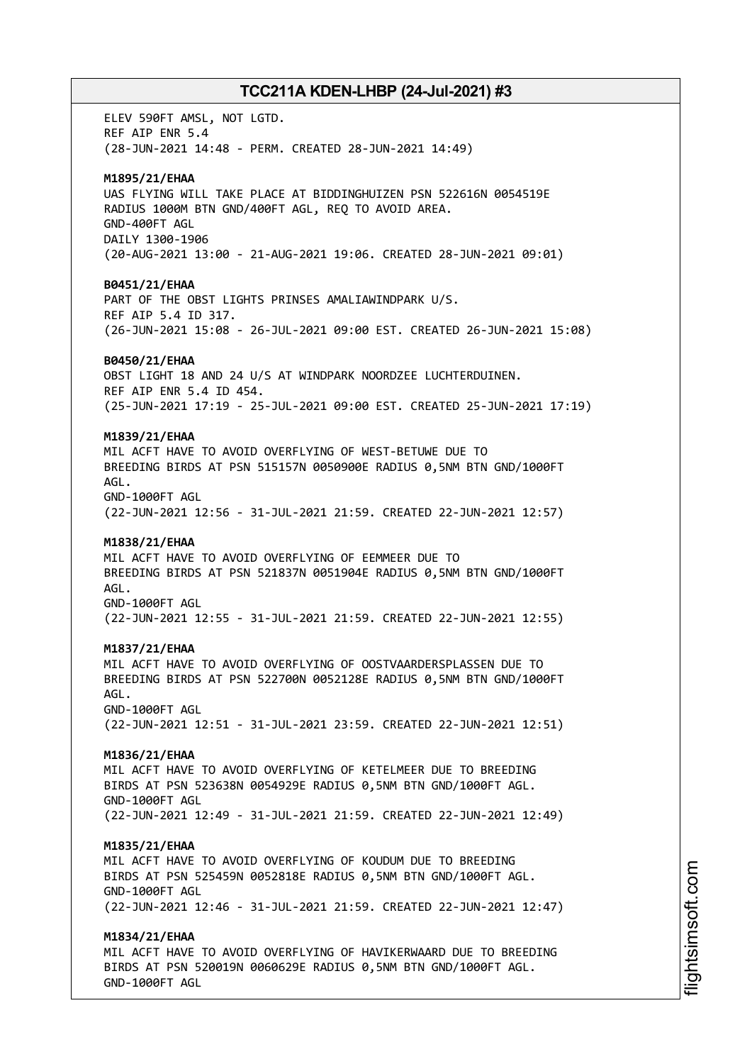ELEV 590FT AMSL, NOT LGTD. REF AIP ENR 5.4 (28-JUN-2021 14:48 - PERM. CREATED 28-JUN-2021 14:49) **M1895/21/EHAA** UAS FLYING WILL TAKE PLACE AT BIDDINGHUIZEN PSN 522616N 0054519E RADIUS 1000M BTN GND/400FT AGL, REQ TO AVOID AREA. GND-400FT AGL DAILY 1300-1906 (20-AUG-2021 13:00 - 21-AUG-2021 19:06. CREATED 28-JUN-2021 09:01) **B0451/21/EHAA** PART OF THE OBST LIGHTS PRINSES AMALIAWINDPARK U/S. REF AIP 5.4 ID 317. (26-JUN-2021 15:08 - 26-JUL-2021 09:00 EST. CREATED 26-JUN-2021 15:08) **B0450/21/EHAA** OBST LIGHT 18 AND 24 U/S AT WINDPARK NOORDZEE LUCHTERDUINEN. REF AIP ENR 5.4 ID 454. (25-JUN-2021 17:19 - 25-JUL-2021 09:00 EST. CREATED 25-JUN-2021 17:19) **M1839/21/EHAA** MIL ACFT HAVE TO AVOID OVERFLYING OF WEST-BETUWE DUE TO BREEDING BIRDS AT PSN 515157N 0050900E RADIUS 0,5NM BTN GND/1000FT AGL. GND-1000FT AGL (22-JUN-2021 12:56 - 31-JUL-2021 21:59. CREATED 22-JUN-2021 12:57) **M1838/21/EHAA** MIL ACFT HAVE TO AVOID OVERFLYING OF EEMMEER DUE TO BREEDING BIRDS AT PSN 521837N 0051904E RADIUS 0,5NM BTN GND/1000FT AGL. GND-1000FT AGL (22-JUN-2021 12:55 - 31-JUL-2021 21:59. CREATED 22-JUN-2021 12:55) **M1837/21/EHAA** MIL ACFT HAVE TO AVOID OVERFLYING OF OOSTVAARDERSPLASSEN DUE TO BREEDING BIRDS AT PSN 522700N 0052128E RADIUS 0,5NM BTN GND/1000FT AGL. GND-1000FT AGL (22-JUN-2021 12:51 - 31-JUL-2021 23:59. CREATED 22-JUN-2021 12:51) **M1836/21/EHAA** MIL ACFT HAVE TO AVOID OVERFLYING OF KETELMEER DUE TO BREEDING BIRDS AT PSN 523638N 0054929E RADIUS 0,5NM BTN GND/1000FT AGL. GND-1000FT AGL (22-JUN-2021 12:49 - 31-JUL-2021 21:59. CREATED 22-JUN-2021 12:49) **M1835/21/EHAA** MIL ACFT HAVE TO AVOID OVERFLYING OF KOUDUM DUE TO BREEDING BIRDS AT PSN 525459N 0052818E RADIUS 0,5NM BTN GND/1000FT AGL. GND-1000FT AGL (22-JUN-2021 12:46 - 31-JUL-2021 21:59. CREATED 22-JUN-2021 12:47) **M1834/21/EHAA** MIL ACFT HAVE TO AVOID OVERFLYING OF HAVIKERWAARD DUE TO BREEDING BIRDS AT PSN 520019N 0060629E RADIUS 0,5NM BTN GND/1000FT AGL. GND-1000FT AGL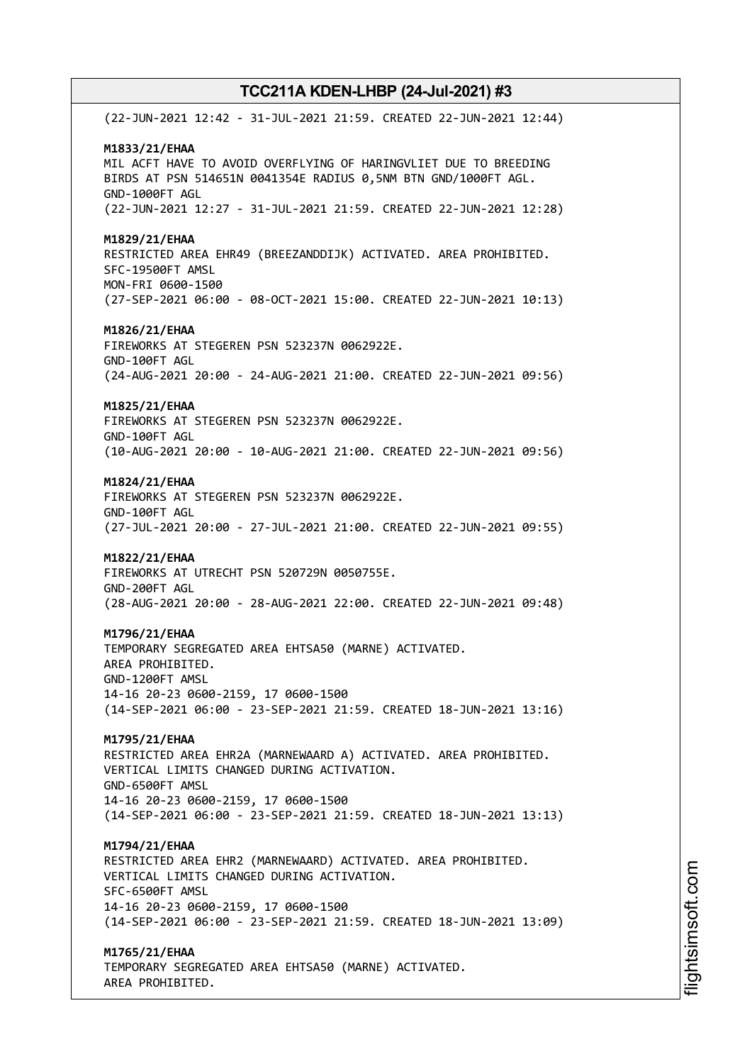(22-JUN-2021 12:42 - 31-JUL-2021 21:59. CREATED 22-JUN-2021 12:44) **M1833/21/EHAA** MIL ACFT HAVE TO AVOID OVERFLYING OF HARINGVLIET DUE TO BREEDING BIRDS AT PSN 514651N 0041354E RADIUS 0,5NM BTN GND/1000FT AGL. GND-1000FT AGL (22-JUN-2021 12:27 - 31-JUL-2021 21:59. CREATED 22-JUN-2021 12:28) **M1829/21/EHAA** RESTRICTED AREA EHR49 (BREEZANDDIJK) ACTIVATED. AREA PROHIBITED. SFC-19500FT AMSL MON-FRI 0600-1500 (27-SEP-2021 06:00 - 08-OCT-2021 15:00. CREATED 22-JUN-2021 10:13) **M1826/21/EHAA** FIREWORKS AT STEGEREN PSN 523237N 0062922E. GND-100FT AGL (24-AUG-2021 20:00 - 24-AUG-2021 21:00. CREATED 22-JUN-2021 09:56) **M1825/21/EHAA** FIREWORKS AT STEGEREN PSN 523237N 0062922E. GND-100FT AGL (10-AUG-2021 20:00 - 10-AUG-2021 21:00. CREATED 22-JUN-2021 09:56) **M1824/21/EHAA** FIREWORKS AT STEGEREN PSN 523237N 0062922E. GND-100FT AGL (27-JUL-2021 20:00 - 27-JUL-2021 21:00. CREATED 22-JUN-2021 09:55) **M1822/21/EHAA** FIREWORKS AT UTRECHT PSN 520729N 0050755E. GND-200FT AGL (28-AUG-2021 20:00 - 28-AUG-2021 22:00. CREATED 22-JUN-2021 09:48) **M1796/21/EHAA** TEMPORARY SEGREGATED AREA EHTSA50 (MARNE) ACTIVATED. AREA PROHIBITED. GND-1200FT AMSL 14-16 20-23 0600-2159, 17 0600-1500 (14-SEP-2021 06:00 - 23-SEP-2021 21:59. CREATED 18-JUN-2021 13:16) **M1795/21/EHAA** RESTRICTED AREA EHR2A (MARNEWAARD A) ACTIVATED. AREA PROHIBITED. VERTICAL LIMITS CHANGED DURING ACTIVATION. GND-6500FT AMSL 14-16 20-23 0600-2159, 17 0600-1500 (14-SEP-2021 06:00 - 23-SEP-2021 21:59. CREATED 18-JUN-2021 13:13) **M1794/21/EHAA** RESTRICTED AREA EHR2 (MARNEWAARD) ACTIVATED. AREA PROHIBITED. VERTICAL LIMITS CHANGED DURING ACTIVATION. SFC-6500FT AMSL 14-16 20-23 0600-2159, 17 0600-1500 (14-SEP-2021 06:00 - 23-SEP-2021 21:59. CREATED 18-JUN-2021 13:09) **M1765/21/EHAA** TEMPORARY SEGREGATED AREA EHTSA50 (MARNE) ACTIVATED.

AREA PROHIBITED.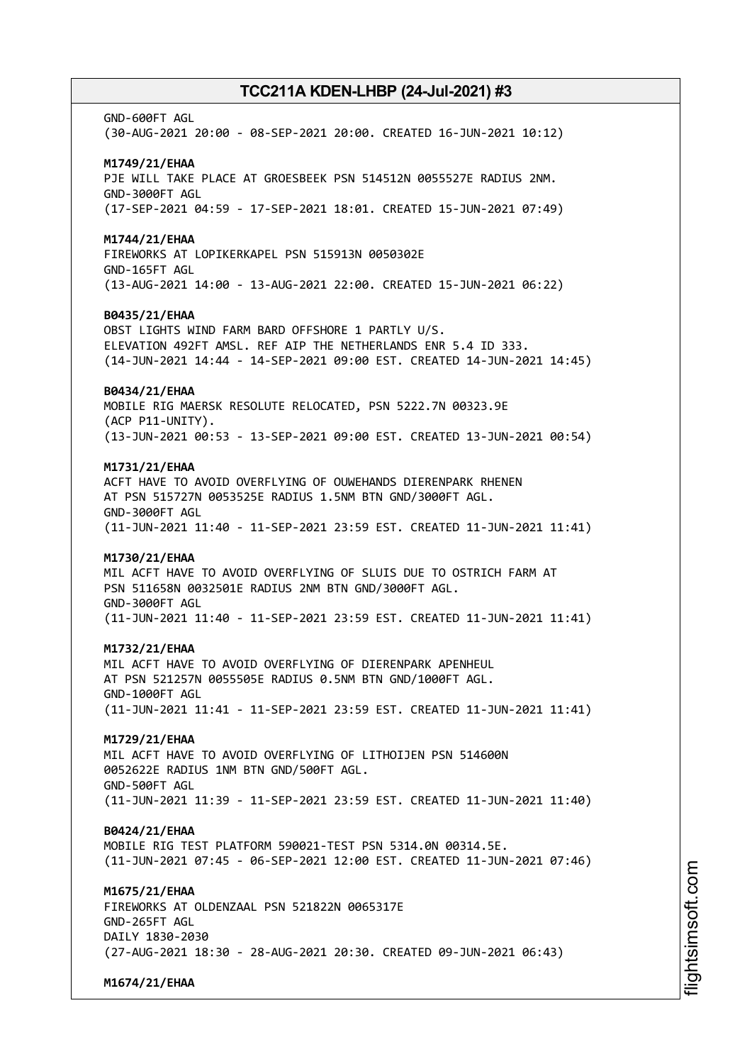GND-600FT AGL (30-AUG-2021 20:00 - 08-SEP-2021 20:00. CREATED 16-JUN-2021 10:12) **M1749/21/EHAA** PJE WILL TAKE PLACE AT GROESBEEK PSN 514512N 0055527E RADIUS 2NM. GND-3000FT AGL (17-SEP-2021 04:59 - 17-SEP-2021 18:01. CREATED 15-JUN-2021 07:49) **M1744/21/EHAA** FIREWORKS AT LOPIKERKAPEL PSN 515913N 0050302E GND-165FT AGL (13-AUG-2021 14:00 - 13-AUG-2021 22:00. CREATED 15-JUN-2021 06:22) **B0435/21/EHAA** OBST LIGHTS WIND FARM BARD OFFSHORE 1 PARTLY U/S. ELEVATION 492FT AMSL. REF AIP THE NETHERLANDS ENR 5.4 ID 333. (14-JUN-2021 14:44 - 14-SEP-2021 09:00 EST. CREATED 14-JUN-2021 14:45) **B0434/21/EHAA** MOBILE RIG MAERSK RESOLUTE RELOCATED, PSN 5222.7N 00323.9E (ACP P11-UNITY). (13-JUN-2021 00:53 - 13-SEP-2021 09:00 EST. CREATED 13-JUN-2021 00:54) **M1731/21/EHAA** ACFT HAVE TO AVOID OVERFLYING OF OUWEHANDS DIERENPARK RHENEN AT PSN 515727N 0053525E RADIUS 1.5NM BTN GND/3000FT AGL. GND-3000FT AGL (11-JUN-2021 11:40 - 11-SEP-2021 23:59 EST. CREATED 11-JUN-2021 11:41) **M1730/21/EHAA** MIL ACFT HAVE TO AVOID OVERFLYING OF SLUIS DUE TO OSTRICH FARM AT PSN 511658N 0032501E RADIUS 2NM BTN GND/3000FT AGL. GND-3000FT AGL (11-JUN-2021 11:40 - 11-SEP-2021 23:59 EST. CREATED 11-JUN-2021 11:41) **M1732/21/EHAA** MIL ACFT HAVE TO AVOID OVERFLYING OF DIERENPARK APENHEUL AT PSN 521257N 0055505E RADIUS 0.5NM BTN GND/1000FT AGL. GND-1000FT AGL (11-JUN-2021 11:41 - 11-SEP-2021 23:59 EST. CREATED 11-JUN-2021 11:41) **M1729/21/EHAA** MIL ACFT HAVE TO AVOID OVERFLYING OF LITHOIJEN PSN 514600N 0052622E RADIUS 1NM BTN GND/500FT AGL. GND-500FT AGL (11-JUN-2021 11:39 - 11-SEP-2021 23:59 EST. CREATED 11-JUN-2021 11:40) **B0424/21/EHAA** MOBILE RIG TEST PLATFORM 590021-TEST PSN 5314.0N 00314.5E. (11-JUN-2021 07:45 - 06-SEP-2021 12:00 EST. CREATED 11-JUN-2021 07:46) **M1675/21/EHAA** FIREWORKS AT OLDENZAAL PSN 521822N 0065317E GND-265FT AGL DAILY 1830-2030 (27-AUG-2021 18:30 - 28-AUG-2021 20:30. CREATED 09-JUN-2021 06:43)

**M1674/21/EHAA**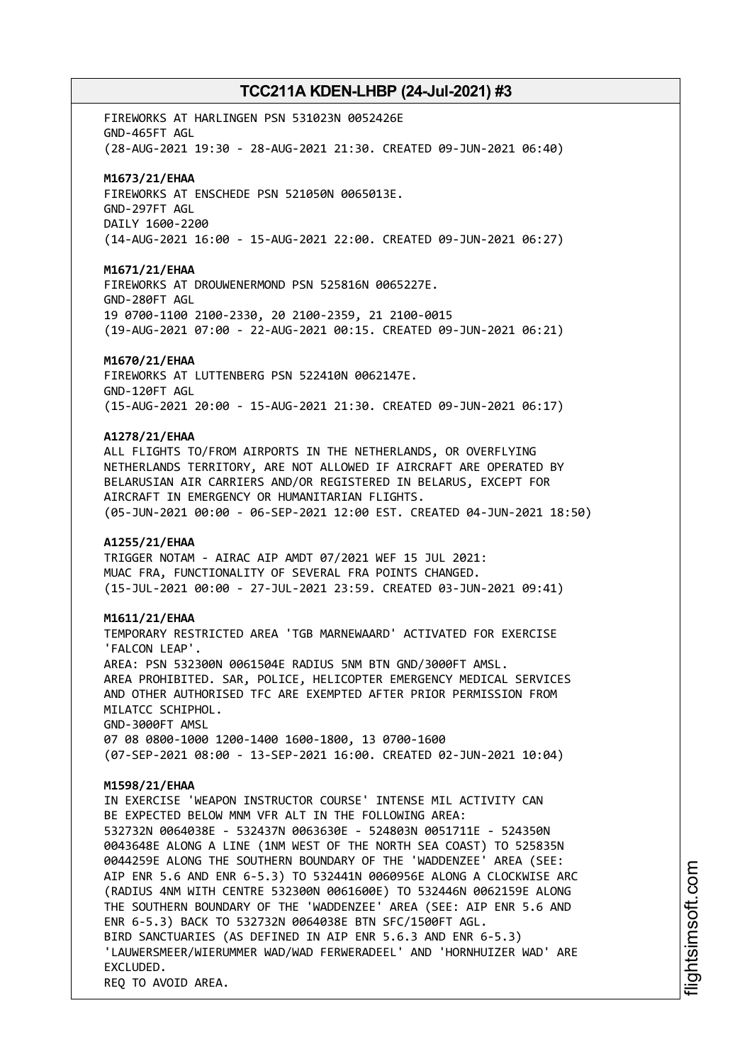FIREWORKS AT HARLINGEN PSN 531023N 0052426E GND-465FT AGL (28-AUG-2021 19:30 - 28-AUG-2021 21:30. CREATED 09-JUN-2021 06:40)

#### **M1673/21/EHAA**

FIREWORKS AT ENSCHEDE PSN 521050N 0065013E. GND-297FT AGL DAILY 1600-2200 (14-AUG-2021 16:00 - 15-AUG-2021 22:00. CREATED 09-JUN-2021 06:27)

### **M1671/21/EHAA**

FIREWORKS AT DROUWENERMOND PSN 525816N 0065227E. GND-280FT AGL 19 0700-1100 2100-2330, 20 2100-2359, 21 2100-0015 (19-AUG-2021 07:00 - 22-AUG-2021 00:15. CREATED 09-JUN-2021 06:21)

#### **M1670/21/EHAA**

FIREWORKS AT LUTTENBERG PSN 522410N 0062147E. GND-120FT AGL (15-AUG-2021 20:00 - 15-AUG-2021 21:30. CREATED 09-JUN-2021 06:17)

### **A1278/21/EHAA**

ALL FLIGHTS TO/FROM AIRPORTS IN THE NETHERLANDS, OR OVERFLYING NETHERLANDS TERRITORY, ARE NOT ALLOWED IF AIRCRAFT ARE OPERATED BY BELARUSIAN AIR CARRIERS AND/OR REGISTERED IN BELARUS, EXCEPT FOR AIRCRAFT IN EMERGENCY OR HUMANITARIAN FLIGHTS. (05-JUN-2021 00:00 - 06-SEP-2021 12:00 EST. CREATED 04-JUN-2021 18:50)

#### **A1255/21/EHAA**

TRIGGER NOTAM - AIRAC AIP AMDT 07/2021 WEF 15 JUL 2021: MUAC FRA, FUNCTIONALITY OF SEVERAL FRA POINTS CHANGED. (15-JUL-2021 00:00 - 27-JUL-2021 23:59. CREATED 03-JUN-2021 09:41)

### **M1611/21/EHAA**

TEMPORARY RESTRICTED AREA 'TGB MARNEWAARD' ACTIVATED FOR EXERCISE 'FALCON LEAP'. AREA: PSN 532300N 0061504E RADIUS 5NM BTN GND/3000FT AMSL. AREA PROHIBITED. SAR, POLICE, HELICOPTER EMERGENCY MEDICAL SERVICES AND OTHER AUTHORISED TFC ARE EXEMPTED AFTER PRIOR PERMISSION FROM MILATCC SCHIPHOL. GND-3000FT AMSL 07 08 0800-1000 1200-1400 1600-1800, 13 0700-1600 (07-SEP-2021 08:00 - 13-SEP-2021 16:00. CREATED 02-JUN-2021 10:04)

#### **M1598/21/EHAA**

IN EXERCISE 'WEAPON INSTRUCTOR COURSE' INTENSE MIL ACTIVITY CAN BE EXPECTED BELOW MNM VFR ALT IN THE FOLLOWING AREA: 532732N 0064038E - 532437N 0063630E - 524803N 0051711E - 524350N 0043648E ALONG A LINE (1NM WEST OF THE NORTH SEA COAST) TO 525835N 0044259E ALONG THE SOUTHERN BOUNDARY OF THE 'WADDENZEE' AREA (SEE: AIP ENR 5.6 AND ENR 6-5.3) TO 532441N 0060956E ALONG A CLOCKWISE ARC (RADIUS 4NM WITH CENTRE 532300N 0061600E) TO 532446N 0062159E ALONG THE SOUTHERN BOUNDARY OF THE 'WADDENZEE' AREA (SEE: AIP ENR 5.6 AND ENR 6-5.3) BACK TO 532732N 0064038E BTN SFC/1500FT AGL. BIRD SANCTUARIES (AS DEFINED IN AIP ENR 5.6.3 AND ENR 6-5.3) 'LAUWERSMEER/WIERUMMER WAD/WAD FERWERADEEL' AND 'HORNHUIZER WAD' ARE EXCLUDED. REQ TO AVOID AREA.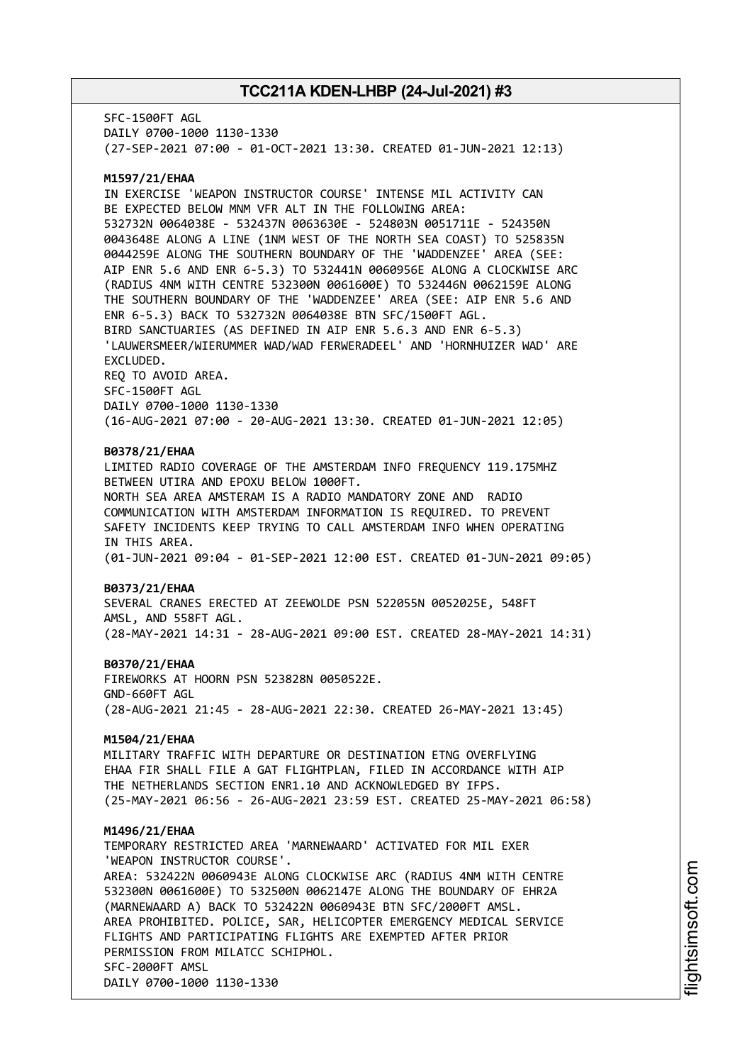SFC-1500FT AGL DAILY 0700-1000 1130-1330 (27-SEP-2021 07:00 - 01-OCT-2021 13:30. CREATED 01-JUN-2021 12:13)

### **M1597/21/EHAA**

IN EXERCISE 'WEAPON INSTRUCTOR COURSE' INTENSE MIL ACTIVITY CAN BE EXPECTED BELOW MNM VFR ALT IN THE FOLLOWING AREA: 532732N 0064038E - 532437N 0063630E - 524803N 0051711E - 524350N 0043648E ALONG A LINE (1NM WEST OF THE NORTH SEA COAST) TO 525835N 0044259E ALONG THE SOUTHERN BOUNDARY OF THE 'WADDENZEE' AREA (SEE: AIP ENR 5.6 AND ENR 6-5.3) TO 532441N 0060956E ALONG A CLOCKWISE ARC (RADIUS 4NM WITH CENTRE 532300N 0061600E) TO 532446N 0062159E ALONG THE SOUTHERN BOUNDARY OF THE 'WADDENZEE' AREA (SEE: AIP ENR 5.6 AND ENR 6-5.3) BACK TO 532732N 0064038E BTN SFC/1500FT AGL. BIRD SANCTUARIES (AS DEFINED IN AIP ENR 5.6.3 AND ENR 6-5.3) 'LAUWERSMEER/WIERUMMER WAD/WAD FERWERADEEL' AND 'HORNHUIZER WAD' ARE EXCLUDED. REQ TO AVOID AREA. SFC-1500FT AGL DAILY 0700-1000 1130-1330 (16-AUG-2021 07:00 - 20-AUG-2021 13:30. CREATED 01-JUN-2021 12:05)

#### **B0378/21/EHAA**

LIMITED RADIO COVERAGE OF THE AMSTERDAM INFO FREQUENCY 119.175MHZ BETWEEN UTIRA AND EPOXU BELOW 1000FT. NORTH SEA AREA AMSTERAM IS A RADIO MANDATORY ZONE AND RADIO COMMUNICATION WITH AMSTERDAM INFORMATION IS REQUIRED. TO PREVENT SAFETY INCIDENTS KEEP TRYING TO CALL AMSTERDAM INFO WHEN OPERATING IN THIS AREA. (01-JUN-2021 09:04 - 01-SEP-2021 12:00 EST. CREATED 01-JUN-2021 09:05)

#### **B0373/21/EHAA**

SEVERAL CRANES ERECTED AT ZEEWOLDE PSN 522055N 0052025E, 548FT AMSL, AND 558FT AGL. (28-MAY-2021 14:31 - 28-AUG-2021 09:00 EST. CREATED 28-MAY-2021 14:31)

#### **B0370/21/EHAA**

FIREWORKS AT HOORN PSN 523828N 0050522E. GND-660FT AGL (28-AUG-2021 21:45 - 28-AUG-2021 22:30. CREATED 26-MAY-2021 13:45)

#### **M1504/21/EHAA**

MILITARY TRAFFIC WITH DEPARTURE OR DESTINATION ETNG OVERFLYING EHAA FIR SHALL FILE A GAT FLIGHTPLAN, FILED IN ACCORDANCE WITH AIP THE NETHERLANDS SECTION ENR1.10 AND ACKNOWLEDGED BY IFPS. (25-MAY-2021 06:56 - 26-AUG-2021 23:59 EST. CREATED 25-MAY-2021 06:58)

#### **M1496/21/EHAA**

TEMPORARY RESTRICTED AREA 'MARNEWAARD' ACTIVATED FOR MIL EXER 'WEAPON INSTRUCTOR COURSE'. AREA: 532422N 0060943E ALONG CLOCKWISE ARC (RADIUS 4NM WITH CENTRE 532300N 0061600E) TO 532500N 0062147E ALONG THE BOUNDARY OF EHR2A (MARNEWAARD A) BACK TO 532422N 0060943E BTN SFC/2000FT AMSL. AREA PROHIBITED. POLICE, SAR, HELICOPTER EMERGENCY MEDICAL SERVICE FLIGHTS AND PARTICIPATING FLIGHTS ARE EXEMPTED AFTER PRIOR PERMISSION FROM MILATCC SCHIPHOL. SFC-2000FT AMSL DAILY 0700-1000 1130-1330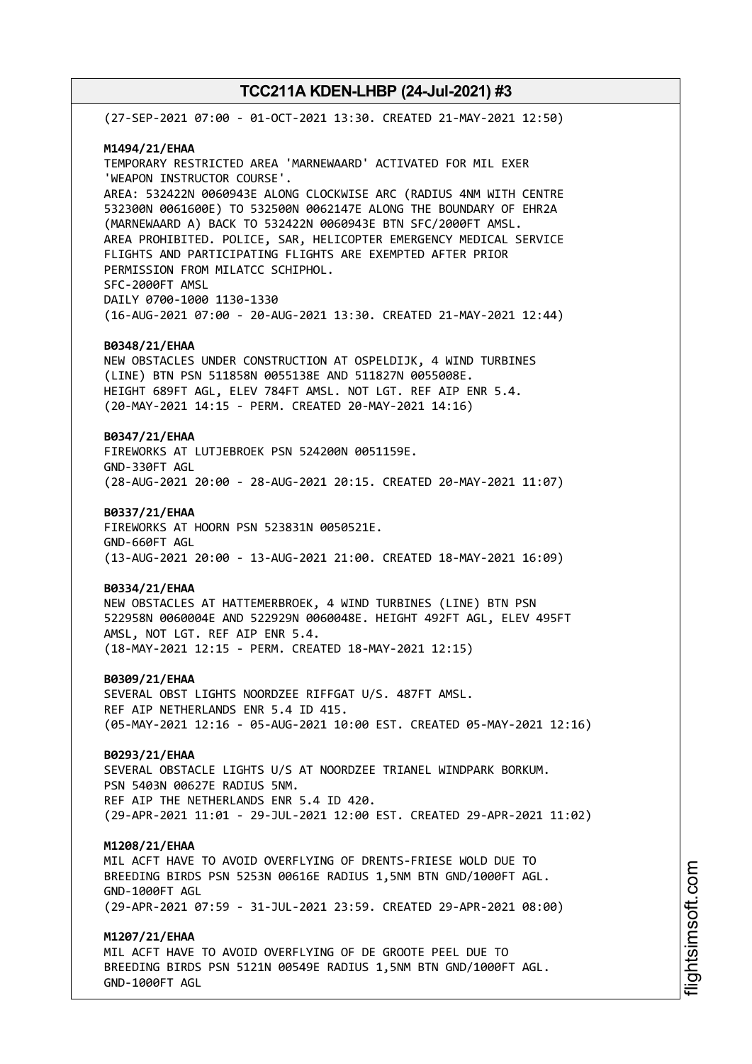(27-SEP-2021 07:00 - 01-OCT-2021 13:30. CREATED 21-MAY-2021 12:50) **M1494/21/EHAA** TEMPORARY RESTRICTED AREA 'MARNEWAARD' ACTIVATED FOR MIL EXER 'WEAPON INSTRUCTOR COURSE'. AREA: 532422N 0060943E ALONG CLOCKWISE ARC (RADIUS 4NM WITH CENTRE 532300N 0061600E) TO 532500N 0062147E ALONG THE BOUNDARY OF EHR2A (MARNEWAARD A) BACK TO 532422N 0060943E BTN SFC/2000FT AMSL. AREA PROHIBITED. POLICE, SAR, HELICOPTER EMERGENCY MEDICAL SERVICE FLIGHTS AND PARTICIPATING FLIGHTS ARE EXEMPTED AFTER PRIOR PERMISSION FROM MILATCC SCHIPHOL. SFC-2000FT AMSL DAILY 0700-1000 1130-1330 (16-AUG-2021 07:00 - 20-AUG-2021 13:30. CREATED 21-MAY-2021 12:44) **B0348/21/EHAA** NEW OBSTACLES UNDER CONSTRUCTION AT OSPELDIJK, 4 WIND TURBINES (LINE) BTN PSN 511858N 0055138E AND 511827N 0055008E. HEIGHT 689FT AGL, ELEV 784FT AMSL. NOT LGT. REF AIP ENR 5.4. (20-MAY-2021 14:15 - PERM. CREATED 20-MAY-2021 14:16) **B0347/21/EHAA** FIREWORKS AT LUTJEBROEK PSN 524200N 0051159E. GND-330FT AGL (28-AUG-2021 20:00 - 28-AUG-2021 20:15. CREATED 20-MAY-2021 11:07) **B0337/21/EHAA** FIREWORKS AT HOORN PSN 523831N 0050521E. GND-660FT AGL (13-AUG-2021 20:00 - 13-AUG-2021 21:00. CREATED 18-MAY-2021 16:09) **B0334/21/EHAA** NEW OBSTACLES AT HATTEMERBROEK, 4 WIND TURBINES (LINE) BTN PSN 522958N 0060004E AND 522929N 0060048E. HEIGHT 492FT AGL, ELEV 495FT AMSL, NOT LGT. REF AIP ENR 5.4. (18-MAY-2021 12:15 - PERM. CREATED 18-MAY-2021 12:15) **B0309/21/EHAA** SEVERAL OBST LIGHTS NOORDZEE RIFFGAT U/S. 487FT AMSL. REF AIP NETHERLANDS ENR 5.4 ID 415. (05-MAY-2021 12:16 - 05-AUG-2021 10:00 EST. CREATED 05-MAY-2021 12:16) **B0293/21/EHAA** SEVERAL OBSTACLE LIGHTS U/S AT NOORDZEE TRIANEL WINDPARK BORKUM. PSN 5403N 00627E RADIUS 5NM. REF AIP THE NETHERLANDS ENR 5.4 ID 420. (29-APR-2021 11:01 - 29-JUL-2021 12:00 EST. CREATED 29-APR-2021 11:02) **M1208/21/EHAA** MIL ACFT HAVE TO AVOID OVERFLYING OF DRENTS-FRIESE WOLD DUE TO BREEDING BIRDS PSN 5253N 00616E RADIUS 1,5NM BTN GND/1000FT AGL. GND-1000FT AGL (29-APR-2021 07:59 - 31-JUL-2021 23:59. CREATED 29-APR-2021 08:00) **M1207/21/EHAA** MIL ACFT HAVE TO AVOID OVERFLYING OF DE GROOTE PEEL DUE TO BREEDING BIRDS PSN 5121N 00549E RADIUS 1,5NM BTN GND/1000FT AGL. GND-1000FT AGL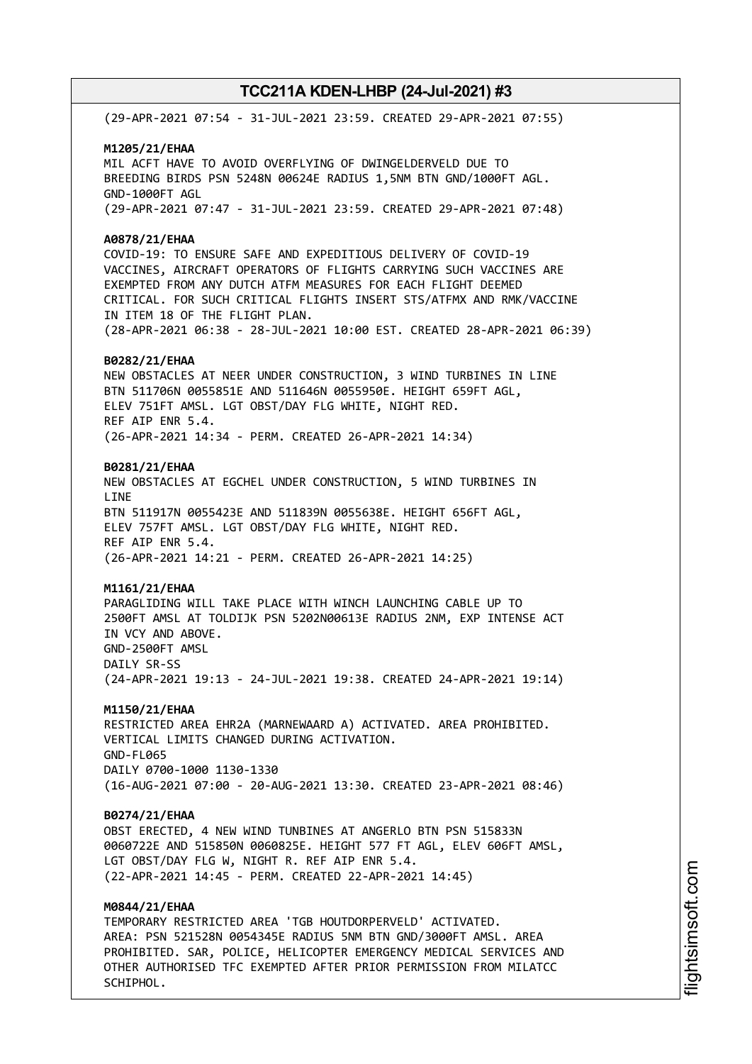(29-APR-2021 07:54 - 31-JUL-2021 23:59. CREATED 29-APR-2021 07:55) **M1205/21/EHAA** MIL ACFT HAVE TO AVOID OVERFLYING OF DWINGELDERVELD DUE TO BREEDING BIRDS PSN 5248N 00624E RADIUS 1,5NM BTN GND/1000FT AGL. GND-1000FT AGL (29-APR-2021 07:47 - 31-JUL-2021 23:59. CREATED 29-APR-2021 07:48) **A0878/21/EHAA** COVID-19: TO ENSURE SAFE AND EXPEDITIOUS DELIVERY OF COVID-19 VACCINES, AIRCRAFT OPERATORS OF FLIGHTS CARRYING SUCH VACCINES ARE EXEMPTED FROM ANY DUTCH ATFM MEASURES FOR EACH FLIGHT DEEMED CRITICAL. FOR SUCH CRITICAL FLIGHTS INSERT STS/ATFMX AND RMK/VACCINE IN ITEM 18 OF THE FLIGHT PLAN. (28-APR-2021 06:38 - 28-JUL-2021 10:00 EST. CREATED 28-APR-2021 06:39) **B0282/21/EHAA** NEW OBSTACLES AT NEER UNDER CONSTRUCTION, 3 WIND TURBINES IN LINE BTN 511706N 0055851E AND 511646N 0055950E. HEIGHT 659FT AGL, ELEV 751FT AMSL. LGT OBST/DAY FLG WHITE, NIGHT RED. REF AIP ENR 5.4. (26-APR-2021 14:34 - PERM. CREATED 26-APR-2021 14:34) **B0281/21/EHAA** NEW OBSTACLES AT EGCHEL UNDER CONSTRUCTION, 5 WIND TURBINES IN LINE BTN 511917N 0055423E AND 511839N 0055638E. HEIGHT 656FT AGL, ELEV 757FT AMSL. LGT OBST/DAY FLG WHITE, NIGHT RED. REF AIP ENR 5.4. (26-APR-2021 14:21 - PERM. CREATED 26-APR-2021 14:25) **M1161/21/EHAA** PARAGLIDING WILL TAKE PLACE WITH WINCH LAUNCHING CABLE UP TO 2500FT AMSL AT TOLDIJK PSN 5202N00613E RADIUS 2NM, EXP INTENSE ACT IN VCY AND ABOVE. GND-2500FT AMSL DAILY SR-SS (24-APR-2021 19:13 - 24-JUL-2021 19:38. CREATED 24-APR-2021 19:14) **M1150/21/EHAA** RESTRICTED AREA EHR2A (MARNEWAARD A) ACTIVATED. AREA PROHIBITED. VERTICAL LIMITS CHANGED DURING ACTIVATION. GND-FL065 DAILY 0700-1000 1130-1330 (16-AUG-2021 07:00 - 20-AUG-2021 13:30. CREATED 23-APR-2021 08:46)

#### **B0274/21/EHAA**

OBST ERECTED, 4 NEW WIND TUNBINES AT ANGERLO BTN PSN 515833N 0060722E AND 515850N 0060825E. HEIGHT 577 FT AGL, ELEV 606FT AMSL, LGT OBST/DAY FLG W, NIGHT R. REF AIP ENR 5.4. (22-APR-2021 14:45 - PERM. CREATED 22-APR-2021 14:45)

### **M0844/21/EHAA**

TEMPORARY RESTRICTED AREA 'TGB HOUTDORPERVELD' ACTIVATED. AREA: PSN 521528N 0054345E RADIUS 5NM BTN GND/3000FT AMSL. AREA PROHIBITED. SAR, POLICE, HELICOPTER EMERGENCY MEDICAL SERVICES AND OTHER AUTHORISED TFC EXEMPTED AFTER PRIOR PERMISSION FROM MILATCC SCHIPHOL.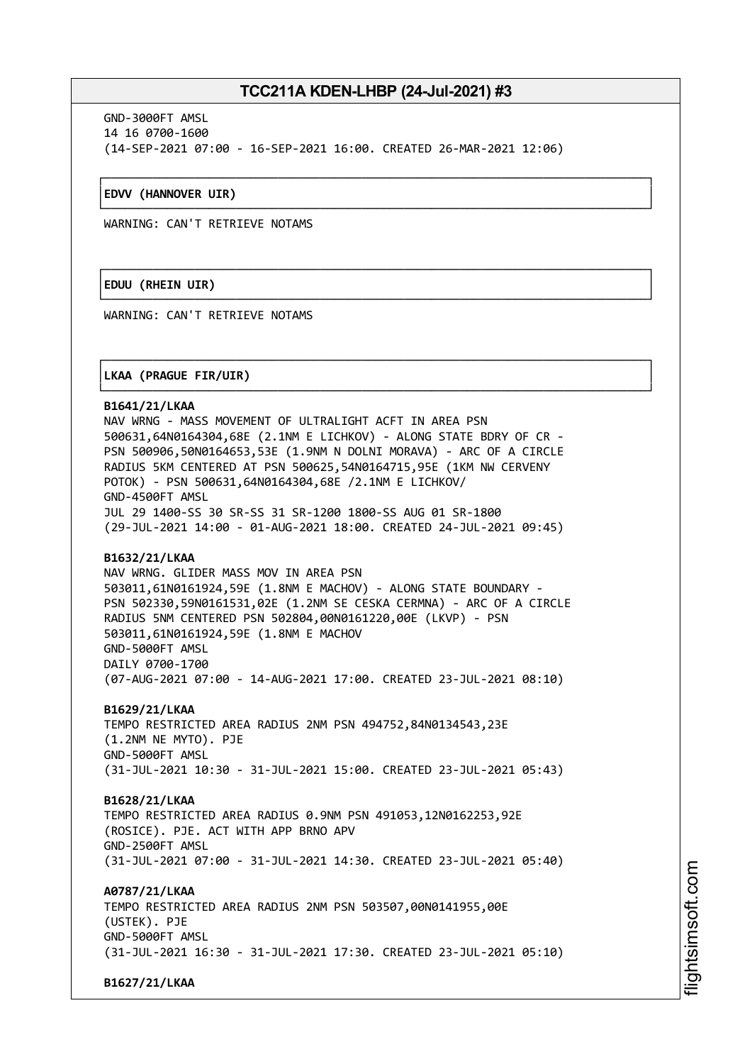┌──────────────────────────────────────────────────────────────────────────────┐

└──────────────────────────────────────────────────────────────────────────────┘

┌──────────────────────────────────────────────────────────────────────────────┐

└──────────────────────────────────────────────────────────────────────────────┘

┌──────────────────────────────────────────────────────────────────────────────┐

└──────────────────────────────────────────────────────────────────────────────┘

GND-3000FT AMSL 14 16 0700-1600 (14-SEP-2021 07:00 - 16-SEP-2021 16:00. CREATED 26-MAR-2021 12:06)

#### │**EDVV (HANNOVER UIR)** │

WARNING: CAN'T RETRIEVE NOTAMS

### │**EDUU (RHEIN UIR)** │

WARNING: CAN'T RETRIEVE NOTAMS

### │**LKAA (PRAGUE FIR/UIR)** │

#### **B1641/21/LKAA**

NAV WRNG - MASS MOVEMENT OF ULTRALIGHT ACFT IN AREA PSN 500631,64N0164304,68E (2.1NM E LICHKOV) - ALONG STATE BDRY OF CR - PSN 500906,50N0164653,53E (1.9NM N DOLNI MORAVA) - ARC OF A CIRCLE RADIUS 5KM CENTERED AT PSN 500625,54N0164715,95E (1KM NW CERVENY POTOK) - PSN 500631,64N0164304,68E /2.1NM E LICHKOV/ GND-4500FT AMSL JUL 29 1400-SS 30 SR-SS 31 SR-1200 1800-SS AUG 01 SR-1800 (29-JUL-2021 14:00 - 01-AUG-2021 18:00. CREATED 24-JUL-2021 09:45)

#### **B1632/21/LKAA**

NAV WRNG. GLIDER MASS MOV IN AREA PSN 503011,61N0161924,59E (1.8NM E MACHOV) - ALONG STATE BOUNDARY - PSN 502330,59N0161531,02E (1.2NM SE CESKA CERMNA) - ARC OF A CIRCLE RADIUS 5NM CENTERED PSN 502804,00N0161220,00E (LKVP) - PSN 503011,61N0161924,59E (1.8NM E MACHOV GND-5000FT AMSL DAILY 0700-1700 (07-AUG-2021 07:00 - 14-AUG-2021 17:00. CREATED 23-JUL-2021 08:10)

**B1629/21/LKAA** TEMPO RESTRICTED AREA RADIUS 2NM PSN 494752,84N0134543,23E (1.2NM NE MYTO). PJE GND-5000FT AMSL (31-JUL-2021 10:30 - 31-JUL-2021 15:00. CREATED 23-JUL-2021 05:43)

**B1628/21/LKAA** TEMPO RESTRICTED AREA RADIUS 0.9NM PSN 491053,12N0162253,92E (ROSICE). PJE. ACT WITH APP BRNO APV GND-2500FT AMSL (31-JUL-2021 07:00 - 31-JUL-2021 14:30. CREATED 23-JUL-2021 05:40)

**A0787/21/LKAA** TEMPO RESTRICTED AREA RADIUS 2NM PSN 503507,00N0141955,00E (USTEK). PJE GND-5000FT AMSL (31-JUL-2021 16:30 - 31-JUL-2021 17:30. CREATED 23-JUL-2021 05:10)

**B1627/21/LKAA**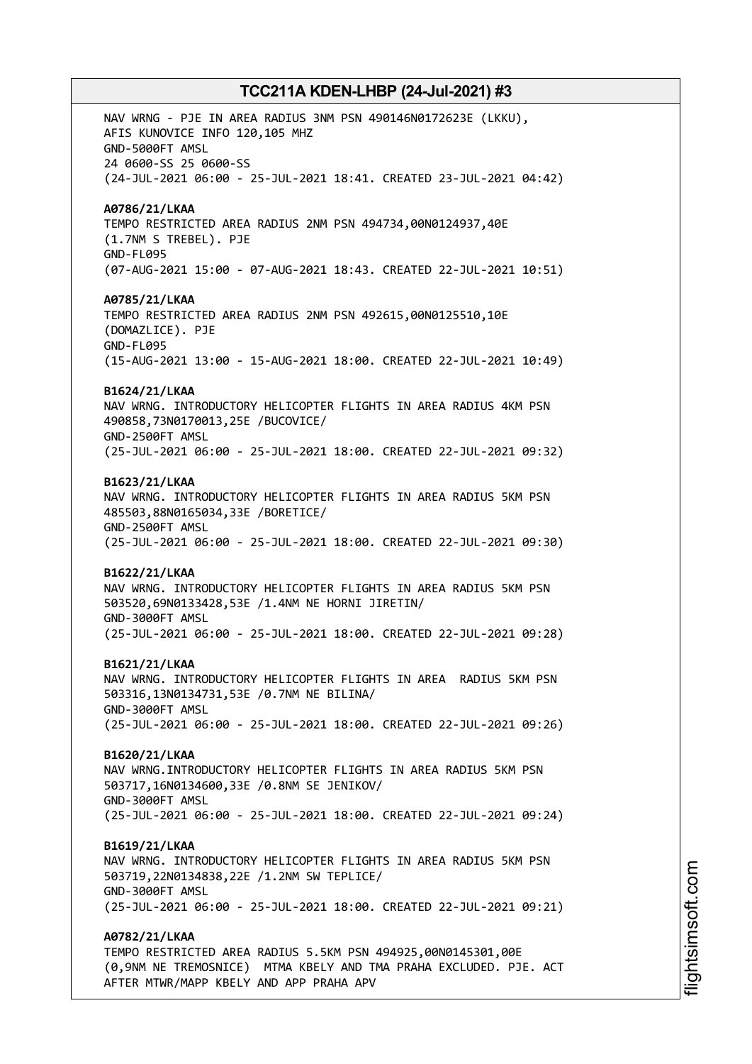NAV WRNG - PJE IN AREA RADIUS 3NM PSN 490146N0172623E (LKKU), AFIS KUNOVICE INFO 120,105 MHZ GND-5000FT AMSL 24 0600-SS 25 0600-SS (24-JUL-2021 06:00 - 25-JUL-2021 18:41. CREATED 23-JUL-2021 04:42) **A0786/21/LKAA** TEMPO RESTRICTED AREA RADIUS 2NM PSN 494734,00N0124937,40E (1.7NM S TREBEL). PJE GND-FL095 (07-AUG-2021 15:00 - 07-AUG-2021 18:43. CREATED 22-JUL-2021 10:51) **A0785/21/LKAA** TEMPO RESTRICTED AREA RADIUS 2NM PSN 492615,00N0125510,10E (DOMAZLICE). PJE GND-FL095 (15-AUG-2021 13:00 - 15-AUG-2021 18:00. CREATED 22-JUL-2021 10:49) **B1624/21/LKAA** NAV WRNG. INTRODUCTORY HELICOPTER FLIGHTS IN AREA RADIUS 4KM PSN 490858,73N0170013,25E /BUCOVICE/ GND-2500FT AMSL (25-JUL-2021 06:00 - 25-JUL-2021 18:00. CREATED 22-JUL-2021 09:32) **B1623/21/LKAA** NAV WRNG. INTRODUCTORY HELICOPTER FLIGHTS IN AREA RADIUS 5KM PSN 485503,88N0165034,33E /BORETICE/ GND-2500FT AMSL (25-JUL-2021 06:00 - 25-JUL-2021 18:00. CREATED 22-JUL-2021 09:30) **B1622/21/LKAA** NAV WRNG. INTRODUCTORY HELICOPTER FLIGHTS IN AREA RADIUS 5KM PSN 503520,69N0133428,53E /1.4NM NE HORNI JIRETIN/ GND-3000FT AMSL (25-JUL-2021 06:00 - 25-JUL-2021 18:00. CREATED 22-JUL-2021 09:28) **B1621/21/LKAA** NAV WRNG. INTRODUCTORY HELICOPTER FLIGHTS IN AREA RADIUS 5KM PSN 503316,13N0134731,53E /0.7NM NE BILINA/ GND-3000FT AMSL (25-JUL-2021 06:00 - 25-JUL-2021 18:00. CREATED 22-JUL-2021 09:26) **B1620/21/LKAA** NAV WRNG.INTRODUCTORY HELICOPTER FLIGHTS IN AREA RADIUS 5KM PSN 503717,16N0134600,33E /0.8NM SE JENIKOV/ GND-3000FT AMSL (25-JUL-2021 06:00 - 25-JUL-2021 18:00. CREATED 22-JUL-2021 09:24) **B1619/21/LKAA** NAV WRNG. INTRODUCTORY HELICOPTER FLIGHTS IN AREA RADIUS 5KM PSN 503719,22N0134838,22E /1.2NM SW TEPLICE/ GND-3000FT AMSL (25-JUL-2021 06:00 - 25-JUL-2021 18:00. CREATED 22-JUL-2021 09:21) **A0782/21/LKAA** TEMPO RESTRICTED AREA RADIUS 5.5KM PSN 494925,00N0145301,00E (0,9NM NE TREMOSNICE) MTMA KBELY AND TMA PRAHA EXCLUDED. PJE. ACT AFTER MTWR/MAPP KBELY AND APP PRAHA APV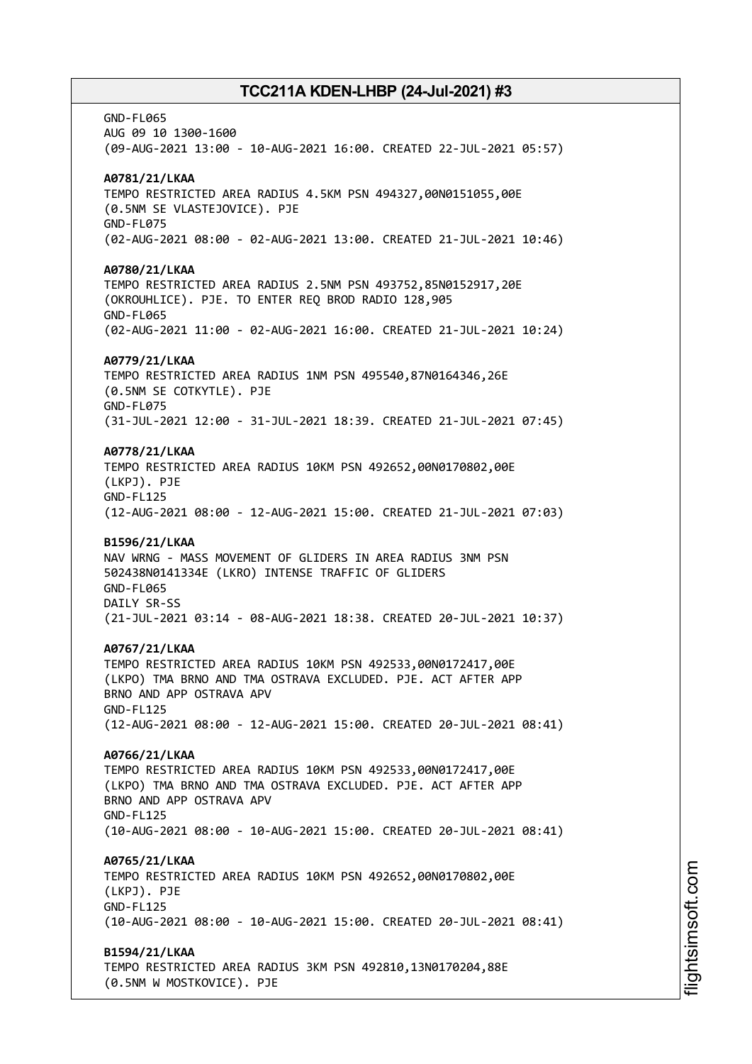GND-FL065 AUG 09 10 1300-1600 (09-AUG-2021 13:00 - 10-AUG-2021 16:00. CREATED 22-JUL-2021 05:57) **A0781/21/LKAA** TEMPO RESTRICTED AREA RADIUS 4.5KM PSN 494327,00N0151055,00E (0.5NM SE VLASTEJOVICE). PJE GND-FL075 (02-AUG-2021 08:00 - 02-AUG-2021 13:00. CREATED 21-JUL-2021 10:46) **A0780/21/LKAA** TEMPO RESTRICTED AREA RADIUS 2.5NM PSN 493752,85N0152917,20E (OKROUHLICE). PJE. TO ENTER REQ BROD RADIO 128,905 GND-FL065 (02-AUG-2021 11:00 - 02-AUG-2021 16:00. CREATED 21-JUL-2021 10:24) **A0779/21/LKAA** TEMPO RESTRICTED AREA RADIUS 1NM PSN 495540,87N0164346,26E (0.5NM SE COTKYTLE). PJE GND-FL075 (31-JUL-2021 12:00 - 31-JUL-2021 18:39. CREATED 21-JUL-2021 07:45) **A0778/21/LKAA** TEMPO RESTRICTED AREA RADIUS 10KM PSN 492652,00N0170802,00E (LKPJ). PJE GND-FL125 (12-AUG-2021 08:00 - 12-AUG-2021 15:00. CREATED 21-JUL-2021 07:03) **B1596/21/LKAA** NAV WRNG - MASS MOVEMENT OF GLIDERS IN AREA RADIUS 3NM PSN 502438N0141334E (LKRO) INTENSE TRAFFIC OF GLIDERS GND-FL065 DAILY SR-SS (21-JUL-2021 03:14 - 08-AUG-2021 18:38. CREATED 20-JUL-2021 10:37) **A0767/21/LKAA** TEMPO RESTRICTED AREA RADIUS 10KM PSN 492533,00N0172417,00E (LKPO) TMA BRNO AND TMA OSTRAVA EXCLUDED. PJE. ACT AFTER APP BRNO AND APP OSTRAVA APV GND-FL125 (12-AUG-2021 08:00 - 12-AUG-2021 15:00. CREATED 20-JUL-2021 08:41) **A0766/21/LKAA** TEMPO RESTRICTED AREA RADIUS 10KM PSN 492533,00N0172417,00E (LKPO) TMA BRNO AND TMA OSTRAVA EXCLUDED. PJE. ACT AFTER APP BRNO AND APP OSTRAVA APV GND-FL125 (10-AUG-2021 08:00 - 10-AUG-2021 15:00. CREATED 20-JUL-2021 08:41) **A0765/21/LKAA** TEMPO RESTRICTED AREA RADIUS 10KM PSN 492652,00N0170802,00E (LKPJ). PJE GND-FL125 (10-AUG-2021 08:00 - 10-AUG-2021 15:00. CREATED 20-JUL-2021 08:41) **B1594/21/LKAA** TEMPO RESTRICTED AREA RADIUS 3KM PSN 492810,13N0170204,88E (0.5NM W MOSTKOVICE). PJE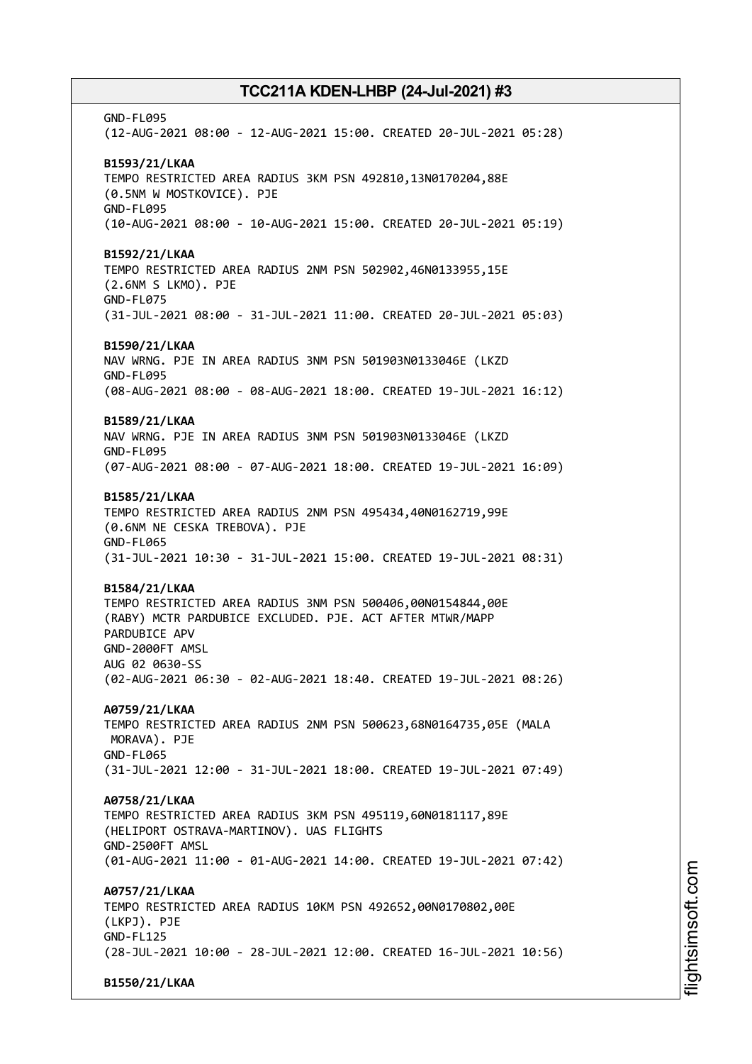GND-FL095 (12-AUG-2021 08:00 - 12-AUG-2021 15:00. CREATED 20-JUL-2021 05:28) **B1593/21/LKAA** TEMPO RESTRICTED AREA RADIUS 3KM PSN 492810,13N0170204,88E (0.5NM W MOSTKOVICE). PJE GND-FL095 (10-AUG-2021 08:00 - 10-AUG-2021 15:00. CREATED 20-JUL-2021 05:19) **B1592/21/LKAA** TEMPO RESTRICTED AREA RADIUS 2NM PSN 502902,46N0133955,15E (2.6NM S LKMO). PJE GND-FL075 (31-JUL-2021 08:00 - 31-JUL-2021 11:00. CREATED 20-JUL-2021 05:03) **B1590/21/LKAA** NAV WRNG. PJE IN AREA RADIUS 3NM PSN 501903N0133046E (LKZD GND-FL095 (08-AUG-2021 08:00 - 08-AUG-2021 18:00. CREATED 19-JUL-2021 16:12) **B1589/21/LKAA** NAV WRNG. PJE IN AREA RADIUS 3NM PSN 501903N0133046E (LKZD GND-FL095 (07-AUG-2021 08:00 - 07-AUG-2021 18:00. CREATED 19-JUL-2021 16:09) **B1585/21/LKAA** TEMPO RESTRICTED AREA RADIUS 2NM PSN 495434,40N0162719,99E (0.6NM NE CESKA TREBOVA). PJE GND-FL065 (31-JUL-2021 10:30 - 31-JUL-2021 15:00. CREATED 19-JUL-2021 08:31) **B1584/21/LKAA** TEMPO RESTRICTED AREA RADIUS 3NM PSN 500406,00N0154844,00E (RABY) MCTR PARDUBICE EXCLUDED. PJE. ACT AFTER MTWR/MAPP PARDUBICE APV GND-2000FT AMSL AUG 02 0630-SS (02-AUG-2021 06:30 - 02-AUG-2021 18:40. CREATED 19-JUL-2021 08:26) **A0759/21/LKAA** TEMPO RESTRICTED AREA RADIUS 2NM PSN 500623,68N0164735,05E (MALA MORAVA). PJE GND-FL065 (31-JUL-2021 12:00 - 31-JUL-2021 18:00. CREATED 19-JUL-2021 07:49) **A0758/21/LKAA** TEMPO RESTRICTED AREA RADIUS 3KM PSN 495119,60N0181117,89E (HELIPORT OSTRAVA-MARTINOV). UAS FLIGHTS GND-2500FT AMSL (01-AUG-2021 11:00 - 01-AUG-2021 14:00. CREATED 19-JUL-2021 07:42) **A0757/21/LKAA** TEMPO RESTRICTED AREA RADIUS 10KM PSN 492652,00N0170802,00E (LKPJ). PJE GND-FL125 (28-JUL-2021 10:00 - 28-JUL-2021 12:00. CREATED 16-JUL-2021 10:56) **B1550/21/LKAA**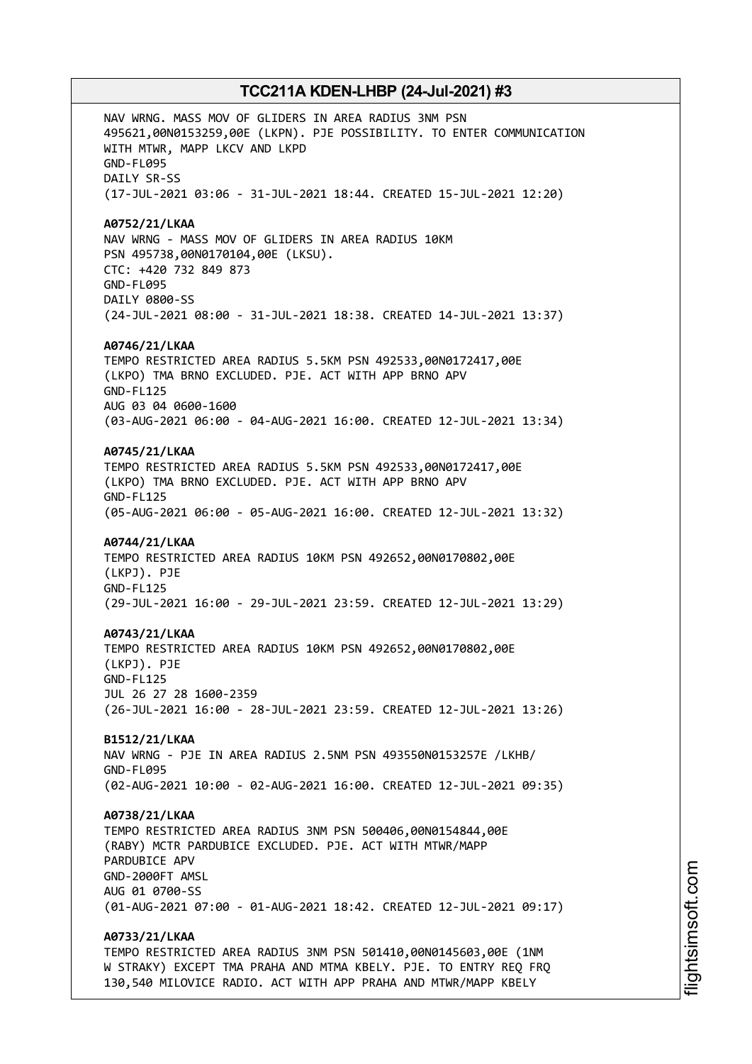NAV WRNG. MASS MOV OF GLIDERS IN AREA RADIUS 3NM PSN 495621,00N0153259,00E (LKPN). PJE POSSIBILITY. TO ENTER COMMUNICATION WITH MTWR, MAPP LKCV AND LKPD GND-FL095 DAILY SR-SS (17-JUL-2021 03:06 - 31-JUL-2021 18:44. CREATED 15-JUL-2021 12:20) **A0752/21/LKAA** NAV WRNG - MASS MOV OF GLIDERS IN AREA RADIUS 10KM PSN 495738,00N0170104,00E (LKSU). CTC: +420 732 849 873 GND-FL095 DAILY 0800-SS (24-JUL-2021 08:00 - 31-JUL-2021 18:38. CREATED 14-JUL-2021 13:37) **A0746/21/LKAA** TEMPO RESTRICTED AREA RADIUS 5.5KM PSN 492533,00N0172417,00E (LKPO) TMA BRNO EXCLUDED. PJE. ACT WITH APP BRNO APV GND-FL125 AUG 03 04 0600-1600 (03-AUG-2021 06:00 - 04-AUG-2021 16:00. CREATED 12-JUL-2021 13:34) **A0745/21/LKAA** TEMPO RESTRICTED AREA RADIUS 5.5KM PSN 492533,00N0172417,00E (LKPO) TMA BRNO EXCLUDED. PJE. ACT WITH APP BRNO APV GND-FL125 (05-AUG-2021 06:00 - 05-AUG-2021 16:00. CREATED 12-JUL-2021 13:32) **A0744/21/LKAA** TEMPO RESTRICTED AREA RADIUS 10KM PSN 492652,00N0170802,00E (LKPJ). PJE GND-FL125 (29-JUL-2021 16:00 - 29-JUL-2021 23:59. CREATED 12-JUL-2021 13:29) **A0743/21/LKAA** TEMPO RESTRICTED AREA RADIUS 10KM PSN 492652,00N0170802,00E (LKPJ). PJE GND-FL125 JUL 26 27 28 1600-2359 (26-JUL-2021 16:00 - 28-JUL-2021 23:59. CREATED 12-JUL-2021 13:26) **B1512/21/LKAA** NAV WRNG - PJE IN AREA RADIUS 2.5NM PSN 493550N0153257E /LKHB/ GND-FL095 (02-AUG-2021 10:00 - 02-AUG-2021 16:00. CREATED 12-JUL-2021 09:35) **A0738/21/LKAA** TEMPO RESTRICTED AREA RADIUS 3NM PSN 500406,00N0154844,00E (RABY) MCTR PARDUBICE EXCLUDED. PJE. ACT WITH MTWR/MAPP PARDUBICE APV GND-2000FT AMSL AUG 01 0700-SS (01-AUG-2021 07:00 - 01-AUG-2021 18:42. CREATED 12-JUL-2021 09:17) **A0733/21/LKAA** TEMPO RESTRICTED AREA RADIUS 3NM PSN 501410,00N0145603,00E (1NM W STRAKY) EXCEPT TMA PRAHA AND MTMA KBELY. PJE. TO ENTRY REQ FRQ 130,540 MILOVICE RADIO. ACT WITH APP PRAHA AND MTWR/MAPP KBELY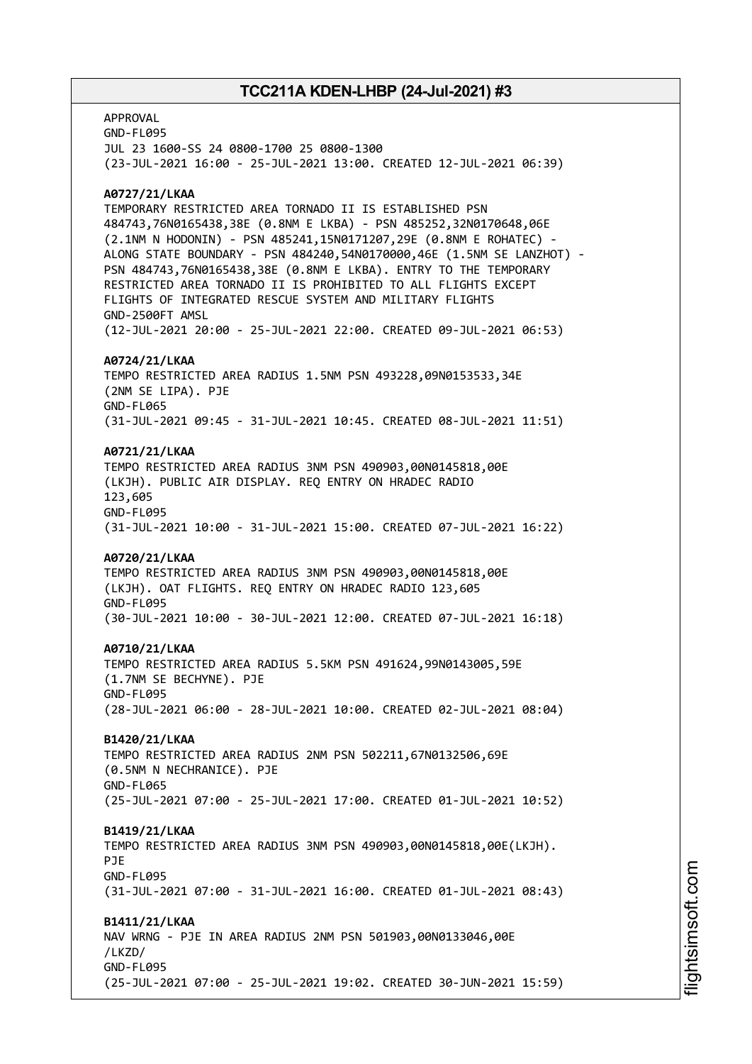APPROVAL GND-FL095 JUL 23 1600-SS 24 0800-1700 25 0800-1300 (23-JUL-2021 16:00 - 25-JUL-2021 13:00. CREATED 12-JUL-2021 06:39) **A0727/21/LKAA** TEMPORARY RESTRICTED AREA TORNADO II IS ESTABLISHED PSN 484743,76N0165438,38E (0.8NM E LKBA) - PSN 485252,32N0170648,06E (2.1NM N HODONIN) - PSN 485241,15N0171207,29E (0.8NM E ROHATEC) - ALONG STATE BOUNDARY - PSN 484240,54N0170000,46E (1.5NM SE LANZHOT) - PSN 484743,76N0165438,38E (0.8NM E LKBA). ENTRY TO THE TEMPORARY RESTRICTED AREA TORNADO II IS PROHIBITED TO ALL FLIGHTS EXCEPT FLIGHTS OF INTEGRATED RESCUE SYSTEM AND MILITARY FLIGHTS GND-2500FT AMSL (12-JUL-2021 20:00 - 25-JUL-2021 22:00. CREATED 09-JUL-2021 06:53) **A0724/21/LKAA** TEMPO RESTRICTED AREA RADIUS 1.5NM PSN 493228,09N0153533,34E (2NM SE LIPA). PJE GND-FL065 (31-JUL-2021 09:45 - 31-JUL-2021 10:45. CREATED 08-JUL-2021 11:51) **A0721/21/LKAA** TEMPO RESTRICTED AREA RADIUS 3NM PSN 490903,00N0145818,00E (LKJH). PUBLIC AIR DISPLAY. REQ ENTRY ON HRADEC RADIO 123,605 GND-FL095 (31-JUL-2021 10:00 - 31-JUL-2021 15:00. CREATED 07-JUL-2021 16:22) **A0720/21/LKAA** TEMPO RESTRICTED AREA RADIUS 3NM PSN 490903,00N0145818,00E (LKJH). OAT FLIGHTS. REQ ENTRY ON HRADEC RADIO 123,605 GND-FL095 (30-JUL-2021 10:00 - 30-JUL-2021 12:00. CREATED 07-JUL-2021 16:18) **A0710/21/LKAA** TEMPO RESTRICTED AREA RADIUS 5.5KM PSN 491624,99N0143005,59E (1.7NM SE BECHYNE). PJE GND-FL095 (28-JUL-2021 06:00 - 28-JUL-2021 10:00. CREATED 02-JUL-2021 08:04) **B1420/21/LKAA** TEMPO RESTRICTED AREA RADIUS 2NM PSN 502211,67N0132506,69E (0.5NM N NECHRANICE). PJE GND-FL065 (25-JUL-2021 07:00 - 25-JUL-2021 17:00. CREATED 01-JUL-2021 10:52) **B1419/21/LKAA** TEMPO RESTRICTED AREA RADIUS 3NM PSN 490903,00N0145818,00E(LKJH). PJE GND-FL095 (31-JUL-2021 07:00 - 31-JUL-2021 16:00. CREATED 01-JUL-2021 08:43) **B1411/21/LKAA** NAV WRNG - PJE IN AREA RADIUS 2NM PSN 501903,00N0133046,00E /LKZD/ GND-FL095 (25-JUL-2021 07:00 - 25-JUL-2021 19:02. CREATED 30-JUN-2021 15:59)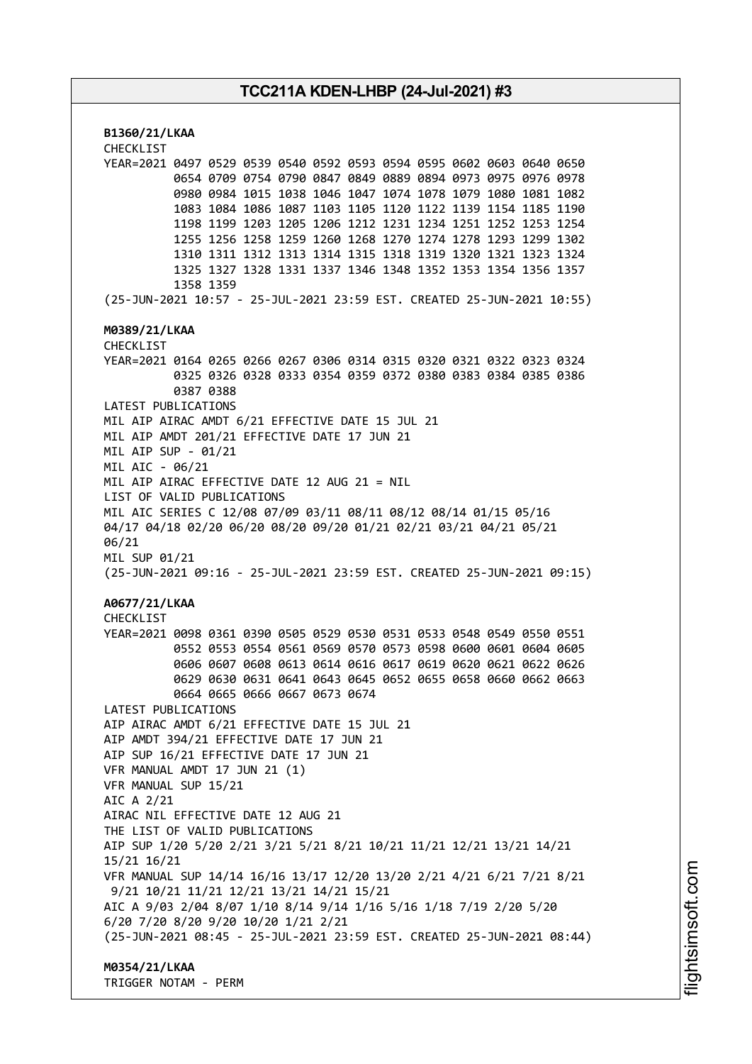**B1360/21/LKAA** CHECKLIST YEAR=2021 0497 0529 0539 0540 0592 0593 0594 0595 0602 0603 0640 0650 0654 0709 0754 0790 0847 0849 0889 0894 0973 0975 0976 0978 0980 0984 1015 1038 1046 1047 1074 1078 1079 1080 1081 1082 1083 1084 1086 1087 1103 1105 1120 1122 1139 1154 1185 1190 1198 1199 1203 1205 1206 1212 1231 1234 1251 1252 1253 1254 1255 1256 1258 1259 1260 1268 1270 1274 1278 1293 1299 1302 1310 1311 1312 1313 1314 1315 1318 1319 1320 1321 1323 1324 1325 1327 1328 1331 1337 1346 1348 1352 1353 1354 1356 1357 1358 1359 (25-JUN-2021 10:57 - 25-JUL-2021 23:59 EST. CREATED 25-JUN-2021 10:55) **M0389/21/LKAA** CHECKLIST YEAR=2021 0164 0265 0266 0267 0306 0314 0315 0320 0321 0322 0323 0324 0325 0326 0328 0333 0354 0359 0372 0380 0383 0384 0385 0386 0387 0388 LATEST PUBLICATIONS MIL AIP AIRAC AMDT 6/21 EFFECTIVE DATE 15 JUL 21 MIL AIP AMDT 201/21 EFFECTIVE DATE 17 JUN 21 MIL AIP SUP - 01/21 MIL AIC - 06/21 MIL AIP AIRAC EFFECTIVE DATE 12 AUG 21 = NIL LIST OF VALID PUBLICATIONS MIL AIC SERIES C 12/08 07/09 03/11 08/11 08/12 08/14 01/15 05/16 04/17 04/18 02/20 06/20 08/20 09/20 01/21 02/21 03/21 04/21 05/21 06/21 MIL SUP 01/21 (25-JUN-2021 09:16 - 25-JUL-2021 23:59 EST. CREATED 25-JUN-2021 09:15) **A0677/21/LKAA** CHECKL<sub>IST</sub> YEAR=2021 0098 0361 0390 0505 0529 0530 0531 0533 0548 0549 0550 0551 0552 0553 0554 0561 0569 0570 0573 0598 0600 0601 0604 0605 0606 0607 0608 0613 0614 0616 0617 0619 0620 0621 0622 0626 0629 0630 0631 0641 0643 0645 0652 0655 0658 0660 0662 0663 0664 0665 0666 0667 0673 0674 LATEST PUBLICATIONS AIP AIRAC AMDT 6/21 EFFECTIVE DATE 15 JUL 21 AIP AMDT 394/21 EFFECTIVE DATE 17 JUN 21 AIP SUP 16/21 EFFECTIVE DATE 17 JUN 21 VFR MANUAL AMDT 17 JUN 21 (1) VFR MANUAL SUP 15/21 AIC A 2/21 AIRAC NIL EFFECTIVE DATE 12 AUG 21 THE LIST OF VALID PUBLICATIONS AIP SUP 1/20 5/20 2/21 3/21 5/21 8/21 10/21 11/21 12/21 13/21 14/21 15/21 16/21 VFR MANUAL SUP 14/14 16/16 13/17 12/20 13/20 2/21 4/21 6/21 7/21 8/21 9/21 10/21 11/21 12/21 13/21 14/21 15/21 AIC A 9/03 2/04 8/07 1/10 8/14 9/14 1/16 5/16 1/18 7/19 2/20 5/20 6/20 7/20 8/20 9/20 10/20 1/21 2/21 (25-JUN-2021 08:45 - 25-JUL-2021 23:59 EST. CREATED 25-JUN-2021 08:44) **M0354/21/LKAA**

TRIGGER NOTAM - PERM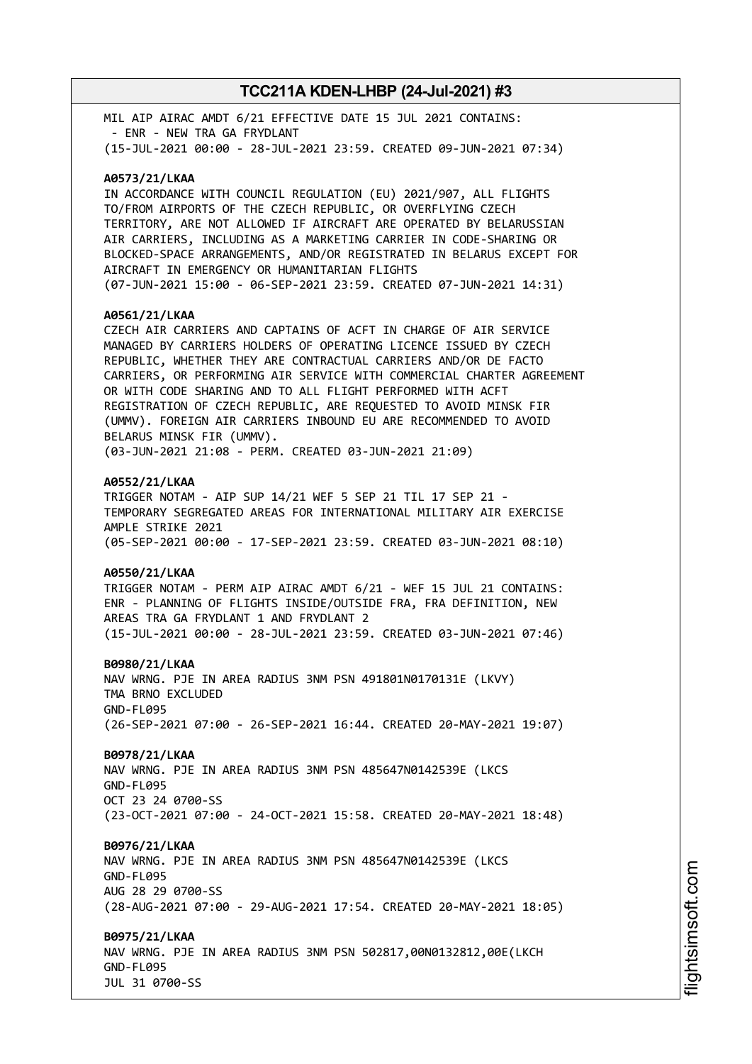MIL AIP AIRAC AMDT 6/21 EFFECTIVE DATE 15 JUL 2021 CONTAINS: - ENR - NEW TRA GA FRYDLANT (15-JUL-2021 00:00 - 28-JUL-2021 23:59. CREATED 09-JUN-2021 07:34)

### **A0573/21/LKAA**

IN ACCORDANCE WITH COUNCIL REGULATION (EU) 2021/907, ALL FLIGHTS TO/FROM AIRPORTS OF THE CZECH REPUBLIC, OR OVERFLYING CZECH TERRITORY, ARE NOT ALLOWED IF AIRCRAFT ARE OPERATED BY BELARUSSIAN AIR CARRIERS, INCLUDING AS A MARKETING CARRIER IN CODE-SHARING OR BLOCKED-SPACE ARRANGEMENTS, AND/OR REGISTRATED IN BELARUS EXCEPT FOR AIRCRAFT IN EMERGENCY OR HUMANITARIAN FLIGHTS (07-JUN-2021 15:00 - 06-SEP-2021 23:59. CREATED 07-JUN-2021 14:31)

#### **A0561/21/LKAA**

CZECH AIR CARRIERS AND CAPTAINS OF ACFT IN CHARGE OF AIR SERVICE MANAGED BY CARRIERS HOLDERS OF OPERATING LICENCE ISSUED BY CZECH REPUBLIC, WHETHER THEY ARE CONTRACTUAL CARRIERS AND/OR DE FACTO CARRIERS, OR PERFORMING AIR SERVICE WITH COMMERCIAL CHARTER AGREEMENT OR WITH CODE SHARING AND TO ALL FLIGHT PERFORMED WITH ACFT REGISTRATION OF CZECH REPUBLIC, ARE REQUESTED TO AVOID MINSK FIR (UMMV). FOREIGN AIR CARRIERS INBOUND EU ARE RECOMMENDED TO AVOID BELARUS MINSK FIR (UMMV). (03-JUN-2021 21:08 - PERM. CREATED 03-JUN-2021 21:09)

#### **A0552/21/LKAA**

TRIGGER NOTAM - AIP SUP 14/21 WEF 5 SEP 21 TIL 17 SEP 21 - TEMPORARY SEGREGATED AREAS FOR INTERNATIONAL MILITARY AIR EXERCISE AMPLE STRIKE 2021 (05-SEP-2021 00:00 - 17-SEP-2021 23:59. CREATED 03-JUN-2021 08:10)

#### **A0550/21/LKAA**

TRIGGER NOTAM - PERM AIP AIRAC AMDT 6/21 - WEF 15 JUL 21 CONTAINS: ENR - PLANNING OF FLIGHTS INSIDE/OUTSIDE FRA, FRA DEFINITION, NEW AREAS TRA GA FRYDLANT 1 AND FRYDLANT 2 (15-JUL-2021 00:00 - 28-JUL-2021 23:59. CREATED 03-JUN-2021 07:46)

**B0980/21/LKAA** NAV WRNG. PJE IN AREA RADIUS 3NM PSN 491801N0170131E (LKVY) TMA BRNO EXCLUDED GND-FL095 (26-SEP-2021 07:00 - 26-SEP-2021 16:44. CREATED 20-MAY-2021 19:07)

#### **B0978/21/LKAA**

NAV WRNG. PJE IN AREA RADIUS 3NM PSN 485647N0142539E (LKCS GND-FL095 OCT 23 24 0700-SS (23-OCT-2021 07:00 - 24-OCT-2021 15:58. CREATED 20-MAY-2021 18:48)

#### **B0976/21/LKAA**

NAV WRNG. PJE IN AREA RADIUS 3NM PSN 485647N0142539E (LKCS GND-FL095 AUG 28 29 0700-SS (28-AUG-2021 07:00 - 29-AUG-2021 17:54. CREATED 20-MAY-2021 18:05)

#### **B0975/21/LKAA**

NAV WRNG. PJE IN AREA RADIUS 3NM PSN 502817,00N0132812,00E(LKCH GND-FL095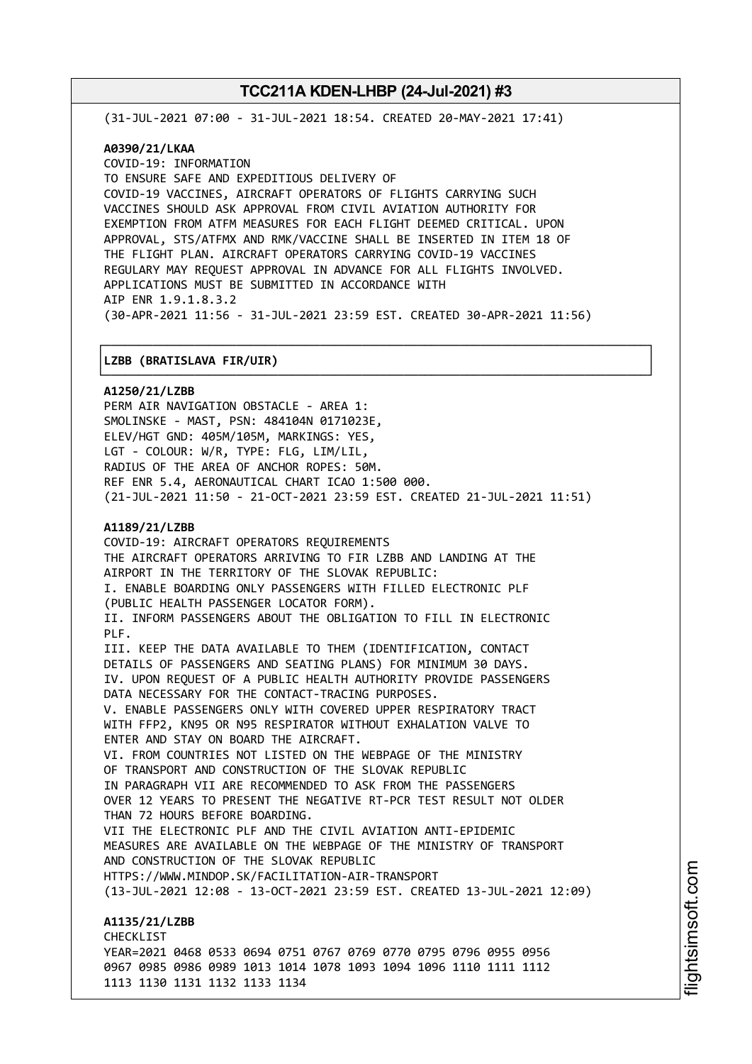(31-JUL-2021 07:00 - 31-JUL-2021 18:54. CREATED 20-MAY-2021 17:41)

### **A0390/21/LKAA**

COVID-19: INFORMATION TO ENSURE SAFE AND EXPEDITIOUS DELIVERY OF COVID-19 VACCINES, AIRCRAFT OPERATORS OF FLIGHTS CARRYING SUCH VACCINES SHOULD ASK APPROVAL FROM CIVIL AVIATION AUTHORITY FOR EXEMPTION FROM ATFM MEASURES FOR EACH FLIGHT DEEMED CRITICAL. UPON APPROVAL, STS/ATFMX AND RMK/VACCINE SHALL BE INSERTED IN ITEM 18 OF THE FLIGHT PLAN. AIRCRAFT OPERATORS CARRYING COVID-19 VACCINES REGULARY MAY REQUEST APPROVAL IN ADVANCE FOR ALL FLIGHTS INVOLVED. APPLICATIONS MUST BE SUBMITTED IN ACCORDANCE WITH AIP ENR 1.9.1.8.3.2 (30-APR-2021 11:56 - 31-JUL-2021 23:59 EST. CREATED 30-APR-2021 11:56)

┌──────────────────────────────────────────────────────────────────────────────┐

#### │**LZBB (BRATISLAVA FIR/UIR)** │

└──────────────────────────────────────────────────────────────────────────────┘ **A1250/21/LZBB** PERM AIR NAVIGATION OBSTACLE - AREA 1: SMOLINSKE - MAST, PSN: 484104N 0171023E, ELEV/HGT GND: 405M/105M, MARKINGS: YES, LGT - COLOUR: W/R, TYPE: FLG, LIM/LIL, RADIUS OF THE AREA OF ANCHOR ROPES: 50M. REF ENR 5.4, AERONAUTICAL CHART ICAO 1:500 000. (21-JUL-2021 11:50 - 21-OCT-2021 23:59 EST. CREATED 21-JUL-2021 11:51) **A1189/21/LZBB** COVID-19: AIRCRAFT OPERATORS REQUIREMENTS THE AIRCRAFT OPERATORS ARRIVING TO FIR LZBB AND LANDING AT THE AIRPORT IN THE TERRITORY OF THE SLOVAK REPUBLIC: I. ENABLE BOARDING ONLY PASSENGERS WITH FILLED ELECTRONIC PLF (PUBLIC HEALTH PASSENGER LOCATOR FORM). II. INFORM PASSENGERS ABOUT THE OBLIGATION TO FILL IN ELECTRONIC PLF. III. KEEP THE DATA AVAILABLE TO THEM (IDENTIFICATION, CONTACT DETAILS OF PASSENGERS AND SEATING PLANS) FOR MINIMUM 30 DAYS. IV. UPON REQUEST OF A PUBLIC HEALTH AUTHORITY PROVIDE PASSENGERS DATA NECESSARY FOR THE CONTACT-TRACING PURPOSES. V. ENABLE PASSENGERS ONLY WITH COVERED UPPER RESPIRATORY TRACT WITH FFP2, KN95 OR N95 RESPIRATOR WITHOUT EXHALATION VALVE TO ENTER AND STAY ON BOARD THE AIRCRAFT. VI. FROM COUNTRIES NOT LISTED ON THE WEBPAGE OF THE MINISTRY OF TRANSPORT AND CONSTRUCTION OF THE SLOVAK REPUBLIC IN PARAGRAPH VII ARE RECOMMENDED TO ASK FROM THE PASSENGERS

OVER 12 YEARS TO PRESENT THE NEGATIVE RT-PCR TEST RESULT NOT OLDER THAN 72 HOURS BEFORE BOARDING.

VII THE ELECTRONIC PLF AND THE CIVIL AVIATION ANTI-EPIDEMIC MEASURES ARE AVAILABLE ON THE WEBPAGE OF THE MINISTRY OF TRANSPORT AND CONSTRUCTION OF THE SLOVAK REPUBLIC HTTPS://WWW.MINDOP.SK/FACILITATION-AIR-TRANSPORT

(13-JUL-2021 12:08 - 13-OCT-2021 23:59 EST. CREATED 13-JUL-2021 12:09)

**A1135/21/LZBB** CHECKLIST YEAR=2021 0468 0533 0694 0751 0767 0769 0770 0795 0796 0955 0956 0967 0985 0986 0989 1013 1014 1078 1093 1094 1096 1110 1111 1112 1113 1130 1131 1132 1133 1134

m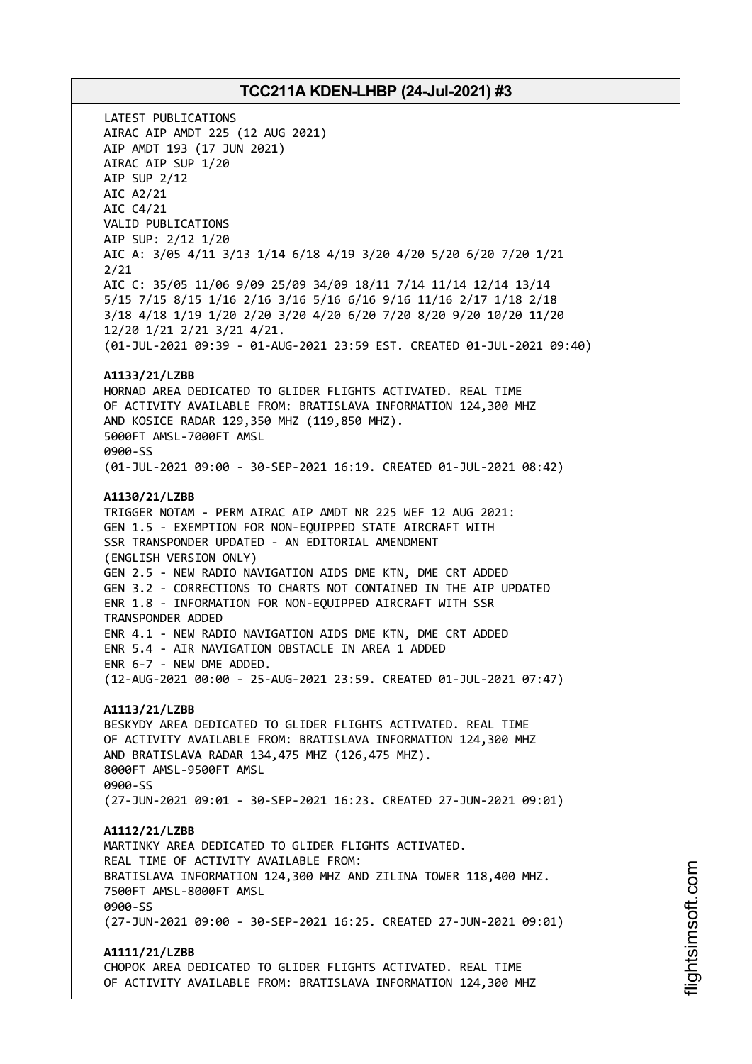LATEST PUBLICATIONS AIRAC AIP AMDT 225 (12 AUG 2021) AIP AMDT 193 (17 JUN 2021) AIRAC AIP SUP 1/20 AIP SUP 2/12 AIC A2/21 AIC C4/21 VALID PUBLICATIONS AIP SUP: 2/12 1/20 AIC A: 3/05 4/11 3/13 1/14 6/18 4/19 3/20 4/20 5/20 6/20 7/20 1/21 2/21 AIC C: 35/05 11/06 9/09 25/09 34/09 18/11 7/14 11/14 12/14 13/14 5/15 7/15 8/15 1/16 2/16 3/16 5/16 6/16 9/16 11/16 2/17 1/18 2/18 3/18 4/18 1/19 1/20 2/20 3/20 4/20 6/20 7/20 8/20 9/20 10/20 11/20 12/20 1/21 2/21 3/21 4/21. (01-JUL-2021 09:39 - 01-AUG-2021 23:59 EST. CREATED 01-JUL-2021 09:40) **A1133/21/LZBB** HORNAD AREA DEDICATED TO GLIDER FLIGHTS ACTIVATED. REAL TIME OF ACTIVITY AVAILABLE FROM: BRATISLAVA INFORMATION 124,300 MHZ AND KOSICE RADAR 129,350 MHZ (119,850 MHZ). 5000FT AMSL-7000FT AMSL 0900-SS (01-JUL-2021 09:00 - 30-SEP-2021 16:19. CREATED 01-JUL-2021 08:42) **A1130/21/LZBB** TRIGGER NOTAM - PERM AIRAC AIP AMDT NR 225 WEF 12 AUG 2021: GEN 1.5 - EXEMPTION FOR NON-EQUIPPED STATE AIRCRAFT WITH SSR TRANSPONDER UPDATED - AN EDITORIAL AMENDMENT (ENGLISH VERSION ONLY) GEN 2.5 - NEW RADIO NAVIGATION AIDS DME KTN, DME CRT ADDED GEN 3.2 - CORRECTIONS TO CHARTS NOT CONTAINED IN THE AIP UPDATED ENR 1.8 - INFORMATION FOR NON-EQUIPPED AIRCRAFT WITH SSR TRANSPONDER ADDED ENR 4.1 - NEW RADIO NAVIGATION AIDS DME KTN, DME CRT ADDED ENR 5.4 - AIR NAVIGATION OBSTACLE IN AREA 1 ADDED ENR 6-7 - NEW DME ADDED. (12-AUG-2021 00:00 - 25-AUG-2021 23:59. CREATED 01-JUL-2021 07:47) **A1113/21/LZBB** BESKYDY AREA DEDICATED TO GLIDER FLIGHTS ACTIVATED. REAL TIME OF ACTIVITY AVAILABLE FROM: BRATISLAVA INFORMATION 124,300 MHZ AND BRATISLAVA RADAR 134,475 MHZ (126,475 MHZ). 8000FT AMSL-9500FT AMSL agaa\_ss (27-JUN-2021 09:01 - 30-SEP-2021 16:23. CREATED 27-JUN-2021 09:01) **A1112/21/LZBB** MARTINKY AREA DEDICATED TO GLIDER FLIGHTS ACTIVATED. REAL TIME OF ACTIVITY AVAILABLE FROM: BRATISLAVA INFORMATION 124,300 MHZ AND ZILINA TOWER 118,400 MHZ. 7500FT AMSL-8000FT AMSL 0900-SS (27-JUN-2021 09:00 - 30-SEP-2021 16:25. CREATED 27-JUN-2021 09:01) **A1111/21/LZBB** CHOPOK AREA DEDICATED TO GLIDER FLIGHTS ACTIVATED. REAL TIME OF ACTIVITY AVAILABLE FROM: BRATISLAVA INFORMATION 124,300 MHZ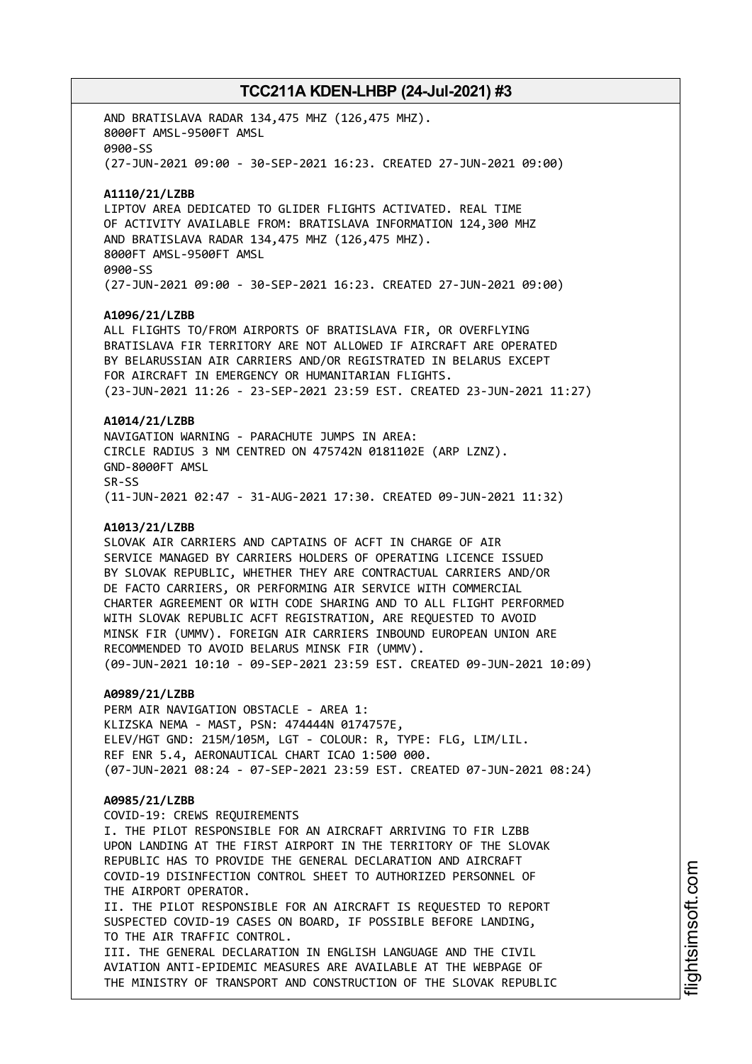AND BRATISLAVA RADAR 134,475 MHZ (126,475 MHZ). 8000FT AMSL-9500FT AMSL 0900-SS (27-JUN-2021 09:00 - 30-SEP-2021 16:23. CREATED 27-JUN-2021 09:00) **A1110/21/LZBB** LIPTOV AREA DEDICATED TO GLIDER FLIGHTS ACTIVATED. REAL TIME OF ACTIVITY AVAILABLE FROM: BRATISLAVA INFORMATION 124,300 MHZ AND BRATISLAVA RADAR 134,475 MHZ (126,475 MHZ). 8000FT AMSL-9500FT AMSL 0900-SS (27-JUN-2021 09:00 - 30-SEP-2021 16:23. CREATED 27-JUN-2021 09:00) **A1096/21/LZBB** ALL FLIGHTS TO/FROM AIRPORTS OF BRATISLAVA FIR, OR OVERFLYING BRATISLAVA FIR TERRITORY ARE NOT ALLOWED IF AIRCRAFT ARE OPERATED BY BELARUSSIAN AIR CARRIERS AND/OR REGISTRATED IN BELARUS EXCEPT FOR AIRCRAFT IN EMERGENCY OR HUMANITARIAN FLIGHTS. (23-JUN-2021 11:26 - 23-SEP-2021 23:59 EST. CREATED 23-JUN-2021 11:27) **A1014/21/LZBB** NAVIGATION WARNING - PARACHUTE JUMPS IN AREA: CIRCLE RADIUS 3 NM CENTRED ON 475742N 0181102E (ARP LZNZ). GND-8000FT AMSL SR-SS (11-JUN-2021 02:47 - 31-AUG-2021 17:30. CREATED 09-JUN-2021 11:32) **A1013/21/LZBB** SLOVAK AIR CARRIERS AND CAPTAINS OF ACFT IN CHARGE OF AIR SERVICE MANAGED BY CARRIERS HOLDERS OF OPERATING LICENCE ISSUED BY SLOVAK REPUBLIC, WHETHER THEY ARE CONTRACTUAL CARRIERS AND/OR DE FACTO CARRIERS, OR PERFORMING AIR SERVICE WITH COMMERCIAL CHARTER AGREEMENT OR WITH CODE SHARING AND TO ALL FLIGHT PERFORMED WITH SLOVAK REPUBLIC ACFT REGISTRATION, ARE REQUESTED TO AVOID MINSK FIR (UMMV). FOREIGN AIR CARRIERS INBOUND EUROPEAN UNION ARE RECOMMENDED TO AVOID BELARUS MINSK FIR (UMMV). (09-JUN-2021 10:10 - 09-SEP-2021 23:59 EST. CREATED 09-JUN-2021 10:09) **A0989/21/LZBB** PERM AIR NAVIGATION OBSTACLE - AREA 1: KLIZSKA NEMA - MAST, PSN: 474444N 0174757E, ELEV/HGT GND: 215M/105M, LGT - COLOUR: R, TYPE: FLG, LIM/LIL. REF ENR 5.4, AERONAUTICAL CHART ICAO 1:500 000. (07-JUN-2021 08:24 - 07-SEP-2021 23:59 EST. CREATED 07-JUN-2021 08:24) **A0985/21/LZBB** COVID-19: CREWS REQUIREMENTS I. THE PILOT RESPONSIBLE FOR AN AIRCRAFT ARRIVING TO FIR LZBB UPON LANDING AT THE FIRST AIRPORT IN THE TERRITORY OF THE SLOVAK REPUBLIC HAS TO PROVIDE THE GENERAL DECLARATION AND AIRCRAFT COVID-19 DISINFECTION CONTROL SHEET TO AUTHORIZED PERSONNEL OF THE AIRPORT OPERATOR. II. THE PILOT RESPONSIBLE FOR AN AIRCRAFT IS REQUESTED TO REPORT SUSPECTED COVID-19 CASES ON BOARD, IF POSSIBLE BEFORE LANDING, TO THE AIR TRAFFIC CONTROL. III. THE GENERAL DECLARATION IN ENGLISH LANGUAGE AND THE CIVIL AVIATION ANTI-EPIDEMIC MEASURES ARE AVAILABLE AT THE WEBPAGE OF THE MINISTRY OF TRANSPORT AND CONSTRUCTION OF THE SLOVAK REPUBLIC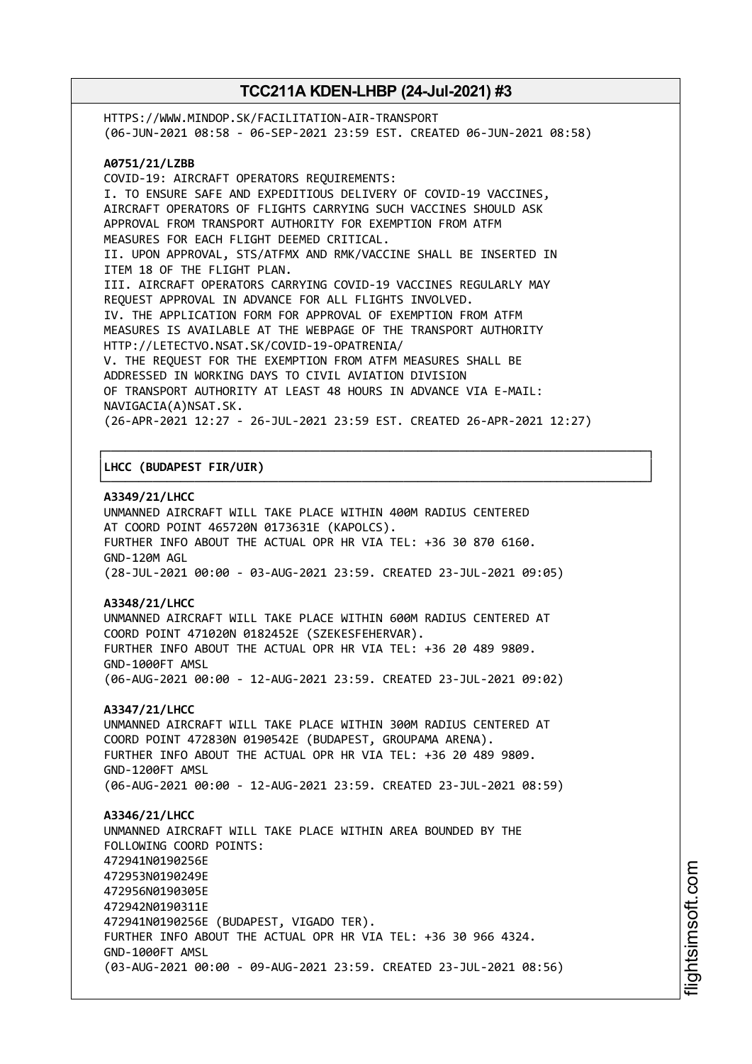HTTPS://WWW.MINDOP.SK/FACILITATION-AIR-TRANSPORT (06-JUN-2021 08:58 - 06-SEP-2021 23:59 EST. CREATED 06-JUN-2021 08:58) **A0751/21/LZBB** COVID-19: AIRCRAFT OPERATORS REQUIREMENTS: I. TO ENSURE SAFE AND EXPEDITIOUS DELIVERY OF COVID-19 VACCINES, AIRCRAFT OPERATORS OF FLIGHTS CARRYING SUCH VACCINES SHOULD ASK APPROVAL FROM TRANSPORT AUTHORITY FOR EXEMPTION FROM ATFM MEASURES FOR EACH FLIGHT DEEMED CRITICAL. II. UPON APPROVAL, STS/ATFMX AND RMK/VACCINE SHALL BE INSERTED IN ITEM 18 OF THE FLIGHT PLAN. III. AIRCRAFT OPERATORS CARRYING COVID-19 VACCINES REGULARLY MAY REQUEST APPROVAL IN ADVANCE FOR ALL FLIGHTS INVOLVED. IV. THE APPLICATION FORM FOR APPROVAL OF EXEMPTION FROM ATFM MEASURES IS AVAILABLE AT THE WEBPAGE OF THE TRANSPORT AUTHORITY HTTP://LETECTVO.NSAT.SK/COVID-19-OPATRENIA/ V. THE REQUEST FOR THE EXEMPTION FROM ATFM MEASURES SHALL BE ADDRESSED IN WORKING DAYS TO CIVIL AVIATION DIVISION OF TRANSPORT AUTHORITY AT LEAST 48 HOURS IN ADVANCE VIA E-MAIL: NAVIGACIA(A)NSAT.SK. (26-APR-2021 12:27 - 26-JUL-2021 23:59 EST. CREATED 26-APR-2021 12:27)

┌──────────────────────────────────────────────────────────────────────────────┐

└──────────────────────────────────────────────────────────────────────────────┘

### │**LHCC (BUDAPEST FIR/UIR)** │

#### **A3349/21/LHCC**

UNMANNED AIRCRAFT WILL TAKE PLACE WITHIN 400M RADIUS CENTERED AT COORD POINT 465720N 0173631E (KAPOLCS). FURTHER INFO ABOUT THE ACTUAL OPR HR VIA TEL: +36 30 870 6160. GND-120M AGL (28-JUL-2021 00:00 - 03-AUG-2021 23:59. CREATED 23-JUL-2021 09:05)

### **A3348/21/LHCC**

UNMANNED AIRCRAFT WILL TAKE PLACE WITHIN 600M RADIUS CENTERED AT COORD POINT 471020N 0182452E (SZEKESFEHERVAR). FURTHER INFO ABOUT THE ACTUAL OPR HR VIA TEL: +36 20 489 9809. GND-1000FT AMSL (06-AUG-2021 00:00 - 12-AUG-2021 23:59. CREATED 23-JUL-2021 09:02)

#### **A3347/21/LHCC**

UNMANNED AIRCRAFT WILL TAKE PLACE WITHIN 300M RADIUS CENTERED AT COORD POINT 472830N 0190542E (BUDAPEST, GROUPAMA ARENA). FURTHER INFO ABOUT THE ACTUAL OPR HR VIA TEL: +36 20 489 9809. GND-1200FT AMSL (06-AUG-2021 00:00 - 12-AUG-2021 23:59. CREATED 23-JUL-2021 08:59)

**A3346/21/LHCC** UNMANNED AIRCRAFT WILL TAKE PLACE WITHIN AREA BOUNDED BY THE FOLLOWING COORD POINTS: 472941N0190256E 472953N0190249E 472956N0190305E 472942N0190311E 472941N0190256E (BUDAPEST, VIGADO TER). FURTHER INFO ABOUT THE ACTUAL OPR HR VIA TEL: +36 30 966 4324. GND-1000FT AMSL (03-AUG-2021 00:00 - 09-AUG-2021 23:59. CREATED 23-JUL-2021 08:56)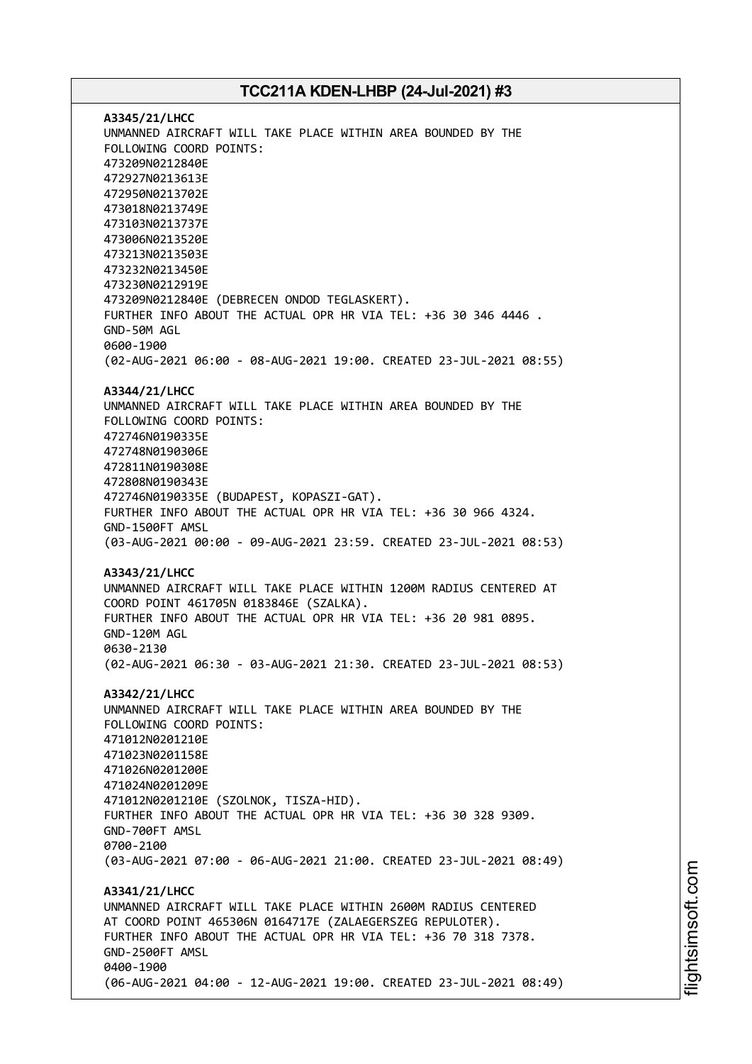**A3345/21/LHCC** UNMANNED AIRCRAFT WILL TAKE PLACE WITHIN AREA BOUNDED BY THE FOLLOWING COORD POINTS: 473209N0212840E 472927N0213613E 472950N0213702E 473018N0213749E 473103N0213737E 473006N0213520E 473213N0213503E 473232N0213450E 473230N0212919E 473209N0212840E (DEBRECEN ONDOD TEGLASKERT). FURTHER INFO ABOUT THE ACTUAL OPR HR VIA TEL: +36 30 346 4446 . GND-50M AGL 0600-1900 (02-AUG-2021 06:00 - 08-AUG-2021 19:00. CREATED 23-JUL-2021 08:55) **A3344/21/LHCC** UNMANNED AIRCRAFT WILL TAKE PLACE WITHIN AREA BOUNDED BY THE FOLLOWING COORD POINTS: 472746N0190335E 472748N0190306E 472811N0190308E 472808N0190343E 472746N0190335E (BUDAPEST, KOPASZI-GAT). FURTHER INFO ABOUT THE ACTUAL OPR HR VIA TEL: +36 30 966 4324. GND-1500FT AMSL (03-AUG-2021 00:00 - 09-AUG-2021 23:59. CREATED 23-JUL-2021 08:53) **A3343/21/LHCC** UNMANNED AIRCRAFT WILL TAKE PLACE WITHIN 1200M RADIUS CENTERED AT COORD POINT 461705N 0183846E (SZALKA). FURTHER INFO ABOUT THE ACTUAL OPR HR VIA TEL: +36 20 981 0895. GND-120M AGL 0630-2130 (02-AUG-2021 06:30 - 03-AUG-2021 21:30. CREATED 23-JUL-2021 08:53) **A3342/21/LHCC** UNMANNED AIRCRAFT WILL TAKE PLACE WITHIN AREA BOUNDED BY THE FOLLOWING COORD POINTS: 471012N0201210E 471023N0201158E 471026N0201200E 471024N0201209E 471012N0201210E (SZOLNOK, TISZA-HID). FURTHER INFO ABOUT THE ACTUAL OPR HR VIA TEL: +36 30 328 9309. GND-700FT AMSL 0700-2100 (03-AUG-2021 07:00 - 06-AUG-2021 21:00. CREATED 23-JUL-2021 08:49) **A3341/21/LHCC** UNMANNED AIRCRAFT WILL TAKE PLACE WITHIN 2600M RADIUS CENTERED AT COORD POINT 465306N 0164717E (ZALAEGERSZEG REPULOTER). FURTHER INFO ABOUT THE ACTUAL OPR HR VIA TEL: +36 70 318 7378. GND-2500FT AMSL 0400-1900 (06-AUG-2021 04:00 - 12-AUG-2021 19:00. CREATED 23-JUL-2021 08:49)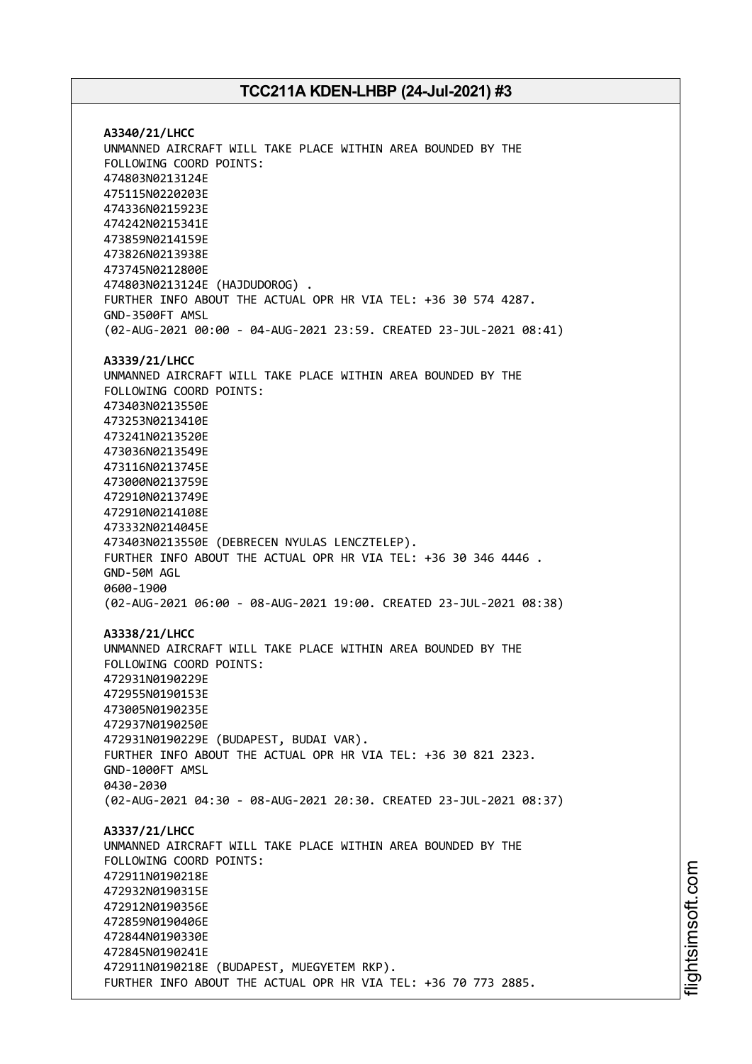**A3340/21/LHCC** UNMANNED AIRCRAFT WILL TAKE PLACE WITHIN AREA BOUNDED BY THE FOLLOWING COORD POINTS: 474803N0213124E 475115N0220203E 474336N0215923E 474242N0215341E 473859N0214159E 473826N0213938E 473745N0212800E 474803N0213124E (HAJDUDOROG) . FURTHER INFO ABOUT THE ACTUAL OPR HR VIA TEL: +36 30 574 4287. GND-3500FT AMSL (02-AUG-2021 00:00 - 04-AUG-2021 23:59. CREATED 23-JUL-2021 08:41) **A3339/21/LHCC** UNMANNED AIRCRAFT WILL TAKE PLACE WITHIN AREA BOUNDED BY THE FOLLOWING COORD POINTS: 473403N0213550E 473253N0213410E 473241N0213520E 473036N0213549E 473116N0213745E 473000N0213759E 472910N0213749E 472910N0214108E 473332N0214045E 473403N0213550E (DEBRECEN NYULAS LENCZTELEP). FURTHER INFO ABOUT THE ACTUAL OPR HR VIA TEL: +36 30 346 4446 . GND-50M AGL 0600-1900 (02-AUG-2021 06:00 - 08-AUG-2021 19:00. CREATED 23-JUL-2021 08:38) **A3338/21/LHCC** UNMANNED AIRCRAFT WILL TAKE PLACE WITHIN AREA BOUNDED BY THE FOLLOWING COORD POINTS: 472931N0190229E 472955N0190153E 473005N0190235E 472937N0190250E 472931N0190229E (BUDAPEST, BUDAI VAR). FURTHER INFO ABOUT THE ACTUAL OPR HR VIA TEL: +36 30 821 2323. GND-1000FT AMSL 0430-2030 (02-AUG-2021 04:30 - 08-AUG-2021 20:30. CREATED 23-JUL-2021 08:37) **A3337/21/LHCC** UNMANNED AIRCRAFT WILL TAKE PLACE WITHIN AREA BOUNDED BY THE FOLLOWING COORD POINTS: 472911N0190218E 472932N0190315E 472912N0190356E 472859N0190406E 472844N0190330E 472845N0190241E 472911N0190218E (BUDAPEST, MUEGYETEM RKP). FURTHER INFO ABOUT THE ACTUAL OPR HR VIA TEL: +36 70 773 2885.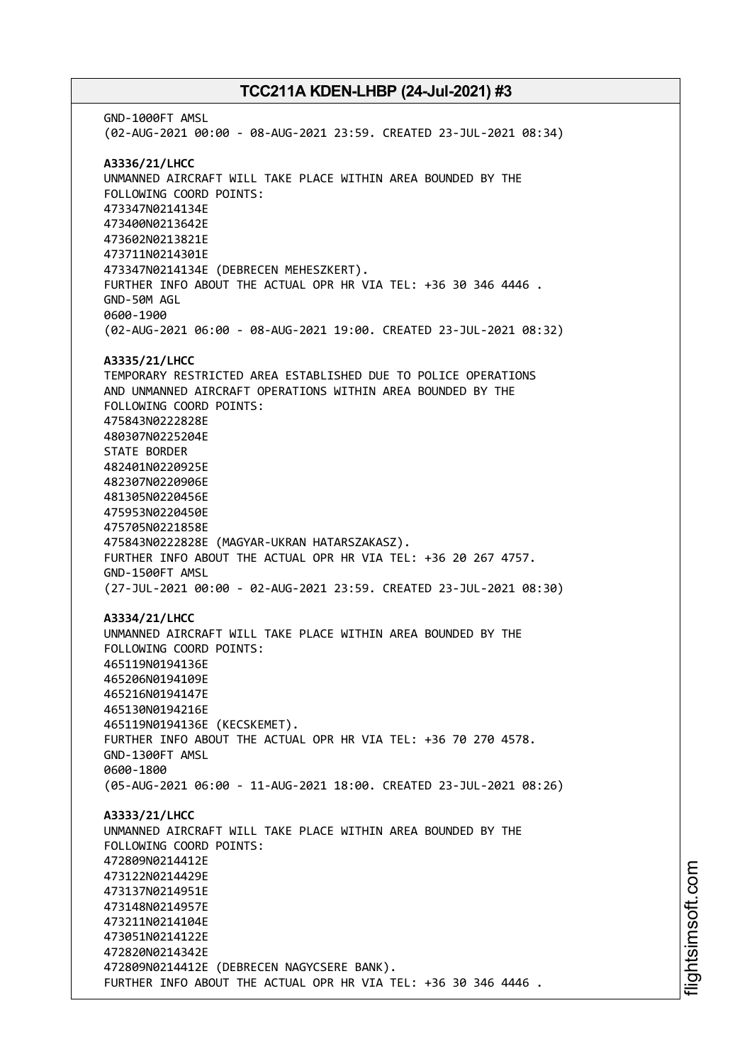GND-1000FT AMSL (02-AUG-2021 00:00 - 08-AUG-2021 23:59. CREATED 23-JUL-2021 08:34) **A3336/21/LHCC** UNMANNED AIRCRAFT WILL TAKE PLACE WITHIN AREA BOUNDED BY THE FOLLOWING COORD POINTS: 473347N0214134E 473400N0213642E 473602N0213821E 473711N0214301E 473347N0214134E (DEBRECEN MEHESZKERT). FURTHER INFO ABOUT THE ACTUAL OPR HR VIA TEL: +36 30 346 4446 . GND-50M AGL 0600-1900 (02-AUG-2021 06:00 - 08-AUG-2021 19:00. CREATED 23-JUL-2021 08:32) **A3335/21/LHCC** TEMPORARY RESTRICTED AREA ESTABLISHED DUE TO POLICE OPERATIONS AND UNMANNED AIRCRAFT OPERATIONS WITHIN AREA BOUNDED BY THE FOLLOWING COORD POINTS: 475843N0222828E 480307N0225204E STATE BORDER 482401N0220925E 482307N0220906E 481305N0220456E 475953N0220450E 475705N0221858E 475843N0222828E (MAGYAR-UKRAN HATARSZAKASZ). FURTHER INFO ABOUT THE ACTUAL OPR HR VIA TEL: +36 20 267 4757. GND-1500FT AMSL (27-JUL-2021 00:00 - 02-AUG-2021 23:59. CREATED 23-JUL-2021 08:30) **A3334/21/LHCC** UNMANNED AIRCRAFT WILL TAKE PLACE WITHIN AREA BOUNDED BY THE FOLLOWING COORD POINTS: 465119N0194136E 465206N0194109E 465216N0194147E 465130N0194216E 465119N0194136E (KECSKEMET). FURTHER INFO ABOUT THE ACTUAL OPR HR VIA TEL: +36 70 270 4578. GND-1300FT AMSL 0600-1800 (05-AUG-2021 06:00 - 11-AUG-2021 18:00. CREATED 23-JUL-2021 08:26) **A3333/21/LHCC** UNMANNED AIRCRAFT WILL TAKE PLACE WITHIN AREA BOUNDED BY THE FOLLOWING COORD POINTS: 472809N0214412E 473122N0214429E 473137N0214951E 473148N0214957E 473211N0214104E 473051N0214122E 472820N0214342E 472809N0214412E (DEBRECEN NAGYCSERE BANK). FURTHER INFO ABOUT THE ACTUAL OPR HR VIA TEL: +36 30 346 4446 .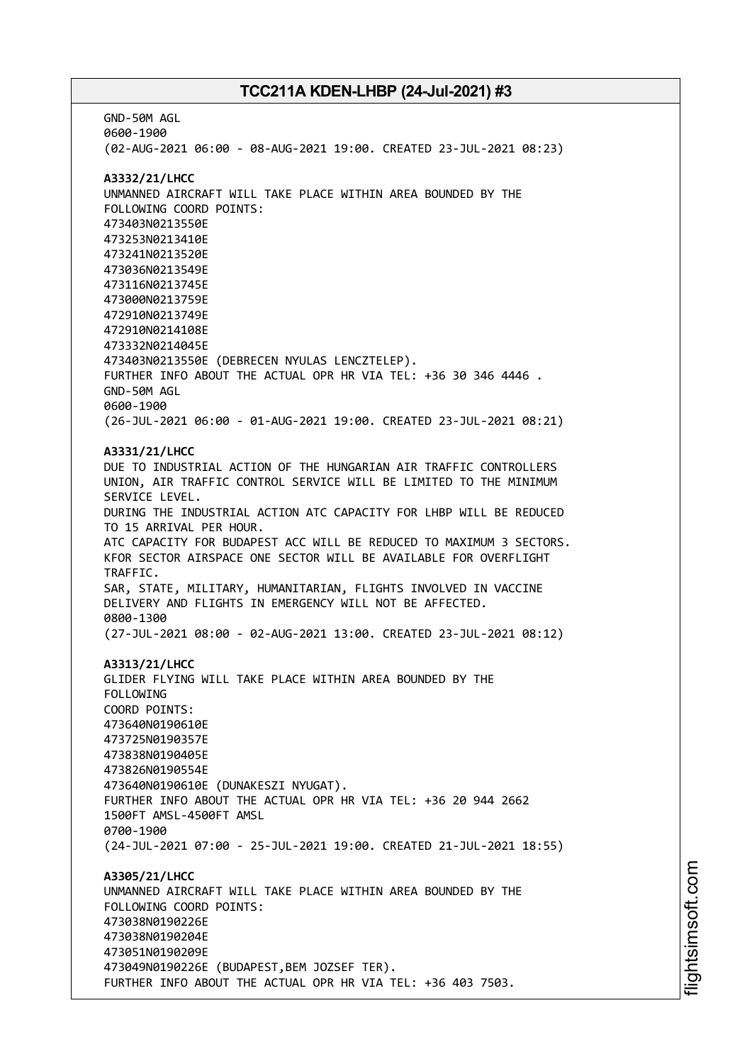GND-50M AGL 0600-1900 (02-AUG-2021 06:00 - 08-AUG-2021 19:00. CREATED 23-JUL-2021 08:23) **A3332/21/LHCC** UNMANNED AIRCRAFT WILL TAKE PLACE WITHIN AREA BOUNDED BY THE FOLLOWING COORD POINTS: 473403N0213550E 473253N0213410E 473241N0213520E 473036N0213549E 473116N0213745E 473000N0213759E 472910N0213749E 472910N0214108E 473332N0214045E 473403N0213550E (DEBRECEN NYULAS LENCZTELEP). FURTHER INFO ABOUT THE ACTUAL OPR HR VIA TEL: +36 30 346 4446 . GND-50M AGL 0600-1900 (26-JUL-2021 06:00 - 01-AUG-2021 19:00. CREATED 23-JUL-2021 08:21) **A3331/21/LHCC** DUE TO INDUSTRIAL ACTION OF THE HUNGARIAN AIR TRAFFIC CONTROLLERS UNION, AIR TRAFFIC CONTROL SERVICE WILL BE LIMITED TO THE MINIMUM SERVICE LEVEL. DURING THE INDUSTRIAL ACTION ATC CAPACITY FOR LHBP WILL BE REDUCED TO 15 ARRIVAL PER HOUR. ATC CAPACITY FOR BUDAPEST ACC WILL BE REDUCED TO MAXIMUM 3 SECTORS. KFOR SECTOR AIRSPACE ONE SECTOR WILL BE AVAILABLE FOR OVERFLIGHT TRAFFIC. SAR, STATE, MILITARY, HUMANITARIAN, FLIGHTS INVOLVED IN VACCINE DELIVERY AND FLIGHTS IN EMERGENCY WILL NOT BE AFFECTED. 0800-1300 (27-JUL-2021 08:00 - 02-AUG-2021 13:00. CREATED 23-JUL-2021 08:12) **A3313/21/LHCC** GLIDER FLYING WILL TAKE PLACE WITHIN AREA BOUNDED BY THE FOLLOWING COORD POINTS: 473640N0190610E 473725N0190357E 473838N0190405E 473826N0190554E 473640N0190610E (DUNAKESZI NYUGAT). FURTHER INFO ABOUT THE ACTUAL OPR HR VIA TEL: +36 20 944 2662 1500FT AMSL-4500FT AMSL 0700-1900 (24-JUL-2021 07:00 - 25-JUL-2021 19:00. CREATED 21-JUL-2021 18:55) **A3305/21/LHCC** UNMANNED AIRCRAFT WILL TAKE PLACE WITHIN AREA BOUNDED BY THE FOLLOWING COORD POINTS: 473038N0190226E 473038N0190204E 473051N0190209E 473049N0190226E (BUDAPEST,BEM JOZSEF TER). FURTHER INFO ABOUT THE ACTUAL OPR HR VIA TEL: +36 403 7503.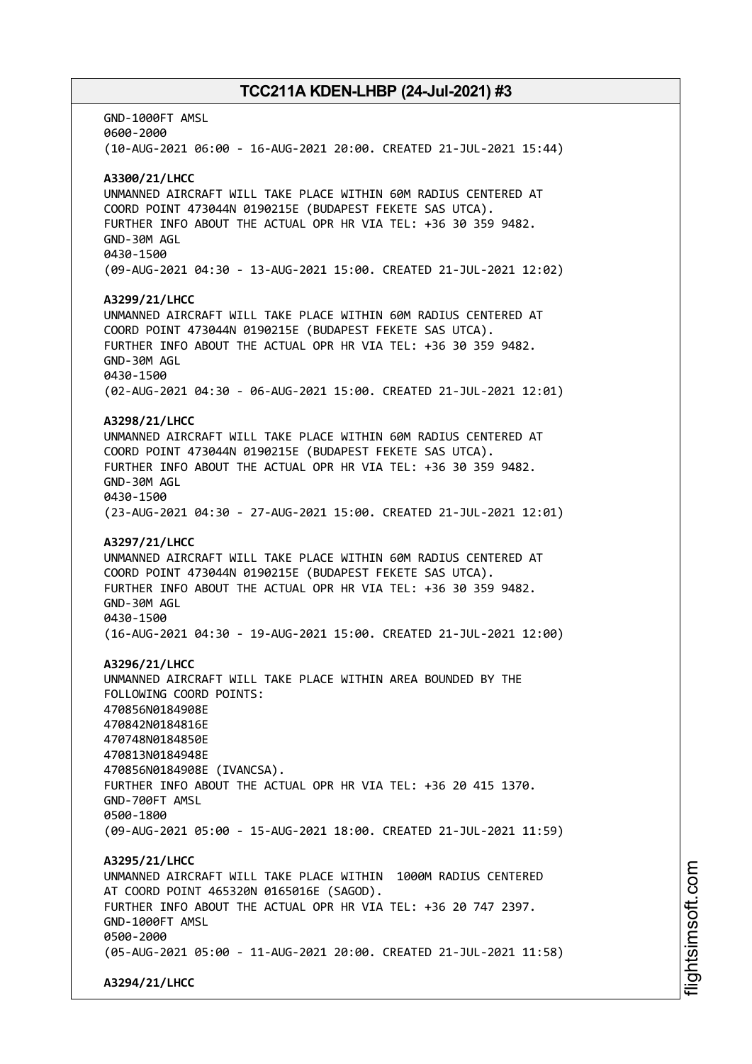GND-1000FT AMSL 0600-2000 (10-AUG-2021 06:00 - 16-AUG-2021 20:00. CREATED 21-JUL-2021 15:44) **A3300/21/LHCC** UNMANNED AIRCRAFT WILL TAKE PLACE WITHIN 60M RADIUS CENTERED AT COORD POINT 473044N 0190215E (BUDAPEST FEKETE SAS UTCA). FURTHER INFO ABOUT THE ACTUAL OPR HR VIA TEL: +36 30 359 9482. GND-30M AGL 0430-1500 (09-AUG-2021 04:30 - 13-AUG-2021 15:00. CREATED 21-JUL-2021 12:02) **A3299/21/LHCC** UNMANNED AIRCRAFT WILL TAKE PLACE WITHIN 60M RADIUS CENTERED AT COORD POINT 473044N 0190215E (BUDAPEST FEKETE SAS UTCA). FURTHER INFO ABOUT THE ACTUAL OPR HR VIA TEL: +36 30 359 9482. GND-30M AGL 0430-1500 (02-AUG-2021 04:30 - 06-AUG-2021 15:00. CREATED 21-JUL-2021 12:01) **A3298/21/LHCC** UNMANNED AIRCRAFT WILL TAKE PLACE WITHIN 60M RADIUS CENTERED AT COORD POINT 473044N 0190215E (BUDAPEST FEKETE SAS UTCA). FURTHER INFO ABOUT THE ACTUAL OPR HR VIA TEL: +36 30 359 9482. GND-30M AGL 0430-1500 (23-AUG-2021 04:30 - 27-AUG-2021 15:00. CREATED 21-JUL-2021 12:01) **A3297/21/LHCC** UNMANNED AIRCRAFT WILL TAKE PLACE WITHIN 60M RADIUS CENTERED AT COORD POINT 473044N 0190215E (BUDAPEST FEKETE SAS UTCA). FURTHER INFO ABOUT THE ACTUAL OPR HR VIA TEL: +36 30 359 9482. GND-30M AGL 0430-1500 (16-AUG-2021 04:30 - 19-AUG-2021 15:00. CREATED 21-JUL-2021 12:00) **A3296/21/LHCC** UNMANNED AIRCRAFT WILL TAKE PLACE WITHIN AREA BOUNDED BY THE FOLLOWING COORD POINTS: 470856N0184908E 470842N0184816E 470748N0184850E 470813N0184948E 470856N0184908E (IVANCSA). FURTHER INFO ABOUT THE ACTUAL OPR HR VIA TEL: +36 20 415 1370. GND-700FT AMSL 0500-1800 (09-AUG-2021 05:00 - 15-AUG-2021 18:00. CREATED 21-JUL-2021 11:59) **A3295/21/LHCC** UNMANNED AIRCRAFT WILL TAKE PLACE WITHIN 1000M RADIUS CENTERED AT COORD POINT 465320N 0165016E (SAGOD). FURTHER INFO ABOUT THE ACTUAL OPR HR VIA TEL: +36 20 747 2397. GND-1000FT AMSL 0500-2000 (05-AUG-2021 05:00 - 11-AUG-2021 20:00. CREATED 21-JUL-2021 11:58) **A3294/21/LHCC**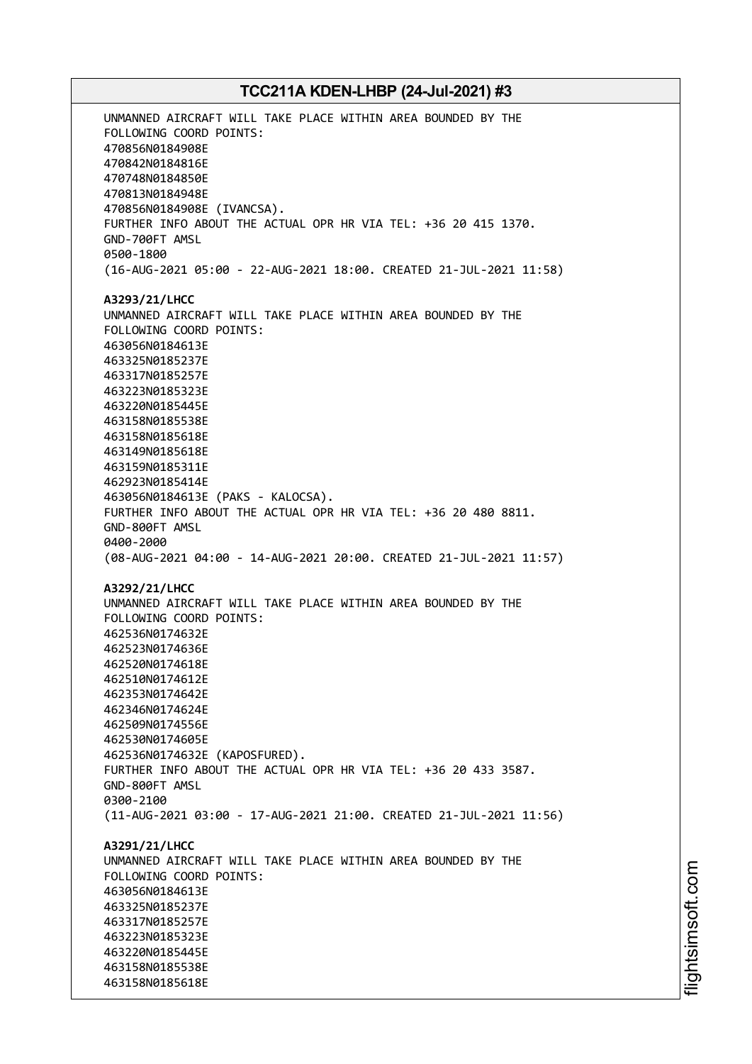UNMANNED AIRCRAFT WILL TAKE PLACE WITHIN AREA BOUNDED BY THE FOLLOWING COORD POINTS: 470856N0184908E 470842N0184816E 470748N0184850E 470813N0184948E 470856N0184908E (IVANCSA). FURTHER INFO ABOUT THE ACTUAL OPR HR VIA TEL: +36 20 415 1370. GND-700FT AMSL 0500-1800 (16-AUG-2021 05:00 - 22-AUG-2021 18:00. CREATED 21-JUL-2021 11:58) **A3293/21/LHCC** UNMANNED AIRCRAFT WILL TAKE PLACE WITHIN AREA BOUNDED BY THE FOLLOWING COORD POINTS: 463056N0184613E 463325N0185237E 463317N0185257E 463223N0185323E 463220N0185445E 463158N0185538E 463158N0185618E 463149N0185618E 463159N0185311E 462923N0185414E 463056N0184613E (PAKS - KALOCSA). FURTHER INFO ABOUT THE ACTUAL OPR HR VIA TEL: +36 20 480 8811. GND-800FT AMSL 0400-2000 (08-AUG-2021 04:00 - 14-AUG-2021 20:00. CREATED 21-JUL-2021 11:57) **A3292/21/LHCC** UNMANNED AIRCRAFT WILL TAKE PLACE WITHIN AREA BOUNDED BY THE FOLLOWING COORD POINTS: 462536N0174632E 462523N0174636E 462520N0174618E 462510N0174612E 462353N0174642E 462346N0174624E 462509N0174556E 462530N0174605E 462536N0174632E (KAPOSFURED). FURTHER INFO ABOUT THE ACTUAL OPR HR VIA TEL: +36 20 433 3587. GND-800FT AMSL 0300-2100 (11-AUG-2021 03:00 - 17-AUG-2021 21:00. CREATED 21-JUL-2021 11:56) **A3291/21/LHCC** UNMANNED AIRCRAFT WILL TAKE PLACE WITHIN AREA BOUNDED BY THE FOLLOWING COORD POINTS: 463056N0184613E 463325N0185237E 463317N0185257E 463223N0185323E 463220N0185445E 463158N0185538E 463158N0185618E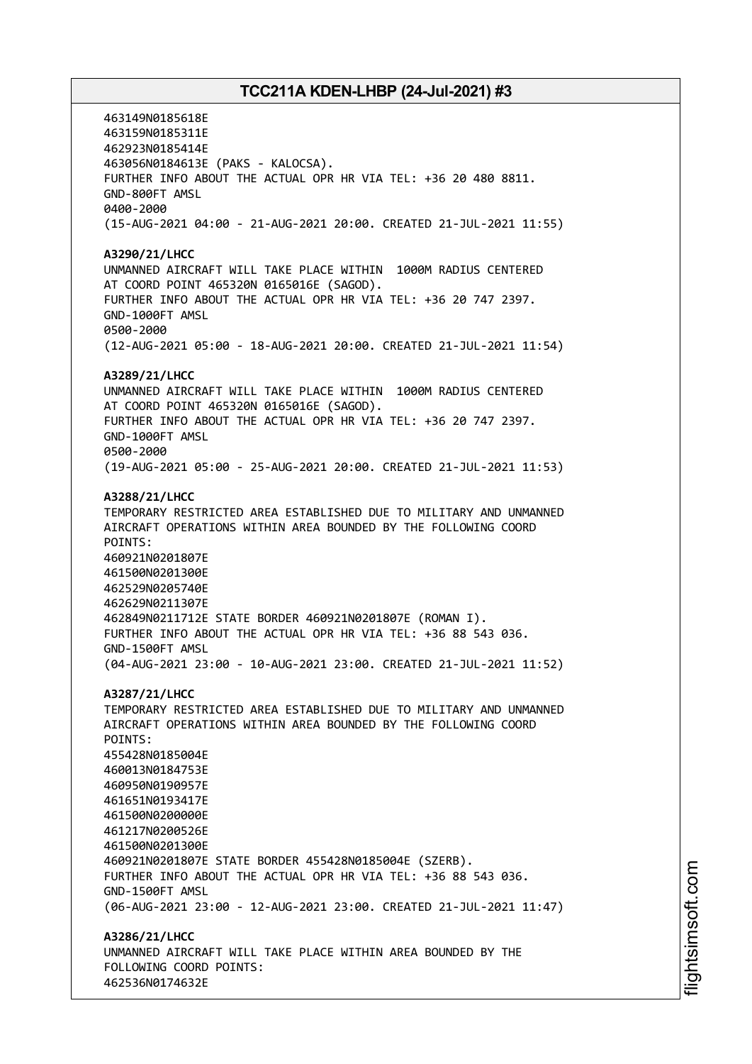463149N0185618E 463159N0185311E 462923N0185414E 463056N0184613E (PAKS - KALOCSA). FURTHER INFO ABOUT THE ACTUAL OPR HR VIA TEL: +36 20 480 8811. GND-800FT AMSL 0400-2000 (15-AUG-2021 04:00 - 21-AUG-2021 20:00. CREATED 21-JUL-2021 11:55) **A3290/21/LHCC** UNMANNED AIRCRAFT WILL TAKE PLACE WITHIN 1000M RADIUS CENTERED AT COORD POINT 465320N 0165016E (SAGOD). FURTHER INFO ABOUT THE ACTUAL OPR HR VIA TEL: +36 20 747 2397. GND-1000FT AMSL 0500-2000 (12-AUG-2021 05:00 - 18-AUG-2021 20:00. CREATED 21-JUL-2021 11:54) **A3289/21/LHCC** UNMANNED AIRCRAFT WILL TAKE PLACE WITHIN 1000M RADIUS CENTERED AT COORD POINT 465320N 0165016E (SAGOD). FURTHER INFO ABOUT THE ACTUAL OPR HR VIA TEL: +36 20 747 2397. GND-1000FT AMSL 0500-2000 (19-AUG-2021 05:00 - 25-AUG-2021 20:00. CREATED 21-JUL-2021 11:53) **A3288/21/LHCC** TEMPORARY RESTRICTED AREA ESTABLISHED DUE TO MILITARY AND UNMANNED AIRCRAFT OPERATIONS WITHIN AREA BOUNDED BY THE FOLLOWING COORD POINTS: 460921N0201807E 461500N0201300E 462529N0205740E 462629N0211307E 462849N0211712E STATE BORDER 460921N0201807E (ROMAN I). FURTHER INFO ABOUT THE ACTUAL OPR HR VIA TEL: +36 88 543 036. GND-1500FT AMSL (04-AUG-2021 23:00 - 10-AUG-2021 23:00. CREATED 21-JUL-2021 11:52) **A3287/21/LHCC** TEMPORARY RESTRICTED AREA ESTABLISHED DUE TO MILITARY AND UNMANNED AIRCRAFT OPERATIONS WITHIN AREA BOUNDED BY THE FOLLOWING COORD POINTS: 455428N0185004E 460013N0184753E 460950N0190957E 461651N0193417E 461500N0200000E 461217N0200526E 461500N0201300E 460921N0201807E STATE BORDER 455428N0185004E (SZERB). FURTHER INFO ABOUT THE ACTUAL OPR HR VIA TEL: +36 88 543 036. GND-1500FT AMSL (06-AUG-2021 23:00 - 12-AUG-2021 23:00. CREATED 21-JUL-2021 11:47) **A3286/21/LHCC** UNMANNED AIRCRAFT WILL TAKE PLACE WITHIN AREA BOUNDED BY THE FOLLOWING COORD POINTS: 462536N0174632E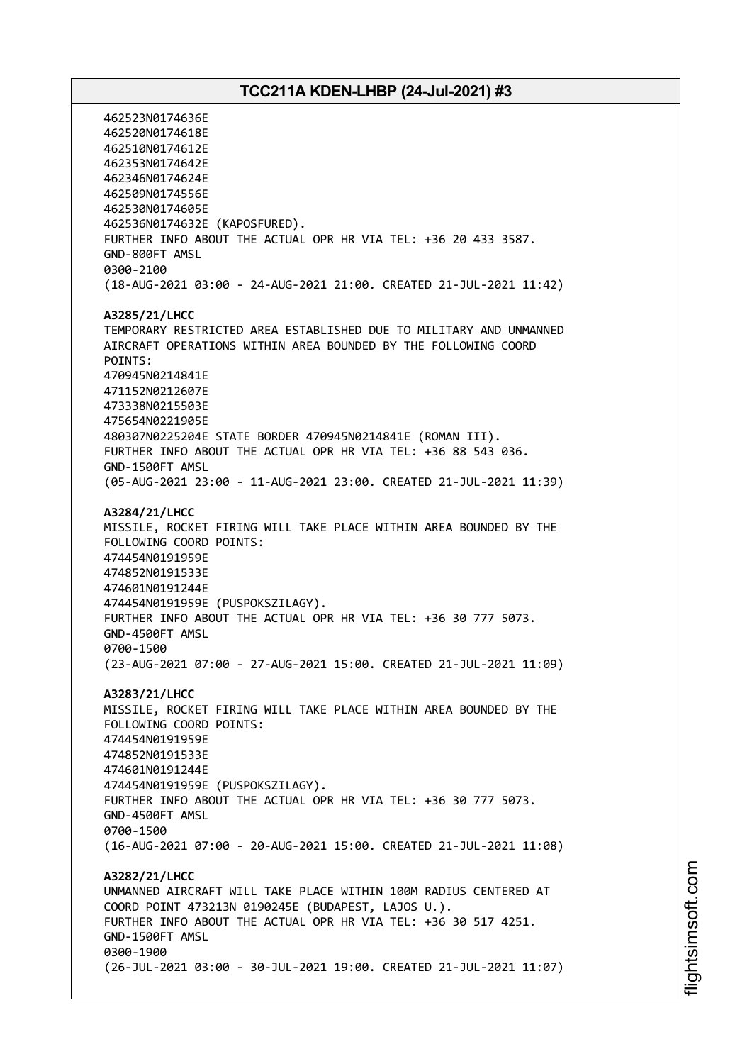462523N0174636E 462520N0174618E 462510N0174612E 462353N0174642E 462346N0174624E 462509N0174556E 462530N0174605E 462536N0174632E (KAPOSFURED). FURTHER INFO ABOUT THE ACTUAL OPR HR VIA TEL: +36 20 433 3587. GND-800FT AMSL 0300-2100 (18-AUG-2021 03:00 - 24-AUG-2021 21:00. CREATED 21-JUL-2021 11:42) **A3285/21/LHCC** TEMPORARY RESTRICTED AREA ESTABLISHED DUE TO MILITARY AND UNMANNED AIRCRAFT OPERATIONS WITHIN AREA BOUNDED BY THE FOLLOWING COORD POINTS: 470945N0214841E 471152N0212607E 473338N0215503E 475654N0221905E 480307N0225204E STATE BORDER 470945N0214841E (ROMAN III). FURTHER INFO ABOUT THE ACTUAL OPR HR VIA TEL: +36 88 543 036. GND-1500FT AMSL (05-AUG-2021 23:00 - 11-AUG-2021 23:00. CREATED 21-JUL-2021 11:39) **A3284/21/LHCC** MISSILE, ROCKET FIRING WILL TAKE PLACE WITHIN AREA BOUNDED BY THE FOLLOWING COORD POINTS: 474454N0191959E 474852N0191533E 474601N0191244E 474454N0191959E (PUSPOKSZILAGY). FURTHER INFO ABOUT THE ACTUAL OPR HR VIA TEL: +36 30 777 5073. GND-4500FT AMSL 0700-1500 (23-AUG-2021 07:00 - 27-AUG-2021 15:00. CREATED 21-JUL-2021 11:09) **A3283/21/LHCC** MISSILE, ROCKET FIRING WILL TAKE PLACE WITHIN AREA BOUNDED BY THE FOLLOWING COORD POINTS: 474454N0191959E 474852N0191533E 474601N0191244E 474454N0191959E (PUSPOKSZILAGY). FURTHER INFO ABOUT THE ACTUAL OPR HR VIA TEL: +36 30 777 5073. GND-4500FT AMSL 0700-1500 (16-AUG-2021 07:00 - 20-AUG-2021 15:00. CREATED 21-JUL-2021 11:08) **A3282/21/LHCC** UNMANNED AIRCRAFT WILL TAKE PLACE WITHIN 100M RADIUS CENTERED AT COORD POINT 473213N 0190245E (BUDAPEST, LAJOS U.). FURTHER INFO ABOUT THE ACTUAL OPR HR VIA TEL: +36 30 517 4251. GND-1500FT AMSL 0300-1900 (26-JUL-2021 03:00 - 30-JUL-2021 19:00. CREATED 21-JUL-2021 11:07)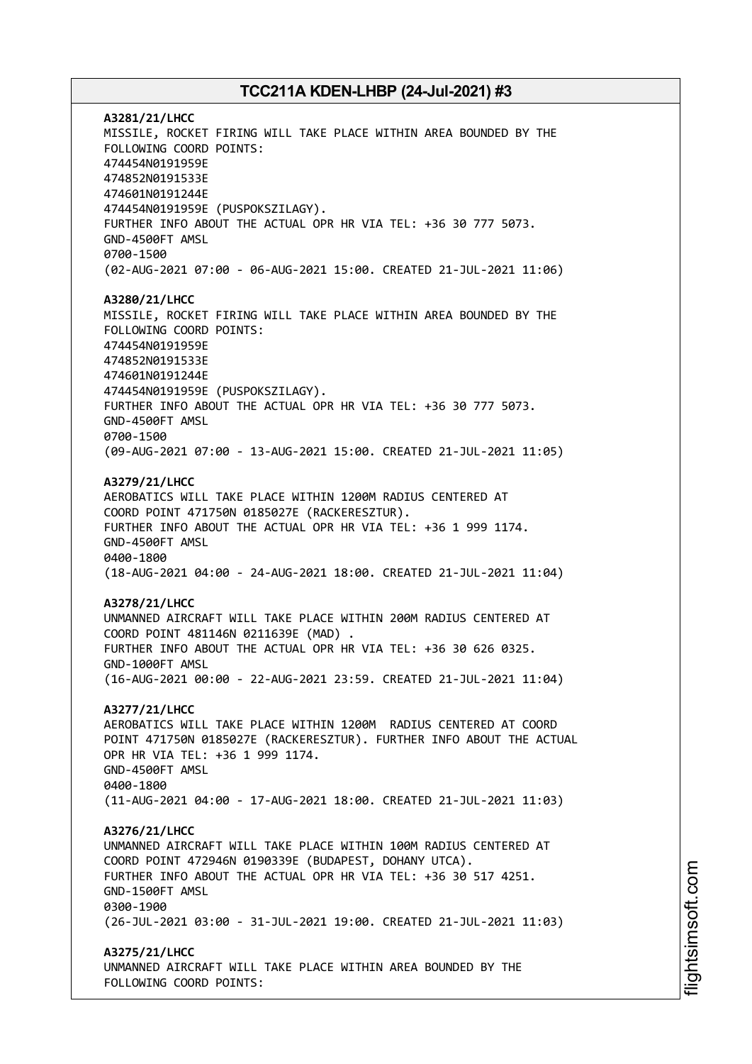**A3281/21/LHCC** MISSILE, ROCKET FIRING WILL TAKE PLACE WITHIN AREA BOUNDED BY THE FOLLOWING COORD POINTS: 474454N0191959E 474852N0191533E 474601N0191244E 474454N0191959E (PUSPOKSZILAGY). FURTHER INFO ABOUT THE ACTUAL OPR HR VIA TEL: +36 30 777 5073. GND-4500FT AMSL 0700-1500 (02-AUG-2021 07:00 - 06-AUG-2021 15:00. CREATED 21-JUL-2021 11:06) **A3280/21/LHCC** MISSILE, ROCKET FIRING WILL TAKE PLACE WITHIN AREA BOUNDED BY THE FOLLOWING COORD POINTS: 474454N0191959E 474852N0191533E 474601N0191244E 474454N0191959E (PUSPOKSZILAGY). FURTHER INFO ABOUT THE ACTUAL OPR HR VIA TEL: +36 30 777 5073. GND-4500FT AMSL 0700-1500 (09-AUG-2021 07:00 - 13-AUG-2021 15:00. CREATED 21-JUL-2021 11:05) **A3279/21/LHCC** AEROBATICS WILL TAKE PLACE WITHIN 1200M RADIUS CENTERED AT COORD POINT 471750N 0185027E (RACKERESZTUR). FURTHER INFO ABOUT THE ACTUAL OPR HR VIA TEL: +36 1 999 1174. GND-4500FT AMSL 0400-1800 (18-AUG-2021 04:00 - 24-AUG-2021 18:00. CREATED 21-JUL-2021 11:04) **A3278/21/LHCC** UNMANNED AIRCRAFT WILL TAKE PLACE WITHIN 200M RADIUS CENTERED AT COORD POINT 481146N 0211639E (MAD) . FURTHER INFO ABOUT THE ACTUAL OPR HR VIA TEL: +36 30 626 0325. GND-1000FT AMSL (16-AUG-2021 00:00 - 22-AUG-2021 23:59. CREATED 21-JUL-2021 11:04) **A3277/21/LHCC** AEROBATICS WILL TAKE PLACE WITHIN 1200M RADIUS CENTERED AT COORD POINT 471750N 0185027E (RACKERESZTUR). FURTHER INFO ABOUT THE ACTUAL OPR HR VIA TEL: +36 1 999 1174. GND-4500FT AMSL 0400-1800 (11-AUG-2021 04:00 - 17-AUG-2021 18:00. CREATED 21-JUL-2021 11:03) **A3276/21/LHCC** UNMANNED AIRCRAFT WILL TAKE PLACE WITHIN 100M RADIUS CENTERED AT COORD POINT 472946N 0190339E (BUDAPEST, DOHANY UTCA). FURTHER INFO ABOUT THE ACTUAL OPR HR VIA TEL: +36 30 517 4251. GND-1500FT AMSL 0300-1900 (26-JUL-2021 03:00 - 31-JUL-2021 19:00. CREATED 21-JUL-2021 11:03) **A3275/21/LHCC** UNMANNED AIRCRAFT WILL TAKE PLACE WITHIN AREA BOUNDED BY THE FOLLOWING COORD POINTS: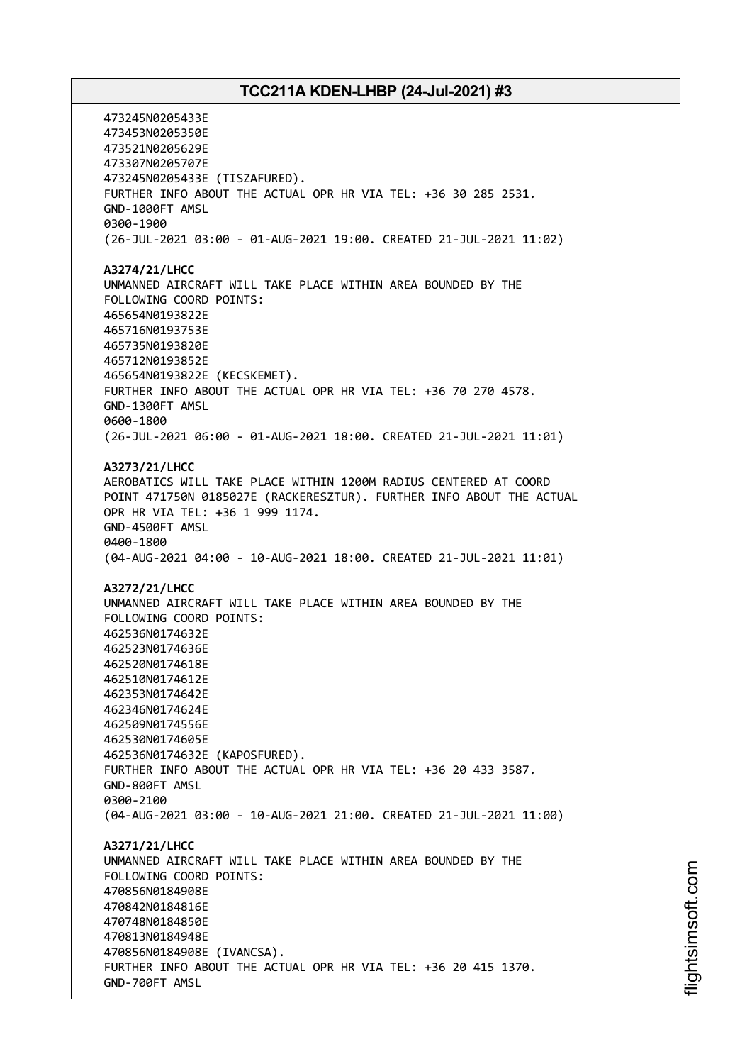473245N0205433E 473453N0205350E 473521N0205629E 473307N0205707E 473245N0205433E (TISZAFURED). FURTHER INFO ABOUT THE ACTUAL OPR HR VIA TEL: +36 30 285 2531. GND-1000FT AMSL 0300-1900 (26-JUL-2021 03:00 - 01-AUG-2021 19:00. CREATED 21-JUL-2021 11:02) **A3274/21/LHCC** UNMANNED AIRCRAFT WILL TAKE PLACE WITHIN AREA BOUNDED BY THE FOLLOWING COORD POINTS: 465654N0193822E 465716N0193753E 465735N0193820E 465712N0193852E 465654N0193822E (KECSKEMET). FURTHER INFO ABOUT THE ACTUAL OPR HR VIA TEL: +36 70 270 4578. GND-1300FT AMSL 0600-1800 (26-JUL-2021 06:00 - 01-AUG-2021 18:00. CREATED 21-JUL-2021 11:01) **A3273/21/LHCC** AEROBATICS WILL TAKE PLACE WITHIN 1200M RADIUS CENTERED AT COORD POINT 471750N 0185027E (RACKERESZTUR). FURTHER INFO ABOUT THE ACTUAL OPR HR VIA TEL: +36 1 999 1174. GND-4500FT AMSL 0400-1800 (04-AUG-2021 04:00 - 10-AUG-2021 18:00. CREATED 21-JUL-2021 11:01) **A3272/21/LHCC** UNMANNED AIRCRAFT WILL TAKE PLACE WITHIN AREA BOUNDED BY THE FOLLOWING COORD POINTS: 462536N0174632E 462523N0174636E 462520N0174618E 462510N0174612E 462353N0174642E 462346N0174624E 462509N0174556E 462530N0174605E 462536N0174632E (KAPOSFURED). FURTHER INFO ABOUT THE ACTUAL OPR HR VIA TEL: +36 20 433 3587. GND-800FT AMSL 0300-2100 (04-AUG-2021 03:00 - 10-AUG-2021 21:00. CREATED 21-JUL-2021 11:00) **A3271/21/LHCC** UNMANNED AIRCRAFT WILL TAKE PLACE WITHIN AREA BOUNDED BY THE FOLLOWING COORD POINTS: 470856N0184908E 470842N0184816E 470748N0184850E 470813N0184948E 470856N0184908E (IVANCSA). FURTHER INFO ABOUT THE ACTUAL OPR HR VIA TEL: +36 20 415 1370. GND-700FT AMSL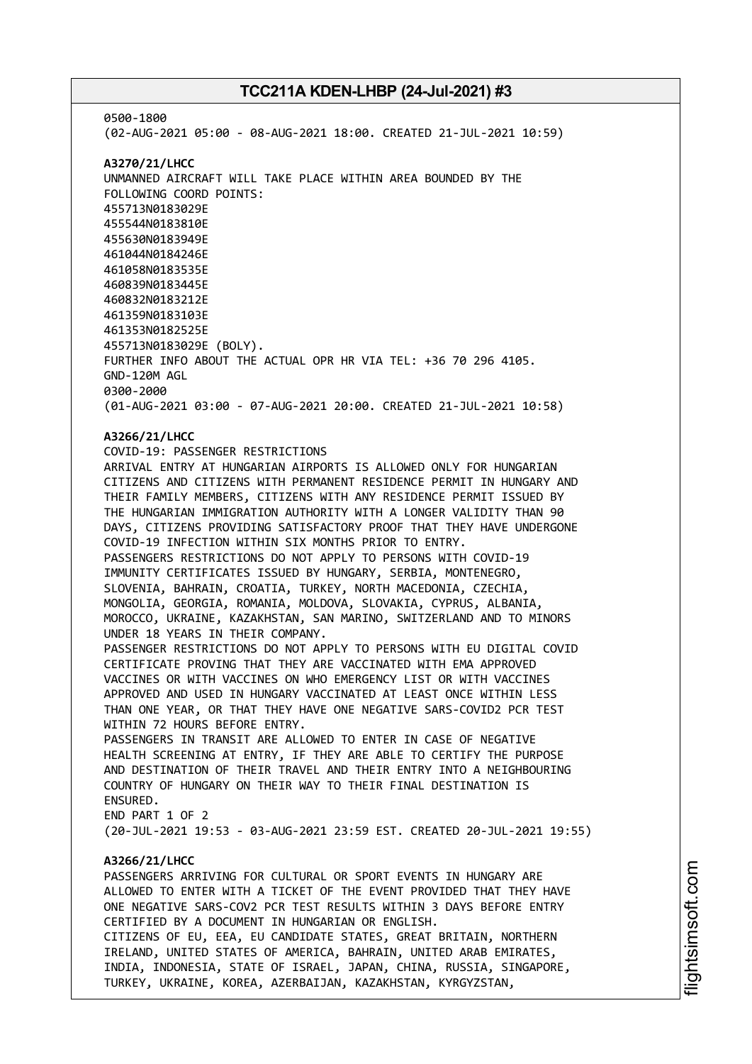0500-1800 (02-AUG-2021 05:00 - 08-AUG-2021 18:00. CREATED 21-JUL-2021 10:59) **A3270/21/LHCC** UNMANNED AIRCRAFT WILL TAKE PLACE WITHIN AREA BOUNDED BY THE FOLLOWING COORD POINTS: 455713N0183029E 455544N0183810E 455630N0183949E 461044N0184246E 461058N0183535E 460839N0183445E 460832N0183212E 461359N0183103E 461353N0182525E 455713N0183029E (BOLY). FURTHER INFO ABOUT THE ACTUAL OPR HR VIA TEL: +36 70 296 4105. GND-120M AGL 0300-2000 (01-AUG-2021 03:00 - 07-AUG-2021 20:00. CREATED 21-JUL-2021 10:58) **A3266/21/LHCC** COVID-19: PASSENGER RESTRICTIONS ARRIVAL ENTRY AT HUNGARIAN AIRPORTS IS ALLOWED ONLY FOR HUNGARIAN CITIZENS AND CITIZENS WITH PERMANENT RESIDENCE PERMIT IN HUNGARY AND THEIR FAMILY MEMBERS, CITIZENS WITH ANY RESIDENCE PERMIT ISSUED BY THE HUNGARIAN IMMIGRATION AUTHORITY WITH A LONGER VALIDITY THAN 90 DAYS, CITIZENS PROVIDING SATISFACTORY PROOF THAT THEY HAVE UNDERGONE COVID-19 INFECTION WITHIN SIX MONTHS PRIOR TO ENTRY. PASSENGERS RESTRICTIONS DO NOT APPLY TO PERSONS WITH COVID-19 IMMUNITY CERTIFICATES ISSUED BY HUNGARY, SERBIA, MONTENEGRO, SLOVENIA, BAHRAIN, CROATIA, TURKEY, NORTH MACEDONIA, CZECHIA, MONGOLIA, GEORGIA, ROMANIA, MOLDOVA, SLOVAKIA, CYPRUS, ALBANIA, MOROCCO, UKRAINE, KAZAKHSTAN, SAN MARINO, SWITZERLAND AND TO MINORS UNDER 18 YEARS IN THEIR COMPANY. PASSENGER RESTRICTIONS DO NOT APPLY TO PERSONS WITH EU DIGITAL COVID CERTIFICATE PROVING THAT THEY ARE VACCINATED WITH EMA APPROVED VACCINES OR WITH VACCINES ON WHO EMERGENCY LIST OR WITH VACCINES APPROVED AND USED IN HUNGARY VACCINATED AT LEAST ONCE WITHIN LESS THAN ONE YEAR, OR THAT THEY HAVE ONE NEGATIVE SARS-COVID2 PCR TEST WITHIN 72 HOURS BEFORE ENTRY. PASSENGERS IN TRANSIT ARE ALLOWED TO ENTER IN CASE OF NEGATIVE HEALTH SCREENING AT ENTRY, IF THEY ARE ABLE TO CERTIFY THE PURPOSE AND DESTINATION OF THEIR TRAVEL AND THEIR ENTRY INTO A NEIGHBOURING COUNTRY OF HUNGARY ON THEIR WAY TO THEIR FINAL DESTINATION IS ENSURED. END PART 1 OF 2 (20-JUL-2021 19:53 - 03-AUG-2021 23:59 EST. CREATED 20-JUL-2021 19:55) **A3266/21/LHCC** PASSENGERS ARRIVING FOR CULTURAL OR SPORT EVENTS IN HUNGARY ARE ALLOWED TO ENTER WITH A TICKET OF THE EVENT PROVIDED THAT THEY HAVE ONE NEGATIVE SARS-COV2 PCR TEST RESULTS WITHIN 3 DAYS BEFORE ENTRY CERTIFIED BY A DOCUMENT IN HUNGARIAN OR ENGLISH. CITIZENS OF EU, EEA, EU CANDIDATE STATES, GREAT BRITAIN, NORTHERN IRELAND, UNITED STATES OF AMERICA, BAHRAIN, UNITED ARAB EMIRATES,

INDIA, INDONESIA, STATE OF ISRAEL, JAPAN, CHINA, RUSSIA, SINGAPORE,

TURKEY, UKRAINE, KOREA, AZERBAIJAN, KAZAKHSTAN, KYRGYZSTAN,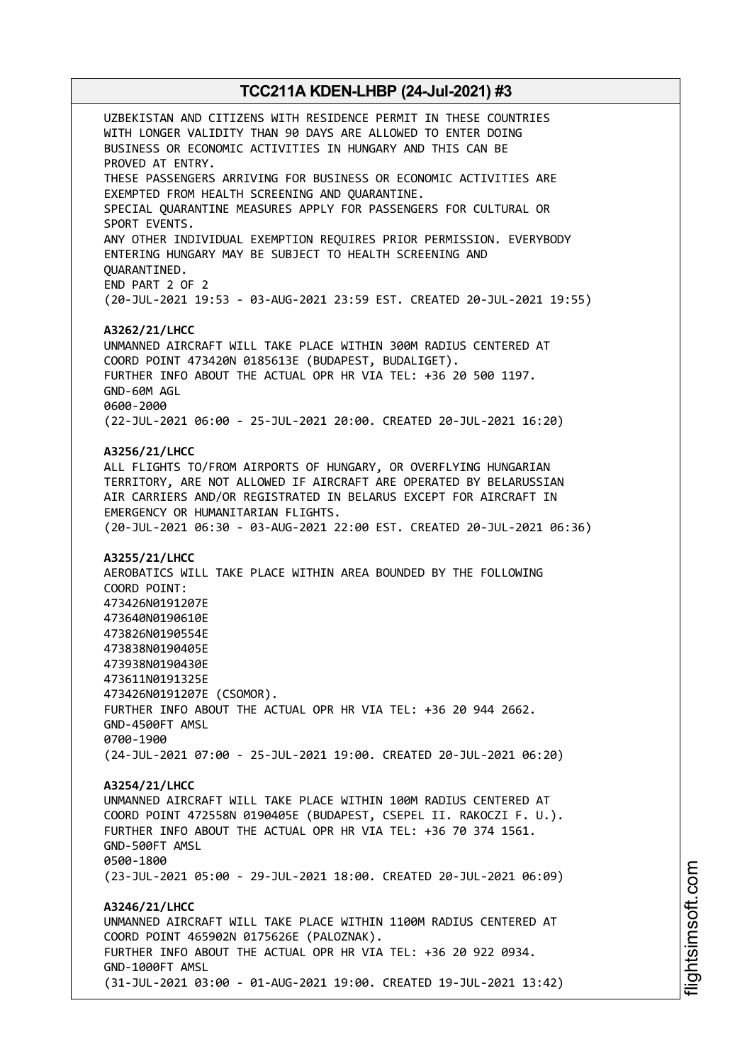UZBEKISTAN AND CITIZENS WITH RESIDENCE PERMIT IN THESE COUNTRIES WITH LONGER VALIDITY THAN 90 DAYS ARE ALLOWED TO ENTER DOING BUSINESS OR ECONOMIC ACTIVITIES IN HUNGARY AND THIS CAN BE PROVED AT ENTRY. THESE PASSENGERS ARRIVING FOR BUSINESS OR ECONOMIC ACTIVITIES ARE EXEMPTED FROM HEALTH SCREENING AND QUARANTINE. SPECIAL QUARANTINE MEASURES APPLY FOR PASSENGERS FOR CULTURAL OR SPORT EVENTS. ANY OTHER INDIVIDUAL EXEMPTION REQUIRES PRIOR PERMISSION. EVERYBODY ENTERING HUNGARY MAY BE SUBJECT TO HEALTH SCREENING AND QUARANTINED. END PART 2 OF 2 (20-JUL-2021 19:53 - 03-AUG-2021 23:59 EST. CREATED 20-JUL-2021 19:55) **A3262/21/LHCC** UNMANNED AIRCRAFT WILL TAKE PLACE WITHIN 300M RADIUS CENTERED AT COORD POINT 473420N 0185613E (BUDAPEST, BUDALIGET). FURTHER INFO ABOUT THE ACTUAL OPR HR VIA TEL: +36 20 500 1197. GND-60M AGL 0600-2000 (22-JUL-2021 06:00 - 25-JUL-2021 20:00. CREATED 20-JUL-2021 16:20) **A3256/21/LHCC** ALL FLIGHTS TO/FROM AIRPORTS OF HUNGARY, OR OVERFLYING HUNGARIAN TERRITORY, ARE NOT ALLOWED IF AIRCRAFT ARE OPERATED BY BELARUSSIAN AIR CARRIERS AND/OR REGISTRATED IN BELARUS EXCEPT FOR AIRCRAFT IN EMERGENCY OR HUMANITARIAN FLIGHTS. (20-JUL-2021 06:30 - 03-AUG-2021 22:00 EST. CREATED 20-JUL-2021 06:36) **A3255/21/LHCC** AEROBATICS WILL TAKE PLACE WITHIN AREA BOUNDED BY THE FOLLOWING COORD POINT: 473426N0191207E 473640N0190610E 473826N0190554E 473838N0190405E 473938N0190430E 473611N0191325E 473426N0191207E (CSOMOR). FURTHER INFO ABOUT THE ACTUAL OPR HR VIA TEL: +36 20 944 2662. GND-4500FT AMSL 0700-1900 (24-JUL-2021 07:00 - 25-JUL-2021 19:00. CREATED 20-JUL-2021 06:20) **A3254/21/LHCC** UNMANNED AIRCRAFT WILL TAKE PLACE WITHIN 100M RADIUS CENTERED AT COORD POINT 472558N 0190405E (BUDAPEST, CSEPEL II. RAKOCZI F. U.). FURTHER INFO ABOUT THE ACTUAL OPR HR VIA TEL: +36 70 374 1561. GND-500FT AMSL 0500-1800 (23-JUL-2021 05:00 - 29-JUL-2021 18:00. CREATED 20-JUL-2021 06:09) **A3246/21/LHCC** UNMANNED AIRCRAFT WILL TAKE PLACE WITHIN 1100M RADIUS CENTERED AT COORD POINT 465902N 0175626E (PALOZNAK). FURTHER INFO ABOUT THE ACTUAL OPR HR VIA TEL: +36 20 922 0934. GND-1000FT AMSL (31-JUL-2021 03:00 - 01-AUG-2021 19:00. CREATED 19-JUL-2021 13:42)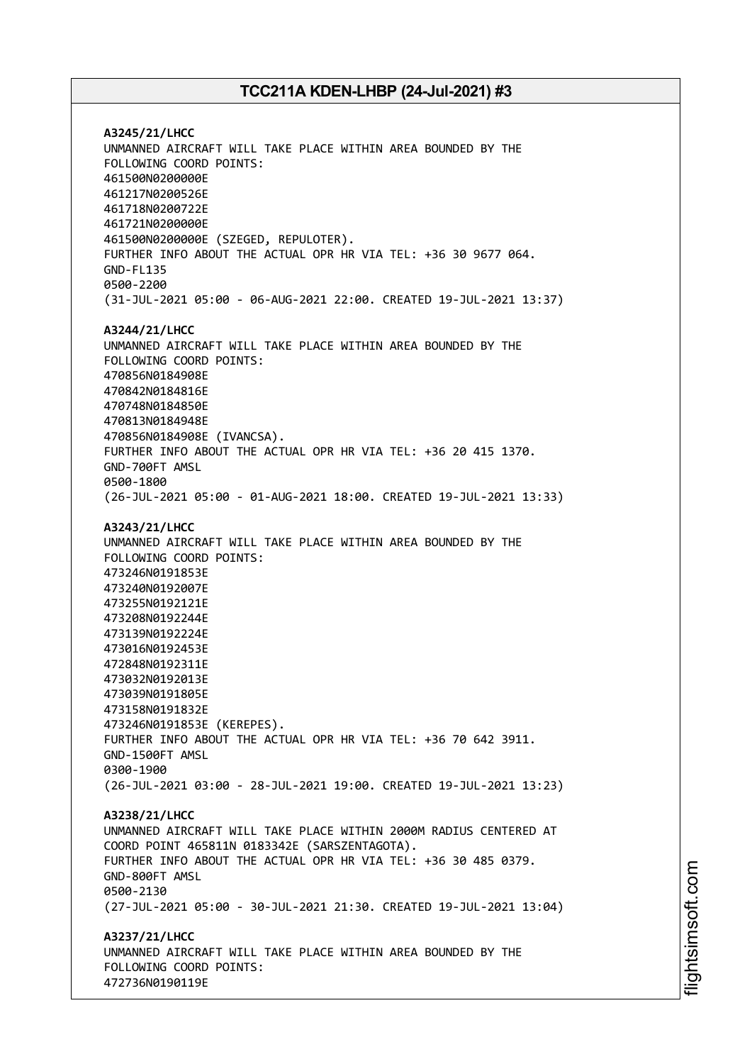**A3245/21/LHCC** UNMANNED AIRCRAFT WILL TAKE PLACE WITHIN AREA BOUNDED BY THE FOLLOWING COORD POINTS: 461500N0200000E 461217N0200526E 461718N0200722E 461721N0200000E 461500N0200000E (SZEGED, REPULOTER). FURTHER INFO ABOUT THE ACTUAL OPR HR VIA TEL: +36 30 9677 064. GND-FL135 0500-2200 (31-JUL-2021 05:00 - 06-AUG-2021 22:00. CREATED 19-JUL-2021 13:37) **A3244/21/LHCC** UNMANNED AIRCRAFT WILL TAKE PLACE WITHIN AREA BOUNDED BY THE FOLLOWING COORD POINTS: 470856N0184908E 470842N0184816E 470748N0184850E 470813N0184948E 470856N0184908E (IVANCSA). FURTHER INFO ABOUT THE ACTUAL OPR HR VIA TEL: +36 20 415 1370. GND-700FT AMSL 0500-1800 (26-JUL-2021 05:00 - 01-AUG-2021 18:00. CREATED 19-JUL-2021 13:33) **A3243/21/LHCC** UNMANNED AIRCRAFT WILL TAKE PLACE WITHIN AREA BOUNDED BY THE FOLLOWING COORD POINTS: 473246N0191853E 473240N0192007E 473255N0192121E 473208N0192244E 473139N0192224E 473016N0192453E 472848N0192311E 473032N0192013E 473039N0191805E 473158N0191832E 473246N0191853E (KEREPES). FURTHER INFO ABOUT THE ACTUAL OPR HR VIA TEL: +36 70 642 3911. GND-1500FT AMSL 0300-1900 (26-JUL-2021 03:00 - 28-JUL-2021 19:00. CREATED 19-JUL-2021 13:23) **A3238/21/LHCC** UNMANNED AIRCRAFT WILL TAKE PLACE WITHIN 2000M RADIUS CENTERED AT COORD POINT 465811N 0183342E (SARSZENTAGOTA). FURTHER INFO ABOUT THE ACTUAL OPR HR VIA TEL: +36 30 485 0379. GND-800FT AMSL 0500-2130 (27-JUL-2021 05:00 - 30-JUL-2021 21:30. CREATED 19-JUL-2021 13:04) **A3237/21/LHCC** UNMANNED AIRCRAFT WILL TAKE PLACE WITHIN AREA BOUNDED BY THE FOLLOWING COORD POINTS:

472736N0190119E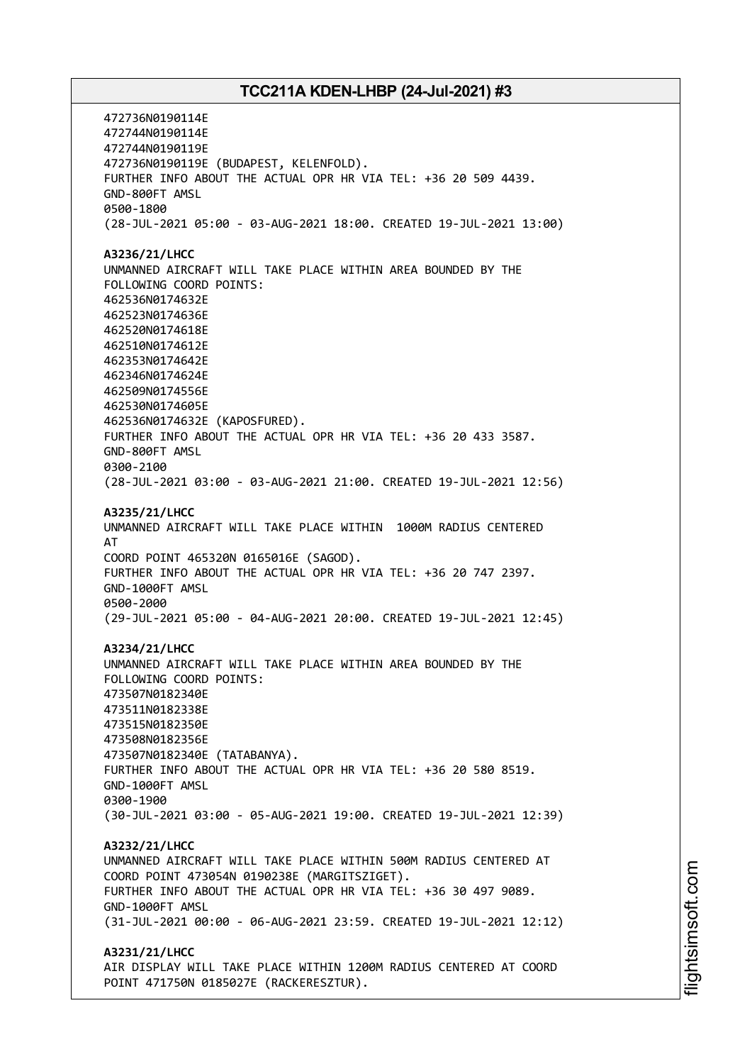472736N0190114E 472744N0190114E 472744N0190119E 472736N0190119E (BUDAPEST, KELENFOLD). FURTHER INFO ABOUT THE ACTUAL OPR HR VIA TEL: +36 20 509 4439. GND-800FT AMSL 0500-1800 (28-JUL-2021 05:00 - 03-AUG-2021 18:00. CREATED 19-JUL-2021 13:00) **A3236/21/LHCC** UNMANNED AIRCRAFT WILL TAKE PLACE WITHIN AREA BOUNDED BY THE FOLLOWING COORD POINTS: 462536N0174632E 462523N0174636E 462520N0174618E 462510N0174612E 462353N0174642E 462346N0174624E 462509N0174556E 462530N0174605E 462536N0174632E (KAPOSFURED). FURTHER INFO ABOUT THE ACTUAL OPR HR VIA TEL: +36 20 433 3587. GND-800FT AMSL 0300-2100 (28-JUL-2021 03:00 - 03-AUG-2021 21:00. CREATED 19-JUL-2021 12:56) **A3235/21/LHCC** UNMANNED AIRCRAFT WILL TAKE PLACE WITHIN 1000M RADIUS CENTERED AT COORD POINT 465320N 0165016E (SAGOD). FURTHER INFO ABOUT THE ACTUAL OPR HR VIA TEL: +36 20 747 2397. GND-1000FT AMSL 0500-2000 (29-JUL-2021 05:00 - 04-AUG-2021 20:00. CREATED 19-JUL-2021 12:45) **A3234/21/LHCC** UNMANNED AIRCRAFT WILL TAKE PLACE WITHIN AREA BOUNDED BY THE FOLLOWING COORD POINTS: 473507N0182340E 473511N0182338E 473515N0182350E 473508N0182356E 473507N0182340E (TATABANYA). FURTHER INFO ABOUT THE ACTUAL OPR HR VIA TEL: +36 20 580 8519. GND-1000FT AMSL 0300-1900 (30-JUL-2021 03:00 - 05-AUG-2021 19:00. CREATED 19-JUL-2021 12:39) **A3232/21/LHCC** UNMANNED AIRCRAFT WILL TAKE PLACE WITHIN 500M RADIUS CENTERED AT COORD POINT 473054N 0190238E (MARGITSZIGET). FURTHER INFO ABOUT THE ACTUAL OPR HR VIA TEL: +36 30 497 9089. GND-1000FT AMSL (31-JUL-2021 00:00 - 06-AUG-2021 23:59. CREATED 19-JUL-2021 12:12) **A3231/21/LHCC** AIR DISPLAY WILL TAKE PLACE WITHIN 1200M RADIUS CENTERED AT COORD POINT 471750N 0185027E (RACKERESZTUR).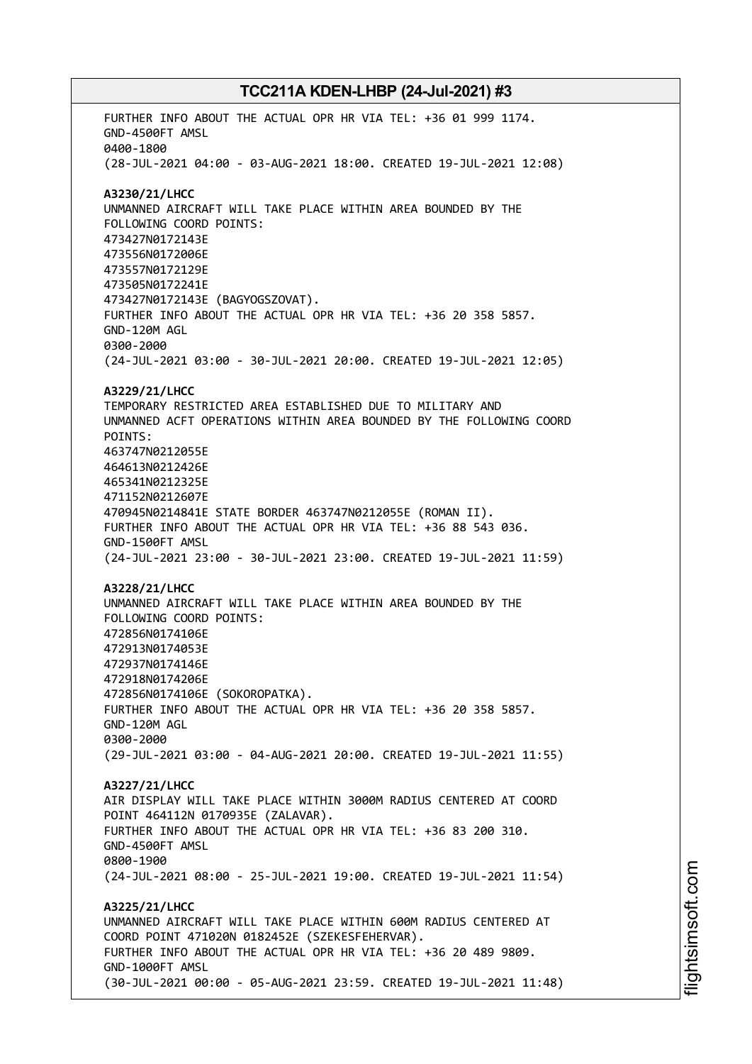FURTHER INFO ABOUT THE ACTUAL OPR HR VIA TEL: +36 01 999 1174. GND-4500FT AMSL 0400-1800 (28-JUL-2021 04:00 - 03-AUG-2021 18:00. CREATED 19-JUL-2021 12:08) **A3230/21/LHCC** UNMANNED AIRCRAFT WILL TAKE PLACE WITHIN AREA BOUNDED BY THE FOLLOWING COORD POINTS: 473427N0172143E 473556N0172006E 473557N0172129E 473505N0172241E 473427N0172143E (BAGYOGSZOVAT). FURTHER INFO ABOUT THE ACTUAL OPR HR VIA TEL: +36 20 358 5857. GND-120M AGL 0300-2000 (24-JUL-2021 03:00 - 30-JUL-2021 20:00. CREATED 19-JUL-2021 12:05) **A3229/21/LHCC** TEMPORARY RESTRICTED AREA ESTABLISHED DUE TO MILITARY AND UNMANNED ACFT OPERATIONS WITHIN AREA BOUNDED BY THE FOLLOWING COORD POINTS: 463747N0212055E 464613N0212426E 465341N0212325E 471152N0212607E 470945N0214841E STATE BORDER 463747N0212055E (ROMAN II). FURTHER INFO ABOUT THE ACTUAL OPR HR VIA TEL: +36 88 543 036. GND-1500FT AMSL (24-JUL-2021 23:00 - 30-JUL-2021 23:00. CREATED 19-JUL-2021 11:59) **A3228/21/LHCC** UNMANNED AIRCRAFT WILL TAKE PLACE WITHIN AREA BOUNDED BY THE FOLLOWING COORD POINTS: 472856N0174106E 472913N0174053E 472937N0174146E 472918N0174206E 472856N0174106E (SOKOROPATKA). FURTHER INFO ABOUT THE ACTUAL OPR HR VIA TEL: +36 20 358 5857. GND-120M AGL 0300-2000 (29-JUL-2021 03:00 - 04-AUG-2021 20:00. CREATED 19-JUL-2021 11:55) **A3227/21/LHCC** AIR DISPLAY WILL TAKE PLACE WITHIN 3000M RADIUS CENTERED AT COORD POINT 464112N 0170935E (ZALAVAR). FURTHER INFO ABOUT THE ACTUAL OPR HR VIA TEL: +36 83 200 310. GND-4500FT AMSL 0800-1900 (24-JUL-2021 08:00 - 25-JUL-2021 19:00. CREATED 19-JUL-2021 11:54) **A3225/21/LHCC** UNMANNED AIRCRAFT WILL TAKE PLACE WITHIN 600M RADIUS CENTERED AT COORD POINT 471020N 0182452E (SZEKESFEHERVAR). FURTHER INFO ABOUT THE ACTUAL OPR HR VIA TEL: +36 20 489 9809. GND-1000FT AMSL (30-JUL-2021 00:00 - 05-AUG-2021 23:59. CREATED 19-JUL-2021 11:48)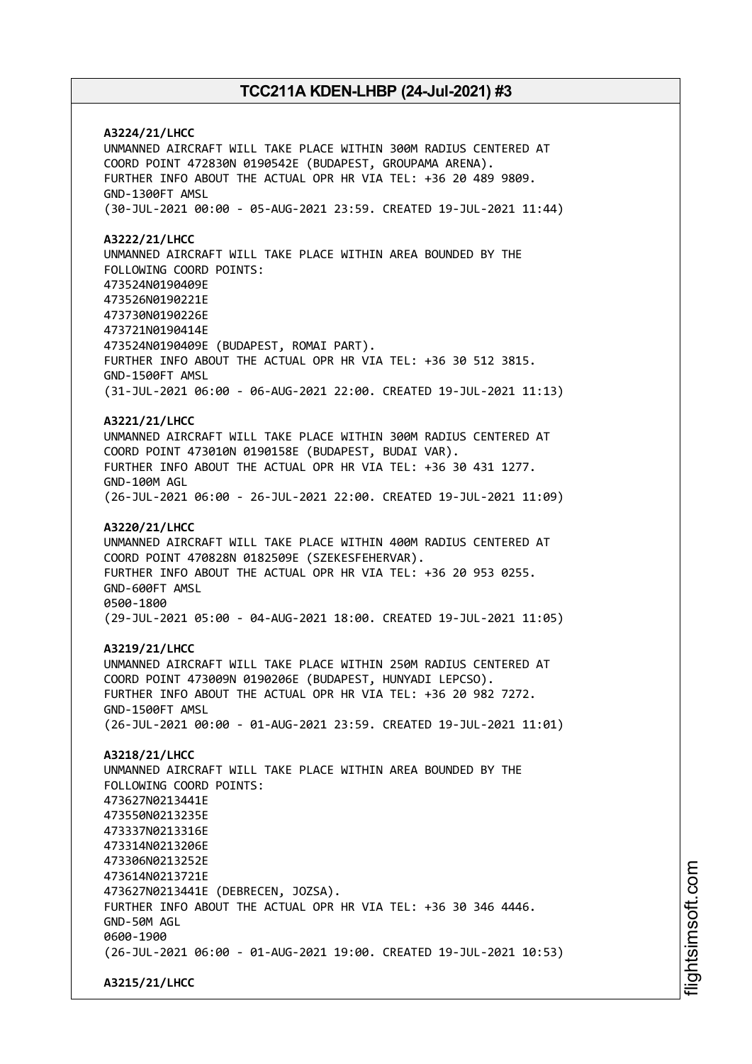**A3224/21/LHCC** UNMANNED AIRCRAFT WILL TAKE PLACE WITHIN 300M RADIUS CENTERED AT COORD POINT 472830N 0190542E (BUDAPEST, GROUPAMA ARENA). FURTHER INFO ABOUT THE ACTUAL OPR HR VIA TEL: +36 20 489 9809. GND-1300FT AMSL (30-JUL-2021 00:00 - 05-AUG-2021 23:59. CREATED 19-JUL-2021 11:44) **A3222/21/LHCC** UNMANNED AIRCRAFT WILL TAKE PLACE WITHIN AREA BOUNDED BY THE FOLLOWING COORD POINTS: 473524N0190409E 473526N0190221E 473730N0190226E 473721N0190414E 473524N0190409E (BUDAPEST, ROMAI PART). FURTHER INFO ABOUT THE ACTUAL OPR HR VIA TEL: +36 30 512 3815. GND-1500FT AMSL (31-JUL-2021 06:00 - 06-AUG-2021 22:00. CREATED 19-JUL-2021 11:13) **A3221/21/LHCC** UNMANNED AIRCRAFT WILL TAKE PLACE WITHIN 300M RADIUS CENTERED AT COORD POINT 473010N 0190158E (BUDAPEST, BUDAI VAR). FURTHER INFO ABOUT THE ACTUAL OPR HR VIA TEL: +36 30 431 1277. GND-100M AGL (26-JUL-2021 06:00 - 26-JUL-2021 22:00. CREATED 19-JUL-2021 11:09) **A3220/21/LHCC** UNMANNED AIRCRAFT WILL TAKE PLACE WITHIN 400M RADIUS CENTERED AT COORD POINT 470828N 0182509E (SZEKESFEHERVAR). FURTHER INFO ABOUT THE ACTUAL OPR HR VIA TEL: +36 20 953 0255. GND-600FT AMSL 0500-1800 (29-JUL-2021 05:00 - 04-AUG-2021 18:00. CREATED 19-JUL-2021 11:05) **A3219/21/LHCC** UNMANNED AIRCRAFT WILL TAKE PLACE WITHIN 250M RADIUS CENTERED AT COORD POINT 473009N 0190206E (BUDAPEST, HUNYADI LEPCSO). FURTHER INFO ABOUT THE ACTUAL OPR HR VIA TEL: +36 20 982 7272. GND-1500FT AMSL (26-JUL-2021 00:00 - 01-AUG-2021 23:59. CREATED 19-JUL-2021 11:01) **A3218/21/LHCC** UNMANNED AIRCRAFT WILL TAKE PLACE WITHIN AREA BOUNDED BY THE FOLLOWING COORD POINTS: 473627N0213441E 473550N0213235E 473337N0213316E 473314N0213206E 473306N0213252E 473614N0213721E 473627N0213441E (DEBRECEN, JOZSA). FURTHER INFO ABOUT THE ACTUAL OPR HR VIA TEL: +36 30 346 4446. GND-50M AGL 0600-1900 (26-JUL-2021 06:00 - 01-AUG-2021 19:00. CREATED 19-JUL-2021 10:53)

**A3215/21/LHCC**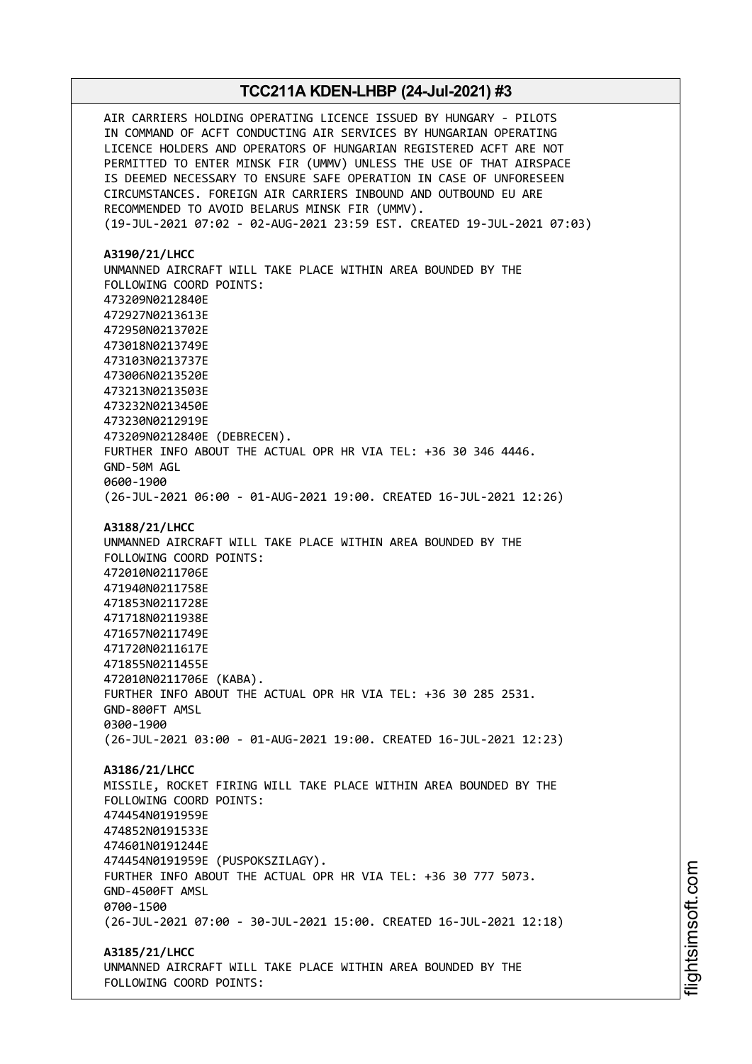AIR CARRIERS HOLDING OPERATING LICENCE ISSUED BY HUNGARY - PILOTS IN COMMAND OF ACFT CONDUCTING AIR SERVICES BY HUNGARIAN OPERATING LICENCE HOLDERS AND OPERATORS OF HUNGARIAN REGISTERED ACFT ARE NOT PERMITTED TO ENTER MINSK FIR (UMMV) UNLESS THE USE OF THAT AIRSPACE IS DEEMED NECESSARY TO ENSURE SAFE OPERATION IN CASE OF UNFORESEEN CIRCUMSTANCES. FOREIGN AIR CARRIERS INBOUND AND OUTBOUND EU ARE RECOMMENDED TO AVOID BELARUS MINSK FIR (UMMV). (19-JUL-2021 07:02 - 02-AUG-2021 23:59 EST. CREATED 19-JUL-2021 07:03) **A3190/21/LHCC** UNMANNED AIRCRAFT WILL TAKE PLACE WITHIN AREA BOUNDED BY THE FOLLOWING COORD POINTS: 473209N0212840E 472927N0213613E 472950N0213702E 473018N0213749E 473103N0213737E 473006N0213520E 473213N0213503E 473232N0213450E 473230N0212919E 473209N0212840E (DEBRECEN). FURTHER INFO ABOUT THE ACTUAL OPR HR VIA TEL: +36 30 346 4446. GND-50M AGL 0600-1900 (26-JUL-2021 06:00 - 01-AUG-2021 19:00. CREATED 16-JUL-2021 12:26) **A3188/21/LHCC** UNMANNED AIRCRAFT WILL TAKE PLACE WITHIN AREA BOUNDED BY THE FOLLOWING COORD POINTS: 472010N0211706E 471940N0211758E 471853N0211728E 471718N0211938E 471657N0211749E 471720N0211617E 471855N0211455E 472010N0211706E (KABA). FURTHER INFO ABOUT THE ACTUAL OPR HR VIA TEL: +36 30 285 2531. GND-800FT AMSL 0300-1900 (26-JUL-2021 03:00 - 01-AUG-2021 19:00. CREATED 16-JUL-2021 12:23) **A3186/21/LHCC** MISSILE, ROCKET FIRING WILL TAKE PLACE WITHIN AREA BOUNDED BY THE FOLLOWING COORD POINTS: 474454N0191959E 474852N0191533E 474601N0191244E 474454N0191959E (PUSPOKSZILAGY). FURTHER INFO ABOUT THE ACTUAL OPR HR VIA TEL: +36 30 777 5073. GND-4500FT AMSL 0700-1500 (26-JUL-2021 07:00 - 30-JUL-2021 15:00. CREATED 16-JUL-2021 12:18) **A3185/21/LHCC** UNMANNED AIRCRAFT WILL TAKE PLACE WITHIN AREA BOUNDED BY THE FOLLOWING COORD POINTS: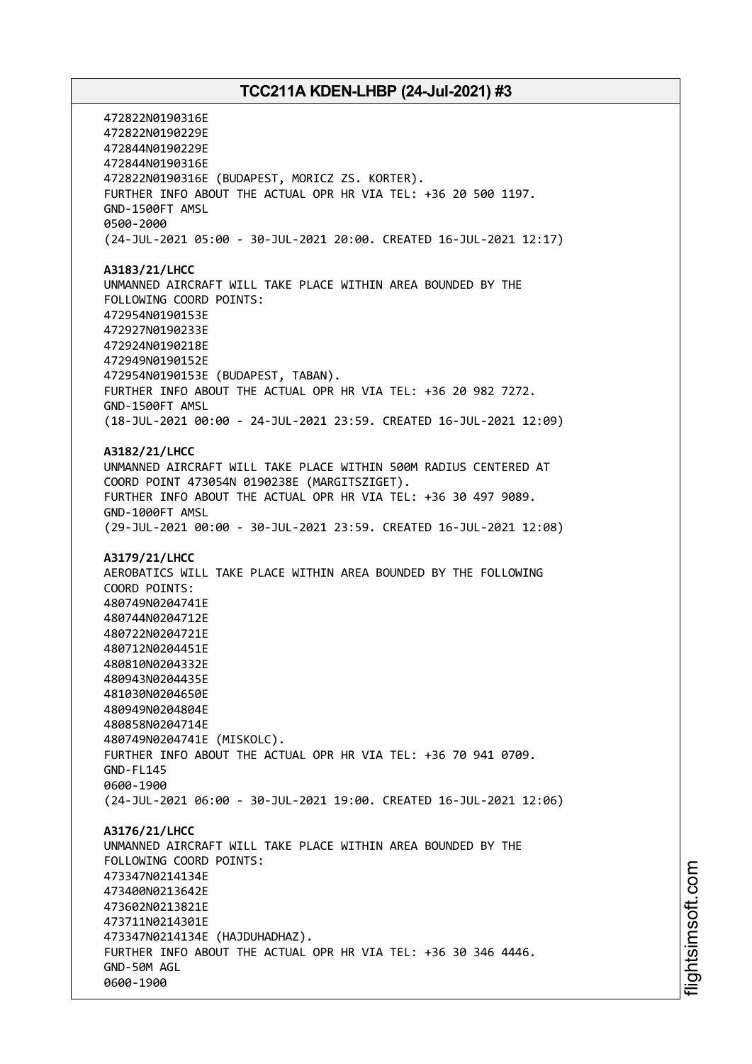472822N0190316E 472822N0190229E 472844N0190229E 472844N0190316E 472822N0190316E (BUDAPEST, MORICZ ZS. KORTER). FURTHER INFO ABOUT THE ACTUAL OPR HR VIA TEL: +36 20 500 1197. GND-1500FT AMSL 0500-2000 (24-JUL-2021 05:00 - 30-JUL-2021 20:00. CREATED 16-JUL-2021 12:17) **A3183/21/LHCC** UNMANNED AIRCRAFT WILL TAKE PLACE WITHIN AREA BOUNDED BY THE FOLLOWING COORD POINTS: 472954N0190153E 472927N0190233E 472924N0190218E 472949N0190152E 472954N0190153E (BUDAPEST, TABAN). FURTHER INFO ABOUT THE ACTUAL OPR HR VIA TEL: +36 20 982 7272. GND-1500FT AMSL (18-JUL-2021 00:00 - 24-JUL-2021 23:59. CREATED 16-JUL-2021 12:09) **A3182/21/LHCC** UNMANNED AIRCRAFT WILL TAKE PLACE WITHIN 500M RADIUS CENTERED AT COORD POINT 473054N 0190238E (MARGITSZIGET). FURTHER INFO ABOUT THE ACTUAL OPR HR VIA TEL: +36 30 497 9089. GND-1000FT AMSL (29-JUL-2021 00:00 - 30-JUL-2021 23:59. CREATED 16-JUL-2021 12:08) **A3179/21/LHCC** AEROBATICS WILL TAKE PLACE WITHIN AREA BOUNDED BY THE FOLLOWING COORD POINTS: 480749N0204741E 480744N0204712E 480722N0204721E 480712N0204451E 480810N0204332E 480943N0204435E 481030N0204650E 480949N0204804E 480858N0204714E 480749N0204741E (MISKOLC). FURTHER INFO ABOUT THE ACTUAL OPR HR VIA TEL: +36 70 941 0709. GND-FL145 0600-1900 (24-JUL-2021 06:00 - 30-JUL-2021 19:00. CREATED 16-JUL-2021 12:06) **A3176/21/LHCC** UNMANNED AIRCRAFT WILL TAKE PLACE WITHIN AREA BOUNDED BY THE FOLLOWING COORD POINTS: 473347N0214134E 473400N0213642E 473602N0213821E 473711N0214301E 473347N0214134E (HAJDUHADHAZ). FURTHER INFO ABOUT THE ACTUAL OPR HR VIA TEL: +36 30 346 4446. GND-50M AGL 0600-1900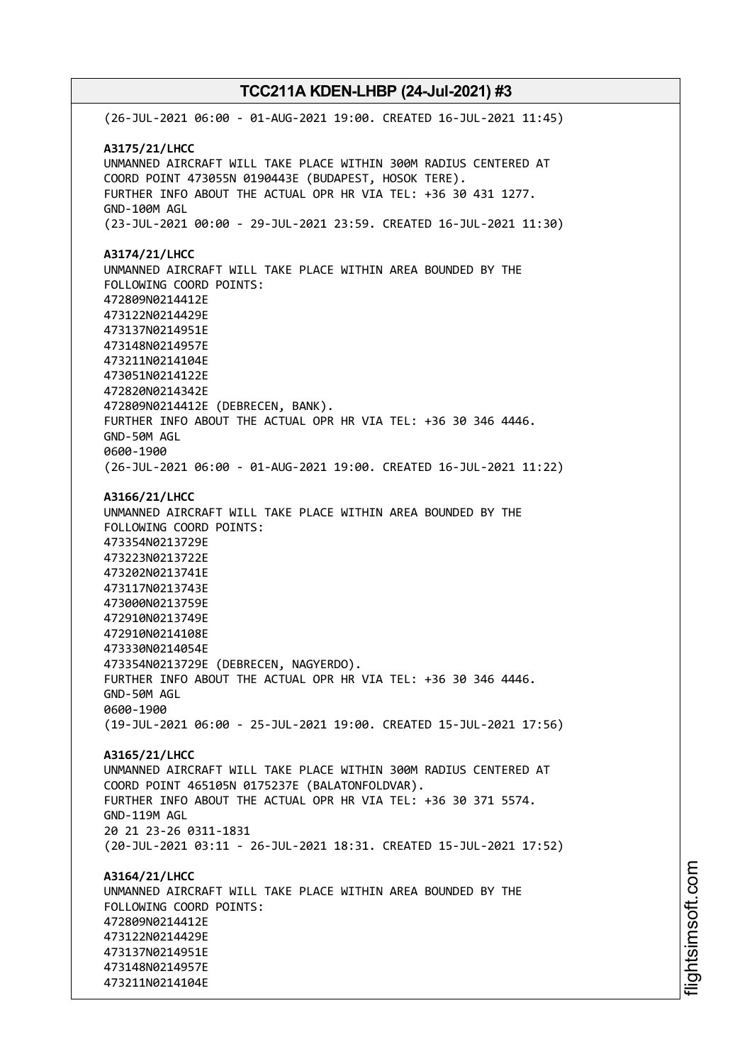(26-JUL-2021 06:00 - 01-AUG-2021 19:00. CREATED 16-JUL-2021 11:45) **A3175/21/LHCC** UNMANNED AIRCRAFT WILL TAKE PLACE WITHIN 300M RADIUS CENTERED AT COORD POINT 473055N 0190443E (BUDAPEST, HOSOK TERE). FURTHER INFO ABOUT THE ACTUAL OPR HR VIA TEL: +36 30 431 1277. GND-100M AGL (23-JUL-2021 00:00 - 29-JUL-2021 23:59. CREATED 16-JUL-2021 11:30) **A3174/21/LHCC** UNMANNED AIRCRAFT WILL TAKE PLACE WITHIN AREA BOUNDED BY THE FOLLOWING COORD POINTS: 472809N0214412E 473122N0214429E 473137N0214951E 473148N0214957E 473211N0214104E 473051N0214122E 472820N0214342E 472809N0214412E (DEBRECEN, BANK). FURTHER INFO ABOUT THE ACTUAL OPR HR VIA TEL: +36 30 346 4446. GND-50M AGL 0600-1900 (26-JUL-2021 06:00 - 01-AUG-2021 19:00. CREATED 16-JUL-2021 11:22) **A3166/21/LHCC** UNMANNED AIRCRAFT WILL TAKE PLACE WITHIN AREA BOUNDED BY THE FOLLOWING COORD POINTS: 473354N0213729E 473223N0213722E 473202N0213741E 473117N0213743E 473000N0213759E 472910N0213749E 472910N0214108E 473330N0214054E 473354N0213729E (DEBRECEN, NAGYERDO). FURTHER INFO ABOUT THE ACTUAL OPR HR VIA TEL: +36 30 346 4446. GND-50M AGL 0600-1900 (19-JUL-2021 06:00 - 25-JUL-2021 19:00. CREATED 15-JUL-2021 17:56) **A3165/21/LHCC** UNMANNED AIRCRAFT WILL TAKE PLACE WITHIN 300M RADIUS CENTERED AT COORD POINT 465105N 0175237E (BALATONFOLDVAR). FURTHER INFO ABOUT THE ACTUAL OPR HR VIA TEL: +36 30 371 5574. GND-119M AGL 20 21 23-26 0311-1831 (20-JUL-2021 03:11 - 26-JUL-2021 18:31. CREATED 15-JUL-2021 17:52) **A3164/21/LHCC** UNMANNED AIRCRAFT WILL TAKE PLACE WITHIN AREA BOUNDED BY THE FOLLOWING COORD POINTS: 472809N0214412E 473122N0214429E 473137N0214951E 473148N0214957E 473211N0214104E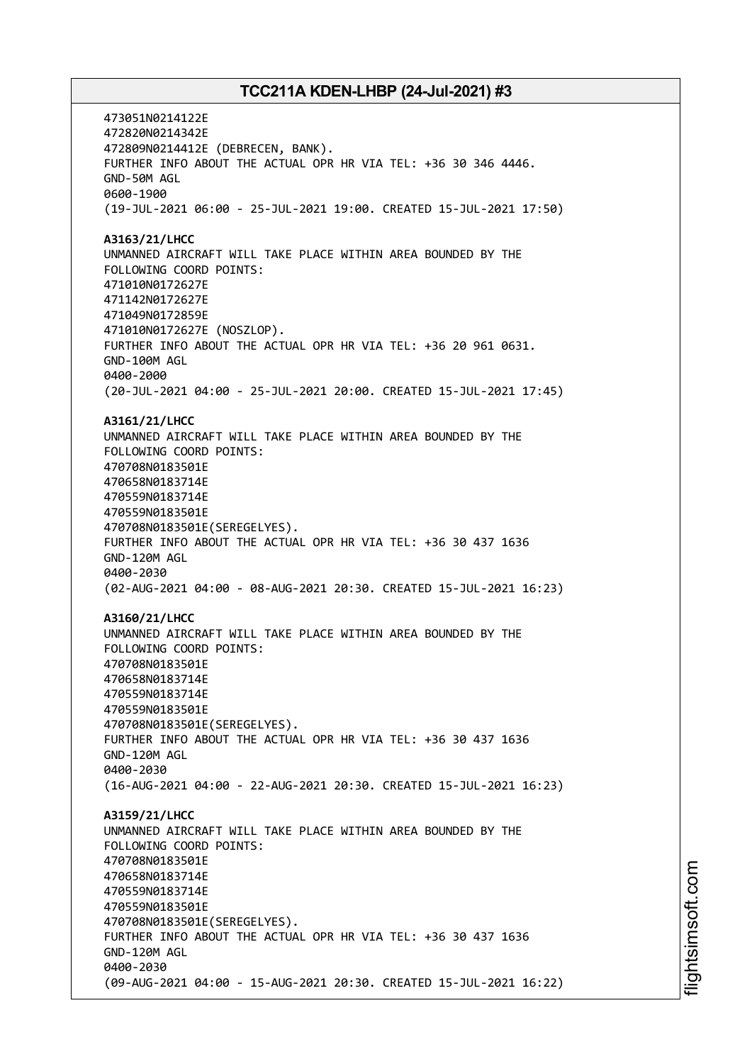473051N0214122E 472820N0214342E 472809N0214412E (DEBRECEN, BANK). FURTHER INFO ABOUT THE ACTUAL OPR HR VIA TEL: +36 30 346 4446. GND-50M AGL 0600-1900 (19-JUL-2021 06:00 - 25-JUL-2021 19:00. CREATED 15-JUL-2021 17:50) **A3163/21/LHCC** UNMANNED AIRCRAFT WILL TAKE PLACE WITHIN AREA BOUNDED BY THE FOLLOWING COORD POINTS: 471010N0172627E 471142N0172627E 471049N0172859E 471010N0172627E (NOSZLOP). FURTHER INFO ABOUT THE ACTUAL OPR HR VIA TEL: +36 20 961 0631. GND-100M AGL 0400-2000 (20-JUL-2021 04:00 - 25-JUL-2021 20:00. CREATED 15-JUL-2021 17:45) **A3161/21/LHCC** UNMANNED AIRCRAFT WILL TAKE PLACE WITHIN AREA BOUNDED BY THE FOLLOWING COORD POINTS: 470708N0183501E 470658N0183714E 470559N0183714E 470559N0183501E 470708N0183501E(SEREGELYES). FURTHER INFO ABOUT THE ACTUAL OPR HR VIA TEL: +36 30 437 1636 GND-120M AGL 0400-2030 (02-AUG-2021 04:00 - 08-AUG-2021 20:30. CREATED 15-JUL-2021 16:23) **A3160/21/LHCC** UNMANNED AIRCRAFT WILL TAKE PLACE WITHIN AREA BOUNDED BY THE FOLLOWING COORD POINTS: 470708N0183501E 470658N0183714E 470559N0183714E 470559N0183501E 470708N0183501E(SEREGELYES). FURTHER INFO ABOUT THE ACTUAL OPR HR VIA TEL: +36 30 437 1636 GND-120M AGL 0400-2030 (16-AUG-2021 04:00 - 22-AUG-2021 20:30. CREATED 15-JUL-2021 16:23) **A3159/21/LHCC** UNMANNED AIRCRAFT WILL TAKE PLACE WITHIN AREA BOUNDED BY THE FOLLOWING COORD POINTS: 470708N0183501E 470658N0183714E 470559N0183714E 470559N0183501E 470708N0183501E(SEREGELYES). FURTHER INFO ABOUT THE ACTUAL OPR HR VIA TEL: +36 30 437 1636 GND-120M AGL 0400-2030 (09-AUG-2021 04:00 - 15-AUG-2021 20:30. CREATED 15-JUL-2021 16:22)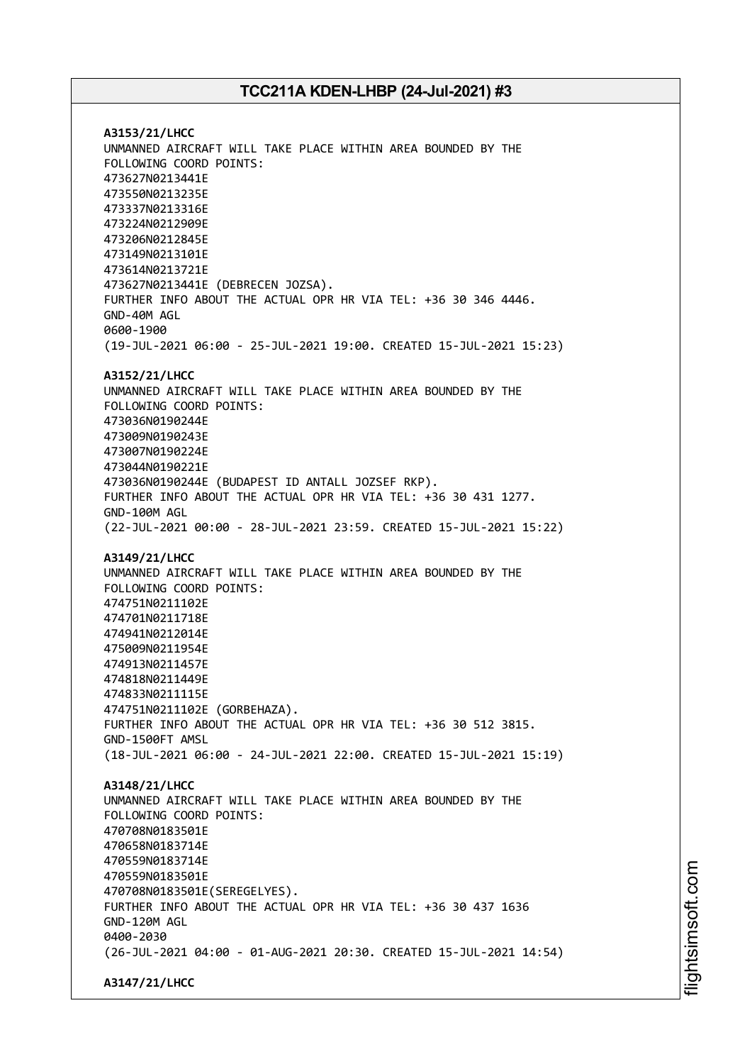**A3153/21/LHCC** UNMANNED AIRCRAFT WILL TAKE PLACE WITHIN AREA BOUNDED BY THE FOLLOWING COORD POINTS: 473627N0213441E 473550N0213235E 473337N0213316E 473224N0212909E 473206N0212845E 473149N0213101E 473614N0213721E 473627N0213441E (DEBRECEN JOZSA). FURTHER INFO ABOUT THE ACTUAL OPR HR VIA TEL: +36 30 346 4446. GND-40M AGL 0600-1900 (19-JUL-2021 06:00 - 25-JUL-2021 19:00. CREATED 15-JUL-2021 15:23) **A3152/21/LHCC** UNMANNED AIRCRAFT WILL TAKE PLACE WITHIN AREA BOUNDED BY THE FOLLOWING COORD POINTS: 473036N0190244E 473009N0190243E 473007N0190224E 473044N0190221E 473036N0190244E (BUDAPEST ID ANTALL JOZSEF RKP). FURTHER INFO ABOUT THE ACTUAL OPR HR VIA TEL: +36 30 431 1277. GND-100M AGL (22-JUL-2021 00:00 - 28-JUL-2021 23:59. CREATED 15-JUL-2021 15:22) **A3149/21/LHCC** UNMANNED AIRCRAFT WILL TAKE PLACE WITHIN AREA BOUNDED BY THE FOLLOWING COORD POINTS: 474751N0211102E 474701N0211718E 474941N0212014E 475009N0211954E 474913N0211457E 474818N0211449E 474833N0211115E 474751N0211102E (GORBEHAZA). FURTHER INFO ABOUT THE ACTUAL OPR HR VIA TEL: +36 30 512 3815. GND-1500FT AMSL (18-JUL-2021 06:00 - 24-JUL-2021 22:00. CREATED 15-JUL-2021 15:19) **A3148/21/LHCC** UNMANNED AIRCRAFT WILL TAKE PLACE WITHIN AREA BOUNDED BY THE FOLLOWING COORD POINTS: 470708N0183501E 470658N0183714E 470559N0183714E 470559N0183501E 470708N0183501E(SEREGELYES). FURTHER INFO ABOUT THE ACTUAL OPR HR VIA TEL: +36 30 437 1636 GND-120M AGL 0400-2030 (26-JUL-2021 04:00 - 01-AUG-2021 20:30. CREATED 15-JUL-2021 14:54) **A3147/21/LHCC**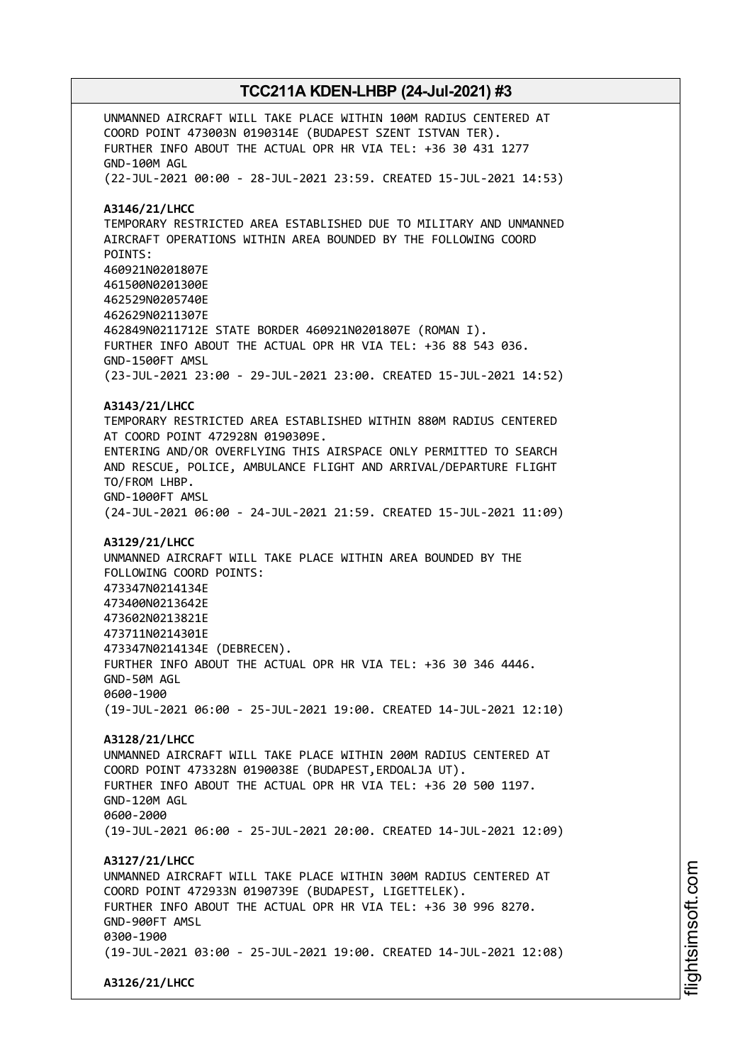UNMANNED AIRCRAFT WILL TAKE PLACE WITHIN 100M RADIUS CENTERED AT COORD POINT 473003N 0190314E (BUDAPEST SZENT ISTVAN TER). FURTHER INFO ABOUT THE ACTUAL OPR HR VIA TEL: +36 30 431 1277 GND-100M AGL (22-JUL-2021 00:00 - 28-JUL-2021 23:59. CREATED 15-JUL-2021 14:53) **A3146/21/LHCC** TEMPORARY RESTRICTED AREA ESTABLISHED DUE TO MILITARY AND UNMANNED AIRCRAFT OPERATIONS WITHIN AREA BOUNDED BY THE FOLLOWING COORD POINTS: 460921N0201807E 461500N0201300E 462529N0205740E 462629N0211307E 462849N0211712E STATE BORDER 460921N0201807E (ROMAN I). FURTHER INFO ABOUT THE ACTUAL OPR HR VIA TEL: +36 88 543 036. GND-1500FT AMSL (23-JUL-2021 23:00 - 29-JUL-2021 23:00. CREATED 15-JUL-2021 14:52) **A3143/21/LHCC** TEMPORARY RESTRICTED AREA ESTABLISHED WITHIN 880M RADIUS CENTERED AT COORD POINT 472928N 0190309E. ENTERING AND/OR OVERFLYING THIS AIRSPACE ONLY PERMITTED TO SEARCH AND RESCUE, POLICE, AMBULANCE FLIGHT AND ARRIVAL/DEPARTURE FLIGHT TO/FROM LHBP. GND-1000FT AMSL (24-JUL-2021 06:00 - 24-JUL-2021 21:59. CREATED 15-JUL-2021 11:09) **A3129/21/LHCC** UNMANNED AIRCRAFT WILL TAKE PLACE WITHIN AREA BOUNDED BY THE FOLLOWING COORD POINTS: 473347N0214134E 473400N0213642E 473602N0213821E 473711N0214301E 473347N0214134E (DEBRECEN). FURTHER INFO ABOUT THE ACTUAL OPR HR VIA TEL: +36 30 346 4446. GND-50M AGL 0600-1900 (19-JUL-2021 06:00 - 25-JUL-2021 19:00. CREATED 14-JUL-2021 12:10) **A3128/21/LHCC** UNMANNED AIRCRAFT WILL TAKE PLACE WITHIN 200M RADIUS CENTERED AT COORD POINT 473328N 0190038E (BUDAPEST,ERDOALJA UT). FURTHER INFO ABOUT THE ACTUAL OPR HR VIA TEL: +36 20 500 1197. GND-120M AGL 0600-2000 (19-JUL-2021 06:00 - 25-JUL-2021 20:00. CREATED 14-JUL-2021 12:09) **A3127/21/LHCC** UNMANNED AIRCRAFT WILL TAKE PLACE WITHIN 300M RADIUS CENTERED AT COORD POINT 472933N 0190739E (BUDAPEST, LIGETTELEK). FURTHER INFO ABOUT THE ACTUAL OPR HR VIA TEL: +36 30 996 8270. GND-900FT AMSL 0300-1900 (19-JUL-2021 03:00 - 25-JUL-2021 19:00. CREATED 14-JUL-2021 12:08) **A3126/21/LHCC**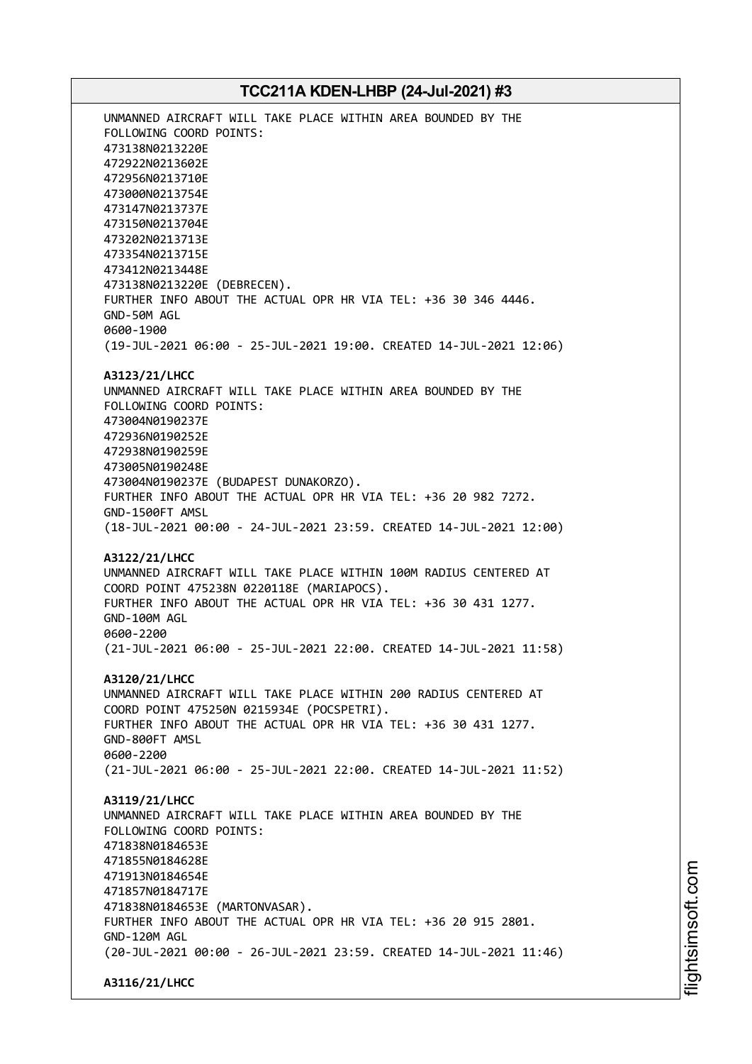UNMANNED AIRCRAFT WILL TAKE PLACE WITHIN AREA BOUNDED BY THE FOLLOWING COORD POINTS: 473138N0213220E 472922N0213602E 472956N0213710E 473000N0213754E 473147N0213737E 473150N0213704E 473202N0213713E 473354N0213715E 473412N0213448E 473138N0213220E (DEBRECEN). FURTHER INFO ABOUT THE ACTUAL OPR HR VIA TEL: +36 30 346 4446. GND-50M AGL 0600-1900 (19-JUL-2021 06:00 - 25-JUL-2021 19:00. CREATED 14-JUL-2021 12:06) **A3123/21/LHCC** UNMANNED AIRCRAFT WILL TAKE PLACE WITHIN AREA BOUNDED BY THE FOLLOWING COORD POINTS: 473004N0190237E 472936N0190252E 472938N0190259E 473005N0190248E 473004N0190237E (BUDAPEST DUNAKORZO). FURTHER INFO ABOUT THE ACTUAL OPR HR VIA TEL: +36 20 982 7272. GND-1500FT AMSL (18-JUL-2021 00:00 - 24-JUL-2021 23:59. CREATED 14-JUL-2021 12:00)

**A3122/21/LHCC** UNMANNED AIRCRAFT WILL TAKE PLACE WITHIN 100M RADIUS CENTERED AT COORD POINT 475238N 0220118E (MARIAPOCS). FURTHER INFO ABOUT THE ACTUAL OPR HR VIA TEL: +36 30 431 1277. GND-100M AGL 0600-2200 (21-JUL-2021 06:00 - 25-JUL-2021 22:00. CREATED 14-JUL-2021 11:58)

**A3120/21/LHCC** UNMANNED AIRCRAFT WILL TAKE PLACE WITHIN 200 RADIUS CENTERED AT COORD POINT 475250N 0215934E (POCSPETRI). FURTHER INFO ABOUT THE ACTUAL OPR HR VIA TEL: +36 30 431 1277. GND-800FT AMSL 0600-2200 (21-JUL-2021 06:00 - 25-JUL-2021 22:00. CREATED 14-JUL-2021 11:52)

**A3119/21/LHCC** UNMANNED AIRCRAFT WILL TAKE PLACE WITHIN AREA BOUNDED BY THE FOLLOWING COORD POINTS: 471838N0184653E 471855N0184628E 471913N0184654E 471857N0184717E 471838N0184653E (MARTONVASAR). FURTHER INFO ABOUT THE ACTUAL OPR HR VIA TEL: +36 20 915 2801. GND-120M AGL (20-JUL-2021 00:00 - 26-JUL-2021 23:59. CREATED 14-JUL-2021 11:46)

**A3116/21/LHCC**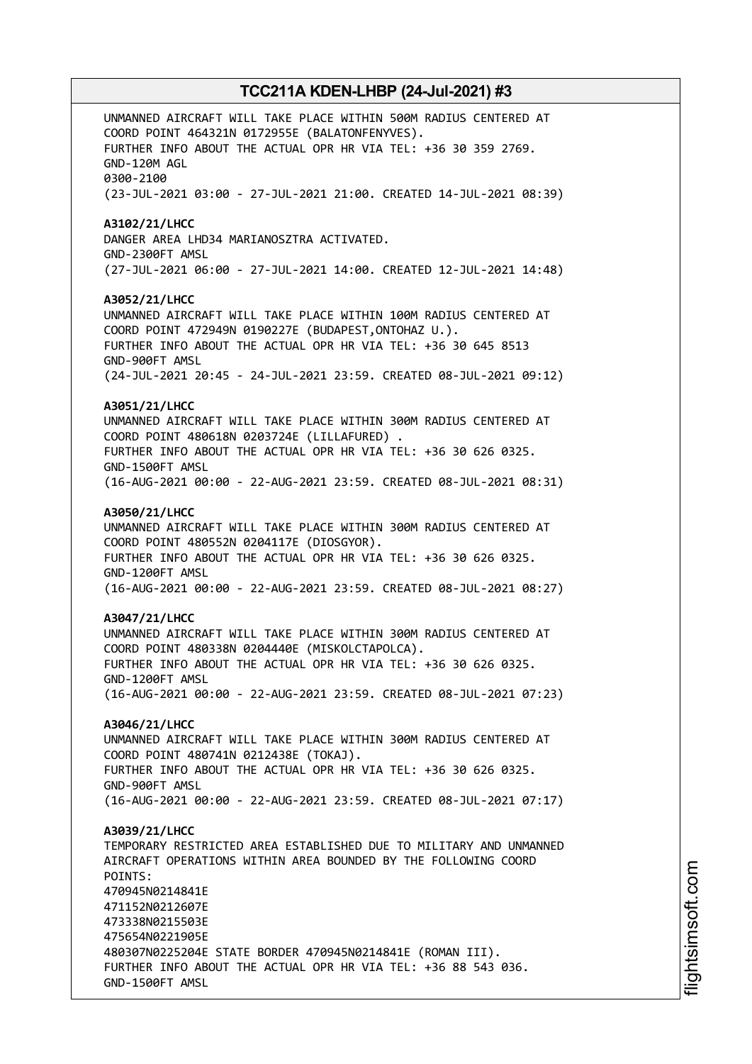UNMANNED AIRCRAFT WILL TAKE PLACE WITHIN 500M RADIUS CENTERED AT COORD POINT 464321N 0172955E (BALATONFENYVES). FURTHER INFO ABOUT THE ACTUAL OPR HR VIA TEL: +36 30 359 2769. GND-120M AGL 0300-2100 (23-JUL-2021 03:00 - 27-JUL-2021 21:00. CREATED 14-JUL-2021 08:39) **A3102/21/LHCC** DANGER AREA LHD34 MARIANOSZTRA ACTIVATED. GND-2300FT AMSL (27-JUL-2021 06:00 - 27-JUL-2021 14:00. CREATED 12-JUL-2021 14:48) **A3052/21/LHCC** UNMANNED AIRCRAFT WILL TAKE PLACE WITHIN 100M RADIUS CENTERED AT COORD POINT 472949N 0190227E (BUDAPEST,ONTOHAZ U.). FURTHER INFO ABOUT THE ACTUAL OPR HR VIA TEL: +36 30 645 8513 GND-900FT AMSL (24-JUL-2021 20:45 - 24-JUL-2021 23:59. CREATED 08-JUL-2021 09:12) **A3051/21/LHCC** UNMANNED AIRCRAFT WILL TAKE PLACE WITHIN 300M RADIUS CENTERED AT COORD POINT 480618N 0203724E (LILLAFURED) . FURTHER INFO ABOUT THE ACTUAL OPR HR VIA TEL: +36 30 626 0325. GND-1500FT AMSL (16-AUG-2021 00:00 - 22-AUG-2021 23:59. CREATED 08-JUL-2021 08:31) **A3050/21/LHCC** UNMANNED AIRCRAFT WILL TAKE PLACE WITHIN 300M RADIUS CENTERED AT COORD POINT 480552N 0204117E (DIOSGYOR). FURTHER INFO ABOUT THE ACTUAL OPR HR VIA TEL: +36 30 626 0325. GND-1200FT AMSL (16-AUG-2021 00:00 - 22-AUG-2021 23:59. CREATED 08-JUL-2021 08:27) **A3047/21/LHCC** UNMANNED AIRCRAFT WILL TAKE PLACE WITHIN 300M RADIUS CENTERED AT COORD POINT 480338N 0204440E (MISKOLCTAPOLCA). FURTHER INFO ABOUT THE ACTUAL OPR HR VIA TEL: +36 30 626 0325. GND-1200FT AMSL (16-AUG-2021 00:00 - 22-AUG-2021 23:59. CREATED 08-JUL-2021 07:23) **A3046/21/LHCC** UNMANNED AIRCRAFT WILL TAKE PLACE WITHIN 300M RADIUS CENTERED AT COORD POINT 480741N 0212438E (TOKAJ). FURTHER INFO ABOUT THE ACTUAL OPR HR VIA TEL: +36 30 626 0325. GND-900FT AMSL (16-AUG-2021 00:00 - 22-AUG-2021 23:59. CREATED 08-JUL-2021 07:17) **A3039/21/LHCC** TEMPORARY RESTRICTED AREA ESTABLISHED DUE TO MILITARY AND UNMANNED AIRCRAFT OPERATIONS WITHIN AREA BOUNDED BY THE FOLLOWING COORD POINTS: 470945N0214841E 471152N0212607E 473338N0215503E 475654N0221905E 480307N0225204E STATE BORDER 470945N0214841E (ROMAN III). FURTHER INFO ABOUT THE ACTUAL OPR HR VIA TEL: +36 88 543 036. GND-1500FT AMSL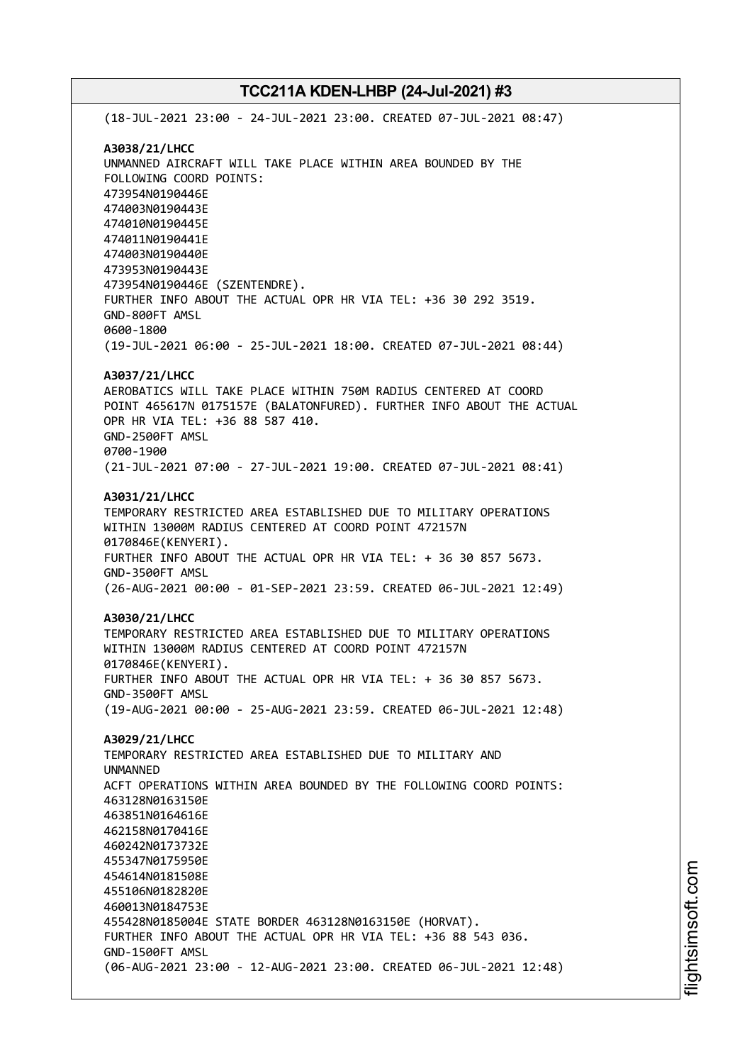(18-JUL-2021 23:00 - 24-JUL-2021 23:00. CREATED 07-JUL-2021 08:47) **A3038/21/LHCC** UNMANNED AIRCRAFT WILL TAKE PLACE WITHIN AREA BOUNDED BY THE FOLLOWING COORD POINTS: 473954N0190446E 474003N0190443E 474010N0190445E 474011N0190441E 474003N0190440E 473953N0190443E 473954N0190446E (SZENTENDRE). FURTHER INFO ABOUT THE ACTUAL OPR HR VIA TEL: +36 30 292 3519. GND-800FT AMSL 0600-1800 (19-JUL-2021 06:00 - 25-JUL-2021 18:00. CREATED 07-JUL-2021 08:44) **A3037/21/LHCC** AEROBATICS WILL TAKE PLACE WITHIN 750M RADIUS CENTERED AT COORD POINT 465617N 0175157E (BALATONFURED). FURTHER INFO ABOUT THE ACTUAL OPR HR VIA TEL: +36 88 587 410. GND-2500FT AMSL 0700-1900 (21-JUL-2021 07:00 - 27-JUL-2021 19:00. CREATED 07-JUL-2021 08:41) **A3031/21/LHCC** TEMPORARY RESTRICTED AREA ESTABLISHED DUE TO MILITARY OPERATIONS WITHIN 13000M RADIUS CENTERED AT COORD POINT 472157N 0170846E(KENYERI). FURTHER INFO ABOUT THE ACTUAL OPR HR VIA TEL: + 36 30 857 5673. GND-3500FT AMSL (26-AUG-2021 00:00 - 01-SEP-2021 23:59. CREATED 06-JUL-2021 12:49) **A3030/21/LHCC** TEMPORARY RESTRICTED AREA ESTABLISHED DUE TO MILITARY OPERATIONS WITHIN 13000M RADIUS CENTERED AT COORD POINT 472157N 0170846E(KENYERI). FURTHER INFO ABOUT THE ACTUAL OPR HR VIA TEL: + 36 30 857 5673. GND-3500FT AMSL (19-AUG-2021 00:00 - 25-AUG-2021 23:59. CREATED 06-JUL-2021 12:48) **A3029/21/LHCC** TEMPORARY RESTRICTED AREA ESTABLISHED DUE TO MILITARY AND UNMANNED ACFT OPERATIONS WITHIN AREA BOUNDED BY THE FOLLOWING COORD POINTS: 463128N0163150E 463851N0164616E 462158N0170416E 460242N0173732E 455347N0175950E 454614N0181508E 455106N0182820E 460013N0184753E 455428N0185004E STATE BORDER 463128N0163150E (HORVAT). FURTHER INFO ABOUT THE ACTUAL OPR HR VIA TEL: +36 88 543 036. GND-1500FT AMSL (06-AUG-2021 23:00 - 12-AUG-2021 23:00. CREATED 06-JUL-2021 12:48)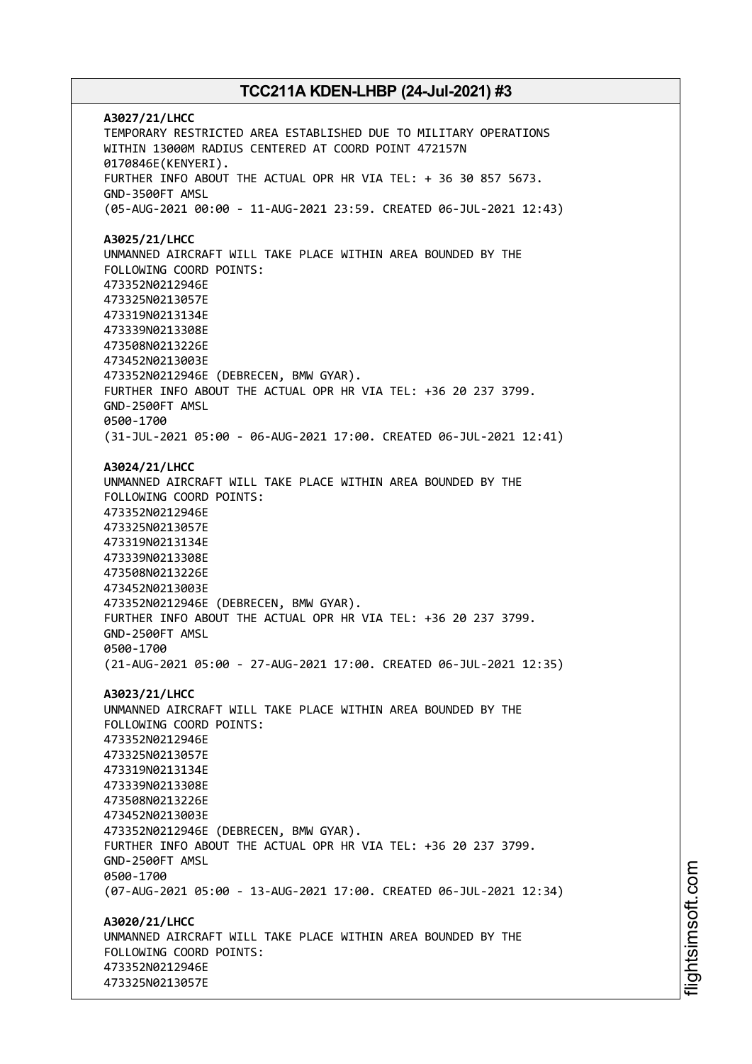**A3027/21/LHCC** TEMPORARY RESTRICTED AREA ESTABLISHED DUE TO MILITARY OPERATIONS WITHIN 13000M RADIUS CENTERED AT COORD POINT 472157N 0170846E(KENYERI). FURTHER INFO ABOUT THE ACTUAL OPR HR VIA TEL: + 36 30 857 5673. GND-3500FT AMSL (05-AUG-2021 00:00 - 11-AUG-2021 23:59. CREATED 06-JUL-2021 12:43) **A3025/21/LHCC** UNMANNED AIRCRAFT WILL TAKE PLACE WITHIN AREA BOUNDED BY THE FOLLOWING COORD POINTS: 473352N0212946E 473325N0213057E 473319N0213134E 473339N0213308E 473508N0213226E 473452N0213003E 473352N0212946E (DEBRECEN, BMW GYAR). FURTHER INFO ABOUT THE ACTUAL OPR HR VIA TEL: +36 20 237 3799. GND-2500FT AMSL 0500-1700 (31-JUL-2021 05:00 - 06-AUG-2021 17:00. CREATED 06-JUL-2021 12:41) **A3024/21/LHCC** UNMANNED AIRCRAFT WILL TAKE PLACE WITHIN AREA BOUNDED BY THE FOLLOWING COORD POINTS: 473352N0212946E 473325N0213057E 473319N0213134E 473339N0213308E 473508N0213226E 473452N0213003E 473352N0212946E (DEBRECEN, BMW GYAR). FURTHER INFO ABOUT THE ACTUAL OPR HR VIA TEL: +36 20 237 3799. GND-2500FT AMSL 0500-1700 (21-AUG-2021 05:00 - 27-AUG-2021 17:00. CREATED 06-JUL-2021 12:35) **A3023/21/LHCC** UNMANNED AIRCRAFT WILL TAKE PLACE WITHIN AREA BOUNDED BY THE FOLLOWING COORD POINTS: 473352N0212946E 473325N0213057E 473319N0213134E 473339N0213308E 473508N0213226E 473452N0213003E 473352N0212946E (DEBRECEN, BMW GYAR). FURTHER INFO ABOUT THE ACTUAL OPR HR VIA TEL: +36 20 237 3799. GND-2500FT AMSL 0500-1700 (07-AUG-2021 05:00 - 13-AUG-2021 17:00. CREATED 06-JUL-2021 12:34) **A3020/21/LHCC** UNMANNED AIRCRAFT WILL TAKE PLACE WITHIN AREA BOUNDED BY THE FOLLOWING COORD POINTS: 473352N0212946E 473325N0213057E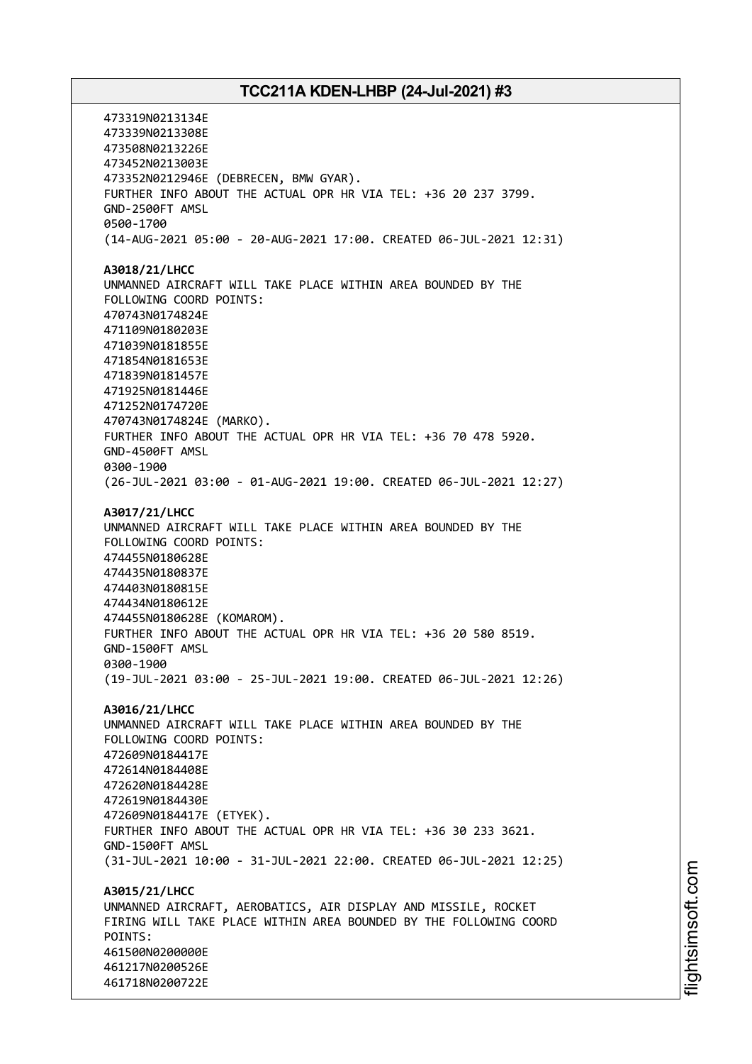473319N0213134E 473339N0213308E 473508N0213226E 473452N0213003E 473352N0212946E (DEBRECEN, BMW GYAR). FURTHER INFO ABOUT THE ACTUAL OPR HR VIA TEL: +36 20 237 3799. GND-2500FT AMSL 0500-1700 (14-AUG-2021 05:00 - 20-AUG-2021 17:00. CREATED 06-JUL-2021 12:31) **A3018/21/LHCC** UNMANNED AIRCRAFT WILL TAKE PLACE WITHIN AREA BOUNDED BY THE FOLLOWING COORD POINTS: 470743N0174824E 471109N0180203E 471039N0181855E 471854N0181653E 471839N0181457E 471925N0181446E 471252N0174720E 470743N0174824E (MARKO). FURTHER INFO ABOUT THE ACTUAL OPR HR VIA TEL: +36 70 478 5920. GND-4500FT AMSL 0300-1900 (26-JUL-2021 03:00 - 01-AUG-2021 19:00. CREATED 06-JUL-2021 12:27) **A3017/21/LHCC** UNMANNED AIRCRAFT WILL TAKE PLACE WITHIN AREA BOUNDED BY THE FOLLOWING COORD POINTS: 474455N0180628E 474435N0180837E 474403N0180815E 474434N0180612E 474455N0180628E (KOMAROM). FURTHER INFO ABOUT THE ACTUAL OPR HR VIA TEL: +36 20 580 8519. GND-1500FT AMSL 0300-1900 (19-JUL-2021 03:00 - 25-JUL-2021 19:00. CREATED 06-JUL-2021 12:26) **A3016/21/LHCC** UNMANNED AIRCRAFT WILL TAKE PLACE WITHIN AREA BOUNDED BY THE FOLLOWING COORD POINTS: 472609N0184417E 472614N0184408E 472620N0184428E 472619N0184430E 472609N0184417E (ETYEK). FURTHER INFO ABOUT THE ACTUAL OPR HR VIA TEL: +36 30 233 3621. GND-1500FT AMSL (31-JUL-2021 10:00 - 31-JUL-2021 22:00. CREATED 06-JUL-2021 12:25) **A3015/21/LHCC** UNMANNED AIRCRAFT, AEROBATICS, AIR DISPLAY AND MISSILE, ROCKET FIRING WILL TAKE PLACE WITHIN AREA BOUNDED BY THE FOLLOWING COORD POINTS: 461500N0200000E 461217N0200526E 461718N0200722E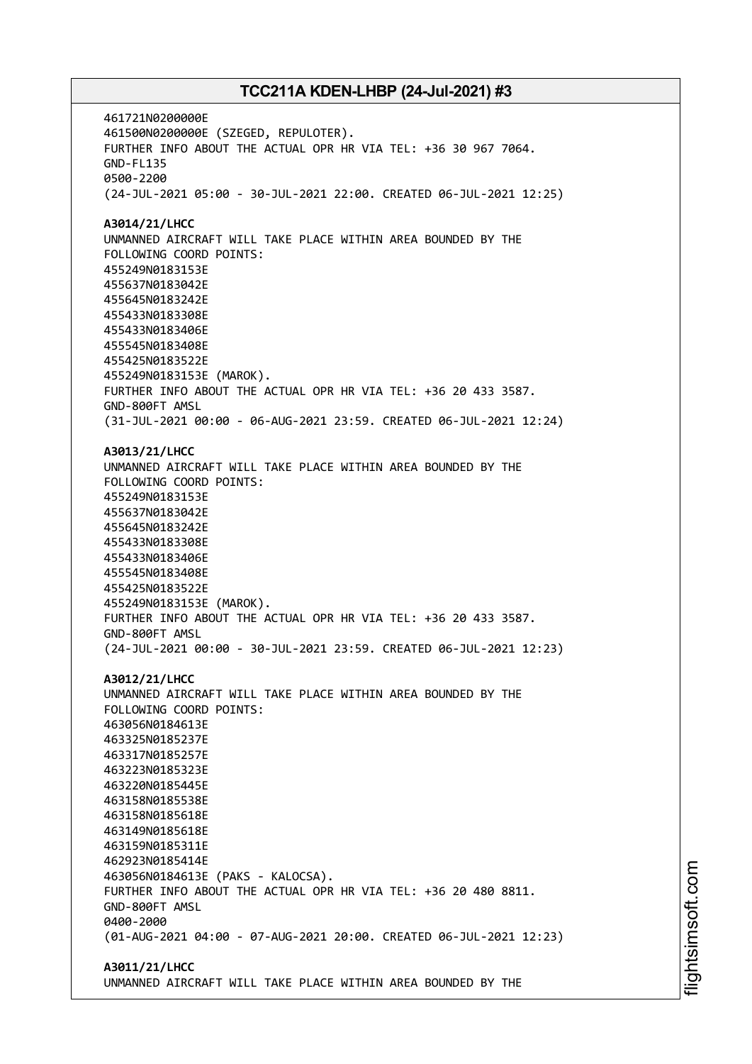461721N0200000E 461500N0200000E (SZEGED, REPULOTER). FURTHER INFO ABOUT THE ACTUAL OPR HR VIA TEL: +36 30 967 7064. GND-FL135 0500-2200 (24-JUL-2021 05:00 - 30-JUL-2021 22:00. CREATED 06-JUL-2021 12:25) **A3014/21/LHCC** UNMANNED AIRCRAFT WILL TAKE PLACE WITHIN AREA BOUNDED BY THE FOLLOWING COORD POINTS: 455249N0183153E 455637N0183042E 455645N0183242E 455433N0183308E 455433N0183406E 455545N0183408E 455425N0183522E 455249N0183153E (MAROK). FURTHER INFO ABOUT THE ACTUAL OPR HR VIA TEL: +36 20 433 3587. GND-800FT AMSL (31-JUL-2021 00:00 - 06-AUG-2021 23:59. CREATED 06-JUL-2021 12:24) **A3013/21/LHCC** UNMANNED AIRCRAFT WILL TAKE PLACE WITHIN AREA BOUNDED BY THE FOLLOWING COORD POINTS: 455249N0183153E 455637N0183042E 455645N0183242E 455433N0183308E 455433N0183406E 455545N0183408E 455425N0183522E 455249N0183153E (MAROK). FURTHER INFO ABOUT THE ACTUAL OPR HR VIA TEL: +36 20 433 3587. GND-800FT AMSL (24-JUL-2021 00:00 - 30-JUL-2021 23:59. CREATED 06-JUL-2021 12:23) **A3012/21/LHCC** UNMANNED AIRCRAFT WILL TAKE PLACE WITHIN AREA BOUNDED BY THE FOLLOWING COORD POINTS: 463056N0184613E 463325N0185237E 463317N0185257E 463223N0185323E 463220N0185445E 463158N0185538E 463158N0185618E 463149N0185618E 463159N0185311E 462923N0185414E 463056N0184613E (PAKS - KALOCSA). FURTHER INFO ABOUT THE ACTUAL OPR HR VIA TEL: +36 20 480 8811. GND-800FT AMSL 0400-2000 (01-AUG-2021 04:00 - 07-AUG-2021 20:00. CREATED 06-JUL-2021 12:23) **A3011/21/LHCC**

UNMANNED AIRCRAFT WILL TAKE PLACE WITHIN AREA BOUNDED BY THE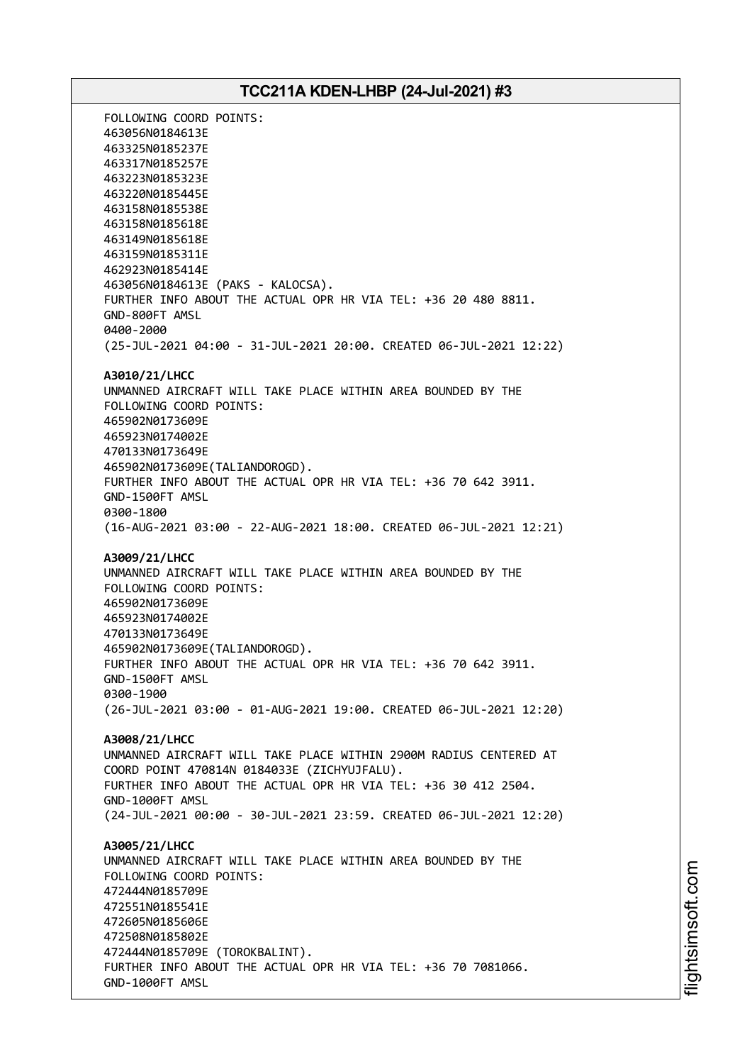FOLLOWING COORD POINTS: 463056N0184613E 463325N0185237E 463317N0185257E 463223N0185323E 463220N0185445E 463158N0185538E 463158N0185618E 463149N0185618E 463159N0185311E 462923N0185414E 463056N0184613E (PAKS - KALOCSA). FURTHER INFO ABOUT THE ACTUAL OPR HR VIA TEL: +36 20 480 8811. GND-800FT AMSL 0400-2000 (25-JUL-2021 04:00 - 31-JUL-2021 20:00. CREATED 06-JUL-2021 12:22) **A3010/21/LHCC** UNMANNED AIRCRAFT WILL TAKE PLACE WITHIN AREA BOUNDED BY THE FOLLOWING COORD POINTS: 465902N0173609E 465923N0174002E 470133N0173649E 465902N0173609E(TALIANDOROGD). FURTHER INFO ABOUT THE ACTUAL OPR HR VIA TEL: +36 70 642 3911. GND-1500FT AMSL 0300-1800 (16-AUG-2021 03:00 - 22-AUG-2021 18:00. CREATED 06-JUL-2021 12:21) **A3009/21/LHCC** UNMANNED AIRCRAFT WILL TAKE PLACE WITHIN AREA BOUNDED BY THE FOLLOWING COORD POINTS: 465902N0173609E 465923N0174002E 470133N0173649E 465902N0173609E(TALIANDOROGD). FURTHER INFO ABOUT THE ACTUAL OPR HR VIA TEL: +36 70 642 3911. GND-1500FT AMSL 0300-1900 (26-JUL-2021 03:00 - 01-AUG-2021 19:00. CREATED 06-JUL-2021 12:20) **A3008/21/LHCC** UNMANNED AIRCRAFT WILL TAKE PLACE WITHIN 2900M RADIUS CENTERED AT COORD POINT 470814N 0184033E (ZICHYUJFALU). FURTHER INFO ABOUT THE ACTUAL OPR HR VIA TEL: +36 30 412 2504. GND-1000FT AMSL (24-JUL-2021 00:00 - 30-JUL-2021 23:59. CREATED 06-JUL-2021 12:20) **A3005/21/LHCC** UNMANNED AIRCRAFT WILL TAKE PLACE WITHIN AREA BOUNDED BY THE FOLLOWING COORD POINTS: 472444N0185709E 472551N0185541E 472605N0185606E 472508N0185802E 472444N0185709E (TOROKBALINT). FURTHER INFO ABOUT THE ACTUAL OPR HR VIA TEL: +36 70 7081066. GND-1000FT AMSL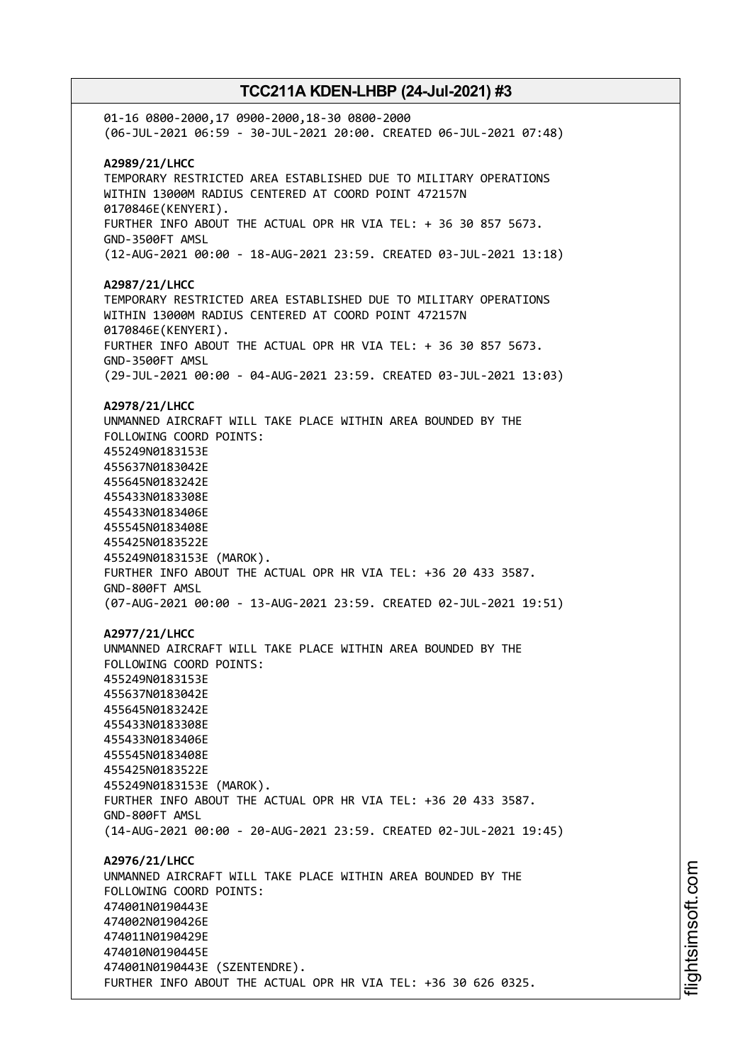01-16 0800-2000,17 0900-2000,18-30 0800-2000 (06-JUL-2021 06:59 - 30-JUL-2021 20:00. CREATED 06-JUL-2021 07:48) **A2989/21/LHCC** TEMPORARY RESTRICTED AREA ESTABLISHED DUE TO MILITARY OPERATIONS WITHIN 13000M RADIUS CENTERED AT COORD POINT 472157N 0170846E(KENYERI). FURTHER INFO ABOUT THE ACTUAL OPR HR VIA TEL: + 36 30 857 5673. GND-3500FT AMSL (12-AUG-2021 00:00 - 18-AUG-2021 23:59. CREATED 03-JUL-2021 13:18) **A2987/21/LHCC** TEMPORARY RESTRICTED AREA ESTABLISHED DUE TO MILITARY OPERATIONS WITHIN 13000M RADIUS CENTERED AT COORD POINT 472157N 0170846E(KENYERI). FURTHER INFO ABOUT THE ACTUAL OPR HR VIA TEL: + 36 30 857 5673. GND-3500FT AMSL (29-JUL-2021 00:00 - 04-AUG-2021 23:59. CREATED 03-JUL-2021 13:03) **A2978/21/LHCC** UNMANNED AIRCRAFT WILL TAKE PLACE WITHIN AREA BOUNDED BY THE FOLLOWING COORD POINTS: 455249N0183153E 455637N0183042E 455645N0183242E 455433N0183308E 455433N0183406E 455545N0183408E 455425N0183522E 455249N0183153E (MAROK). FURTHER INFO ABOUT THE ACTUAL OPR HR VIA TEL: +36 20 433 3587. GND-800FT AMSL (07-AUG-2021 00:00 - 13-AUG-2021 23:59. CREATED 02-JUL-2021 19:51) **A2977/21/LHCC** UNMANNED AIRCRAFT WILL TAKE PLACE WITHIN AREA BOUNDED BY THE FOLLOWING COORD POINTS: 455249N0183153E 455637N0183042E 455645N0183242E 455433N0183308E 455433N0183406E 455545N0183408E 455425N0183522E 455249N0183153E (MAROK). FURTHER INFO ABOUT THE ACTUAL OPR HR VIA TEL: +36 20 433 3587. GND-800FT AMSL (14-AUG-2021 00:00 - 20-AUG-2021 23:59. CREATED 02-JUL-2021 19:45) **A2976/21/LHCC** UNMANNED AIRCRAFT WILL TAKE PLACE WITHIN AREA BOUNDED BY THE FOLLOWING COORD POINTS: 474001N0190443E 474002N0190426E 474011N0190429E 474010N0190445E 474001N0190443E (SZENTENDRE). FURTHER INFO ABOUT THE ACTUAL OPR HR VIA TEL: +36 30 626 0325.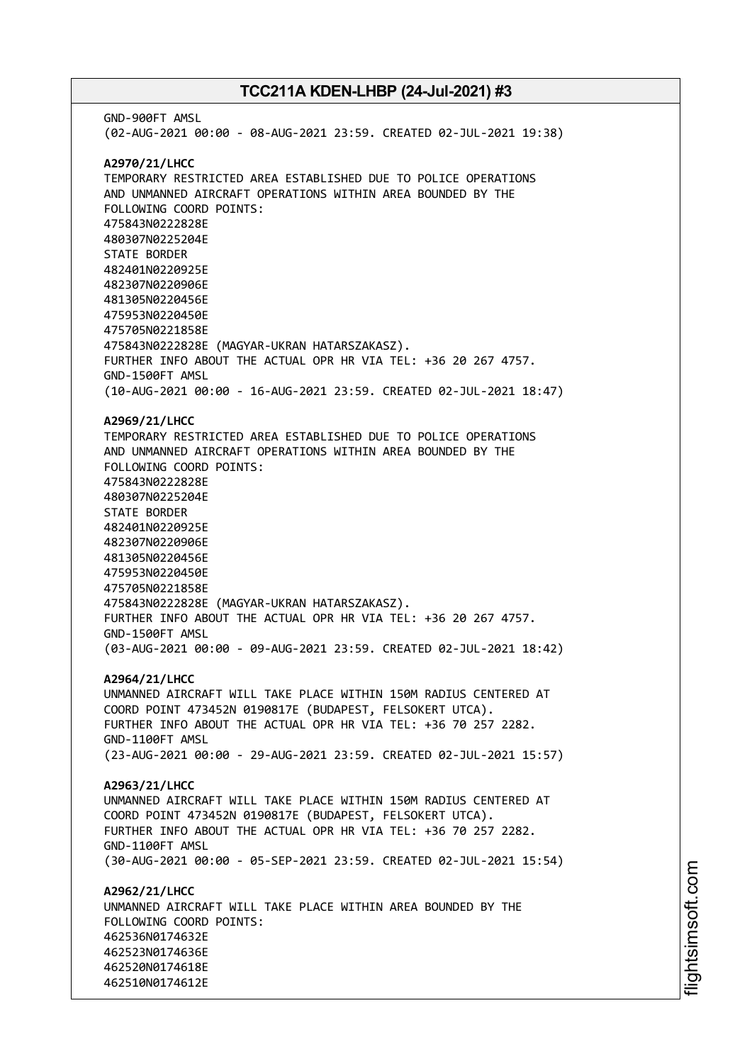GND-900FT AMSL (02-AUG-2021 00:00 - 08-AUG-2021 23:59. CREATED 02-JUL-2021 19:38) **A2970/21/LHCC** TEMPORARY RESTRICTED AREA ESTABLISHED DUE TO POLICE OPERATIONS AND UNMANNED AIRCRAFT OPERATIONS WITHIN AREA BOUNDED BY THE FOLLOWING COORD POINTS: 475843N0222828E 480307N0225204E STATE BORDER 482401N0220925E 482307N0220906E 481305N0220456E 475953N0220450E 475705N0221858E 475843N0222828E (MAGYAR-UKRAN HATARSZAKASZ). FURTHER INFO ABOUT THE ACTUAL OPR HR VIA TEL: +36 20 267 4757. GND-1500FT AMSL (10-AUG-2021 00:00 - 16-AUG-2021 23:59. CREATED 02-JUL-2021 18:47) **A2969/21/LHCC** TEMPORARY RESTRICTED AREA ESTABLISHED DUE TO POLICE OPERATIONS AND UNMANNED AIRCRAFT OPERATIONS WITHIN AREA BOUNDED BY THE FOLLOWING COORD POINTS: 475843N0222828E 480307N0225204E STATE BORDER 482401N0220925E 482307N0220906E 481305N0220456E 475953N0220450E 475705N0221858E 475843N0222828E (MAGYAR-UKRAN HATARSZAKASZ). FURTHER INFO ABOUT THE ACTUAL OPR HR VIA TEL: +36 20 267 4757. GND-1500FT AMSL (03-AUG-2021 00:00 - 09-AUG-2021 23:59. CREATED 02-JUL-2021 18:42) **A2964/21/LHCC** UNMANNED AIRCRAFT WILL TAKE PLACE WITHIN 150M RADIUS CENTERED AT COORD POINT 473452N 0190817E (BUDAPEST, FELSOKERT UTCA). FURTHER INFO ABOUT THE ACTUAL OPR HR VIA TEL: +36 70 257 2282. GND-1100FT AMSL (23-AUG-2021 00:00 - 29-AUG-2021 23:59. CREATED 02-JUL-2021 15:57) **A2963/21/LHCC** UNMANNED AIRCRAFT WILL TAKE PLACE WITHIN 150M RADIUS CENTERED AT COORD POINT 473452N 0190817E (BUDAPEST, FELSOKERT UTCA). FURTHER INFO ABOUT THE ACTUAL OPR HR VIA TEL: +36 70 257 2282. GND-1100FT AMSL (30-AUG-2021 00:00 - 05-SEP-2021 23:59. CREATED 02-JUL-2021 15:54) **A2962/21/LHCC** UNMANNED AIRCRAFT WILL TAKE PLACE WITHIN AREA BOUNDED BY THE FOLLOWING COORD POINTS: 462536N0174632E 462523N0174636E 462520N0174618E 462510N0174612E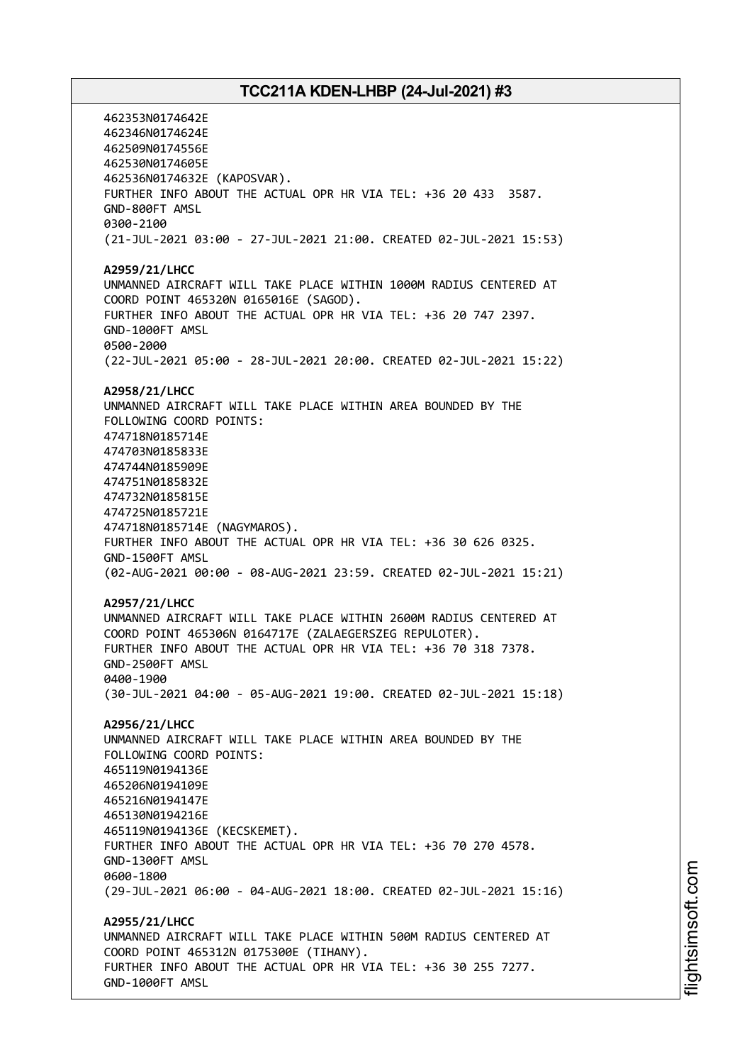462353N0174642E 462346N0174624E 462509N0174556E 462530N0174605E 462536N0174632E (KAPOSVAR). FURTHER INFO ABOUT THE ACTUAL OPR HR VIA TEL: +36 20 433 3587. GND-800FT AMSL 0300-2100 (21-JUL-2021 03:00 - 27-JUL-2021 21:00. CREATED 02-JUL-2021 15:53) **A2959/21/LHCC** UNMANNED AIRCRAFT WILL TAKE PLACE WITHIN 1000M RADIUS CENTERED AT COORD POINT 465320N 0165016E (SAGOD). FURTHER INFO ABOUT THE ACTUAL OPR HR VIA TEL: +36 20 747 2397. GND-1000FT AMSL 0500-2000 (22-JUL-2021 05:00 - 28-JUL-2021 20:00. CREATED 02-JUL-2021 15:22) **A2958/21/LHCC** UNMANNED AIRCRAFT WILL TAKE PLACE WITHIN AREA BOUNDED BY THE FOLLOWING COORD POINTS: 474718N0185714E 474703N0185833E 474744N0185909E 474751N0185832E 474732N0185815E 474725N0185721E 474718N0185714E (NAGYMAROS). FURTHER INFO ABOUT THE ACTUAL OPR HR VIA TEL: +36 30 626 0325. GND-1500FT AMSL (02-AUG-2021 00:00 - 08-AUG-2021 23:59. CREATED 02-JUL-2021 15:21) **A2957/21/LHCC** UNMANNED AIRCRAFT WILL TAKE PLACE WITHIN 2600M RADIUS CENTERED AT COORD POINT 465306N 0164717E (ZALAEGERSZEG REPULOTER). FURTHER INFO ABOUT THE ACTUAL OPR HR VIA TEL: +36 70 318 7378. GND-2500FT AMSL 0400-1900 (30-JUL-2021 04:00 - 05-AUG-2021 19:00. CREATED 02-JUL-2021 15:18) **A2956/21/LHCC** UNMANNED AIRCRAFT WILL TAKE PLACE WITHIN AREA BOUNDED BY THE FOLLOWING COORD POINTS: 465119N0194136E 465206N0194109E 465216N0194147E 465130N0194216E 465119N0194136E (KECSKEMET). FURTHER INFO ABOUT THE ACTUAL OPR HR VIA TEL: +36 70 270 4578. GND-1300FT AMSL 0600-1800 (29-JUL-2021 06:00 - 04-AUG-2021 18:00. CREATED 02-JUL-2021 15:16) **A2955/21/LHCC** UNMANNED AIRCRAFT WILL TAKE PLACE WITHIN 500M RADIUS CENTERED AT COORD POINT 465312N 0175300E (TIHANY). FURTHER INFO ABOUT THE ACTUAL OPR HR VIA TEL: +36 30 255 7277. GND-1000FT AMSL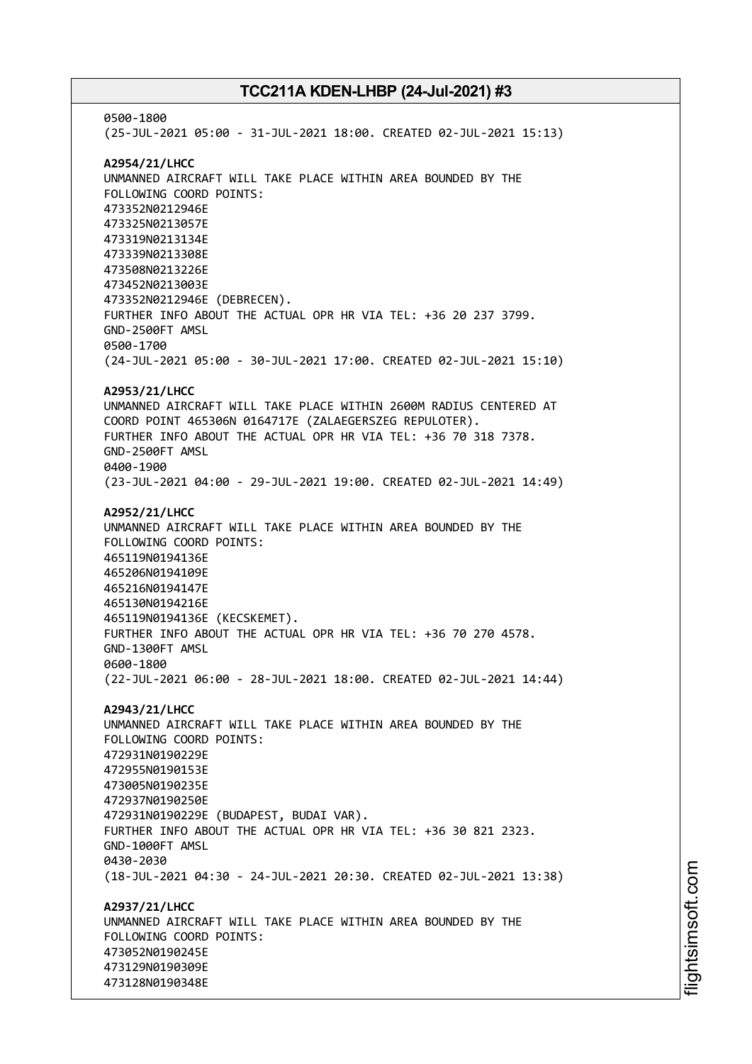0500-1800 (25-JUL-2021 05:00 - 31-JUL-2021 18:00. CREATED 02-JUL-2021 15:13) **A2954/21/LHCC** UNMANNED AIRCRAFT WILL TAKE PLACE WITHIN AREA BOUNDED BY THE FOLLOWING COORD POINTS: 473352N0212946E 473325N0213057E 473319N0213134E 473339N0213308E 473508N0213226E 473452N0213003E 473352N0212946E (DEBRECEN). FURTHER INFO ABOUT THE ACTUAL OPR HR VIA TEL: +36 20 237 3799. GND-2500FT AMSL 0500-1700 (24-JUL-2021 05:00 - 30-JUL-2021 17:00. CREATED 02-JUL-2021 15:10) **A2953/21/LHCC** UNMANNED AIRCRAFT WILL TAKE PLACE WITHIN 2600M RADIUS CENTERED AT COORD POINT 465306N 0164717E (ZALAEGERSZEG REPULOTER). FURTHER INFO ABOUT THE ACTUAL OPR HR VIA TEL: +36 70 318 7378. GND-2500FT AMSL 0400-1900 (23-JUL-2021 04:00 - 29-JUL-2021 19:00. CREATED 02-JUL-2021 14:49) **A2952/21/LHCC** UNMANNED AIRCRAFT WILL TAKE PLACE WITHIN AREA BOUNDED BY THE FOLLOWING COORD POINTS: 465119N0194136E 465206N0194109E 465216N0194147E 465130N0194216E 465119N0194136E (KECSKEMET). FURTHER INFO ABOUT THE ACTUAL OPR HR VIA TEL: +36 70 270 4578. GND-1300FT AMSL 0600-1800 (22-JUL-2021 06:00 - 28-JUL-2021 18:00. CREATED 02-JUL-2021 14:44) **A2943/21/LHCC** UNMANNED AIRCRAFT WILL TAKE PLACE WITHIN AREA BOUNDED BY THE FOLLOWING COORD POINTS: 472931N0190229E 472955N0190153E 473005N0190235E 472937N0190250E 472931N0190229E (BUDAPEST, BUDAI VAR). FURTHER INFO ABOUT THE ACTUAL OPR HR VIA TEL: +36 30 821 2323. GND-1000FT AMSL 0430-2030 (18-JUL-2021 04:30 - 24-JUL-2021 20:30. CREATED 02-JUL-2021 13:38) **A2937/21/LHCC** UNMANNED AIRCRAFT WILL TAKE PLACE WITHIN AREA BOUNDED BY THE FOLLOWING COORD POINTS: 473052N0190245E 473129N0190309E 473128N0190348E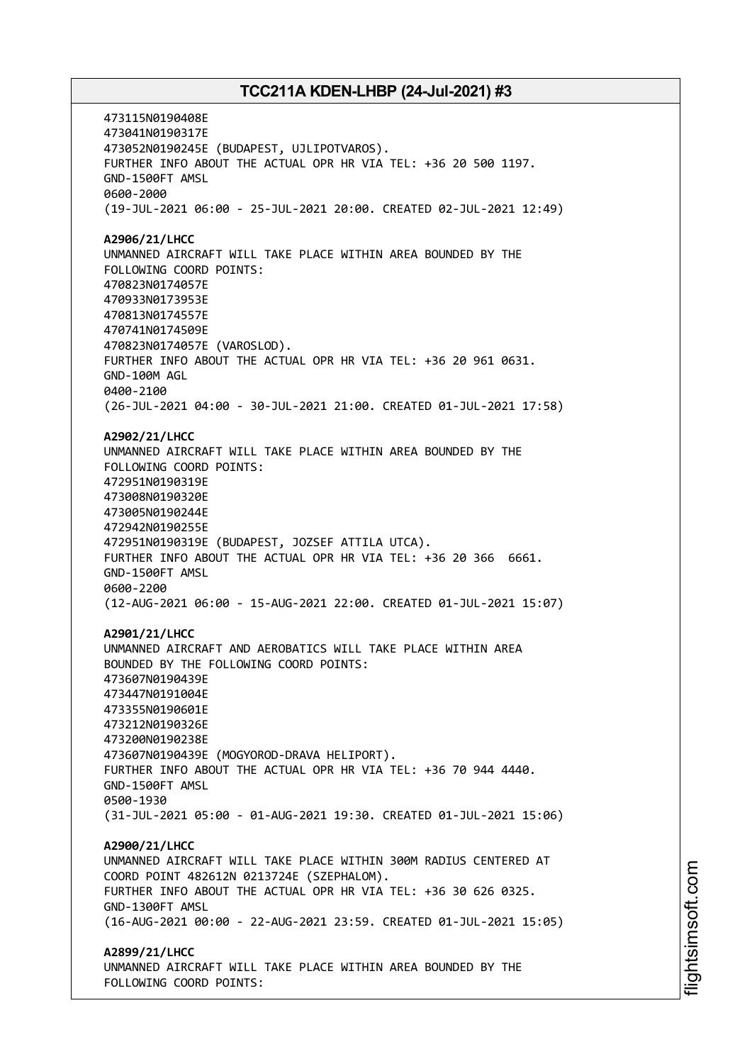473115N0190408E 473041N0190317E 473052N0190245E (BUDAPEST, UJLIPOTVAROS). FURTHER INFO ABOUT THE ACTUAL OPR HR VIA TEL: +36 20 500 1197. GND-1500FT AMSL 0600-2000 (19-JUL-2021 06:00 - 25-JUL-2021 20:00. CREATED 02-JUL-2021 12:49) **A2906/21/LHCC** UNMANNED AIRCRAFT WILL TAKE PLACE WITHIN AREA BOUNDED BY THE FOLLOWING COORD POINTS: 470823N0174057E 470933N0173953E 470813N0174557E 470741N0174509E 470823N0174057E (VAROSLOD). FURTHER INFO ABOUT THE ACTUAL OPR HR VIA TEL: +36 20 961 0631. GND-100M AGL 0400-2100 (26-JUL-2021 04:00 - 30-JUL-2021 21:00. CREATED 01-JUL-2021 17:58) **A2902/21/LHCC** UNMANNED AIRCRAFT WILL TAKE PLACE WITHIN AREA BOUNDED BY THE FOLLOWING COORD POINTS: 472951N0190319E 473008N0190320E 473005N0190244E 472942N0190255E 472951N0190319E (BUDAPEST, JOZSEF ATTILA UTCA). FURTHER INFO ABOUT THE ACTUAL OPR HR VIA TEL: +36 20 366 6661. GND-1500FT AMSL 0600-2200 (12-AUG-2021 06:00 - 15-AUG-2021 22:00. CREATED 01-JUL-2021 15:07) **A2901/21/LHCC** UNMANNED AIRCRAFT AND AEROBATICS WILL TAKE PLACE WITHIN AREA BOUNDED BY THE FOLLOWING COORD POINTS: 473607N0190439E 473447N0191004E 473355N0190601E 473212N0190326E 473200N0190238E 473607N0190439E (MOGYOROD-DRAVA HELIPORT). FURTHER INFO ABOUT THE ACTUAL OPR HR VIA TEL: +36 70 944 4440. GND-1500FT AMSL 0500-1930 (31-JUL-2021 05:00 - 01-AUG-2021 19:30. CREATED 01-JUL-2021 15:06) **A2900/21/LHCC** UNMANNED AIRCRAFT WILL TAKE PLACE WITHIN 300M RADIUS CENTERED AT COORD POINT 482612N 0213724E (SZEPHALOM). FURTHER INFO ABOUT THE ACTUAL OPR HR VIA TEL: +36 30 626 0325. GND-1300FT AMSL (16-AUG-2021 00:00 - 22-AUG-2021 23:59. CREATED 01-JUL-2021 15:05) **A2899/21/LHCC** UNMANNED AIRCRAFT WILL TAKE PLACE WITHIN AREA BOUNDED BY THE FOLLOWING COORD POINTS: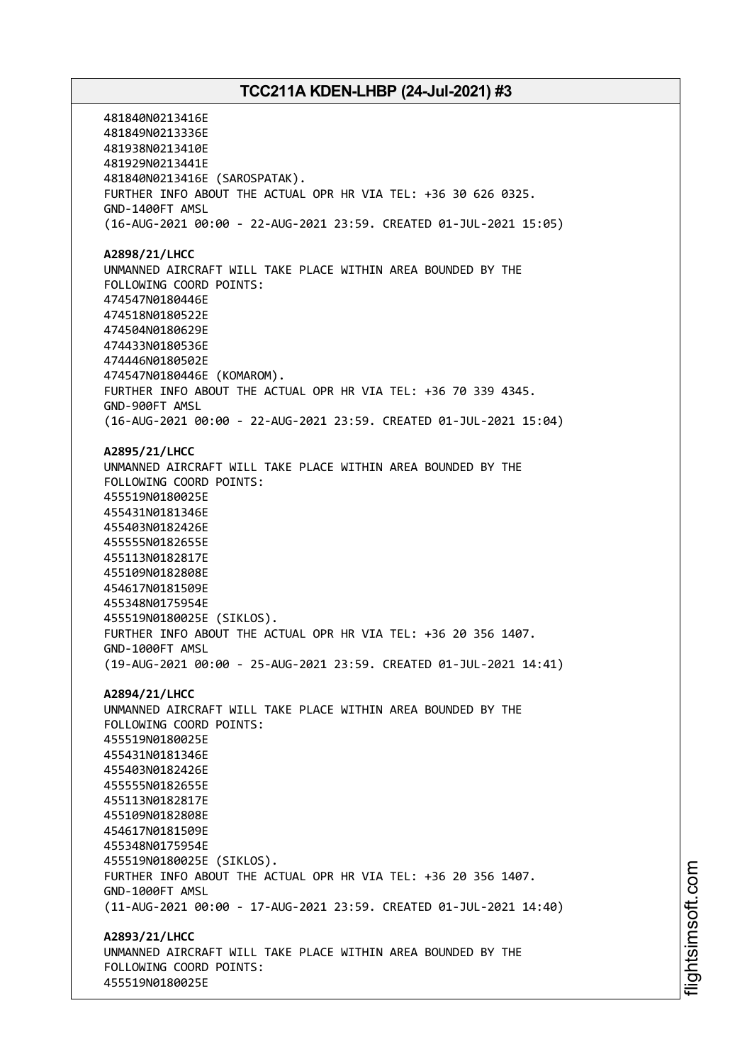481840N0213416E 481849N0213336E 481938N0213410E 481929N0213441E 481840N0213416E (SAROSPATAK). FURTHER INFO ABOUT THE ACTUAL OPR HR VIA TEL: +36 30 626 0325. GND-1400FT AMSL (16-AUG-2021 00:00 - 22-AUG-2021 23:59. CREATED 01-JUL-2021 15:05) **A2898/21/LHCC** UNMANNED AIRCRAFT WILL TAKE PLACE WITHIN AREA BOUNDED BY THE FOLLOWING COORD POINTS: 474547N0180446E 474518N0180522E 474504N0180629E 474433N0180536E 474446N0180502E 474547N0180446E (KOMAROM). FURTHER INFO ABOUT THE ACTUAL OPR HR VIA TEL: +36 70 339 4345. GND-900FT AMSL (16-AUG-2021 00:00 - 22-AUG-2021 23:59. CREATED 01-JUL-2021 15:04) **A2895/21/LHCC** UNMANNED AIRCRAFT WILL TAKE PLACE WITHIN AREA BOUNDED BY THE FOLLOWING COORD POINTS: 455519N0180025E 455431N0181346E 455403N0182426E 455555N0182655E 455113N0182817E 455109N0182808E 454617N0181509E 455348N0175954E 455519N0180025E (SIKLOS). FURTHER INFO ABOUT THE ACTUAL OPR HR VIA TEL: +36 20 356 1407. GND-1000FT AMSL (19-AUG-2021 00:00 - 25-AUG-2021 23:59. CREATED 01-JUL-2021 14:41) **A2894/21/LHCC** UNMANNED AIRCRAFT WILL TAKE PLACE WITHIN AREA BOUNDED BY THE FOLLOWING COORD POINTS: 455519N0180025E 455431N0181346E 455403N0182426E 455555N0182655E 455113N0182817E 455109N0182808E 454617N0181509E 455348N0175954E 455519N0180025E (SIKLOS). FURTHER INFO ABOUT THE ACTUAL OPR HR VIA TEL: +36 20 356 1407. GND-1000FT AMSL (11-AUG-2021 00:00 - 17-AUG-2021 23:59. CREATED 01-JUL-2021 14:40) **A2893/21/LHCC** UNMANNED AIRCRAFT WILL TAKE PLACE WITHIN AREA BOUNDED BY THE FOLLOWING COORD POINTS: 455519N0180025E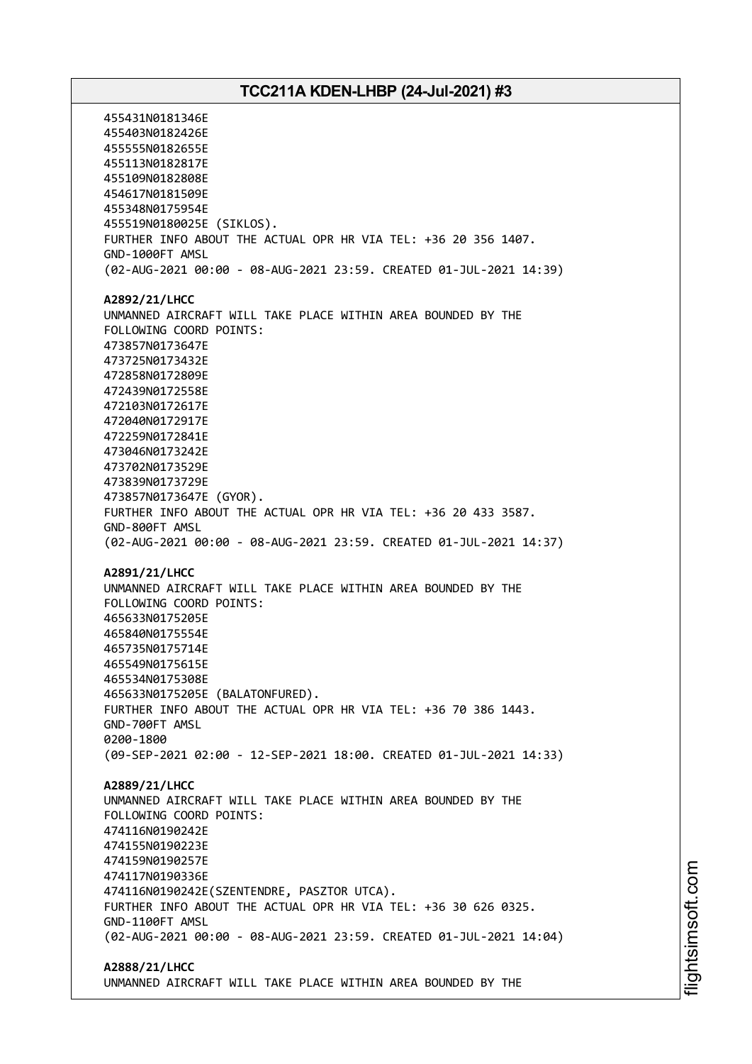455431N0181346E 455403N0182426E 455555N0182655E 455113N0182817E 455109N0182808E 454617N0181509E 455348N0175954E 455519N0180025E (SIKLOS). FURTHER INFO ABOUT THE ACTUAL OPR HR VIA TEL: +36 20 356 1407. GND-1000FT AMSL (02-AUG-2021 00:00 - 08-AUG-2021 23:59. CREATED 01-JUL-2021 14:39) **A2892/21/LHCC** UNMANNED AIRCRAFT WILL TAKE PLACE WITHIN AREA BOUNDED BY THE FOLLOWING COORD POINTS: 473857N0173647E 473725N0173432E 472858N0172809E 472439N0172558E 472103N0172617E 472040N0172917E 472259N0172841E 473046N0173242E 473702N0173529E 473839N0173729E 473857N0173647E (GYOR). FURTHER INFO ABOUT THE ACTUAL OPR HR VIA TEL: +36 20 433 3587. GND-800FT AMSL (02-AUG-2021 00:00 - 08-AUG-2021 23:59. CREATED 01-JUL-2021 14:37) **A2891/21/LHCC** UNMANNED AIRCRAFT WILL TAKE PLACE WITHIN AREA BOUNDED BY THE FOLLOWING COORD POINTS: 465633N0175205E 465840N0175554E 465735N0175714E 465549N0175615E 465534N0175308E 465633N0175205E (BALATONFURED). FURTHER INFO ABOUT THE ACTUAL OPR HR VIA TEL: +36 70 386 1443. GND-700FT AMSL 0200-1800 (09-SEP-2021 02:00 - 12-SEP-2021 18:00. CREATED 01-JUL-2021 14:33) **A2889/21/LHCC** UNMANNED AIRCRAFT WILL TAKE PLACE WITHIN AREA BOUNDED BY THE FOLLOWING COORD POINTS: 474116N0190242E 474155N0190223E 474159N0190257E 474117N0190336E 474116N0190242E(SZENTENDRE, PASZTOR UTCA). FURTHER INFO ABOUT THE ACTUAL OPR HR VIA TEL: +36 30 626 0325. GND-1100FT AMSL (02-AUG-2021 00:00 - 08-AUG-2021 23:59. CREATED 01-JUL-2021 14:04) **A2888/21/LHCC**

UNMANNED AIRCRAFT WILL TAKE PLACE WITHIN AREA BOUNDED BY THE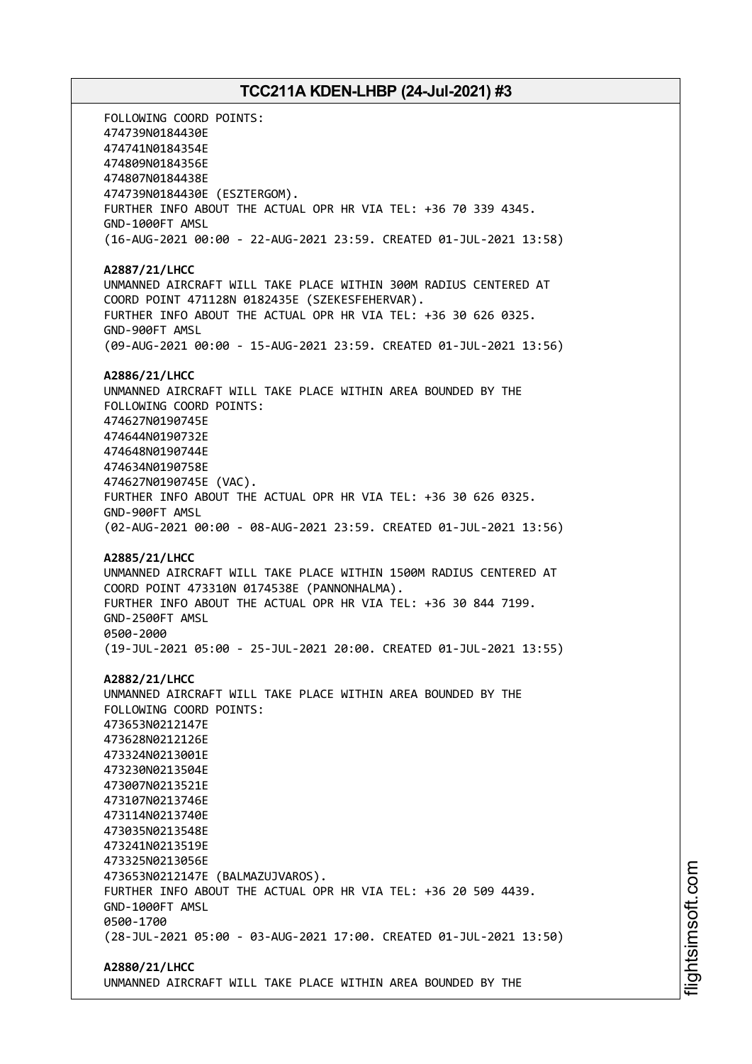FOLLOWING COORD POINTS: 474739N0184430E 474741N0184354E 474809N0184356E 474807N0184438E 474739N0184430E (ESZTERGOM). FURTHER INFO ABOUT THE ACTUAL OPR HR VIA TEL: +36 70 339 4345. GND-1000FT AMSL (16-AUG-2021 00:00 - 22-AUG-2021 23:59. CREATED 01-JUL-2021 13:58) **A2887/21/LHCC** UNMANNED AIRCRAFT WILL TAKE PLACE WITHIN 300M RADIUS CENTERED AT COORD POINT 471128N 0182435E (SZEKESFEHERVAR). FURTHER INFO ABOUT THE ACTUAL OPR HR VIA TEL: +36 30 626 0325. GND-900FT AMSL (09-AUG-2021 00:00 - 15-AUG-2021 23:59. CREATED 01-JUL-2021 13:56) **A2886/21/LHCC** UNMANNED AIRCRAFT WILL TAKE PLACE WITHIN AREA BOUNDED BY THE FOLLOWING COORD POINTS: 474627N0190745E 474644N0190732E 474648N0190744E 474634N0190758E 474627N0190745E (VAC). FURTHER INFO ABOUT THE ACTUAL OPR HR VIA TEL: +36 30 626 0325. GND-900FT AMSL (02-AUG-2021 00:00 - 08-AUG-2021 23:59. CREATED 01-JUL-2021 13:56) **A2885/21/LHCC** UNMANNED AIRCRAFT WILL TAKE PLACE WITHIN 1500M RADIUS CENTERED AT COORD POINT 473310N 0174538E (PANNONHALMA). FURTHER INFO ABOUT THE ACTUAL OPR HR VIA TEL: +36 30 844 7199. GND-2500FT AMSL 0500-2000 (19-JUL-2021 05:00 - 25-JUL-2021 20:00. CREATED 01-JUL-2021 13:55) **A2882/21/LHCC** UNMANNED AIRCRAFT WILL TAKE PLACE WITHIN AREA BOUNDED BY THE FOLLOWING COORD POINTS: 473653N0212147E 473628N0212126E 473324N0213001E 473230N0213504E 473007N0213521E 473107N0213746E 473114N0213740E 473035N0213548E 473241N0213519E 473325N0213056E 473653N0212147E (BALMAZUJVAROS). FURTHER INFO ABOUT THE ACTUAL OPR HR VIA TEL: +36 20 509 4439. GND-1000FT AMSL 0500-1700 (28-JUL-2021 05:00 - 03-AUG-2021 17:00. CREATED 01-JUL-2021 13:50) **A2880/21/LHCC**

UNMANNED AIRCRAFT WILL TAKE PLACE WITHIN AREA BOUNDED BY THE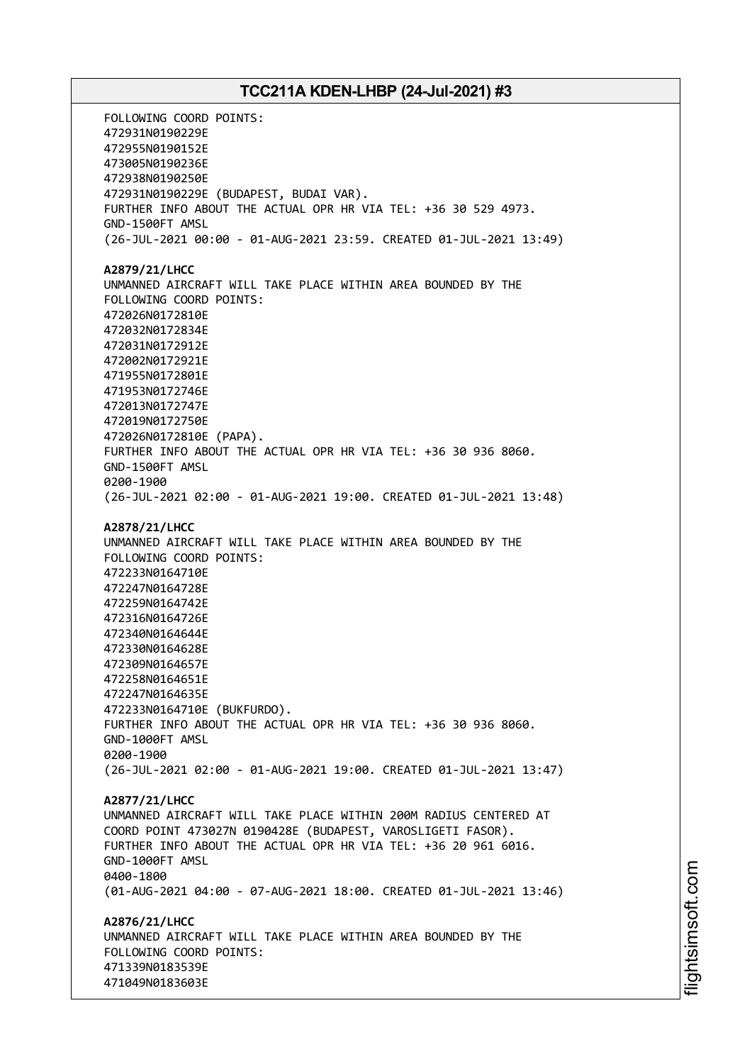FOLLOWING COORD POINTS: 472931N0190229E 472955N0190152E 473005N0190236E 472938N0190250E 472931N0190229E (BUDAPEST, BUDAI VAR). FURTHER INFO ABOUT THE ACTUAL OPR HR VIA TEL: +36 30 529 4973. GND-1500FT AMSL (26-JUL-2021 00:00 - 01-AUG-2021 23:59. CREATED 01-JUL-2021 13:49) **A2879/21/LHCC** UNMANNED AIRCRAFT WILL TAKE PLACE WITHIN AREA BOUNDED BY THE FOLLOWING COORD POINTS: 472026N0172810E 472032N0172834E 472031N0172912E 472002N0172921E 471955N0172801E 471953N0172746E 472013N0172747E 472019N0172750E 472026N0172810E (PAPA). FURTHER INFO ABOUT THE ACTUAL OPR HR VIA TEL: +36 30 936 8060. GND-1500FT AMSL 0200-1900 (26-JUL-2021 02:00 - 01-AUG-2021 19:00. CREATED 01-JUL-2021 13:48) **A2878/21/LHCC** UNMANNED AIRCRAFT WILL TAKE PLACE WITHIN AREA BOUNDED BY THE FOLLOWING COORD POINTS: 472233N0164710E 472247N0164728E 472259N0164742E 472316N0164726E 472340N0164644E 472330N0164628E 472309N0164657E 472258N0164651E 472247N0164635E 472233N0164710E (BUKFURDO). FURTHER INFO ABOUT THE ACTUAL OPR HR VIA TEL: +36 30 936 8060. GND-1000FT AMSL 0200-1900 (26-JUL-2021 02:00 - 01-AUG-2021 19:00. CREATED 01-JUL-2021 13:47) **A2877/21/LHCC** UNMANNED AIRCRAFT WILL TAKE PLACE WITHIN 200M RADIUS CENTERED AT COORD POINT 473027N 0190428E (BUDAPEST, VAROSLIGETI FASOR). FURTHER INFO ABOUT THE ACTUAL OPR HR VIA TEL: +36 20 961 6016. GND-1000FT AMSL 0400-1800 (01-AUG-2021 04:00 - 07-AUG-2021 18:00. CREATED 01-JUL-2021 13:46) **A2876/21/LHCC** UNMANNED AIRCRAFT WILL TAKE PLACE WITHIN AREA BOUNDED BY THE FOLLOWING COORD POINTS: 471339N0183539E 471049N0183603E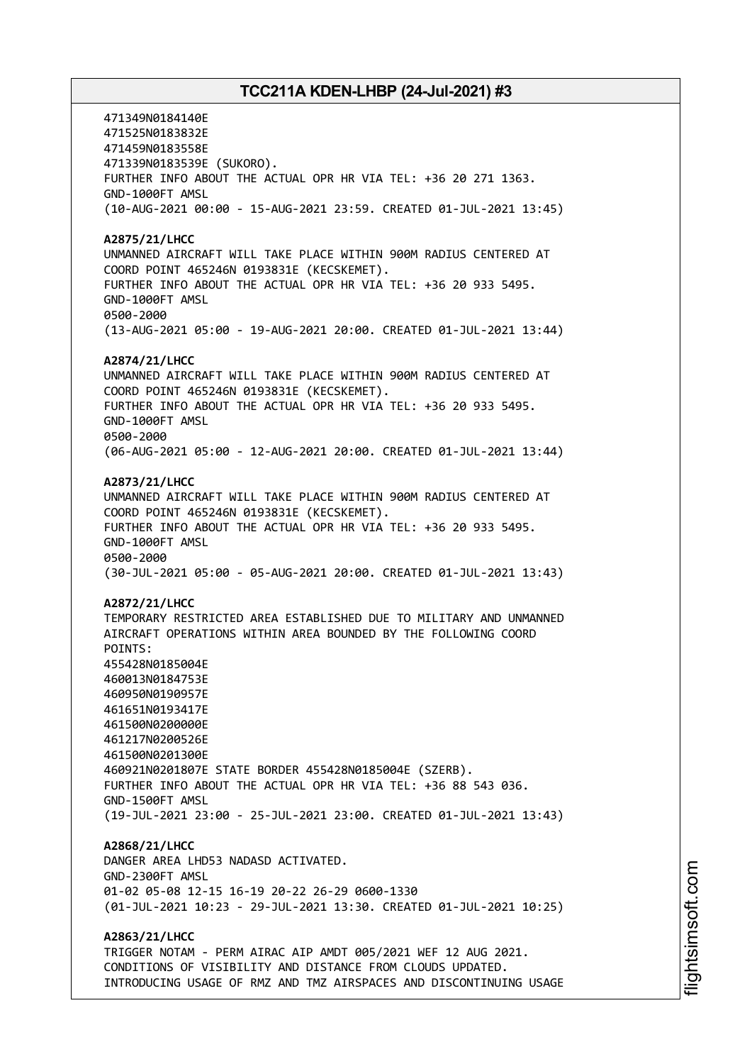471349N0184140E 471525N0183832E 471459N0183558E 471339N0183539E (SUKORO). FURTHER INFO ABOUT THE ACTUAL OPR HR VIA TEL: +36 20 271 1363. GND-1000FT AMSL (10-AUG-2021 00:00 - 15-AUG-2021 23:59. CREATED 01-JUL-2021 13:45) **A2875/21/LHCC** UNMANNED AIRCRAFT WILL TAKE PLACE WITHIN 900M RADIUS CENTERED AT COORD POINT 465246N 0193831E (KECSKEMET). FURTHER INFO ABOUT THE ACTUAL OPR HR VIA TEL: +36 20 933 5495. GND-1000FT AMSL 0500-2000 (13-AUG-2021 05:00 - 19-AUG-2021 20:00. CREATED 01-JUL-2021 13:44) **A2874/21/LHCC** UNMANNED AIRCRAFT WILL TAKE PLACE WITHIN 900M RADIUS CENTERED AT COORD POINT 465246N 0193831E (KECSKEMET). FURTHER INFO ABOUT THE ACTUAL OPR HR VIA TEL: +36 20 933 5495. GND-1000FT AMSL 0500-2000 (06-AUG-2021 05:00 - 12-AUG-2021 20:00. CREATED 01-JUL-2021 13:44) **A2873/21/LHCC** UNMANNED AIRCRAFT WILL TAKE PLACE WITHIN 900M RADIUS CENTERED AT COORD POINT 465246N 0193831E (KECSKEMET). FURTHER INFO ABOUT THE ACTUAL OPR HR VIA TEL: +36 20 933 5495. GND-1000FT AMSL 0500-2000 (30-JUL-2021 05:00 - 05-AUG-2021 20:00. CREATED 01-JUL-2021 13:43) **A2872/21/LHCC** TEMPORARY RESTRICTED AREA ESTABLISHED DUE TO MILITARY AND UNMANNED AIRCRAFT OPERATIONS WITHIN AREA BOUNDED BY THE FOLLOWING COORD POINTS: 455428N0185004E 460013N0184753E 460950N0190957E 461651N0193417E 461500N0200000E 461217N0200526E 461500N0201300E 460921N0201807E STATE BORDER 455428N0185004E (SZERB). FURTHER INFO ABOUT THE ACTUAL OPR HR VIA TEL: +36 88 543 036. GND-1500FT AMSL (19-JUL-2021 23:00 - 25-JUL-2021 23:00. CREATED 01-JUL-2021 13:43) **A2868/21/LHCC** DANGER AREA LHD53 NADASD ACTIVATED. GND-2300FT AMSL 01-02 05-08 12-15 16-19 20-22 26-29 0600-1330 (01-JUL-2021 10:23 - 29-JUL-2021 13:30. CREATED 01-JUL-2021 10:25) **A2863/21/LHCC** TRIGGER NOTAM - PERM AIRAC AIP AMDT 005/2021 WEF 12 AUG 2021. CONDITIONS OF VISIBILITY AND DISTANCE FROM CLOUDS UPDATED.

INTRODUCING USAGE OF RMZ AND TMZ AIRSPACES AND DISCONTINUING USAGE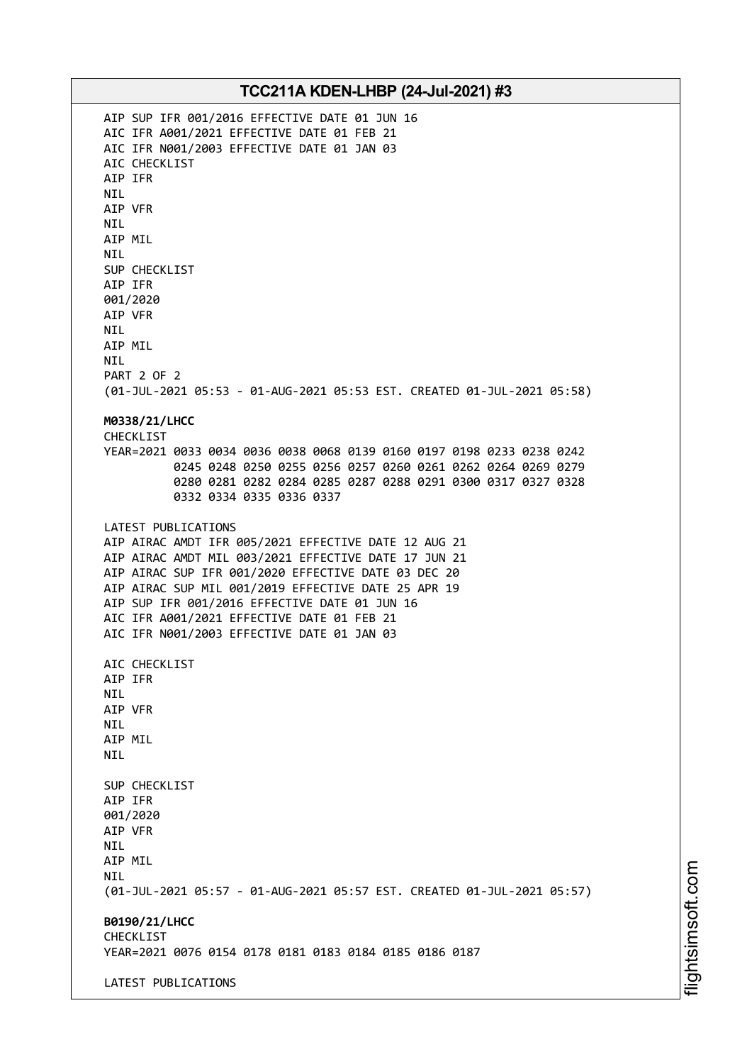AIP SUP IFR 001/2016 EFFECTIVE DATE 01 JUN 16 AIC IFR A001/2021 EFFECTIVE DATE 01 FEB 21 AIC IFR N001/2003 EFFECTIVE DATE 01 JAN 03 AIC CHECKLIST AIP IFR NIL AIP VFR NIL AIP MIL NIL SUP CHECKLIST AIP IFR 001/2020 AIP VFR NIL AIP MIL NIL PART 2 OF 2 (01-JUL-2021 05:53 - 01-AUG-2021 05:53 EST. CREATED 01-JUL-2021 05:58) **M0338/21/LHCC** CHECKLIST YEAR=2021 0033 0034 0036 0038 0068 0139 0160 0197 0198 0233 0238 0242 0245 0248 0250 0255 0256 0257 0260 0261 0262 0264 0269 0279 0280 0281 0282 0284 0285 0287 0288 0291 0300 0317 0327 0328 0332 0334 0335 0336 0337 LATEST PUBLICATIONS AIP AIRAC AMDT IFR 005/2021 EFFECTIVE DATE 12 AUG 21 AIP AIRAC AMDT MIL 003/2021 EFFECTIVE DATE 17 JUN 21 AIP AIRAC SUP IFR 001/2020 EFFECTIVE DATE 03 DEC 20 AIP AIRAC SUP MIL 001/2019 EFFECTIVE DATE 25 APR 19 AIP SUP IFR 001/2016 EFFECTIVE DATE 01 JUN 16 AIC IFR A001/2021 EFFECTIVE DATE 01 FEB 21 AIC IFR N001/2003 EFFECTIVE DATE 01 JAN 03 AIC CHECKLIST AIP IFR NIL AIP VFR **NTI** AIP MIL NIL SUP CHECKLIST AIP IFR 001/2020 AIP VFR NIL AIP MIL **NTI** (01-JUL-2021 05:57 - 01-AUG-2021 05:57 EST. CREATED 01-JUL-2021 05:57) **B0190/21/LHCC** CHECKLIST YEAR=2021 0076 0154 0178 0181 0183 0184 0185 0186 0187 LATEST PUBLICATIONS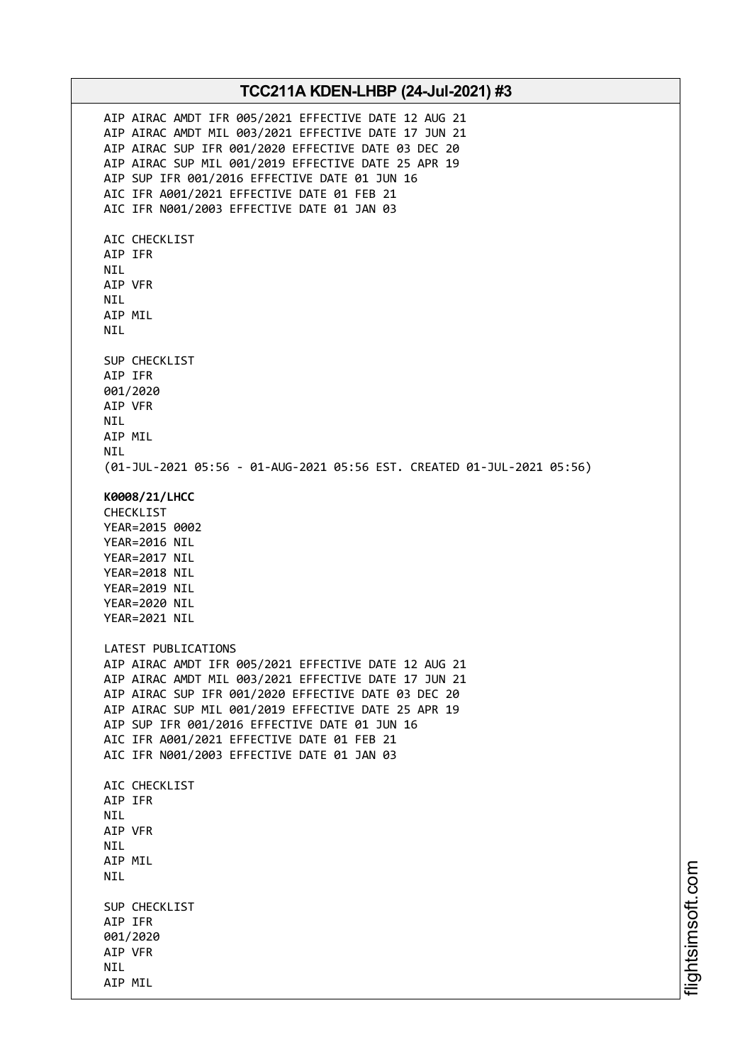AIP AIRAC AMDT IFR 005/2021 EFFECTIVE DATE 12 AUG 21 AIP AIRAC AMDT MIL 003/2021 EFFECTIVE DATE 17 JUN 21 AIP AIRAC SUP IFR 001/2020 EFFECTIVE DATE 03 DEC 20 AIP AIRAC SUP MIL 001/2019 EFFECTIVE DATE 25 APR 19 AIP SUP IFR 001/2016 EFFECTIVE DATE 01 JUN 16 AIC IFR A001/2021 EFFECTIVE DATE 01 FEB 21 AIC IFR N001/2003 EFFECTIVE DATE 01 JAN 03 AIC CHECKLIST AIP IFR NIL AIP VFR NIL AIP MIL NIL SUP CHECKLIST AIP IFR 001/2020 AIP VFR NIL AIP MIL **NTI** (01-JUL-2021 05:56 - 01-AUG-2021 05:56 EST. CREATED 01-JUL-2021 05:56) **K0008/21/LHCC** CHECKLIST YEAR=2015 0002 YEAR=2016 NIL YEAR=2017 NIL YEAR=2018 NIL YEAR=2019 NIL YEAR=2020 NIL YEAR=2021 NIL LATEST PUBLICATIONS AIP AIRAC AMDT IFR 005/2021 EFFECTIVE DATE 12 AUG 21 AIP AIRAC AMDT MIL 003/2021 EFFECTIVE DATE 17 JUN 21 AIP AIRAC SUP IFR 001/2020 EFFECTIVE DATE 03 DEC 20 AIP AIRAC SUP MIL 001/2019 EFFECTIVE DATE 25 APR 19 AIP SUP IFR 001/2016 EFFECTIVE DATE 01 JUN 16 AIC IFR A001/2021 EFFECTIVE DATE 01 FEB 21 AIC IFR N001/2003 EFFECTIVE DATE 01 JAN 03 ATC CHECKLIST AIP IFR NIL AIP VFR NIL AIP MIL NIL SUP CHECKLIST AIP IFR 001/2020 AIP VFR NIL AIP MIL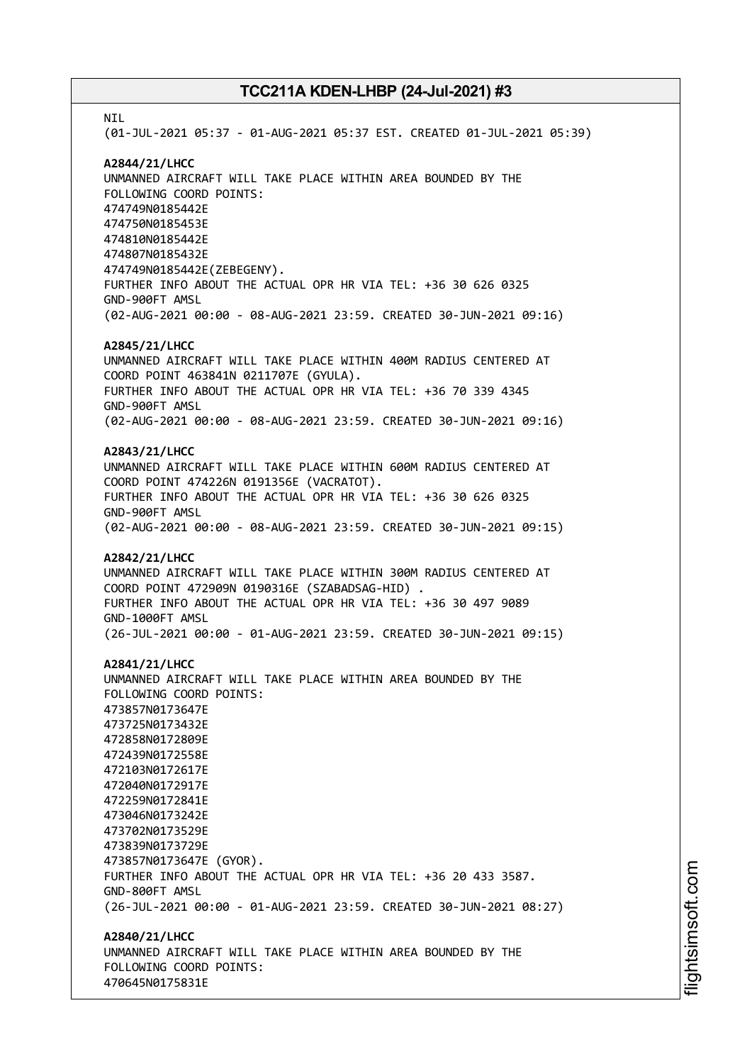**NTI** (01-JUL-2021 05:37 - 01-AUG-2021 05:37 EST. CREATED 01-JUL-2021 05:39) **A2844/21/LHCC** UNMANNED AIRCRAFT WILL TAKE PLACE WITHIN AREA BOUNDED BY THE FOLLOWING COORD POINTS: 474749N0185442E 474750N0185453E 474810N0185442E 474807N0185432E 474749N0185442E(ZEBEGENY). FURTHER INFO ABOUT THE ACTUAL OPR HR VIA TEL: +36 30 626 0325 GND-900FT AMSL (02-AUG-2021 00:00 - 08-AUG-2021 23:59. CREATED 30-JUN-2021 09:16) **A2845/21/LHCC** UNMANNED AIRCRAFT WILL TAKE PLACE WITHIN 400M RADIUS CENTERED AT COORD POINT 463841N 0211707E (GYULA). FURTHER INFO ABOUT THE ACTUAL OPR HR VIA TEL: +36 70 339 4345 GND-900FT AMSL (02-AUG-2021 00:00 - 08-AUG-2021 23:59. CREATED 30-JUN-2021 09:16) **A2843/21/LHCC** UNMANNED AIRCRAFT WILL TAKE PLACE WITHIN 600M RADIUS CENTERED AT COORD POINT 474226N 0191356E (VACRATOT). FURTHER INFO ABOUT THE ACTUAL OPR HR VIA TEL: +36 30 626 0325 GND-900FT AMSL (02-AUG-2021 00:00 - 08-AUG-2021 23:59. CREATED 30-JUN-2021 09:15) **A2842/21/LHCC** UNMANNED AIRCRAFT WILL TAKE PLACE WITHIN 300M RADIUS CENTERED AT COORD POINT 472909N 0190316E (SZABADSAG-HID) . FURTHER INFO ABOUT THE ACTUAL OPR HR VIA TEL: +36 30 497 9089 GND-1000FT AMSL (26-JUL-2021 00:00 - 01-AUG-2021 23:59. CREATED 30-JUN-2021 09:15) **A2841/21/LHCC** UNMANNED AIRCRAFT WILL TAKE PLACE WITHIN AREA BOUNDED BY THE FOLLOWING COORD POINTS: 473857N0173647E 473725N0173432E 472858N0172809E 472439N0172558E 472103N0172617E 472040N0172917E 472259N0172841E 473046N0173242E 473702N0173529E 473839N0173729E 473857N0173647E (GYOR). FURTHER INFO ABOUT THE ACTUAL OPR HR VIA TEL: +36 20 433 3587. GND-800FT AMSL (26-JUL-2021 00:00 - 01-AUG-2021 23:59. CREATED 30-JUN-2021 08:27) **A2840/21/LHCC** UNMANNED AIRCRAFT WILL TAKE PLACE WITHIN AREA BOUNDED BY THE FOLLOWING COORD POINTS: 470645N0175831E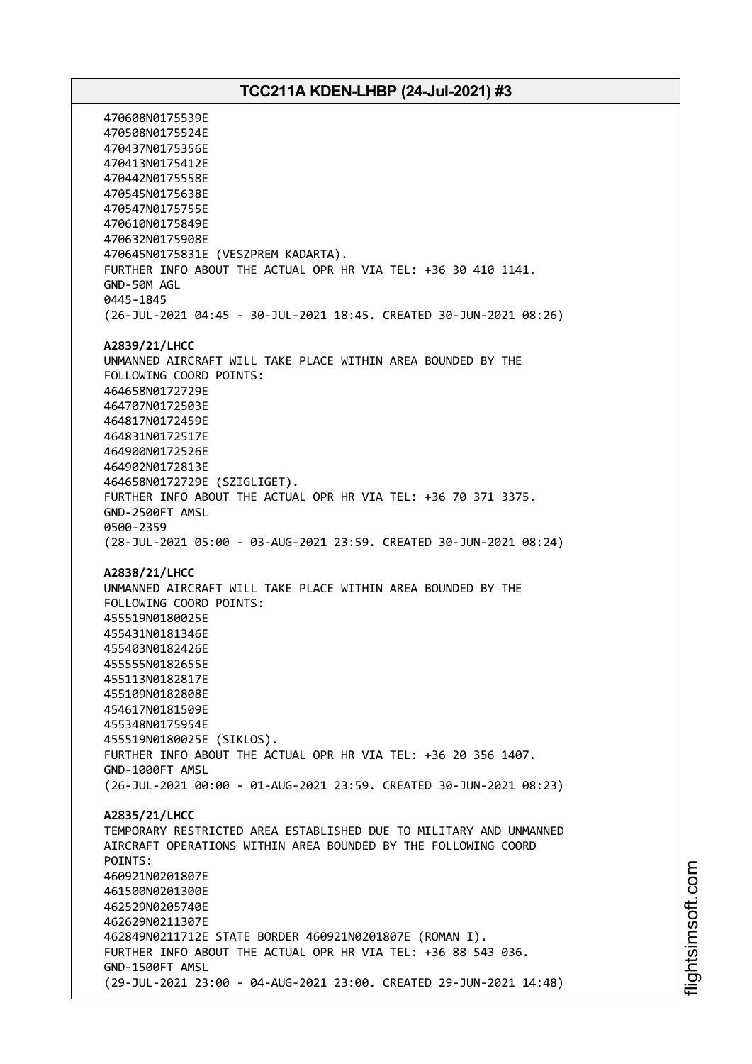470608N0175539E 470508N0175524E 470437N0175356E 470413N0175412E 470442N0175558E 470545N0175638E 470547N0175755E 470610N0175849E 470632N0175908E 470645N0175831E (VESZPREM KADARTA). FURTHER INFO ABOUT THE ACTUAL OPR HR VIA TEL: +36 30 410 1141. GND-50M AGL 0445-1845 (26-JUL-2021 04:45 - 30-JUL-2021 18:45. CREATED 30-JUN-2021 08:26) **A2839/21/LHCC** UNMANNED AIRCRAFT WILL TAKE PLACE WITHIN AREA BOUNDED BY THE FOLLOWING COORD POINTS: 464658N0172729E 464707N0172503E 464817N0172459E 464831N0172517E 464900N0172526E 464902N0172813E 464658N0172729E (SZIGLIGET). FURTHER INFO ABOUT THE ACTUAL OPR HR VIA TEL: +36 70 371 3375. GND-2500FT AMSL 0500-2359 (28-JUL-2021 05:00 - 03-AUG-2021 23:59. CREATED 30-JUN-2021 08:24) **A2838/21/LHCC** UNMANNED AIRCRAFT WILL TAKE PLACE WITHIN AREA BOUNDED BY THE FOLLOWING COORD POINTS: 455519N0180025E 455431N0181346E 455403N0182426E 455555N0182655E 455113N0182817E 455109N0182808E 454617N0181509E 455348N0175954E 455519N0180025E (SIKLOS). FURTHER INFO ABOUT THE ACTUAL OPR HR VIA TEL: +36 20 356 1407. GND-1000FT AMSL (26-JUL-2021 00:00 - 01-AUG-2021 23:59. CREATED 30-JUN-2021 08:23) **A2835/21/LHCC** TEMPORARY RESTRICTED AREA ESTABLISHED DUE TO MILITARY AND UNMANNED AIRCRAFT OPERATIONS WITHIN AREA BOUNDED BY THE FOLLOWING COORD POINTS: 460921N0201807E 461500N0201300E 462529N0205740E 462629N0211307E 462849N0211712E STATE BORDER 460921N0201807E (ROMAN I). FURTHER INFO ABOUT THE ACTUAL OPR HR VIA TEL: +36 88 543 036. GND-1500FT AMSL (29-JUL-2021 23:00 - 04-AUG-2021 23:00. CREATED 29-JUN-2021 14:48)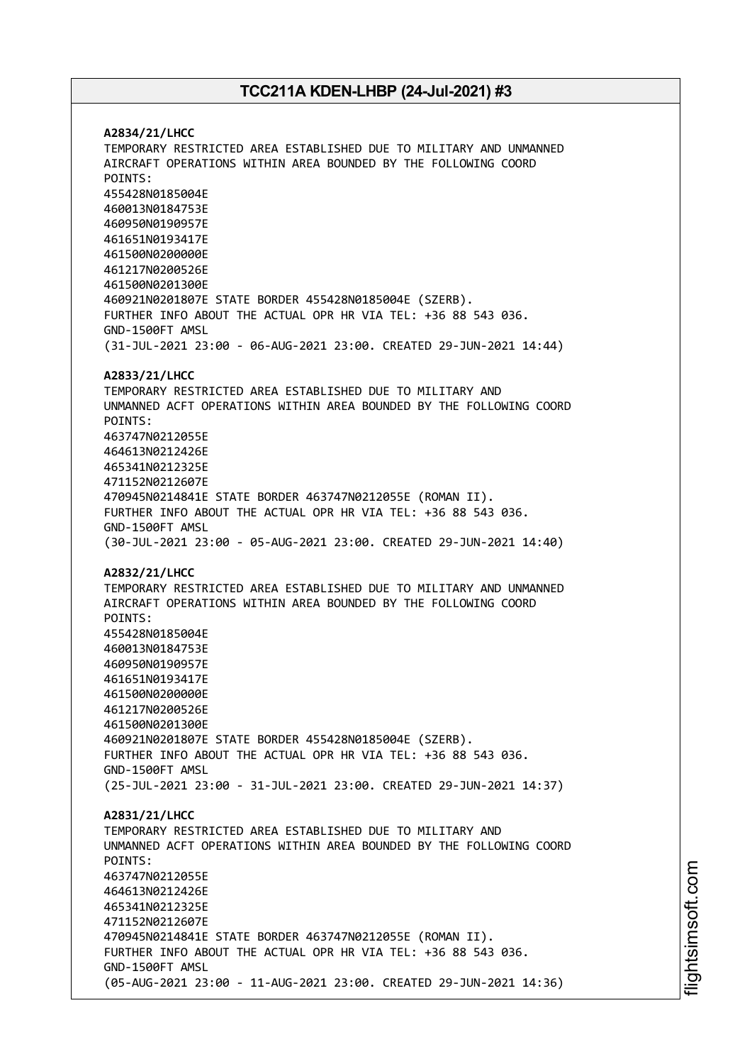**A2834/21/LHCC** TEMPORARY RESTRICTED AREA ESTABLISHED DUE TO MILITARY AND UNMANNED AIRCRAFT OPERATIONS WITHIN AREA BOUNDED BY THE FOLLOWING COORD POINTS: 455428N0185004E 460013N0184753E 460950N0190957E 461651N0193417E 461500N0200000E 461217N0200526E 461500N0201300E 460921N0201807E STATE BORDER 455428N0185004E (SZERB). FURTHER INFO ABOUT THE ACTUAL OPR HR VIA TEL: +36 88 543 036. GND-1500FT AMSL (31-JUL-2021 23:00 - 06-AUG-2021 23:00. CREATED 29-JUN-2021 14:44) **A2833/21/LHCC** TEMPORARY RESTRICTED AREA ESTABLISHED DUE TO MILITARY AND UNMANNED ACFT OPERATIONS WITHIN AREA BOUNDED BY THE FOLLOWING COORD POINTS: 463747N0212055E 464613N0212426E 465341N0212325E 471152N0212607E 470945N0214841E STATE BORDER 463747N0212055E (ROMAN II). FURTHER INFO ABOUT THE ACTUAL OPR HR VIA TEL: +36 88 543 036. GND-1500FT AMSL (30-JUL-2021 23:00 - 05-AUG-2021 23:00. CREATED 29-JUN-2021 14:40) **A2832/21/LHCC** TEMPORARY RESTRICTED AREA ESTABLISHED DUE TO MILITARY AND UNMANNED AIRCRAFT OPERATIONS WITHIN AREA BOUNDED BY THE FOLLOWING COORD POINTS: 455428N0185004E 460013N0184753E 460950N0190957E 461651N0193417E 461500N0200000E 461217N0200526E 461500N0201300E 460921N0201807E STATE BORDER 455428N0185004E (SZERB). FURTHER INFO ABOUT THE ACTUAL OPR HR VIA TEL: +36 88 543 036. GND-1500FT AMSL (25-JUL-2021 23:00 - 31-JUL-2021 23:00. CREATED 29-JUN-2021 14:37) **A2831/21/LHCC** TEMPORARY RESTRICTED AREA ESTABLISHED DUE TO MILITARY AND UNMANNED ACFT OPERATIONS WITHIN AREA BOUNDED BY THE FOLLOWING COORD POINTS: 463747N0212055E 464613N0212426E 465341N0212325E 471152N0212607E 470945N0214841E STATE BORDER 463747N0212055E (ROMAN II). FURTHER INFO ABOUT THE ACTUAL OPR HR VIA TEL: +36 88 543 036. GND-1500FT AMSL (05-AUG-2021 23:00 - 11-AUG-2021 23:00. CREATED 29-JUN-2021 14:36)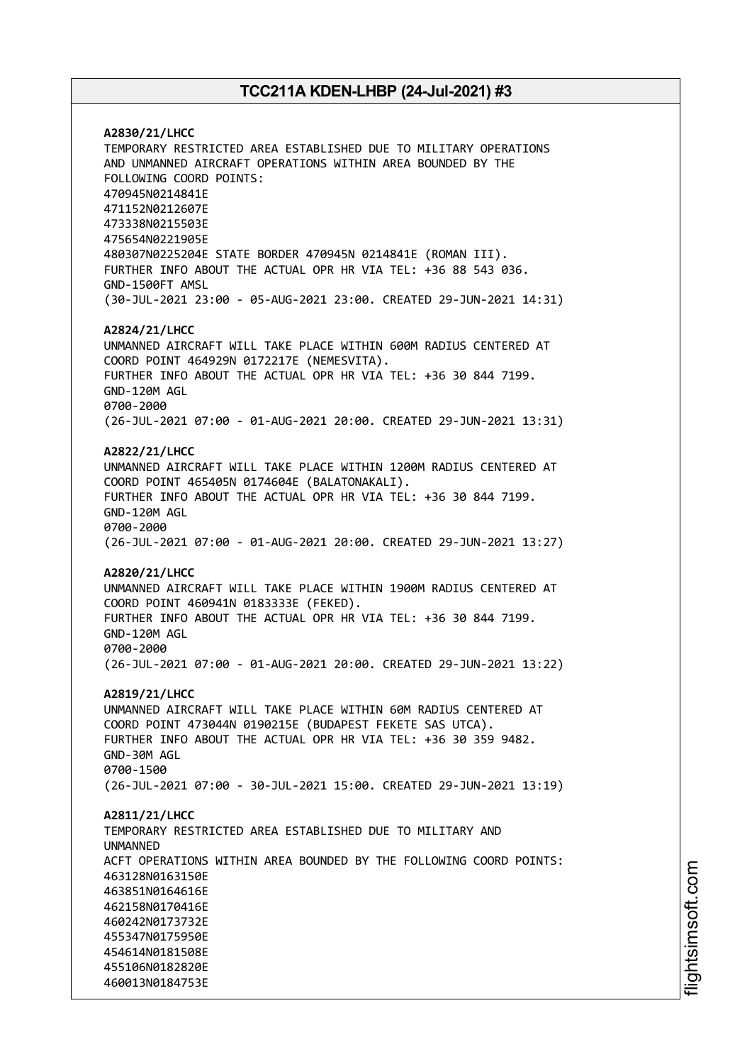**A2830/21/LHCC** TEMPORARY RESTRICTED AREA ESTABLISHED DUE TO MILITARY OPERATIONS AND UNMANNED AIRCRAFT OPERATIONS WITHIN AREA BOUNDED BY THE FOLLOWING COORD POINTS: 470945N0214841E 471152N0212607E 473338N0215503E 475654N0221905E 480307N0225204E STATE BORDER 470945N 0214841E (ROMAN III). FURTHER INFO ABOUT THE ACTUAL OPR HR VIA TEL: +36 88 543 036. GND-1500FT AMSL (30-JUL-2021 23:00 - 05-AUG-2021 23:00. CREATED 29-JUN-2021 14:31) **A2824/21/LHCC** UNMANNED AIRCRAFT WILL TAKE PLACE WITHIN 600M RADIUS CENTERED AT COORD POINT 464929N 0172217E (NEMESVITA). FURTHER INFO ABOUT THE ACTUAL OPR HR VIA TEL: +36 30 844 7199. GND-120M AGL 0700-2000 (26-JUL-2021 07:00 - 01-AUG-2021 20:00. CREATED 29-JUN-2021 13:31) **A2822/21/LHCC** UNMANNED AIRCRAFT WILL TAKE PLACE WITHIN 1200M RADIUS CENTERED AT COORD POINT 465405N 0174604E (BALATONAKALI). FURTHER INFO ABOUT THE ACTUAL OPR HR VIA TEL: +36 30 844 7199. GND-120M AGL 0700-2000 (26-JUL-2021 07:00 - 01-AUG-2021 20:00. CREATED 29-JUN-2021 13:27) **A2820/21/LHCC** UNMANNED AIRCRAFT WILL TAKE PLACE WITHIN 1900M RADIUS CENTERED AT COORD POINT 460941N 0183333E (FEKED). FURTHER INFO ABOUT THE ACTUAL OPR HR VIA TEL: +36 30 844 7199. GND-120M AGL 0700-2000 (26-JUL-2021 07:00 - 01-AUG-2021 20:00. CREATED 29-JUN-2021 13:22) **A2819/21/LHCC** UNMANNED AIRCRAFT WILL TAKE PLACE WITHIN 60M RADIUS CENTERED AT COORD POINT 473044N 0190215E (BUDAPEST FEKETE SAS UTCA). FURTHER INFO ABOUT THE ACTUAL OPR HR VIA TEL: +36 30 359 9482. GND-30M AGL 0700-1500 (26-JUL-2021 07:00 - 30-JUL-2021 15:00. CREATED 29-JUN-2021 13:19) **A2811/21/LHCC** TEMPORARY RESTRICTED AREA ESTABLISHED DUE TO MILITARY AND UNMANNED ACFT OPERATIONS WITHIN AREA BOUNDED BY THE FOLLOWING COORD POINTS: 463128N0163150E 463851N0164616E 462158N0170416E 460242N0173732E 455347N0175950E 454614N0181508E 455106N0182820E 460013N0184753E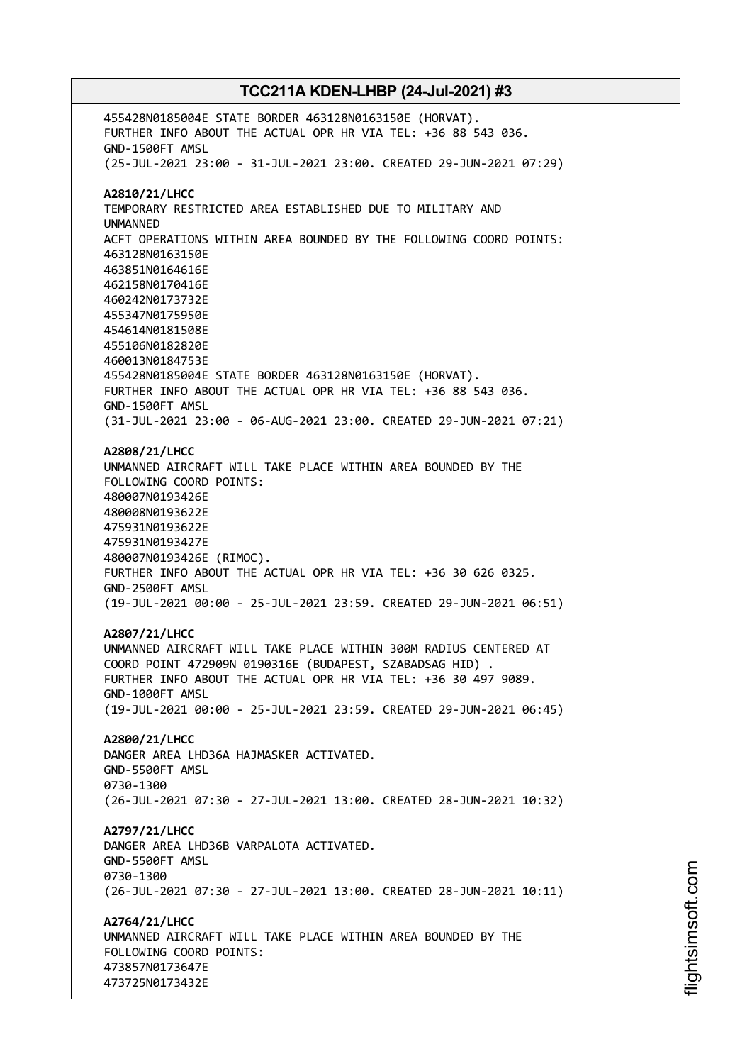455428N0185004E STATE BORDER 463128N0163150E (HORVAT). FURTHER INFO ABOUT THE ACTUAL OPR HR VIA TEL: +36 88 543 036. GND-1500FT AMSL (25-JUL-2021 23:00 - 31-JUL-2021 23:00. CREATED 29-JUN-2021 07:29) **A2810/21/LHCC** TEMPORARY RESTRICTED AREA ESTABLISHED DUE TO MILITARY AND UNMANNED ACFT OPERATIONS WITHIN AREA BOUNDED BY THE FOLLOWING COORD POINTS: 463128N0163150E 463851N0164616E 462158N0170416E 460242N0173732E 455347N0175950E 454614N0181508E 455106N0182820E 460013N0184753E 455428N0185004E STATE BORDER 463128N0163150E (HORVAT). FURTHER INFO ABOUT THE ACTUAL OPR HR VIA TEL: +36 88 543 036. GND-1500FT AMSL (31-JUL-2021 23:00 - 06-AUG-2021 23:00. CREATED 29-JUN-2021 07:21) **A2808/21/LHCC** UNMANNED AIRCRAFT WILL TAKE PLACE WITHIN AREA BOUNDED BY THE FOLLOWING COORD POINTS: 480007N0193426E 480008N0193622E 475931N0193622E 475931N0193427E 480007N0193426E (RIMOC). FURTHER INFO ABOUT THE ACTUAL OPR HR VIA TEL: +36 30 626 0325. GND-2500FT AMSL (19-JUL-2021 00:00 - 25-JUL-2021 23:59. CREATED 29-JUN-2021 06:51) **A2807/21/LHCC** UNMANNED AIRCRAFT WILL TAKE PLACE WITHIN 300M RADIUS CENTERED AT COORD POINT 472909N 0190316E (BUDAPEST, SZABADSAG HID) . FURTHER INFO ABOUT THE ACTUAL OPR HR VIA TEL: +36 30 497 9089. GND-1000FT AMSL (19-JUL-2021 00:00 - 25-JUL-2021 23:59. CREATED 29-JUN-2021 06:45) **A2800/21/LHCC** DANGER AREA LHD36A HAJMASKER ACTIVATED. GND-5500FT AMSL 0730-1300 (26-JUL-2021 07:30 - 27-JUL-2021 13:00. CREATED 28-JUN-2021 10:32) **A2797/21/LHCC** DANGER AREA LHD36B VARPALOTA ACTIVATED. GND-5500FT AMSL 0730-1300 (26-JUL-2021 07:30 - 27-JUL-2021 13:00. CREATED 28-JUN-2021 10:11) **A2764/21/LHCC** UNMANNED AIRCRAFT WILL TAKE PLACE WITHIN AREA BOUNDED BY THE FOLLOWING COORD POINTS: 473857N0173647E 473725N0173432E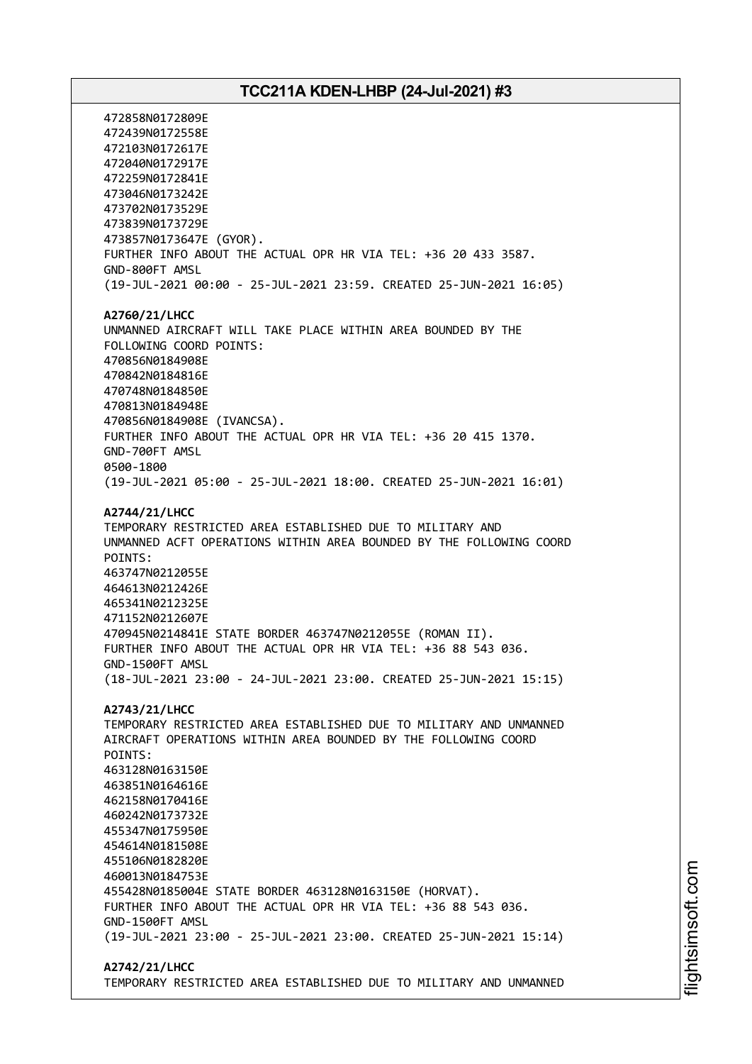472858N0172809E 472439N0172558E 472103N0172617E 472040N0172917E 472259N0172841E 473046N0173242E 473702N0173529E 473839N0173729E 473857N0173647E (GYOR). FURTHER INFO ABOUT THE ACTUAL OPR HR VIA TEL: +36 20 433 3587. GND-800FT AMSL (19-JUL-2021 00:00 - 25-JUL-2021 23:59. CREATED 25-JUN-2021 16:05) **A2760/21/LHCC** UNMANNED AIRCRAFT WILL TAKE PLACE WITHIN AREA BOUNDED BY THE FOLLOWING COORD POINTS: 470856N0184908E 470842N0184816E 470748N0184850E 470813N0184948E 470856N0184908E (IVANCSA). FURTHER INFO ABOUT THE ACTUAL OPR HR VIA TEL: +36 20 415 1370. GND-700FT AMSL 0500-1800 (19-JUL-2021 05:00 - 25-JUL-2021 18:00. CREATED 25-JUN-2021 16:01) **A2744/21/LHCC** TEMPORARY RESTRICTED AREA ESTABLISHED DUE TO MILITARY AND UNMANNED ACFT OPERATIONS WITHIN AREA BOUNDED BY THE FOLLOWING COORD POINTS: 463747N0212055E 464613N0212426E 465341N0212325E 471152N0212607E 470945N0214841E STATE BORDER 463747N0212055E (ROMAN II). FURTHER INFO ABOUT THE ACTUAL OPR HR VIA TEL: +36 88 543 036. GND-1500FT AMSL (18-JUL-2021 23:00 - 24-JUL-2021 23:00. CREATED 25-JUN-2021 15:15) **A2743/21/LHCC** TEMPORARY RESTRICTED AREA ESTABLISHED DUE TO MILITARY AND UNMANNED AIRCRAFT OPERATIONS WITHIN AREA BOUNDED BY THE FOLLOWING COORD POINTS: 463128N0163150E 463851N0164616E 462158N0170416E 460242N0173732E 455347N0175950E 454614N0181508E 455106N0182820E 460013N0184753E 455428N0185004E STATE BORDER 463128N0163150E (HORVAT). FURTHER INFO ABOUT THE ACTUAL OPR HR VIA TEL: +36 88 543 036. GND-1500FT AMSL (19-JUL-2021 23:00 - 25-JUL-2021 23:00. CREATED 25-JUN-2021 15:14)

**A2742/21/LHCC**

# TEMPORARY RESTRICTED AREA ESTABLISHED DUE TO MILITARY AND UNMANNED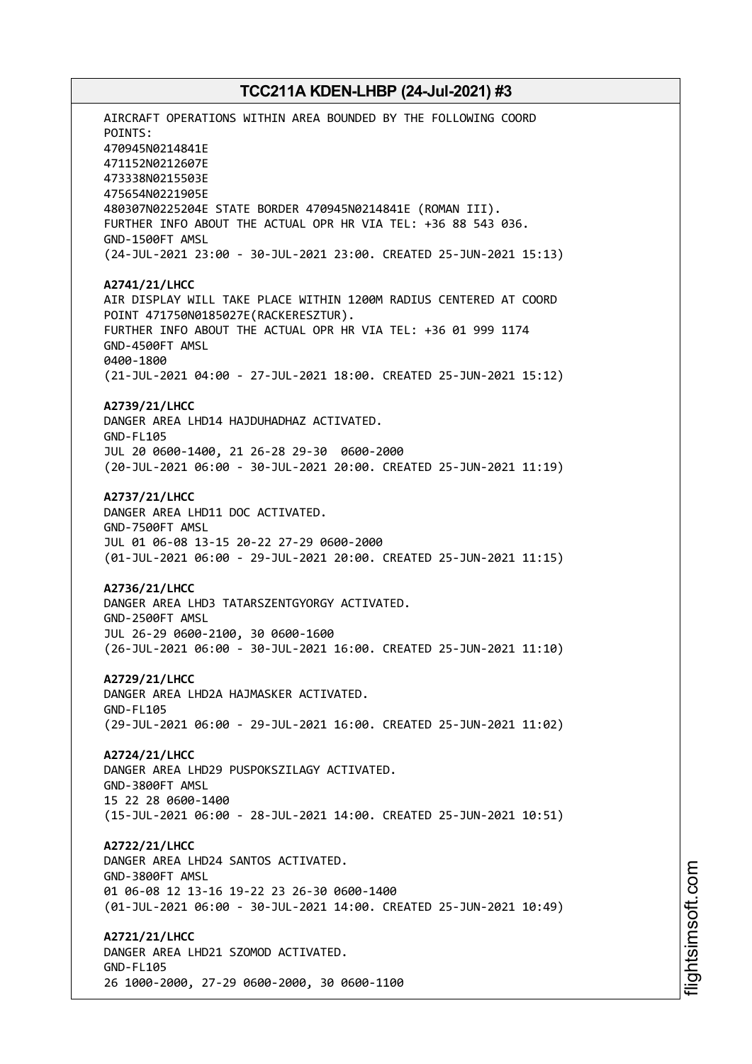AIRCRAFT OPERATIONS WITHIN AREA BOUNDED BY THE FOLLOWING COORD POINTS: 470945N0214841E 471152N0212607E 473338N0215503E 475654N0221905E 480307N0225204E STATE BORDER 470945N0214841E (ROMAN III). FURTHER INFO ABOUT THE ACTUAL OPR HR VIA TEL: +36 88 543 036. GND-1500FT AMSL (24-JUL-2021 23:00 - 30-JUL-2021 23:00. CREATED 25-JUN-2021 15:13) **A2741/21/LHCC** AIR DISPLAY WILL TAKE PLACE WITHIN 1200M RADIUS CENTERED AT COORD POINT 471750N0185027E(RACKERESZTUR). FURTHER INFO ABOUT THE ACTUAL OPR HR VIA TEL: +36 01 999 1174 GND-4500FT AMSL 0400-1800 (21-JUL-2021 04:00 - 27-JUL-2021 18:00. CREATED 25-JUN-2021 15:12) **A2739/21/LHCC** DANGER AREA LHD14 HAJDUHADHAZ ACTIVATED. GND-FL105 JUL 20 0600-1400, 21 26-28 29-30 0600-2000 (20-JUL-2021 06:00 - 30-JUL-2021 20:00. CREATED 25-JUN-2021 11:19) **A2737/21/LHCC** DANGER AREA LHD11 DOC ACTIVATED. GND-7500FT AMSL JUL 01 06-08 13-15 20-22 27-29 0600-2000 (01-JUL-2021 06:00 - 29-JUL-2021 20:00. CREATED 25-JUN-2021 11:15) **A2736/21/LHCC** DANGER AREA LHD3 TATARSZENTGYORGY ACTIVATED. GND-2500FT AMSL JUL 26-29 0600-2100, 30 0600-1600 (26-JUL-2021 06:00 - 30-JUL-2021 16:00. CREATED 25-JUN-2021 11:10) **A2729/21/LHCC** DANGER AREA LHD2A HAJMASKER ACTIVATED. GND-FL105 (29-JUL-2021 06:00 - 29-JUL-2021 16:00. CREATED 25-JUN-2021 11:02) **A2724/21/LHCC** DANGER AREA LHD29 PUSPOKSZILAGY ACTIVATED. GND-3800FT AMSL 15 22 28 0600-1400 (15-JUL-2021 06:00 - 28-JUL-2021 14:00. CREATED 25-JUN-2021 10:51) **A2722/21/LHCC** DANGER AREA LHD24 SANTOS ACTIVATED. GND-3800FT AMSL 01 06-08 12 13-16 19-22 23 26-30 0600-1400 (01-JUL-2021 06:00 - 30-JUL-2021 14:00. CREATED 25-JUN-2021 10:49) **A2721/21/LHCC** DANGER AREA LHD21 SZOMOD ACTIVATED. GND-FL105 26 1000-2000, 27-29 0600-2000, 30 0600-1100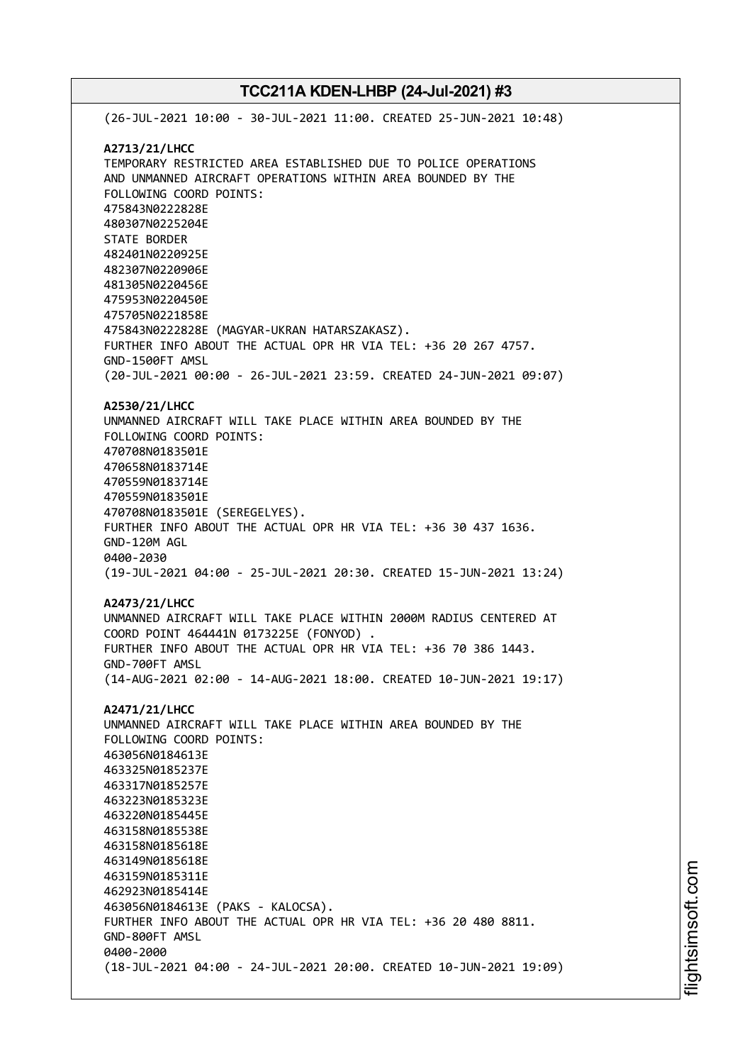(26-JUL-2021 10:00 - 30-JUL-2021 11:00. CREATED 25-JUN-2021 10:48) **A2713/21/LHCC** TEMPORARY RESTRICTED AREA ESTABLISHED DUE TO POLICE OPERATIONS AND UNMANNED AIRCRAFT OPERATIONS WITHIN AREA BOUNDED BY THE FOLLOWING COORD POINTS: 475843N0222828E 480307N0225204E STATE BORDER 482401N0220925E 482307N0220906E 481305N0220456E 475953N0220450E 475705N0221858E 475843N0222828E (MAGYAR-UKRAN HATARSZAKASZ). FURTHER INFO ABOUT THE ACTUAL OPR HR VIA TEL: +36 20 267 4757. GND-1500FT AMSL (20-JUL-2021 00:00 - 26-JUL-2021 23:59. CREATED 24-JUN-2021 09:07) **A2530/21/LHCC** UNMANNED AIRCRAFT WILL TAKE PLACE WITHIN AREA BOUNDED BY THE FOLLOWING COORD POINTS: 470708N0183501E 470658N0183714E 470559N0183714E 470559N0183501E 470708N0183501E (SEREGELYES). FURTHER INFO ABOUT THE ACTUAL OPR HR VIA TEL: +36 30 437 1636. GND-120M AGL 0400-2030 (19-JUL-2021 04:00 - 25-JUL-2021 20:30. CREATED 15-JUN-2021 13:24) **A2473/21/LHCC** UNMANNED AIRCRAFT WILL TAKE PLACE WITHIN 2000M RADIUS CENTERED AT COORD POINT 464441N 0173225E (FONYOD) . FURTHER INFO ABOUT THE ACTUAL OPR HR VIA TEL: +36 70 386 1443. GND-700FT AMSL (14-AUG-2021 02:00 - 14-AUG-2021 18:00. CREATED 10-JUN-2021 19:17) **A2471/21/LHCC** UNMANNED AIRCRAFT WILL TAKE PLACE WITHIN AREA BOUNDED BY THE FOLLOWING COORD POINTS: 463056N0184613E 463325N0185237E 463317N0185257E 463223N0185323E 463220N0185445E 463158N0185538E 463158N0185618E 463149N0185618E 463159N0185311E 462923N0185414E 463056N0184613E (PAKS - KALOCSA). FURTHER INFO ABOUT THE ACTUAL OPR HR VIA TEL: +36 20 480 8811. GND-800FT AMSL 0400-2000 (18-JUL-2021 04:00 - 24-JUL-2021 20:00. CREATED 10-JUN-2021 19:09)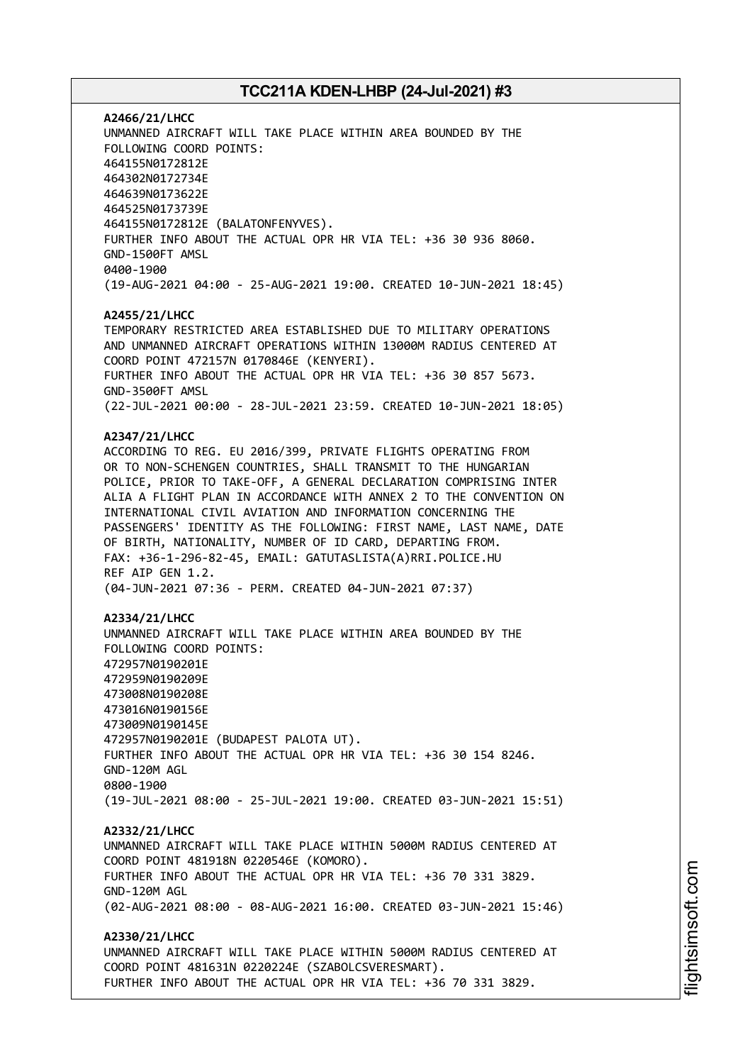**A2466/21/LHCC** UNMANNED AIRCRAFT WILL TAKE PLACE WITHIN AREA BOUNDED BY THE FOLLOWING COORD POINTS: 464155N0172812E 464302N0172734E 464639N0173622E 464525N0173739E 464155N0172812E (BALATONFENYVES). FURTHER INFO ABOUT THE ACTUAL OPR HR VIA TEL: +36 30 936 8060. GND-1500FT AMSL 0400-1900 (19-AUG-2021 04:00 - 25-AUG-2021 19:00. CREATED 10-JUN-2021 18:45)

#### **A2455/21/LHCC**

TEMPORARY RESTRICTED AREA ESTABLISHED DUE TO MILITARY OPERATIONS AND UNMANNED AIRCRAFT OPERATIONS WITHIN 13000M RADIUS CENTERED AT COORD POINT 472157N 0170846E (KENYERI). FURTHER INFO ABOUT THE ACTUAL OPR HR VIA TEL: +36 30 857 5673. GND-3500FT AMSL (22-JUL-2021 00:00 - 28-JUL-2021 23:59. CREATED 10-JUN-2021 18:05)

#### **A2347/21/LHCC**

ACCORDING TO REG. EU 2016/399, PRIVATE FLIGHTS OPERATING FROM OR TO NON-SCHENGEN COUNTRIES, SHALL TRANSMIT TO THE HUNGARIAN POLICE, PRIOR TO TAKE-OFF, A GENERAL DECLARATION COMPRISING INTER ALIA A FLIGHT PLAN IN ACCORDANCE WITH ANNEX 2 TO THE CONVENTION ON INTERNATIONAL CIVIL AVIATION AND INFORMATION CONCERNING THE PASSENGERS' IDENTITY AS THE FOLLOWING: FIRST NAME, LAST NAME, DATE OF BIRTH, NATIONALITY, NUMBER OF ID CARD, DEPARTING FROM. FAX: +36-1-296-82-45, EMAIL: GATUTASLISTA(A)RRI.POLICE.HU REF AIP GEN 1.2. (04-JUN-2021 07:36 - PERM. CREATED 04-JUN-2021 07:37)

#### **A2334/21/LHCC**

UNMANNED AIRCRAFT WILL TAKE PLACE WITHIN AREA BOUNDED BY THE FOLLOWING COORD POINTS: 472957N0190201E 472959N0190209E 473008N0190208E 473016N0190156E 473009N0190145E 472957N0190201E (BUDAPEST PALOTA UT). FURTHER INFO ABOUT THE ACTUAL OPR HR VIA TEL: +36 30 154 8246. GND-120M AGL 0800-1900 (19-JUL-2021 08:00 - 25-JUL-2021 19:00. CREATED 03-JUN-2021 15:51)

#### **A2332/21/LHCC**

UNMANNED AIRCRAFT WILL TAKE PLACE WITHIN 5000M RADIUS CENTERED AT COORD POINT 481918N 0220546E (KOMORO). FURTHER INFO ABOUT THE ACTUAL OPR HR VIA TEL: +36 70 331 3829. GND-120M AGL (02-AUG-2021 08:00 - 08-AUG-2021 16:00. CREATED 03-JUN-2021 15:46)

# **A2330/21/LHCC** UNMANNED AIRCRAFT WILL TAKE PLACE WITHIN 5000M RADIUS CENTERED AT

COORD POINT 481631N 0220224E (SZABOLCSVERESMART). FURTHER INFO ABOUT THE ACTUAL OPR HR VIA TEL: +36 70 331 3829.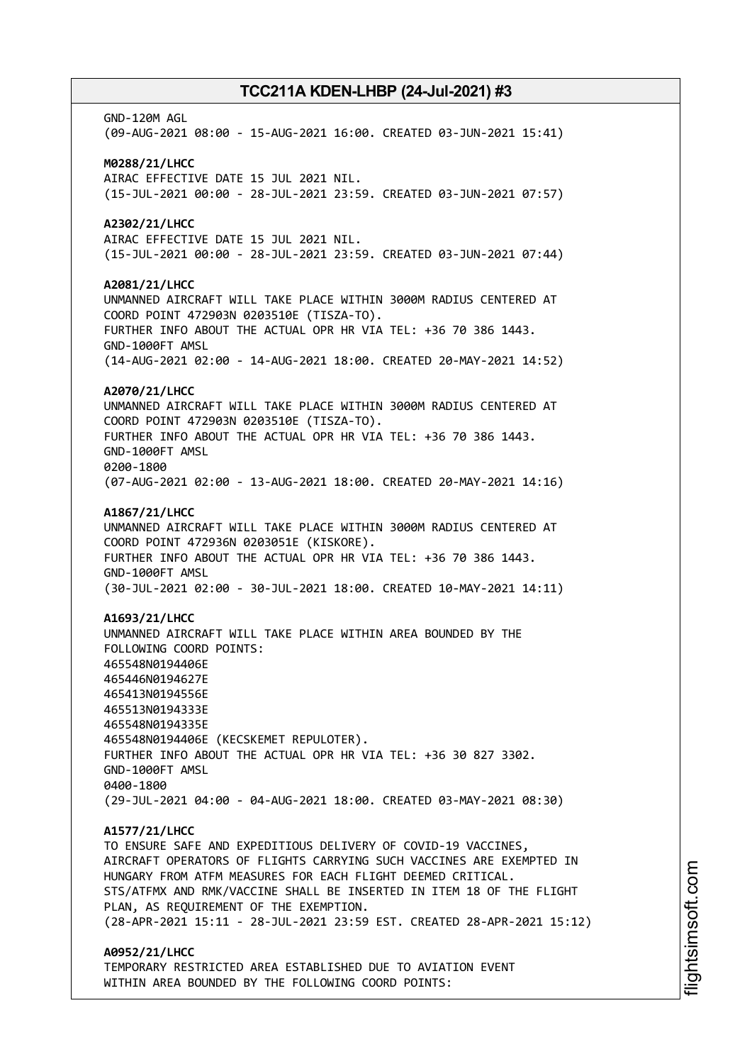GND-120M AGL (09-AUG-2021 08:00 - 15-AUG-2021 16:00. CREATED 03-JUN-2021 15:41) **M0288/21/LHCC** AIRAC EFFECTIVE DATE 15 JUL 2021 NIL. (15-JUL-2021 00:00 - 28-JUL-2021 23:59. CREATED 03-JUN-2021 07:57) **A2302/21/LHCC** AIRAC EFFECTIVE DATE 15 JUL 2021 NIL. (15-JUL-2021 00:00 - 28-JUL-2021 23:59. CREATED 03-JUN-2021 07:44) **A2081/21/LHCC** UNMANNED AIRCRAFT WILL TAKE PLACE WITHIN 3000M RADIUS CENTERED AT COORD POINT 472903N 0203510E (TISZA-TO). FURTHER INFO ABOUT THE ACTUAL OPR HR VIA TEL: +36 70 386 1443. GND-1000FT AMSL (14-AUG-2021 02:00 - 14-AUG-2021 18:00. CREATED 20-MAY-2021 14:52) **A2070/21/LHCC** UNMANNED AIRCRAFT WILL TAKE PLACE WITHIN 3000M RADIUS CENTERED AT COORD POINT 472903N 0203510E (TISZA-TO). FURTHER INFO ABOUT THE ACTUAL OPR HR VIA TEL: +36 70 386 1443. GND-1000FT AMSL 0200-1800 (07-AUG-2021 02:00 - 13-AUG-2021 18:00. CREATED 20-MAY-2021 14:16) **A1867/21/LHCC** UNMANNED AIRCRAFT WILL TAKE PLACE WITHIN 3000M RADIUS CENTERED AT COORD POINT 472936N 0203051E (KISKORE). FURTHER INFO ABOUT THE ACTUAL OPR HR VIA TEL: +36 70 386 1443. GND-1000FT AMSL (30-JUL-2021 02:00 - 30-JUL-2021 18:00. CREATED 10-MAY-2021 14:11) **A1693/21/LHCC** UNMANNED AIRCRAFT WILL TAKE PLACE WITHIN AREA BOUNDED BY THE FOLLOWING COORD POINTS: 465548N0194406E 465446N0194627E 465413N0194556E 465513N0194333E 465548N0194335E 465548N0194406E (KECSKEMET REPULOTER). FURTHER INFO ABOUT THE ACTUAL OPR HR VIA TEL: +36 30 827 3302. GND-1000FT AMSL 0400-1800 (29-JUL-2021 04:00 - 04-AUG-2021 18:00. CREATED 03-MAY-2021 08:30) **A1577/21/LHCC** TO ENSURE SAFE AND EXPEDITIOUS DELIVERY OF COVID-19 VACCINES, AIRCRAFT OPERATORS OF FLIGHTS CARRYING SUCH VACCINES ARE EXEMPTED IN HUNGARY FROM ATFM MEASURES FOR EACH FLIGHT DEEMED CRITICAL. STS/ATFMX AND RMK/VACCINE SHALL BE INSERTED IN ITEM 18 OF THE FLIGHT PLAN, AS REQUIREMENT OF THE EXEMPTION. (28-APR-2021 15:11 - 28-JUL-2021 23:59 EST. CREATED 28-APR-2021 15:12) **A0952/21/LHCC** TEMPORARY RESTRICTED AREA ESTABLISHED DUE TO AVIATION EVENT WITHIN AREA BOUNDED BY THE FOLLOWING COORD POINTS: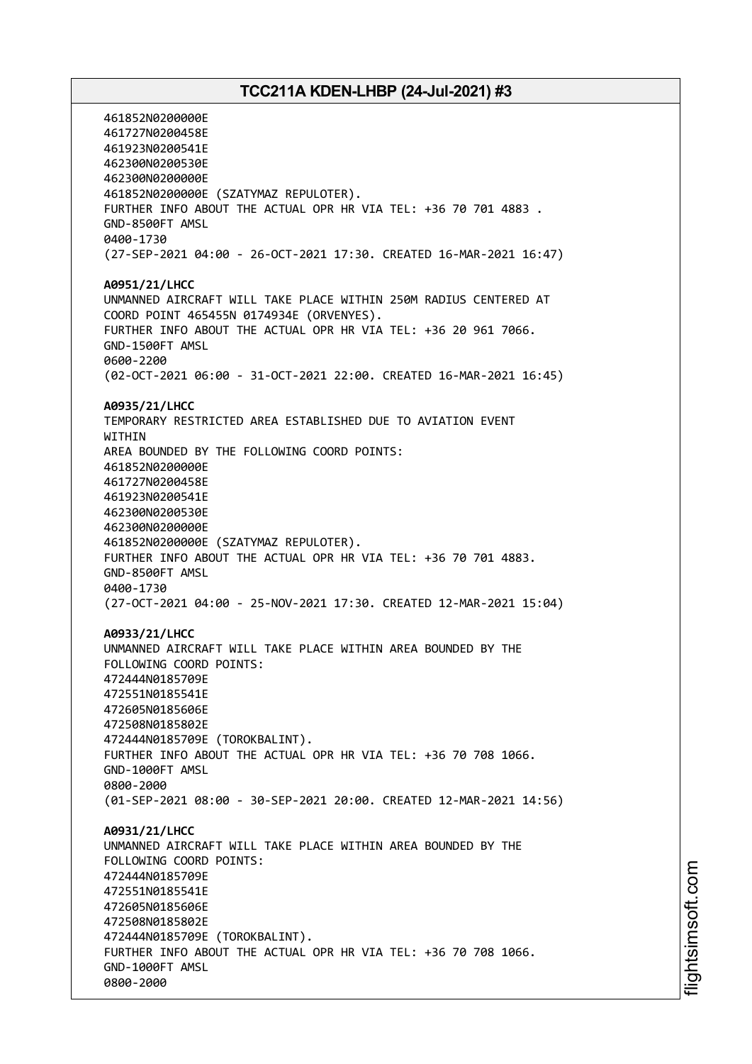461852N0200000E 461727N0200458E 461923N0200541E 462300N0200530E 462300N0200000E 461852N0200000E (SZATYMAZ REPULOTER). FURTHER INFO ABOUT THE ACTUAL OPR HR VIA TEL: +36 70 701 4883 . GND-8500FT AMSL 0400-1730 (27-SEP-2021 04:00 - 26-OCT-2021 17:30. CREATED 16-MAR-2021 16:47) **A0951/21/LHCC** UNMANNED AIRCRAFT WILL TAKE PLACE WITHIN 250M RADIUS CENTERED AT COORD POINT 465455N 0174934E (ORVENYES). FURTHER INFO ABOUT THE ACTUAL OPR HR VIA TEL: +36 20 961 7066. GND-1500FT AMSL 0600-2200 (02-OCT-2021 06:00 - 31-OCT-2021 22:00. CREATED 16-MAR-2021 16:45) **A0935/21/LHCC** TEMPORARY RESTRICTED AREA ESTABLISHED DUE TO AVIATION EVENT **WTTHTN** AREA BOUNDED BY THE FOLLOWING COORD POINTS: 461852N0200000E 461727N0200458E 461923N0200541E 462300N0200530E 462300N0200000E 461852N0200000E (SZATYMAZ REPULOTER). FURTHER INFO ABOUT THE ACTUAL OPR HR VIA TEL: +36 70 701 4883. GND-8500FT AMSL 0400-1730 (27-OCT-2021 04:00 - 25-NOV-2021 17:30. CREATED 12-MAR-2021 15:04) **A0933/21/LHCC** UNMANNED AIRCRAFT WILL TAKE PLACE WITHIN AREA BOUNDED BY THE FOLLOWING COORD POINTS: 472444N0185709E 472551N0185541E 472605N0185606E 472508N0185802E 472444N0185709E (TOROKBALINT). FURTHER INFO ABOUT THE ACTUAL OPR HR VIA TEL: +36 70 708 1066. GND-1000FT AMSL 0800-2000 (01-SEP-2021 08:00 - 30-SEP-2021 20:00. CREATED 12-MAR-2021 14:56) **A0931/21/LHCC** UNMANNED AIRCRAFT WILL TAKE PLACE WITHIN AREA BOUNDED BY THE FOLLOWING COORD POINTS: 472444N0185709E 472551N0185541E 472605N0185606E 472508N0185802E 472444N0185709E (TOROKBALINT). FURTHER INFO ABOUT THE ACTUAL OPR HR VIA TEL: +36 70 708 1066. GND-1000FT AMSL 0800-2000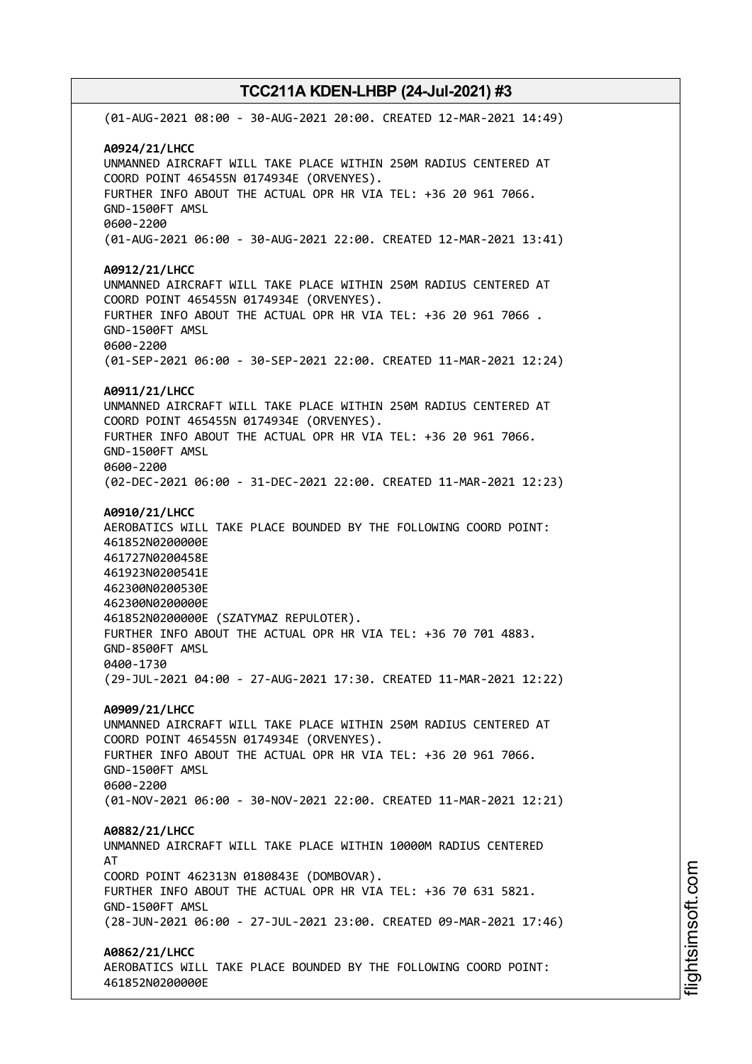(01-AUG-2021 08:00 - 30-AUG-2021 20:00. CREATED 12-MAR-2021 14:49) **A0924/21/LHCC** UNMANNED AIRCRAFT WILL TAKE PLACE WITHIN 250M RADIUS CENTERED AT COORD POINT 465455N 0174934E (ORVENYES). FURTHER INFO ABOUT THE ACTUAL OPR HR VIA TEL: +36 20 961 7066. GND-1500FT AMSL 0600-2200 (01-AUG-2021 06:00 - 30-AUG-2021 22:00. CREATED 12-MAR-2021 13:41) **A0912/21/LHCC** UNMANNED AIRCRAFT WILL TAKE PLACE WITHIN 250M RADIUS CENTERED AT COORD POINT 465455N 0174934E (ORVENYES). FURTHER INFO ABOUT THE ACTUAL OPR HR VIA TEL: +36 20 961 7066 . GND-1500FT AMSL 0600-2200 (01-SEP-2021 06:00 - 30-SEP-2021 22:00. CREATED 11-MAR-2021 12:24) **A0911/21/LHCC** UNMANNED AIRCRAFT WILL TAKE PLACE WITHIN 250M RADIUS CENTERED AT COORD POINT 465455N 0174934E (ORVENYES). FURTHER INFO ABOUT THE ACTUAL OPR HR VIA TEL: +36 20 961 7066. GND-1500FT AMSL 0600-2200 (02-DEC-2021 06:00 - 31-DEC-2021 22:00. CREATED 11-MAR-2021 12:23) **A0910/21/LHCC** AEROBATICS WILL TAKE PLACE BOUNDED BY THE FOLLOWING COORD POINT: 461852N0200000E 461727N0200458E 461923N0200541E 462300N0200530E 462300N0200000E 461852N0200000E (SZATYMAZ REPULOTER). FURTHER INFO ABOUT THE ACTUAL OPR HR VIA TEL: +36 70 701 4883. GND-8500FT AMSL 0400-1730 (29-JUL-2021 04:00 - 27-AUG-2021 17:30. CREATED 11-MAR-2021 12:22) **A0909/21/LHCC** UNMANNED AIRCRAFT WILL TAKE PLACE WITHIN 250M RADIUS CENTERED AT COORD POINT 465455N 0174934E (ORVENYES). FURTHER INFO ABOUT THE ACTUAL OPR HR VIA TEL: +36 20 961 7066. GND-1500FT AMSL 0600-2200 (01-NOV-2021 06:00 - 30-NOV-2021 22:00. CREATED 11-MAR-2021 12:21) **A0882/21/LHCC** UNMANNED AIRCRAFT WILL TAKE PLACE WITHIN 10000M RADIUS CENTERED AT COORD POINT 462313N 0180843E (DOMBOVAR). FURTHER INFO ABOUT THE ACTUAL OPR HR VIA TEL: +36 70 631 5821. GND-1500FT AMSL (28-JUN-2021 06:00 - 27-JUL-2021 23:00. CREATED 09-MAR-2021 17:46) **A0862/21/LHCC** AEROBATICS WILL TAKE PLACE BOUNDED BY THE FOLLOWING COORD POINT: 461852N0200000E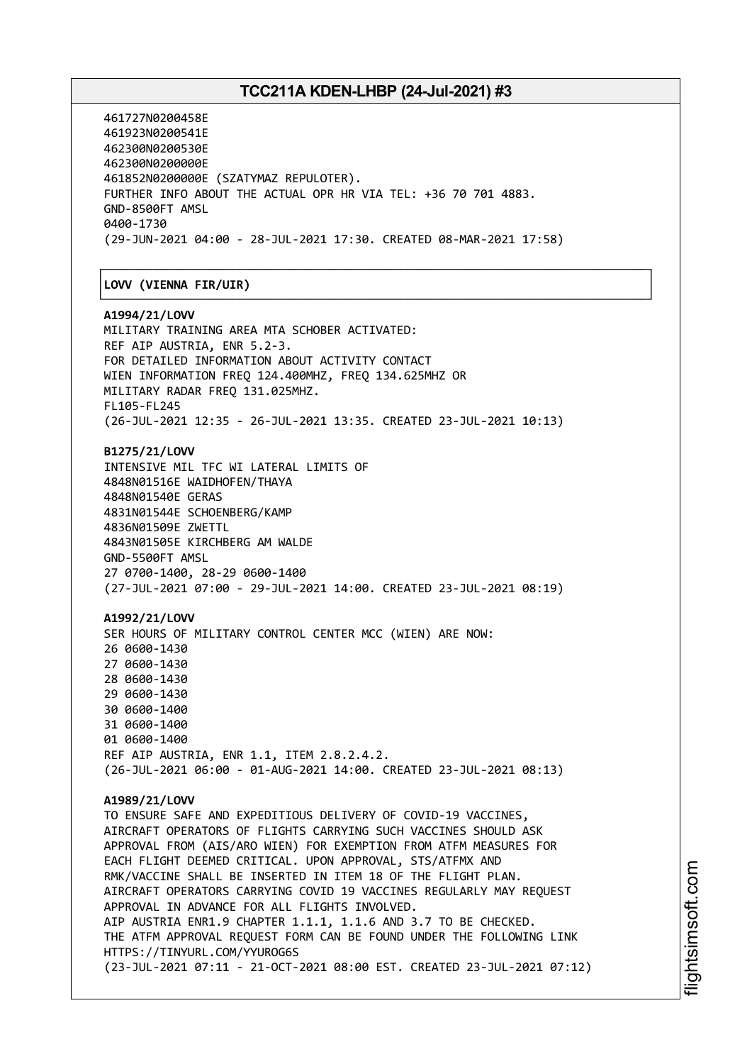┌──────────────────────────────────────────────────────────────────────────────┐

461727N0200458E 461923N0200541E 462300N0200530E 462300N0200000E 461852N0200000E (SZATYMAZ REPULOTER). FURTHER INFO ABOUT THE ACTUAL OPR HR VIA TEL: +36 70 701 4883. GND-8500FT AMSL 0400-1730 (29-JUN-2021 04:00 - 28-JUL-2021 17:30. CREATED 08-MAR-2021 17:58)

#### │**LOVV (VIENNA FIR/UIR)** │

└──────────────────────────────────────────────────────────────────────────────┘ **A1994/21/LOVV** MILITARY TRAINING AREA MTA SCHOBER ACTIVATED: REF AIP AUSTRIA, ENR 5.2-3. FOR DETAILED INFORMATION ABOUT ACTIVITY CONTACT WIEN INFORMATION FREQ 124.400MHZ, FREQ 134.625MHZ OR MILITARY RADAR FREQ 131.025MHZ. FL105-FL245 (26-JUL-2021 12:35 - 26-JUL-2021 13:35. CREATED 23-JUL-2021 10:13) **B1275/21/LOVV** INTENSIVE MIL TFC WI LATERAL LIMITS OF 4848N01516E WAIDHOFEN/THAYA 4848N01540E GERAS 4831N01544E SCHOENBERG/KAMP 4836N01509E ZWETTL 4843N01505E KIRCHBERG AM WALDE GND-5500FT AMSL 27 0700-1400, 28-29 0600-1400 (27-JUL-2021 07:00 - 29-JUL-2021 14:00. CREATED 23-JUL-2021 08:19) **A1992/21/LOVV** SER HOURS OF MILITARY CONTROL CENTER MCC (WIEN) ARE NOW: 26 0600-1430 27 0600-1430 28 0600-1430 29 0600-1430 30 0600-1400 31 0600-1400 01 0600-1400 REF AIP AUSTRIA, ENR 1.1, ITEM 2.8.2.4.2. (26-JUL-2021 06:00 - 01-AUG-2021 14:00. CREATED 23-JUL-2021 08:13) **A1989/21/LOVV** TO ENSURE SAFE AND EXPEDITIOUS DELIVERY OF COVID-19 VACCINES, AIRCRAFT OPERATORS OF FLIGHTS CARRYING SUCH VACCINES SHOULD ASK APPROVAL FROM (AIS/ARO WIEN) FOR EXEMPTION FROM ATFM MEASURES FOR EACH FLIGHT DEEMED CRITICAL. UPON APPROVAL, STS/ATFMX AND RMK/VACCINE SHALL BE INSERTED IN ITEM 18 OF THE FLIGHT PLAN. AIRCRAFT OPERATORS CARRYING COVID 19 VACCINES REGULARLY MAY REQUEST APPROVAL IN ADVANCE FOR ALL FLIGHTS INVOLVED. AIP AUSTRIA ENR1.9 CHAPTER 1.1.1, 1.1.6 AND 3.7 TO BE CHECKED.

THE ATFM APPROVAL REQUEST FORM CAN BE FOUND UNDER THE FOLLOWING LINK HTTPS://TINYURL.COM/YYUROG6S (23-JUL-2021 07:11 - 21-OCT-2021 08:00 EST. CREATED 23-JUL-2021 07:12)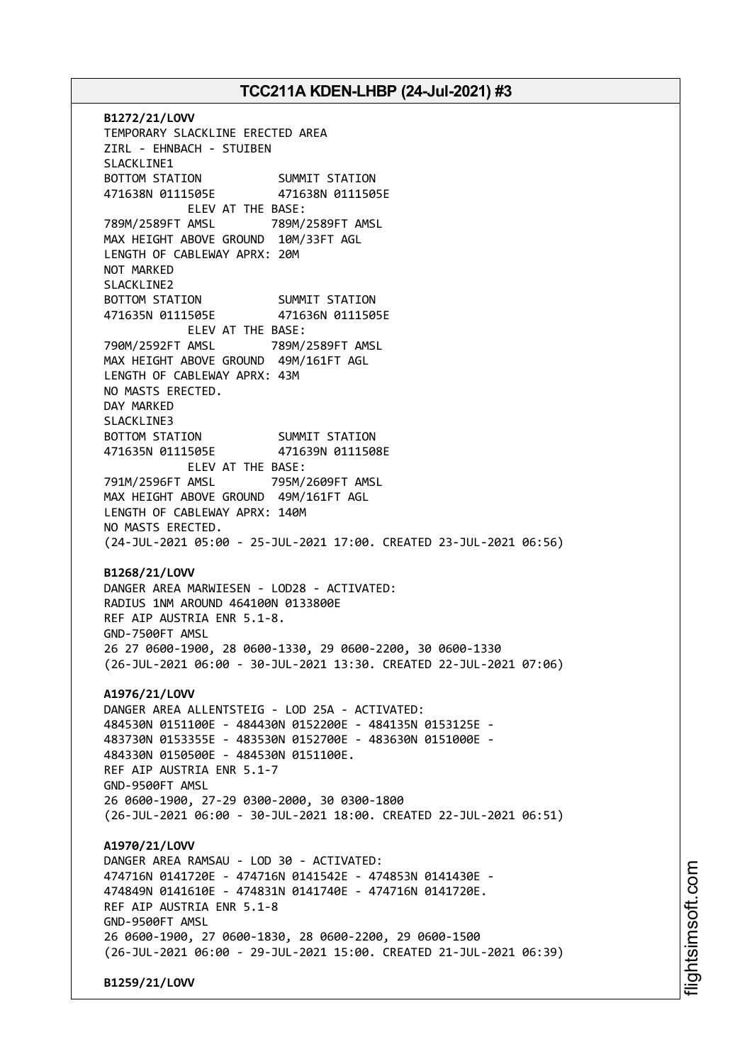**B1272/21/LOVV** TEMPORARY SLACKLINE ERECTED AREA ZIRL - EHNBACH - STUIBEN SLACKLINE1 BOTTOM STATION SUMMIT STATION 471638N 0111505E 471638N 0111505E ELEV AT THE BASE: 789M/2589FT AMSL 789M/2589FT AMSL MAX HEIGHT ABOVE GROUND 10M/33FT AGL LENGTH OF CABLEWAY APRX: 20M NOT MARKED SLACKLINE2 BOTTOM STATION SUMMIT STATION 471635N 0111505E 471636N 0111505E ELEV AT THE BASE: 790M/2592FT AMSL 789M/2589FT AMSL MAX HEIGHT ABOVE GROUND 49M/161FT AGL LENGTH OF CABLEWAY APRX: 43M NO MASTS ERECTED. DAY MARKED SLACKLINE3 BOTTOM STATION SUMMIT STATION 471635N 0111505E 471639N 0111508E ELEV AT THE BASE: 791M/2596FT AMSL 795M/2609FT AMSL MAX HEIGHT ABOVE GROUND 49M/161FT AGL LENGTH OF CABLEWAY APRX: 140M NO MASTS ERECTED. (24-JUL-2021 05:00 - 25-JUL-2021 17:00. CREATED 23-JUL-2021 06:56) **B1268/21/LOVV** DANGER AREA MARWIESEN - LOD28 - ACTIVATED: RADIUS 1NM AROUND 464100N 0133800E REF AIP AUSTRIA ENR 5.1-8. GND-7500FT AMSL 26 27 0600-1900, 28 0600-1330, 29 0600-2200, 30 0600-1330 (26-JUL-2021 06:00 - 30-JUL-2021 13:30. CREATED 22-JUL-2021 07:06) **A1976/21/LOVV** DANGER AREA ALLENTSTEIG - LOD 25A - ACTIVATED: 484530N 0151100E - 484430N 0152200E - 484135N 0153125E - 483730N 0153355E - 483530N 0152700E - 483630N 0151000E - 484330N 0150500E - 484530N 0151100E. REF AIP AUSTRIA ENR 5.1-7 GND-9500FT AMSL 26 0600-1900, 27-29 0300-2000, 30 0300-1800 (26-JUL-2021 06:00 - 30-JUL-2021 18:00. CREATED 22-JUL-2021 06:51) **A1970/21/LOVV** DANGER AREA RAMSAU - LOD 30 - ACTIVATED: 474716N 0141720E - 474716N 0141542E - 474853N 0141430E - 474849N 0141610E - 474831N 0141740E - 474716N 0141720E. REF AIP AUSTRIA ENR 5.1-8 GND-9500FT AMSL 26 0600-1900, 27 0600-1830, 28 0600-2200, 29 0600-1500 (26-JUL-2021 06:00 - 29-JUL-2021 15:00. CREATED 21-JUL-2021 06:39)

**B1259/21/LOVV**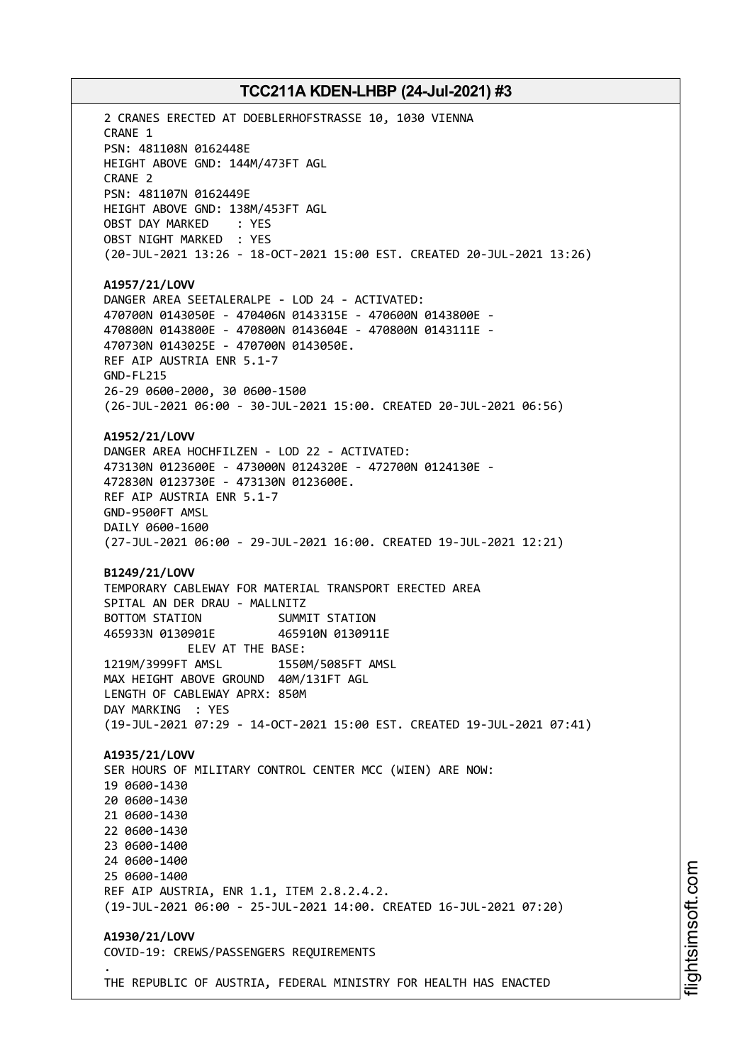2 CRANES ERECTED AT DOEBLERHOFSTRASSE 10, 1030 VIENNA CRANE 1 PSN: 481108N 0162448E HEIGHT ABOVE GND: 144M/473FT AGL CRANE 2 PSN: 481107N 0162449E HEIGHT ABOVE GND: 138M/453FT AGL OBST DAY MARKED : YES OBST NIGHT MARKED : YES (20-JUL-2021 13:26 - 18-OCT-2021 15:00 EST. CREATED 20-JUL-2021 13:26) **A1957/21/LOVV** DANGER AREA SEETALERALPE - LOD 24 - ACTIVATED: 470700N 0143050E - 470406N 0143315E - 470600N 0143800E - 470800N 0143800E - 470800N 0143604E - 470800N 0143111E - 470730N 0143025E - 470700N 0143050E. REF AIP AUSTRIA ENR 5.1-7 GND-FL215 26-29 0600-2000, 30 0600-1500 (26-JUL-2021 06:00 - 30-JUL-2021 15:00. CREATED 20-JUL-2021 06:56) **A1952/21/LOVV** DANGER AREA HOCHFILZEN - LOD 22 - ACTIVATED: 473130N 0123600E - 473000N 0124320E - 472700N 0124130E - 472830N 0123730E - 473130N 0123600E. REF AIP AUSTRIA ENR 5.1-7 GND-9500FT AMSL DAILY 0600-1600 (27-JUL-2021 06:00 - 29-JUL-2021 16:00. CREATED 19-JUL-2021 12:21) **B1249/21/LOVV** TEMPORARY CABLEWAY FOR MATERIAL TRANSPORT ERECTED AREA SPITAL AN DER DRAU - MALLNITZ BOTTOM STATION SUMMIT STATION 465933N 0130901E 465910N 0130911E ELEV AT THE BASE: 1219M/3999FT AMSL 1550M/5085FT AMSL MAX HEIGHT ABOVE GROUND 40M/131FT AGL LENGTH OF CABLEWAY APRX: 850M DAY MARKING : YES (19-JUL-2021 07:29 - 14-OCT-2021 15:00 EST. CREATED 19-JUL-2021 07:41) **A1935/21/LOVV** SER HOURS OF MILITARY CONTROL CENTER MCC (WIEN) ARE NOW: 19 0600-1430 20 0600-1430 21 0600-1430 22 0600-1430 23 0600-1400 24 0600-1400 25 0600-1400 REF AIP AUSTRIA, ENR 1.1, ITEM 2.8.2.4.2. (19-JUL-2021 06:00 - 25-JUL-2021 14:00. CREATED 16-JUL-2021 07:20) **A1930/21/LOVV** COVID-19: CREWS/PASSENGERS REQUIREMENTS . THE REPUBLIC OF AUSTRIA, FEDERAL MINISTRY FOR HEALTH HAS ENACTED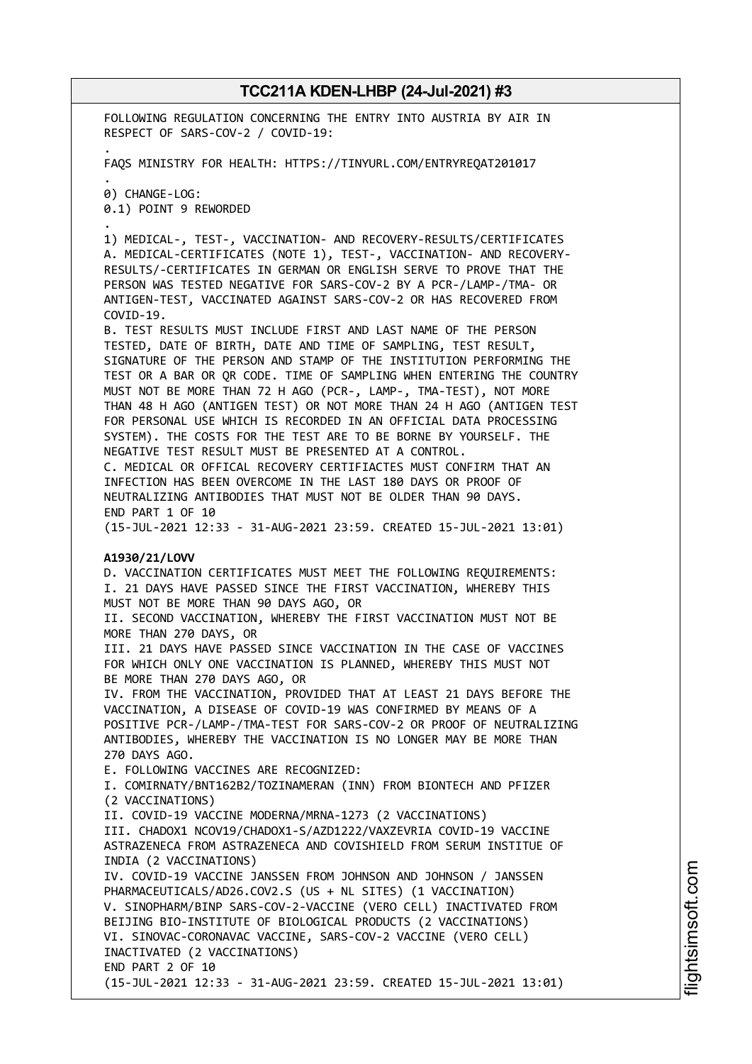FOLLOWING REGULATION CONCERNING THE ENTRY INTO AUSTRIA BY AIR IN RESPECT OF SARS-COV-2 / COVID-19: .

FAQS MINISTRY FOR HEALTH: HTTPS://TINYURL.COM/ENTRYREQAT201017

. 0) CHANGE-LOG:

.

0.1) POINT 9 REWORDED

1) MEDICAL-, TEST-, VACCINATION- AND RECOVERY-RESULTS/CERTIFICATES A. MEDICAL-CERTIFICATES (NOTE 1), TEST-, VACCINATION- AND RECOVERY-RESULTS/-CERTIFICATES IN GERMAN OR ENGLISH SERVE TO PROVE THAT THE PERSON WAS TESTED NEGATIVE FOR SARS-COV-2 BY A PCR-/LAMP-/TMA- OR ANTIGEN-TEST, VACCINATED AGAINST SARS-COV-2 OR HAS RECOVERED FROM COVID-19.

B. TEST RESULTS MUST INCLUDE FIRST AND LAST NAME OF THE PERSON TESTED, DATE OF BIRTH, DATE AND TIME OF SAMPLING, TEST RESULT, SIGNATURE OF THE PERSON AND STAMP OF THE INSTITUTION PERFORMING THE TEST OR A BAR OR QR CODE. TIME OF SAMPLING WHEN ENTERING THE COUNTRY MUST NOT BE MORE THAN 72 H AGO (PCR-, LAMP-, TMA-TEST), NOT MORE THAN 48 H AGO (ANTIGEN TEST) OR NOT MORE THAN 24 H AGO (ANTIGEN TEST FOR PERSONAL USE WHICH IS RECORDED IN AN OFFICIAL DATA PROCESSING SYSTEM). THE COSTS FOR THE TEST ARE TO BE BORNE BY YOURSELF. THE NEGATIVE TEST RESULT MUST BE PRESENTED AT A CONTROL. C. MEDICAL OR OFFICAL RECOVERY CERTIFIACTES MUST CONFIRM THAT AN INFECTION HAS BEEN OVERCOME IN THE LAST 180 DAYS OR PROOF OF NEUTRALIZING ANTIBODIES THAT MUST NOT BE OLDER THAN 90 DAYS. END PART 1 OF 10

(15-JUL-2021 12:33 - 31-AUG-2021 23:59. CREATED 15-JUL-2021 13:01)

#### **A1930/21/LOVV**

D. VACCINATION CERTIFICATES MUST MEET THE FOLLOWING REQUIREMENTS: I. 21 DAYS HAVE PASSED SINCE THE FIRST VACCINATION, WHEREBY THIS MUST NOT BE MORE THAN 90 DAYS AGO, OR II. SECOND VACCINATION, WHEREBY THE FIRST VACCINATION MUST NOT BE MORE THAN 270 DAYS, OR III. 21 DAYS HAVE PASSED SINCE VACCINATION IN THE CASE OF VACCINES FOR WHICH ONLY ONE VACCINATION IS PLANNED, WHEREBY THIS MUST NOT BE MORE THAN 270 DAYS AGO, OR IV. FROM THE VACCINATION, PROVIDED THAT AT LEAST 21 DAYS BEFORE THE VACCINATION, A DISEASE OF COVID-19 WAS CONFIRMED BY MEANS OF A POSITIVE PCR-/LAMP-/TMA-TEST FOR SARS-COV-2 OR PROOF OF NEUTRALIZING ANTIBODIES, WHEREBY THE VACCINATION IS NO LONGER MAY BE MORE THAN 270 DAYS AGO. E. FOLLOWING VACCINES ARE RECOGNIZED: I. COMIRNATY/BNT162B2/TOZINAMERAN (INN) FROM BIONTECH AND PFIZER (2 VACCINATIONS) II. COVID-19 VACCINE MODERNA/MRNA-1273 (2 VACCINATIONS) III. CHADOX1 NCOV19/CHADOX1-S/AZD1222/VAXZEVRIA COVID-19 VACCINE ASTRAZENECA FROM ASTRAZENECA AND COVISHIELD FROM SERUM INSTITUE OF INDIA (2 VACCINATIONS) IV. COVID-19 VACCINE JANSSEN FROM JOHNSON AND JOHNSON / JANSSEN PHARMACEUTICALS/AD26.COV2.S (US + NL SITES) (1 VACCINATION) V. SINOPHARM/BINP SARS-COV-2-VACCINE (VERO CELL) INACTIVATED FROM BEIJING BIO-INSTITUTE OF BIOLOGICAL PRODUCTS (2 VACCINATIONS) VI. SINOVAC-CORONAVAC VACCINE, SARS-COV-2 VACCINE (VERO CELL) INACTIVATED (2 VACCINATIONS) END PART 2 OF 10

(15-JUL-2021 12:33 - 31-AUG-2021 23:59. CREATED 15-JUL-2021 13:01)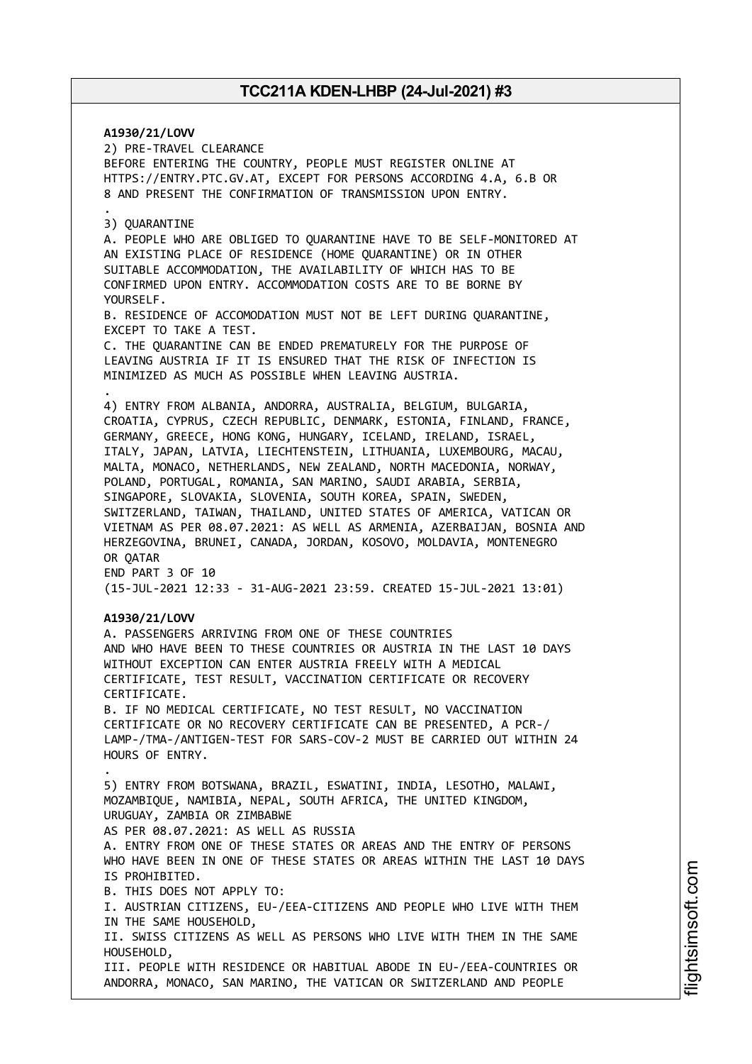**A1930/21/LOVV** 2) PRE-TRAVEL CLEARANCE BEFORE ENTERING THE COUNTRY, PEOPLE MUST REGISTER ONLINE AT HTTPS://ENTRY.PTC.GV.AT, EXCEPT FOR PERSONS ACCORDING 4.A, 6.B OR 8 AND PRESENT THE CONFIRMATION OF TRANSMISSION UPON ENTRY. . 3) QUARANTINE A. PEOPLE WHO ARE OBLIGED TO QUARANTINE HAVE TO BE SELF-MONITORED AT AN EXISTING PLACE OF RESIDENCE (HOME QUARANTINE) OR IN OTHER SUITABLE ACCOMMODATION, THE AVAILABILITY OF WHICH HAS TO BE CONFIRMED UPON ENTRY. ACCOMMODATION COSTS ARE TO BE BORNE BY YOURSELF. B. RESIDENCE OF ACCOMODATION MUST NOT BE LEFT DURING QUARANTINE, EXCEPT TO TAKE A TEST. C. THE QUARANTINE CAN BE ENDED PREMATURELY FOR THE PURPOSE OF LEAVING AUSTRIA IF IT IS ENSURED THAT THE RISK OF INFECTION IS MINIMIZED AS MUCH AS POSSIBLE WHEN LEAVING AUSTRIA. . 4) ENTRY FROM ALBANIA, ANDORRA, AUSTRALIA, BELGIUM, BULGARIA, CROATIA, CYPRUS, CZECH REPUBLIC, DENMARK, ESTONIA, FINLAND, FRANCE, GERMANY, GREECE, HONG KONG, HUNGARY, ICELAND, IRELAND, ISRAEL, ITALY, JAPAN, LATVIA, LIECHTENSTEIN, LITHUANIA, LUXEMBOURG, MACAU, MALTA, MONACO, NETHERLANDS, NEW ZEALAND, NORTH MACEDONIA, NORWAY, POLAND, PORTUGAL, ROMANIA, SAN MARINO, SAUDI ARABIA, SERBIA, SINGAPORE, SLOVAKIA, SLOVENIA, SOUTH KOREA, SPAIN, SWEDEN, SWITZERLAND, TAIWAN, THAILAND, UNITED STATES OF AMERICA, VATICAN OR VIETNAM AS PER 08.07.2021: AS WELL AS ARMENIA, AZERBAIJAN, BOSNIA AND HERZEGOVINA, BRUNEI, CANADA, JORDAN, KOSOVO, MOLDAVIA, MONTENEGRO OR OATAR END PART 3 OF 10 (15-JUL-2021 12:33 - 31-AUG-2021 23:59. CREATED 15-JUL-2021 13:01) **A1930/21/LOVV** A. PASSENGERS ARRIVING FROM ONE OF THESE COUNTRIES AND WHO HAVE BEEN TO THESE COUNTRIES OR AUSTRIA IN THE LAST 10 DAYS WITHOUT EXCEPTION CAN ENTER AUSTRIA FREELY WITH A MEDICAL CERTIFICATE, TEST RESULT, VACCINATION CERTIFICATE OR RECOVERY CERTIFICATE. B. IF NO MEDICAL CERTIFICATE, NO TEST RESULT, NO VACCINATION CERTIFICATE OR NO RECOVERY CERTIFICATE CAN BE PRESENTED, A PCR-/ LAMP-/TMA-/ANTIGEN-TEST FOR SARS-COV-2 MUST BE CARRIED OUT WITHIN 24 HOURS OF ENTRY. . 5) ENTRY FROM BOTSWANA, BRAZIL, ESWATINI, INDIA, LESOTHO, MALAWI, MOZAMBIQUE, NAMIBIA, NEPAL, SOUTH AFRICA, THE UNITED KINGDOM, URUGUAY, ZAMBIA OR ZIMBABWE AS PER 08.07.2021: AS WELL AS RUSSIA A. ENTRY FROM ONE OF THESE STATES OR AREAS AND THE ENTRY OF PERSONS WHO HAVE BEEN IN ONE OF THESE STATES OR AREAS WITHIN THE LAST 10 DAYS IS PROHIBITED. B. THIS DOES NOT APPLY TO: I. AUSTRIAN CITIZENS, EU-/EEA-CITIZENS AND PEOPLE WHO LIVE WITH THEM IN THE SAME HOUSEHOLD, II. SWISS CITIZENS AS WELL AS PERSONS WHO LIVE WITH THEM IN THE SAME HOUSEHOLD, III. PEOPLE WITH RESIDENCE OR HABITUAL ABODE IN EU-/EEA-COUNTRIES OR ANDORRA, MONACO, SAN MARINO, THE VATICAN OR SWITZERLAND AND PEOPLE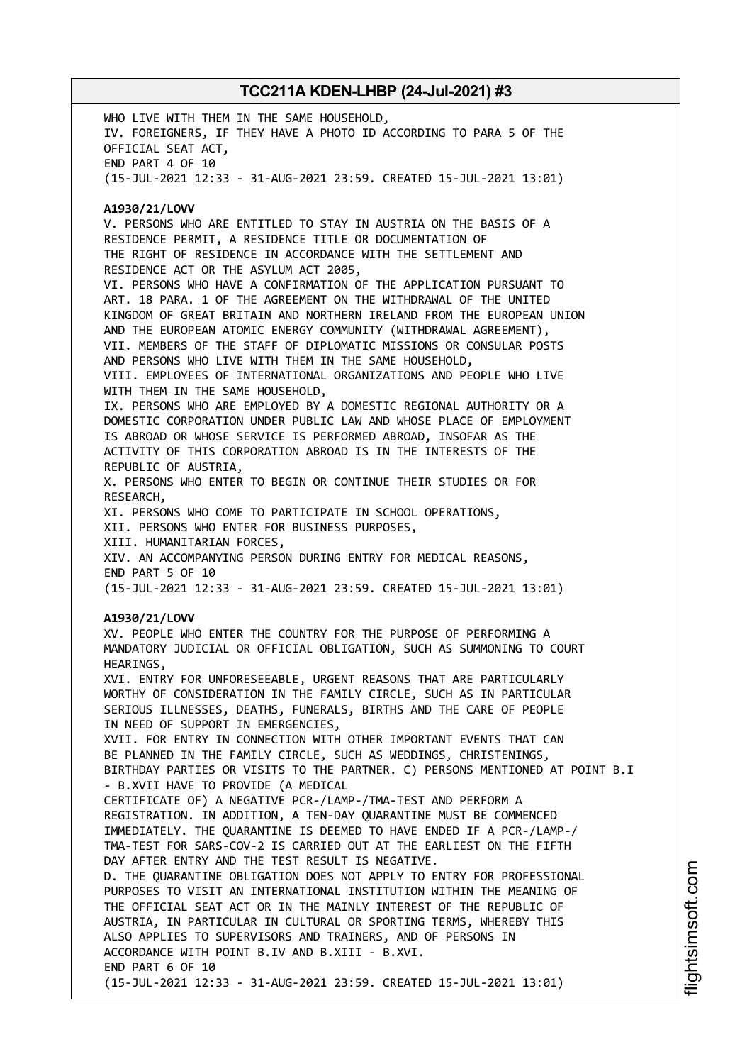WHO LIVE WITH THEM IN THE SAME HOUSEHOLD, IV. FOREIGNERS, IF THEY HAVE A PHOTO ID ACCORDING TO PARA 5 OF THE OFFICIAL SEAT ACT, END PART 4 OF 10 (15-JUL-2021 12:33 - 31-AUG-2021 23:59. CREATED 15-JUL-2021 13:01) **A1930/21/LOVV** V. PERSONS WHO ARE ENTITLED TO STAY IN AUSTRIA ON THE BASIS OF A RESIDENCE PERMIT, A RESIDENCE TITLE OR DOCUMENTATION OF THE RIGHT OF RESIDENCE IN ACCORDANCE WITH THE SETTLEMENT AND RESIDENCE ACT OR THE ASYLUM ACT 2005, VI. PERSONS WHO HAVE A CONFIRMATION OF THE APPLICATION PURSUANT TO ART. 18 PARA. 1 OF THE AGREEMENT ON THE WITHDRAWAL OF THE UNITED KINGDOM OF GREAT BRITAIN AND NORTHERN IRELAND FROM THE EUROPEAN UNION AND THE EUROPEAN ATOMIC ENERGY COMMUNITY (WITHDRAWAL AGREEMENT), VII. MEMBERS OF THE STAFF OF DIPLOMATIC MISSIONS OR CONSULAR POSTS AND PERSONS WHO LIVE WITH THEM IN THE SAME HOUSEHOLD, VIII. EMPLOYEES OF INTERNATIONAL ORGANIZATIONS AND PEOPLE WHO LIVE WITH THEM IN THE SAME HOUSEHOLD, IX. PERSONS WHO ARE EMPLOYED BY A DOMESTIC REGIONAL AUTHORITY OR A DOMESTIC CORPORATION UNDER PUBLIC LAW AND WHOSE PLACE OF EMPLOYMENT IS ABROAD OR WHOSE SERVICE IS PERFORMED ABROAD, INSOFAR AS THE ACTIVITY OF THIS CORPORATION ABROAD IS IN THE INTERESTS OF THE REPUBLIC OF AUSTRIA, X. PERSONS WHO ENTER TO BEGIN OR CONTINUE THEIR STUDIES OR FOR RESEARCH, XI. PERSONS WHO COME TO PARTICIPATE IN SCHOOL OPERATIONS, XII. PERSONS WHO ENTER FOR BUSINESS PURPOSES, XIII. HUMANITARIAN FORCES, XIV. AN ACCOMPANYING PERSON DURING ENTRY FOR MEDICAL REASONS, END PART 5 OF 10 (15-JUL-2021 12:33 - 31-AUG-2021 23:59. CREATED 15-JUL-2021 13:01) **A1930/21/LOVV** XV. PEOPLE WHO ENTER THE COUNTRY FOR THE PURPOSE OF PERFORMING A MANDATORY JUDICIAL OR OFFICIAL OBLIGATION, SUCH AS SUMMONING TO COURT HEARINGS, XVI. ENTRY FOR UNFORESEEABLE, URGENT REASONS THAT ARE PARTICULARLY WORTHY OF CONSIDERATION IN THE FAMILY CIRCLE, SUCH AS IN PARTICULAR SERIOUS ILLNESSES, DEATHS, FUNERALS, BIRTHS AND THE CARE OF PEOPLE IN NEED OF SUPPORT IN EMERGENCIES, XVII. FOR ENTRY IN CONNECTION WITH OTHER IMPORTANT EVENTS THAT CAN BE PLANNED IN THE FAMILY CIRCLE, SUCH AS WEDDINGS, CHRISTENINGS, BIRTHDAY PARTIES OR VISITS TO THE PARTNER. C) PERSONS MENTIONED AT POINT B.I - B.XVII HAVE TO PROVIDE (A MEDICAL CERTIFICATE OF) A NEGATIVE PCR-/LAMP-/TMA-TEST AND PERFORM A REGISTRATION. IN ADDITION, A TEN-DAY QUARANTINE MUST BE COMMENCED IMMEDIATELY. THE QUARANTINE IS DEEMED TO HAVE ENDED IF A PCR-/LAMP-/ TMA-TEST FOR SARS-COV-2 IS CARRIED OUT AT THE EARLIEST ON THE FIFTH DAY AFTER ENTRY AND THE TEST RESULT IS NEGATIVE. D. THE QUARANTINE OBLIGATION DOES NOT APPLY TO ENTRY FOR PROFESSIONAL PURPOSES TO VISIT AN INTERNATIONAL INSTITUTION WITHIN THE MEANING OF THE OFFICIAL SEAT ACT OR IN THE MAINLY INTEREST OF THE REPUBLIC OF AUSTRIA, IN PARTICULAR IN CULTURAL OR SPORTING TERMS, WHEREBY THIS ALSO APPLIES TO SUPERVISORS AND TRAINERS, AND OF PERSONS IN ACCORDANCE WITH POINT B.IV AND B.XIII - B.XVI. END PART 6 OF 10 (15-JUL-2021 12:33 - 31-AUG-2021 23:59. CREATED 15-JUL-2021 13:01)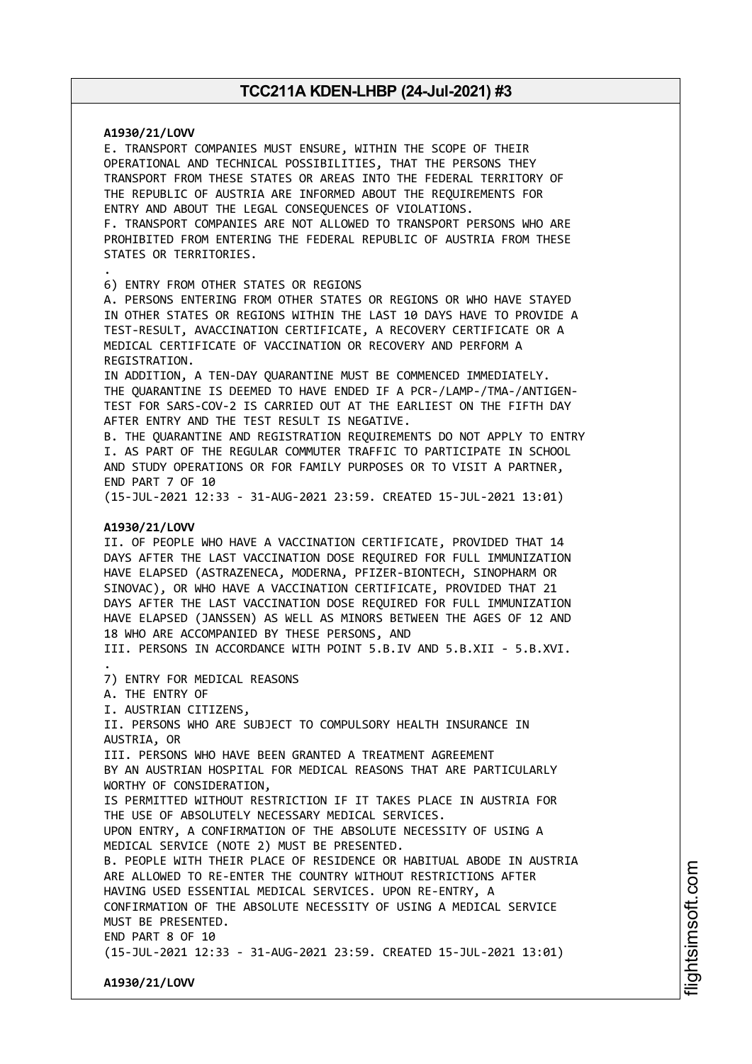**A1930/21/LOVV** E. TRANSPORT COMPANIES MUST ENSURE, WITHIN THE SCOPE OF THEIR OPERATIONAL AND TECHNICAL POSSIBILITIES, THAT THE PERSONS THEY TRANSPORT FROM THESE STATES OR AREAS INTO THE FEDERAL TERRITORY OF THE REPUBLIC OF AUSTRIA ARE INFORMED ABOUT THE REQUIREMENTS FOR ENTRY AND ABOUT THE LEGAL CONSEQUENCES OF VIOLATIONS. F. TRANSPORT COMPANIES ARE NOT ALLOWED TO TRANSPORT PERSONS WHO ARE PROHIBITED FROM ENTERING THE FEDERAL REPUBLIC OF AUSTRIA FROM THESE STATES OR TERRITORIES. . 6) ENTRY FROM OTHER STATES OR REGIONS A. PERSONS ENTERING FROM OTHER STATES OR REGIONS OR WHO HAVE STAYED IN OTHER STATES OR REGIONS WITHIN THE LAST 10 DAYS HAVE TO PROVIDE A TEST-RESULT, AVACCINATION CERTIFICATE, A RECOVERY CERTIFICATE OR A MEDICAL CERTIFICATE OF VACCINATION OR RECOVERY AND PERFORM A REGISTRATION. IN ADDITION, A TEN-DAY QUARANTINE MUST BE COMMENCED IMMEDIATELY. THE QUARANTINE IS DEEMED TO HAVE ENDED IF A PCR-/LAMP-/TMA-/ANTIGEN-TEST FOR SARS-COV-2 IS CARRIED OUT AT THE EARLIEST ON THE FIFTH DAY AFTER ENTRY AND THE TEST RESULT IS NEGATIVE. B. THE QUARANTINE AND REGISTRATION REQUIREMENTS DO NOT APPLY TO ENTRY I. AS PART OF THE REGULAR COMMUTER TRAFFIC TO PARTICIPATE IN SCHOOL AND STUDY OPERATIONS OR FOR FAMILY PURPOSES OR TO VISIT A PARTNER, END PART 7 OF 10 (15-JUL-2021 12:33 - 31-AUG-2021 23:59. CREATED 15-JUL-2021 13:01) **A1930/21/LOVV** II. OF PEOPLE WHO HAVE A VACCINATION CERTIFICATE, PROVIDED THAT 14 DAYS AFTER THE LAST VACCINATION DOSE REQUIRED FOR FULL IMMUNIZATION HAVE ELAPSED (ASTRAZENECA, MODERNA, PFIZER-BIONTECH, SINOPHARM OR SINOVAC), OR WHO HAVE A VACCINATION CERTIFICATE, PROVIDED THAT 21 DAYS AFTER THE LAST VACCINATION DOSE REQUIRED FOR FULL IMMUNIZATION HAVE ELAPSED (JANSSEN) AS WELL AS MINORS BETWEEN THE AGES OF 12 AND 18 WHO ARE ACCOMPANIED BY THESE PERSONS, AND III. PERSONS IN ACCORDANCE WITH POINT 5.B.IV AND 5.B.XII - 5.B.XVI. . 7) ENTRY FOR MEDICAL REASONS A. THE ENTRY OF I. AUSTRIAN CITIZENS, II. PERSONS WHO ARE SUBJECT TO COMPULSORY HEALTH INSURANCE IN AUSTRIA, OR III. PERSONS WHO HAVE BEEN GRANTED A TREATMENT AGREEMENT BY AN AUSTRIAN HOSPITAL FOR MEDICAL REASONS THAT ARE PARTICULARLY WORTHY OF CONSIDERATION, IS PERMITTED WITHOUT RESTRICTION IF IT TAKES PLACE IN AUSTRIA FOR THE USE OF ABSOLUTELY NECESSARY MEDICAL SERVICES. UPON ENTRY, A CONFIRMATION OF THE ABSOLUTE NECESSITY OF USING A MEDICAL SERVICE (NOTE 2) MUST BE PRESENTED. B. PEOPLE WITH THEIR PLACE OF RESIDENCE OR HABITUAL ABODE IN AUSTRIA ARE ALLOWED TO RE-ENTER THE COUNTRY WITHOUT RESTRICTIONS AFTER HAVING USED ESSENTIAL MEDICAL SERVICES. UPON RE-ENTRY, A CONFIRMATION OF THE ABSOLUTE NECESSITY OF USING A MEDICAL SERVICE MUST BE PRESENTED. END PART 8 OF 10 (15-JUL-2021 12:33 - 31-AUG-2021 23:59. CREATED 15-JUL-2021 13:01) **A1930/21/LOVV**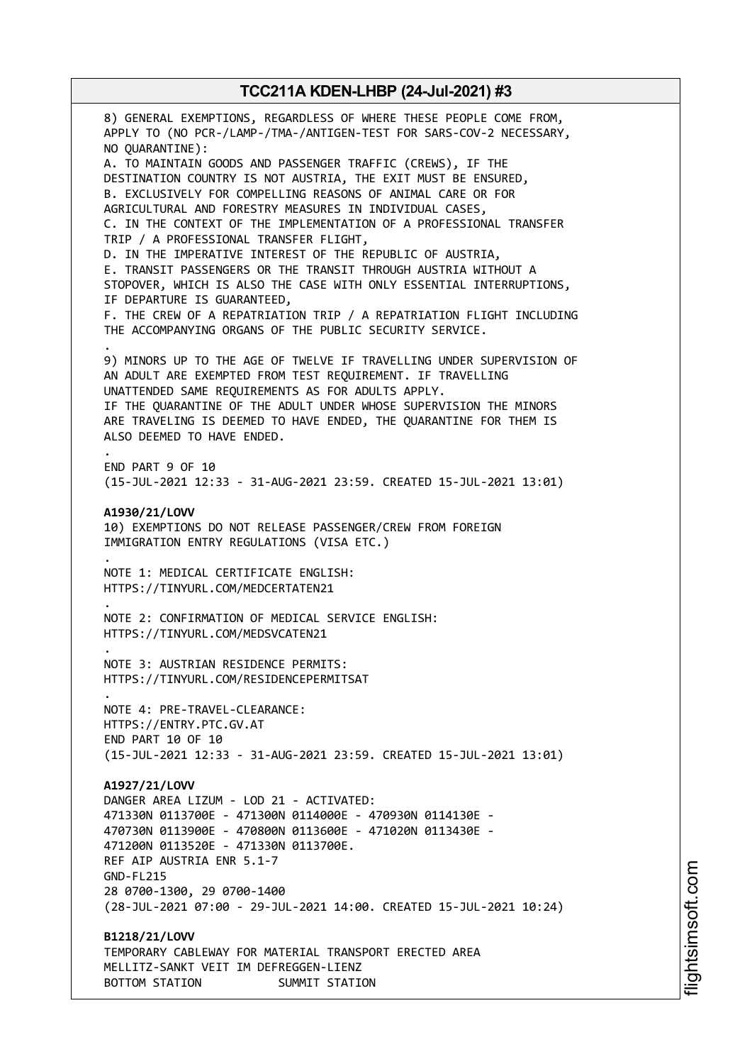8) GENERAL EXEMPTIONS, REGARDLESS OF WHERE THESE PEOPLE COME FROM, APPLY TO (NO PCR-/LAMP-/TMA-/ANTIGEN-TEST FOR SARS-COV-2 NECESSARY, NO QUARANTINE): A. TO MAINTAIN GOODS AND PASSENGER TRAFFIC (CREWS), IF THE DESTINATION COUNTRY IS NOT AUSTRIA, THE EXIT MUST BE ENSURED, B. EXCLUSIVELY FOR COMPELLING REASONS OF ANIMAL CARE OR FOR AGRICULTURAL AND FORESTRY MEASURES IN INDIVIDUAL CASES, C. IN THE CONTEXT OF THE IMPLEMENTATION OF A PROFESSIONAL TRANSFER TRIP / A PROFESSIONAL TRANSFER FLIGHT, D. IN THE IMPERATIVE INTEREST OF THE REPUBLIC OF AUSTRIA, E. TRANSIT PASSENGERS OR THE TRANSIT THROUGH AUSTRIA WITHOUT A STOPOVER, WHICH IS ALSO THE CASE WITH ONLY ESSENTIAL INTERRUPTIONS, IF DEPARTURE IS GUARANTEED, F. THE CREW OF A REPATRIATION TRIP / A REPATRIATION FLIGHT INCLUDING THE ACCOMPANYING ORGANS OF THE PUBLIC SECURITY SERVICE. . 9) MINORS UP TO THE AGE OF TWELVE IF TRAVELLING UNDER SUPERVISION OF AN ADULT ARE EXEMPTED FROM TEST REQUIREMENT. IF TRAVELLING UNATTENDED SAME REQUIREMENTS AS FOR ADULTS APPLY. IF THE QUARANTINE OF THE ADULT UNDER WHOSE SUPERVISION THE MINORS ARE TRAVELING IS DEEMED TO HAVE ENDED, THE QUARANTINE FOR THEM IS ALSO DEEMED TO HAVE ENDED. . END PART 9 OF 10 (15-JUL-2021 12:33 - 31-AUG-2021 23:59. CREATED 15-JUL-2021 13:01) **A1930/21/LOVV** 10) EXEMPTIONS DO NOT RELEASE PASSENGER/CREW FROM FOREIGN IMMIGRATION ENTRY REGULATIONS (VISA ETC.) . NOTE 1: MEDICAL CERTIFICATE ENGLISH: HTTPS://TINYURL.COM/MEDCERTATEN21 . NOTE 2: CONFIRMATION OF MEDICAL SERVICE ENGLISH: HTTPS://TINYURL.COM/MEDSVCATEN21 . NOTE 3: AUSTRIAN RESIDENCE PERMITS: HTTPS://TINYURL.COM/RESIDENCEPERMITSAT . NOTE 4: PRE-TRAVEL-CLEARANCE: HTTPS://ENTRY.PTC.GV.AT END PART 10 OF 10 (15-JUL-2021 12:33 - 31-AUG-2021 23:59. CREATED 15-JUL-2021 13:01) **A1927/21/LOVV** DANGER AREA LIZUM - LOD 21 - ACTIVATED: 471330N 0113700E - 471300N 0114000E - 470930N 0114130E - 470730N 0113900E - 470800N 0113600E - 471020N 0113430E - 471200N 0113520E - 471330N 0113700E. REF AIP AUSTRIA ENR 5.1-7 GND-FL215 28 0700-1300, 29 0700-1400 (28-JUL-2021 07:00 - 29-JUL-2021 14:00. CREATED 15-JUL-2021 10:24) **B1218/21/LOVV** TEMPORARY CABLEWAY FOR MATERIAL TRANSPORT ERECTED AREA MELLITZ-SANKT VEIT IM DEFREGGEN-LIENZ BOTTOM STATION SUMMIT STATION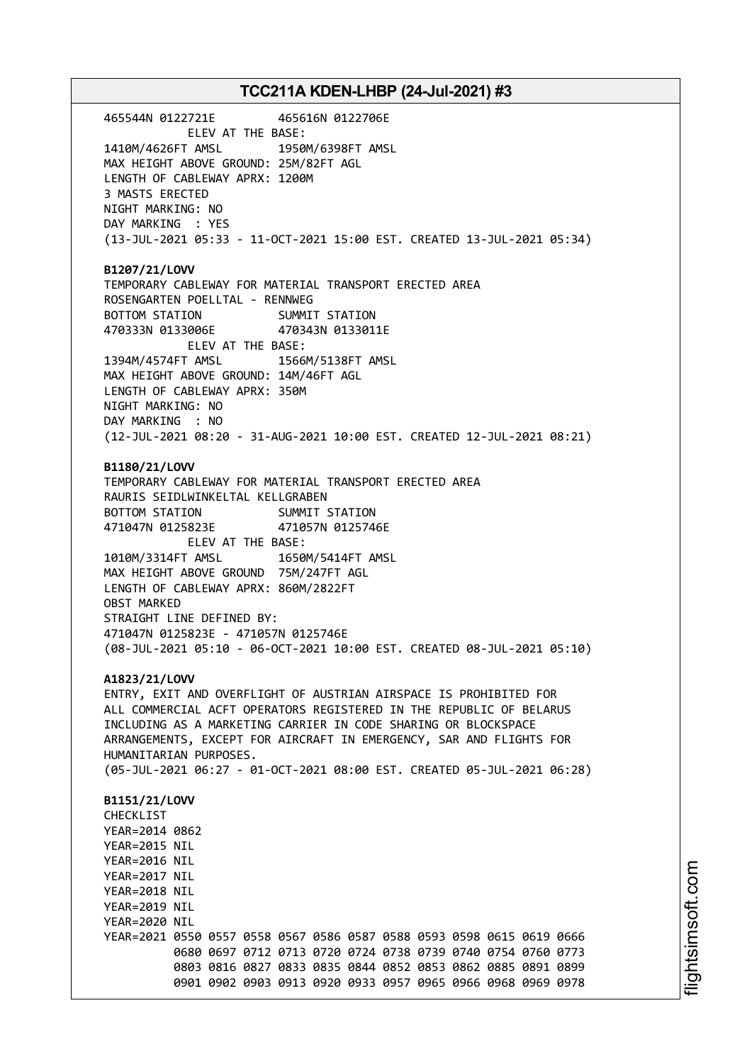465544N 0122721E 465616N 0122706E ELEV AT THE BASE: 1410M/4626FT AMSL 1950M/6398FT AMSL MAX HEIGHT ABOVE GROUND: 25M/82FT AGL LENGTH OF CABLEWAY APRX: 1200M 3 MASTS ERECTED NIGHT MARKING: NO DAY MARKING : YES (13-JUL-2021 05:33 - 11-OCT-2021 15:00 EST. CREATED 13-JUL-2021 05:34) **B1207/21/LOVV** TEMPORARY CABLEWAY FOR MATERIAL TRANSPORT ERECTED AREA ROSENGARTEN POELLTAL - RENNWEG BOTTOM STATION SUMMIT STATION 470333N 0133006E 470343N 0133011E ELEV AT THE BASE: 1394M/4574FT AMSL 1566M/5138FT AMSL MAX HEIGHT ABOVE GROUND: 14M/46FT AGL LENGTH OF CABLEWAY APRX: 350M NIGHT MARKING: NO DAY MARKING : NO (12-JUL-2021 08:20 - 31-AUG-2021 10:00 EST. CREATED 12-JUL-2021 08:21) **B1180/21/LOVV** TEMPORARY CABLEWAY FOR MATERIAL TRANSPORT ERECTED AREA RAURIS SEIDLWINKELTAL KELLGRABEN BOTTOM STATION SUMMIT STATION 471047N 0125823E 471057N 0125746E ELEV AT THE BASE: 1010M/3314FT AMSL 1650M/5414FT AMSL MAX HEIGHT ABOVE GROUND 75M/247FT AGL LENGTH OF CABLEWAY APRX: 860M/2822FT OBST MARKED STRAIGHT LINE DEFINED BY: 471047N 0125823E - 471057N 0125746E (08-JUL-2021 05:10 - 06-OCT-2021 10:00 EST. CREATED 08-JUL-2021 05:10) **A1823/21/LOVV** ENTRY, EXIT AND OVERFLIGHT OF AUSTRIAN AIRSPACE IS PROHIBITED FOR ALL COMMERCIAL ACFT OPERATORS REGISTERED IN THE REPUBLIC OF BELARUS INCLUDING AS A MARKETING CARRIER IN CODE SHARING OR BLOCKSPACE ARRANGEMENTS, EXCEPT FOR AIRCRAFT IN EMERGENCY, SAR AND FLIGHTS FOR HUMANITARIAN PURPOSES. (05-JUL-2021 06:27 - 01-OCT-2021 08:00 EST. CREATED 05-JUL-2021 06:28) **B1151/21/LOVV CHECKLIST** YEAR=2014 0862 YEAR=2015 NIL YEAR=2016 NIL YEAR=2017 NIL YEAR=2018 NIL YEAR=2019 NIL YEAR=2020 NIL YEAR=2021 0550 0557 0558 0567 0586 0587 0588 0593 0598 0615 0619 0666 0680 0697 0712 0713 0720 0724 0738 0739 0740 0754 0760 0773 0803 0816 0827 0833 0835 0844 0852 0853 0862 0885 0891 0899 0901 0902 0903 0913 0920 0933 0957 0965 0966 0968 0969 0978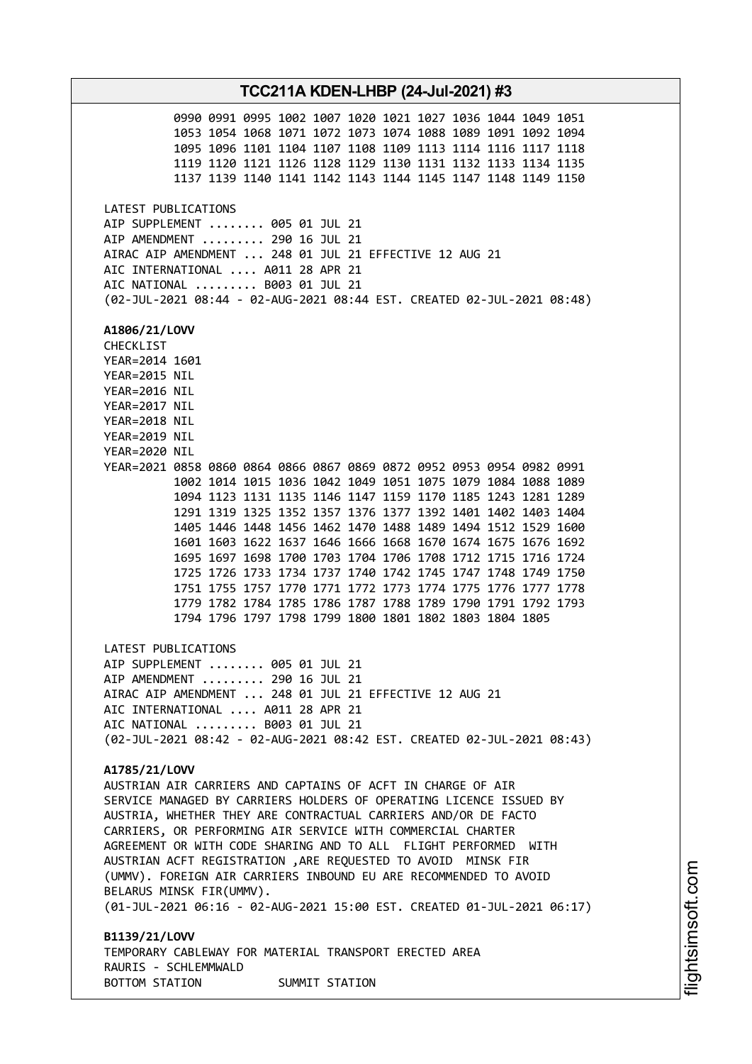**TCC211A KDEN-LHBP (24-Jul-2021) #3** 0990 0991 0995 1002 1007 1020 1021 1027 1036 1044 1049 1051 1053 1054 1068 1071 1072 1073 1074 1088 1089 1091 1092 1094 1095 1096 1101 1104 1107 1108 1109 1113 1114 1116 1117 1118 1119 1120 1121 1126 1128 1129 1130 1131 1132 1133 1134 1135 1137 1139 1140 1141 1142 1143 1144 1145 1147 1148 1149 1150 LATEST PUBLICATIONS AIP SUPPLEMENT ........ 005 01 JUL 21 AIP AMENDMENT ......... 290 16 JUL 21 AIRAC AIP AMENDMENT ... 248 01 JUL 21 EFFECTIVE 12 AUG 21 AIC INTERNATIONAL .... A011 28 APR 21 AIC NATIONAL ......... B003 01 JUL 21 (02-JUL-2021 08:44 - 02-AUG-2021 08:44 EST. CREATED 02-JUL-2021 08:48) **A1806/21/LOVV** CHECKLIST YEAR=2014 1601 YEAR=2015 NIL YEAR=2016 NIL YEAR=2017 NIL YEAR=2018 NIL YEAR=2019 NIL YEAR=2020 NIL YEAR=2021 0858 0860 0864 0866 0867 0869 0872 0952 0953 0954 0982 0991 1002 1014 1015 1036 1042 1049 1051 1075 1079 1084 1088 1089 1094 1123 1131 1135 1146 1147 1159 1170 1185 1243 1281 1289 1291 1319 1325 1352 1357 1376 1377 1392 1401 1402 1403 1404 1405 1446 1448 1456 1462 1470 1488 1489 1494 1512 1529 1600 1601 1603 1622 1637 1646 1666 1668 1670 1674 1675 1676 1692 1695 1697 1698 1700 1703 1704 1706 1708 1712 1715 1716 1724 1725 1726 1733 1734 1737 1740 1742 1745 1747 1748 1749 1750 1751 1755 1757 1770 1771 1772 1773 1774 1775 1776 1777 1778 1779 1782 1784 1785 1786 1787 1788 1789 1790 1791 1792 1793 1794 1796 1797 1798 1799 1800 1801 1802 1803 1804 1805 LATEST PUBLICATIONS AIP SUPPLEMENT ........ 005 01 JUL 21 AIP AMENDMENT ......... 290 16 JUL 21 AIRAC AIP AMENDMENT ... 248 01 JUL 21 EFFECTIVE 12 AUG 21 AIC INTERNATIONAL .... A011 28 APR 21 AIC NATIONAL ......... B003 01 JUL 21 (02-JUL-2021 08:42 - 02-AUG-2021 08:42 EST. CREATED 02-JUL-2021 08:43) **A1785/21/LOVV** AUSTRIAN AIR CARRIERS AND CAPTAINS OF ACFT IN CHARGE OF AIR SERVICE MANAGED BY CARRIERS HOLDERS OF OPERATING LICENCE ISSUED BY AUSTRIA, WHETHER THEY ARE CONTRACTUAL CARRIERS AND/OR DE FACTO CARRIERS, OR PERFORMING AIR SERVICE WITH COMMERCIAL CHARTER AGREEMENT OR WITH CODE SHARING AND TO ALL FLIGHT PERFORMED WITH AUSTRIAN ACFT REGISTRATION ,ARE REQUESTED TO AVOID MINSK FIR (UMMV). FOREIGN AIR CARRIERS INBOUND EU ARE RECOMMENDED TO AVOID BELARUS MINSK FIR(UMMV). (01-JUL-2021 06:16 - 02-AUG-2021 15:00 EST. CREATED 01-JUL-2021 06:17) **B1139/21/LOVV** TEMPORARY CABLEWAY FOR MATERIAL TRANSPORT ERECTED AREA RAURIS - SCHLEMMWALD BOTTOM STATION SUMMIT STATION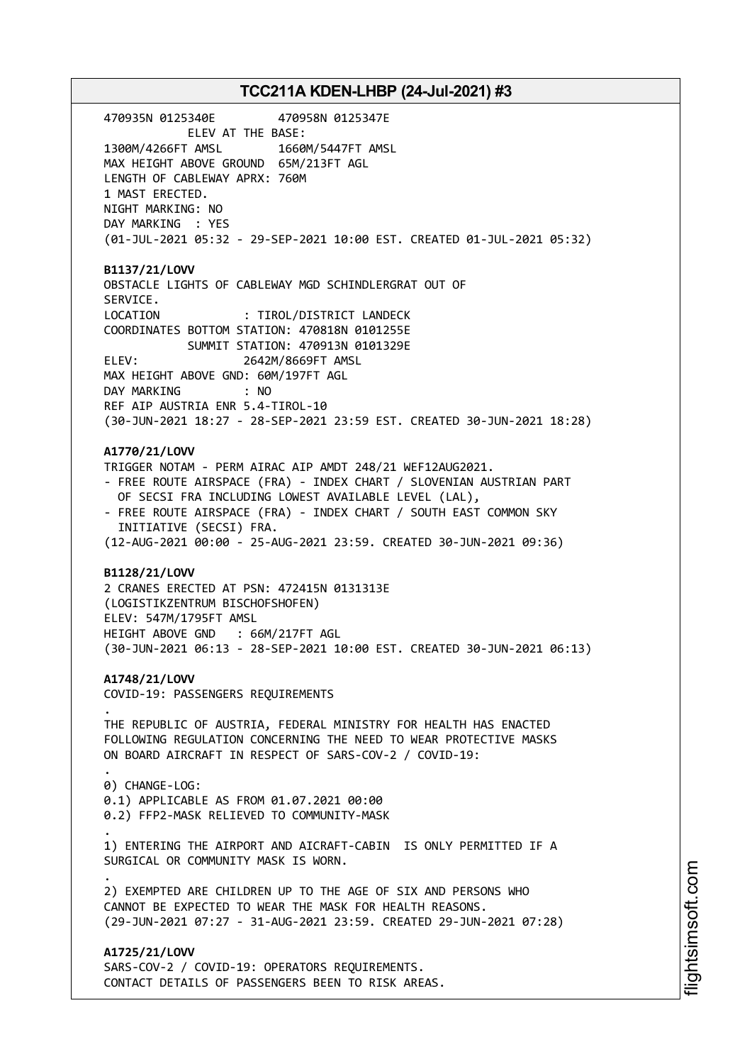470935N 0125340E 470958N 0125347E ELEV AT THE BASE: 1300M/4266FT AMSL 1660M/5447FT AMSL MAX HEIGHT ABOVE GROUND 65M/213FT AGL LENGTH OF CABLEWAY APRX: 760M 1 MAST ERECTED. NIGHT MARKING: NO DAY MARKING : YES (01-JUL-2021 05:32 - 29-SEP-2021 10:00 EST. CREATED 01-JUL-2021 05:32) **B1137/21/LOVV** OBSTACLE LIGHTS OF CABLEWAY MGD SCHINDLERGRAT OUT OF SERVICE. LOCATION : TIROL/DISTRICT LANDECK COORDINATES BOTTOM STATION: 470818N 0101255E SUMMIT STATION: 470913N 0101329E ELEV: 2642M/8669FT AMSL MAX HEIGHT ABOVE GND: 60M/197FT AGL DAY MARKING : NO REF AIP AUSTRIA ENR 5.4-TIROL-10 (30-JUN-2021 18:27 - 28-SEP-2021 23:59 EST. CREATED 30-JUN-2021 18:28) **A1770/21/LOVV** TRIGGER NOTAM - PERM AIRAC AIP AMDT 248/21 WEF12AUG2021. - FREE ROUTE AIRSPACE (FRA) - INDEX CHART / SLOVENIAN AUSTRIAN PART OF SECSI FRA INCLUDING LOWEST AVAILABLE LEVEL (LAL), - FREE ROUTE AIRSPACE (FRA) - INDEX CHART / SOUTH EAST COMMON SKY INITIATIVE (SECSI) FRA. (12-AUG-2021 00:00 - 25-AUG-2021 23:59. CREATED 30-JUN-2021 09:36) **B1128/21/LOVV** 2 CRANES ERECTED AT PSN: 472415N 0131313E (LOGISTIKZENTRUM BISCHOFSHOFEN) ELEV: 547M/1795FT AMSL HEIGHT ABOVE GND : 66M/217FT AGL (30-JUN-2021 06:13 - 28-SEP-2021 10:00 EST. CREATED 30-JUN-2021 06:13) **A1748/21/LOVV** COVID-19: PASSENGERS REQUIREMENTS . THE REPUBLIC OF AUSTRIA, FEDERAL MINISTRY FOR HEALTH HAS ENACTED FOLLOWING REGULATION CONCERNING THE NEED TO WEAR PROTECTIVE MASKS ON BOARD AIRCRAFT IN RESPECT OF SARS-COV-2 / COVID-19: . 0) CHANGE-LOG: 0.1) APPLICABLE AS FROM 01.07.2021 00:00 0.2) FFP2-MASK RELIEVED TO COMMUNITY-MASK . 1) ENTERING THE AIRPORT AND AICRAFT-CABIN IS ONLY PERMITTED IF A SURGICAL OR COMMUNITY MASK IS WORN. . 2) EXEMPTED ARE CHILDREN UP TO THE AGE OF SIX AND PERSONS WHO CANNOT BE EXPECTED TO WEAR THE MASK FOR HEALTH REASONS. (29-JUN-2021 07:27 - 31-AUG-2021 23:59. CREATED 29-JUN-2021 07:28) **A1725/21/LOVV**

SARS-COV-2 / COVID-19: OPERATORS REQUIREMENTS. CONTACT DETAILS OF PASSENGERS BEEN TO RISK AREAS.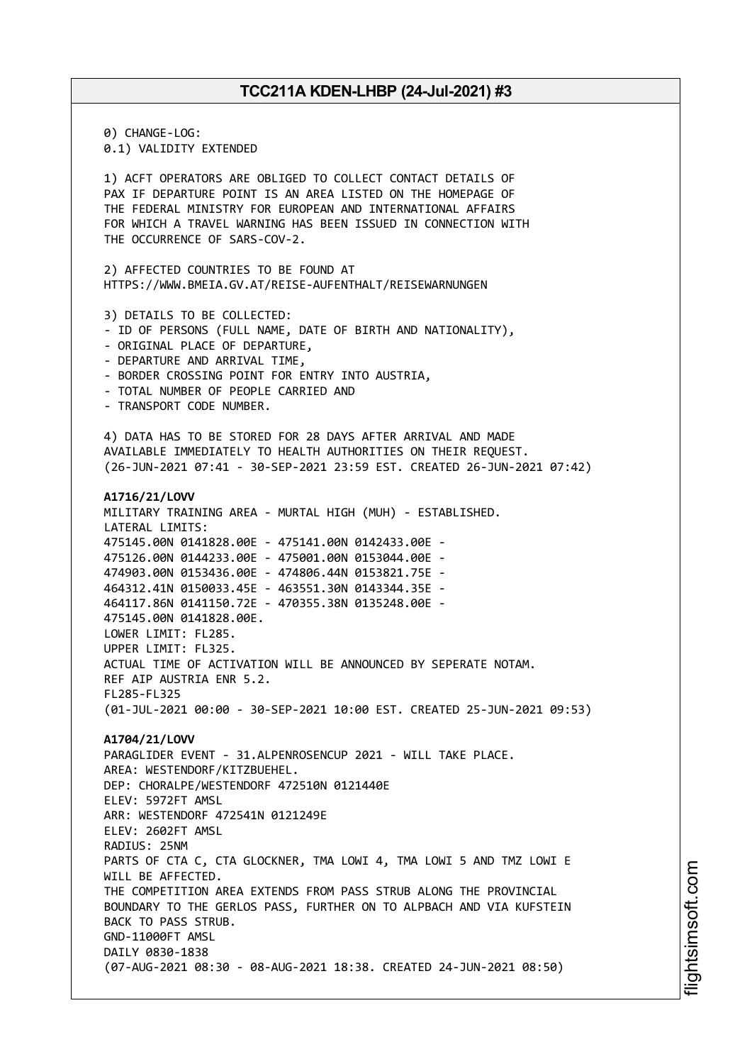0) CHANGE-LOG: 0.1) VALIDITY EXTENDED 1) ACFT OPERATORS ARE OBLIGED TO COLLECT CONTACT DETAILS OF PAX IF DEPARTURE POINT IS AN AREA LISTED ON THE HOMEPAGE OF THE FEDERAL MINISTRY FOR EUROPEAN AND INTERNATIONAL AFFAIRS FOR WHICH A TRAVEL WARNING HAS BEEN ISSUED IN CONNECTION WITH THE OCCURRENCE OF SARS-COV-2. 2) AFFECTED COUNTRIES TO BE FOUND AT HTTPS://WWW.BMEIA.GV.AT/REISE-AUFENTHALT/REISEWARNUNGEN 3) DETAILS TO BE COLLECTED: - ID OF PERSONS (FULL NAME, DATE OF BIRTH AND NATIONALITY), - ORIGINAL PLACE OF DEPARTURE, - DEPARTURE AND ARRIVAL TIME, - BORDER CROSSING POINT FOR ENTRY INTO AUSTRIA, - TOTAL NUMBER OF PEOPLE CARRIED AND - TRANSPORT CODE NUMBER. 4) DATA HAS TO BE STORED FOR 28 DAYS AFTER ARRIVAL AND MADE AVAILABLE IMMEDIATELY TO HEALTH AUTHORITIES ON THEIR REQUEST. (26-JUN-2021 07:41 - 30-SEP-2021 23:59 EST. CREATED 26-JUN-2021 07:42) **A1716/21/LOVV** MILITARY TRAINING AREA - MURTAL HIGH (MUH) - ESTABLISHED. LATERAL LIMITS: 475145.00N 0141828.00E - 475141.00N 0142433.00E - 475126.00N 0144233.00E - 475001.00N 0153044.00E - 474903.00N 0153436.00E - 474806.44N 0153821.75E - 464312.41N 0150033.45E - 463551.30N 0143344.35E - 464117.86N 0141150.72E - 470355.38N 0135248.00E - 475145.00N 0141828.00E. LOWER LIMIT: FL285. UPPER LIMIT: FL325. ACTUAL TIME OF ACTIVATION WILL BE ANNOUNCED BY SEPERATE NOTAM. REF AIP AUSTRIA ENR 5.2. FL285-FL325 (01-JUL-2021 00:00 - 30-SEP-2021 10:00 EST. CREATED 25-JUN-2021 09:53) **A1704/21/LOVV** PARAGLIDER EVENT - 31.ALPENROSENCUP 2021 - WILL TAKE PLACE. AREA: WESTENDORF/KITZBUEHEL. DEP: CHORALPE/WESTENDORF 472510N 0121440E ELEV: 5972FT AMSL ARR: WESTENDORF 472541N 0121249E ELEV: 2602FT AMSL RADIUS: 25NM PARTS OF CTA C, CTA GLOCKNER, TMA LOWI 4, TMA LOWI 5 AND TMZ LOWI E WILL BE AFFECTED. THE COMPETITION AREA EXTENDS FROM PASS STRUB ALONG THE PROVINCIAL BOUNDARY TO THE GERLOS PASS, FURTHER ON TO ALPBACH AND VIA KUFSTEIN BACK TO PASS STRUB. GND-11000FT AMSL DAILY 0830-1838 (07-AUG-2021 08:30 - 08-AUG-2021 18:38. CREATED 24-JUN-2021 08:50)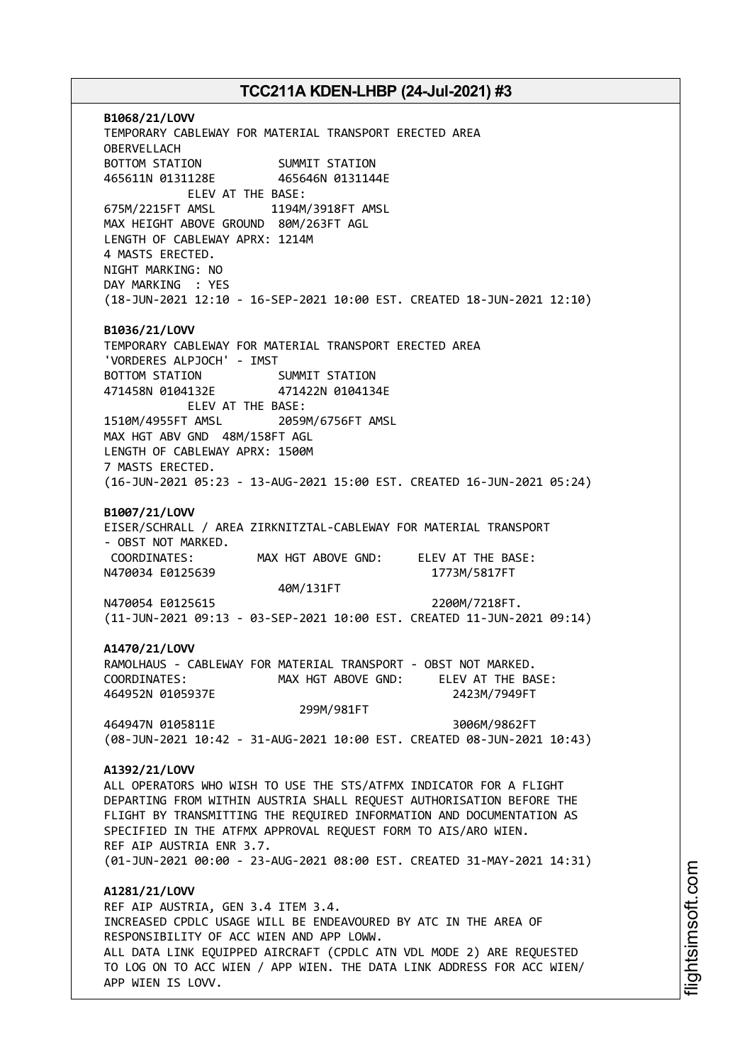**B1068/21/LOVV** TEMPORARY CABLEWAY FOR MATERIAL TRANSPORT ERECTED AREA OBERVELLACH BOTTOM STATION SUMMIT STATION 465611N 0131128E 465646N 0131144E ELEV AT THE BASE: 675M/2215FT AMSL 1194M/3918FT AMSL MAX HEIGHT ABOVE GROUND 80M/263FT AGL LENGTH OF CABLEWAY APRX: 1214M 4 MASTS ERECTED. NIGHT MARKING: NO DAY MARKING : YES (18-JUN-2021 12:10 - 16-SEP-2021 10:00 EST. CREATED 18-JUN-2021 12:10) **B1036/21/LOVV** TEMPORARY CABLEWAY FOR MATERIAL TRANSPORT ERECTED AREA 'VORDERES ALPJOCH' - IMST BOTTOM STATION SUMMIT STATION 471458N 0104132E 471422N 0104134E ELEV AT THE BASE: 1510M/4955FT AMSL 2059M/6756FT AMSL MAX HGT ABV GND 48M/158FT AGL LENGTH OF CABLEWAY APRX: 1500M 7 MASTS ERECTED. (16-JUN-2021 05:23 - 13-AUG-2021 15:00 EST. CREATED 16-JUN-2021 05:24) **B1007/21/LOVV** EISER/SCHRALL / AREA ZIRKNITZTAL-CABLEWAY FOR MATERIAL TRANSPORT - OBST NOT MARKED. COORDINATES: MAX HGT ABOVE GND: ELEV AT THE BASE: N470034 E0125639 1773M/5817FT 40M/131FT N470054 E0125615 2200M/7218FT. (11-JUN-2021 09:13 - 03-SEP-2021 10:00 EST. CREATED 11-JUN-2021 09:14) **A1470/21/LOVV** RAMOLHAUS - CABLEWAY FOR MATERIAL TRANSPORT - OBST NOT MARKED. COORDINATES: MAX HGT ABOVE GND: ELEV AT THE BASE: 464952N 0105937E 2423M/7949FT 299M/981FT 464947N 0105811E 3006M/9862FT (08-JUN-2021 10:42 - 31-AUG-2021 10:00 EST. CREATED 08-JUN-2021 10:43) **A1392/21/LOVV** ALL OPERATORS WHO WISH TO USE THE STS/ATFMX INDICATOR FOR A FLIGHT DEPARTING FROM WITHIN AUSTRIA SHALL REQUEST AUTHORISATION BEFORE THE FLIGHT BY TRANSMITTING THE REQUIRED INFORMATION AND DOCUMENTATION AS SPECIFIED IN THE ATFMX APPROVAL REQUEST FORM TO AIS/ARO WIEN. REF AIP AUSTRIA ENR 3.7. (01-JUN-2021 00:00 - 23-AUG-2021 08:00 EST. CREATED 31-MAY-2021 14:31) **A1281/21/LOVV** REF AIP AUSTRIA, GEN 3.4 ITEM 3.4. INCREASED CPDLC USAGE WILL BE ENDEAVOURED BY ATC IN THE AREA OF RESPONSIBILITY OF ACC WIEN AND APP LOWW. ALL DATA LINK EQUIPPED AIRCRAFT (CPDLC ATN VDL MODE 2) ARE REQUESTED TO LOG ON TO ACC WIEN / APP WIEN. THE DATA LINK ADDRESS FOR ACC WIEN/

APP WIEN IS LOVV.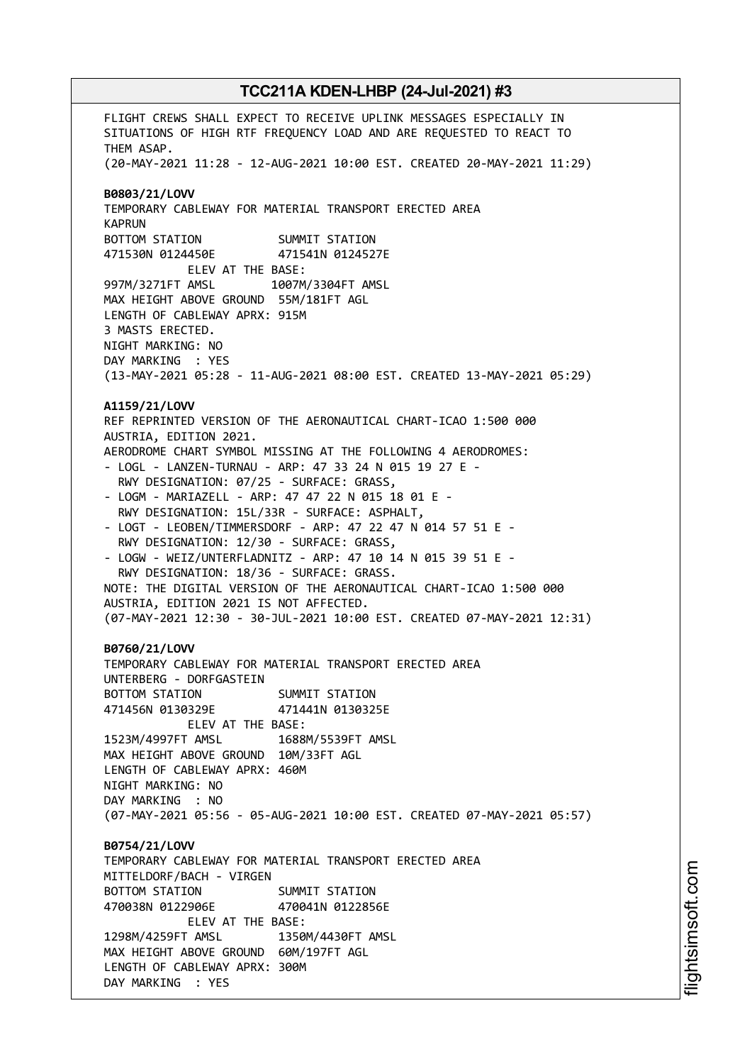FLIGHT CREWS SHALL EXPECT TO RECEIVE UPLINK MESSAGES ESPECIALLY IN SITUATIONS OF HIGH RTF FREQUENCY LOAD AND ARE REQUESTED TO REACT TO THEM ASAP. (20-MAY-2021 11:28 - 12-AUG-2021 10:00 EST. CREATED 20-MAY-2021 11:29) **B0803/21/LOVV** TEMPORARY CABLEWAY FOR MATERIAL TRANSPORT ERECTED AREA KAPRUN BOTTOM STATION SUMMIT STATION 471530N 0124450E 471541N 0124527E ELEV AT THE BASE: 997M/3271FT AMSL 1007M/3304FT AMSL MAX HEIGHT ABOVE GROUND 55M/181FT AGL LENGTH OF CABLEWAY APRX: 915M 3 MASTS ERECTED. NIGHT MARKING: NO DAY MARKING : YES (13-MAY-2021 05:28 - 11-AUG-2021 08:00 EST. CREATED 13-MAY-2021 05:29) **A1159/21/LOVV** REF REPRINTED VERSION OF THE AERONAUTICAL CHART-ICAO 1:500 000 AUSTRIA, EDITION 2021. AERODROME CHART SYMBOL MISSING AT THE FOLLOWING 4 AERODROMES: - LOGL - LANZEN-TURNAU - ARP: 47 33 24 N 015 19 27 E - RWY DESIGNATION: 07/25 - SURFACE: GRASS, - LOGM - MARIAZELL - ARP: 47 47 22 N 015 18 01 E - RWY DESIGNATION: 15L/33R - SURFACE: ASPHALT, - LOGT - LEOBEN/TIMMERSDORF - ARP: 47 22 47 N 014 57 51 E - RWY DESIGNATION: 12/30 - SURFACE: GRASS, - LOGW - WEIZ/UNTERFLADNITZ - ARP: 47 10 14 N 015 39 51 E - RWY DESIGNATION: 18/36 - SURFACE: GRASS. NOTE: THE DIGITAL VERSION OF THE AERONAUTICAL CHART-ICAO 1:500 000 AUSTRIA, EDITION 2021 IS NOT AFFECTED. (07-MAY-2021 12:30 - 30-JUL-2021 10:00 EST. CREATED 07-MAY-2021 12:31) **B0760/21/LOVV** TEMPORARY CABLEWAY FOR MATERIAL TRANSPORT ERECTED AREA UNTERBERG - DORFGASTEIN BOTTOM STATION SUMMIT STATION 471456N 0130329E 471441N 0130325E ELEV AT THE BASE: 1523M/4997FT AMSL 1688M/5539FT AMSL MAX HEIGHT ABOVE GROUND 10M/33FT AGL LENGTH OF CABLEWAY APRX: 460M NIGHT MARKING: NO DAY MARKING : NO (07-MAY-2021 05:56 - 05-AUG-2021 10:00 EST. CREATED 07-MAY-2021 05:57) **B0754/21/LOVV** TEMPORARY CABLEWAY FOR MATERIAL TRANSPORT ERECTED AREA MITTELDORF/BACH - VIRGEN BOTTOM STATION SUMMIT STATION 470038N 0122906E 470041N 0122856E ELEV AT THE BASE: 1298M/4259FT AMSL 1350M/4430FT AMSL MAX HEIGHT ABOVE GROUND 60M/197FT AGL LENGTH OF CABLEWAY APRX: 300M DAY MARKING : YES